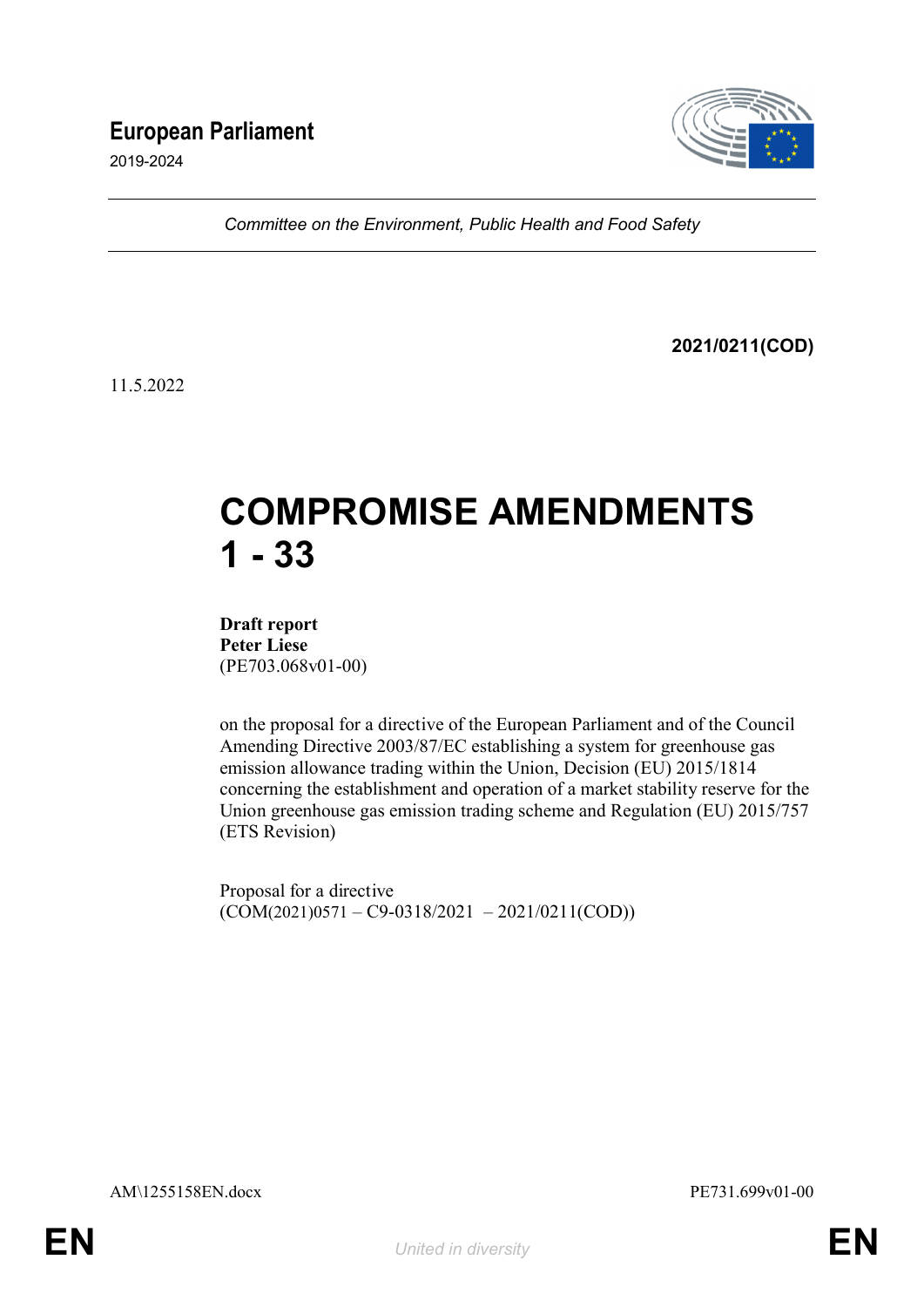2019-2024



*Committee on the Environment, Public Health and Food Safety*

**2021/0211(COD)**

11.5.2022

# **COMPROMISE AMENDMENTS 1 - 33**

**Draft report Peter Liese** (PE703.068v01-00)

on the proposal for a directive of the European Parliament and of the Council Amending Directive 2003/87/EC establishing a system for greenhouse gas emission allowance trading within the Union, Decision (EU) 2015/1814 concerning the establishment and operation of a market stability reserve for the Union greenhouse gas emission trading scheme and Regulation (EU) 2015/757 (ETS Revision)

Proposal for a directive  $(COM(2021)0571 - C9-0318/2021 - 2021/0211(COD))$ 

AM\1255158EN.docx PE731.699v01-00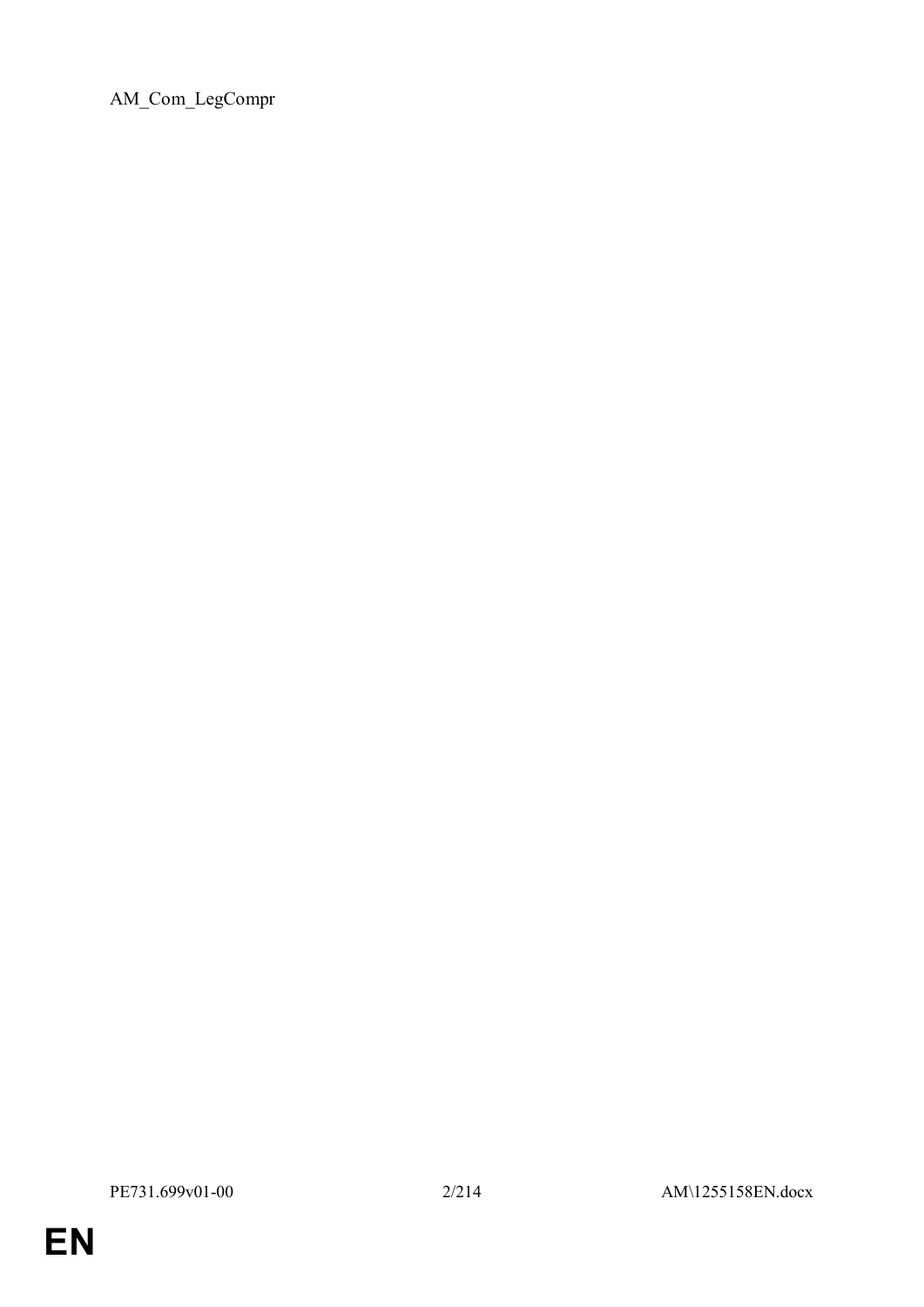AM\_Com\_LegCompr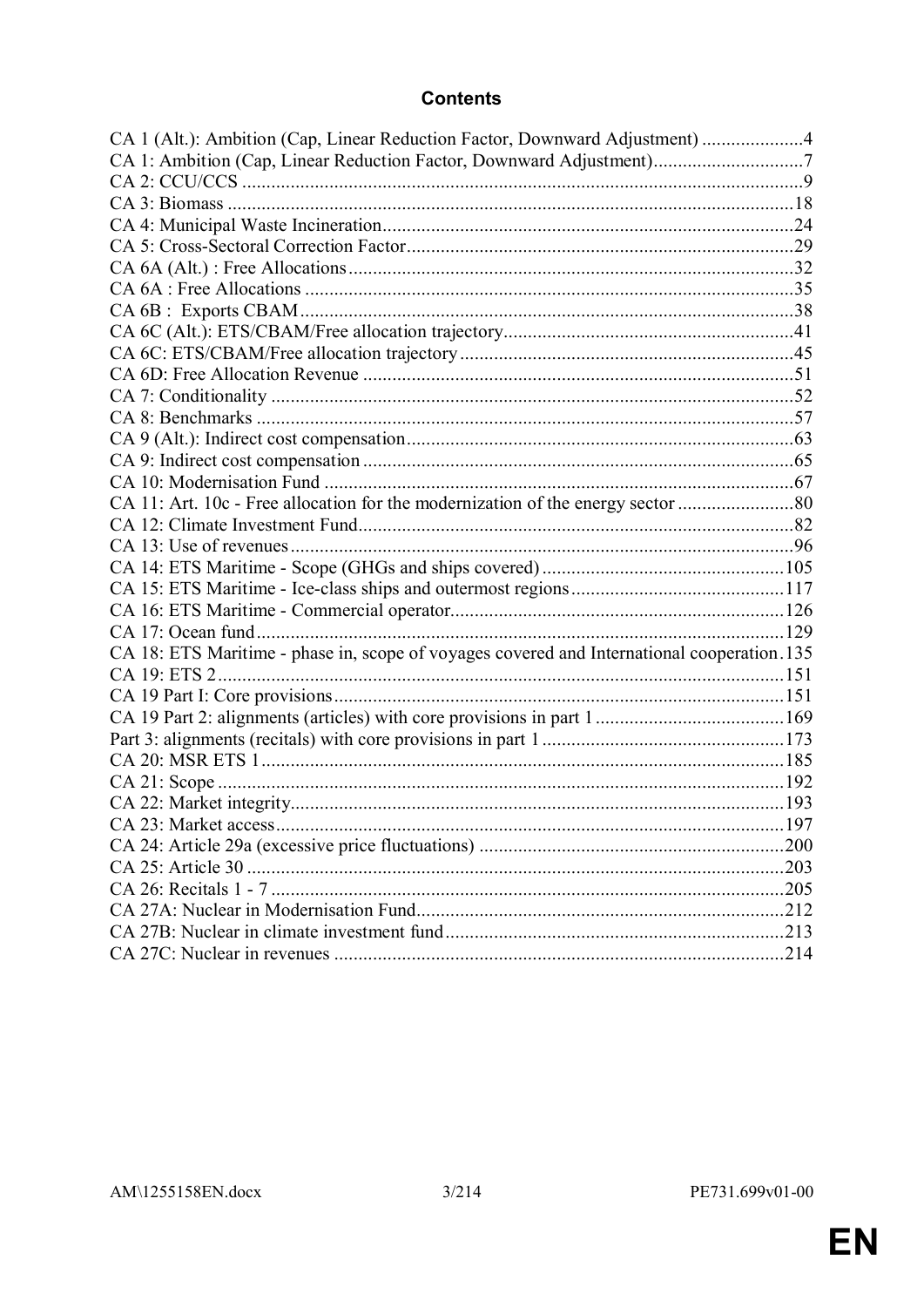## **Contents**

| CA 1 (Alt.): Ambition (Cap, Linear Reduction Factor, Downward Adjustment) 4                |  |
|--------------------------------------------------------------------------------------------|--|
| CA 1: Ambition (Cap, Linear Reduction Factor, Downward Adjustment)7                        |  |
|                                                                                            |  |
|                                                                                            |  |
|                                                                                            |  |
|                                                                                            |  |
|                                                                                            |  |
|                                                                                            |  |
|                                                                                            |  |
|                                                                                            |  |
|                                                                                            |  |
|                                                                                            |  |
|                                                                                            |  |
|                                                                                            |  |
|                                                                                            |  |
|                                                                                            |  |
|                                                                                            |  |
| CA 11: Art. 10c - Free allocation for the modernization of the energy sector               |  |
|                                                                                            |  |
|                                                                                            |  |
|                                                                                            |  |
|                                                                                            |  |
|                                                                                            |  |
|                                                                                            |  |
| CA 18: ETS Maritime - phase in, scope of voyages covered and International cooperation.135 |  |
|                                                                                            |  |
|                                                                                            |  |
|                                                                                            |  |
|                                                                                            |  |
|                                                                                            |  |
|                                                                                            |  |
|                                                                                            |  |
|                                                                                            |  |
|                                                                                            |  |
|                                                                                            |  |
|                                                                                            |  |
|                                                                                            |  |
|                                                                                            |  |
|                                                                                            |  |
|                                                                                            |  |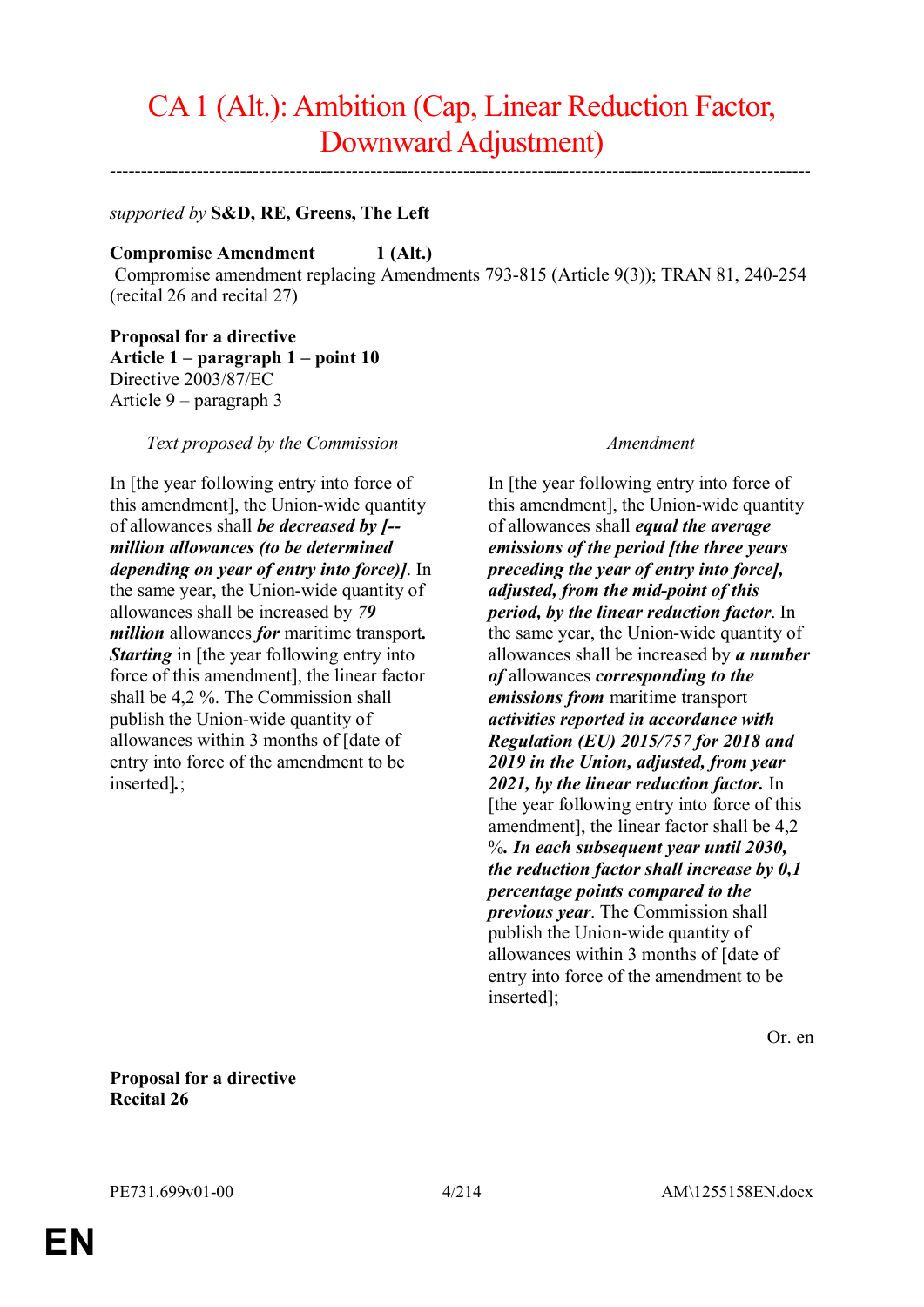# CA 1 (Alt.): Ambition (Cap, Linear Reduction Factor, Downward Adjustment)

-----------------------------------------------------------------------------------------------------------------

*supported by* **S&D, RE, Greens, The Left**

### **Compromise Amendment 1 (Alt.)**

Compromise amendment replacing Amendments 793-815 (Article 9(3)); TRAN 81, 240-254 (recital 26 and recital 27)

### **Proposal for a directive Article 1 – paragraph 1 – point 10** Directive 2003/87/EC Article 9 – paragraph 3

#### *Text proposed by the Commission Amendment*

In [the year following entry into force of this amendment], the Union-wide quantity of allowances shall *be decreased by [- million allowances (to be determined depending on year of entry into force)]*. In the same year, the Union-wide quantity of allowances shall be increased by *79 million* allowances *for* maritime transport*. Starting* in [the year following entry into force of this amendment], the linear factor shall be 4,2 %. The Commission shall publish the Union-wide quantity of allowances within 3 months of [date of entry into force of the amendment to be inserted]*.*;

In [the year following entry into force of this amendment], the Union-wide quantity of allowances shall *equal the average emissions of the period [the three years preceding the year of entry into force], adjusted, from the mid-point of this period, by the linear reduction factor*. In the same year, the Union-wide quantity of allowances shall be increased by *a number of* allowances *corresponding to the emissions from* maritime transport *activities reported in accordance with Regulation (EU) 2015/757 for 2018 and 2019 in the Union, adjusted, from year 2021, by the linear reduction factor.* In [the year following entry into force of this amendment], the linear factor shall be 4,2 %*. In each subsequent year until 2030, the reduction factor shall increase by 0,1 percentage points compared to the previous year*. The Commission shall publish the Union-wide quantity of allowances within 3 months of [date of entry into force of the amendment to be inserted];

Or. en

**Proposal for a directive Recital 26**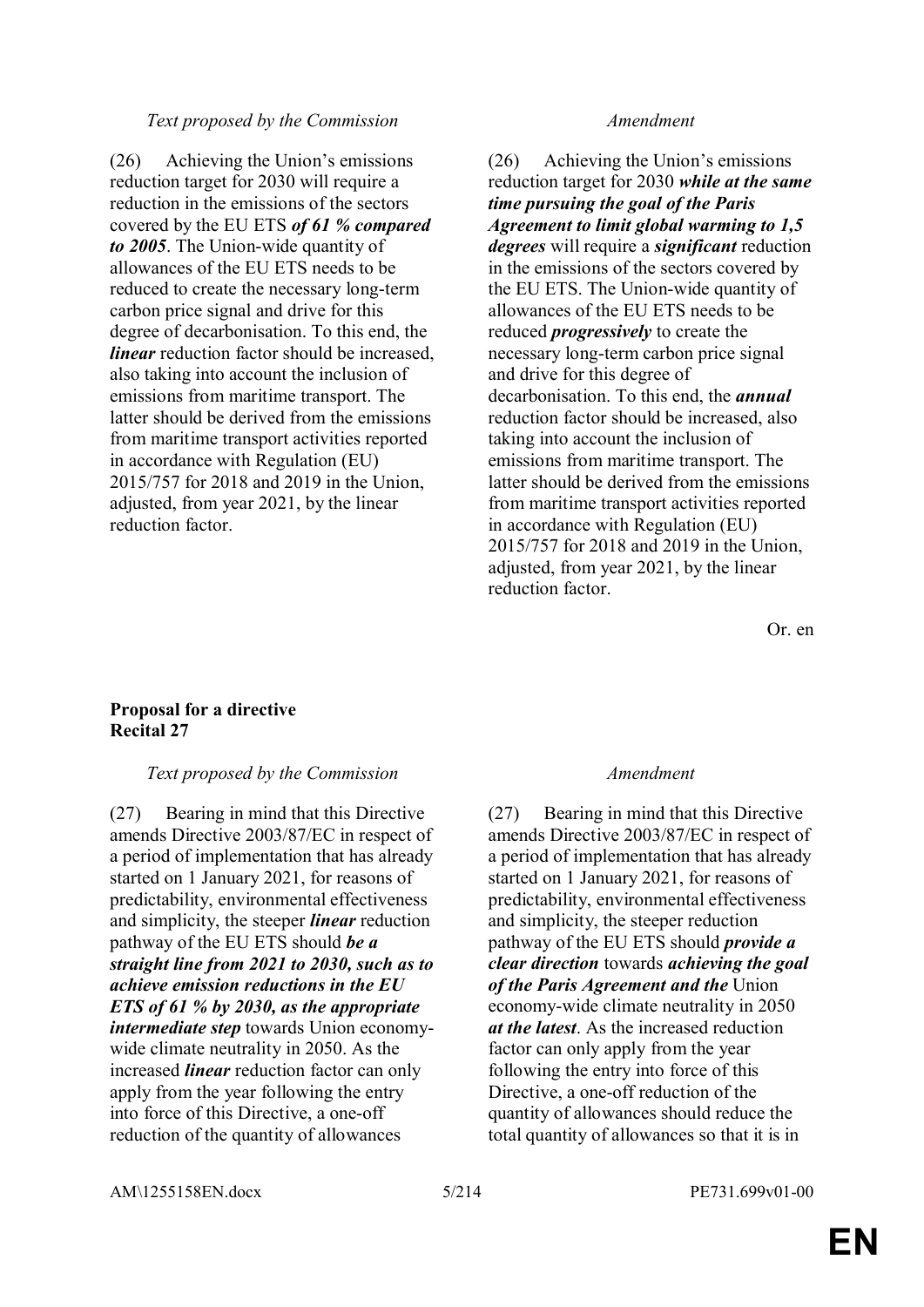### *Text proposed by the Commission Amendment*

(26) Achieving the Union's emissions reduction target for 2030 will require a reduction in the emissions of the sectors covered by the EU ETS *of 61 % compared to 2005*. The Union-wide quantity of allowances of the EU ETS needs to be reduced to create the necessary long-term carbon price signal and drive for this degree of decarbonisation. To this end, the *linear* reduction factor should be increased, also taking into account the inclusion of emissions from maritime transport. The latter should be derived from the emissions from maritime transport activities reported in accordance with Regulation (EU) 2015/757 for 2018 and 2019 in the Union, adjusted, from year 2021, by the linear reduction factor.

(26) Achieving the Union's emissions reduction target for 2030 *while at the same time pursuing the goal of the Paris Agreement to limit global warming to 1,5 degrees* will require a *significant* reduction in the emissions of the sectors covered by the EU ETS. The Union-wide quantity of allowances of the EU ETS needs to be reduced *progressively* to create the necessary long-term carbon price signal and drive for this degree of decarbonisation. To this end, the *annual* reduction factor should be increased, also taking into account the inclusion of emissions from maritime transport. The latter should be derived from the emissions from maritime transport activities reported in accordance with Regulation (EU) 2015/757 for 2018 and 2019 in the Union, adjusted, from year 2021, by the linear reduction factor.

Or. en

### **Proposal for a directive Recital 27**

#### *Text proposed by the Commission Amendment*

(27) Bearing in mind that this Directive amends Directive 2003/87/EC in respect of a period of implementation that has already started on 1 January 2021, for reasons of predictability, environmental effectiveness and simplicity, the steeper *linear* reduction pathway of the EU ETS should *be a straight line from 2021 to 2030, such as to achieve emission reductions in the EU ETS of 61 % by 2030, as the appropriate intermediate step* towards Union economywide climate neutrality in 2050. As the increased *linear* reduction factor can only apply from the year following the entry into force of this Directive, a one-off reduction of the quantity of allowances

(27) Bearing in mind that this Directive amends Directive 2003/87/EC in respect of a period of implementation that has already started on 1 January 2021, for reasons of predictability, environmental effectiveness and simplicity, the steeper reduction pathway of the EU ETS should *provide a clear direction* towards *achieving the goal of the Paris Agreement and the* Union economy-wide climate neutrality in 2050 *at the latest*. As the increased reduction factor can only apply from the year following the entry into force of this Directive, a one-off reduction of the quantity of allowances should reduce the total quantity of allowances so that it is in

AM\1255158EN.docx 5/214 PE731.699v01-00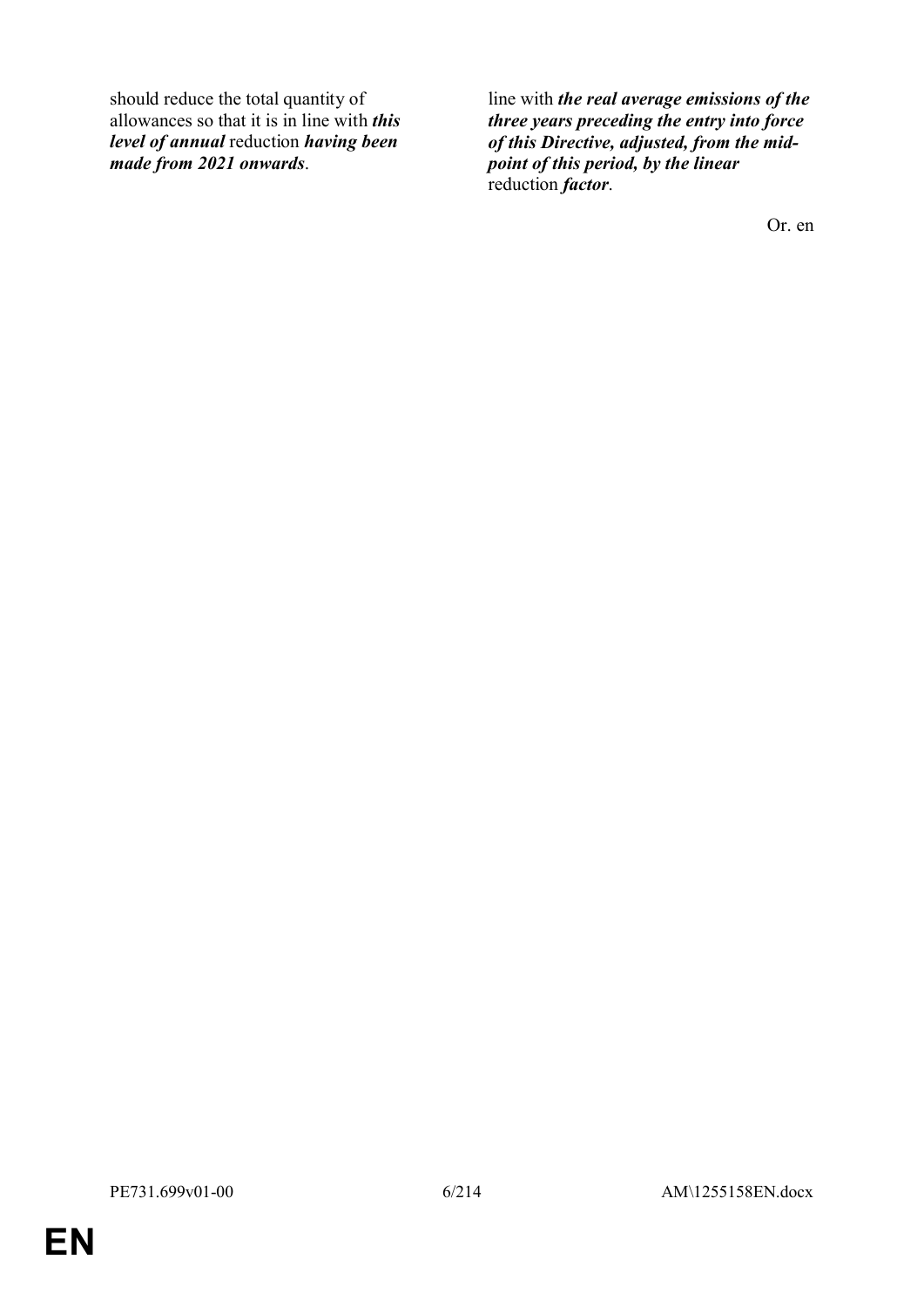should reduce the total quantity of allowances so that it is in line with *this level of annual* reduction *having been made from 2021 onwards*.

line with *the real average emissions of the three years preceding the entry into force of this Directive, adjusted, from the midpoint of this period, by the linear* reduction *factor*.

Or. en

**EN**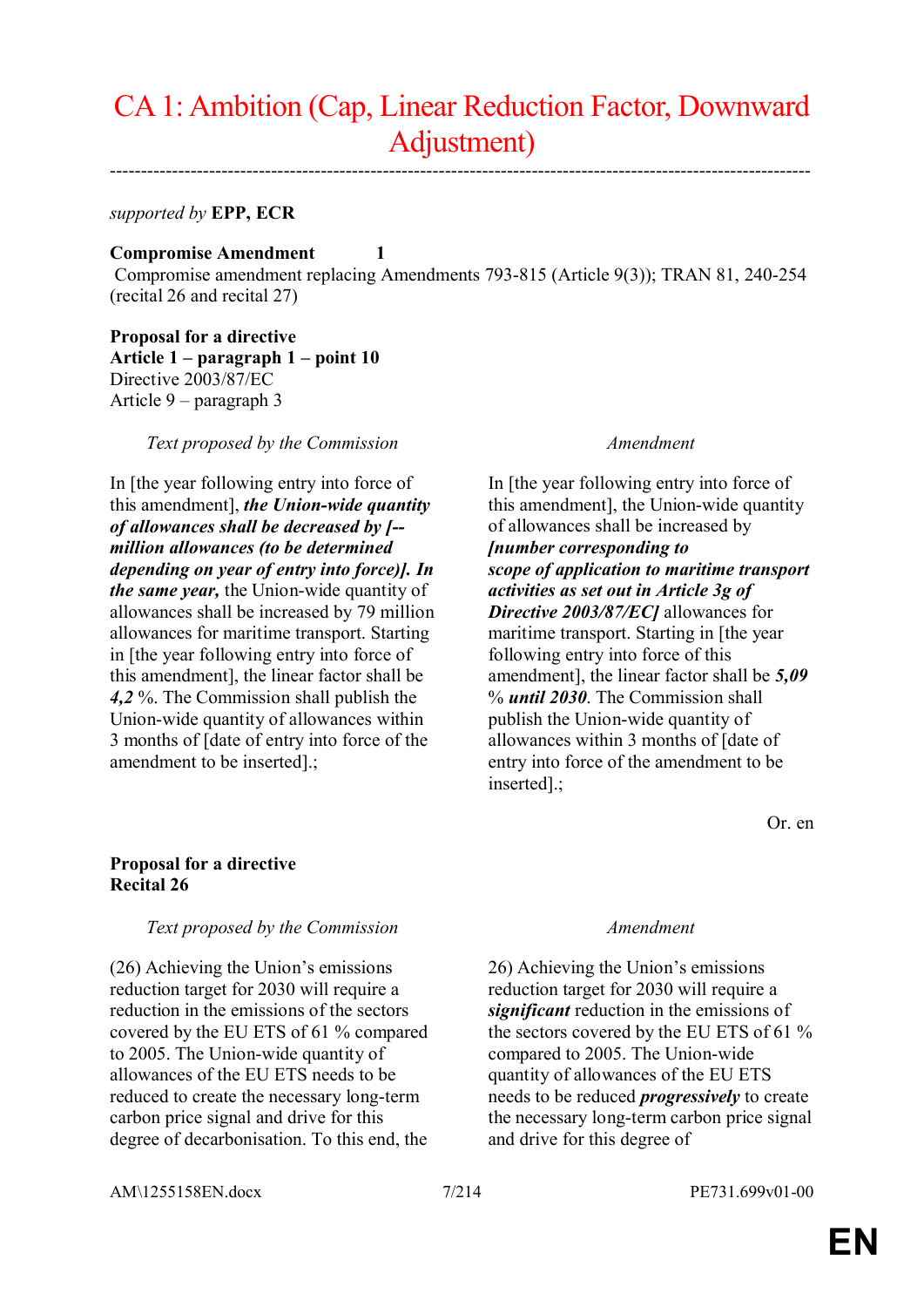# CA 1: Ambition (Cap, Linear Reduction Factor, Downward Adjustment)

-----------------------------------------------------------------------------------------------------------------

*supported by* **EPP, ECR**

### **Compromise Amendment 1**

Compromise amendment replacing Amendments 793-815 (Article 9(3)); TRAN 81, 240-254 (recital 26 and recital 27)

**Proposal for a directive Article 1 – paragraph 1 – point 10** Directive 2003/87/EC Article 9 – paragraph 3

*Text proposed by the Commission Amendment*

In [the year following entry into force of this amendment], *the Union-wide quantity of allowances shall be decreased by [- million allowances (to be determined depending on year of entry into force)]. In the same year,* the Union-wide quantity of allowances shall be increased by 79 million allowances for maritime transport. Starting in [the year following entry into force of this amendment], the linear factor shall be *4,2* %. The Commission shall publish the Union-wide quantity of allowances within 3 months of [date of entry into force of the amendment to be inserted].;

In [the year following entry into force of this amendment], the Union-wide quantity of allowances shall be increased by *[number corresponding to scope of application to maritime transport activities as set out in Article 3g of Directive 2003/87/EC]* allowances for maritime transport. Starting in [the year following entry into force of this amendment], the linear factor shall be *5,09* % *until 2030*. The Commission shall publish the Union-wide quantity of allowances within 3 months of [date of entry into force of the amendment to be inserted].;

Or. en

### **Proposal for a directive Recital 26**

#### *Text proposed by the Commission Amendment*

(26) Achieving the Union's emissions reduction target for 2030 will require a reduction in the emissions of the sectors covered by the EU ETS of 61 % compared to 2005. The Union-wide quantity of allowances of the EU ETS needs to be reduced to create the necessary long-term carbon price signal and drive for this degree of decarbonisation. To this end, the

26) Achieving the Union's emissions reduction target for 2030 will require a *significant* reduction in the emissions of the sectors covered by the EU ETS of 61 % compared to 2005. The Union-wide quantity of allowances of the EU ETS needs to be reduced *progressively* to create the necessary long-term carbon price signal and drive for this degree of

AM\1255158EN.docx 7/214 PE731.699v01-00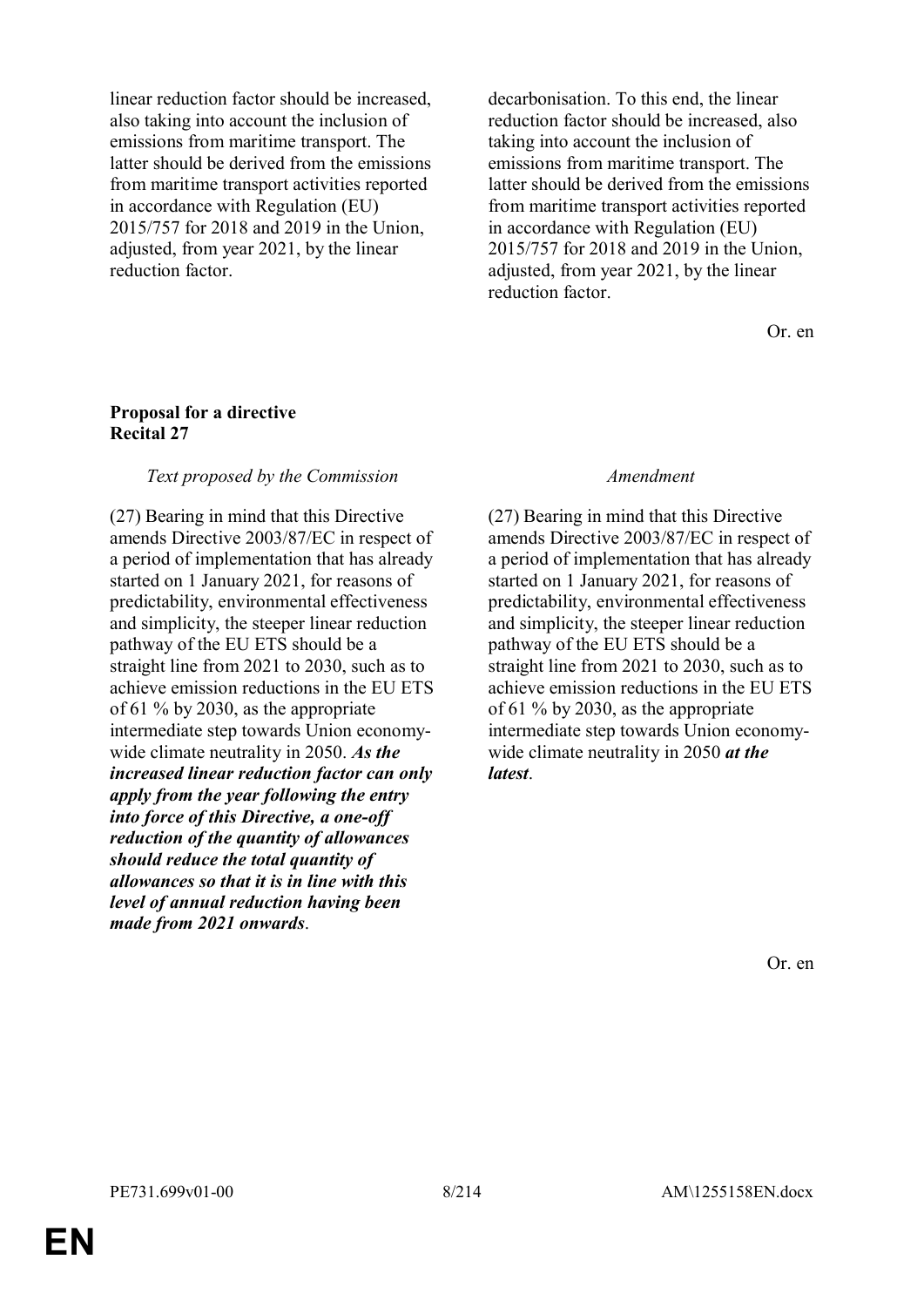linear reduction factor should be increased, also taking into account the inclusion of emissions from maritime transport. The latter should be derived from the emissions from maritime transport activities reported in accordance with Regulation (EU) 2015/757 for 2018 and 2019 in the Union, adjusted, from year 2021, by the linear reduction factor.

decarbonisation. To this end, the linear reduction factor should be increased, also taking into account the inclusion of emissions from maritime transport. The latter should be derived from the emissions from maritime transport activities reported in accordance with Regulation (EU) 2015/757 for 2018 and 2019 in the Union, adjusted, from year 2021, by the linear reduction factor.

Or. en

#### **Proposal for a directive Recital 27**

#### *Text proposed by the Commission Amendment*

(27) Bearing in mind that this Directive amends Directive 2003/87/EC in respect of a period of implementation that has already started on 1 January 2021, for reasons of predictability, environmental effectiveness and simplicity, the steeper linear reduction pathway of the EU ETS should be a straight line from 2021 to 2030, such as to achieve emission reductions in the EU ETS of 61 % by 2030, as the appropriate intermediate step towards Union economywide climate neutrality in 2050. *As the increased linear reduction factor can only apply from the year following the entry into force of this Directive, a one-off reduction of the quantity of allowances should reduce the total quantity of allowances so that it is in line with this level of annual reduction having been made from 2021 onwards*.

(27) Bearing in mind that this Directive amends Directive 2003/87/EC in respect of a period of implementation that has already started on 1 January 2021, for reasons of predictability, environmental effectiveness and simplicity, the steeper linear reduction pathway of the EU ETS should be a straight line from 2021 to 2030, such as to achieve emission reductions in the EU ETS of 61 % by 2030, as the appropriate intermediate step towards Union economywide climate neutrality in 2050 *at the latest*.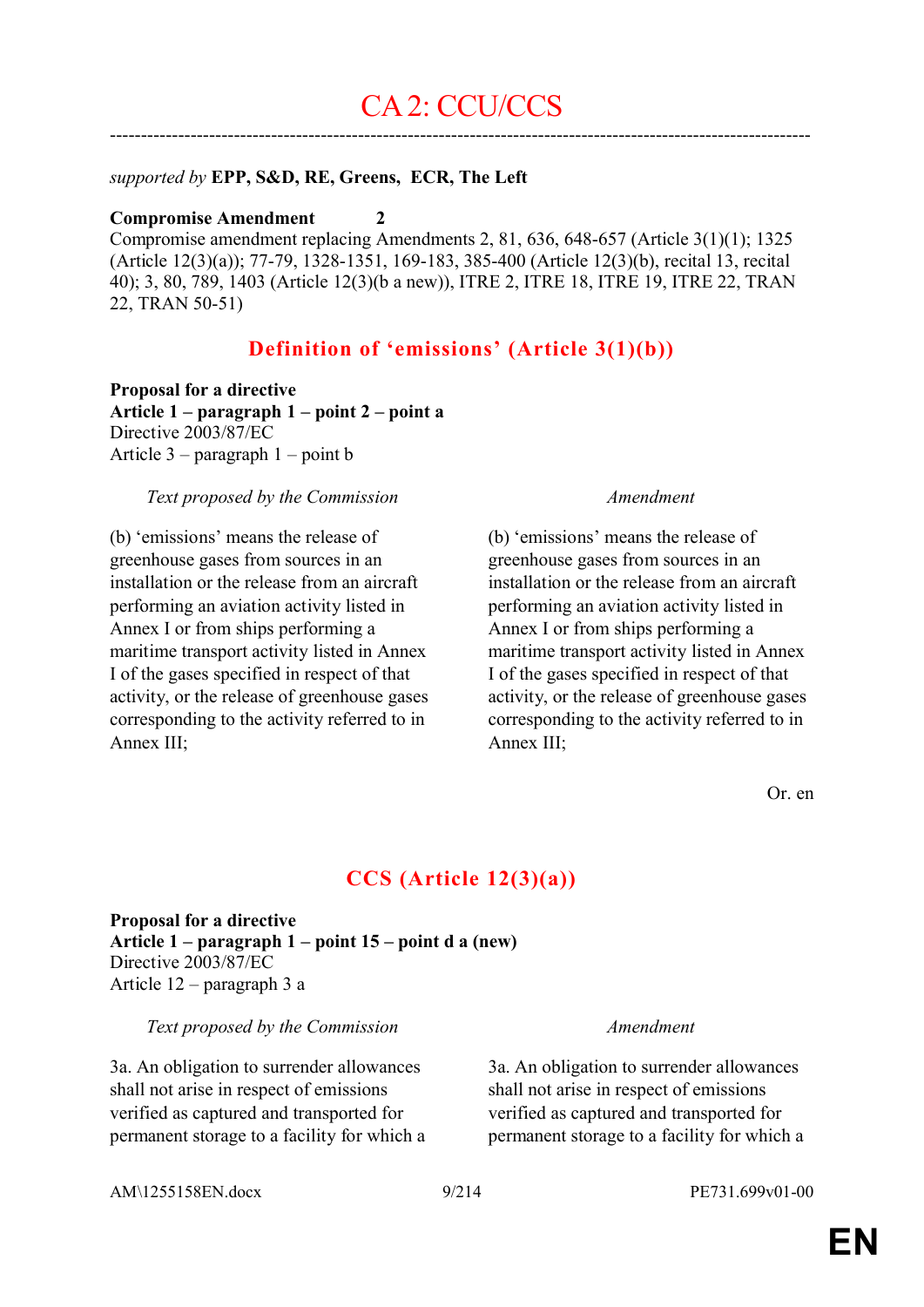*supported by* **EPP, S&D, RE, Greens, ECR, The Left**

#### **Compromise Amendment 2**

Compromise amendment replacing Amendments 2, 81, 636, 648-657 (Article 3(1)(1); 1325 (Article 12(3)(a)); 77-79, 1328-1351, 169-183, 385-400 (Article 12(3)(b), recital 13, recital 40); 3, 80, 789, 1403 (Article 12(3)(b a new)), ITRE 2, ITRE 18, ITRE 19, ITRE 22, TRAN 22, TRAN 50-51)

## **Definition of 'emissions' (Article 3(1)(b))**

**Proposal for a directive Article 1 – paragraph 1 – point 2 – point a** Directive 2003/87/EC Article 3 – paragraph 1 – point b

#### *Text proposed by the Commission Amendment*

(b) 'emissions' means the release of greenhouse gases from sources in an installation or the release from an aircraft performing an aviation activity listed in Annex I or from ships performing a maritime transport activity listed in Annex I of the gases specified in respect of that activity, or the release of greenhouse gases corresponding to the activity referred to in Annex III;

(b) 'emissions' means the release of greenhouse gases from sources in an installation or the release from an aircraft performing an aviation activity listed in Annex I or from ships performing a maritime transport activity listed in Annex I of the gases specified in respect of that activity, or the release of greenhouse gases corresponding to the activity referred to in Annex III;

Or. en

# **CCS (Article 12(3)(a))**

**Proposal for a directive Article 1 – paragraph 1 – point 15 – point d a (new)** Directive 2003/87/EC Article 12 – paragraph 3 a

#### *Text proposed by the Commission Amendment*

3a. An obligation to surrender allowances shall not arise in respect of emissions verified as captured and transported for permanent storage to a facility for which a

3a. An obligation to surrender allowances shall not arise in respect of emissions verified as captured and transported for permanent storage to a facility for which a

AM\1255158EN.docx 9/214 PE731.699v01-00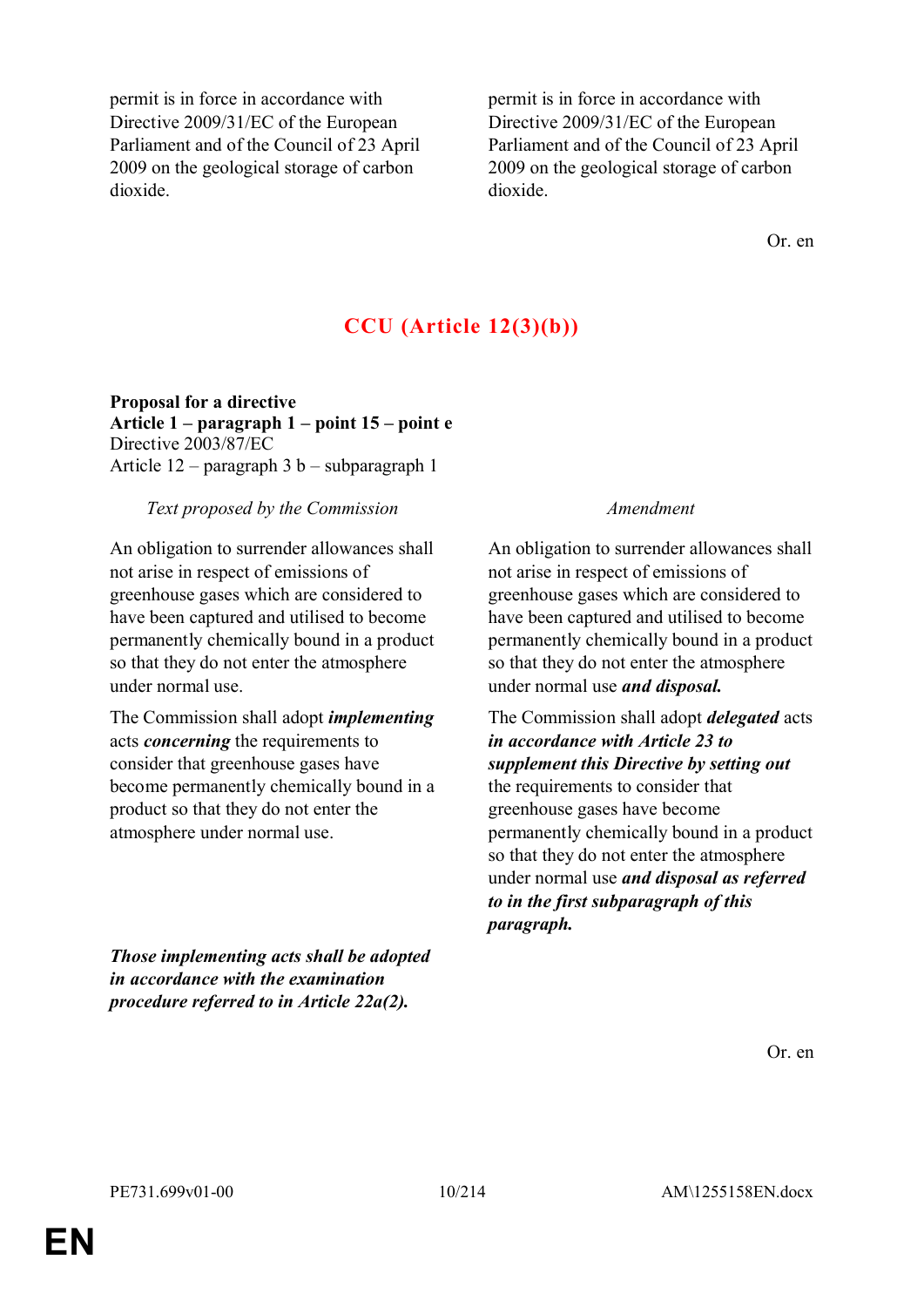permit is in force in accordance with Directive 2009/31/EC of the European Parliament and of the Council of 23 April 2009 on the geological storage of carbon dioxide.

permit is in force in accordance with Directive 2009/31/EC of the European Parliament and of the Council of 23 April 2009 on the geological storage of carbon dioxide.

Or. en

# **CCU (Article 12(3)(b))**

**Proposal for a directive Article 1 – paragraph 1 – point 15 – point e** Directive 2003/87/EC Article 12 – paragraph 3 b – subparagraph 1

#### *Text proposed by the Commission Amendment*

An obligation to surrender allowances shall not arise in respect of emissions of greenhouse gases which are considered to have been captured and utilised to become permanently chemically bound in a product so that they do not enter the atmosphere under normal use.

The Commission shall adopt *implementing* acts *concerning* the requirements to consider that greenhouse gases have become permanently chemically bound in a product so that they do not enter the atmosphere under normal use.

*Those implementing acts shall be adopted in accordance with the examination procedure referred to in Article 22a(2).*

An obligation to surrender allowances shall not arise in respect of emissions of greenhouse gases which are considered to have been captured and utilised to become permanently chemically bound in a product so that they do not enter the atmosphere under normal use *and disposal.*

The Commission shall adopt *delegated* acts *in accordance with Article 23 to supplement this Directive by setting out* the requirements to consider that greenhouse gases have become permanently chemically bound in a product so that they do not enter the atmosphere under normal use *and disposal as referred to in the first subparagraph of this paragraph.*

Or. en

**EN**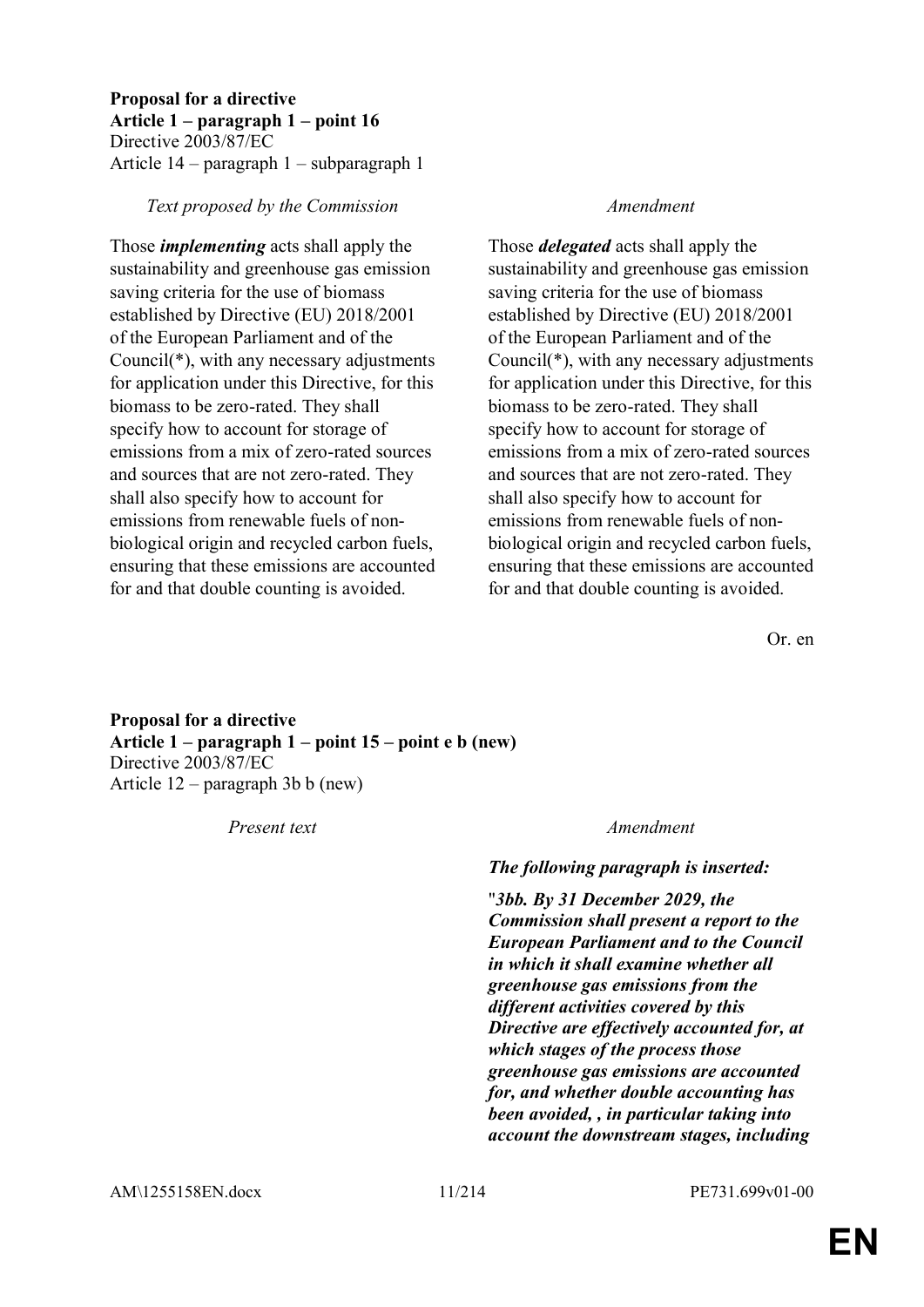### **Proposal for a directive Article 1 – paragraph 1 – point 16** Directive 2003/87/EC Article 14 – paragraph 1 – subparagraph 1

### *Text proposed by the Commission Amendment*

Those *implementing* acts shall apply the sustainability and greenhouse gas emission saving criteria for the use of biomass established by Directive (EU) 2018/2001 of the European Parliament and of the Council(\*), with any necessary adjustments for application under this Directive, for this biomass to be zero-rated. They shall specify how to account for storage of emissions from a mix of zero-rated sources and sources that are not zero-rated. They shall also specify how to account for emissions from renewable fuels of nonbiological origin and recycled carbon fuels, ensuring that these emissions are accounted for and that double counting is avoided.

Those *delegated* acts shall apply the sustainability and greenhouse gas emission saving criteria for the use of biomass established by Directive (EU) 2018/2001 of the European Parliament and of the Council(\*), with any necessary adjustments for application under this Directive, for this biomass to be zero-rated. They shall specify how to account for storage of emissions from a mix of zero-rated sources and sources that are not zero-rated. They shall also specify how to account for emissions from renewable fuels of nonbiological origin and recycled carbon fuels, ensuring that these emissions are accounted for and that double counting is avoided.

Or. en

### **Proposal for a directive Article 1 – paragraph 1 – point 15 – point e b (new)** Directive 2003/87/EC Article 12 – paragraph 3b b (new)

#### *Present text Amendment*

#### *The following paragraph is inserted:*

"*3bb. By 31 December 2029, the Commission shall present a report to the European Parliament and to the Council in which it shall examine whether all greenhouse gas emissions from the different activities covered by this Directive are effectively accounted for, at which stages of the process those greenhouse gas emissions are accounted for, and whether double accounting has been avoided, , in particular taking into account the downstream stages, including*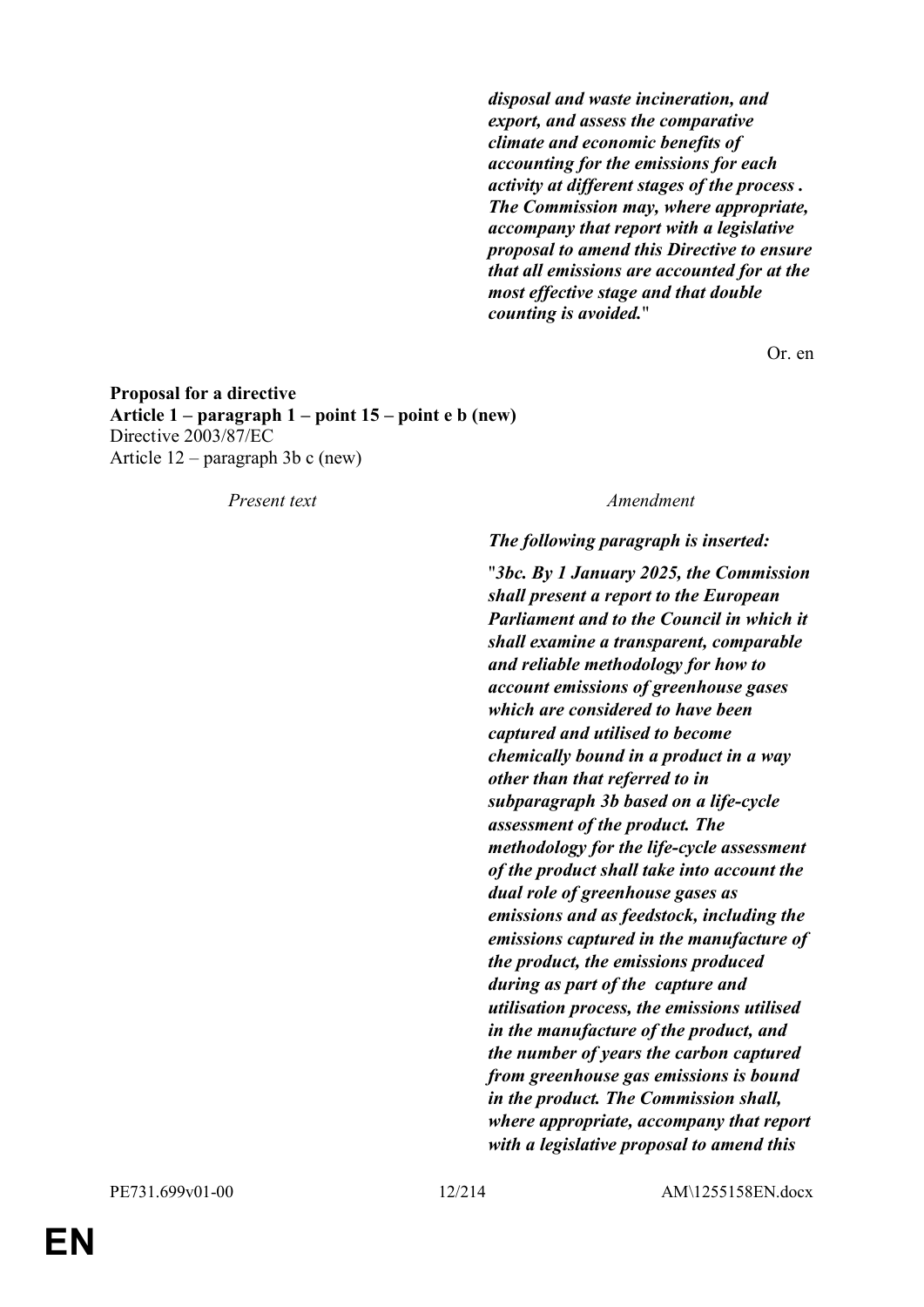*disposal and waste incineration, and export, and assess the comparative climate and economic benefits of accounting for the emissions for each activity at different stages of the process . The Commission may, where appropriate, accompany that report with a legislative proposal to amend this Directive to ensure that all emissions are accounted for at the most effective stage and that double counting is avoided.*"

Or. en

**Proposal for a directive Article 1 – paragraph 1 – point 15 – point e b (new)** Directive 2003/87/EC Article 12 – paragraph 3b c (new)

*Present text Amendment*

*The following paragraph is inserted:*

"*3bc. By 1 January 2025, the Commission shall present a report to the European Parliament and to the Council in which it shall examine a transparent, comparable and reliable methodology for how to account emissions of greenhouse gases which are considered to have been captured and utilised to become chemically bound in a product in a way other than that referred to in subparagraph 3b based on a life-cycle assessment of the product. The methodology for the life-cycle assessment of the product shall take into account the dual role of greenhouse gases as emissions and as feedstock, including the emissions captured in the manufacture of the product, the emissions produced during as part of the capture and utilisation process, the emissions utilised in the manufacture of the product, and the number of years the carbon captured from greenhouse gas emissions is bound in the product. The Commission shall, where appropriate, accompany that report with a legislative proposal to amend this*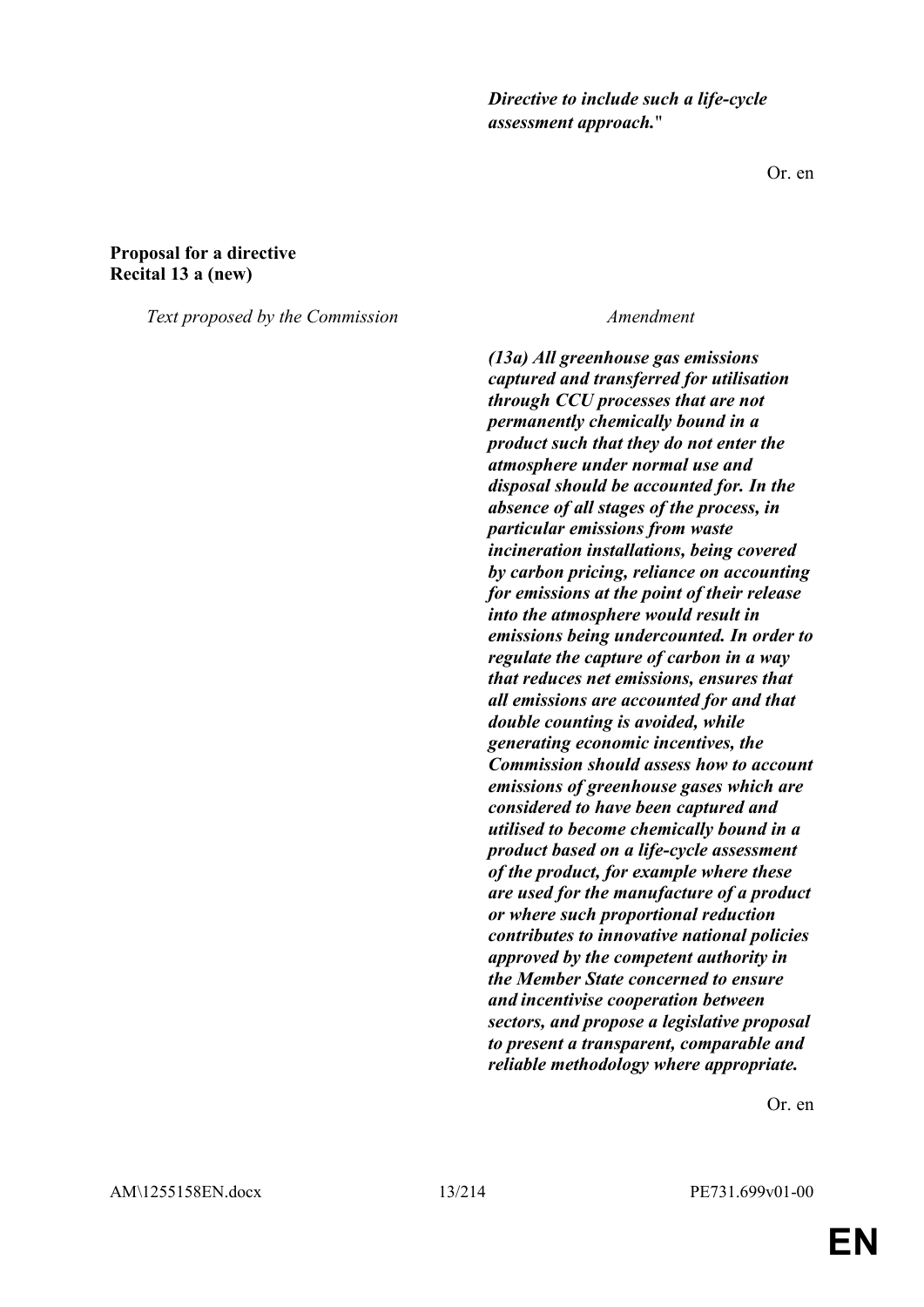*Directive to include such a life-cycle assessment approach.*"

Or. en

#### **Proposal for a directive Recital 13 a (new)**

*Text proposed by the Commission Amendment*

*(13a) All greenhouse gas emissions captured and transferred for utilisation through CCU processes that are not permanently chemically bound in a product such that they do not enter the atmosphere under normal use and disposal should be accounted for. In the absence of all stages of the process, in particular emissions from waste incineration installations, being covered by carbon pricing, reliance on accounting for emissions at the point of their release into the atmosphere would result in emissions being undercounted. In order to regulate the capture of carbon in a way that reduces net emissions, ensures that all emissions are accounted for and that double counting is avoided, while generating economic incentives, the Commission should assess how to account emissions of greenhouse gases which are considered to have been captured and utilised to become chemically bound in a product based on a life-cycle assessment of the product, for example where these are used for the manufacture of a product or where such proportional reduction contributes to innovative national policies approved by the competent authority in the Member State concerned to ensure and incentivise cooperation between sectors, and propose a legislative proposal to present a transparent, comparable and reliable methodology where appropriate.*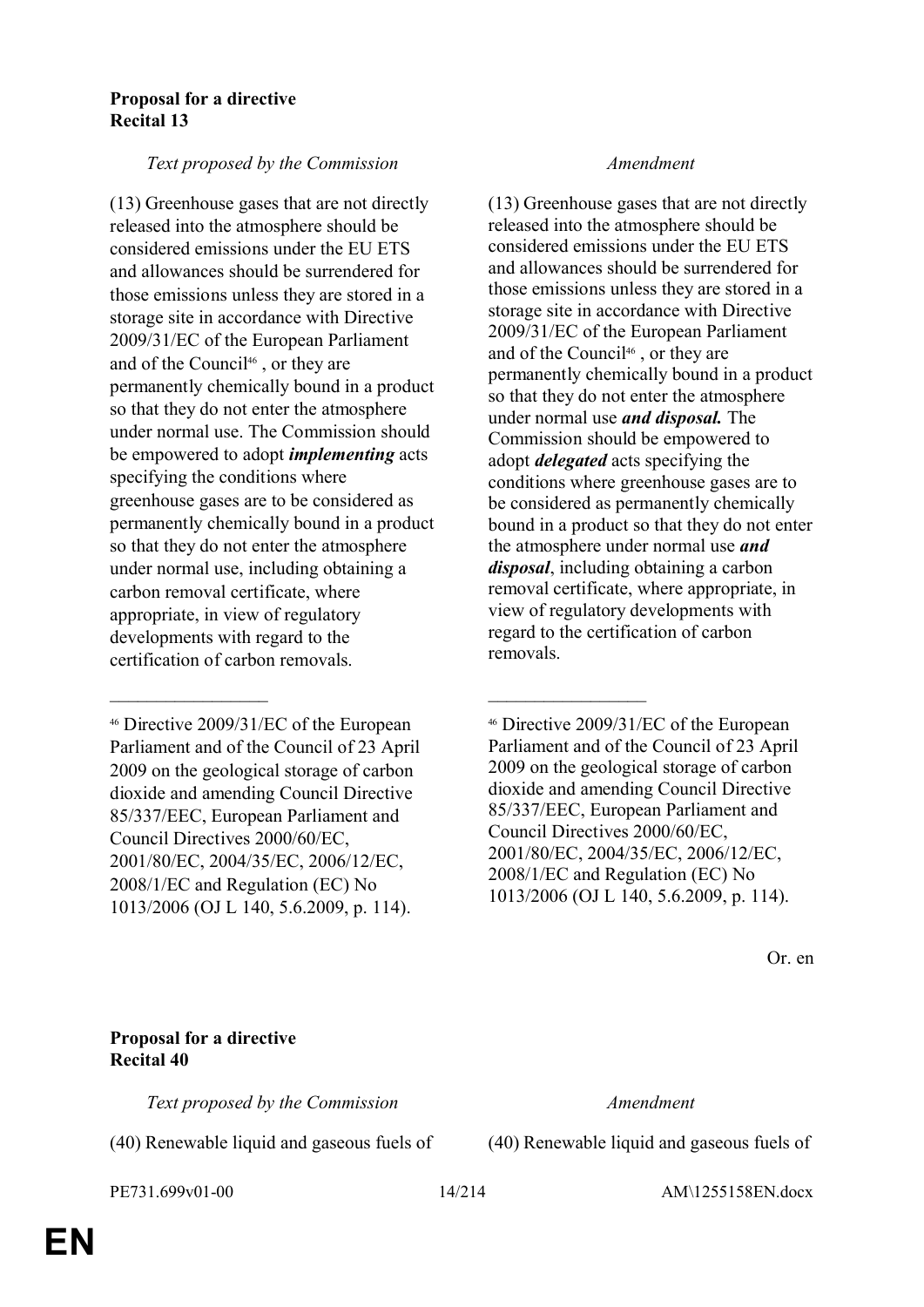### **Proposal for a directive Recital 13**

### *Text proposed by the Commission Amendment*

(13) Greenhouse gases that are not directly released into the atmosphere should be considered emissions under the EU ETS and allowances should be surrendered for those emissions unless they are stored in a storage site in accordance with Directive 2009/31/EC of the European Parliament and of the Council<sup>46</sup>, or they are permanently chemically bound in a product so that they do not enter the atmosphere under normal use. The Commission should be empowered to adopt *implementing* acts specifying the conditions where greenhouse gases are to be considered as permanently chemically bound in a product so that they do not enter the atmosphere under normal use, including obtaining a carbon removal certificate, where appropriate, in view of regulatory developments with regard to the certification of carbon removals.

<sup>46</sup> Directive 2009/31/EC of the European Parliament and of the Council of 23 April 2009 on the geological storage of carbon dioxide and amending Council Directive 85/337/EEC, European Parliament and Council Directives 2000/60/EC, 2001/80/EC, 2004/35/EC, 2006/12/EC, 2008/1/EC and Regulation (EC) No 1013/2006 (OJ L 140, 5.6.2009, p. 114).

(13) Greenhouse gases that are not directly released into the atmosphere should be considered emissions under the EU ETS and allowances should be surrendered for those emissions unless they are stored in a storage site in accordance with Directive 2009/31/EC of the European Parliament and of the Council<sup>46</sup>, or they are permanently chemically bound in a product so that they do not enter the atmosphere under normal use *and disposal.* The Commission should be empowered to adopt *delegated* acts specifying the conditions where greenhouse gases are to be considered as permanently chemically bound in a product so that they do not enter the atmosphere under normal use *and disposal*, including obtaining a carbon removal certificate, where appropriate, in view of regulatory developments with regard to the certification of carbon removals.

<sup>46</sup> Directive 2009/31/EC of the European Parliament and of the Council of 23 April 2009 on the geological storage of carbon dioxide and amending Council Directive 85/337/EEC, European Parliament and Council Directives 2000/60/EC, 2001/80/EC, 2004/35/EC, 2006/12/EC, 2008/1/EC and Regulation (EC) No 1013/2006 (OJ L 140, 5.6.2009, p. 114).

Or. en

## **Proposal for a directive Recital 40**

*Text proposed by the Commission Amendment*

(40) Renewable liquid and gaseous fuels of (40) Renewable liquid and gaseous fuels of

PE731.699v01-00 14/214 AM\1255158EN.docx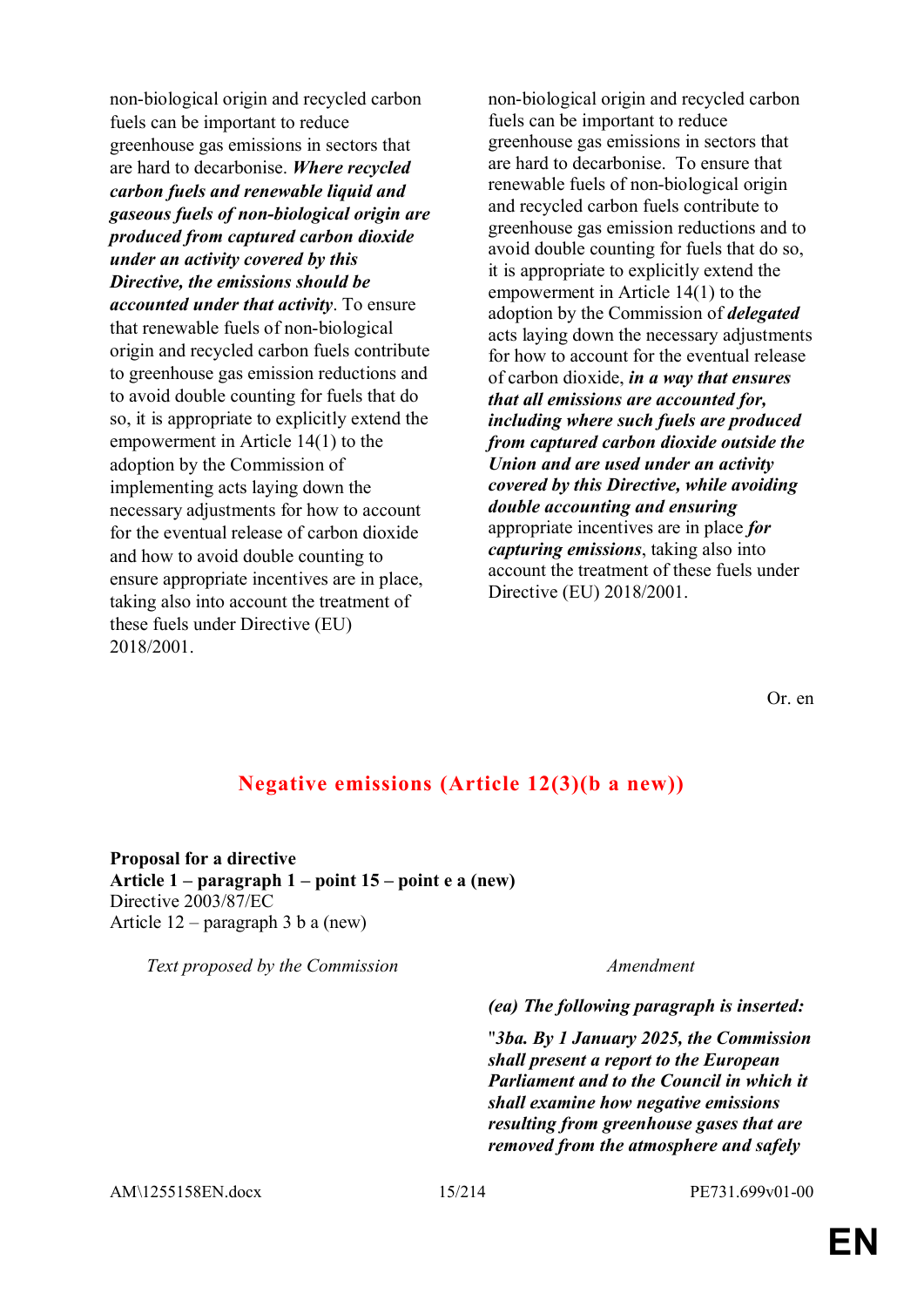non-biological origin and recycled carbon fuels can be important to reduce greenhouse gas emissions in sectors that are hard to decarbonise. *Where recycled carbon fuels and renewable liquid and gaseous fuels of non-biological origin are produced from captured carbon dioxide under an activity covered by this Directive, the emissions should be accounted under that activity*. To ensure that renewable fuels of non-biological origin and recycled carbon fuels contribute to greenhouse gas emission reductions and to avoid double counting for fuels that do so, it is appropriate to explicitly extend the empowerment in Article 14(1) to the adoption by the Commission of implementing acts laying down the necessary adjustments for how to account for the eventual release of carbon dioxide and how to avoid double counting to ensure appropriate incentives are in place, taking also into account the treatment of these fuels under Directive (EU) 2018/2001.

non-biological origin and recycled carbon fuels can be important to reduce greenhouse gas emissions in sectors that are hard to decarbonise. To ensure that renewable fuels of non-biological origin and recycled carbon fuels contribute to greenhouse gas emission reductions and to avoid double counting for fuels that do so, it is appropriate to explicitly extend the empowerment in Article 14(1) to the adoption by the Commission of *delegated* acts laying down the necessary adjustments for how to account for the eventual release of carbon dioxide, *in a way that ensures that all emissions are accounted for, including where such fuels are produced from captured carbon dioxide outside the Union and are used under an activity covered by this Directive, while avoiding double accounting and ensuring*  appropriate incentives are in place *for capturing emissions*, taking also into account the treatment of these fuels under Directive (EU) 2018/2001.

Or. en

# **Negative emissions (Article 12(3)(b a new))**

**Proposal for a directive Article 1 – paragraph 1 – point 15 – point e a (new)** Directive 2003/87/EC Article 12 – paragraph 3 b a (new)

*Text proposed by the Commission Amendment*

*(ea) The following paragraph is inserted:*

"*3ba. By 1 January 2025, the Commission shall present a report to the European Parliament and to the Council in which it shall examine how negative emissions resulting from greenhouse gases that are removed from the atmosphere and safely* 

AM\1255158EN.docx 15/214 PE731.699v01-00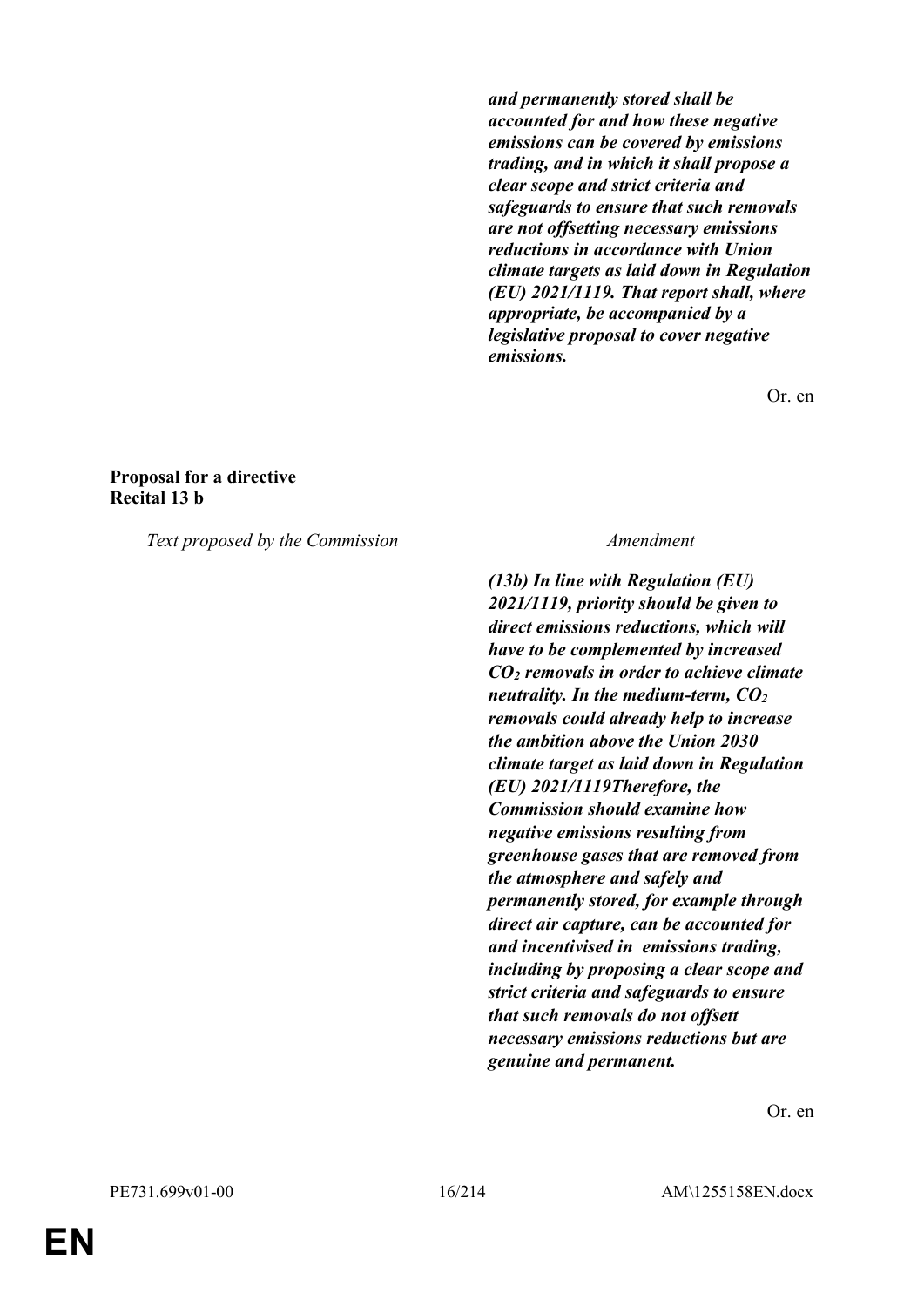*and permanently stored shall be accounted for and how these negative emissions can be covered by emissions trading, and in which it shall propose a clear scope and strict criteria and safeguards to ensure that such removals are not offsetting necessary emissions reductions in accordance with Union climate targets as laid down in Regulation (EU) 2021/1119. That report shall, where appropriate, be accompanied by a legislative proposal to cover negative emissions.* 

Or. en

#### **Proposal for a directive Recital 13 b**

*Text proposed by the Commission Amendment*

*(13b) In line with Regulation (EU) 2021/1119, priority should be given to direct emissions reductions, which will have to be complemented by increased CO<sup>2</sup> removals in order to achieve climate neutrality. In the medium-term, CO<sup>2</sup> removals could already help to increase the ambition above the Union 2030 climate target as laid down in Regulation (EU) 2021/1119Therefore, the Commission should examine how negative emissions resulting from greenhouse gases that are removed from the atmosphere and safely and permanently stored, for example through direct air capture, can be accounted for and incentivised in emissions trading, including by proposing a clear scope and strict criteria and safeguards to ensure that such removals do not offsett necessary emissions reductions but are genuine and permanent.*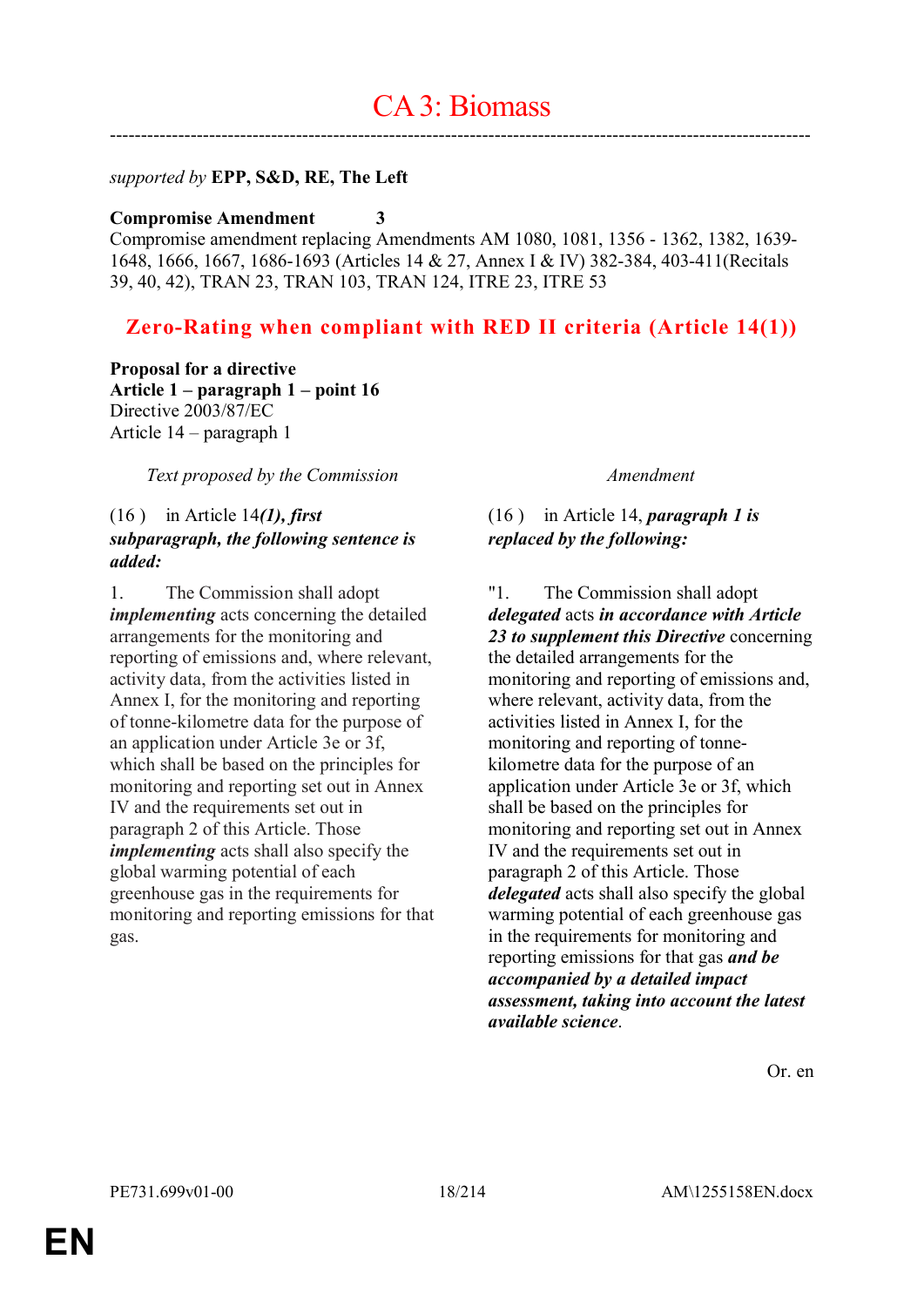### *supported by* **EPP, S&D, RE, The Left**

#### **Compromise Amendment 3**

Compromise amendment replacing Amendments AM 1080, 1081, 1356 - 1362, 1382, 1639- 1648, 1666, 1667, 1686-1693 (Articles 14 & 27, Annex I & IV) 382-384, 403-411(Recitals 39, 40, 42), TRAN 23, TRAN 103, TRAN 124, ITRE 23, ITRE 53

### **Zero-Rating when compliant with RED II criteria (Article 14(1))**

**Proposal for a directive Article 1 – paragraph 1 – point 16** Directive 2003/87/EC Article 14 – paragraph 1

*Text proposed by the Commission Amendment*

### (16 ) in Article 14*(1), first subparagraph, the following sentence is added:*

1. The Commission shall adopt *implementing* acts concerning the detailed arrangements for the monitoring and reporting of emissions and, where relevant, activity data, from the activities listed in Annex I, for the monitoring and reporting of tonne-kilometre data for the purpose of an application under Article 3e or 3f, which shall be based on the principles for monitoring and reporting set out in Annex IV and the requirements set out in paragraph 2 of this Article. Those *implementing* acts shall also specify the global warming potential of each greenhouse gas in the requirements for monitoring and reporting emissions for that gas.

(16 ) in Article 14, *paragraph 1 is replaced by the following:*

"1. The Commission shall adopt *delegated* acts *in accordance with Article 23 to supplement this Directive* concerning the detailed arrangements for the monitoring and reporting of emissions and, where relevant, activity data, from the activities listed in Annex I, for the monitoring and reporting of tonnekilometre data for the purpose of an application under Article 3e or 3f, which shall be based on the principles for monitoring and reporting set out in Annex IV and the requirements set out in paragraph 2 of this Article. Those *delegated* acts shall also specify the global warming potential of each greenhouse gas in the requirements for monitoring and reporting emissions for that gas *and be accompanied by a detailed impact assessment, taking into account the latest available science*.

Or. en

**EN**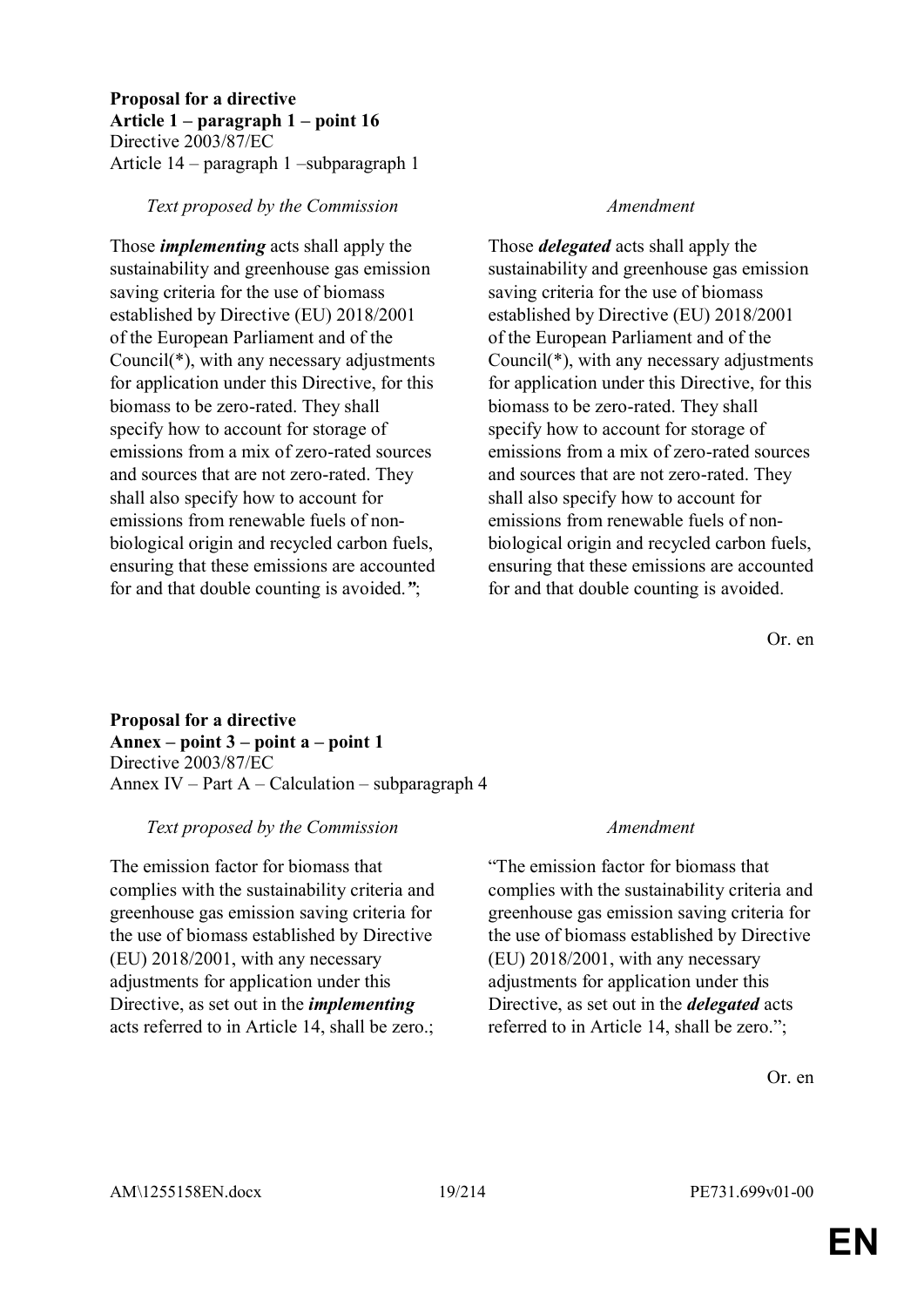### **Proposal for a directive Article 1 – paragraph 1 – point 16** Directive 2003/87/EC Article 14 – paragraph 1 –subparagraph 1

### *Text proposed by the Commission Amendment*

Those *implementing* acts shall apply the sustainability and greenhouse gas emission saving criteria for the use of biomass established by Directive (EU) 2018/2001 of the European Parliament and of the Council(\*), with any necessary adjustments for application under this Directive, for this biomass to be zero-rated. They shall specify how to account for storage of emissions from a mix of zero-rated sources and sources that are not zero-rated. They shall also specify how to account for emissions from renewable fuels of nonbiological origin and recycled carbon fuels, ensuring that these emissions are accounted for and that double counting is avoided.*"*;

Those *delegated* acts shall apply the sustainability and greenhouse gas emission saving criteria for the use of biomass established by Directive (EU) 2018/2001 of the European Parliament and of the Council(\*), with any necessary adjustments for application under this Directive, for this biomass to be zero-rated. They shall specify how to account for storage of emissions from a mix of zero-rated sources and sources that are not zero-rated. They shall also specify how to account for emissions from renewable fuels of nonbiological origin and recycled carbon fuels, ensuring that these emissions are accounted for and that double counting is avoided.

Or. en

### **Proposal for a directive Annex – point 3 – point a – point 1** Directive 2003/87/EC Annex IV – Part  $A$  – Calculation – subparagraph 4

### *Text proposed by the Commission Amendment*

The emission factor for biomass that complies with the sustainability criteria and greenhouse gas emission saving criteria for the use of biomass established by Directive (EU) 2018/2001, with any necessary adjustments for application under this Directive, as set out in the *implementing* acts referred to in Article 14, shall be zero.;

"The emission factor for biomass that complies with the sustainability criteria and greenhouse gas emission saving criteria for the use of biomass established by Directive (EU) 2018/2001, with any necessary adjustments for application under this Directive, as set out in the *delegated* acts referred to in Article 14, shall be zero.";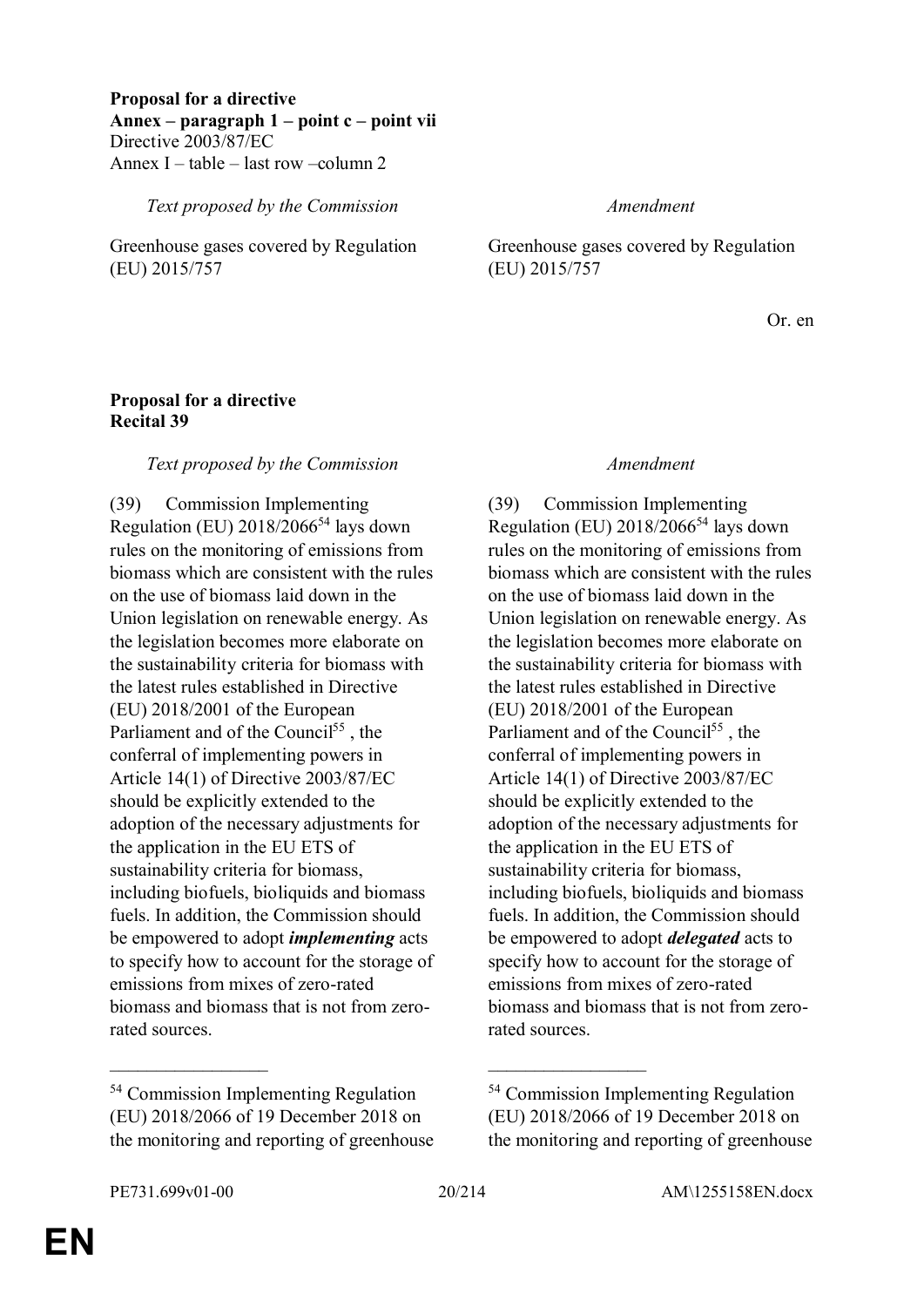**Proposal for a directive Annex – paragraph 1 – point c – point vii** Directive 2003/87/EC Annex I – table – last row –column 2

### *Text proposed by the Commission Amendment*

Greenhouse gases covered by Regulation (EU) 2015/757

Greenhouse gases covered by Regulation (EU) 2015/757

Or. en

### **Proposal for a directive Recital 39**

### *Text proposed by the Commission Amendment*

(39) Commission Implementing Regulation (EU)  $2018/2066^{54}$  lays down rules on the monitoring of emissions from biomass which are consistent with the rules on the use of biomass laid down in the Union legislation on renewable energy. As the legislation becomes more elaborate on the sustainability criteria for biomass with the latest rules established in Directive (EU) 2018/2001 of the European Parliament and of the Council<sup>55</sup>, the conferral of implementing powers in Article 14(1) of Directive 2003/87/EC should be explicitly extended to the adoption of the necessary adjustments for the application in the EU ETS of sustainability criteria for biomass, including biofuels, bioliquids and biomass fuels. In addition, the Commission should be empowered to adopt *implementing* acts to specify how to account for the storage of emissions from mixes of zero-rated biomass and biomass that is not from zerorated sources.

(39) Commission Implementing Regulation (EU)  $2018/2066^{54}$  lays down rules on the monitoring of emissions from biomass which are consistent with the rules on the use of biomass laid down in the Union legislation on renewable energy. As the legislation becomes more elaborate on the sustainability criteria for biomass with the latest rules established in Directive (EU) 2018/2001 of the European Parliament and of the Council<sup>55</sup>, the conferral of implementing powers in Article 14(1) of Directive 2003/87/EC should be explicitly extended to the adoption of the necessary adjustments for the application in the EU ETS of sustainability criteria for biomass, including biofuels, bioliquids and biomass fuels. In addition, the Commission should be empowered to adopt *delegated* acts to specify how to account for the storage of emissions from mixes of zero-rated biomass and biomass that is not from zerorated sources.

<sup>54</sup> Commission Implementing Regulation (EU) 2018/2066 of 19 December 2018 on the monitoring and reporting of greenhouse

<sup>&</sup>lt;sup>54</sup> Commission Implementing Regulation (EU) 2018/2066 of 19 December 2018 on the monitoring and reporting of greenhouse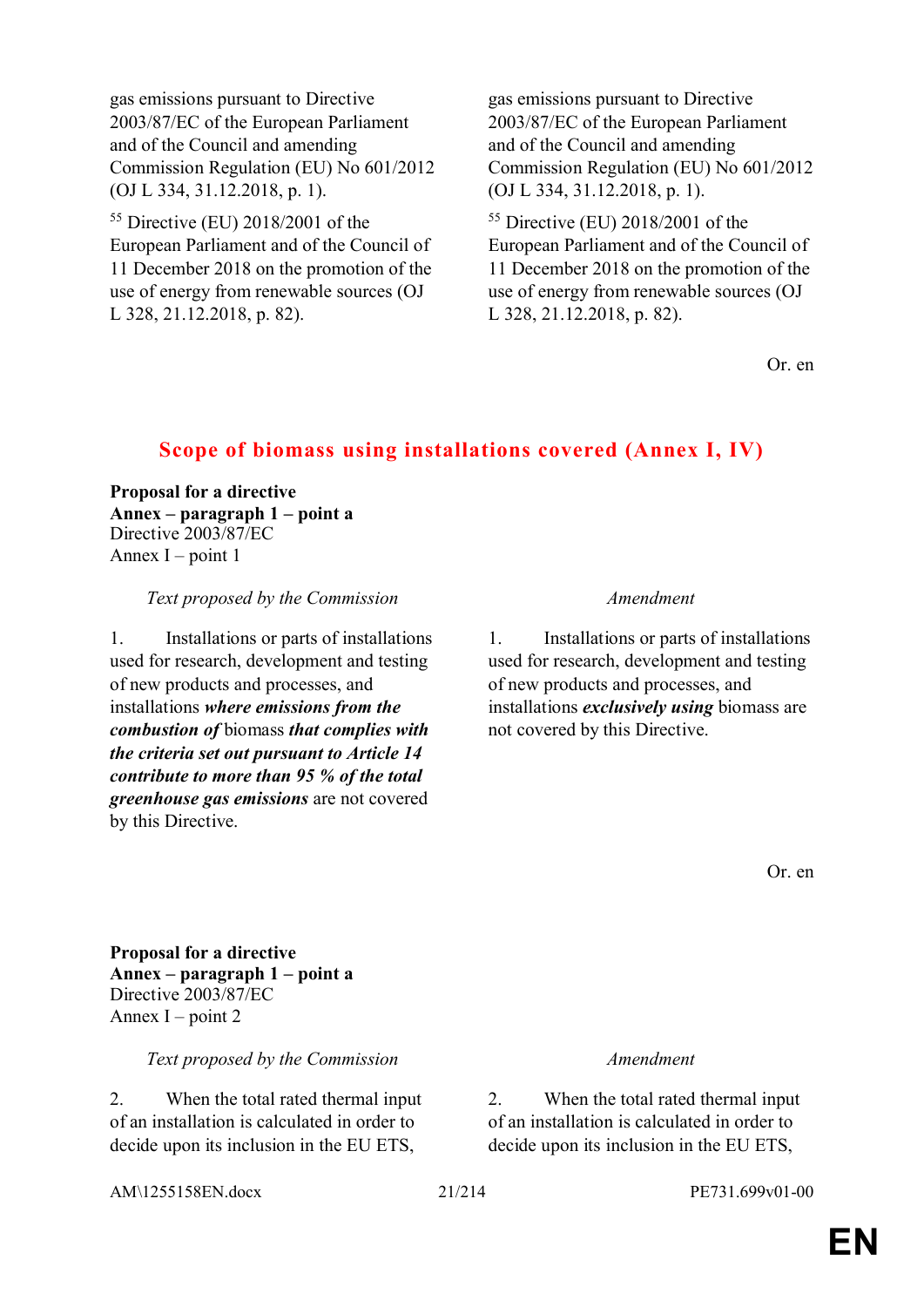gas emissions pursuant to Directive 2003/87/EC of the European Parliament and of the Council and amending Commission Regulation (EU) No 601/2012 (OJ L 334, 31.12.2018, p. 1).

<sup>55</sup> Directive (EU) 2018/2001 of the European Parliament and of the Council of 11 December 2018 on the promotion of the use of energy from renewable sources (OJ L 328, 21.12.2018, p. 82).

gas emissions pursuant to Directive 2003/87/EC of the European Parliament and of the Council and amending Commission Regulation (EU) No 601/2012 (OJ L 334, 31.12.2018, p. 1).

<sup>55</sup> Directive (EU) 2018/2001 of the European Parliament and of the Council of 11 December 2018 on the promotion of the use of energy from renewable sources (OJ L 328, 21.12.2018, p. 82).

Or. en

# **Scope of biomass using installations covered (Annex I, IV)**

**Proposal for a directive Annex – paragraph 1 – point a** Directive 2003/87/EC Annex  $I$  – point 1

*Text proposed by the Commission Amendment*

1. Installations or parts of installations used for research, development and testing of new products and processes, and installations *where emissions from the combustion of* biomass *that complies with the criteria set out pursuant to Article 14 contribute to more than 95 % of the total greenhouse gas emissions* are not covered by this Directive.

1. Installations or parts of installations used for research, development and testing of new products and processes, and installations *exclusively using* biomass are not covered by this Directive.

Or. en

**Proposal for a directive Annex – paragraph 1 – point a** Directive 2003/87/EC Annex  $I$  – point 2

#### *Text proposed by the Commission Amendment*

2. When the total rated thermal input of an installation is calculated in order to decide upon its inclusion in the EU ETS,

AM\1255158EN.docx 21/214 PE731.699v01-00

2. When the total rated thermal input of an installation is calculated in order to decide upon its inclusion in the EU ETS,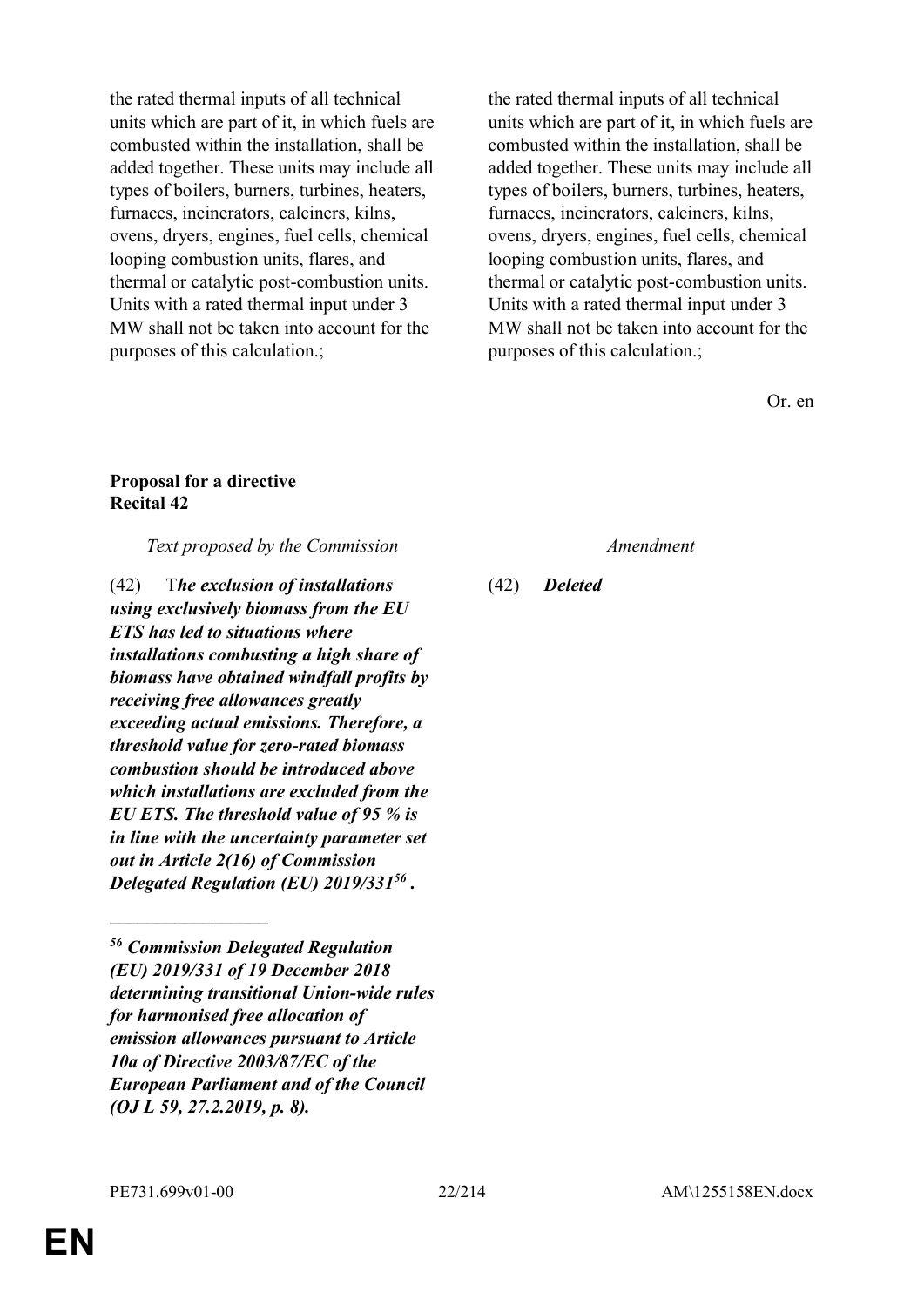the rated thermal inputs of all technical units which are part of it, in which fuels are combusted within the installation, shall be added together. These units may include all types of boilers, burners, turbines, heaters, furnaces, incinerators, calciners, kilns, ovens, dryers, engines, fuel cells, chemical looping combustion units, flares, and thermal or catalytic post-combustion units. Units with a rated thermal input under 3 MW shall not be taken into account for the purposes of this calculation.;

the rated thermal inputs of all technical units which are part of it, in which fuels are combusted within the installation, shall be added together. These units may include all types of boilers, burners, turbines, heaters, furnaces, incinerators, calciners, kilns, ovens, dryers, engines, fuel cells, chemical looping combustion units, flares, and thermal or catalytic post-combustion units. Units with a rated thermal input under 3 MW shall not be taken into account for the purposes of this calculation.;

Or. en

### **Proposal for a directive Recital 42**

*Text proposed by the Commission Amendment*

(42) T*he exclusion of installations using exclusively biomass from the EU ETS has led to situations where installations combusting a high share of biomass have obtained windfall profits by receiving free allowances greatly exceeding actual emissions. Therefore, a threshold value for zero-rated biomass combustion should be introduced above which installations are excluded from the EU ETS. The threshold value of 95 % is in line with the uncertainty parameter set out in Article 2(16) of Commission Delegated Regulation (EU) 2019/331<sup>56</sup> .*

*<sup>56</sup> Commission Delegated Regulation (EU) 2019/331 of 19 December 2018 determining transitional Union-wide rules for harmonised free allocation of emission allowances pursuant to Article 10a of Directive 2003/87/EC of the European Parliament and of the Council (OJ L 59, 27.2.2019, p. 8).*

(42) *Deleted*

 $\frac{1}{2}$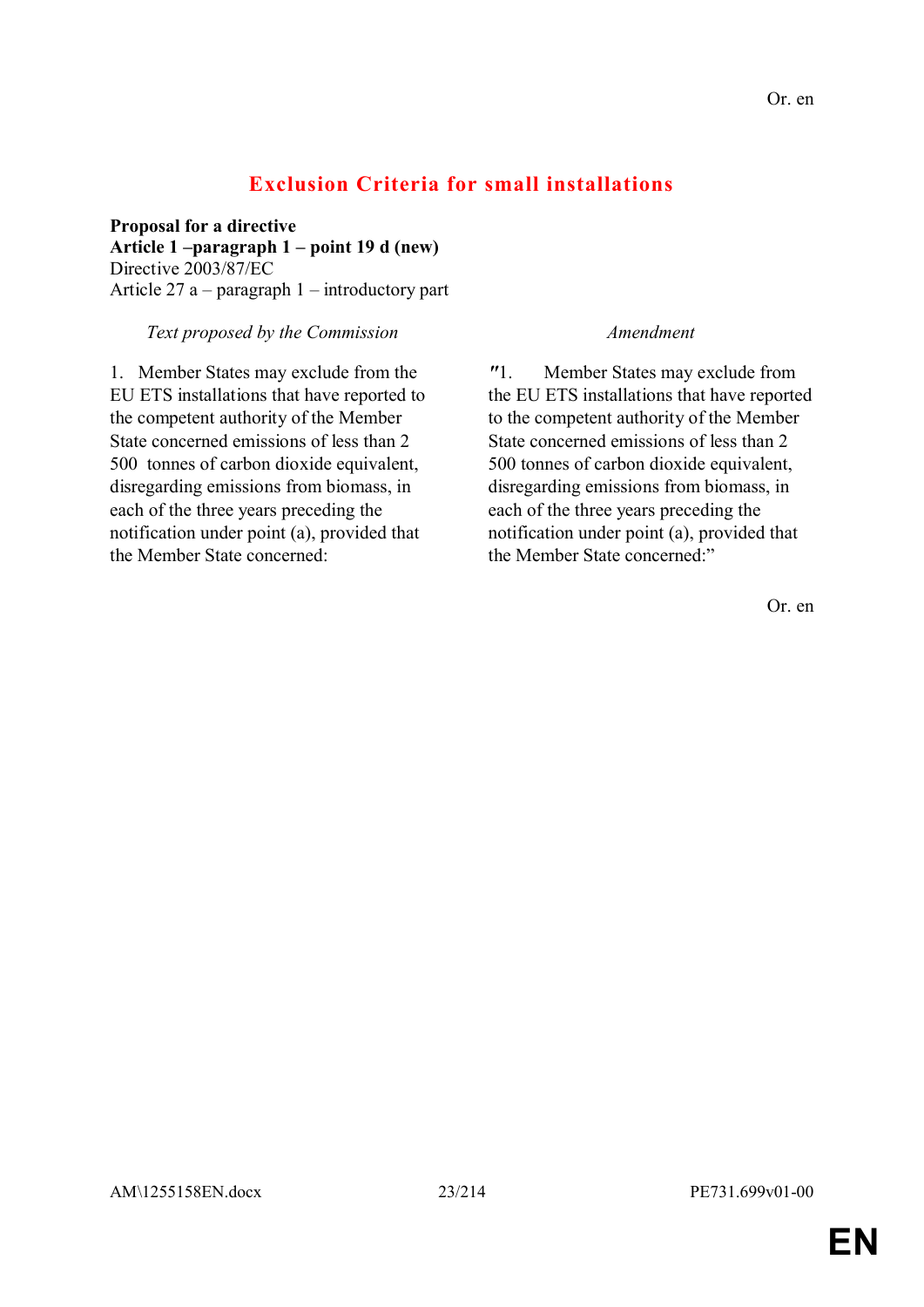# **Exclusion Criteria for small installations**

**Proposal for a directive Article 1 –paragraph 1 – point 19 d (new)** Directive 2003/87/EC Article 27 a – paragraph 1 – introductory part

### *Text proposed by the Commission Amendment*

1. Member States may exclude from the EU ETS installations that have reported to the competent authority of the Member State concerned emissions of less than 2 500 tonnes of carbon dioxide equivalent, disregarding emissions from biomass, in each of the three years preceding the notification under point (a), provided that the Member State concerned:

*"*1. Member States may exclude from the EU ETS installations that have reported to the competent authority of the Member State concerned emissions of less than 2 500 tonnes of carbon dioxide equivalent, disregarding emissions from biomass, in each of the three years preceding the notification under point (a), provided that the Member State concerned:"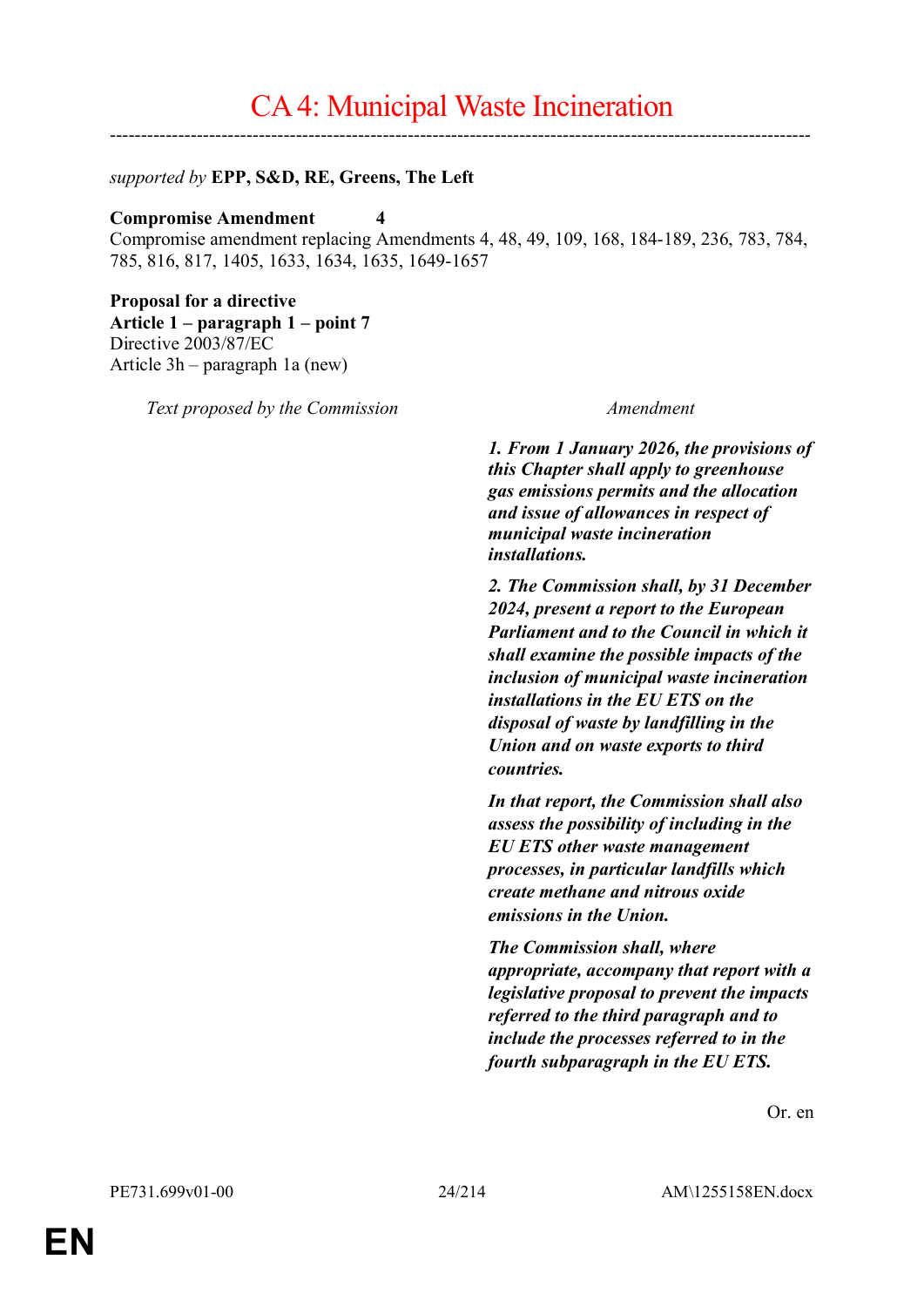*supported by* **EPP, S&D, RE, Greens, The Left**

### **Compromise Amendment 4**

Compromise amendment replacing Amendments 4, 48, 49, 109, 168, 184-189, 236, 783, 784, 785, 816, 817, 1405, 1633, 1634, 1635, 1649-1657

**Proposal for a directive Article 1 – paragraph 1 – point 7** Directive 2003/87/EC Article 3h – paragraph 1a (new)

*Text proposed by the Commission Amendment*

*1. From 1 January 2026, the provisions of this Chapter shall apply to greenhouse gas emissions permits and the allocation and issue of allowances in respect of municipal waste incineration installations.* 

*2. The Commission shall, by 31 December 2024, present a report to the European Parliament and to the Council in which it shall examine the possible impacts of the inclusion of municipal waste incineration installations in the EU ETS on the disposal of waste by landfilling in the Union and on waste exports to third countries.*

*In that report, the Commission shall also assess the possibility of including in the EU ETS other waste management processes, in particular landfills which create methane and nitrous oxide emissions in the Union.*

*The Commission shall, where appropriate, accompany that report with a legislative proposal to prevent the impacts referred to the third paragraph and to include the processes referred to in the fourth subparagraph in the EU ETS.*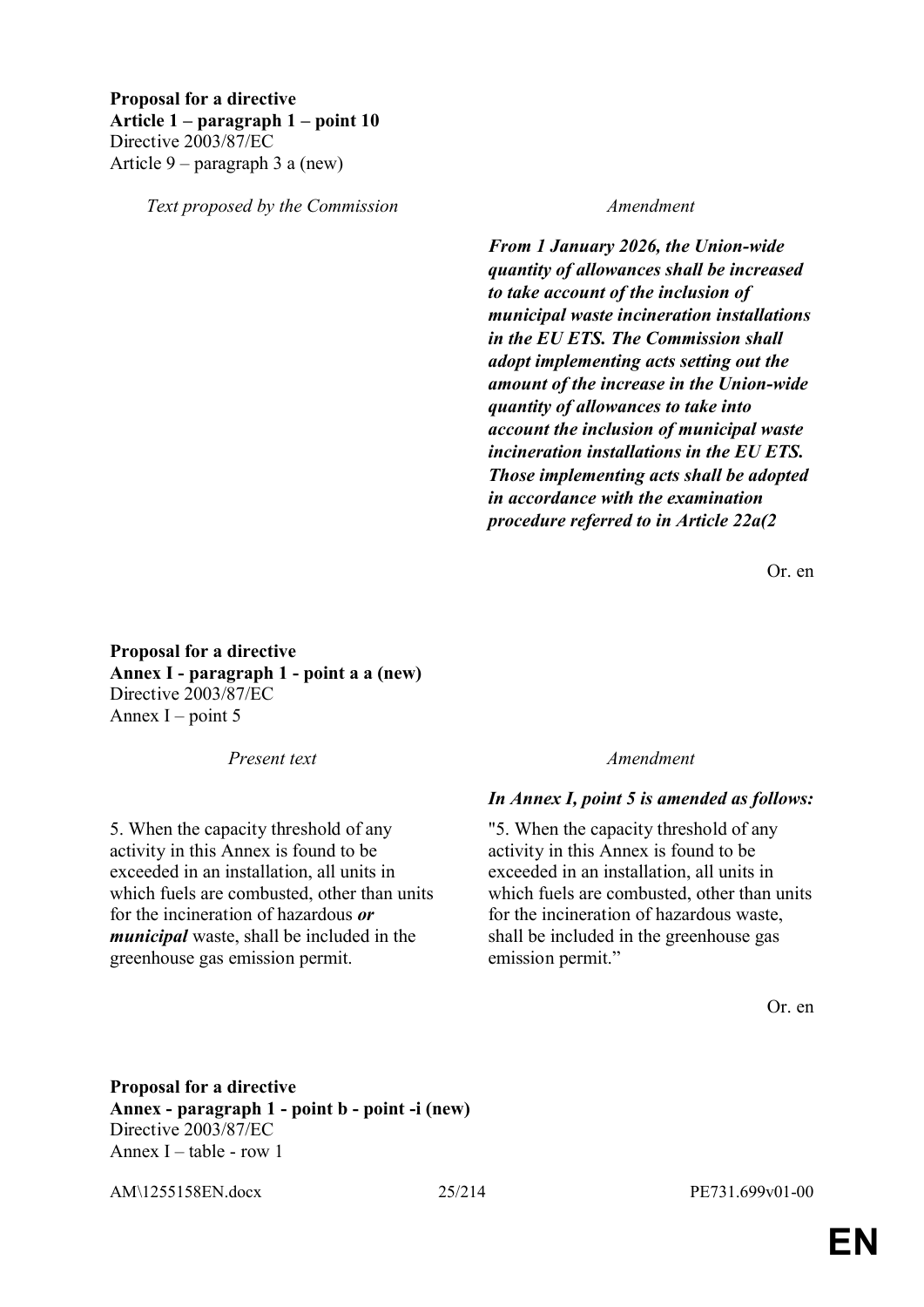### **Proposal for a directive Article 1 – paragraph 1 – point 10** Directive 2003/87/EC Article 9 – paragraph 3 a (new)

*Text proposed by the Commission Amendment*

*From 1 January 2026, the Union-wide quantity of allowances shall be increased to take account of the inclusion of municipal waste incineration installations in the EU ETS. The Commission shall adopt implementing acts setting out the amount of the increase in the Union-wide quantity of allowances to take into account the inclusion of municipal waste incineration installations in the EU ETS. Those implementing acts shall be adopted in accordance with the examination procedure referred to in Article 22a(2*

Or. en

**Proposal for a directive Annex I - paragraph 1 - point a a (new)** Directive 2003/87/EC Annex  $I$  – point 5

*Present text Amendment*

5. When the capacity threshold of any activity in this Annex is found to be exceeded in an installation, all units in which fuels are combusted, other than units for the incineration of hazardous *or municipal* waste, shall be included in the greenhouse gas emission permit.

#### *In Annex I, point 5 is amended as follows:*

"5. When the capacity threshold of any activity in this Annex is found to be exceeded in an installation, all units in which fuels are combusted, other than units for the incineration of hazardous waste, shall be included in the greenhouse gas emission permit."

Or. en

**Proposal for a directive Annex - paragraph 1 - point b - point -i (new)** Directive 2003/87/EC Annex I – table - row 1

AM\1255158EN.docx 25/214 PE731.699v01-00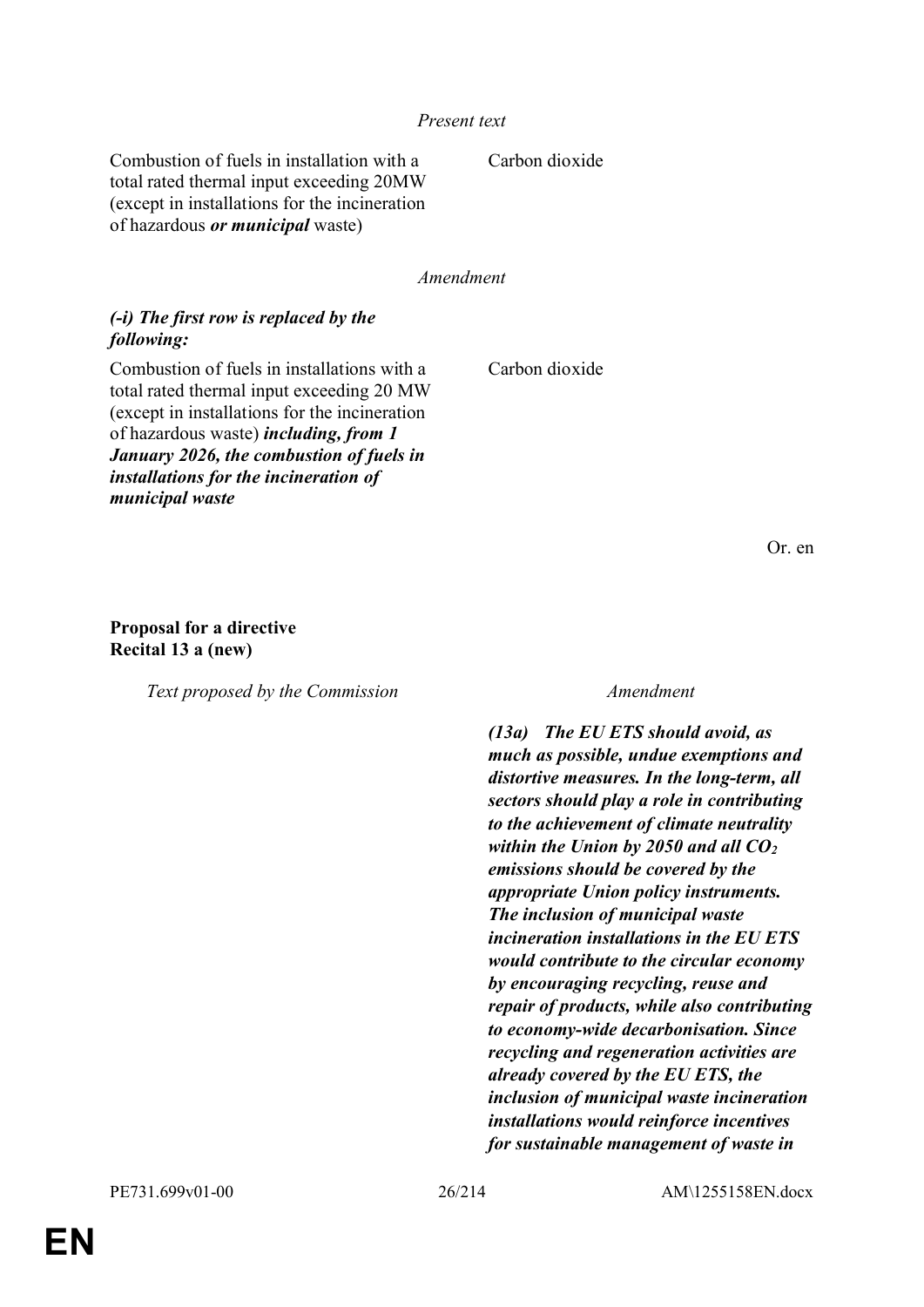### *Present text*

Combustion of fuels in installation with a total rated thermal input exceeding 20MW (except in installations for the incineration of hazardous *or municipal* waste)

*Amendment*

### *(-i) The first row is replaced by the following:*

Combustion of fuels in installations with a total rated thermal input exceeding 20 MW (except in installations for the incineration of hazardous waste) *including, from 1 January 2026, the combustion of fuels in installations for the incineration of municipal waste*

Carbon dioxide

Carbon dioxide

Or. en

### **Proposal for a directive Recital 13 a (new)**

*Text proposed by the Commission Amendment*

*(13a) The EU ETS should avoid, as much as possible, undue exemptions and distortive measures. In the long-term, all sectors should play a role in contributing to the achievement of climate neutrality within the Union by 2050 and all CO<sup>2</sup> emissions should be covered by the appropriate Union policy instruments. The inclusion of municipal waste incineration installations in the EU ETS would contribute to the circular economy by encouraging recycling, reuse and repair of products, while also contributing to economy-wide decarbonisation. Since recycling and regeneration activities are already covered by the EU ETS, the inclusion of municipal waste incineration installations would reinforce incentives for sustainable management of waste in*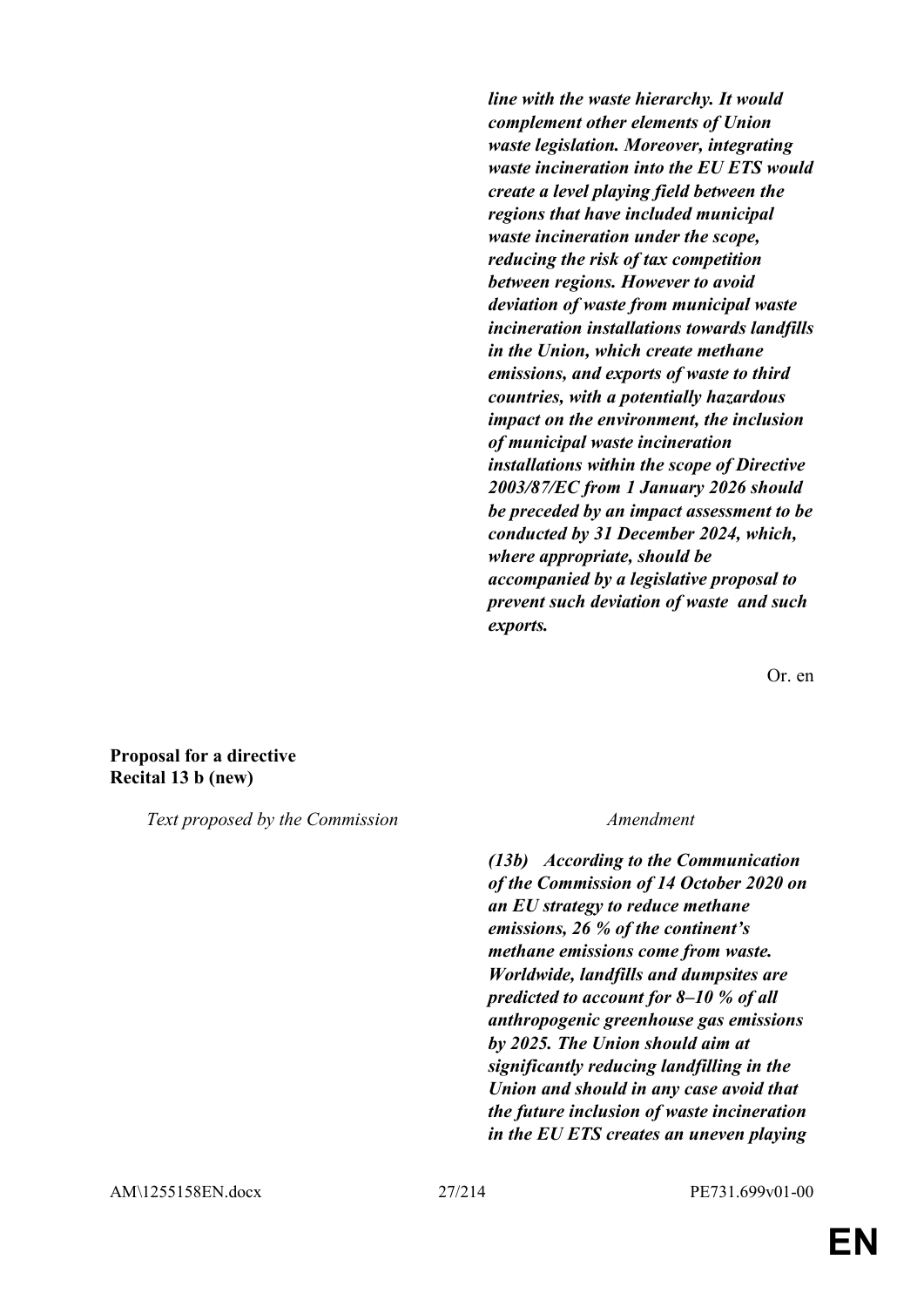*line with the waste hierarchy. It would complement other elements of Union waste legislation. Moreover, integrating waste incineration into the EU ETS would create a level playing field between the regions that have included municipal waste incineration under the scope, reducing the risk of tax competition between regions. However to avoid deviation of waste from municipal waste incineration installations towards landfills in the Union, which create methane emissions, and exports of waste to third countries, with a potentially hazardous impact on the environment, the inclusion of municipal waste incineration installations within the scope of Directive 2003/87/EC from 1 January 2026 should be preceded by an impact assessment to be conducted by 31 December 2024, which, where appropriate, should be accompanied by a legislative proposal to prevent such deviation of waste and such exports.*

Or. en

### **Proposal for a directive Recital 13 b (new)**

*Text proposed by the Commission Amendment*

*(13b) According to the Communication of the Commission of 14 October 2020 on an EU strategy to reduce methane emissions, 26 % of the continent's methane emissions come from waste. Worldwide, landfills and dumpsites are predicted to account for 8–10 % of all anthropogenic greenhouse gas emissions by 2025. The Union should aim at significantly reducing landfilling in the Union and should in any case avoid that the future inclusion of waste incineration in the EU ETS creates an uneven playing*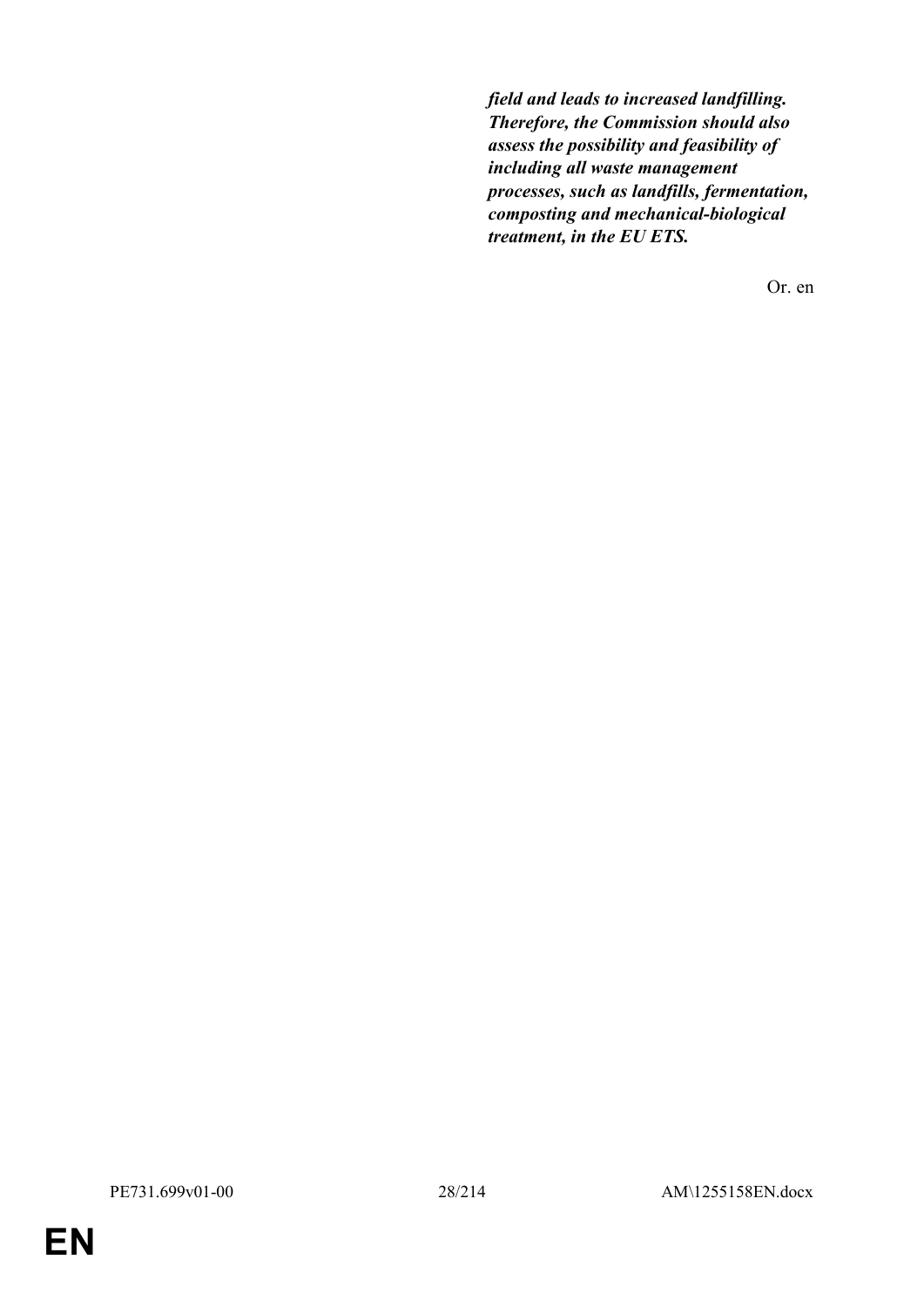*field and leads to increased landfilling. Therefore, the Commission should also assess the possibility and feasibility of including all waste management processes, such as landfills, fermentation, composting and mechanical-biological treatment, in the EU ETS.*

Or. en

**EN**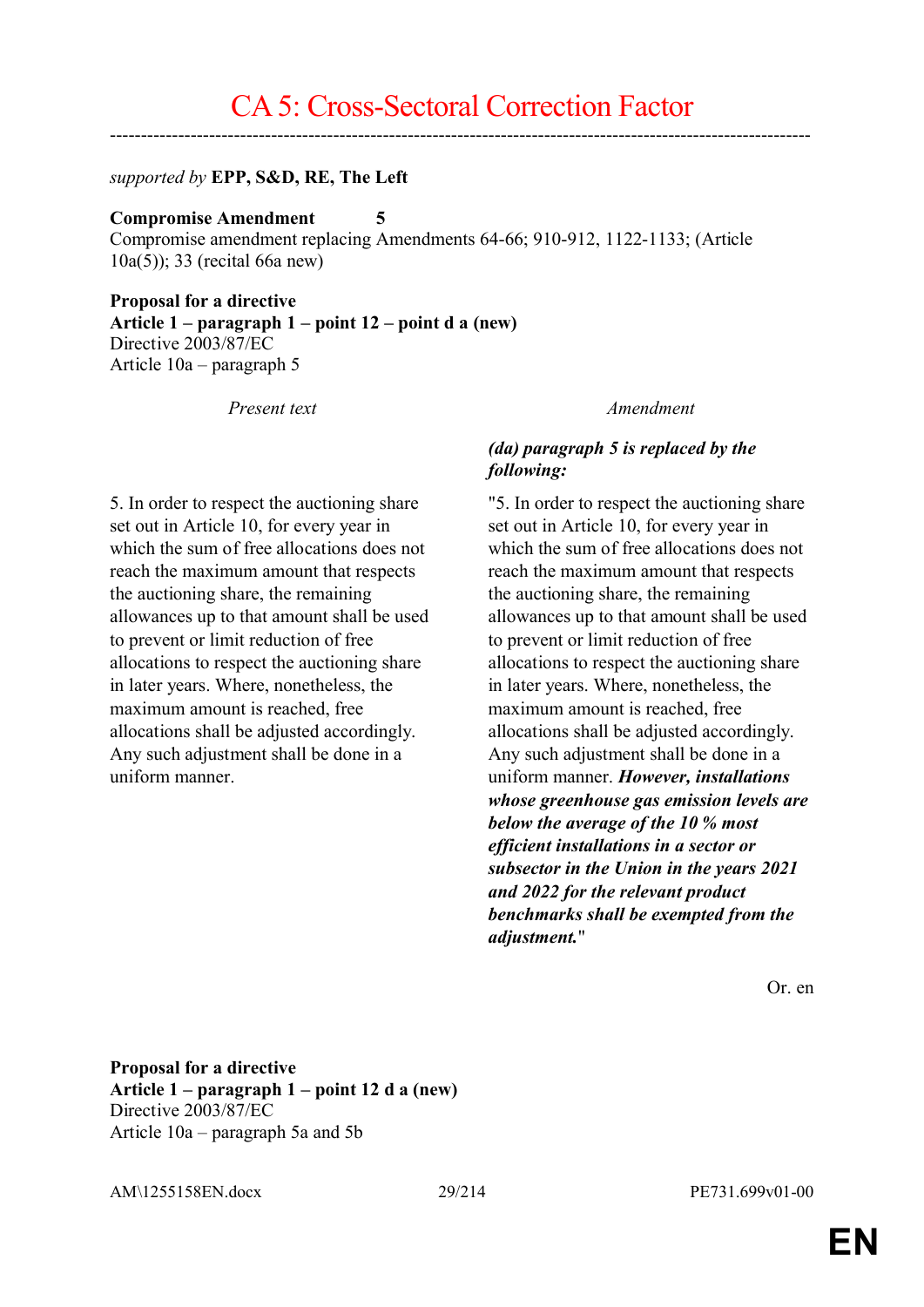-----------------------------------------------------------------------------------------------------------------

### *supported by* **EPP, S&D, RE, The Left**

### **Compromise Amendment 5**

Compromise amendment replacing Amendments 64-66; 910-912, 1122-1133; (Article 10a(5)); 33 (recital 66a new)

**Proposal for a directive Article 1 – paragraph 1 – point 12 – point d a (new)** Directive 2003/87/EC Article 10a – paragraph 5

*Present text Amendment*

5. In order to respect the auctioning share set out in Article 10, for every year in which the sum of free allocations does not reach the maximum amount that respects the auctioning share, the remaining allowances up to that amount shall be used to prevent or limit reduction of free allocations to respect the auctioning share in later years. Where, nonetheless, the maximum amount is reached, free allocations shall be adjusted accordingly. Any such adjustment shall be done in a uniform manner.

### *(da) paragraph 5 is replaced by the following:*

"5. In order to respect the auctioning share set out in Article 10, for every year in which the sum of free allocations does not reach the maximum amount that respects the auctioning share, the remaining allowances up to that amount shall be used to prevent or limit reduction of free allocations to respect the auctioning share in later years. Where, nonetheless, the maximum amount is reached, free allocations shall be adjusted accordingly. Any such adjustment shall be done in a uniform manner. *However, installations whose greenhouse gas emission levels are below the average of the 10 % most efficient installations in a sector or subsector in the Union in the years 2021 and 2022 for the relevant product benchmarks shall be exempted from the adjustment.*"

Or. en

**Proposal for a directive Article 1 – paragraph 1 – point 12 d a (new)** Directive 2003/87/EC Article 10a – paragraph 5a and 5b

AM\1255158EN.docx 29/214 PE731.699v01-00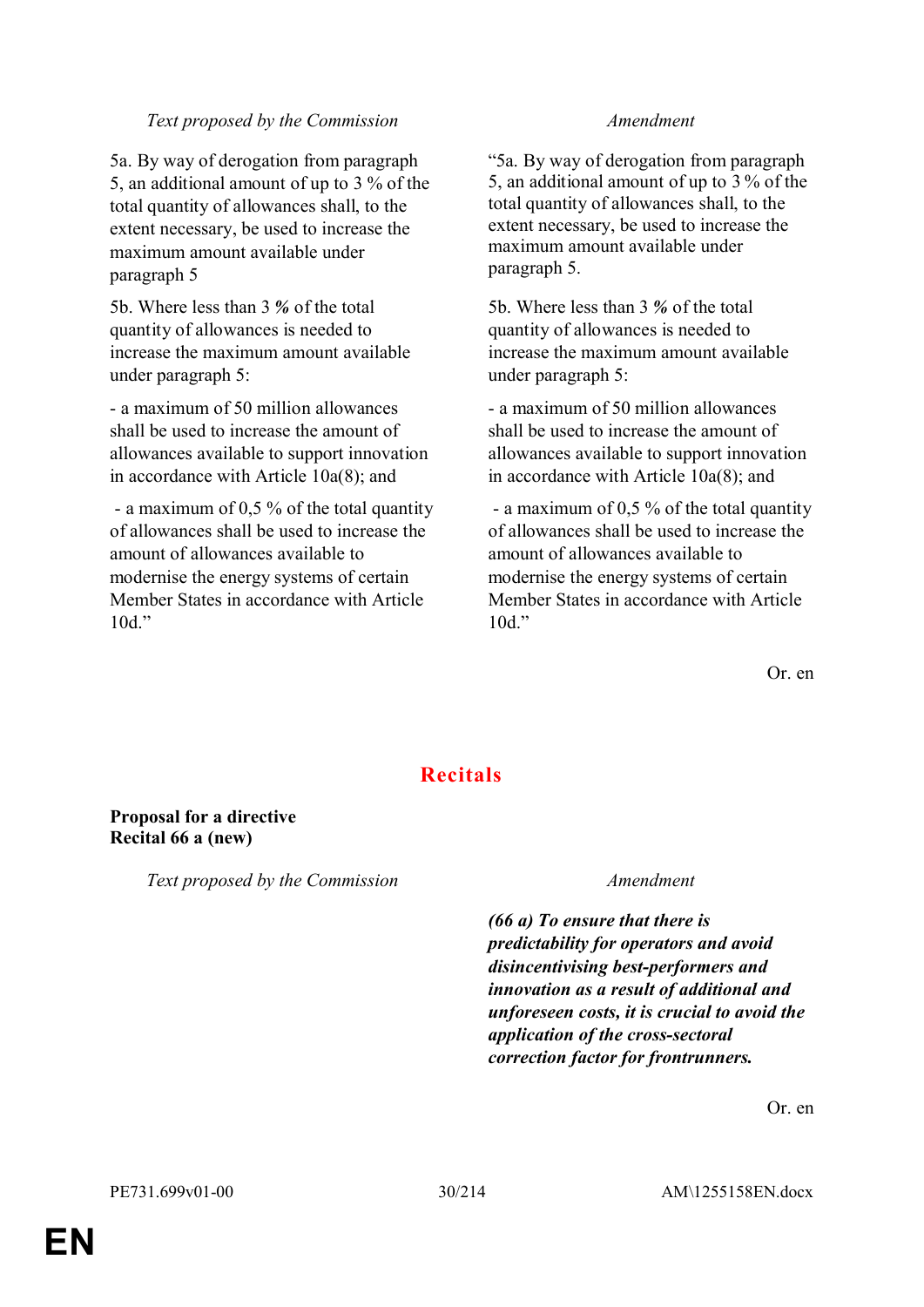### *Text proposed by the Commission Amendment*

5a. By way of derogation from paragraph 5, an additional amount of up to 3 % of the total quantity of allowances shall, to the extent necessary, be used to increase the maximum amount available under paragraph 5

5b. Where less than 3*%* of the total quantity of allowances is needed to increase the maximum amount available under paragraph 5:

- a maximum of 50 million allowances shall be used to increase the amount of allowances available to support innovation in accordance with Article 10a(8); and

- a maximum of 0,5 % of the total quantity of allowances shall be used to increase the amount of allowances available to modernise the energy systems of certain Member States in accordance with Article  $10d$ ."

"5a. By way of derogation from paragraph 5, an additional amount of up to 3 % of the total quantity of allowances shall, to the extent necessary, be used to increase the maximum amount available under paragraph 5.

5b. Where less than 3*%* of the total quantity of allowances is needed to increase the maximum amount available under paragraph 5:

- a maximum of 50 million allowances shall be used to increase the amount of allowances available to support innovation in accordance with Article 10a(8); and

- a maximum of 0,5 % of the total quantity of allowances shall be used to increase the amount of allowances available to modernise the energy systems of certain Member States in accordance with Article  $10d$ ."

Or. en

# **Recitals**

**Proposal for a directive Recital 66 a (new)**

*Text proposed by the Commission Amendment*

*(66 a) To ensure that there is predictability for operators and avoid disincentivising best-performers and innovation as a result of additional and unforeseen costs, it is crucial to avoid the application of the cross-sectoral correction factor for frontrunners.*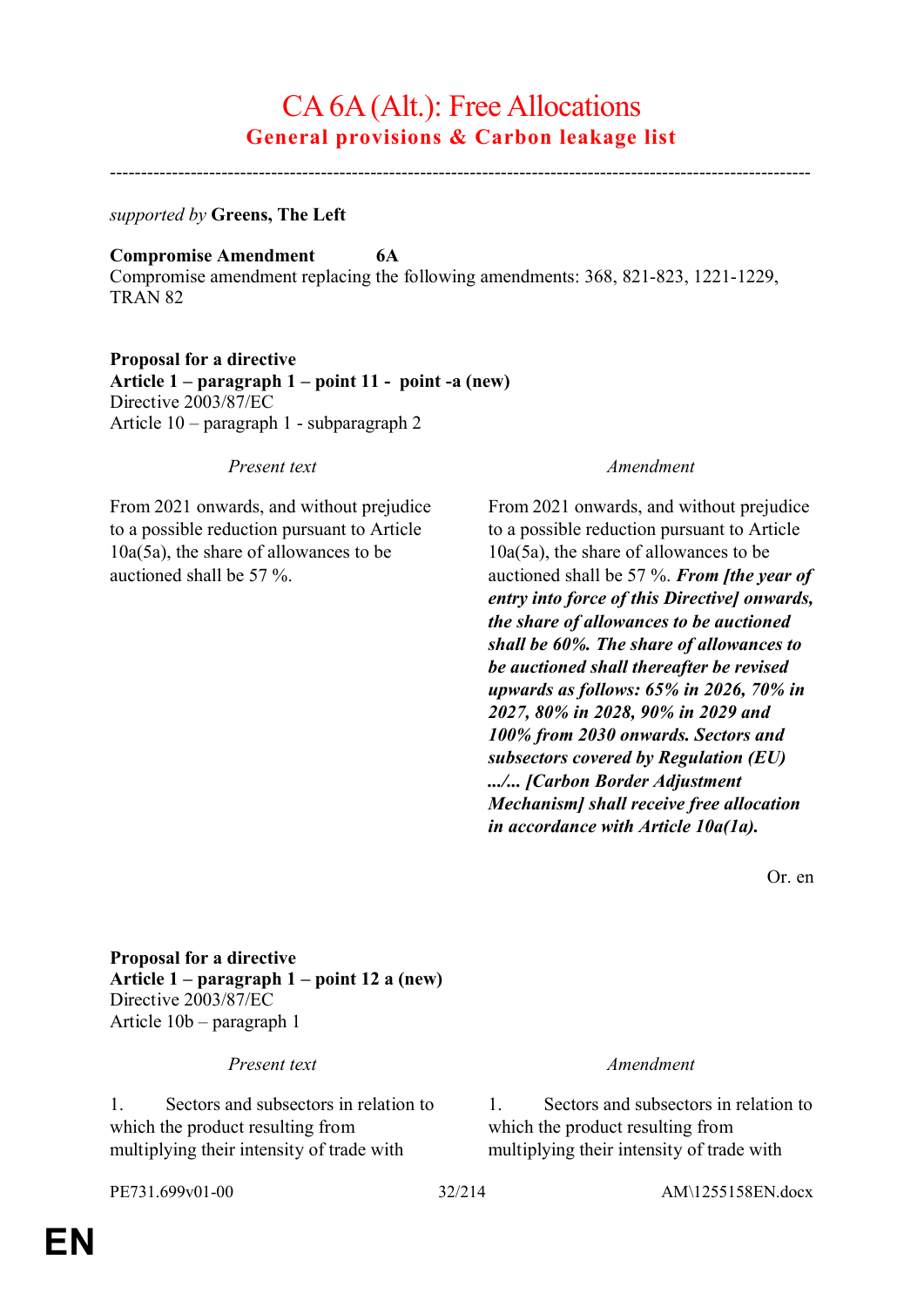# CA 6A (Alt.): Free Allocations **General provisions & Carbon leakage list**

-----------------------------------------------------------------------------------------------------------------

*supported by* **Greens, The Left**

### **Compromise Amendment 6A**

Compromise amendment replacing the following amendments: 368, 821-823, 1221-1229, TRAN 82

**Proposal for a directive Article 1 – paragraph 1 – point 11 - point -a (new)** Directive 2003/87/EC Article 10 – paragraph 1 - subparagraph 2

### *Present text Amendment*

From 2021 onwards, and without prejudice to a possible reduction pursuant to Article 10a(5a), the share of allowances to be auctioned shall be 57 %.

From 2021 onwards, and without prejudice to a possible reduction pursuant to Article 10a(5a), the share of allowances to be auctioned shall be 57 %. *From [the year of entry into force of this Directive] onwards, the share of allowances to be auctioned shall be 60%. The share of allowances to be auctioned shall thereafter be revised upwards as follows: 65% in 2026, 70% in 2027, 80% in 2028, 90% in 2029 and 100% from 2030 onwards. Sectors and subsectors covered by Regulation (EU) .../... [Carbon Border Adjustment Mechanism] shall receive free allocation in accordance with Article 10a(1a).* 

Or. en

**Proposal for a directive Article 1 – paragraph 1 – point 12 a (new)** Directive 2003/87/EC Article 10b – paragraph 1

#### *Present text Amendment*

1. Sectors and subsectors in relation to which the product resulting from multiplying their intensity of trade with

1. Sectors and subsectors in relation to which the product resulting from multiplying their intensity of trade with

PE731.699v01-00 32/214 AM\1255158EN.docx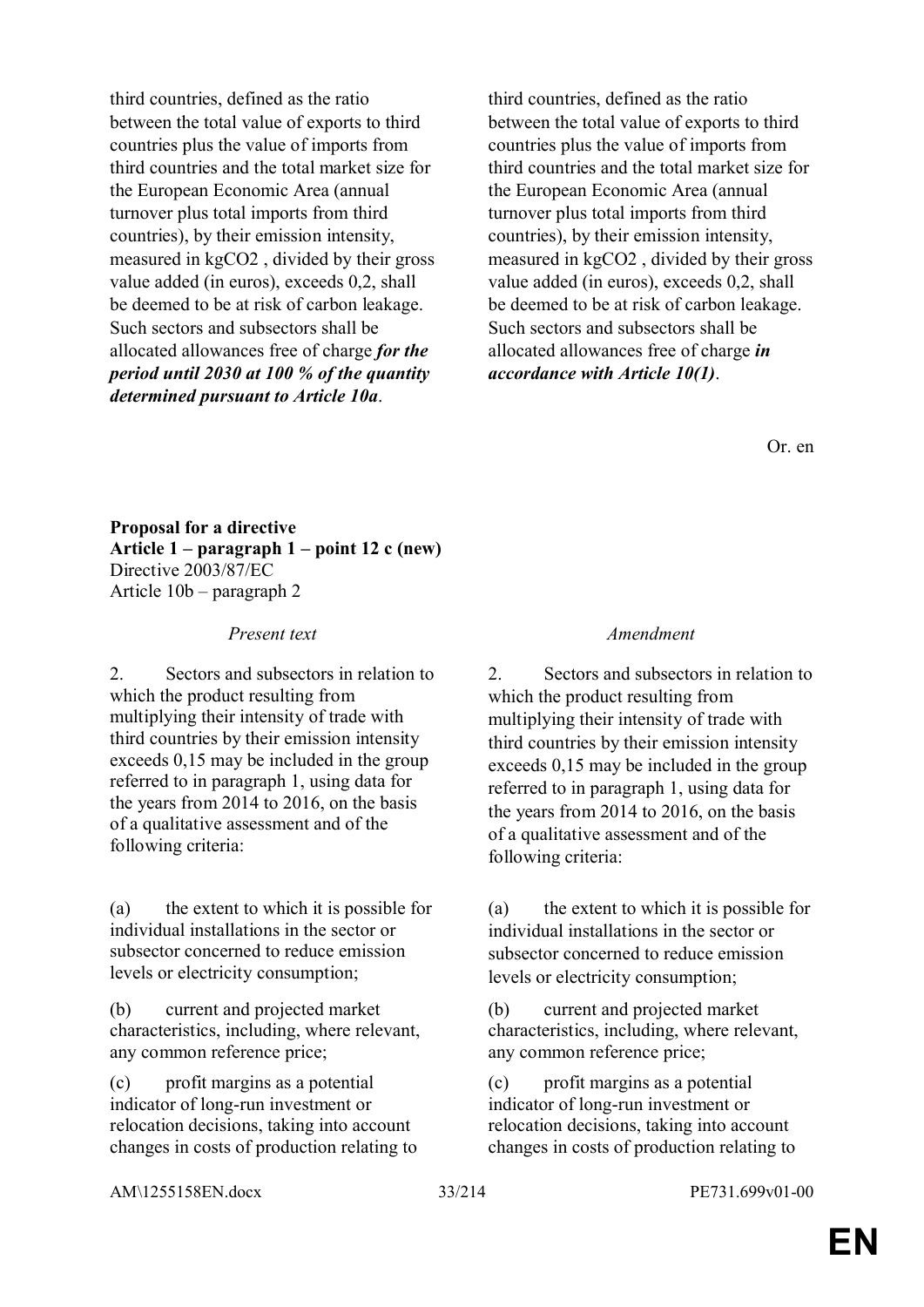third countries, defined as the ratio between the total value of exports to third countries plus the value of imports from third countries and the total market size for the European Economic Area (annual turnover plus total imports from third countries), by their emission intensity, measured in kgCO2 , divided by their gross value added (in euros), exceeds 0,2, shall be deemed to be at risk of carbon leakage. Such sectors and subsectors shall be allocated allowances free of charge *for the period until 2030 at 100 % of the quantity determined pursuant to Article 10a*.

third countries, defined as the ratio between the total value of exports to third countries plus the value of imports from third countries and the total market size for the European Economic Area (annual turnover plus total imports from third countries), by their emission intensity, measured in kgCO2 , divided by their gross value added (in euros), exceeds 0,2, shall be deemed to be at risk of carbon leakage. Such sectors and subsectors shall be allocated allowances free of charge *in accordance with Article 10(1)*.

Or. en

**Proposal for a directive Article 1 – paragraph 1 – point 12 c (new)** Directive 2003/87/EC Article 10b – paragraph 2

### *Present text Amendment*

2. Sectors and subsectors in relation to which the product resulting from multiplying their intensity of trade with third countries by their emission intensity exceeds 0,15 may be included in the group referred to in paragraph 1, using data for the years from 2014 to 2016, on the basis of a qualitative assessment and of the following criteria:

(a) the extent to which it is possible for individual installations in the sector or subsector concerned to reduce emission levels or electricity consumption;

(b) current and projected market characteristics, including, where relevant, any common reference price;

(c) profit margins as a potential indicator of long-run investment or relocation decisions, taking into account changes in costs of production relating to

2. Sectors and subsectors in relation to which the product resulting from multiplying their intensity of trade with third countries by their emission intensity exceeds 0,15 may be included in the group referred to in paragraph 1, using data for the years from 2014 to 2016, on the basis of a qualitative assessment and of the following criteria:

(a) the extent to which it is possible for individual installations in the sector or subsector concerned to reduce emission levels or electricity consumption;

(b) current and projected market characteristics, including, where relevant, any common reference price;

(c) profit margins as a potential indicator of long-run investment or relocation decisions, taking into account changes in costs of production relating to

AM\1255158EN.docx 33/214 PE731.699v01-00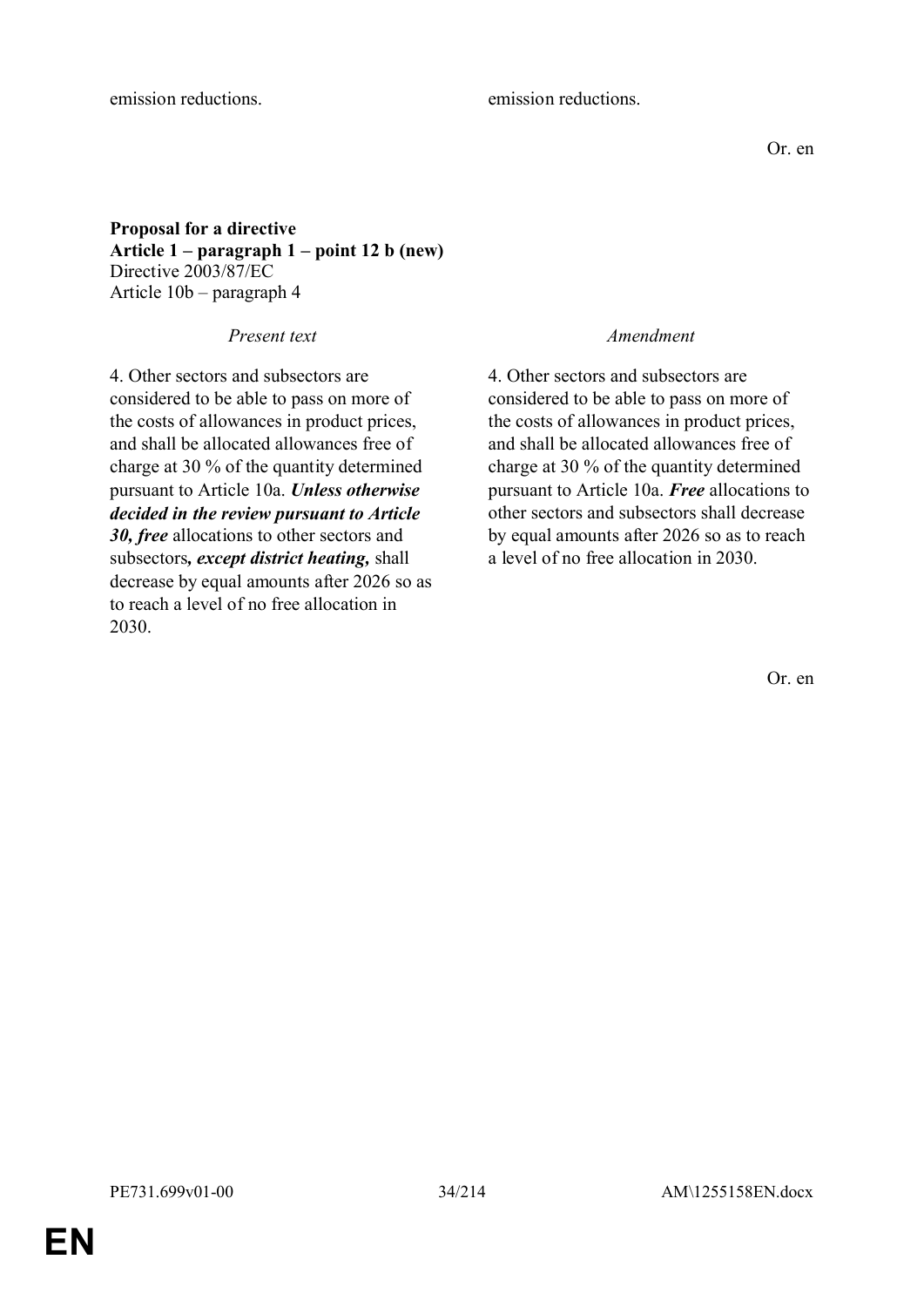**Proposal for a directive Article 1 – paragraph 1 – point 12 b (new)** Directive 2003/87/EC Article 10b – paragraph 4

### *Present text Amendment*

4. Other sectors and subsectors are considered to be able to pass on more of the costs of allowances in product prices, and shall be allocated allowances free of charge at 30 % of the quantity determined pursuant to Article 10a. *Unless otherwise decided in the review pursuant to Article 30, free* allocations to other sectors and subsectors*, except district heating,* shall decrease by equal amounts after 2026 so as to reach a level of no free allocation in 2030.

4. Other sectors and subsectors are considered to be able to pass on more of the costs of allowances in product prices, and shall be allocated allowances free of charge at 30 % of the quantity determined pursuant to Article 10a. *Free* allocations to other sectors and subsectors shall decrease by equal amounts after 2026 so as to reach a level of no free allocation in 2030.

Or. en

**EN**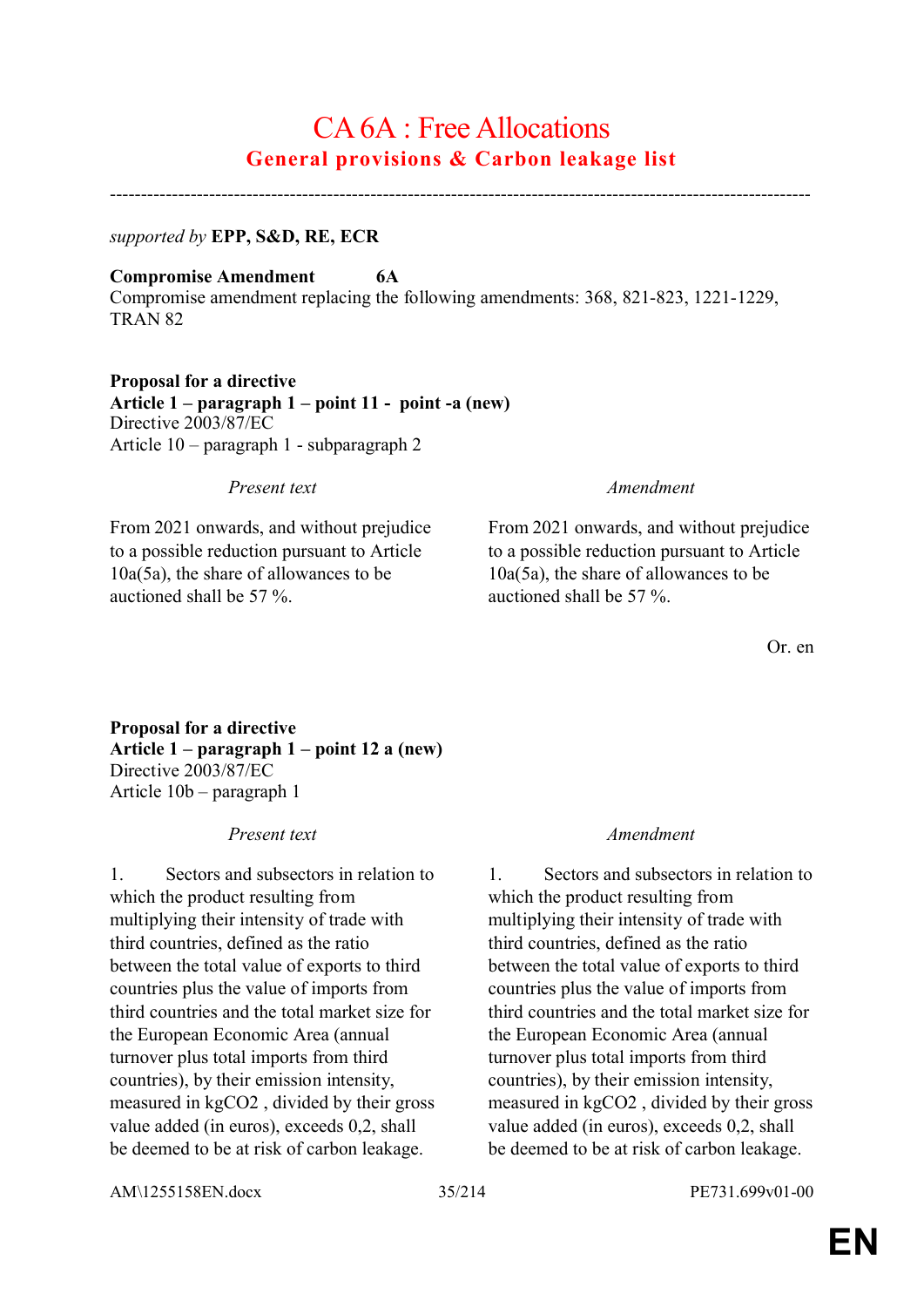# CA 6A : Free Allocations **General provisions & Carbon leakage list**

# -----------------------------------------------------------------------------------------------------------------

### *supported by* **EPP, S&D, RE, ECR**

**Compromise Amendment 6A** Compromise amendment replacing the following amendments: 368, 821-823, 1221-1229, TRAN 82

**Proposal for a directive Article 1 – paragraph 1 – point 11 - point -a (new)** Directive 2003/87/EC Article 10 – paragraph 1 - subparagraph 2

From 2021 onwards, and without prejudice to a possible reduction pursuant to Article 10a(5a), the share of allowances to be auctioned shall be 57 %.

### *Present text Amendment*

From 2021 onwards, and without prejudice to a possible reduction pursuant to Article 10a(5a), the share of allowances to be auctioned shall be 57 %.

Or. en

**Proposal for a directive Article 1 – paragraph 1 – point 12 a (new)** Directive 2003/87/EC Article 10b – paragraph 1

### *Present text Amendment*

1. Sectors and subsectors in relation to which the product resulting from multiplying their intensity of trade with third countries, defined as the ratio between the total value of exports to third countries plus the value of imports from third countries and the total market size for the European Economic Area (annual turnover plus total imports from third countries), by their emission intensity, measured in kgCO2 , divided by their gross value added (in euros), exceeds 0,2, shall be deemed to be at risk of carbon leakage.

1. Sectors and subsectors in relation to which the product resulting from multiplying their intensity of trade with third countries, defined as the ratio between the total value of exports to third countries plus the value of imports from third countries and the total market size for the European Economic Area (annual turnover plus total imports from third countries), by their emission intensity, measured in kgCO2 , divided by their gross value added (in euros), exceeds 0,2, shall be deemed to be at risk of carbon leakage.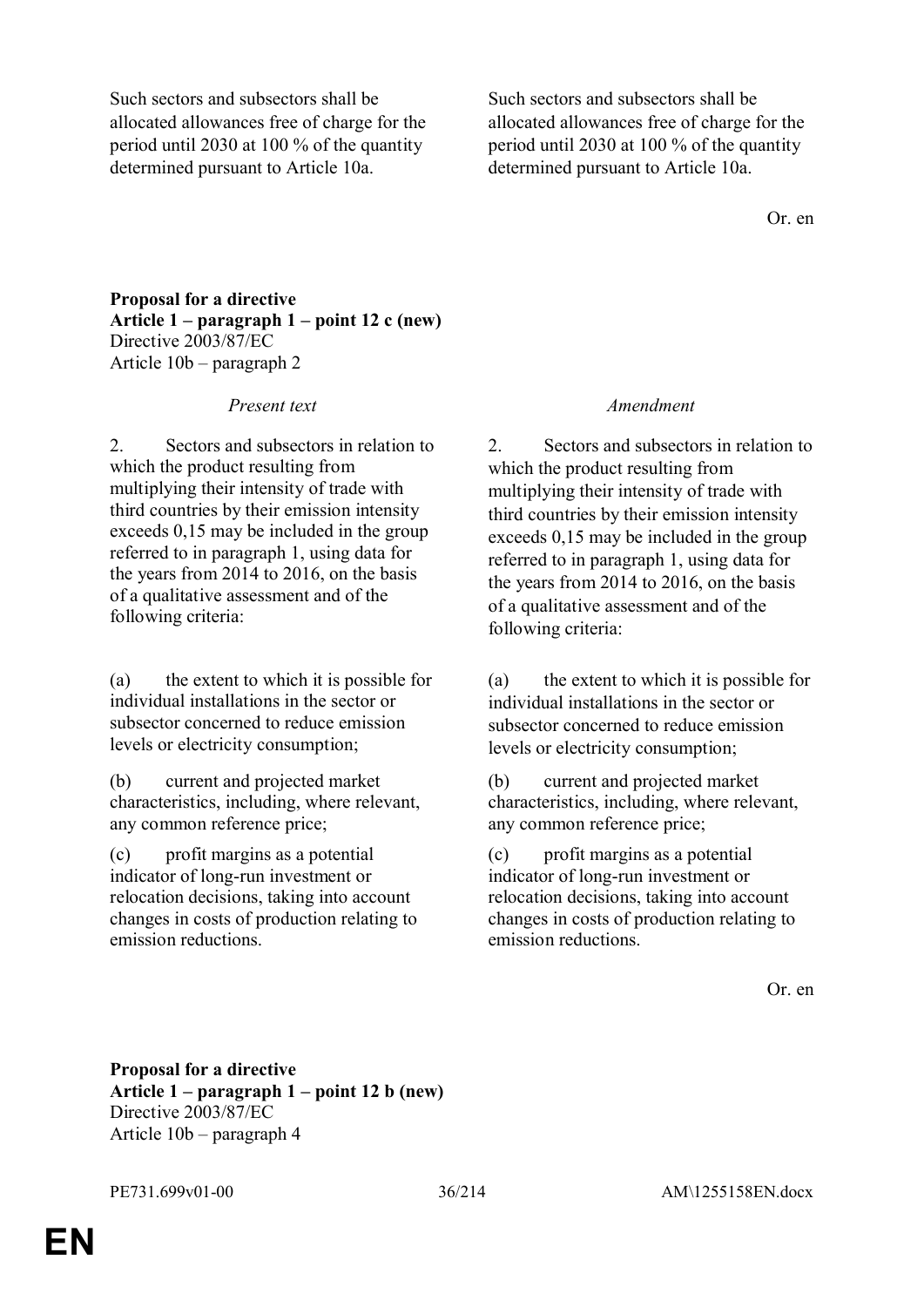Such sectors and subsectors shall be allocated allowances free of charge for the period until 2030 at 100 % of the quantity determined pursuant to Article 10a.

Such sectors and subsectors shall be allocated allowances free of charge for the period until 2030 at 100 % of the quantity determined pursuant to Article 10a.

Or. en

**Proposal for a directive Article 1 – paragraph 1 – point 12 c (new)** Directive 2003/87/EC Article 10b – paragraph 2

### *Present text Amendment*

2. Sectors and subsectors in relation to which the product resulting from multiplying their intensity of trade with third countries by their emission intensity exceeds 0,15 may be included in the group referred to in paragraph 1, using data for the years from 2014 to 2016, on the basis of a qualitative assessment and of the following criteria:

(a) the extent to which it is possible for individual installations in the sector or subsector concerned to reduce emission levels or electricity consumption;

(b) current and projected market characteristics, including, where relevant, any common reference price;

(c) profit margins as a potential indicator of long-run investment or relocation decisions, taking into account changes in costs of production relating to emission reductions.

2. Sectors and subsectors in relation to which the product resulting from multiplying their intensity of trade with third countries by their emission intensity exceeds 0,15 may be included in the group referred to in paragraph 1, using data for the years from 2014 to 2016, on the basis of a qualitative assessment and of the following criteria:

(a) the extent to which it is possible for individual installations in the sector or subsector concerned to reduce emission levels or electricity consumption;

(b) current and projected market characteristics, including, where relevant, any common reference price;

(c) profit margins as a potential indicator of long-run investment or relocation decisions, taking into account changes in costs of production relating to emission reductions.

Or. en

**Proposal for a directive Article 1 – paragraph 1 – point 12 b (new)** Directive 2003/87/EC Article 10b – paragraph 4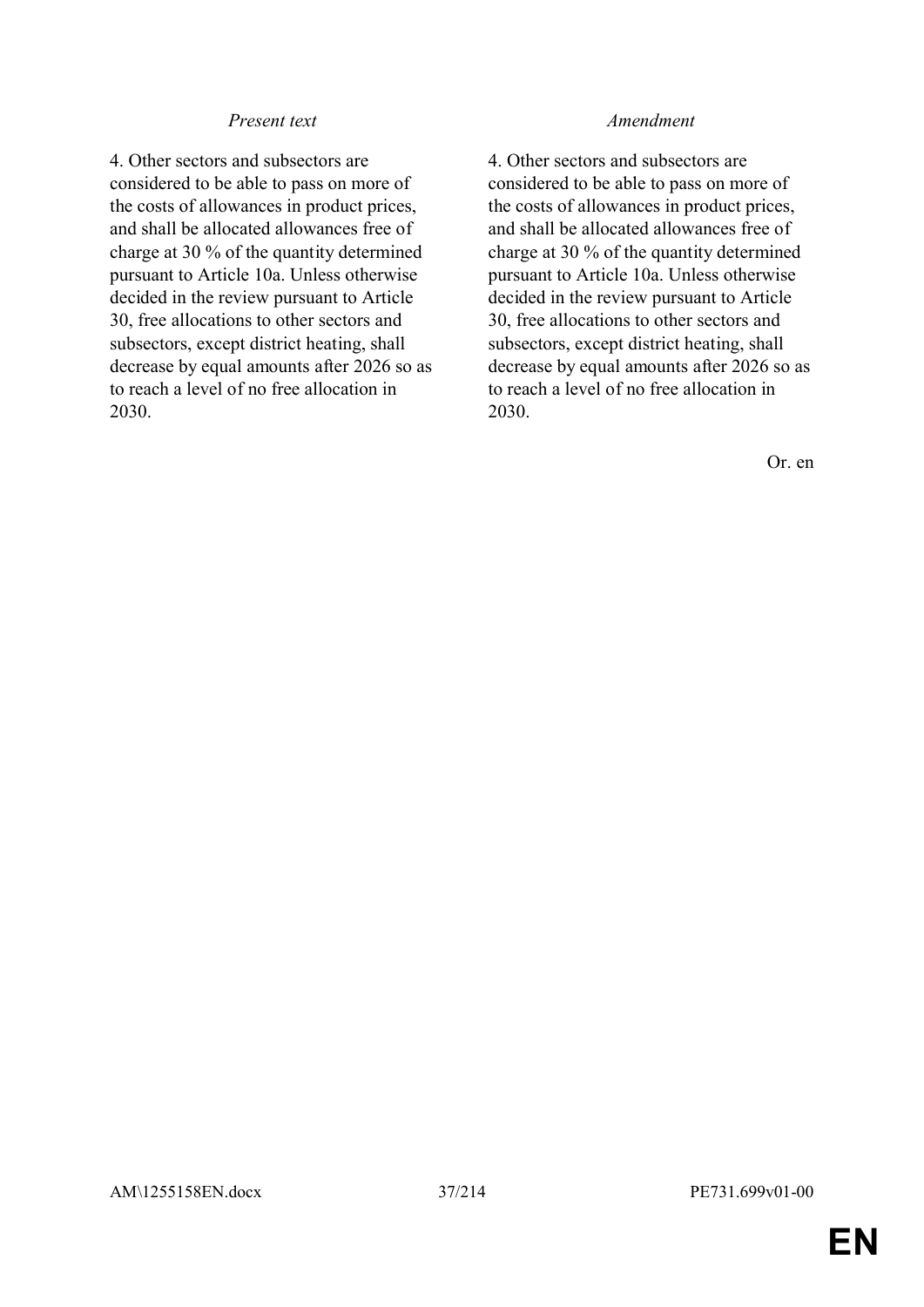# *Present text Amendment*

4. Other sectors and subsectors are considered to be able to pass on more of the costs of allowances in product prices, and shall be allocated allowances free of charge at 30 % of the quantity determined pursuant to Article 10a. Unless otherwise decided in the review pursuant to Article 30, free allocations to other sectors and subsectors, except district heating, shall decrease by equal amounts after 2026 so as to reach a level of no free allocation in 2030.

4. Other sectors and subsectors are considered to be able to pass on more of the costs of allowances in product prices, and shall be allocated allowances free of charge at 30 % of the quantity determined pursuant to Article 10a. Unless otherwise decided in the review pursuant to Article 30, free allocations to other sectors and subsectors, except district heating, shall decrease by equal amounts after 2026 so as to reach a level of no free allocation in 2030.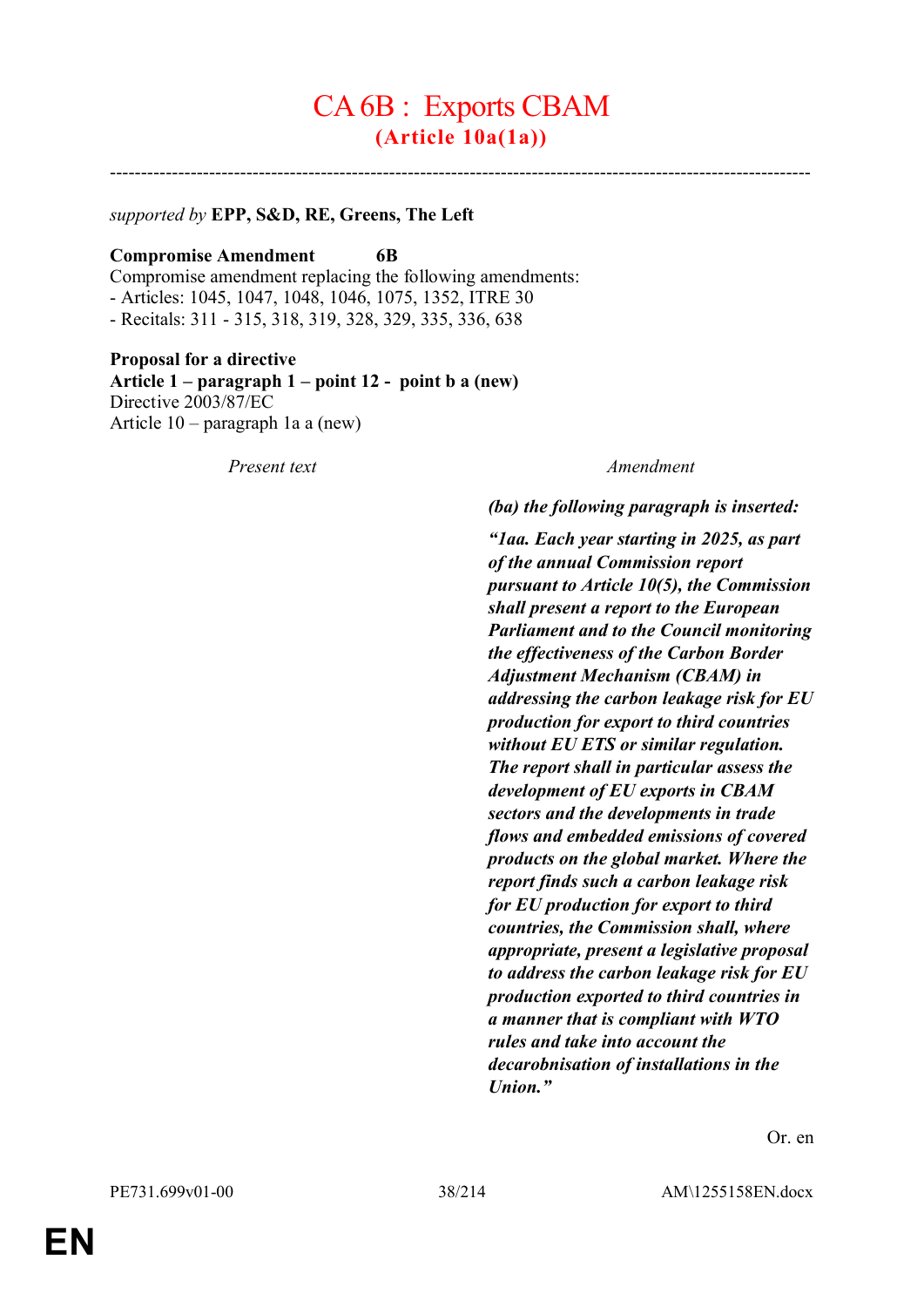# CA 6B : Exports CBAM **(Article 10a(1a))**

-----------------------------------------------------------------------------------------------------------------

*supported by* **EPP, S&D, RE, Greens, The Left**

### **Compromise Amendment 6B**

Compromise amendment replacing the following amendments: - Articles: 1045, 1047, 1048, 1046, 1075, 1352, ITRE 30 - Recitals: 311 - 315, 318, 319, 328, 329, 335, 336, 638

**Proposal for a directive Article 1 – paragraph 1 – point 12 - point b a (new)** Directive 2003/87/EC Article 10 – paragraph 1a a (new)

*Present text Amendment*

# *(ba) the following paragraph is inserted:*

*"1aa. Each year starting in 2025, as part of the annual Commission report pursuant to Article 10(5), the Commission shall present a report to the European Parliament and to the Council monitoring the effectiveness of the Carbon Border Adjustment Mechanism (CBAM) in addressing the carbon leakage risk for EU production for export to third countries without EU ETS or similar regulation. The report shall in particular assess the development of EU exports in CBAM sectors and the developments in trade flows and embedded emissions of covered products on the global market. Where the report finds such a carbon leakage risk for EU production for export to third countries, the Commission shall, where appropriate, present a legislative proposal to address the carbon leakage risk for EU production exported to third countries in a manner that is compliant with WTO rules and take into account the decarobnisation of installations in the Union."*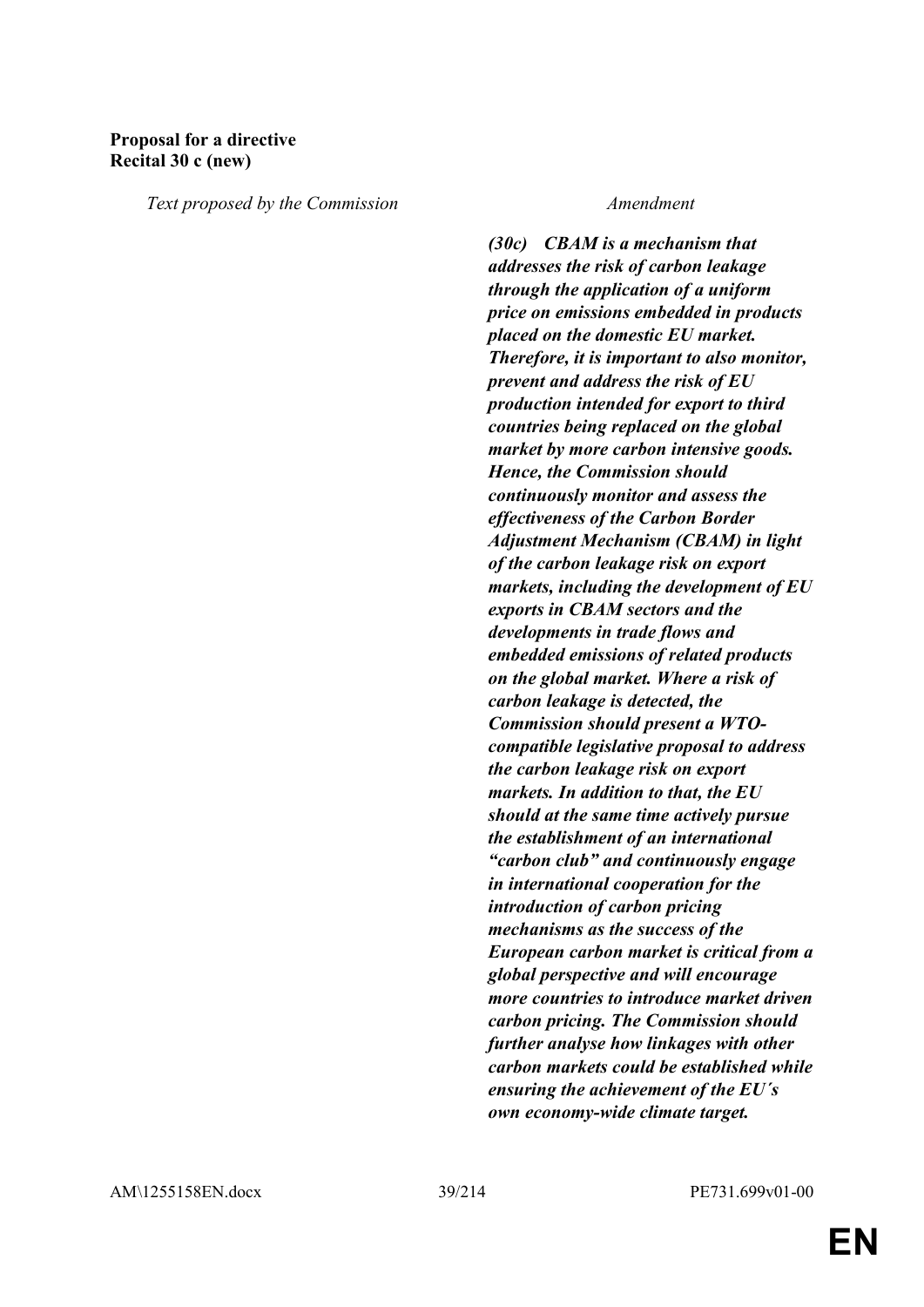# **Proposal for a directive Recital 30 c (new)**

*Text proposed by the Commission Amendment*

*(30c) CBAM is a mechanism that addresses the risk of carbon leakage through the application of a uniform price on emissions embedded in products placed on the domestic EU market. Therefore, it is important to also monitor, prevent and address the risk of EU production intended for export to third countries being replaced on the global market by more carbon intensive goods. Hence, the Commission should continuously monitor and assess the effectiveness of the Carbon Border Adjustment Mechanism (CBAM) in light of the carbon leakage risk on export markets, including the development of EU exports in CBAM sectors and the developments in trade flows and embedded emissions of related products on the global market. Where a risk of carbon leakage is detected, the Commission should present a WTOcompatible legislative proposal to address the carbon leakage risk on export markets. In addition to that, the EU should at the same time actively pursue the establishment of an international "carbon club" and continuously engage in international cooperation for the introduction of carbon pricing mechanisms as the success of the European carbon market is critical from a global perspective and will encourage more countries to introduce market driven carbon pricing. The Commission should further analyse how linkages with other carbon markets could be established while ensuring the achievement of the EU´s own economy-wide climate target.*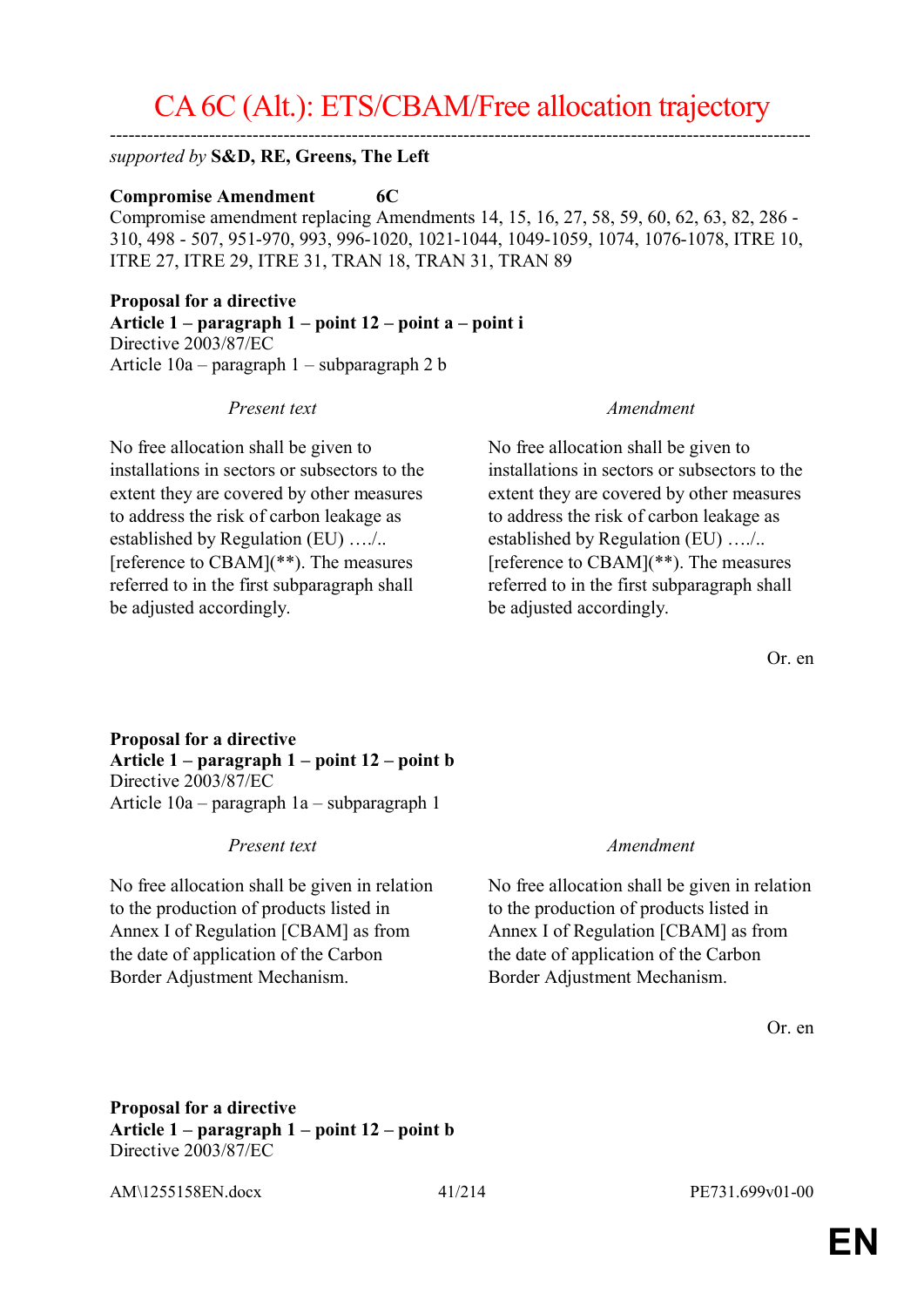# CA 6C (Alt.): ETS/CBAM/Free allocation trajectory

-----------------------------------------------------------------------------------------------------------------

# *supported by* **S&D, RE, Greens, The Left**

# **Compromise Amendment 6C**

Compromise amendment replacing Amendments 14, 15, 16, 27, 58, 59, 60, 62, 63, 82, 286 - 310, 498 - 507, 951-970, 993, 996-1020, 1021-1044, 1049-1059, 1074, 1076-1078, ITRE 10, ITRE 27, ITRE 29, ITRE 31, TRAN 18, TRAN 31, TRAN 89

**Proposal for a directive Article 1 – paragraph 1 – point 12 – point a – point i** Directive 2003/87/EC Article 10a – paragraph 1 – subparagraph 2 b

## *Present text Amendment*

No free allocation shall be given to installations in sectors or subsectors to the extent they are covered by other measures to address the risk of carbon leakage as established by Regulation (EU) …./.. [reference to CBAM](\*\*). The measures referred to in the first subparagraph shall be adjusted accordingly.

No free allocation shall be given to installations in sectors or subsectors to the extent they are covered by other measures to address the risk of carbon leakage as established by Regulation (EU) …./.. [reference to CBAM](\*\*). The measures referred to in the first subparagraph shall be adjusted accordingly.

Or. en

**Proposal for a directive Article 1 – paragraph 1 – point 12 – point b** Directive 2003/87/EC Article 10a – paragraph 1a – subparagraph 1

# *Present text Amendment*

No free allocation shall be given in relation to the production of products listed in Annex I of Regulation [CBAM] as from the date of application of the Carbon Border Adjustment Mechanism.

No free allocation shall be given in relation to the production of products listed in Annex I of Regulation [CBAM] as from the date of application of the Carbon Border Adjustment Mechanism.

Or. en

**Proposal for a directive Article 1 – paragraph 1 – point 12 – point b** Directive 2003/87/EC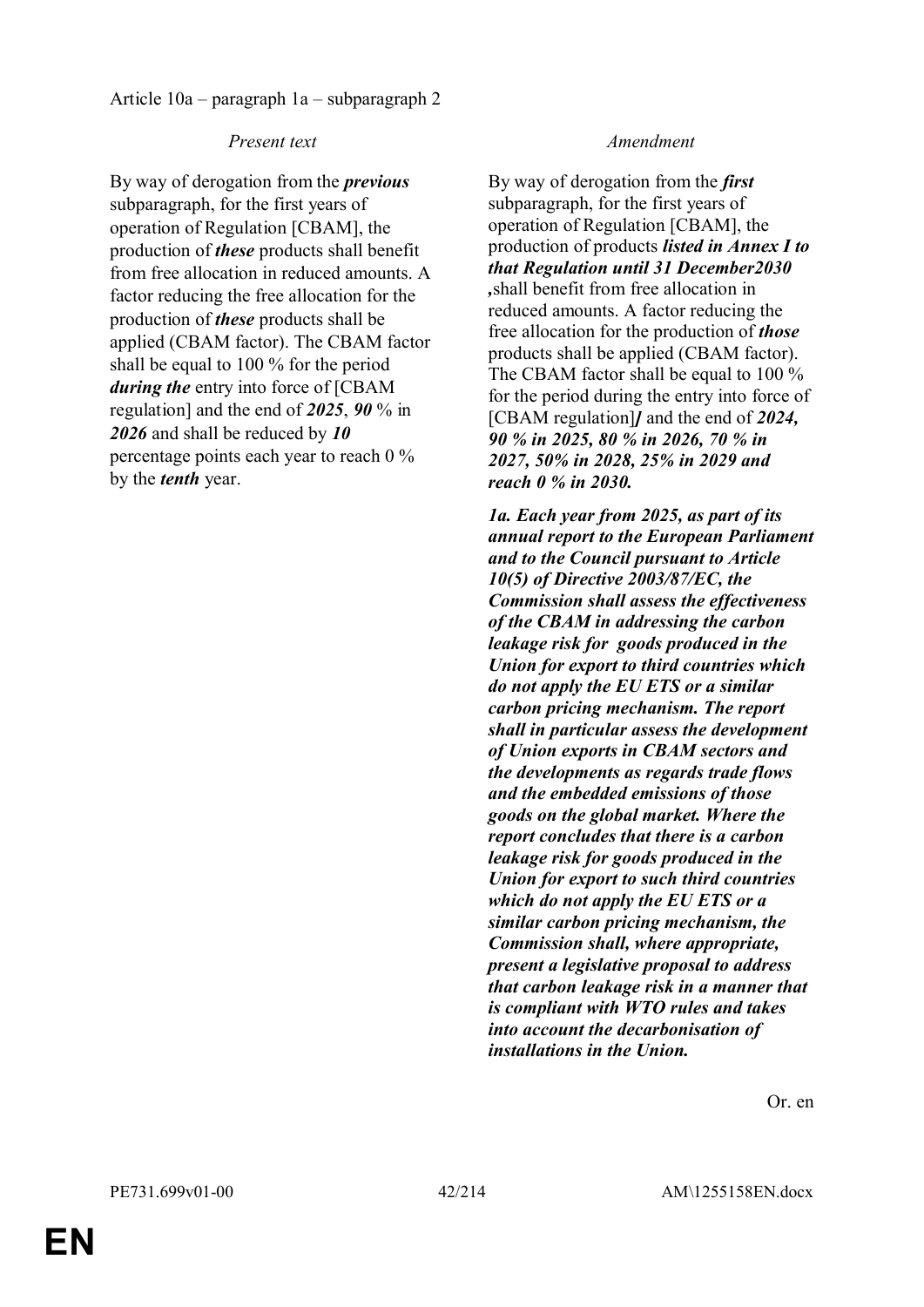Article 10a – paragraph 1a – subparagraph 2

By way of derogation from the *previous* subparagraph, for the first years of operation of Regulation [CBAM], the production of *these* products shall benefit from free allocation in reduced amounts. A factor reducing the free allocation for the production of *these* products shall be applied (CBAM factor). The CBAM factor shall be equal to 100 % for the period *during the entry into force of* [CBAM regulation] and the end of *2025*, *90* % in *2026* and shall be reduced by *10* percentage points each year to reach 0 % by the *tenth* year.

## *Present text Amendment*

By way of derogation from the *first* subparagraph, for the first years of operation of Regulation [CBAM], the production of products *listed in Annex I to that Regulation until 31 December2030 ,*shall benefit from free allocation in reduced amounts. A factor reducing the free allocation for the production of *those* products shall be applied (CBAM factor). The CBAM factor shall be equal to 100 % for the period during the entry into force of [CBAM regulation]*]* and the end of *2024, 90 % in 2025, 80 % in 2026, 70 % in 2027, 50% in 2028, 25% in 2029 and reach 0 % in 2030.*

*1a. Each year from 2025, as part of its annual report to the European Parliament and to the Council pursuant to Article 10(5) of Directive 2003/87/EC, the Commission shall assess the effectiveness of the CBAM in addressing the carbon leakage risk for goods produced in the Union for export to third countries which do not apply the EU ETS or a similar carbon pricing mechanism. The report shall in particular assess the development of Union exports in CBAM sectors and the developments as regards trade flows and the embedded emissions of those goods on the global market. Where the report concludes that there is a carbon leakage risk for goods produced in the Union for export to such third countries which do not apply the EU ETS or a similar carbon pricing mechanism, the Commission shall, where appropriate, present a legislative proposal to address that carbon leakage risk in a manner that is compliant with WTO rules and takes into account the decarbonisation of installations in the Union.*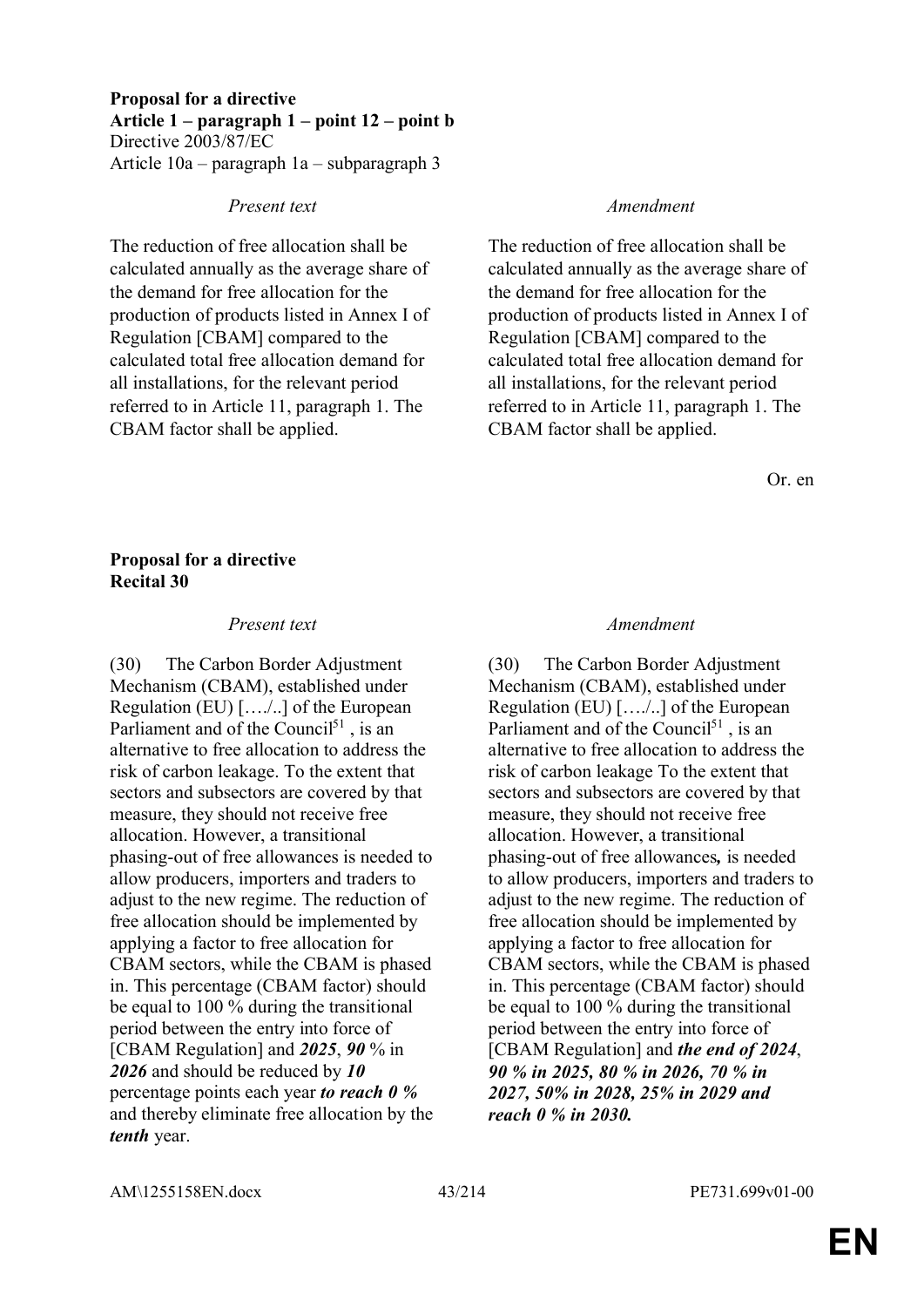### **Proposal for a directive Article 1 – paragraph 1 – point 12 – point b** Directive 2003/87/EC Article 10a – paragraph 1a – subparagraph 3

### *Present text Amendment*

The reduction of free allocation shall be calculated annually as the average share of the demand for free allocation for the production of products listed in Annex I of Regulation [CBAM] compared to the calculated total free allocation demand for all installations, for the relevant period referred to in Article 11, paragraph 1. The CBAM factor shall be applied.

The reduction of free allocation shall be calculated annually as the average share of the demand for free allocation for the production of products listed in Annex I of Regulation [CBAM] compared to the calculated total free allocation demand for all installations, for the relevant period referred to in Article 11, paragraph 1. The CBAM factor shall be applied.

Or. en

# **Proposal for a directive Recital 30**

### *Present text Amendment*

(30) The Carbon Border Adjustment Mechanism (CBAM), established under Regulation (EU) […./..] of the European Parliament and of the Council<sup>51</sup>, is an alternative to free allocation to address the risk of carbon leakage. To the extent that sectors and subsectors are covered by that measure, they should not receive free allocation. However, a transitional phasing-out of free allowances is needed to allow producers, importers and traders to adjust to the new regime. The reduction of free allocation should be implemented by applying a factor to free allocation for CBAM sectors, while the CBAM is phased in. This percentage (CBAM factor) should be equal to 100 % during the transitional period between the entry into force of [CBAM Regulation] and *2025*, *90* % in *2026* and should be reduced by *10* percentage points each year *to reach 0 %* and thereby eliminate free allocation by the *tenth* year.

(30) The Carbon Border Adjustment Mechanism (CBAM), established under Regulation (EU) […./..] of the European Parliament and of the Council<sup>51</sup>, is an alternative to free allocation to address the risk of carbon leakage To the extent that sectors and subsectors are covered by that measure, they should not receive free allocation. However, a transitional phasing-out of free allowances*,* is needed to allow producers, importers and traders to adjust to the new regime. The reduction of free allocation should be implemented by applying a factor to free allocation for CBAM sectors, while the CBAM is phased in. This percentage (CBAM factor) should be equal to 100 % during the transitional period between the entry into force of [CBAM Regulation] and *the end of 2024*, *90 % in 2025, 80 % in 2026, 70 % in 2027, 50% in 2028, 25% in 2029 and reach 0 % in 2030.*

AM\1255158EN.docx 43/214 PE731.699v01-00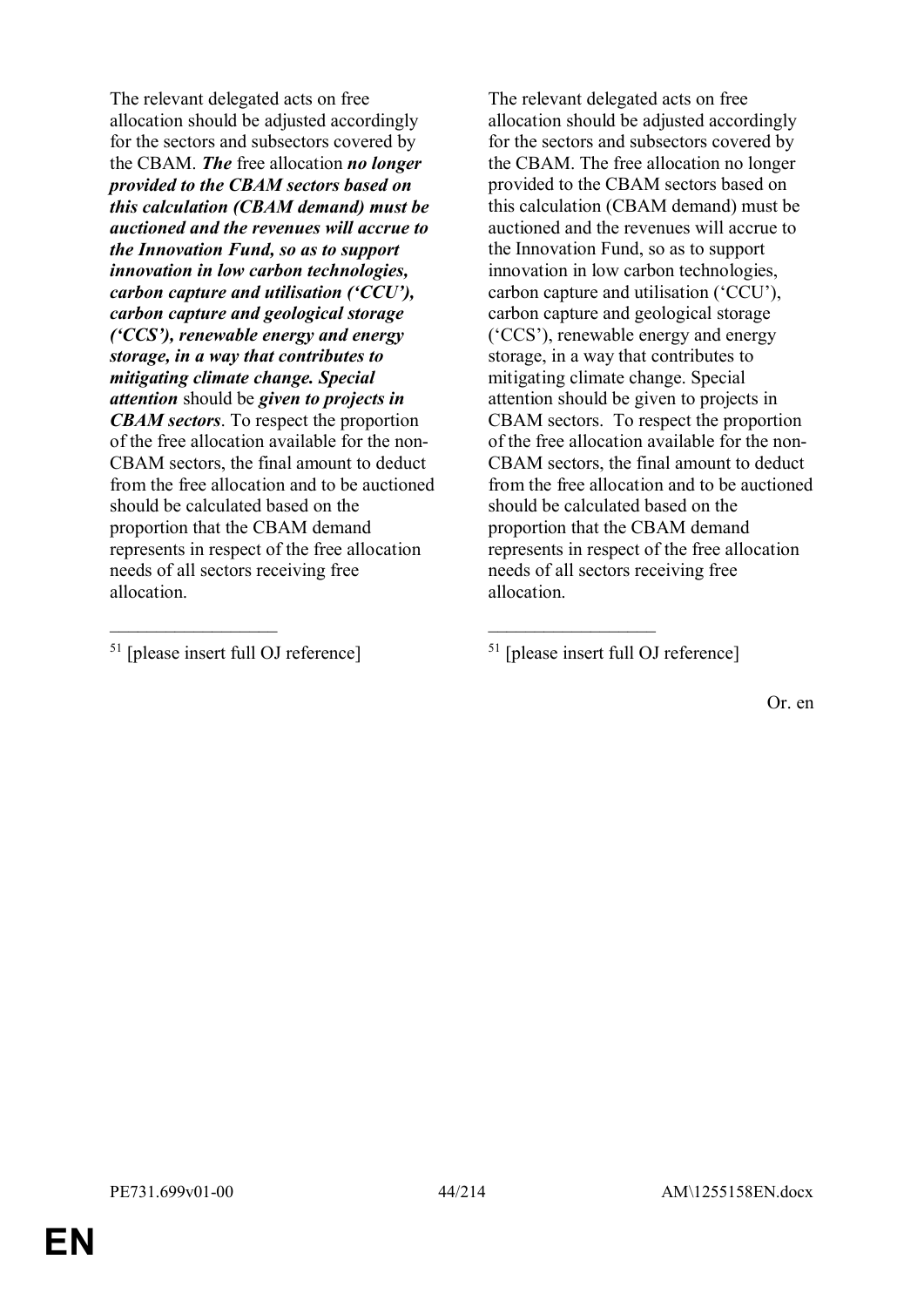The relevant delegated acts on free allocation should be adjusted accordingly for the sectors and subsectors covered by the CBAM. *The* free allocation *no longer provided to the CBAM sectors based on this calculation (CBAM demand) must be auctioned and the revenues will accrue to the Innovation Fund, so as to support innovation in low carbon technologies, carbon capture and utilisation ('CCU'), carbon capture and geological storage ('CCS'), renewable energy and energy storage, in a way that contributes to mitigating climate change. Special attention* should be *given to projects in CBAM sectors*. To respect the proportion of the free allocation available for the non-CBAM sectors, the final amount to deduct from the free allocation and to be auctioned should be calculated based on the proportion that the CBAM demand represents in respect of the free allocation needs of all sectors receiving free allocation.

The relevant delegated acts on free allocation should be adjusted accordingly for the sectors and subsectors covered by the CBAM. The free allocation no longer provided to the CBAM sectors based on this calculation (CBAM demand) must be auctioned and the revenues will accrue to the Innovation Fund, so as to support innovation in low carbon technologies, carbon capture and utilisation ('CCU'), carbon capture and geological storage ('CCS'), renewable energy and energy storage, in a way that contributes to mitigating climate change. Special attention should be given to projects in CBAM sectors. To respect the proportion of the free allocation available for the non-CBAM sectors, the final amount to deduct from the free allocation and to be auctioned should be calculated based on the proportion that the CBAM demand represents in respect of the free allocation needs of all sectors receiving free allocation.

 $<sup>51</sup>$  [please insert full OJ reference]  $<sup>51</sup>$  [please insert full OJ reference]</sup></sup>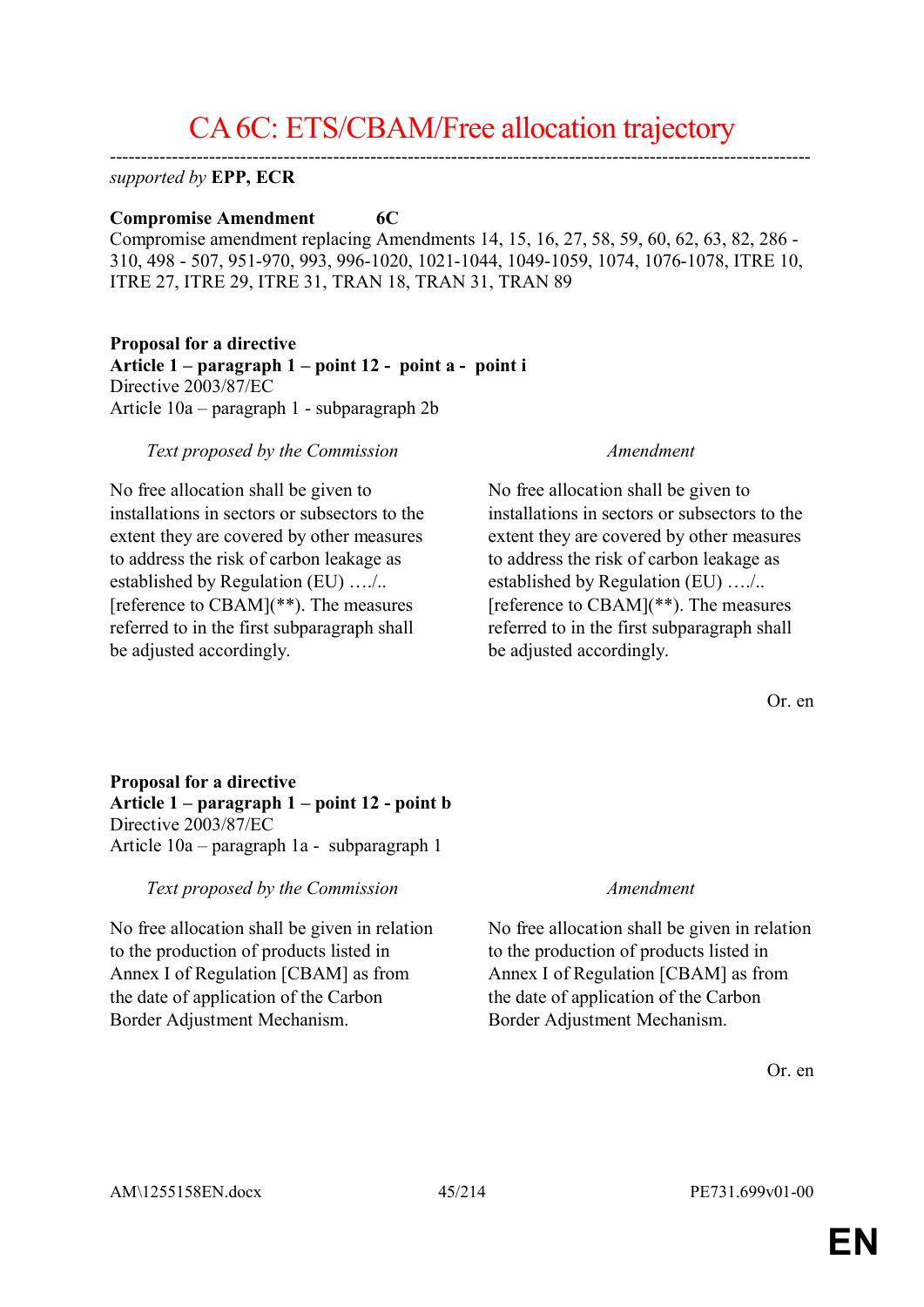*supported by* **EPP, ECR**

# **Compromise Amendment 6C**

Compromise amendment replacing Amendments 14, 15, 16, 27, 58, 59, 60, 62, 63, 82, 286 - 310, 498 - 507, 951-970, 993, 996-1020, 1021-1044, 1049-1059, 1074, 1076-1078, ITRE 10, ITRE 27, ITRE 29, ITRE 31, TRAN 18, TRAN 31, TRAN 89

**Proposal for a directive Article 1 – paragraph 1 – point 12 - point a - point i** Directive 2003/87/EC Article 10a – paragraph 1 - subparagraph 2b

*Text proposed by the Commission Amendment*

No free allocation shall be given to installations in sectors or subsectors to the extent they are covered by other measures to address the risk of carbon leakage as established by Regulation (EU) …./.. [reference to CBAM](\*\*). The measures referred to in the first subparagraph shall be adjusted accordingly.

No free allocation shall be given to installations in sectors or subsectors to the extent they are covered by other measures to address the risk of carbon leakage as established by Regulation (EU) …./.. [reference to CBAM](\*\*). The measures referred to in the first subparagraph shall be adjusted accordingly.

Or. en

**Proposal for a directive Article 1 – paragraph 1 – point 12 - point b** Directive 2003/87/EC Article 10a – paragraph 1a - subparagraph 1

*Text proposed by the Commission Amendment*

No free allocation shall be given in relation to the production of products listed in Annex I of Regulation [CBAM] as from the date of application of the Carbon Border Adjustment Mechanism.

No free allocation shall be given in relation to the production of products listed in Annex I of Regulation [CBAM] as from the date of application of the Carbon Border Adjustment Mechanism.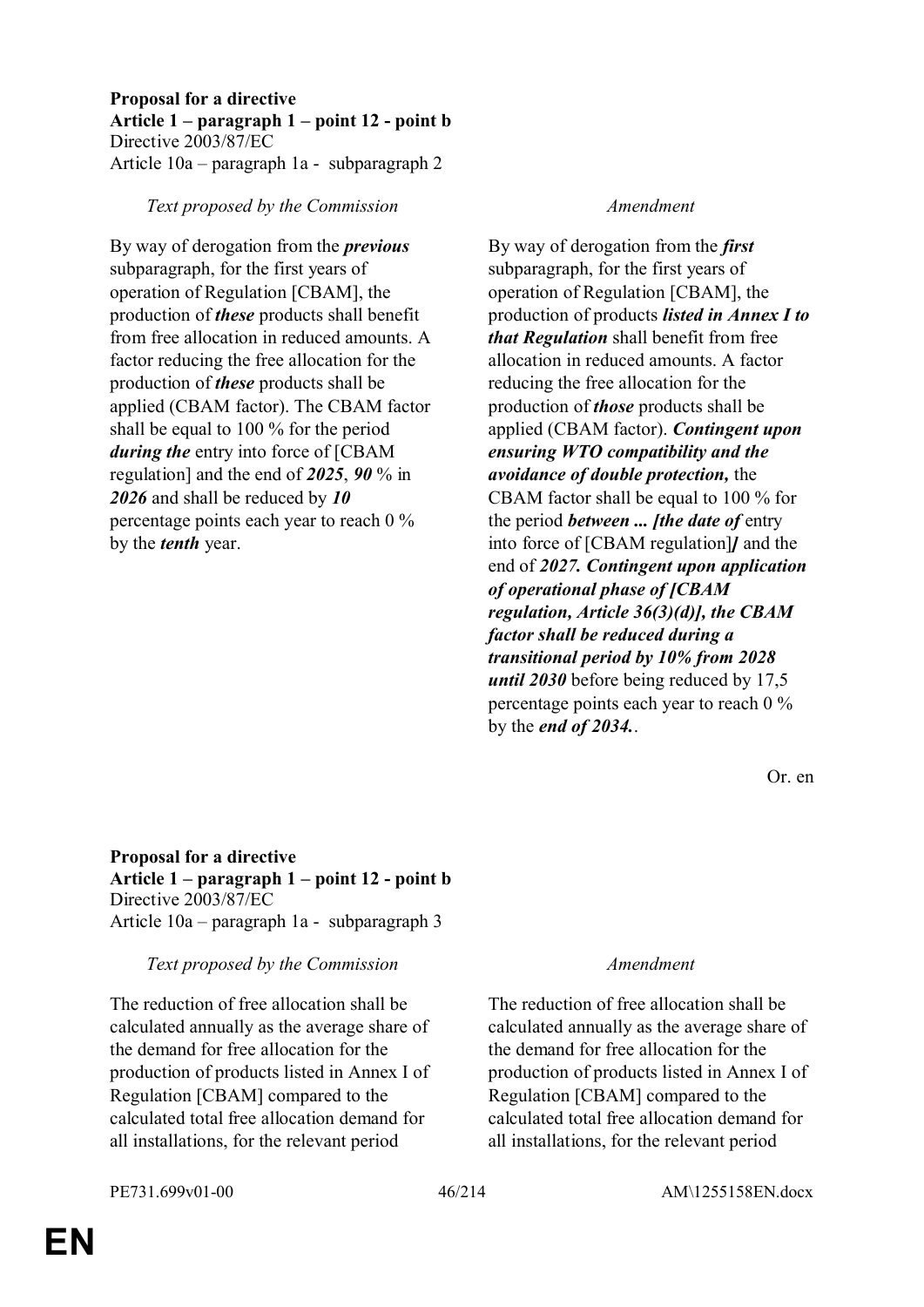# **Proposal for a directive Article 1 – paragraph 1 – point 12 - point b** Directive 2003/87/EC Article 10a – paragraph 1a - subparagraph 2

# *Text proposed by the Commission Amendment*

By way of derogation from the *previous* subparagraph, for the first years of operation of Regulation [CBAM], the production of *these* products shall benefit from free allocation in reduced amounts. A factor reducing the free allocation for the production of *these* products shall be applied (CBAM factor). The CBAM factor shall be equal to 100 % for the period *during the* entry into force of [CBAM regulation] and the end of *2025*, *90* % in *2026* and shall be reduced by *10* percentage points each year to reach 0 % by the *tenth* year.

By way of derogation from the *first* subparagraph, for the first years of operation of Regulation [CBAM], the production of products *listed in Annex I to that Regulation* shall benefit from free allocation in reduced amounts. A factor reducing the free allocation for the production of *those* products shall be applied (CBAM factor). *Contingent upon ensuring WTO compatibility and the avoidance of double protection,* the CBAM factor shall be equal to 100 % for the period *between ... [the date of* entry into force of [CBAM regulation]*]* and the end of *2027. Contingent upon application of operational phase of [CBAM regulation, Article 36(3)(d)], the CBAM factor shall be reduced during a transitional period by 10% from 2028 until 2030* before being reduced by 17,5 percentage points each year to reach 0 % by the *end of 2034.*.

Or. en

**Proposal for a directive Article 1 – paragraph 1 – point 12 - point b** Directive 2003/87/EC Article 10a – paragraph 1a - subparagraph 3

### *Text proposed by the Commission Amendment*

The reduction of free allocation shall be calculated annually as the average share of the demand for free allocation for the production of products listed in Annex I of Regulation [CBAM] compared to the calculated total free allocation demand for all installations, for the relevant period

The reduction of free allocation shall be calculated annually as the average share of the demand for free allocation for the production of products listed in Annex I of Regulation [CBAM] compared to the calculated total free allocation demand for all installations, for the relevant period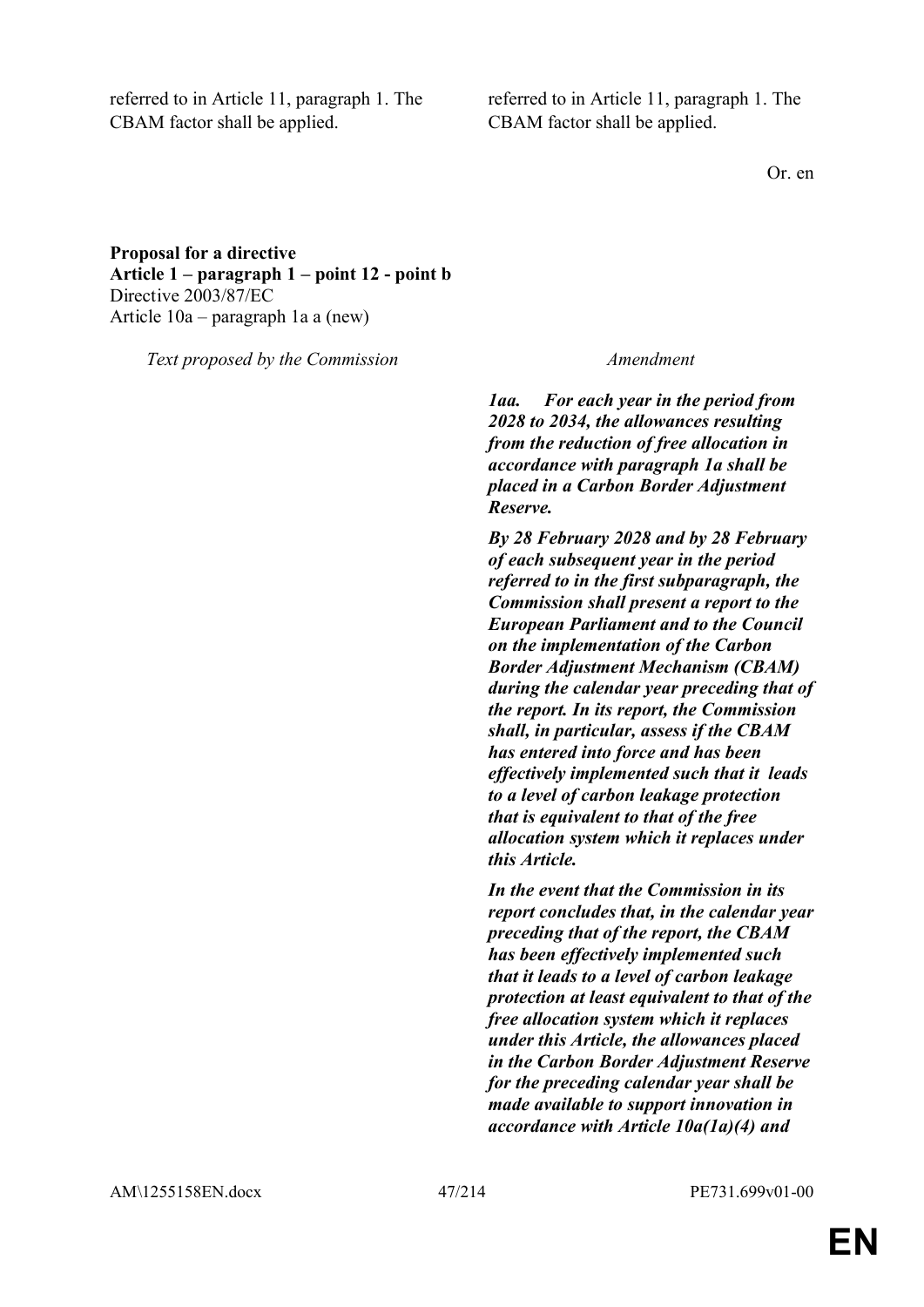referred to in Article 11, paragraph 1. The CBAM factor shall be applied.

referred to in Article 11, paragraph 1. The CBAM factor shall be applied.

Or. en

**Proposal for a directive Article 1 – paragraph 1 – point 12 - point b** Directive 2003/87/EC Article 10a – paragraph 1a a (new)

*Text proposed by the Commission Amendment*

*1aa. For each year in the period from 2028 to 2034, the allowances resulting from the reduction of free allocation in accordance with paragraph 1a shall be placed in a Carbon Border Adjustment Reserve.* 

*By 28 February 2028 and by 28 February of each subsequent year in the period referred to in the first subparagraph, the Commission shall present a report to the European Parliament and to the Council on the implementation of the Carbon Border Adjustment Mechanism (CBAM) during the calendar year preceding that of the report. In its report, the Commission shall, in particular, assess if the CBAM has entered into force and has been effectively implemented such that it leads to a level of carbon leakage protection that is equivalent to that of the free allocation system which it replaces under this Article.* 

*In the event that the Commission in its report concludes that, in the calendar year preceding that of the report, the CBAM has been effectively implemented such that it leads to a level of carbon leakage protection at least equivalent to that of the free allocation system which it replaces under this Article, the allowances placed in the Carbon Border Adjustment Reserve for the preceding calendar year shall be made available to support innovation in accordance with Article 10a(1a)(4) and* 

AM\1255158EN.docx 47/214 PE731.699v01-00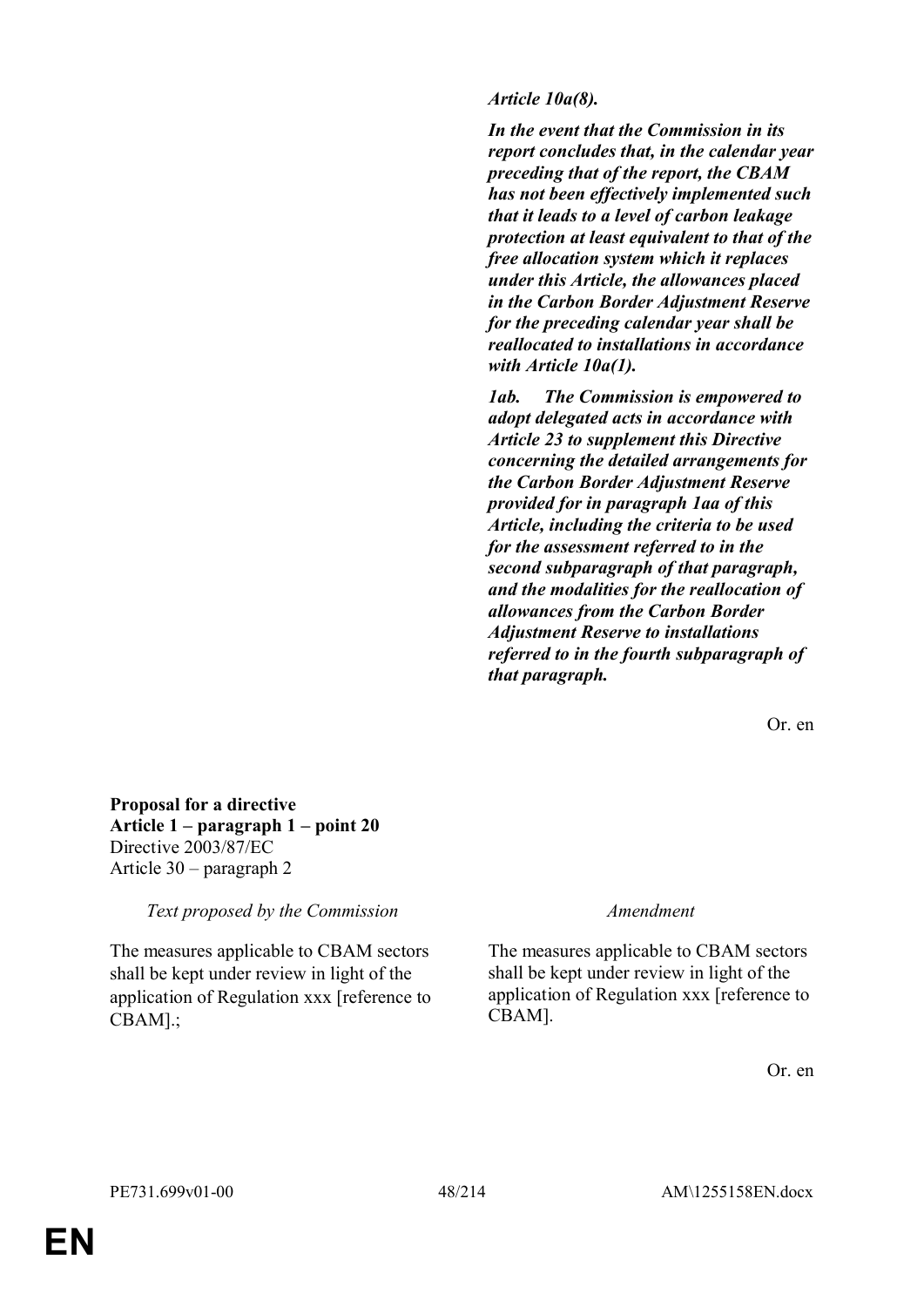# *Article 10a(8).*

*In the event that the Commission in its report concludes that, in the calendar year preceding that of the report, the CBAM has not been effectively implemented such that it leads to a level of carbon leakage protection at least equivalent to that of the free allocation system which it replaces under this Article, the allowances placed in the Carbon Border Adjustment Reserve for the preceding calendar year shall be reallocated to installations in accordance with Article 10a(1).*

*1ab. The Commission is empowered to adopt delegated acts in accordance with Article 23 to supplement this Directive concerning the detailed arrangements for the Carbon Border Adjustment Reserve provided for in paragraph 1aa of this Article, including the criteria to be used for the assessment referred to in the second subparagraph of that paragraph, and the modalities for the reallocation of allowances from the Carbon Border Adjustment Reserve to installations referred to in the fourth subparagraph of that paragraph.*

Or. en

**Proposal for a directive Article 1 – paragraph 1 – point 20** Directive 2003/87/EC Article 30 – paragraph 2

*Text proposed by the Commission Amendment*

The measures applicable to CBAM sectors shall be kept under review in light of the application of Regulation xxx [reference to CBAM].;

The measures applicable to CBAM sectors shall be kept under review in light of the application of Regulation xxx [reference to CBAM].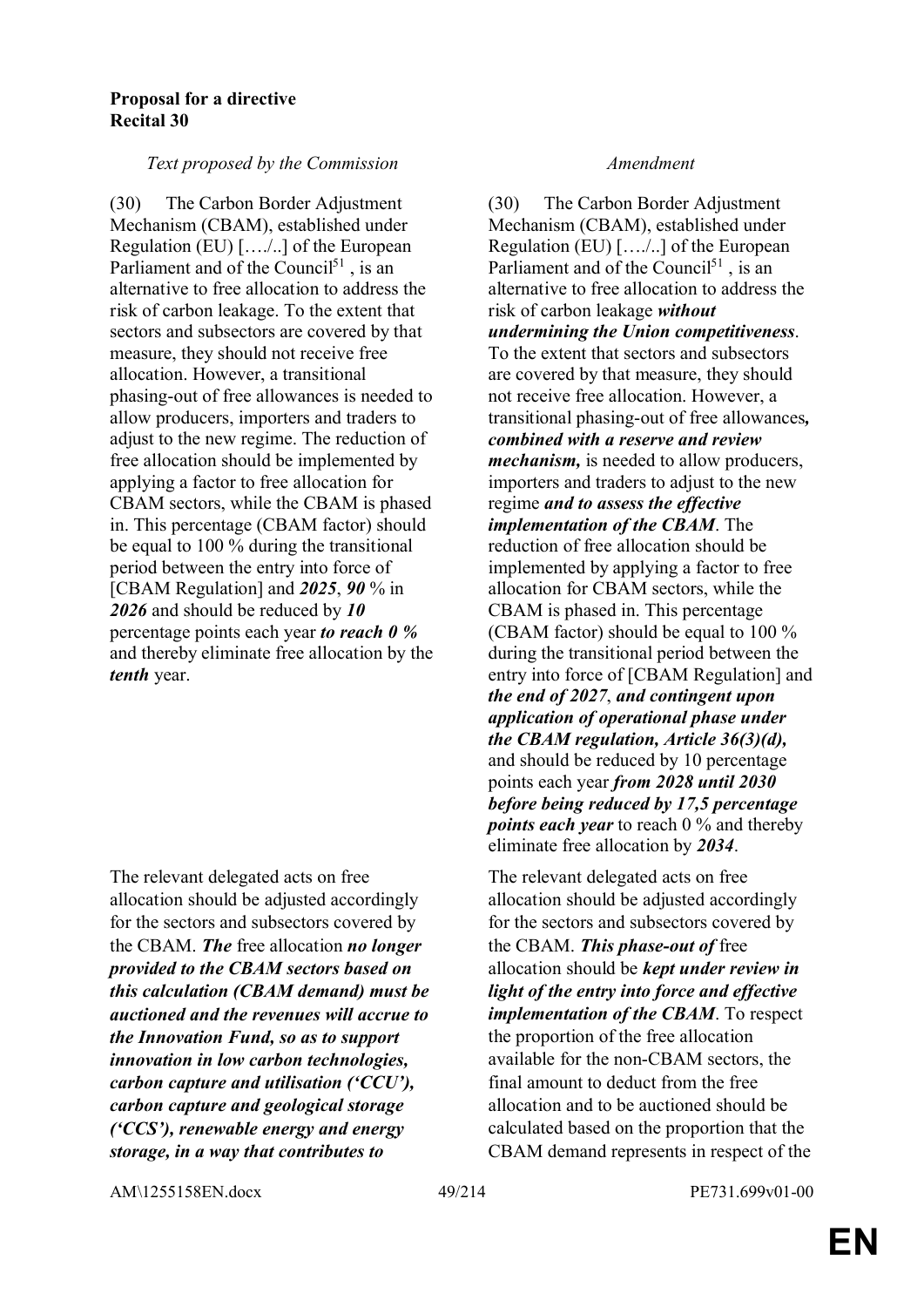# **Proposal for a directive Recital 30**

# *Text proposed by the Commission Amendment*

(30) The Carbon Border Adjustment Mechanism (CBAM), established under Regulation (EU) […./..] of the European Parliament and of the Council<sup>51</sup>, is an alternative to free allocation to address the risk of carbon leakage. To the extent that sectors and subsectors are covered by that measure, they should not receive free allocation. However, a transitional phasing-out of free allowances is needed to allow producers, importers and traders to adjust to the new regime. The reduction of free allocation should be implemented by applying a factor to free allocation for CBAM sectors, while the CBAM is phased in. This percentage (CBAM factor) should be equal to 100 % during the transitional period between the entry into force of [CBAM Regulation] and *2025*, *90* % in *2026* and should be reduced by *10* percentage points each year *to reach 0 %* and thereby eliminate free allocation by the *tenth* year.

The relevant delegated acts on free allocation should be adjusted accordingly for the sectors and subsectors covered by the CBAM. *The* free allocation *no longer provided to the CBAM sectors based on this calculation (CBAM demand) must be auctioned and the revenues will accrue to the Innovation Fund, so as to support innovation in low carbon technologies, carbon capture and utilisation ('CCU'), carbon capture and geological storage ('CCS'), renewable energy and energy storage, in a way that contributes to* 

(30) The Carbon Border Adjustment Mechanism (CBAM), established under Regulation (EU) […./..] of the European Parliament and of the Council<sup>51</sup>, is an alternative to free allocation to address the risk of carbon leakage *without undermining the Union competitiveness*. To the extent that sectors and subsectors are covered by that measure, they should not receive free allocation. However, a transitional phasing-out of free allowances*, combined with a reserve and review mechanism,* is needed to allow producers, importers and traders to adjust to the new regime *and to assess the effective implementation of the CBAM*. The reduction of free allocation should be implemented by applying a factor to free allocation for CBAM sectors, while the CBAM is phased in. This percentage (CBAM factor) should be equal to 100 % during the transitional period between the entry into force of [CBAM Regulation] and *the end of 2027*, *and contingent upon application of operational phase under the CBAM regulation, Article 36(3)(d),*  and should be reduced by 10 percentage points each year *from 2028 until 2030 before being reduced by 17,5 percentage points each year* to reach 0 % and thereby eliminate free allocation by *2034*.

The relevant delegated acts on free allocation should be adjusted accordingly for the sectors and subsectors covered by the CBAM. *This phase-out of* free allocation should be *kept under review in light of the entry into force and effective implementation of the CBAM*. To respect the proportion of the free allocation available for the non-CBAM sectors, the final amount to deduct from the free allocation and to be auctioned should be calculated based on the proportion that the CBAM demand represents in respect of the

AM\1255158EN.docx 49/214 PE731.699v01-00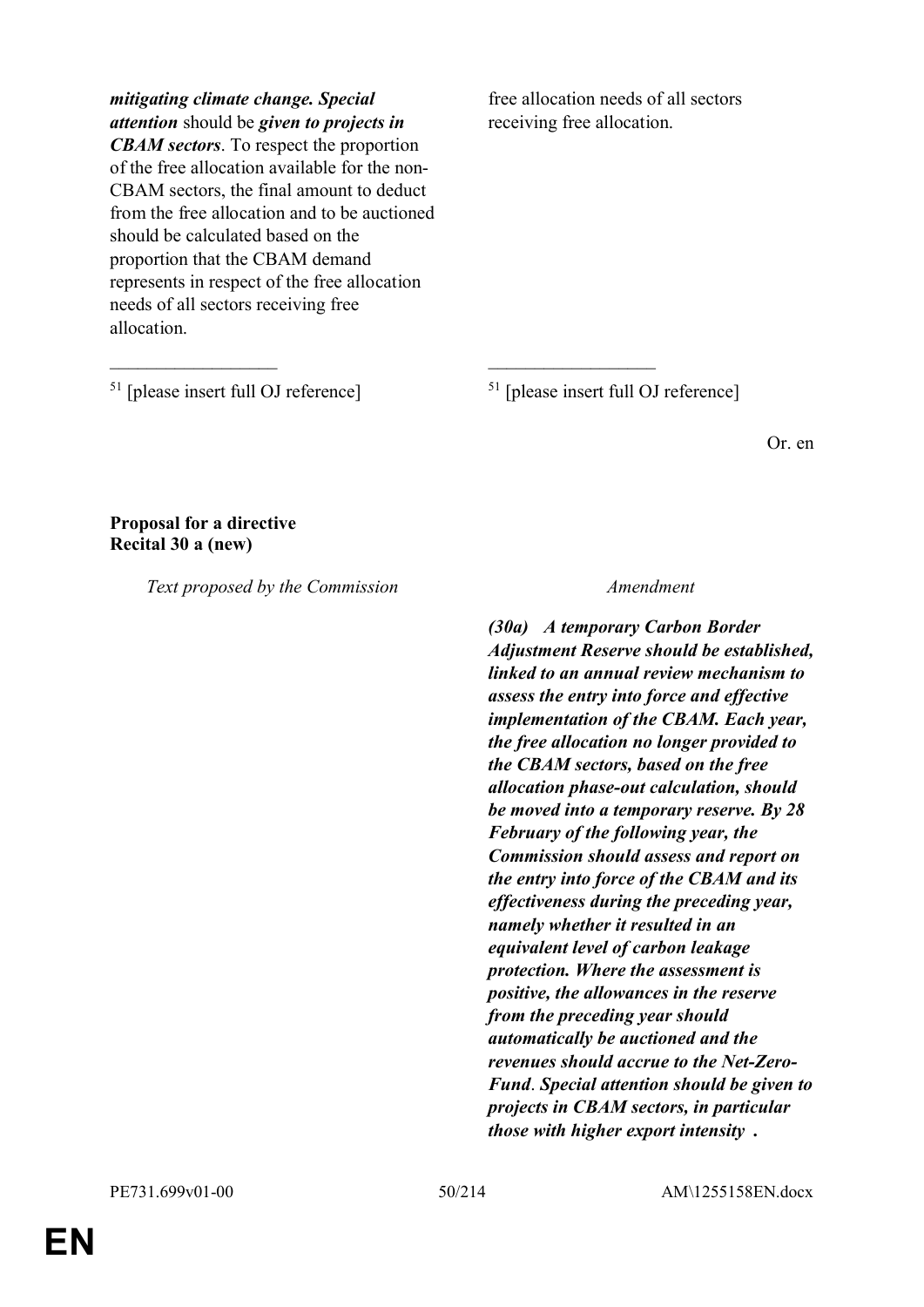*mitigating climate change. Special attention* should be *given to projects in CBAM sectors*. To respect the proportion of the free allocation available for the non-CBAM sectors, the final amount to deduct from the free allocation and to be auctioned should be calculated based on the proportion that the CBAM demand represents in respect of the free allocation needs of all sectors receiving free allocation.

 $\mathcal{L}_\mathcal{L}$  , and the contribution of the contribution of  $\mathcal{L}_\mathcal{L}$ 

 $<sup>51</sup>$  [please insert full OJ reference]  $<sup>51</sup>$  [please insert full OJ reference]</sup></sup>

free allocation needs of all sectors receiving free allocation.

Or. en

# **Proposal for a directive Recital 30 a (new)**

*Text proposed by the Commission Amendment*

*(30a) A temporary Carbon Border Adjustment Reserve should be established, linked to an annual review mechanism to assess the entry into force and effective implementation of the CBAM. Each year, the free allocation no longer provided to the CBAM sectors, based on the free allocation phase-out calculation, should be moved into a temporary reserve. By 28 February of the following year, the Commission should assess and report on the entry into force of the CBAM and its effectiveness during the preceding year, namely whether it resulted in an equivalent level of carbon leakage protection. Where the assessment is positive, the allowances in the reserve from the preceding year should automatically be auctioned and the revenues should accrue to the Net-Zero-Fund*. *Special attention should be given to projects in CBAM sectors, in particular those with higher export intensity .*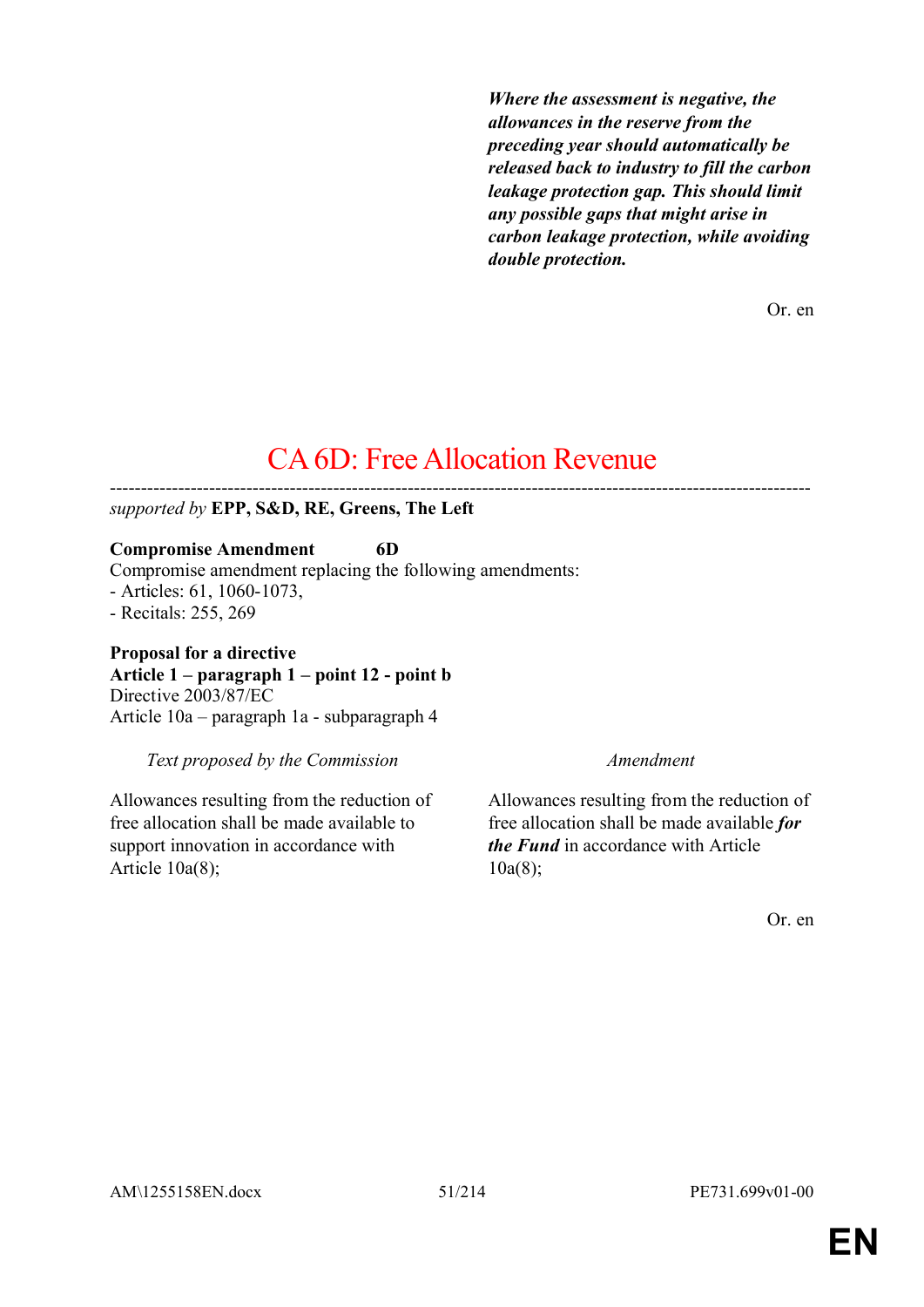*Where the assessment is negative, the allowances in the reserve from the preceding year should automatically be released back to industry to fill the carbon leakage protection gap. This should limit any possible gaps that might arise in carbon leakage protection, while avoiding double protection.*

Or. en

# CA 6D: Free Allocation Revenue -----------------------------------------------------------------------------------------------------------------

## *supported by* **EPP, S&D, RE, Greens, The Left**

### **Compromise Amendment 6D**

Compromise amendment replacing the following amendments: - Articles: 61, 1060-1073, - Recitals: 255, 269

### **Proposal for a directive**

**Article 1 – paragraph 1 – point 12 - point b** Directive 2003/87/EC Article 10a – paragraph 1a - subparagraph 4

*Text proposed by the Commission Amendment*

Allowances resulting from the reduction of free allocation shall be made available to support innovation in accordance with Article 10a(8);

Allowances resulting from the reduction of free allocation shall be made available *for the Fund* in accordance with Article 10a(8);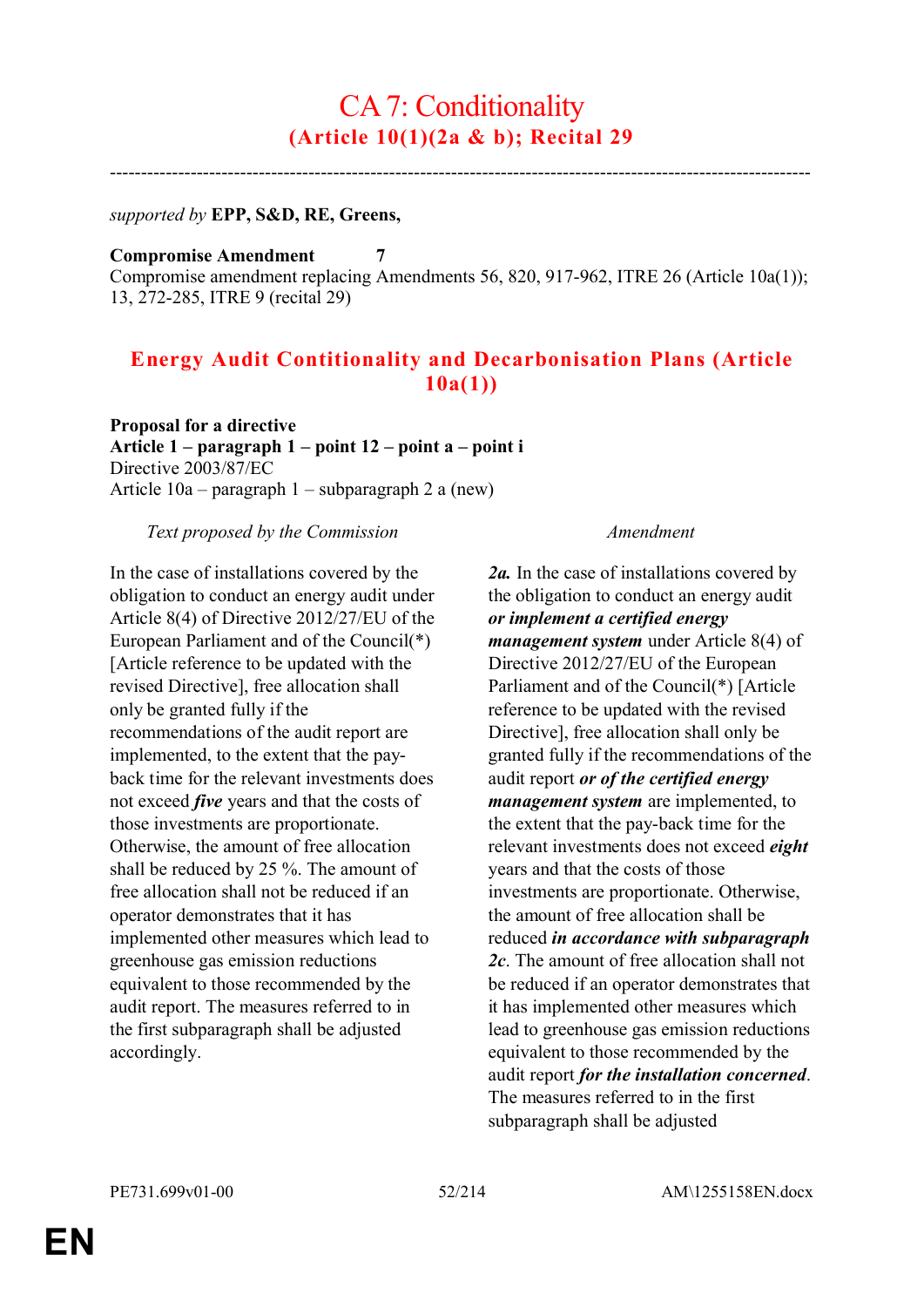# CA 7: Conditionality **(Article 10(1)(2a & b); Recital 29**

-----------------------------------------------------------------------------------------------------------------

*supported by* **EPP, S&D, RE, Greens,** 

**Compromise Amendment 7** Compromise amendment replacing Amendments 56, 820, 917-962, ITRE 26 (Article 10a(1)); 13, 272-285, ITRE 9 (recital 29)

# **Energy Audit Contitionality and Decarbonisation Plans (Article 10a(1))**

**Proposal for a directive Article 1 – paragraph 1 – point 12 – point a – point i** Directive 2003/87/EC Article 10a – paragraph 1 – subparagraph 2 a (new)

### *Text proposed by the Commission Amendment*

In the case of installations covered by the obligation to conduct an energy audit under Article 8(4) of Directive 2012/27/EU of the European Parliament and of the Council(\*) [Article reference to be updated with the revised Directive], free allocation shall only be granted fully if the recommendations of the audit report are implemented, to the extent that the payback time for the relevant investments does not exceed *five* years and that the costs of those investments are proportionate. Otherwise, the amount of free allocation shall be reduced by 25 %. The amount of free allocation shall not be reduced if an operator demonstrates that it has implemented other measures which lead to greenhouse gas emission reductions equivalent to those recommended by the audit report. The measures referred to in the first subparagraph shall be adjusted accordingly.

*2a.* In the case of installations covered by the obligation to conduct an energy audit *or implement a certified energy management system* under Article 8(4) of Directive 2012/27/EU of the European Parliament and of the Council(\*) [Article reference to be updated with the revised Directive], free allocation shall only be granted fully if the recommendations of the audit report *or of the certified energy management system* are implemented, to the extent that the pay-back time for the relevant investments does not exceed *eight* years and that the costs of those investments are proportionate. Otherwise, the amount of free allocation shall be reduced *in accordance with subparagraph 2c*. The amount of free allocation shall not be reduced if an operator demonstrates that it has implemented other measures which lead to greenhouse gas emission reductions equivalent to those recommended by the audit report *for the installation concerned*. The measures referred to in the first subparagraph shall be adjusted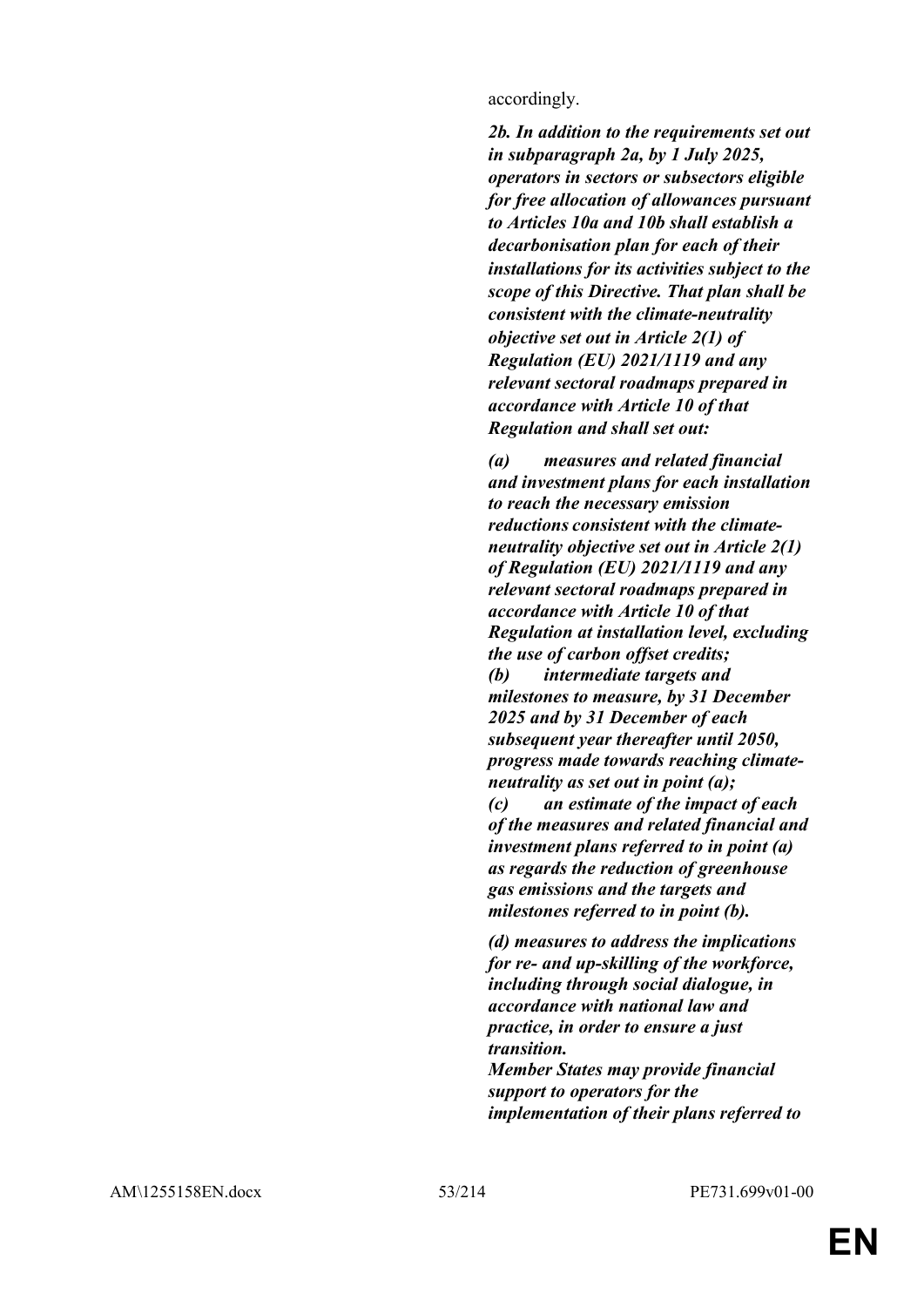accordingly.

*2b. In addition to the requirements set out in subparagraph 2a, by 1 July 2025, operators in sectors or subsectors eligible for free allocation of allowances pursuant to Articles 10a and 10b shall establish a decarbonisation plan for each of their installations for its activities subject to the scope of this Directive. That plan shall be consistent with the climate-neutrality objective set out in Article 2(1) of Regulation (EU) 2021/1119 and any relevant sectoral roadmaps prepared in accordance with Article 10 of that Regulation and shall set out:*

*(a) measures and related financial and investment plans for each installation to reach the necessary emission reductions consistent with the climateneutrality objective set out in Article 2(1) of Regulation (EU) 2021/1119 and any relevant sectoral roadmaps prepared in accordance with Article 10 of that Regulation at installation level, excluding the use of carbon offset credits; (b) intermediate targets and milestones to measure, by 31 December 2025 and by 31 December of each subsequent year thereafter until 2050, progress made towards reaching climateneutrality as set out in point (a);*

*(c) an estimate of the impact of each of the measures and related financial and investment plans referred to in point (a) as regards the reduction of greenhouse gas emissions and the targets and milestones referred to in point (b).*

*(d) measures to address the implications for re- and up-skilling of the workforce, including through social dialogue, in accordance with national law and practice, in order to ensure a just transition.* 

*Member States may provide financial support to operators for the implementation of their plans referred to*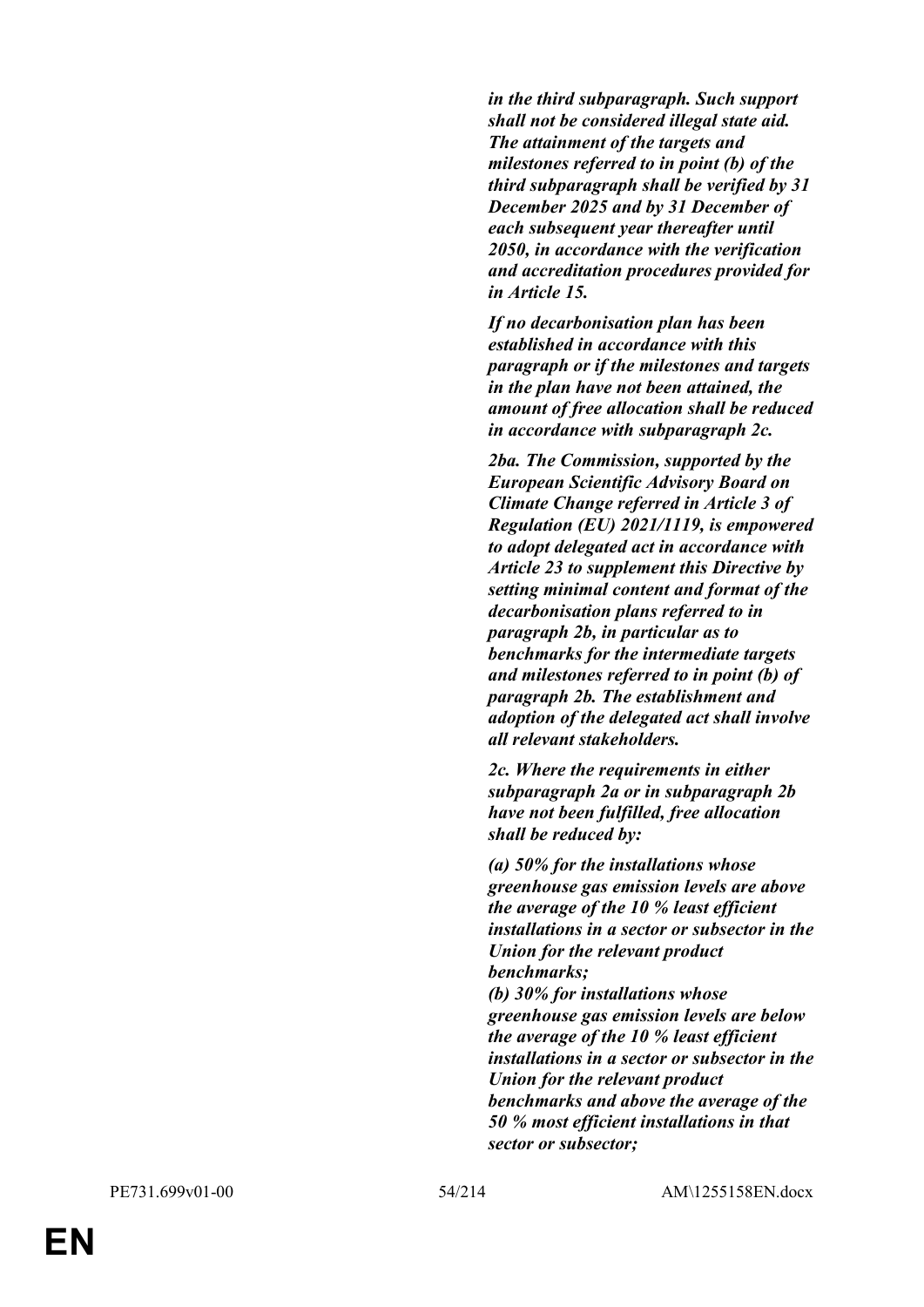*in the third subparagraph. Such support shall not be considered illegal state aid. The attainment of the targets and milestones referred to in point (b) of the third subparagraph shall be verified by 31 December 2025 and by 31 December of each subsequent year thereafter until 2050, in accordance with the verification and accreditation procedures provided for in Article 15.* 

*If no decarbonisation plan has been established in accordance with this paragraph or if the milestones and targets in the plan have not been attained, the amount of free allocation shall be reduced in accordance with subparagraph 2c.*

*2ba. The Commission, supported by the European Scientific Advisory Board on Climate Change referred in Article 3 of Regulation (EU) 2021/1119, is empowered to adopt delegated act in accordance with Article 23 to supplement this Directive by setting minimal content and format of the decarbonisation plans referred to in paragraph 2b, in particular as to benchmarks for the intermediate targets and milestones referred to in point (b) of paragraph 2b. The establishment and adoption of the delegated act shall involve all relevant stakeholders.*

*2c. Where the requirements in either subparagraph 2a or in subparagraph 2b have not been fulfilled, free allocation shall be reduced by:*

*(a) 50% for the installations whose greenhouse gas emission levels are above the average of the 10 % least efficient installations in a sector or subsector in the Union for the relevant product benchmarks;*

*(b) 30% for installations whose greenhouse gas emission levels are below the average of the 10 % least efficient installations in a sector or subsector in the Union for the relevant product benchmarks and above the average of the 50 % most efficient installations in that sector or subsector;*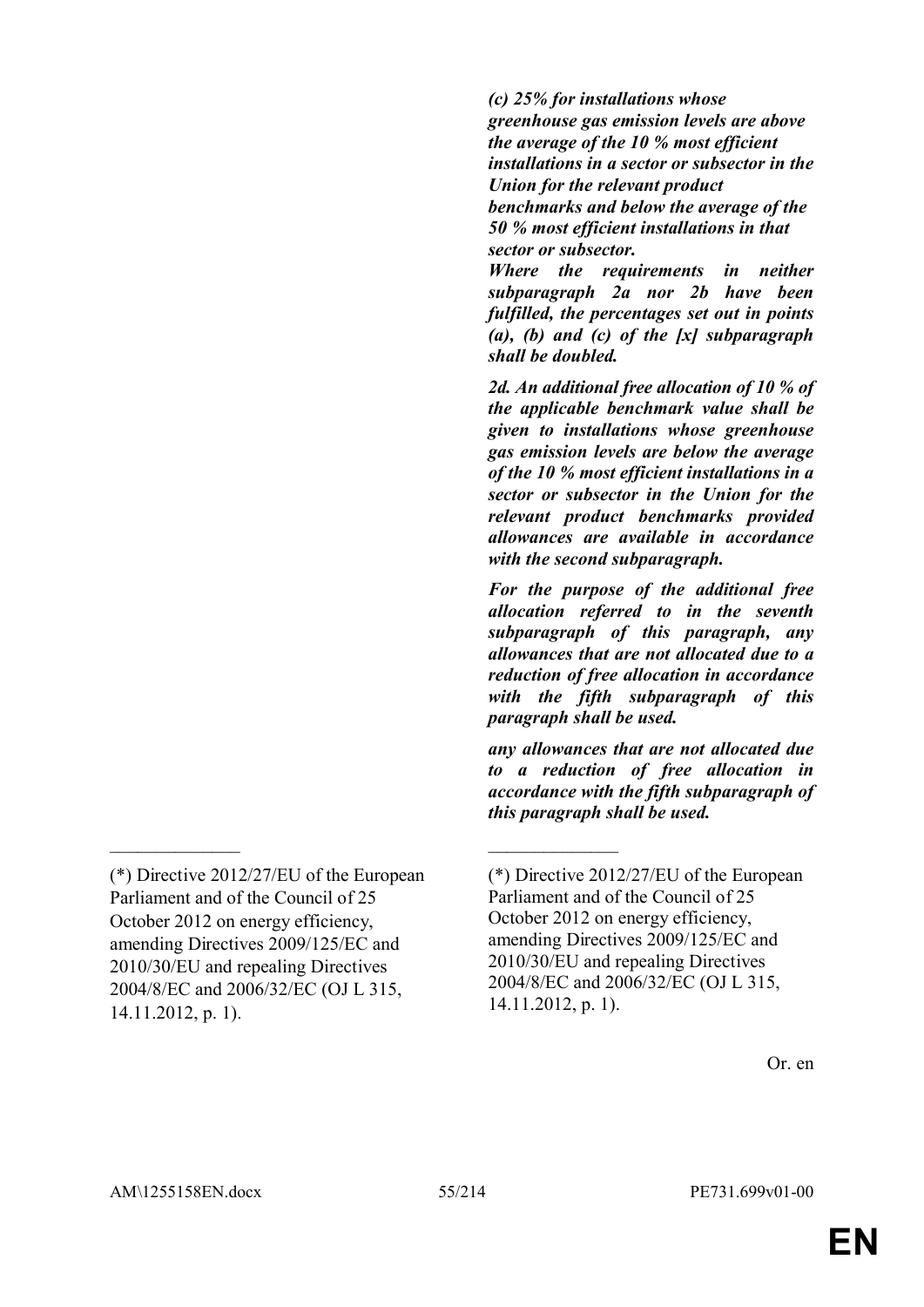*(c) 25% for installations whose* 

*greenhouse gas emission levels are above the average of the 10 % most efficient installations in a sector or subsector in the Union for the relevant product benchmarks and below the average of the 50 % most efficient installations in that sector or subsector.*

*Where the requirements in neither subparagraph 2a nor 2b have been fulfilled, the percentages set out in points (a), (b) and (c) of the [x] subparagraph shall be doubled.* 

*2d. An additional free allocation of 10 % of the applicable benchmark value shall be given to installations whose greenhouse gas emission levels are below the average of the 10 % most efficient installations in a sector or subsector in the Union for the relevant product benchmarks provided allowances are available in accordance with the second subparagraph.*

*For the purpose of the additional free allocation referred to in the seventh subparagraph of this paragraph, any allowances that are not allocated due to a reduction of free allocation in accordance with the fifth subparagraph of this paragraph shall be used.*

*any allowances that are not allocated due to a reduction of free allocation in accordance with the fifth subparagraph of this paragraph shall be used.*

<sup>(\*)</sup> Directive 2012/27/EU of the European Parliament and of the Council of 25 October 2012 on energy efficiency, amending Directives 2009/125/EC and 2010/30/EU and repealing Directives 2004/8/EC and 2006/32/EC (OJ L 315, 14.11.2012, p. 1).

<sup>(\*)</sup> Directive 2012/27/EU of the European Parliament and of the Council of 25 October 2012 on energy efficiency, amending Directives 2009/125/EC and 2010/30/EU and repealing Directives 2004/8/EC and 2006/32/EC (OJ L 315, 14.11.2012, p. 1).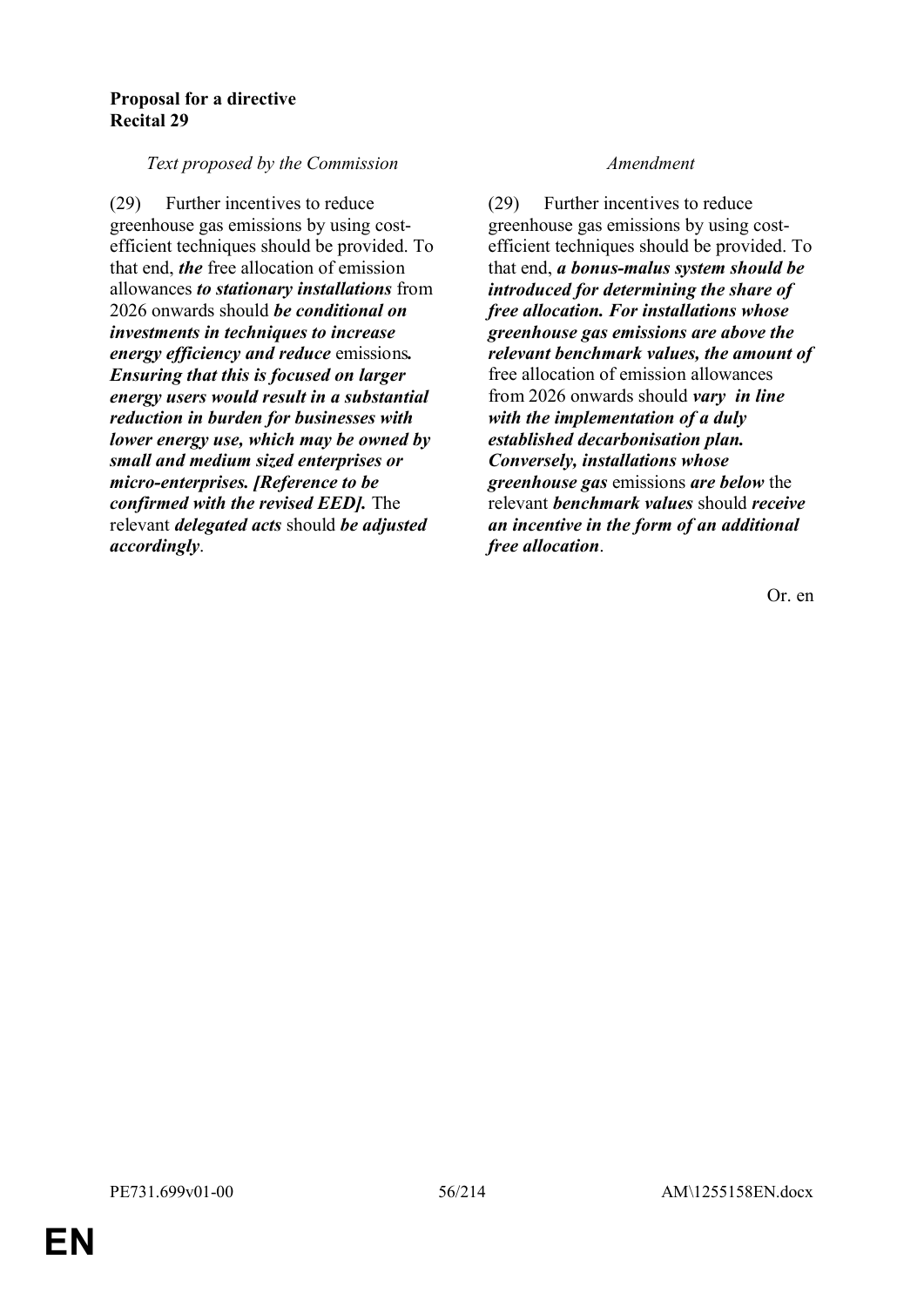# **Proposal for a directive Recital 29**

# *Text proposed by the Commission Amendment*

(29) Further incentives to reduce greenhouse gas emissions by using costefficient techniques should be provided. To that end, *the* free allocation of emission allowances *to stationary installations* from 2026 onwards should *be conditional on investments in techniques to increase energy efficiency and reduce* emissions*. Ensuring that this is focused on larger energy users would result in a substantial reduction in burden for businesses with lower energy use, which may be owned by small and medium sized enterprises or micro-enterprises. [Reference to be confirmed with the revised EED].* The relevant *delegated acts* should *be adjusted accordingly*.

(29) Further incentives to reduce greenhouse gas emissions by using costefficient techniques should be provided. To that end, *a bonus-malus system should be introduced for determining the share of free allocation. For installations whose greenhouse gas emissions are above the relevant benchmark values, the amount of* free allocation of emission allowances from 2026 onwards should *vary in line with the implementation of a duly established decarbonisation plan. Conversely, installations whose greenhouse gas* emissions *are below* the relevant *benchmark values* should *receive an incentive in the form of an additional free allocation*.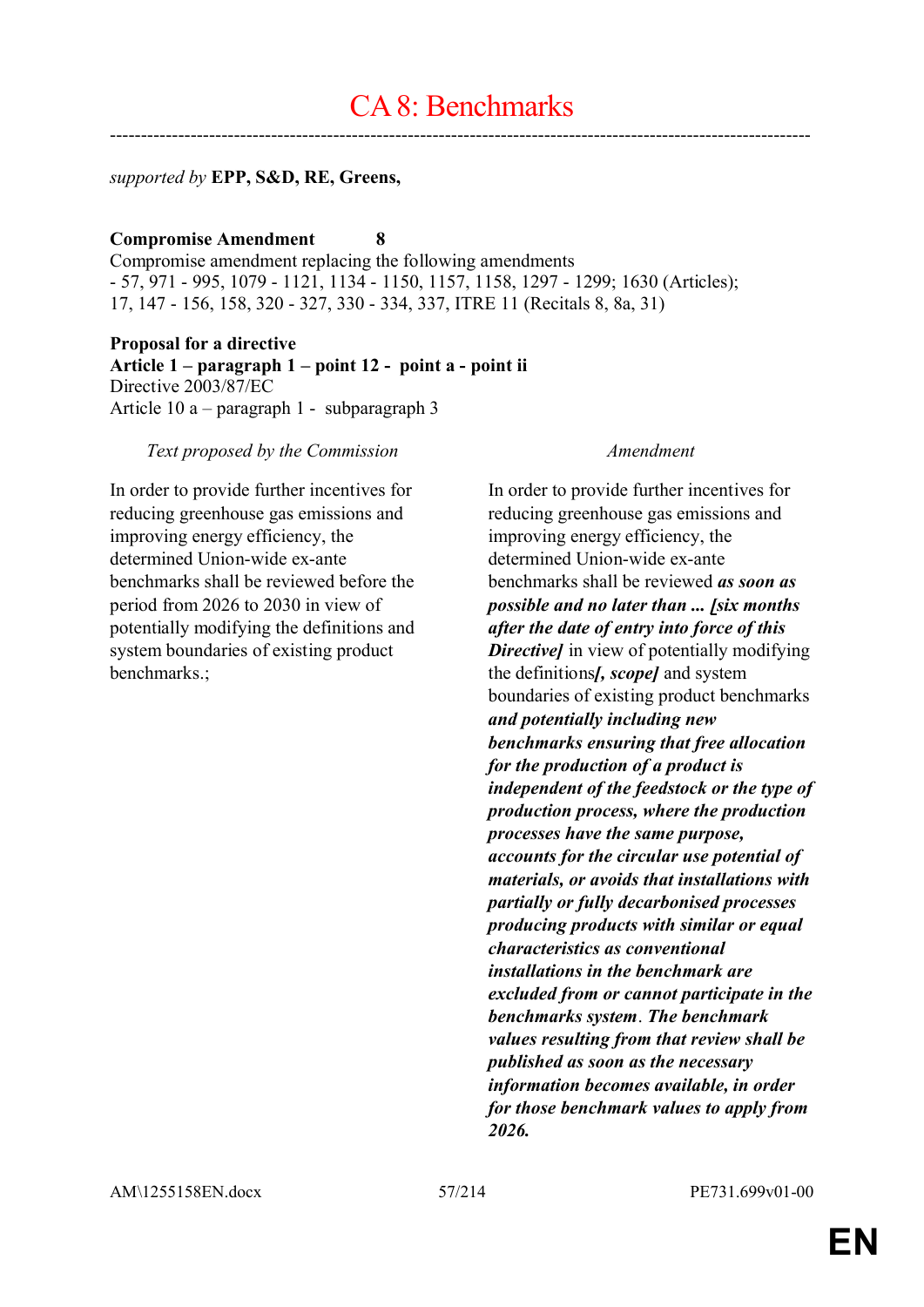*supported by* **EPP, S&D, RE, Greens,** 

### **Compromise Amendment 8**

Compromise amendment replacing the following amendments - 57, 971 - 995, 1079 - 1121, 1134 - 1150, 1157, 1158, 1297 - 1299; 1630 (Articles); 17, 147 - 156, 158, 320 - 327, 330 - 334, 337, ITRE 11 (Recitals 8, 8a, 31)

**Proposal for a directive Article 1 – paragraph 1 – point 12 - point a - point ii** Directive 2003/87/EC Article 10 a – paragraph 1 - subparagraph 3

*Text proposed by the Commission Amendment*

In order to provide further incentives for reducing greenhouse gas emissions and improving energy efficiency, the determined Union-wide ex-ante benchmarks shall be reviewed before the period from 2026 to 2030 in view of potentially modifying the definitions and system boundaries of existing product benchmarks.;

In order to provide further incentives for reducing greenhouse gas emissions and improving energy efficiency, the determined Union-wide ex-ante benchmarks shall be reviewed *as soon as possible and no later than ... [six months after the date of entry into force of this Directive]* in view of potentially modifying the definitions*[, scope]* and system boundaries of existing product benchmarks *and potentially including new benchmarks ensuring that free allocation for the production of a product is independent of the feedstock or the type of production process, where the production processes have the same purpose, accounts for the circular use potential of materials, or avoids that installations with partially or fully decarbonised processes producing products with similar or equal characteristics as conventional installations in the benchmark are excluded from or cannot participate in the benchmarks system*. *The benchmark values resulting from that review shall be published as soon as the necessary information becomes available, in order for those benchmark values to apply from 2026.*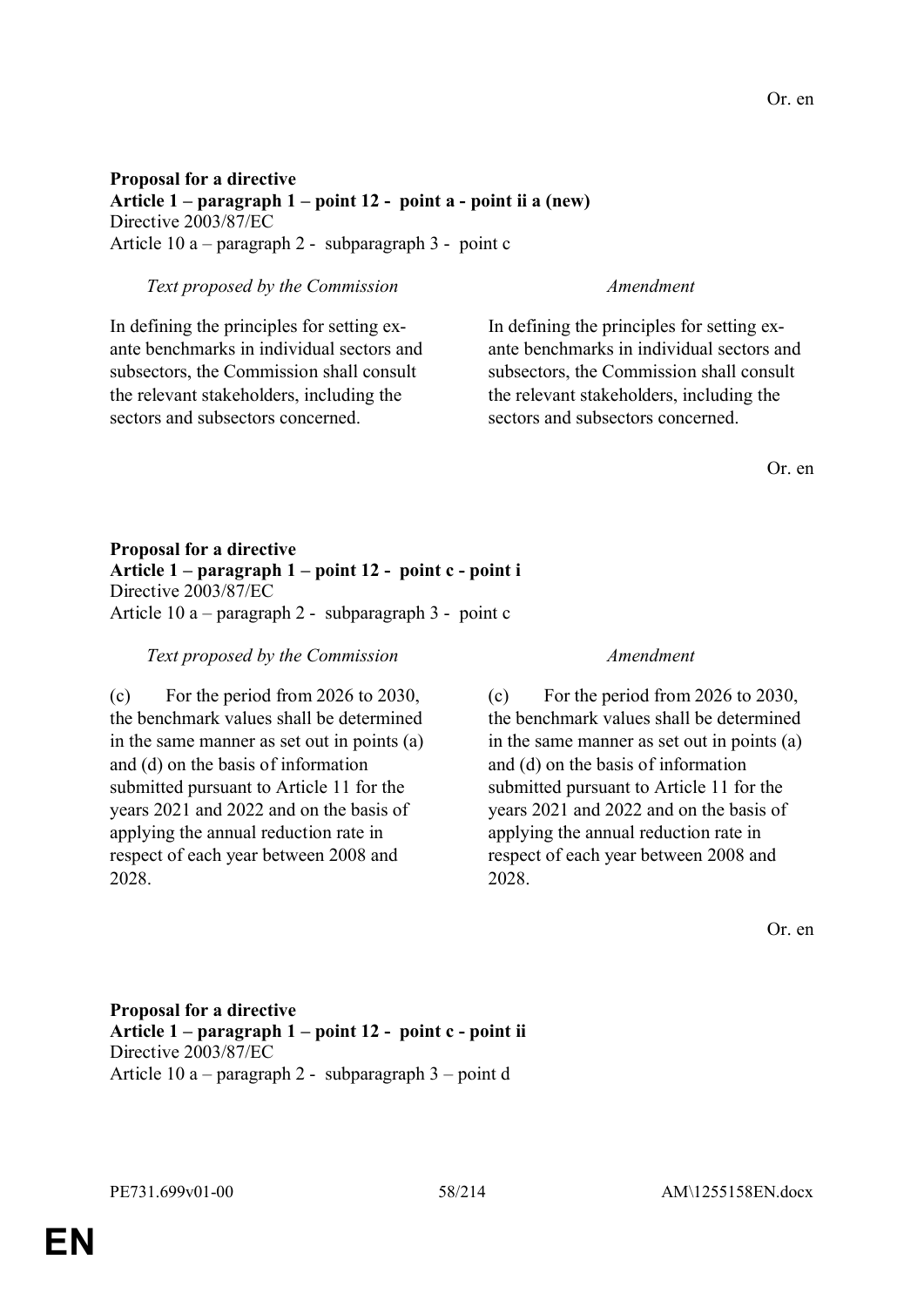**Proposal for a directive Article 1 – paragraph 1 – point 12 - point a - point ii a (new)** Directive 2003/87/EC Article 10 a – paragraph 2 - subparagraph 3 - point c

### *Text proposed by the Commission Amendment*

In defining the principles for setting exante benchmarks in individual sectors and subsectors, the Commission shall consult the relevant stakeholders, including the sectors and subsectors concerned.

In defining the principles for setting exante benchmarks in individual sectors and subsectors, the Commission shall consult the relevant stakeholders, including the sectors and subsectors concerned.

Or. en

**Proposal for a directive Article 1 – paragraph 1 – point 12 - point c - point i** Directive 2003/87/EC Article 10 a – paragraph 2 - subparagraph 3 - point c

*Text proposed by the Commission Amendment*

(c) For the period from 2026 to 2030, the benchmark values shall be determined in the same manner as set out in points (a) and (d) on the basis of information submitted pursuant to Article 11 for the years 2021 and 2022 and on the basis of applying the annual reduction rate in respect of each year between 2008 and 2028.

(c) For the period from 2026 to 2030, the benchmark values shall be determined in the same manner as set out in points (a) and (d) on the basis of information submitted pursuant to Article 11 for the years 2021 and 2022 and on the basis of applying the annual reduction rate in respect of each year between 2008 and 2028.

Or. en

# **Proposal for a directive Article 1 – paragraph 1 – point 12 - point c - point ii** Directive 2003/87/EC Article 10 a – paragraph 2 - subparagraph 3 – point d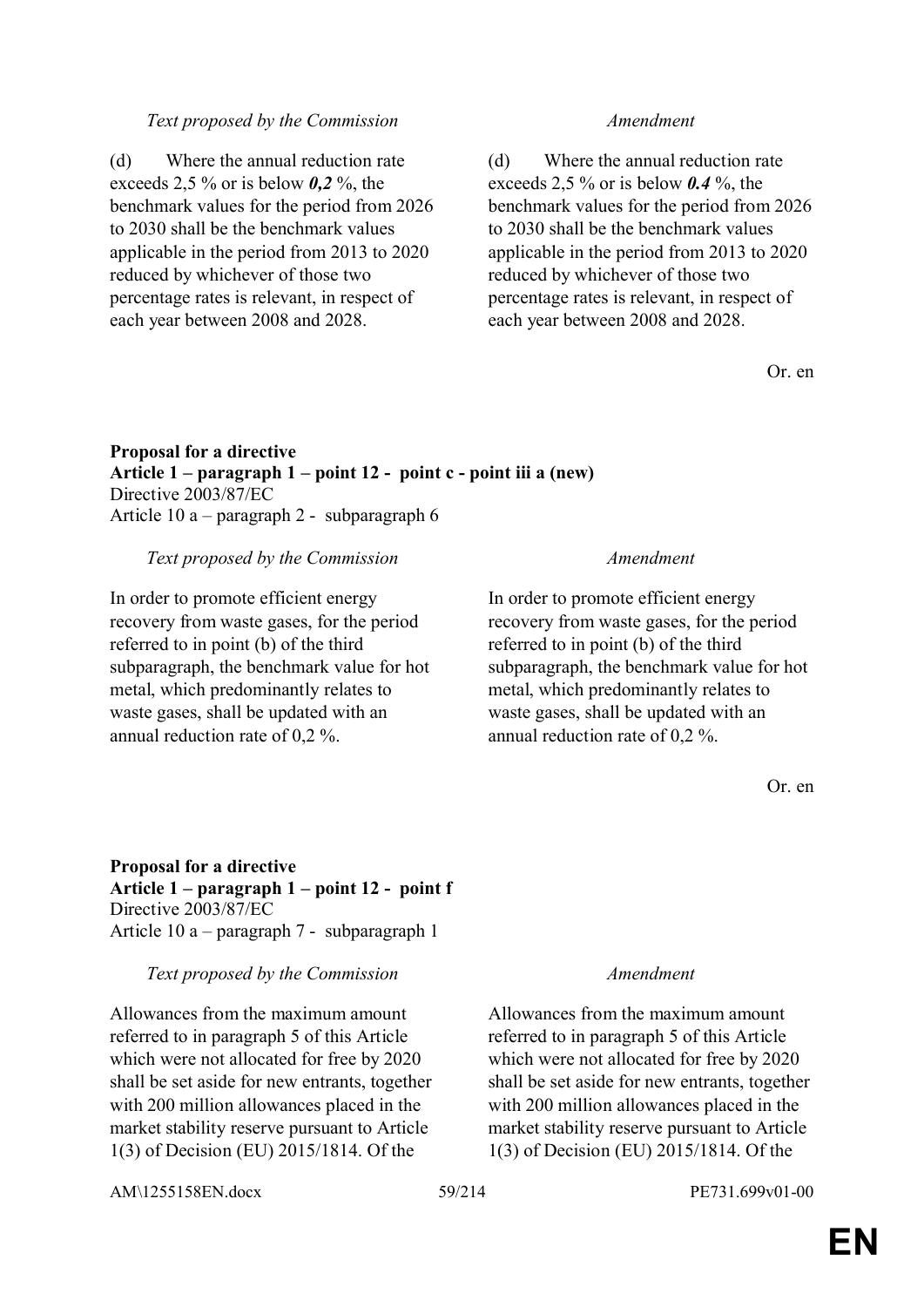### *Text proposed by the Commission Amendment*

(d) Where the annual reduction rate exceeds 2,5 % or is below *0,2* %, the benchmark values for the period from 2026 to 2030 shall be the benchmark values applicable in the period from 2013 to 2020 reduced by whichever of those two percentage rates is relevant, in respect of each year between 2008 and 2028.

(d) Where the annual reduction rate exceeds 2,5 % or is below *0.4* %, the benchmark values for the period from 2026 to 2030 shall be the benchmark values applicable in the period from 2013 to 2020 reduced by whichever of those two percentage rates is relevant, in respect of each year between 2008 and 2028.

Or. en

# **Proposal for a directive Article 1 – paragraph 1 – point 12 - point c - point iii a (new)** Directive 2003/87/EC Article 10 a – paragraph 2 - subparagraph 6

### *Text proposed by the Commission Amendment*

In order to promote efficient energy recovery from waste gases, for the period referred to in point (b) of the third subparagraph, the benchmark value for hot metal, which predominantly relates to waste gases, shall be updated with an annual reduction rate of 0,2 %.

In order to promote efficient energy recovery from waste gases, for the period referred to in point (b) of the third subparagraph, the benchmark value for hot metal, which predominantly relates to waste gases, shall be updated with an annual reduction rate of 0,2 %.

Or. en

# **Proposal for a directive Article 1 – paragraph 1 – point 12 - point f** Directive 2003/87/EC Article 10 a – paragraph 7 - subparagraph 1

### *Text proposed by the Commission Amendment*

Allowances from the maximum amount referred to in paragraph 5 of this Article which were not allocated for free by 2020 shall be set aside for new entrants, together with 200 million allowances placed in the market stability reserve pursuant to Article 1(3) of Decision (EU) 2015/1814. Of the

Allowances from the maximum amount referred to in paragraph 5 of this Article which were not allocated for free by 2020 shall be set aside for new entrants, together with 200 million allowances placed in the market stability reserve pursuant to Article 1(3) of Decision (EU) 2015/1814. Of the

AM\1255158EN.docx 59/214 PE731.699v01-00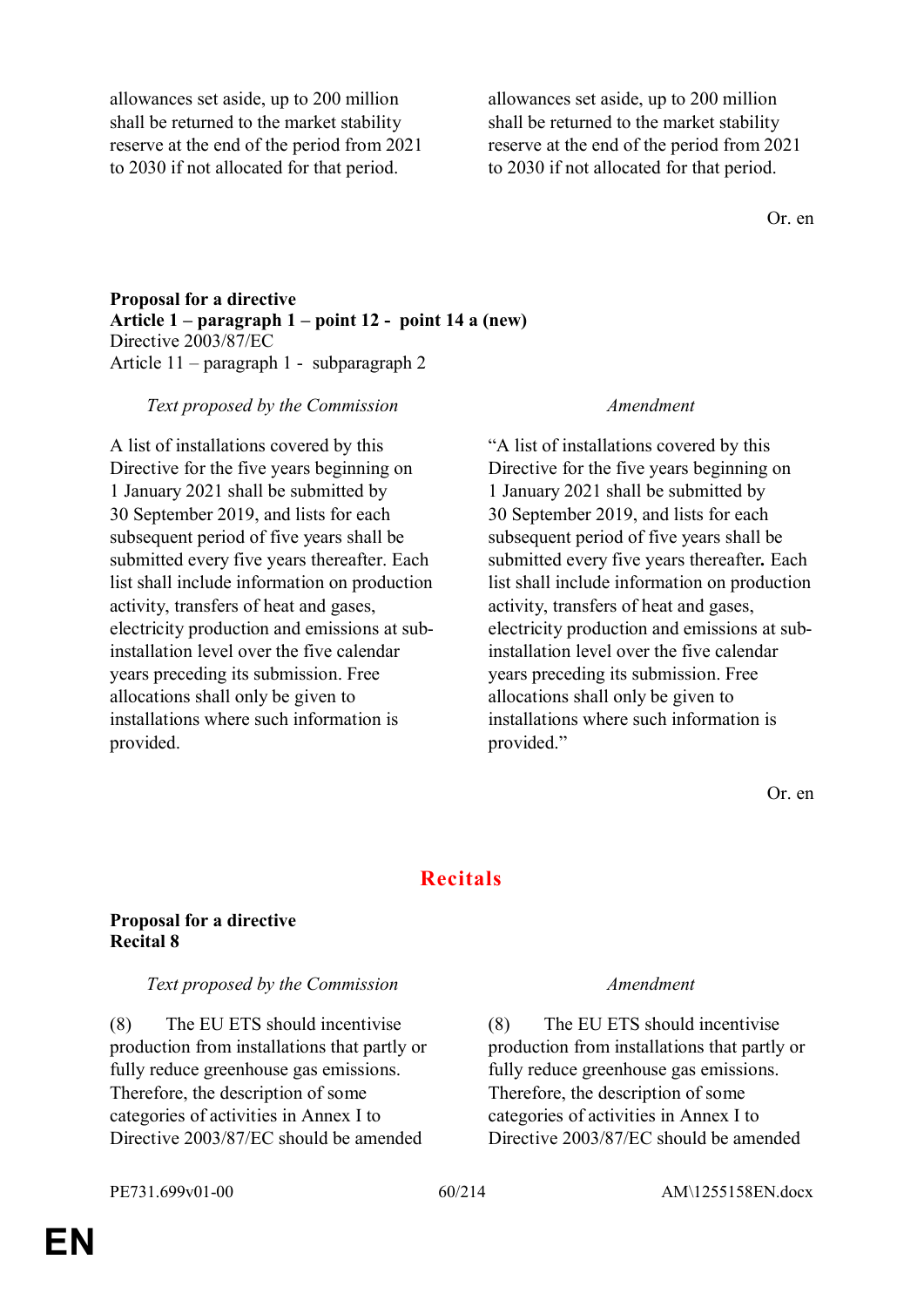allowances set aside, up to 200 million shall be returned to the market stability reserve at the end of the period from 2021 to 2030 if not allocated for that period.

allowances set aside, up to 200 million shall be returned to the market stability reserve at the end of the period from 2021 to 2030 if not allocated for that period.

Or. en

# **Proposal for a directive Article 1 – paragraph 1 – point 12 - point 14 a (new)** Directive 2003/87/EC Article 11 – paragraph 1 - subparagraph 2

### *Text proposed by the Commission Amendment*

A list of installations covered by this Directive for the five years beginning on 1 January 2021 shall be submitted by 30 September 2019, and lists for each subsequent period of five years shall be submitted every five years thereafter. Each list shall include information on production activity, transfers of heat and gases, electricity production and emissions at subinstallation level over the five calendar years preceding its submission. Free allocations shall only be given to installations where such information is provided.

"A list of installations covered by this Directive for the five years beginning on 1 January 2021 shall be submitted by 30 September 2019, and lists for each subsequent period of five years shall be submitted every five years thereafter*.* Each list shall include information on production activity, transfers of heat and gases, electricity production and emissions at subinstallation level over the five calendar years preceding its submission. Free allocations shall only be given to installations where such information is provided."

Or. en

# **Recitals**

### **Proposal for a directive Recital 8**

### *Text proposed by the Commission Amendment*

(8) The EU ETS should incentivise production from installations that partly or fully reduce greenhouse gas emissions. Therefore, the description of some categories of activities in Annex I to Directive 2003/87/EC should be amended

(8) The EU ETS should incentivise production from installations that partly or fully reduce greenhouse gas emissions. Therefore, the description of some categories of activities in Annex I to Directive 2003/87/EC should be amended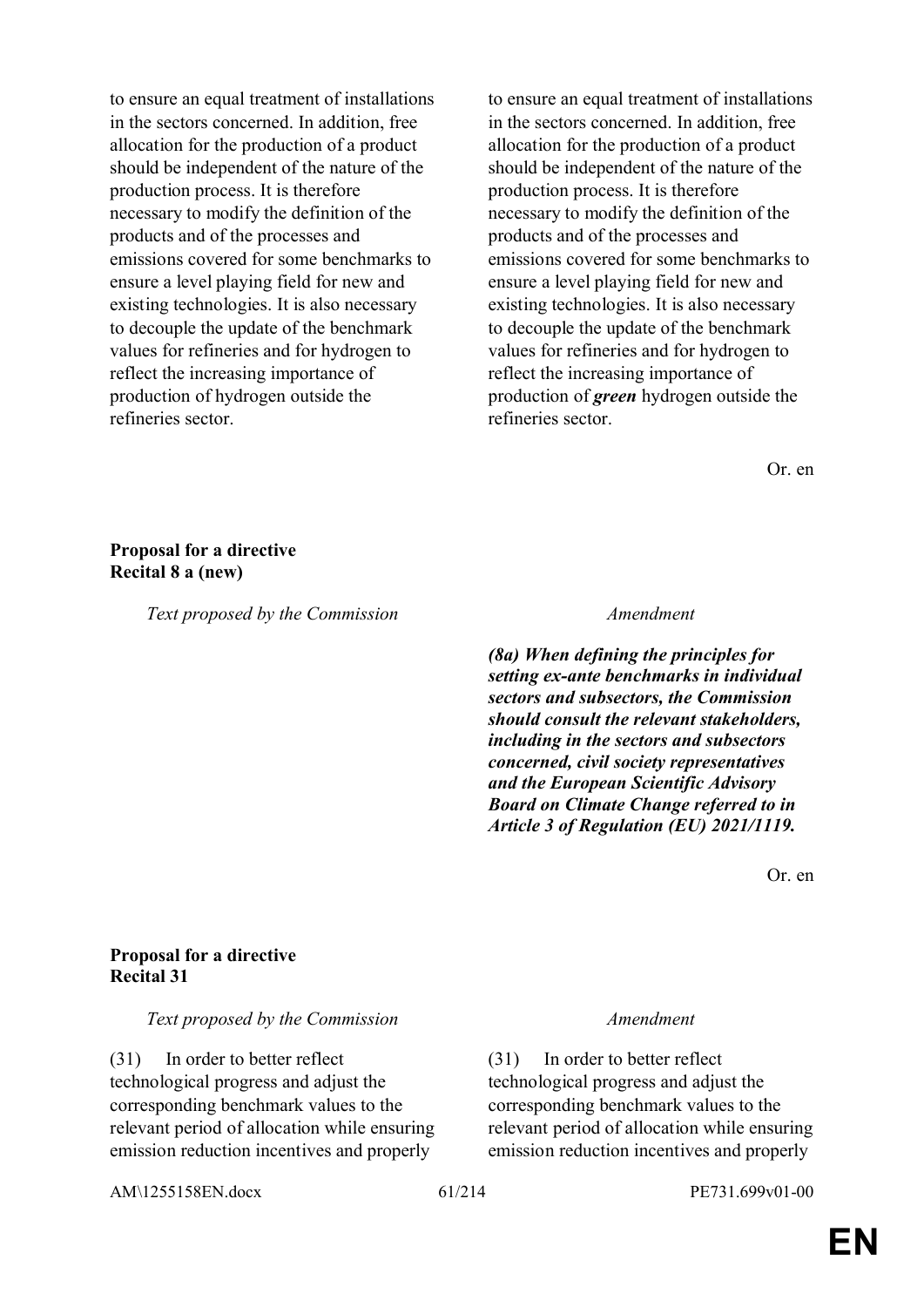to ensure an equal treatment of installations in the sectors concerned. In addition, free allocation for the production of a product should be independent of the nature of the production process. It is therefore necessary to modify the definition of the products and of the processes and emissions covered for some benchmarks to ensure a level playing field for new and existing technologies. It is also necessary to decouple the update of the benchmark values for refineries and for hydrogen to reflect the increasing importance of production of hydrogen outside the refineries sector.

to ensure an equal treatment of installations in the sectors concerned. In addition, free allocation for the production of a product should be independent of the nature of the production process. It is therefore necessary to modify the definition of the products and of the processes and emissions covered for some benchmarks to ensure a level playing field for new and existing technologies. It is also necessary to decouple the update of the benchmark values for refineries and for hydrogen to reflect the increasing importance of production of *green* hydrogen outside the refineries sector.

Or. en

# **Proposal for a directive Recital 8 a (new)**

*Text proposed by the Commission Amendment*

*(8a) When defining the principles for setting ex-ante benchmarks in individual sectors and subsectors, the Commission should consult the relevant stakeholders, including in the sectors and subsectors concerned, civil society representatives and the European Scientific Advisory Board on Climate Change referred to in Article 3 of Regulation (EU) 2021/1119.*

Or. en

# **Proposal for a directive Recital 31**

# *Text proposed by the Commission Amendment*

(31) In order to better reflect technological progress and adjust the corresponding benchmark values to the relevant period of allocation while ensuring emission reduction incentives and properly

(31) In order to better reflect technological progress and adjust the corresponding benchmark values to the relevant period of allocation while ensuring emission reduction incentives and properly

AM\1255158EN.docx 61/214 PE731.699v01-00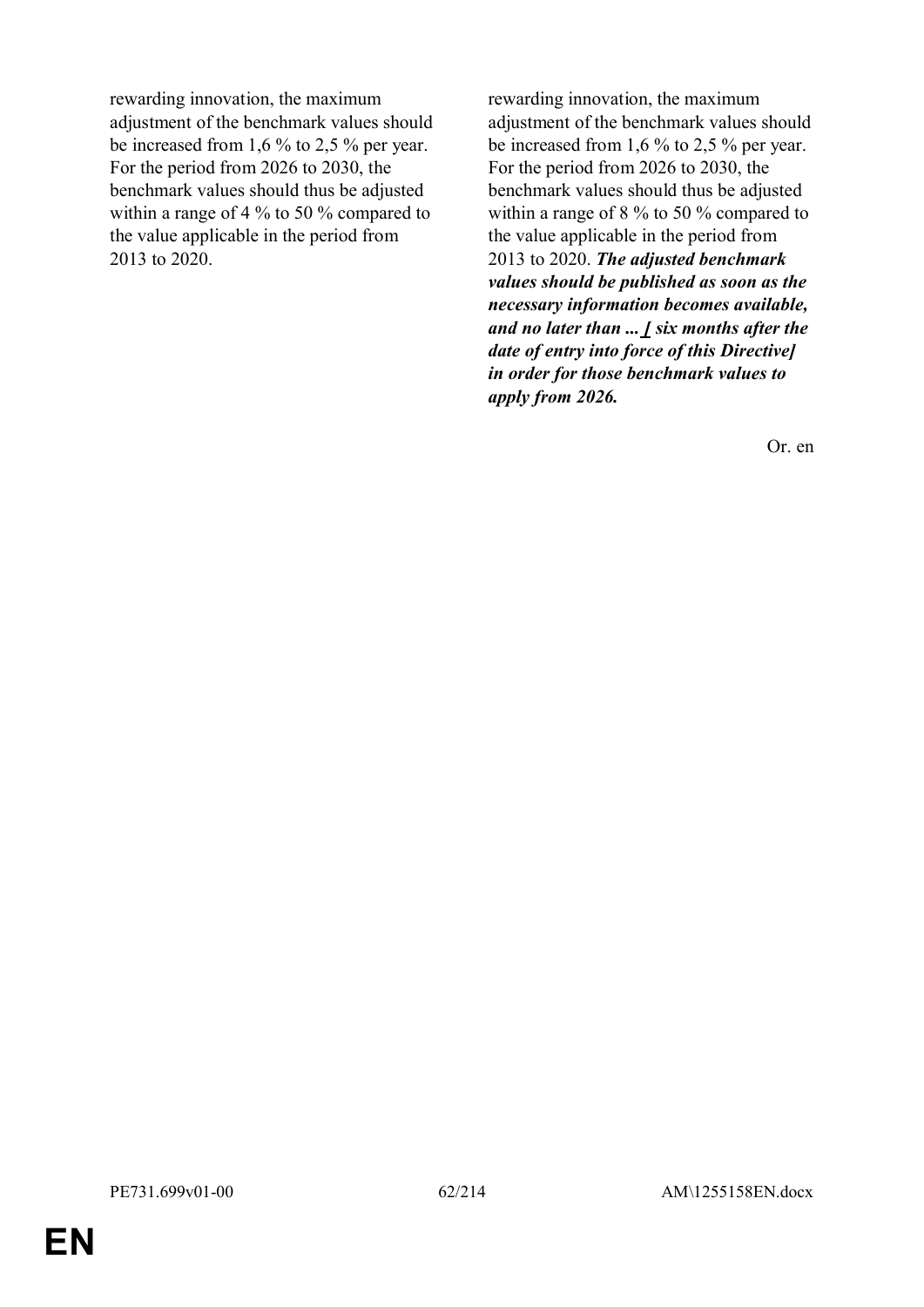rewarding innovation, the maximum adjustment of the benchmark values should be increased from 1,6 % to 2,5 % per year. For the period from 2026 to 2030, the benchmark values should thus be adjusted within a range of 4 % to 50 % compared to the value applicable in the period from 2013 to 2020.

rewarding innovation, the maximum adjustment of the benchmark values should be increased from 1,6 % to 2,5 % per year. For the period from 2026 to 2030, the benchmark values should thus be adjusted within a range of 8 % to 50 % compared to the value applicable in the period from 2013 to 2020. *The adjusted benchmark values should be published as soon as the necessary information becomes available, and no later than ... [ six months after the date of entry into force of this Directive] in order for those benchmark values to apply from 2026.*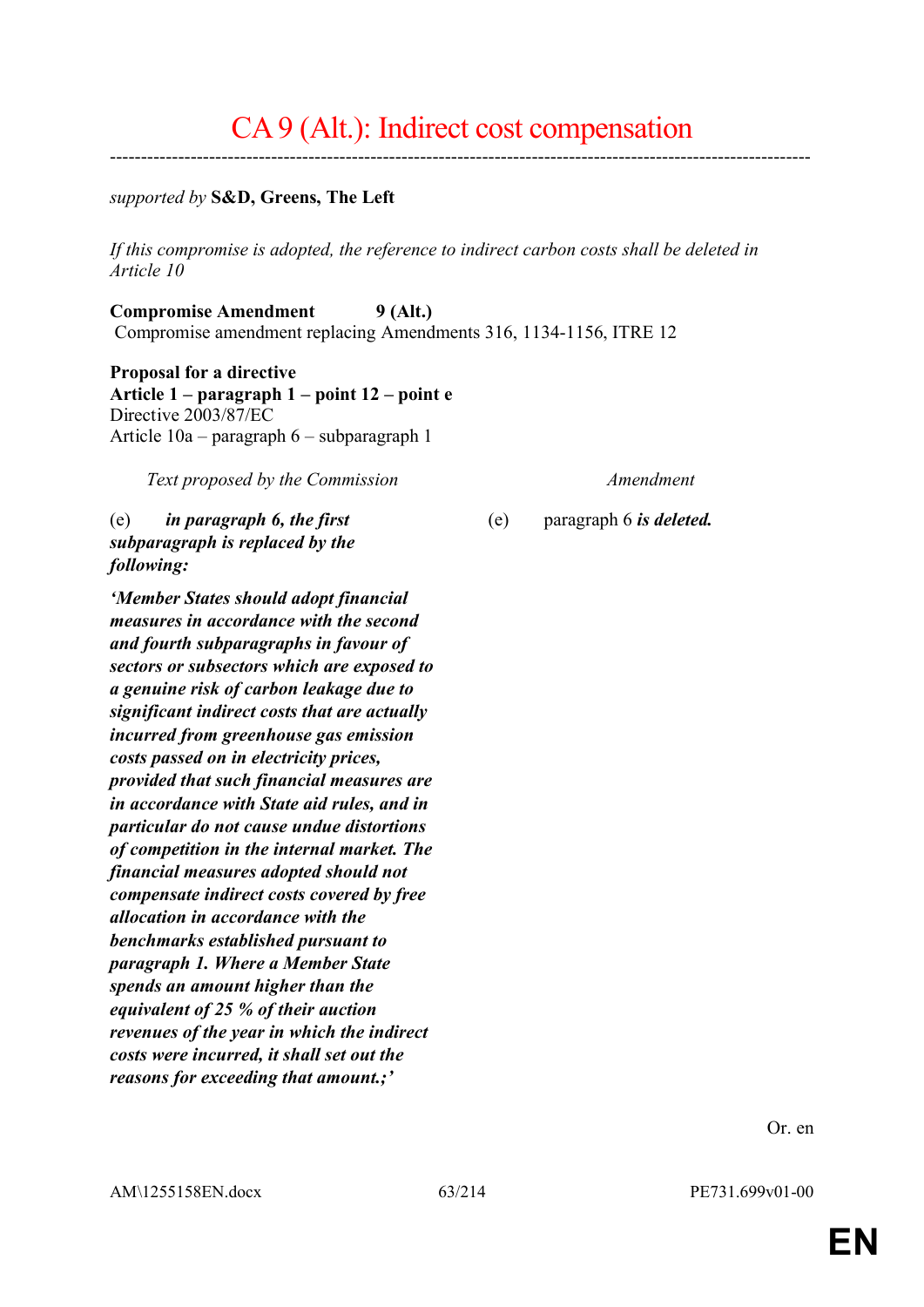# CA 9 (Alt.): Indirect cost compensation -----------------------------------------------------------------------------------------------------------------

# *supported by* **S&D, Greens, The Left**

*If this compromise is adopted, the reference to indirect carbon costs shall be deleted in Article 10*

**Compromise Amendment 9 (Alt.)** Compromise amendment replacing Amendments 316, 1134-1156, ITRE 12

**Proposal for a directive Article 1 – paragraph 1 – point 12 – point e** Directive 2003/87/EC Article 10a – paragraph 6 – subparagraph 1

*Text proposed by the Commission Amendment*

(e) *in paragraph 6, the first subparagraph is replaced by the following:*

*'Member States should adopt financial measures in accordance with the second and fourth subparagraphs in favour of sectors or subsectors which are exposed to a genuine risk of carbon leakage due to significant indirect costs that are actually incurred from greenhouse gas emission costs passed on in electricity prices, provided that such financial measures are in accordance with State aid rules, and in particular do not cause undue distortions of competition in the internal market. The financial measures adopted should not compensate indirect costs covered by free allocation in accordance with the benchmarks established pursuant to paragraph 1. Where a Member State spends an amount higher than the equivalent of 25 % of their auction revenues of the year in which the indirect costs were incurred, it shall set out the reasons for exceeding that amount.;'*

(e) paragraph 6 *is deleted.*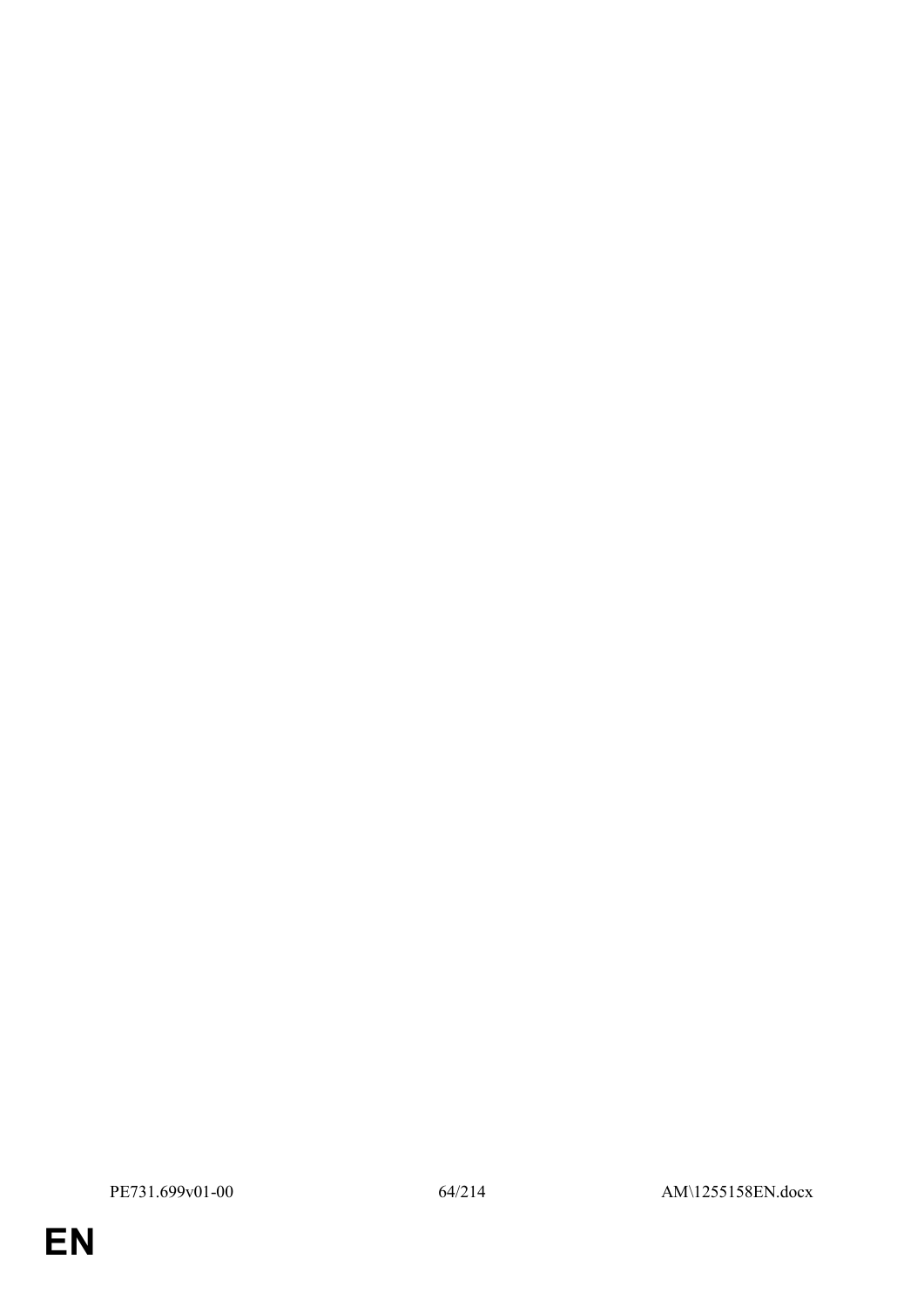PE731.699v01 -00 64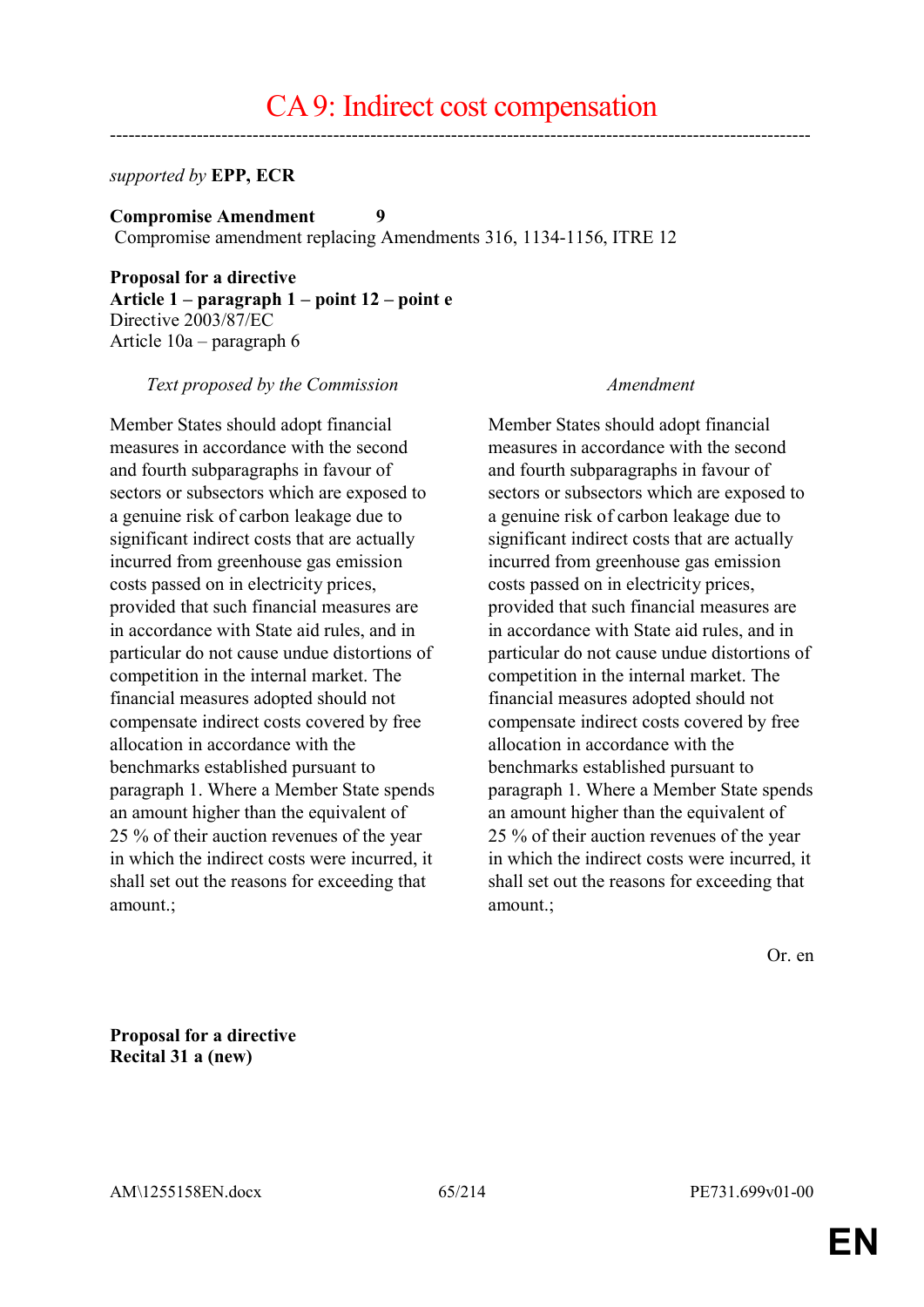# *supported by* **EPP, ECR**

**Compromise Amendment 9** Compromise amendment replacing Amendments 316, 1134-1156, ITRE 12

**Proposal for a directive Article 1 – paragraph 1 – point 12 – point e** Directive 2003/87/FC Article 10a – paragraph 6

### *Text proposed by the Commission Amendment*

Member States should adopt financial measures in accordance with the second and fourth subparagraphs in favour of sectors or subsectors which are exposed to a genuine risk of carbon leakage due to significant indirect costs that are actually incurred from greenhouse gas emission costs passed on in electricity prices, provided that such financial measures are in accordance with State aid rules, and in particular do not cause undue distortions of competition in the internal market. The financial measures adopted should not compensate indirect costs covered by free allocation in accordance with the benchmarks established pursuant to paragraph 1. Where a Member State spends an amount higher than the equivalent of 25 % of their auction revenues of the year in which the indirect costs were incurred, it shall set out the reasons for exceeding that amount.;

Member States should adopt financial measures in accordance with the second and fourth subparagraphs in favour of sectors or subsectors which are exposed to a genuine risk of carbon leakage due to significant indirect costs that are actually incurred from greenhouse gas emission costs passed on in electricity prices, provided that such financial measures are in accordance with State aid rules, and in particular do not cause undue distortions of competition in the internal market. The financial measures adopted should not compensate indirect costs covered by free allocation in accordance with the benchmarks established pursuant to paragraph 1. Where a Member State spends an amount higher than the equivalent of 25 % of their auction revenues of the year in which the indirect costs were incurred, it shall set out the reasons for exceeding that amount.;

Or. en

**Proposal for a directive Recital 31 a (new)**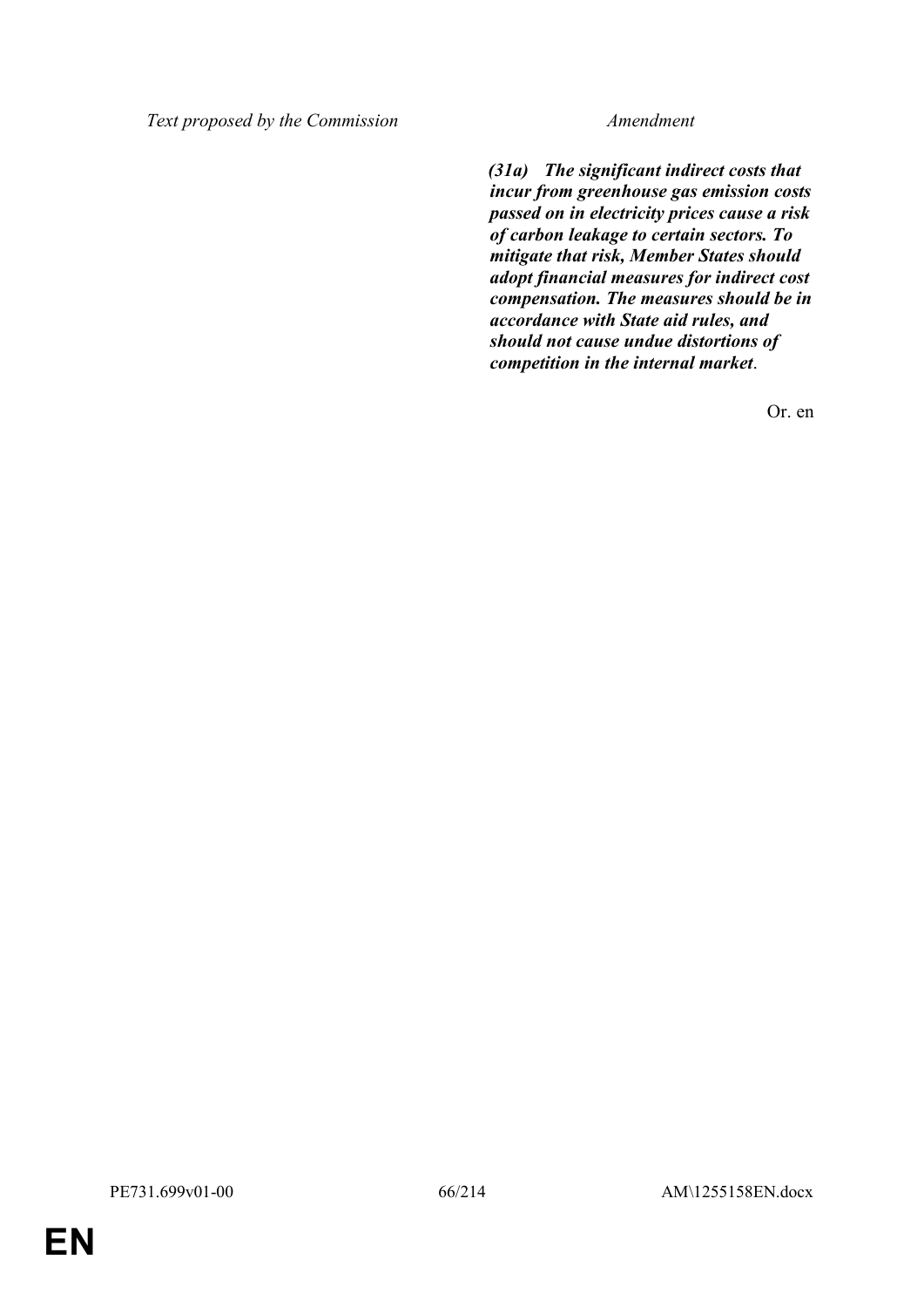*Text proposed by the Commission Amendment*

*(31a) The significant indirect costs that incur from greenhouse gas emission costs passed on in electricity prices cause a risk of carbon leakage to certain sectors. To mitigate that risk, Member States should adopt financial measures for indirect cost compensation. The measures should be in accordance with State aid rules, and should not cause undue distortions of competition in the internal market*.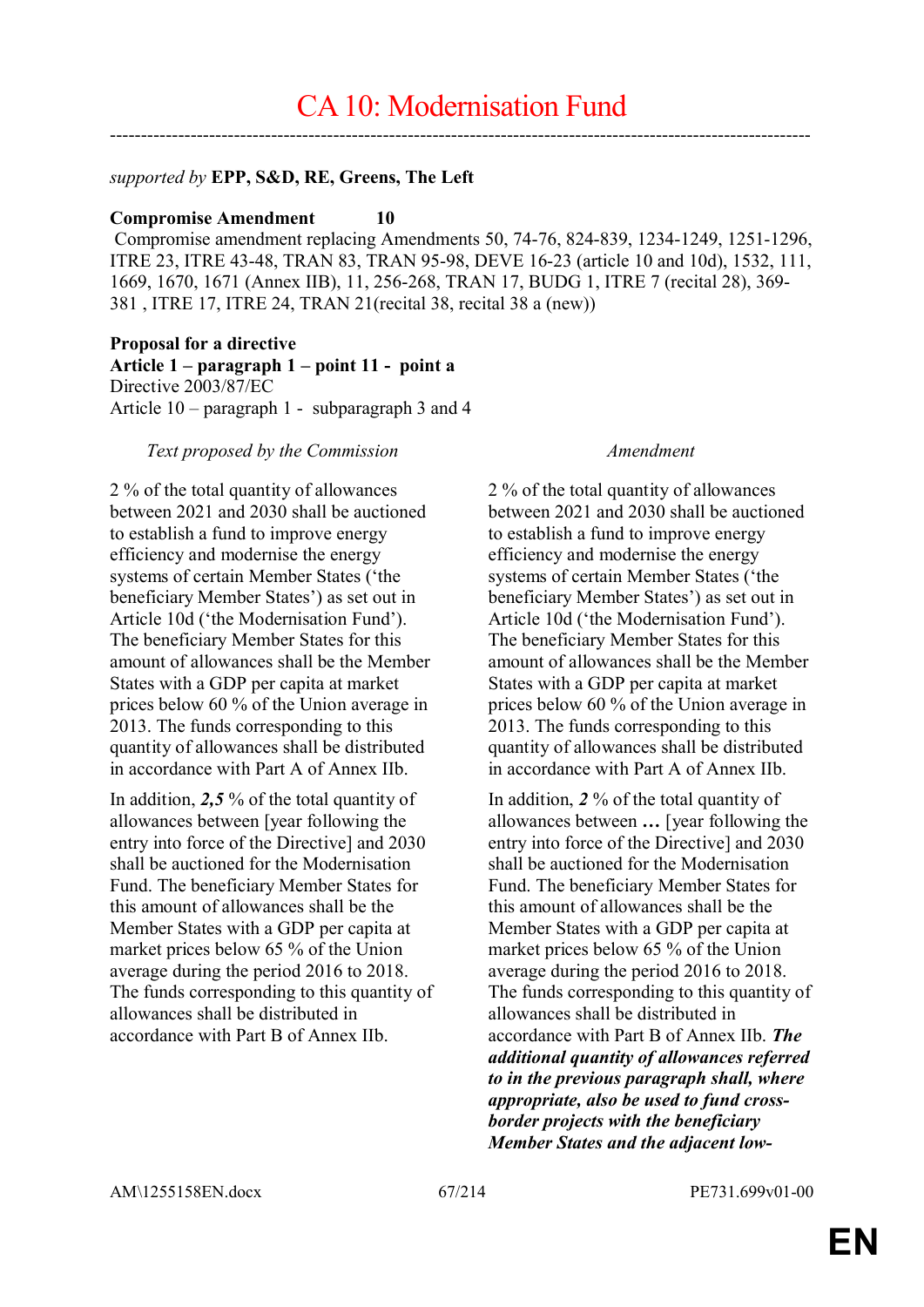*supported by* **EPP, S&D, RE, Greens, The Left**

### **Compromise Amendment 10**

Compromise amendment replacing Amendments 50, 74-76, 824-839, 1234-1249, 1251-1296, ITRE 23, ITRE 43-48, TRAN 83, TRAN 95-98, DEVE 16-23 (article 10 and 10d), 1532, 111, 1669, 1670, 1671 (Annex IIB), 11, 256-268, TRAN 17, BUDG 1, ITRE 7 (recital 28), 369- 381 , ITRE 17, ITRE 24, TRAN 21(recital 38, recital 38 a (new))

**Proposal for a directive Article 1 – paragraph 1 – point 11 - point a** Directive 2003/87/EC Article 10 – paragraph 1 - subparagraph 3 and 4

### *Text proposed by the Commission Amendment*

# 2 % of the total quantity of allowances between 2021 and 2030 shall be auctioned to establish a fund to improve energy efficiency and modernise the energy systems of certain Member States ('the beneficiary Member States') as set out in Article 10d ('the Modernisation Fund'). The beneficiary Member States for this amount of allowances shall be the Member States with a GDP per capita at market prices below 60 % of the Union average in 2013. The funds corresponding to this quantity of allowances shall be distributed in accordance with Part A of Annex IIb.

In addition, *2,5* % of the total quantity of allowances between [year following the entry into force of the Directive] and 2030 shall be auctioned for the Modernisation Fund. The beneficiary Member States for this amount of allowances shall be the Member States with a GDP per capita at market prices below 65 % of the Union average during the period 2016 to 2018. The funds corresponding to this quantity of allowances shall be distributed in accordance with Part B of Annex IIb.

2 % of the total quantity of allowances between 2021 and 2030 shall be auctioned to establish a fund to improve energy efficiency and modernise the energy systems of certain Member States ('the beneficiary Member States') as set out in Article 10d ('the Modernisation Fund'). The beneficiary Member States for this amount of allowances shall be the Member States with a GDP per capita at market prices below 60 % of the Union average in 2013. The funds corresponding to this quantity of allowances shall be distributed in accordance with Part A of Annex IIb.

In addition, *2* % of the total quantity of allowances between *…* [year following the entry into force of the Directive] and 2030 shall be auctioned for the Modernisation Fund. The beneficiary Member States for this amount of allowances shall be the Member States with a GDP per capita at market prices below 65 % of the Union average during the period 2016 to 2018. The funds corresponding to this quantity of allowances shall be distributed in accordance with Part B of Annex IIb. *The additional quantity of allowances referred to in the previous paragraph shall, where appropriate, also be used to fund crossborder projects with the beneficiary Member States and the adjacent low-*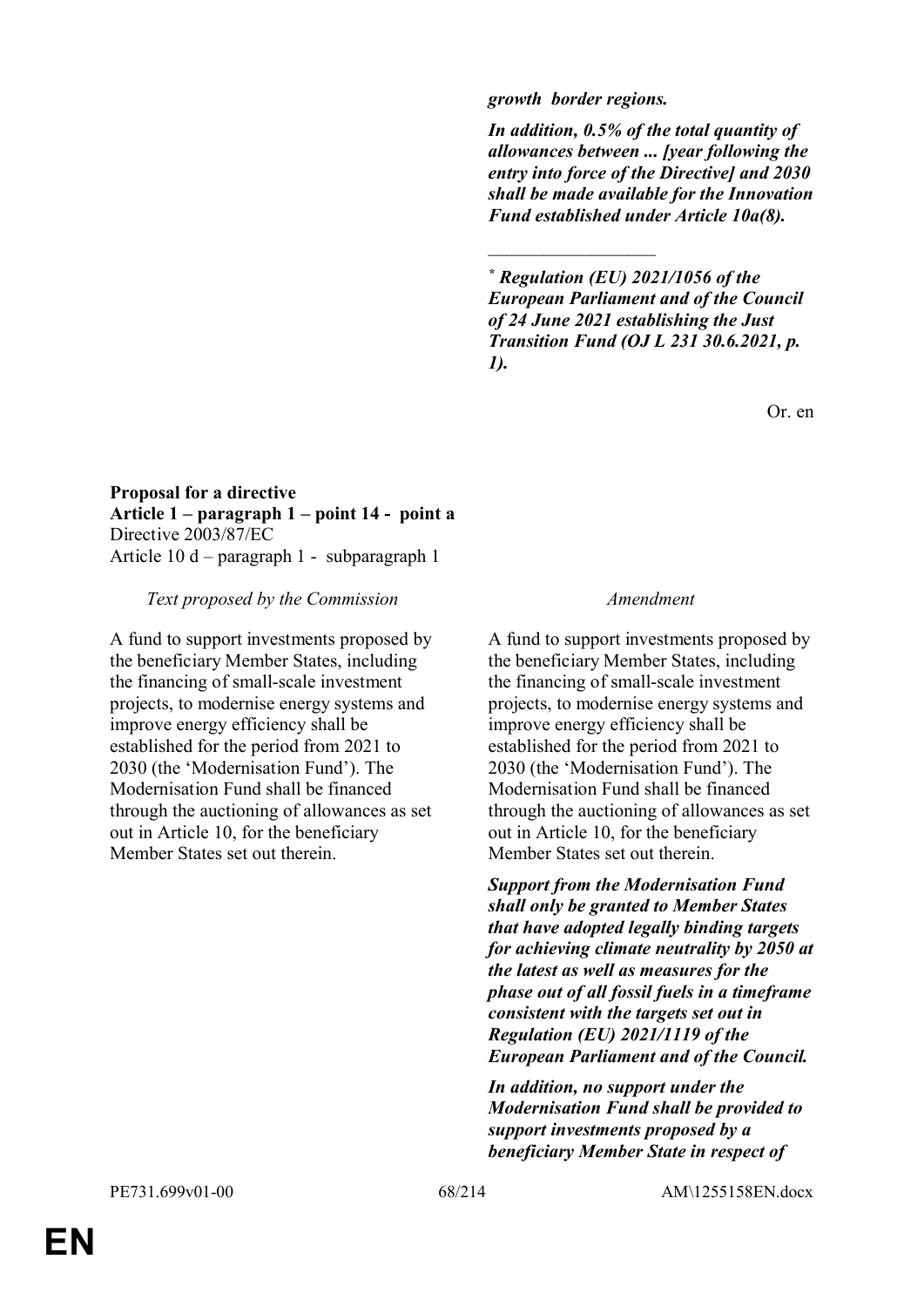*growth border regions.* 

*In addition, 0.5% of the total quantity of allowances between ... [year following the entry into force of the Directive] and 2030 shall be made available for the Innovation Fund established under Article 10a(8).*

*\* Regulation (EU) 2021/1056 of the European Parliament and of the Council of 24 June 2021 establishing the Just Transition Fund (OJ L 231 30.6.2021, p. 1).*

Or. en

# **Proposal for a directive Article 1 – paragraph 1 – point 14 - point a** Directive 2003/87/EC Article 10 d – paragraph 1 - subparagraph 1

### *Text proposed by the Commission Amendment*

A fund to support investments proposed by the beneficiary Member States, including the financing of small-scale investment projects, to modernise energy systems and improve energy efficiency shall be established for the period from 2021 to 2030 (the 'Modernisation Fund'). The Modernisation Fund shall be financed through the auctioning of allowances as set out in Article 10, for the beneficiary Member States set out therein.

A fund to support investments proposed by the beneficiary Member States, including the financing of small-scale investment projects, to modernise energy systems and improve energy efficiency shall be established for the period from 2021 to 2030 (the 'Modernisation Fund'). The Modernisation Fund shall be financed through the auctioning of allowances as set out in Article 10, for the beneficiary Member States set out therein.

*Support from the Modernisation Fund shall only be granted to Member States that have adopted legally binding targets for achieving climate neutrality by 2050 at the latest as well as measures for the phase out of all fossil fuels in a timeframe consistent with the targets set out in Regulation (EU) 2021/1119 of the European Parliament and of the Council.*

*In addition, no support under the Modernisation Fund shall be provided to support investments proposed by a beneficiary Member State in respect of*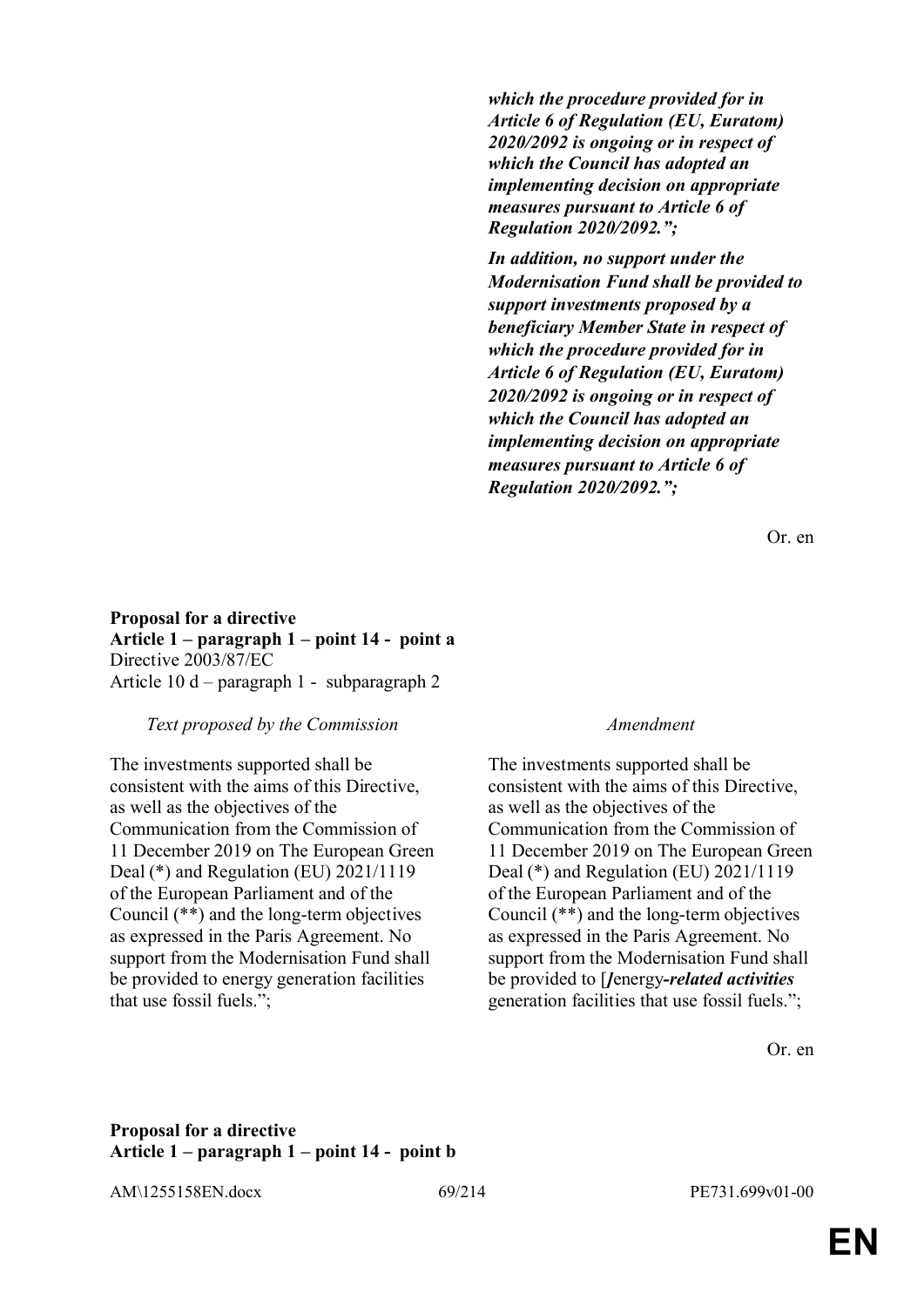*which the procedure provided for in Article 6 of Regulation (EU, Euratom) 2020/2092 is ongoing or in respect of which the Council has adopted an implementing decision on appropriate measures pursuant to Article 6 of Regulation 2020/2092.";*

*In addition, no support under the Modernisation Fund shall be provided to support investments proposed by a beneficiary Member State in respect of which the procedure provided for in Article 6 of Regulation (EU, Euratom) 2020/2092 is ongoing or in respect of which the Council has adopted an implementing decision on appropriate measures pursuant to Article 6 of Regulation 2020/2092.";*

Or. en

# **Proposal for a directive Article 1 – paragraph 1 – point 14 - point a** Directive 2003/87/EC Article 10 d – paragraph 1 - subparagraph 2

### *Text proposed by the Commission Amendment*

The investments supported shall be consistent with the aims of this Directive, as well as the objectives of the Communication from the Commission of 11 December 2019 on The European Green Deal (\*) and Regulation (EU) 2021/1119 of the European Parliament and of the Council (\*\*) and the long-term objectives as expressed in the Paris Agreement. No support from the Modernisation Fund shall be provided to energy generation facilities that use fossil fuels.";

The investments supported shall be consistent with the aims of this Directive, as well as the objectives of the Communication from the Commission of 11 December 2019 on The European Green Deal (\*) and Regulation (EU) 2021/1119 of the European Parliament and of the Council (\*\*) and the long-term objectives as expressed in the Paris Agreement. No support from the Modernisation Fund shall be provided to [*]*energy*-related activities* generation facilities that use fossil fuels.";

Or. en

## **Proposal for a directive Article 1 – paragraph 1 – point 14 - point b**

AM\1255158EN.docx 69/214 PE731.699v01-00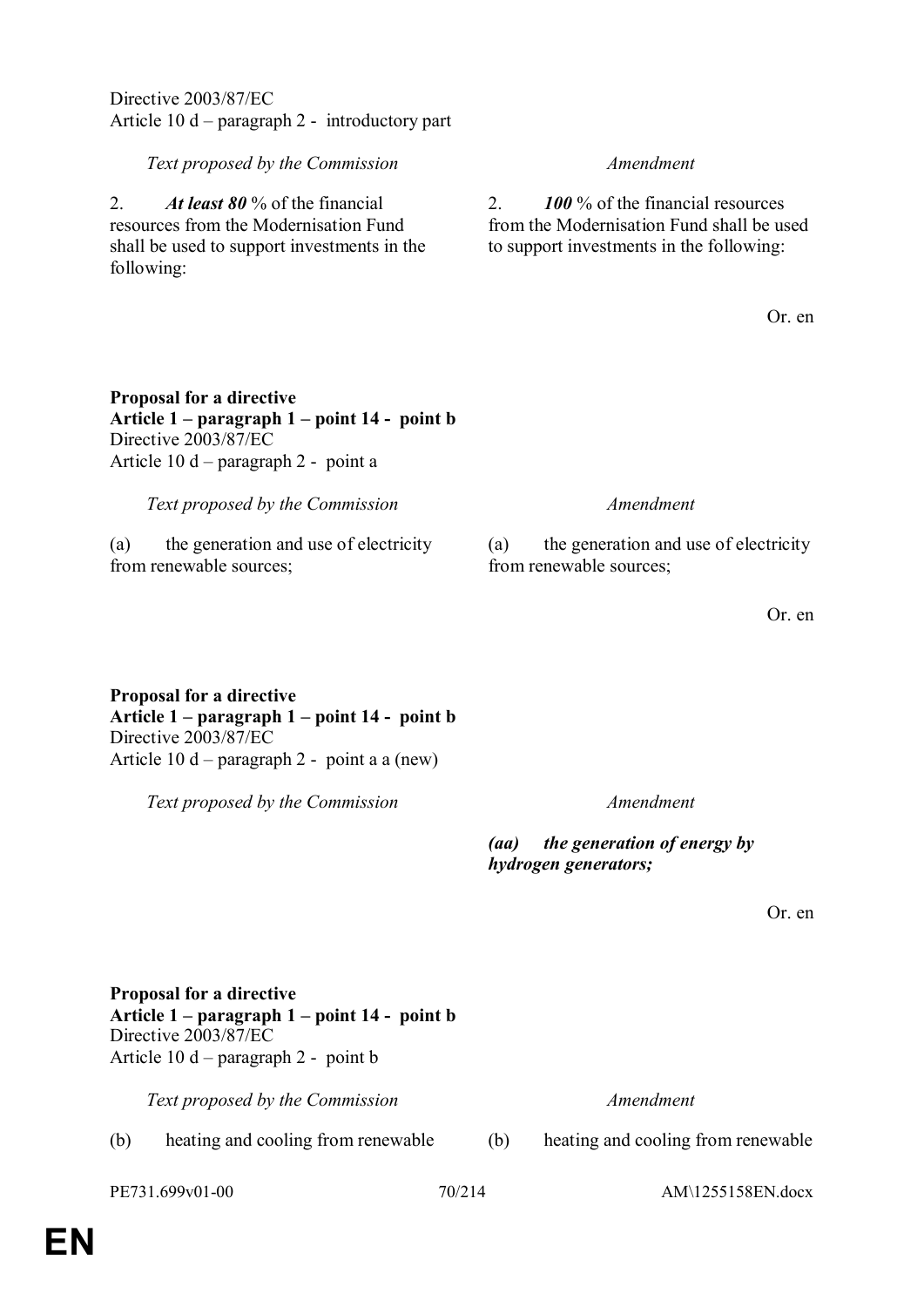# *Text proposed by the Commission Amendment*

2. *At least 80* % of the financial resources from the Modernisation Fund shall be used to support investments in the following:

2. *100* % of the financial resources from the Modernisation Fund shall be used to support investments in the following:

Or. en

**Proposal for a directive Article 1 – paragraph 1 – point 14 - point b** Directive 2003/87/EC Article 10 d – paragraph 2 - point a

*Text proposed by the Commission Amendment*

(a) the generation and use of electricity from renewable sources;

(a) the generation and use of electricity from renewable sources;

Or. en

**Proposal for a directive Article 1 – paragraph 1 – point 14 - point b** Directive 2003/87/EC Article 10 d – paragraph 2 - point a a (new)

*Text proposed by the Commission Amendment*

*(aa) the generation of energy by hydrogen generators;*

Or. en

**Proposal for a directive Article 1 – paragraph 1 – point 14 - point b** Directive 2003/87/EC Article 10 d – paragraph 2 - point b

*Text proposed by the Commission Amendment*

(b) heating and cooling from renewable (b) heating and cooling from renewable

PE731.699v01-00 70/214 AM\1255158EN.docx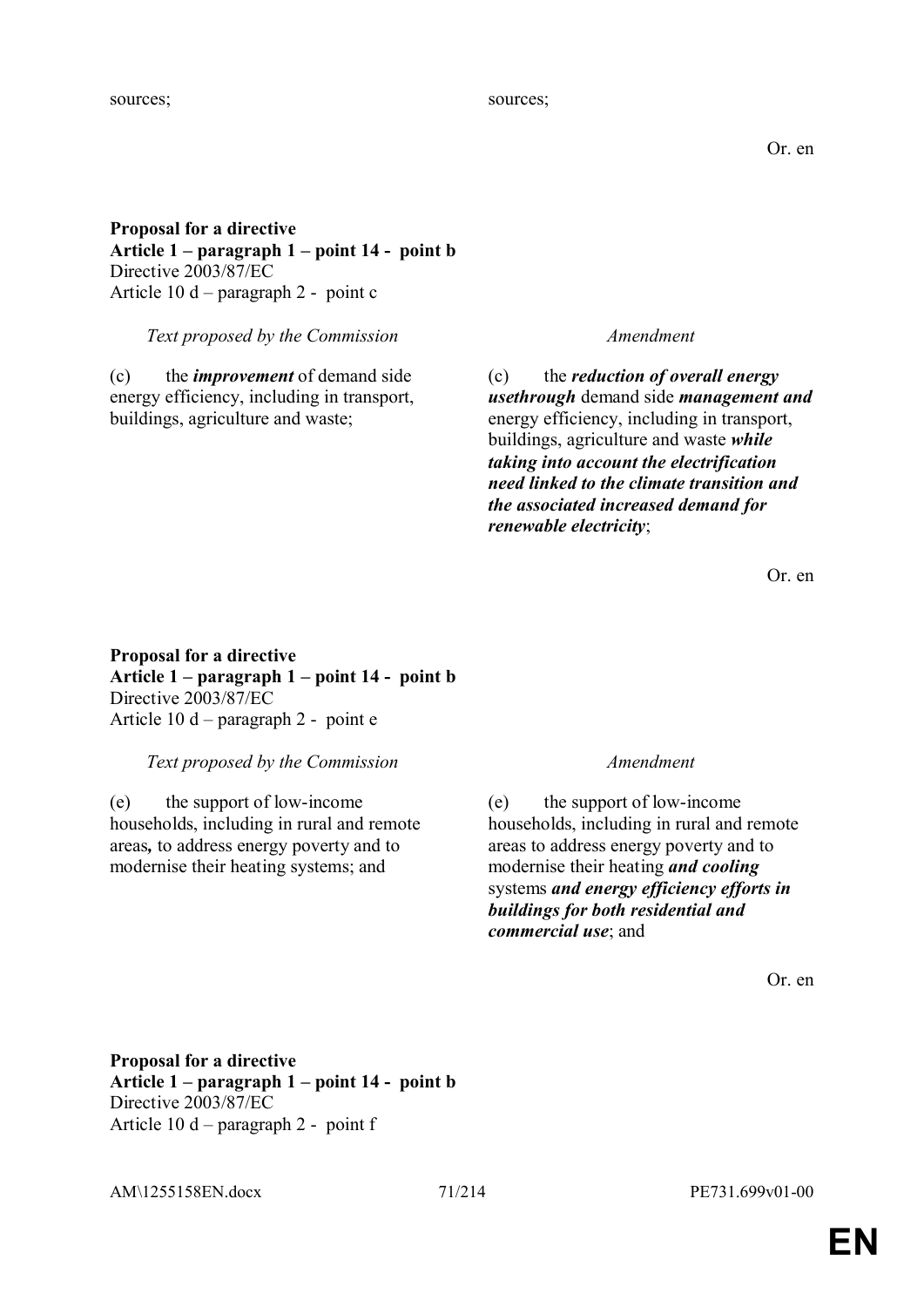sources; sources; sources;

Or. en

**Proposal for a directive Article 1 – paragraph 1 – point 14 - point b** Directive 2003/87/EC Article 10 d – paragraph 2 - point c

*Text proposed by the Commission Amendment*

(c) the *improvement* of demand side energy efficiency, including in transport, buildings, agriculture and waste;

(c) the *reduction of overall energy usethrough* demand side *management and* energy efficiency, including in transport, buildings, agriculture and waste *while taking into account the electrification need linked to the climate transition and the associated increased demand for renewable electricity*;

Or. en

**Proposal for a directive Article 1 – paragraph 1 – point 14 - point b** Directive 2003/87/EC Article 10 d – paragraph 2 - point e

*Text proposed by the Commission Amendment*

(e) the support of low-income households, including in rural and remote areas*,* to address energy poverty and to modernise their heating systems; and

(e) the support of low-income households, including in rural and remote areas to address energy poverty and to modernise their heating *and cooling* systems *and energy efficiency efforts in buildings for both residential and commercial use*; and

Or. en

**Proposal for a directive Article 1 – paragraph 1 – point 14 - point b** Directive 2003/87/EC Article 10 d – paragraph 2 - point f

AM\1255158EN.docx 71/214 PE731.699v01-00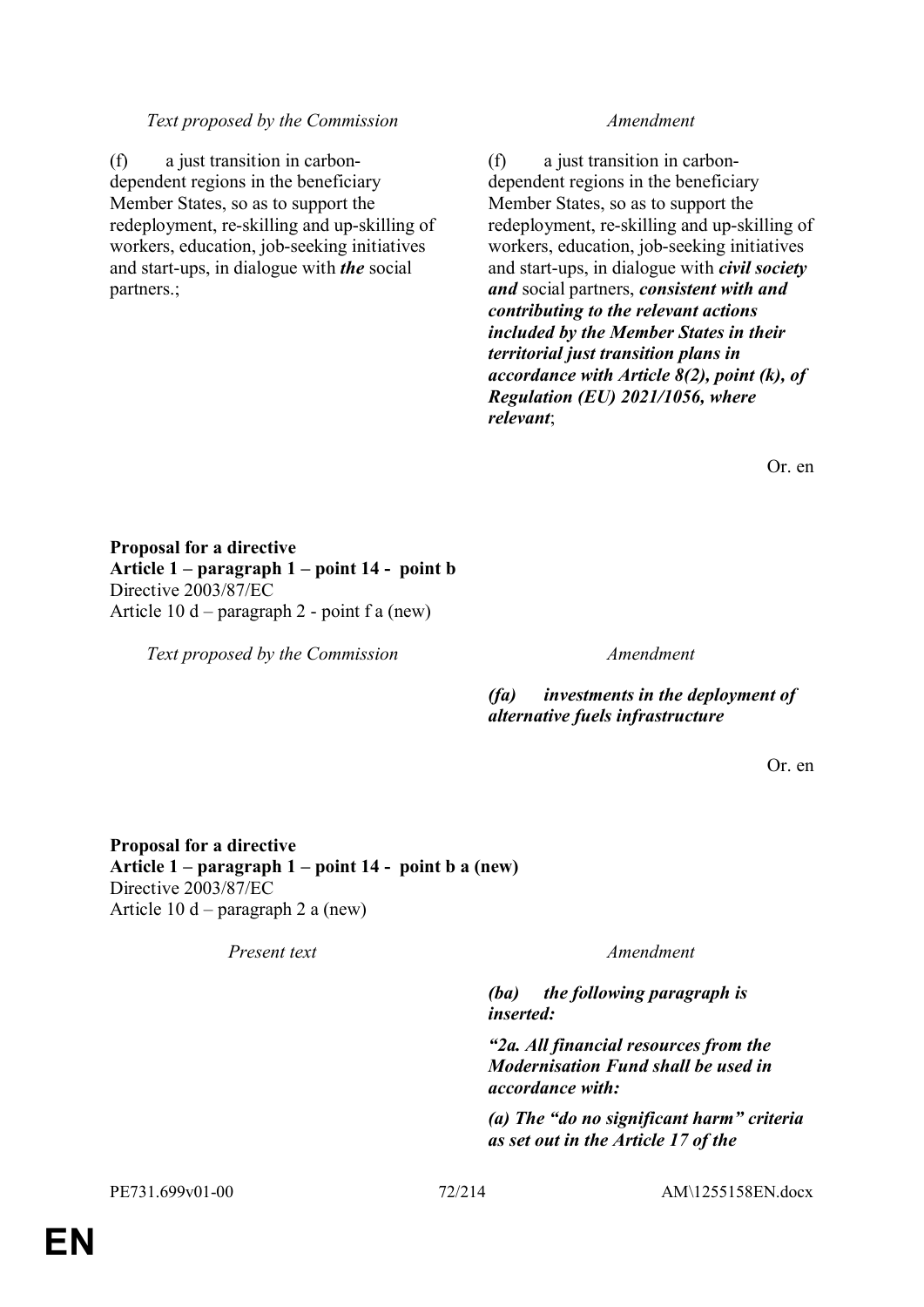# *Text proposed by the Commission Amendment*

(f) a just transition in carbondependent regions in the beneficiary Member States, so as to support the redeployment, re-skilling and up-skilling of workers, education, job-seeking initiatives and start-ups, in dialogue with *the* social partners.;

(f) a just transition in carbondependent regions in the beneficiary Member States, so as to support the redeployment, re-skilling and up-skilling of workers, education, job-seeking initiatives and start-ups, in dialogue with *civil society and* social partners, *consistent with and contributing to the relevant actions included by the Member States in their territorial just transition plans in accordance with Article 8(2), point (k), of Regulation (EU) 2021/1056, where relevant*;

Or. en

# **Proposal for a directive Article 1 – paragraph 1 – point 14 - point b** Directive 2003/87/EC Article 10 d – paragraph 2 - point f a (new)

*Text proposed by the Commission Amendment*

*(fa) investments in the deployment of alternative fuels infrastructure*

Or. en

**Proposal for a directive Article 1 – paragraph 1 – point 14 - point b a (new)** Directive 2003/87/EC Article 10 d – paragraph 2 a (new)

*Present text Amendment*

*(ba) the following paragraph is inserted:*

*"2a. All financial resources from the Modernisation Fund shall be used in accordance with:*

*(a) The "do no significant harm" criteria as set out in the Article 17 of the*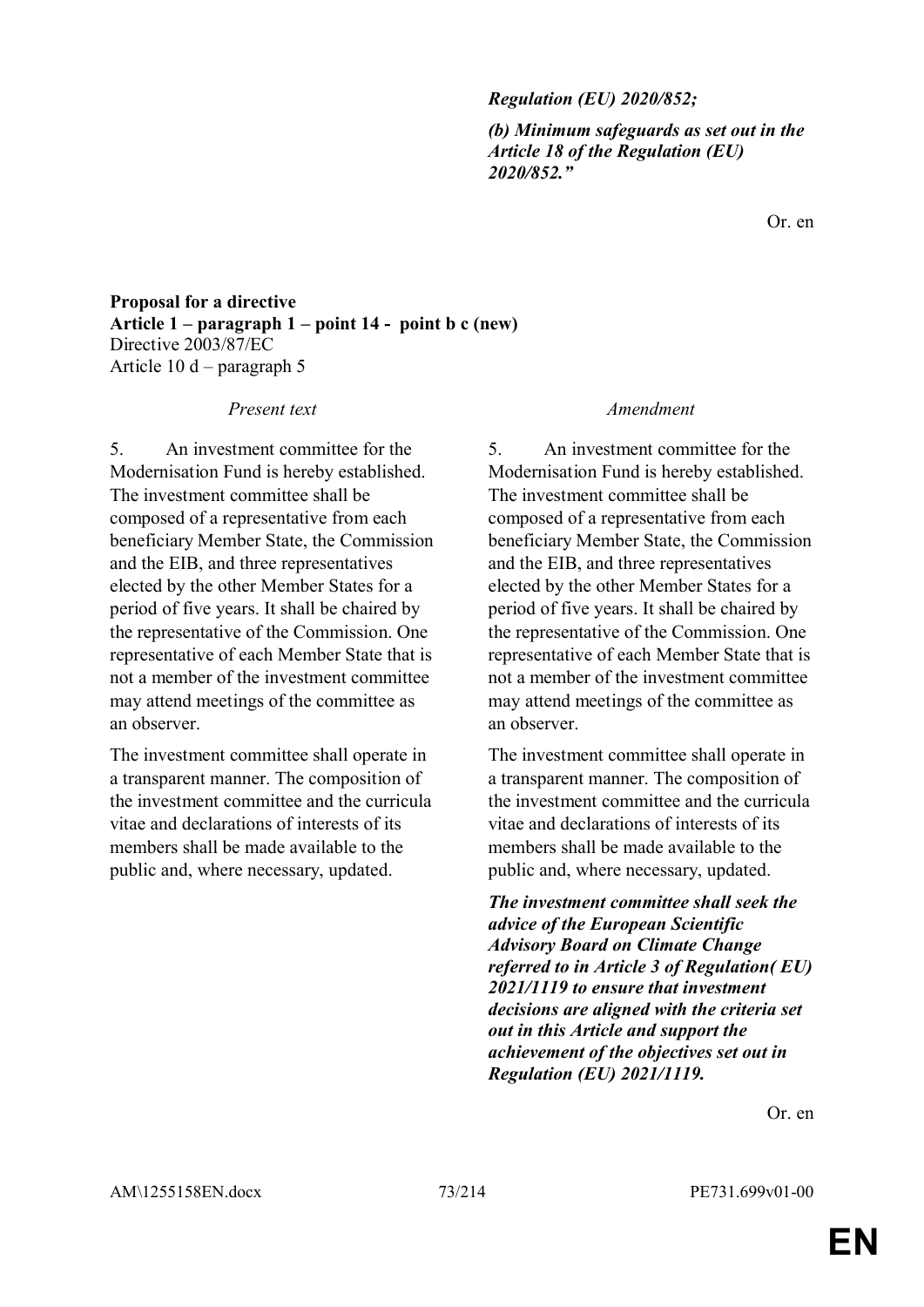#### *Regulation (EU) 2020/852;*

*(b) Minimum safeguards as set out in the Article 18 of the Regulation (EU) 2020/852."*

Or. en

**Proposal for a directive Article 1 – paragraph 1 – point 14 - point b c (new)** Directive 2003/87/EC Article  $10 d$  – paragraph 5

5. An investment committee for the Modernisation Fund is hereby established. The investment committee shall be composed of a representative from each beneficiary Member State, the Commission and the EIB, and three representatives elected by the other Member States for a period of five years. It shall be chaired by the representative of the Commission. One representative of each Member State that is not a member of the investment committee may attend meetings of the committee as an observer.

The investment committee shall operate in a transparent manner. The composition of the investment committee and the curricula vitae and declarations of interests of its members shall be made available to the public and, where necessary, updated.

#### *Present text Amendment*

5. An investment committee for the Modernisation Fund is hereby established. The investment committee shall be composed of a representative from each beneficiary Member State, the Commission and the EIB, and three representatives elected by the other Member States for a period of five years. It shall be chaired by the representative of the Commission. One representative of each Member State that is not a member of the investment committee may attend meetings of the committee as an observer.

The investment committee shall operate in a transparent manner. The composition of the investment committee and the curricula vitae and declarations of interests of its members shall be made available to the public and, where necessary, updated.

*The investment committee shall seek the advice of the European Scientific Advisory Board on Climate Change referred to in Article 3 of Regulation( EU) 2021/1119 to ensure that investment decisions are aligned with the criteria set out in this Article and support the achievement of the objectives set out in Regulation (EU) 2021/1119.*

Or. en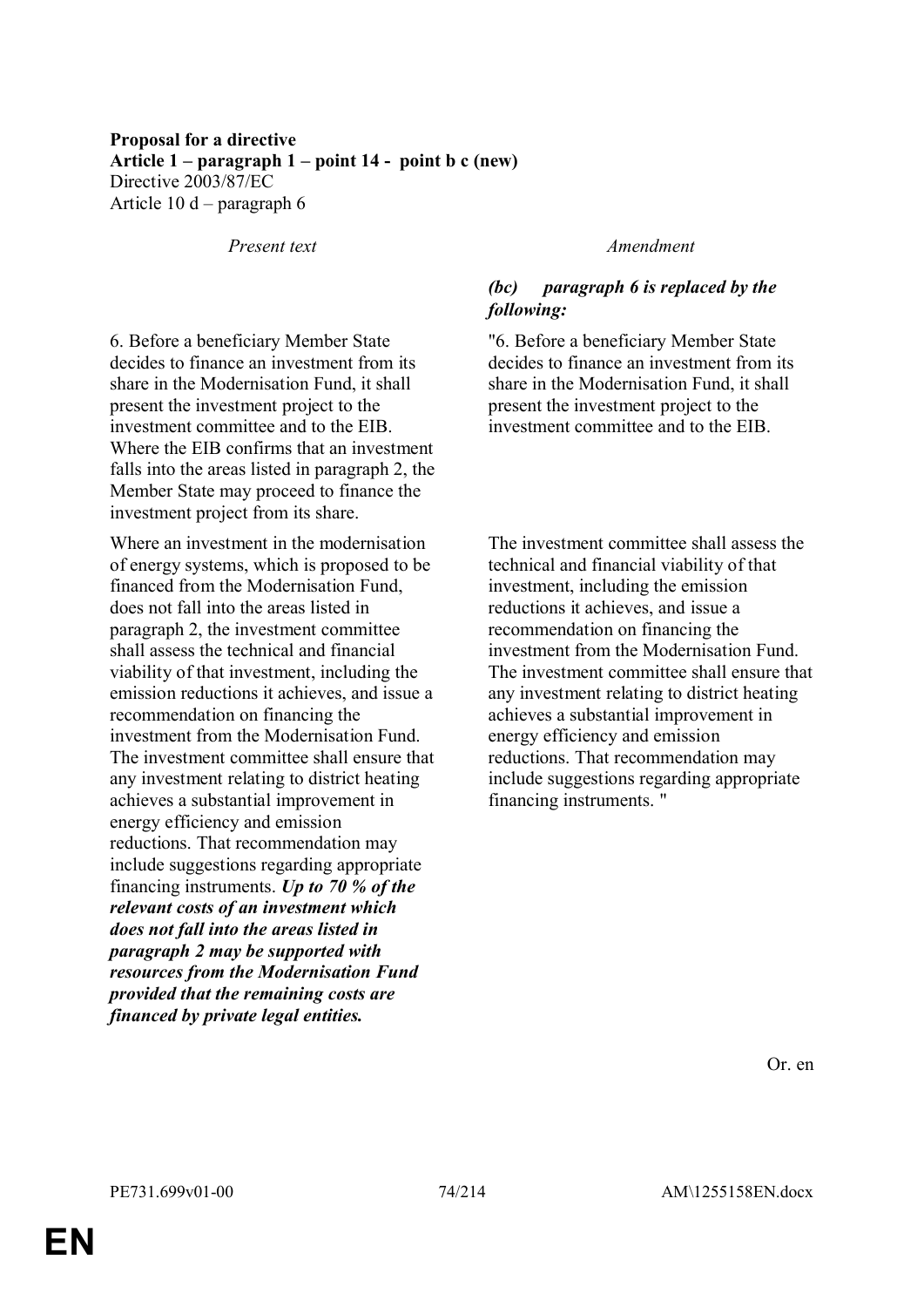**Proposal for a directive Article 1 – paragraph 1 – point 14 - point b c (new)** Directive 2003/87/EC Article 10 d – paragraph 6

6. Before a beneficiary Member State decides to finance an investment from its share in the Modernisation Fund, it shall present the investment project to the investment committee and to the EIB. Where the EIB confirms that an investment falls into the areas listed in paragraph 2, the Member State may proceed to finance the investment project from its share.

Where an investment in the modernisation of energy systems, which is proposed to be financed from the Modernisation Fund, does not fall into the areas listed in paragraph 2, the investment committee shall assess the technical and financial viability of that investment, including the emission reductions it achieves, and issue a recommendation on financing the investment from the Modernisation Fund. The investment committee shall ensure that any investment relating to district heating achieves a substantial improvement in energy efficiency and emission reductions. That recommendation may include suggestions regarding appropriate financing instruments. *Up to 70 % of the relevant costs of an investment which does not fall into the areas listed in paragraph 2 may be supported with resources from the Modernisation Fund provided that the remaining costs are financed by private legal entities.*

#### *Present text Amendment*

### *(bc) paragraph 6 is replaced by the following:*

"6. Before a beneficiary Member State decides to finance an investment from its share in the Modernisation Fund, it shall present the investment project to the investment committee and to the EIB.

The investment committee shall assess the technical and financial viability of that investment, including the emission reductions it achieves, and issue a recommendation on financing the investment from the Modernisation Fund. The investment committee shall ensure that any investment relating to district heating achieves a substantial improvement in energy efficiency and emission reductions. That recommendation may include suggestions regarding appropriate financing instruments. "

Or. en

**EN**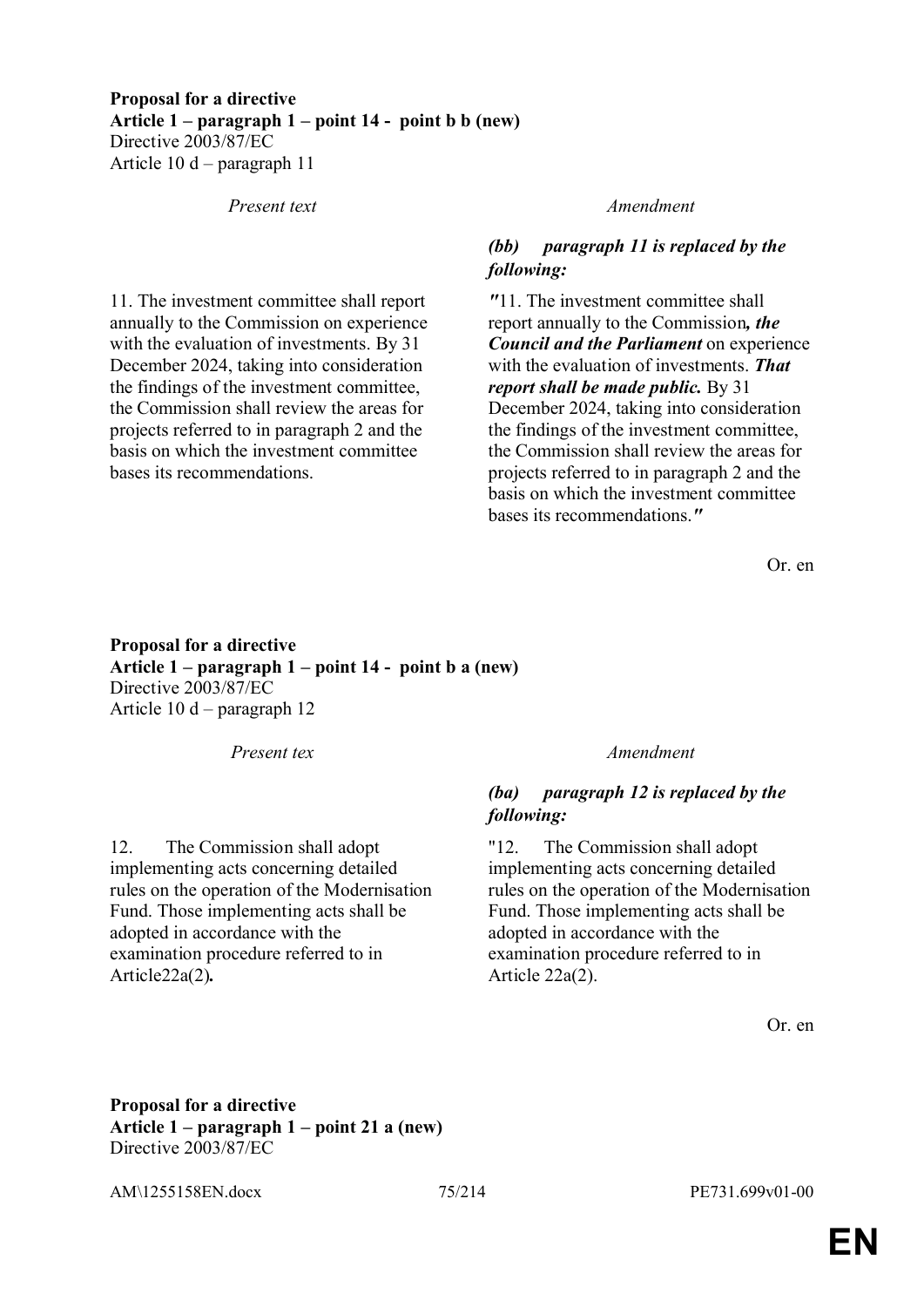### **Proposal for a directive Article 1 – paragraph 1 – point 14 - point b b (new)** Directive 2003/87/EC Article 10 d – paragraph 11

#### *Present text Amendment*

11. The investment committee shall report annually to the Commission on experience with the evaluation of investments. By 31 December 2024, taking into consideration the findings of the investment committee, the Commission shall review the areas for projects referred to in paragraph 2 and the basis on which the investment committee bases its recommendations.

### *(bb) paragraph 11 is replaced by the following:*

*"*11. The investment committee shall report annually to the Commission*, the Council and the Parliament* on experience with the evaluation of investments. *That report shall be made public.* By 31 December 2024, taking into consideration the findings of the investment committee, the Commission shall review the areas for projects referred to in paragraph 2 and the basis on which the investment committee bases its recommendations.*"*

Or. en

**Proposal for a directive Article 1 – paragraph 1 – point 14 - point b a (new)** Directive 2003/87/EC Article 10 d – paragraph 12

12. The Commission shall adopt implementing acts concerning detailed rules on the operation of the Modernisation Fund. Those implementing acts shall be adopted in accordance with the examination procedure referred to in Article22a(2)*.*

#### *Present tex Amendment*

### *(ba) paragraph 12 is replaced by the following:*

"12. The Commission shall adopt implementing acts concerning detailed rules on the operation of the Modernisation Fund. Those implementing acts shall be adopted in accordance with the examination procedure referred to in Article 22a(2).

Or. en

**Proposal for a directive Article 1 – paragraph 1 – point 21 a (new)** Directive 2003/87/EC

AM\1255158EN.docx 75/214 PE731.699v01-00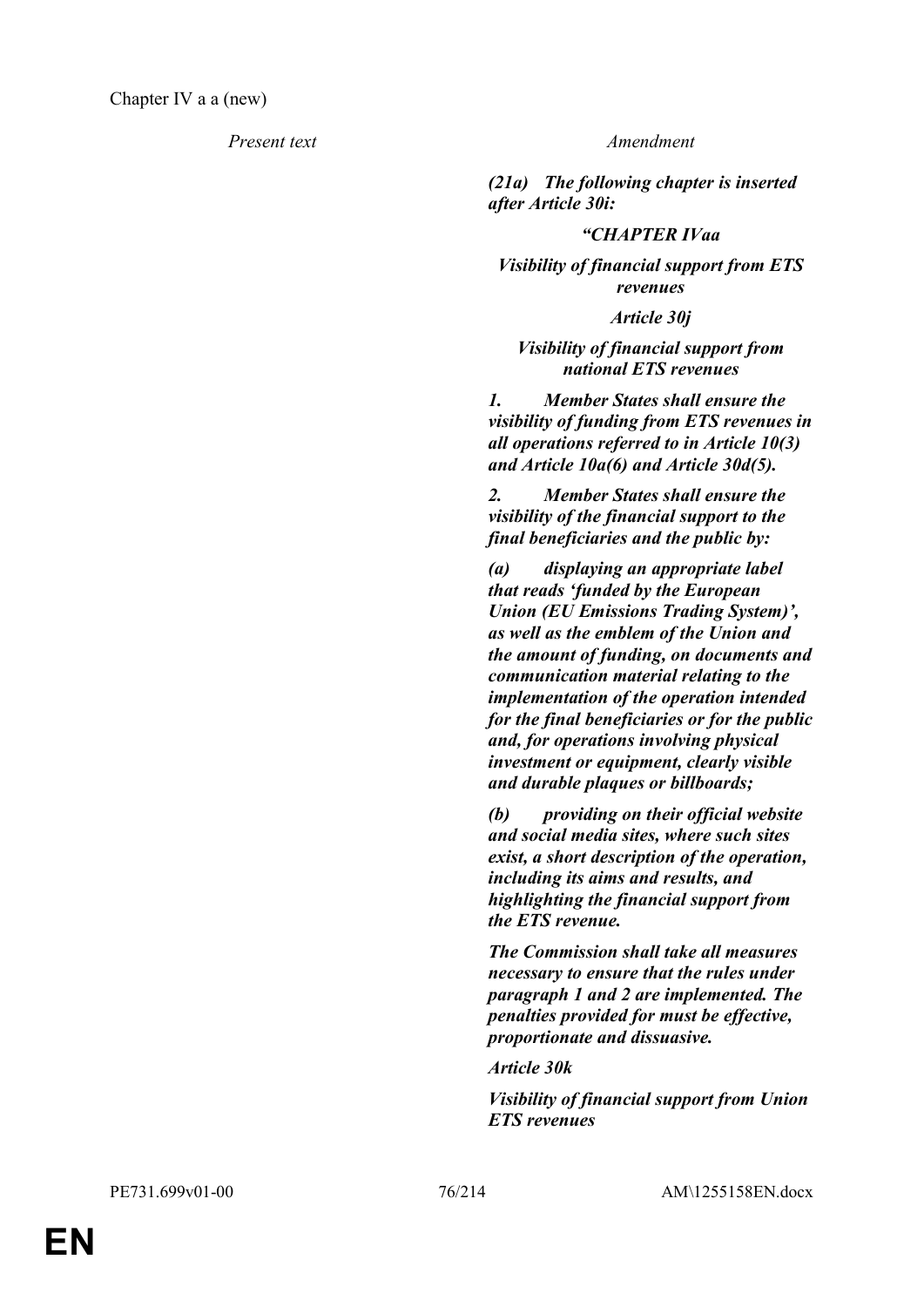*Present text Amendment*

*(21a) The following chapter is inserted after Article 30i:*

#### *"CHAPTER IVaa*

*Visibility of financial support from ETS revenues*

*Article 30j*

*Visibility of financial support from national ETS revenues*

*1. Member States shall ensure the visibility of funding from ETS revenues in all operations referred to in Article 10(3) and Article 10a(6) and Article 30d(5).*

*2. Member States shall ensure the visibility of the financial support to the final beneficiaries and the public by:*

*(a) displaying an appropriate label that reads 'funded by the European Union (EU Emissions Trading System)', as well as the emblem of the Union and the amount of funding, on documents and communication material relating to the implementation of the operation intended for the final beneficiaries or for the public and, for operations involving physical investment or equipment, clearly visible and durable plaques or billboards;*

*(b) providing on their official website and social media sites, where such sites exist, a short description of the operation, including its aims and results, and highlighting the financial support from the ETS revenue.*

*The Commission shall take all measures necessary to ensure that the rules under paragraph 1 and 2 are implemented. The penalties provided for must be effective, proportionate and dissuasive.*

#### *Article 30k*

*Visibility of financial support from Union ETS revenues*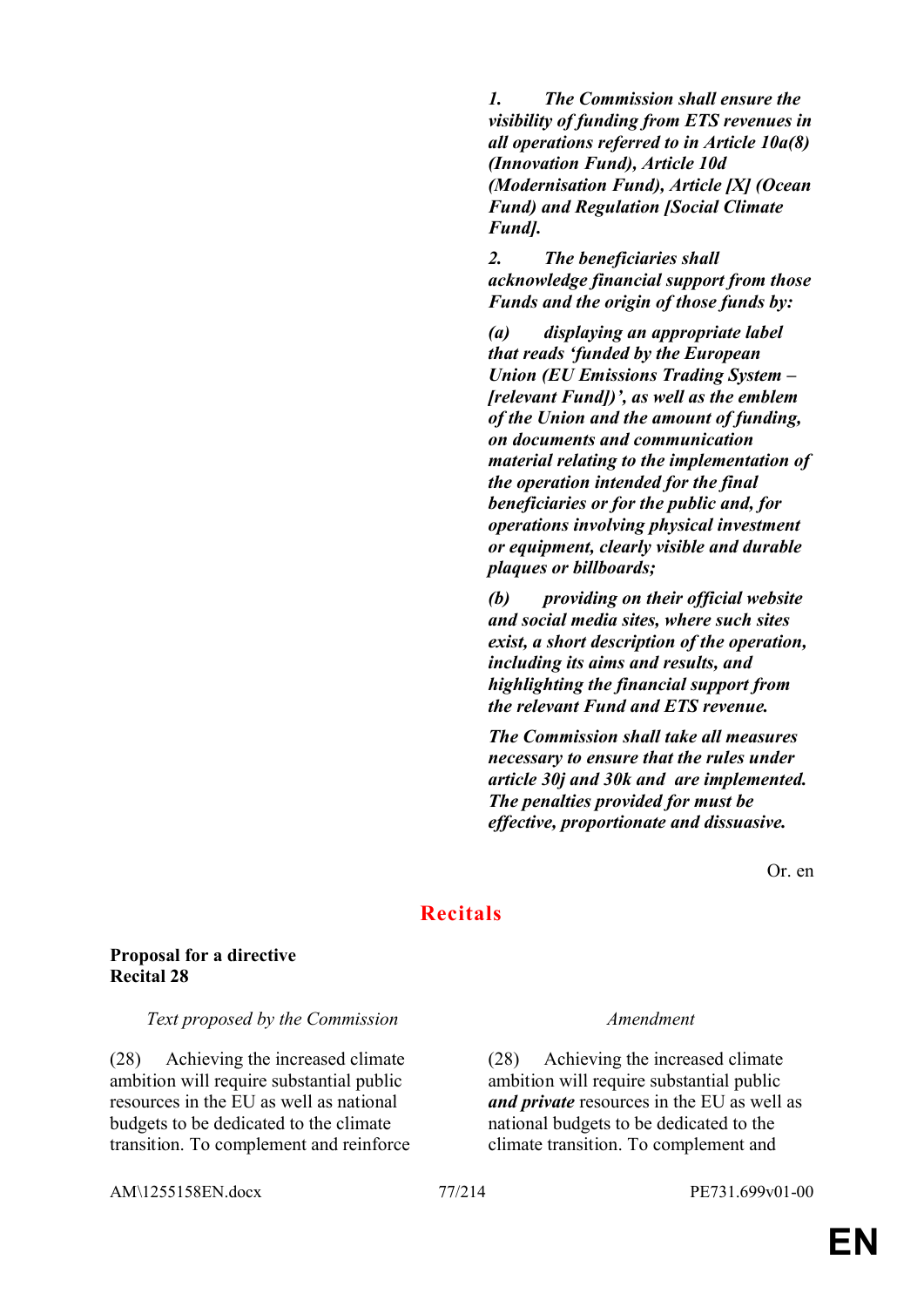*1. The Commission shall ensure the visibility of funding from ETS revenues in all operations referred to in Article 10a(8) (Innovation Fund), Article 10d (Modernisation Fund), Article [X] (Ocean Fund) and Regulation [Social Climate Fund].*

*2. The beneficiaries shall acknowledge financial support from those Funds and the origin of those funds by:* 

*(a) displaying an appropriate label that reads 'funded by the European Union (EU Emissions Trading System – [relevant Fund])', as well as the emblem of the Union and the amount of funding, on documents and communication material relating to the implementation of the operation intended for the final beneficiaries or for the public and, for operations involving physical investment or equipment, clearly visible and durable plaques or billboards;* 

*(b) providing on their official website and social media sites, where such sites exist, a short description of the operation, including its aims and results, and highlighting the financial support from the relevant Fund and ETS revenue.* 

*The Commission shall take all measures necessary to ensure that the rules under article 30j and 30k and are implemented. The penalties provided for must be effective, proportionate and dissuasive.*

Or. en

## **Recitals**

#### **Proposal for a directive Recital 28**

*Text proposed by the Commission Amendment*

(28) Achieving the increased climate ambition will require substantial public resources in the EU as well as national budgets to be dedicated to the climate transition. To complement and reinforce

(28) Achieving the increased climate ambition will require substantial public *and private* resources in the EU as well as national budgets to be dedicated to the climate transition. To complement and

AM\1255158EN.docx 77/214 PE731.699v01-00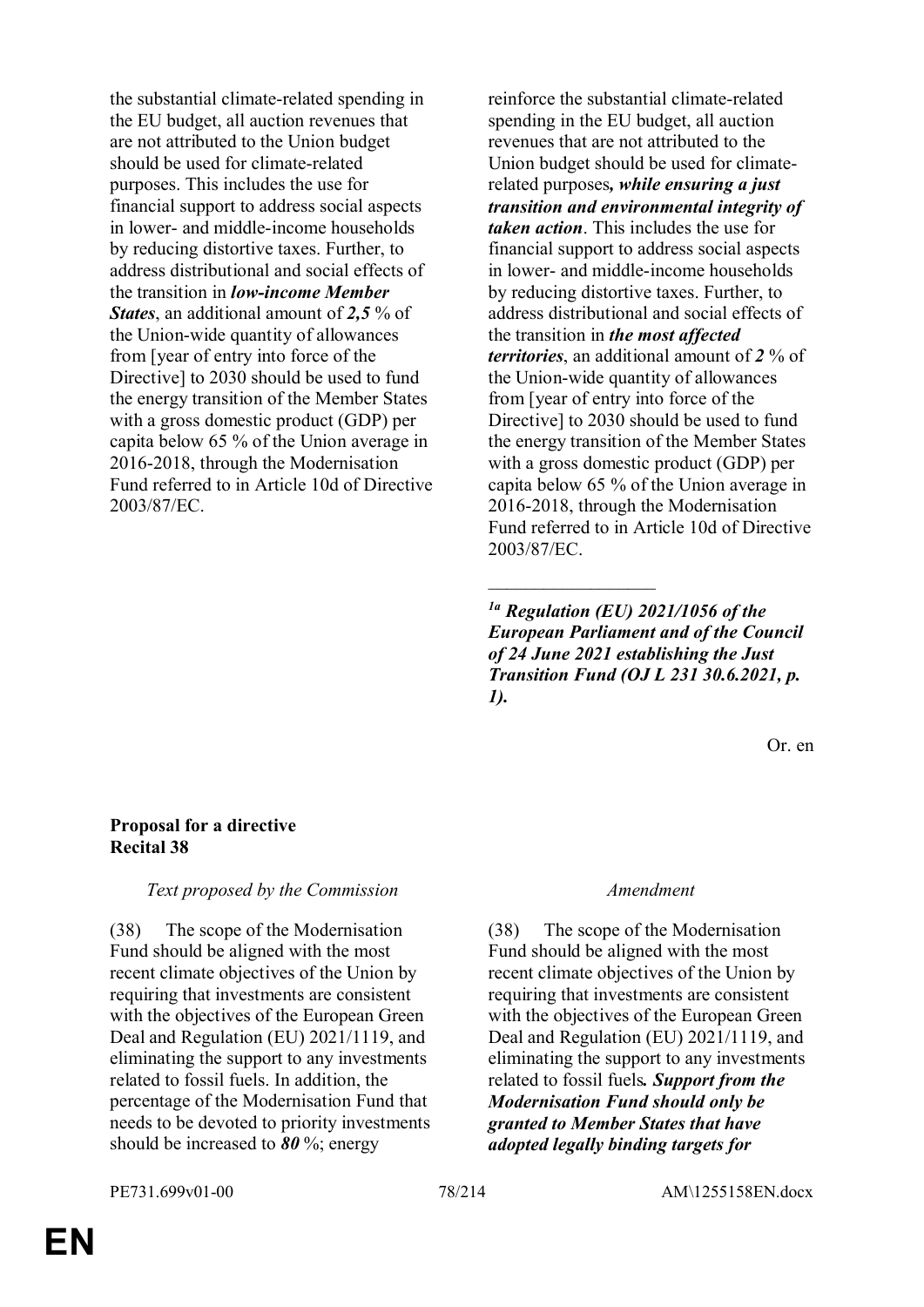the substantial climate-related spending in the EU budget, all auction revenues that are not attributed to the Union budget should be used for climate-related purposes. This includes the use for financial support to address social aspects in lower- and middle-income households by reducing distortive taxes. Further, to address distributional and social effects of the transition in *low-income Member States*, an additional amount of *2,5* % of the Union-wide quantity of allowances from [year of entry into force of the Directive] to 2030 should be used to fund the energy transition of the Member States with a gross domestic product (GDP) per capita below 65 % of the Union average in 2016-2018, through the Modernisation Fund referred to in Article 10d of Directive 2003/87/EC.

reinforce the substantial climate-related spending in the EU budget, all auction revenues that are not attributed to the Union budget should be used for climaterelated purposes*, while ensuring a just transition and environmental integrity of taken action*. This includes the use for financial support to address social aspects in lower- and middle-income households by reducing distortive taxes. Further, to address distributional and social effects of the transition in *the most affected territories*, an additional amount of *2* % of the Union-wide quantity of allowances from [year of entry into force of the Directive] to 2030 should be used to fund the energy transition of the Member States with a gross domestic product (GDP) per capita below 65 % of the Union average in 2016-2018, through the Modernisation Fund referred to in Article 10d of Directive 2003/87/EC.

*1a Regulation (EU) 2021/1056 of the European Parliament and of the Council of 24 June 2021 establishing the Just Transition Fund (OJ L 231 30.6.2021, p. 1).*

Or. en

#### **Proposal for a directive Recital 38**

#### *Text proposed by the Commission Amendment*

(38) The scope of the Modernisation Fund should be aligned with the most recent climate objectives of the Union by requiring that investments are consistent with the objectives of the European Green Deal and Regulation (EU) 2021/1119, and eliminating the support to any investments related to fossil fuels. In addition, the percentage of the Modernisation Fund that needs to be devoted to priority investments should be increased to *80* %; energy

(38) The scope of the Modernisation Fund should be aligned with the most recent climate objectives of the Union by requiring that investments are consistent with the objectives of the European Green Deal and Regulation (EU) 2021/1119, and eliminating the support to any investments related to fossil fuels*. Support from the Modernisation Fund should only be granted to Member States that have adopted legally binding targets for*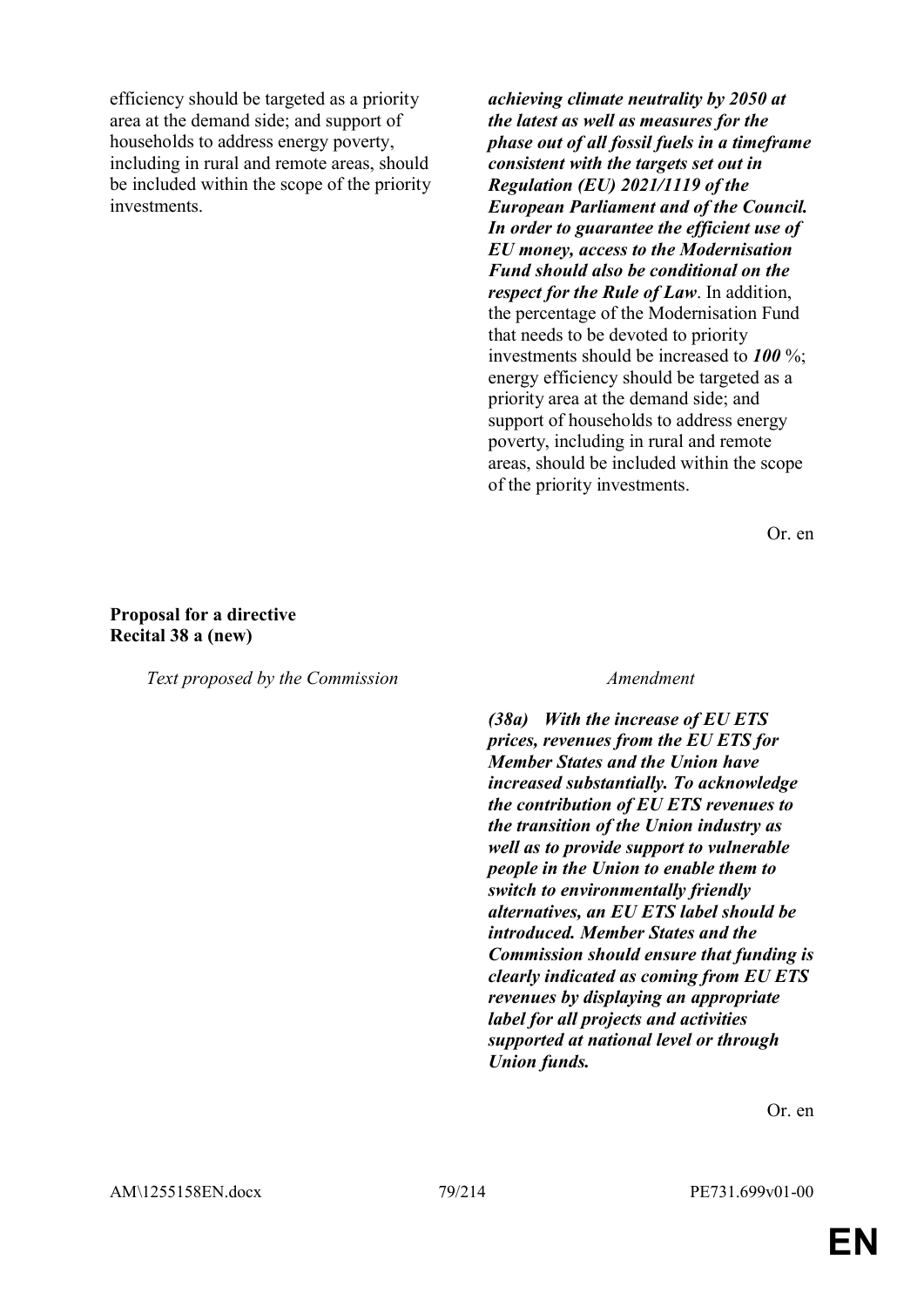efficiency should be targeted as a priority area at the demand side; and support of households to address energy poverty, including in rural and remote areas, should be included within the scope of the priority investments.

*achieving climate neutrality by 2050 at the latest as well as measures for the phase out of all fossil fuels in a timeframe consistent with the targets set out in Regulation (EU) 2021/1119 of the European Parliament and of the Council. In order to guarantee the efficient use of EU money, access to the Modernisation Fund should also be conditional on the respect for the Rule of Law*. In addition, the percentage of the Modernisation Fund that needs to be devoted to priority investments should be increased to *100* %; energy efficiency should be targeted as a priority area at the demand side; and support of households to address energy poverty, including in rural and remote areas, should be included within the scope of the priority investments.

Or. en

#### **Proposal for a directive Recital 38 a (new)**

*Text proposed by the Commission Amendment*

*(38a) With the increase of EU ETS prices, revenues from the EU ETS for Member States and the Union have increased substantially. To acknowledge the contribution of EU ETS revenues to the transition of the Union industry as well as to provide support to vulnerable people in the Union to enable them to switch to environmentally friendly alternatives, an EU ETS label should be introduced. Member States and the Commission should ensure that funding is clearly indicated as coming from EU ETS revenues by displaying an appropriate label for all projects and activities supported at national level or through Union funds.*

Or. en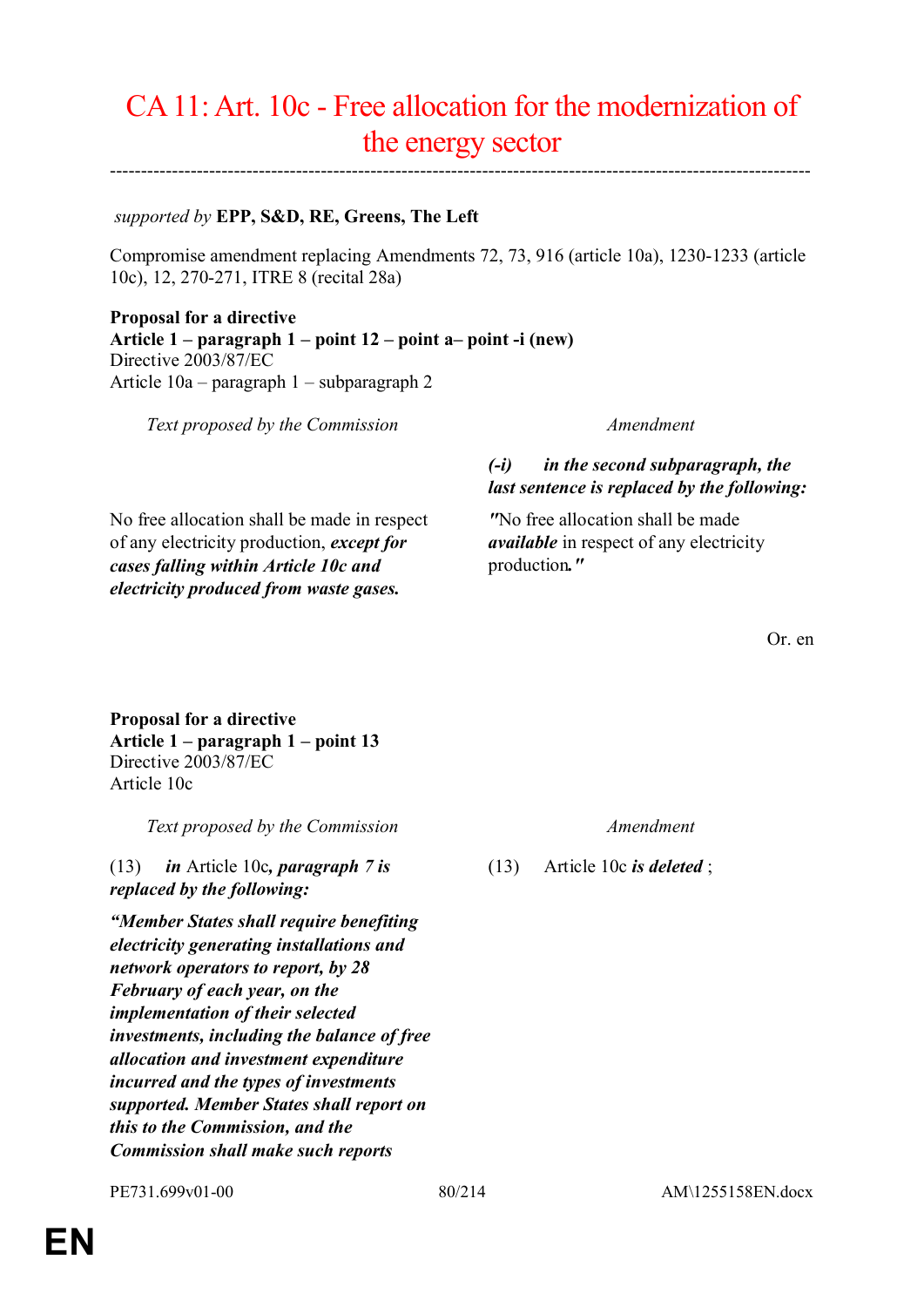# CA11: Art. 10c - Free allocation for the modernization of the energy sector

-----------------------------------------------------------------------------------------------------------------

### *supported by* **EPP, S&D, RE, Greens, The Left**

Compromise amendment replacing Amendments 72, 73, 916 (article 10a), 1230-1233 (article 10c), 12, 270-271, ITRE 8 (recital 28a)

**Proposal for a directive Article 1 – paragraph 1 – point 12 – point a– point -i (new)** Directive 2003/87/EC Article 10a – paragraph 1 – subparagraph 2

*Text proposed by the Commission Amendment*

No free allocation shall be made in respect of any electricity production, *except for cases falling within Article 10c and electricity produced from waste gases.*

### *(-i) in the second subparagraph, the last sentence is replaced by the following:*

*"*No free allocation shall be made *available* in respect of any electricity production*."*

Or. en

**Proposal for a directive Article 1 – paragraph 1 – point 13** Directive 2003/87/EC Article 10c

*Text proposed by the Commission Amendment*

(13) *in* Article 10c*, paragraph 7 is replaced by the following:*

*"Member States shall require benefiting electricity generating installations and network operators to report, by 28 February of each year, on the implementation of their selected investments, including the balance of free allocation and investment expenditure incurred and the types of investments supported. Member States shall report on this to the Commission, and the Commission shall make such reports* 

(13) Article 10c *is deleted* ;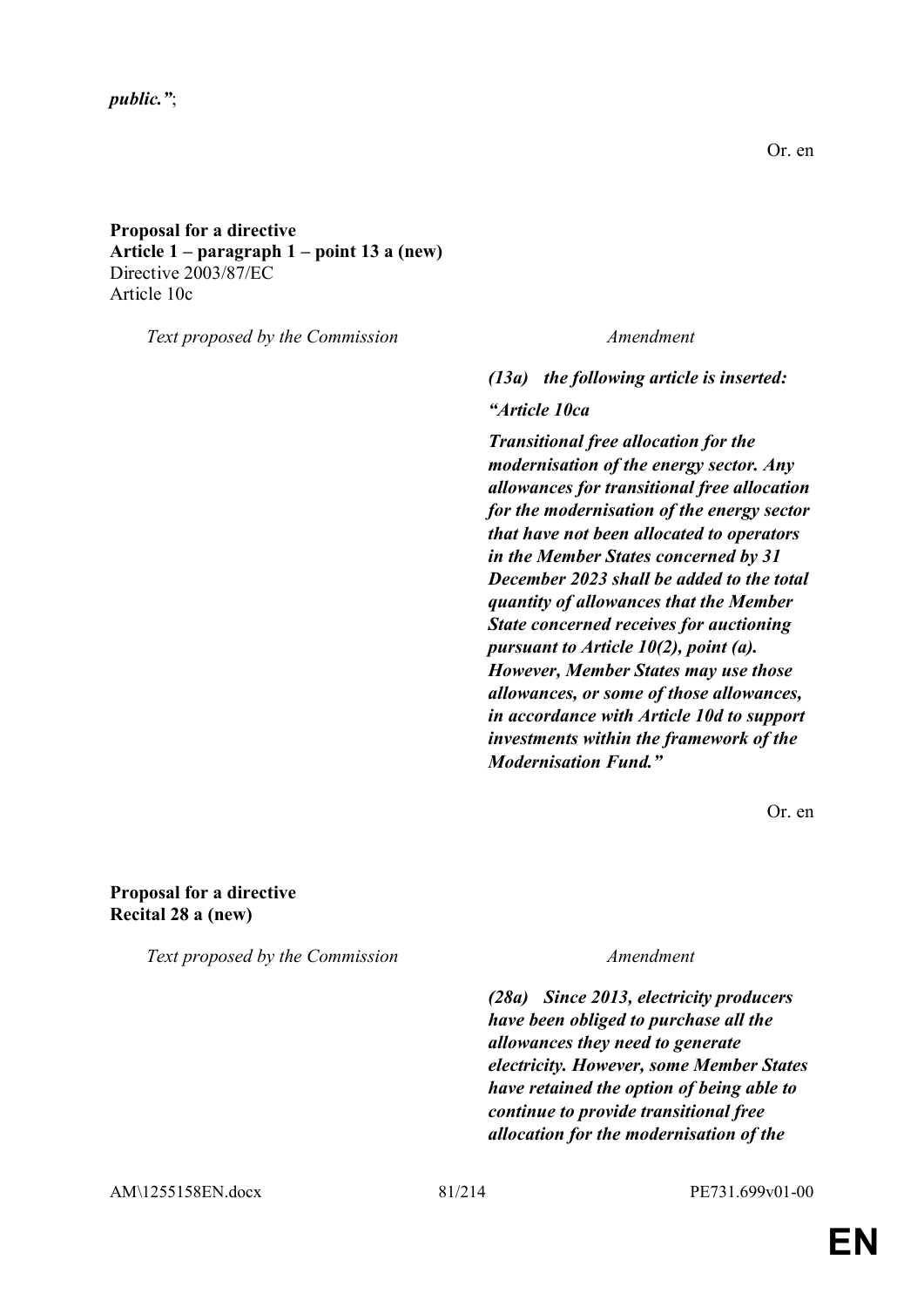### **Proposal for a directive Article 1 – paragraph 1 – point 13 a (new)** Directive 2003/87/EC Article 10c

*Text proposed by the Commission Amendment*

*(13a) the following article is inserted: "Article 10ca*

*Transitional free allocation for the modernisation of the energy sector. Any allowances for transitional free allocation for the modernisation of the energy sector that have not been allocated to operators in the Member States concerned by 31 December 2023 shall be added to the total quantity of allowances that the Member State concerned receives for auctioning pursuant to Article 10(2), point (a). However, Member States may use those allowances, or some of those allowances, in accordance with Article 10d to support investments within the framework of the Modernisation Fund."*

Or. en

#### **Proposal for a directive Recital 28 a (new)**

*Text proposed by the Commission Amendment*

*(28a) Since 2013, electricity producers have been obliged to purchase all the allowances they need to generate electricity. However, some Member States have retained the option of being able to continue to provide transitional free allocation for the modernisation of the* 

AM\1255158EN.docx 81/214 PE731.699v01-00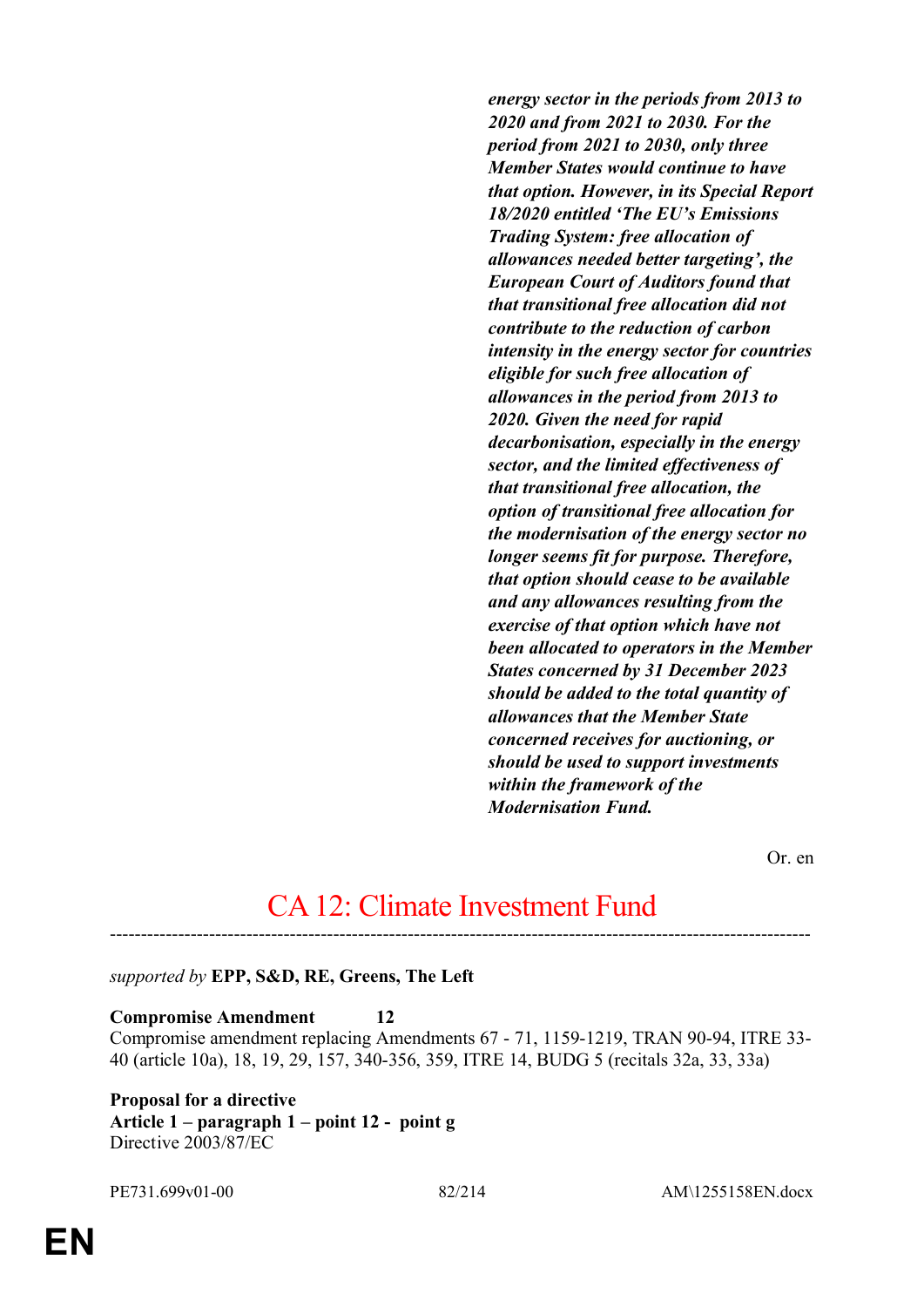*energy sector in the periods from 2013 to 2020 and from 2021 to 2030. For the period from 2021 to 2030, only three Member States would continue to have that option. However, in its Special Report 18/2020 entitled 'The EU's Emissions Trading System: free allocation of allowances needed better targeting', the European Court of Auditors found that that transitional free allocation did not contribute to the reduction of carbon intensity in the energy sector for countries eligible for such free allocation of allowances in the period from 2013 to 2020. Given the need for rapid decarbonisation, especially in the energy sector, and the limited effectiveness of that transitional free allocation, the option of transitional free allocation for the modernisation of the energy sector no longer seems fit for purpose. Therefore, that option should cease to be available and any allowances resulting from the exercise of that option which have not been allocated to operators in the Member States concerned by 31 December 2023 should be added to the total quantity of allowances that the Member State concerned receives for auctioning, or should be used to support investments within the framework of the Modernisation Fund.*

Or. en

## CA 12: Climate Investment Fund -----------------------------------------------------------------------------------------------------------------

*supported by* **EPP, S&D, RE, Greens, The Left**

**Compromise Amendment 12**

Compromise amendment replacing Amendments 67 - 71, 1159-1219, TRAN 90-94, ITRE 33- 40 (article 10a), 18, 19, 29, 157, 340-356, 359, ITRE 14, BUDG 5 (recitals 32a, 33, 33a)

**Proposal for a directive Article 1 – paragraph 1 – point 12 - point g** Directive 2003/87/EC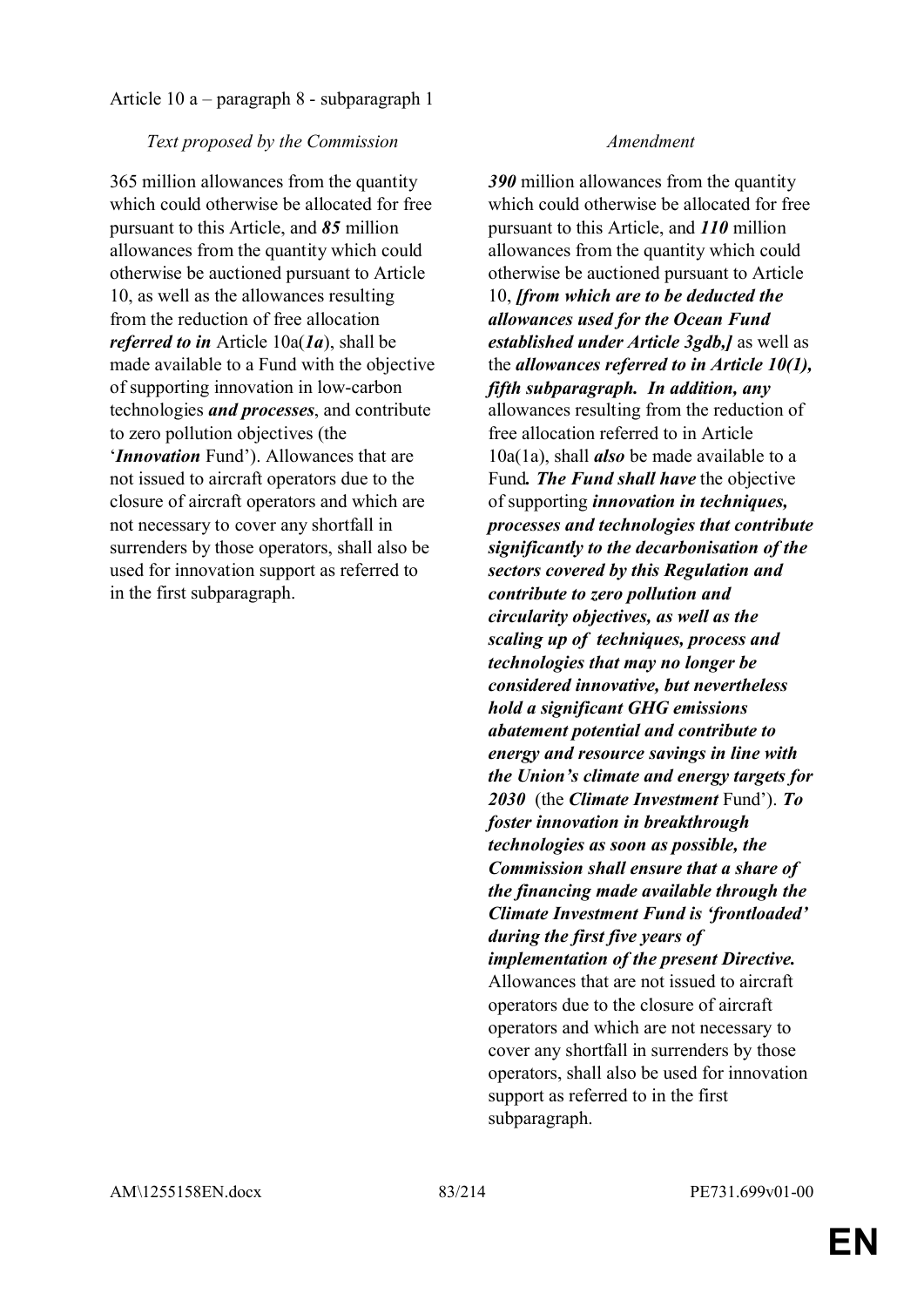Article 10 a – paragraph 8 - subparagraph 1

### *Text proposed by the Commission Amendment*

365 million allowances from the quantity which could otherwise be allocated for free pursuant to this Article, and *85* million allowances from the quantity which could otherwise be auctioned pursuant to Article 10, as well as the allowances resulting from the reduction of free allocation *referred to in* Article 10a(*1a*), shall be made available to a Fund with the objective of supporting innovation in low-carbon technologies *and processes*, and contribute to zero pollution objectives (the '*Innovation* Fund'). Allowances that are not issued to aircraft operators due to the closure of aircraft operators and which are not necessary to cover any shortfall in surrenders by those operators, shall also be used for innovation support as referred to in the first subparagraph.

*390* million allowances from the quantity which could otherwise be allocated for free pursuant to this Article, and *110* million allowances from the quantity which could otherwise be auctioned pursuant to Article 10, *[from which are to be deducted the allowances used for the Ocean Fund established under Article 3gdb,]* as well as the *allowances referred to in Article 10(1), fifth subparagraph. In addition, any* allowances resulting from the reduction of free allocation referred to in Article 10a(1a), shall *also* be made available to a Fund*. The Fund shall have* the objective of supporting *innovation in techniques, processes and technologies that contribute significantly to the decarbonisation of the sectors covered by this Regulation and contribute to zero pollution and circularity objectives, as well as the scaling up of techniques, process and technologies that may no longer be considered innovative, but nevertheless hold a significant GHG emissions abatement potential and contribute to energy and resource savings in line with the Union's climate and energy targets for 2030* (the *Climate Investment* Fund'). *To foster innovation in breakthrough technologies as soon as possible, the Commission shall ensure that a share of the financing made available through the Climate Investment Fund is 'frontloaded' during the first five years of implementation of the present Directive.* Allowances that are not issued to aircraft operators due to the closure of aircraft operators and which are not necessary to cover any shortfall in surrenders by those operators, shall also be used for innovation support as referred to in the first subparagraph.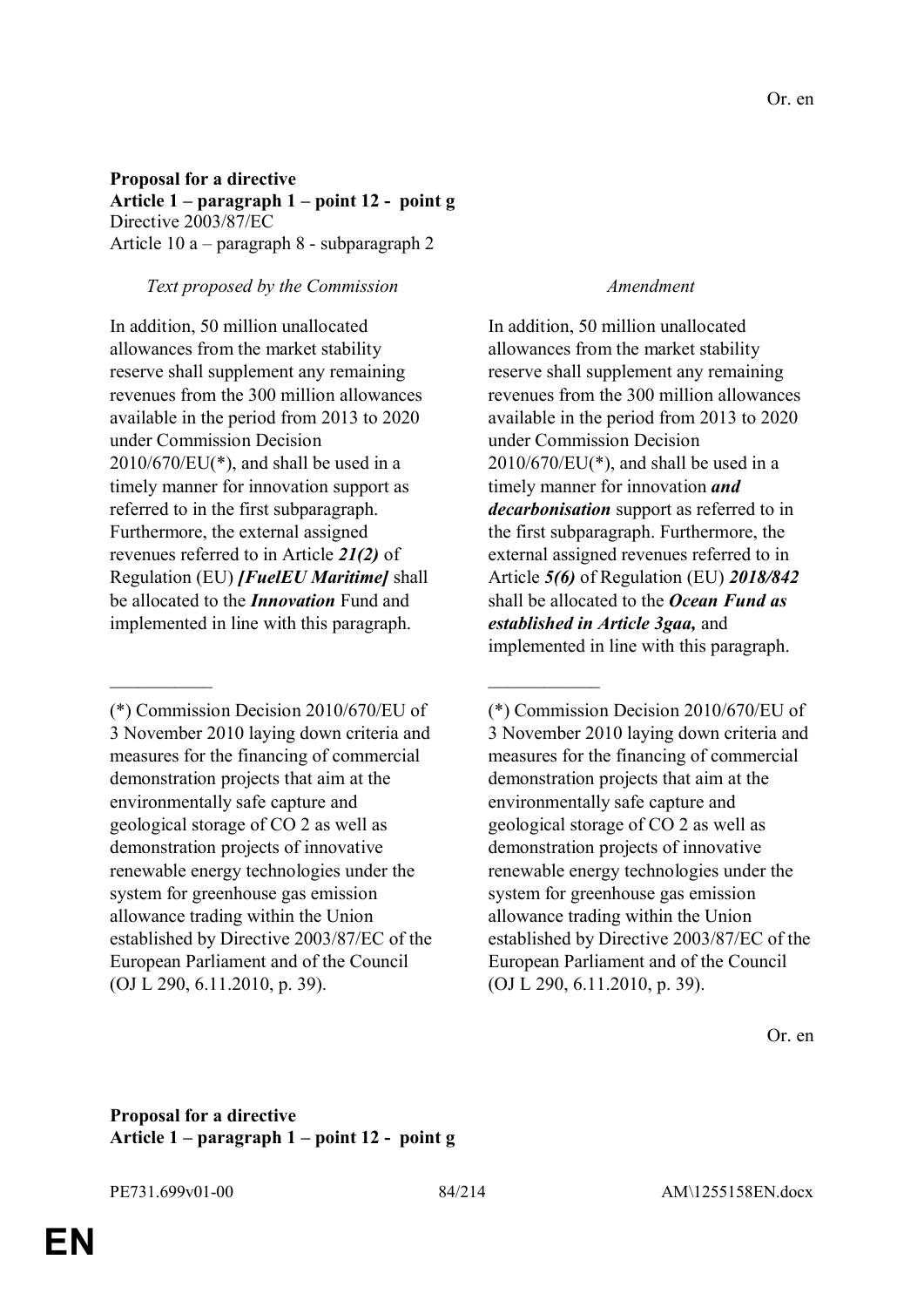### **Proposal for a directive Article 1 – paragraph 1 – point 12 - point g** Directive 2003/87/EC Article 10 a – paragraph 8 - subparagraph 2

### *Text proposed by the Commission Amendment*

In addition, 50 million unallocated allowances from the market stability reserve shall supplement any remaining revenues from the 300 million allowances available in the period from 2013 to 2020 under Commission Decision  $2010/670/EU(*)$ , and shall be used in a timely manner for innovation support as referred to in the first subparagraph. Furthermore, the external assigned revenues referred to in Article *21(2)* of Regulation (EU) *[FuelEU Maritime]* shall be allocated to the *Innovation* Fund and implemented in line with this paragraph.

In addition, 50 million unallocated allowances from the market stability reserve shall supplement any remaining revenues from the 300 million allowances available in the period from 2013 to 2020 under Commission Decision  $2010/670$ /EU(\*), and shall be used in a timely manner for innovation *and decarbonisation* support as referred to in the first subparagraph. Furthermore, the external assigned revenues referred to in Article *5(6)* of Regulation (EU) *2018/842* shall be allocated to the *Ocean Fund as established in Article 3gaa,* and implemented in line with this paragraph.

(\*) Commission Decision 2010/670/EU of 3 November 2010 laying down criteria and measures for the financing of commercial demonstration projects that aim at the environmentally safe capture and geological storage of CO 2 as well as demonstration projects of innovative renewable energy technologies under the system for greenhouse gas emission allowance trading within the Union established by Directive 2003/87/EC of the European Parliament and of the Council (OJ L 290, 6.11.2010, p. 39).

Or. en

**Proposal for a directive Article 1 – paragraph 1 – point 12 - point g**

<sup>(\*)</sup> Commission Decision 2010/670/EU of 3 November 2010 laying down criteria and measures for the financing of commercial demonstration projects that aim at the environmentally safe capture and geological storage of CO 2 as well as demonstration projects of innovative renewable energy technologies under the system for greenhouse gas emission allowance trading within the Union established by Directive 2003/87/EC of the European Parliament and of the Council (OJ L 290, 6.11.2010, p. 39).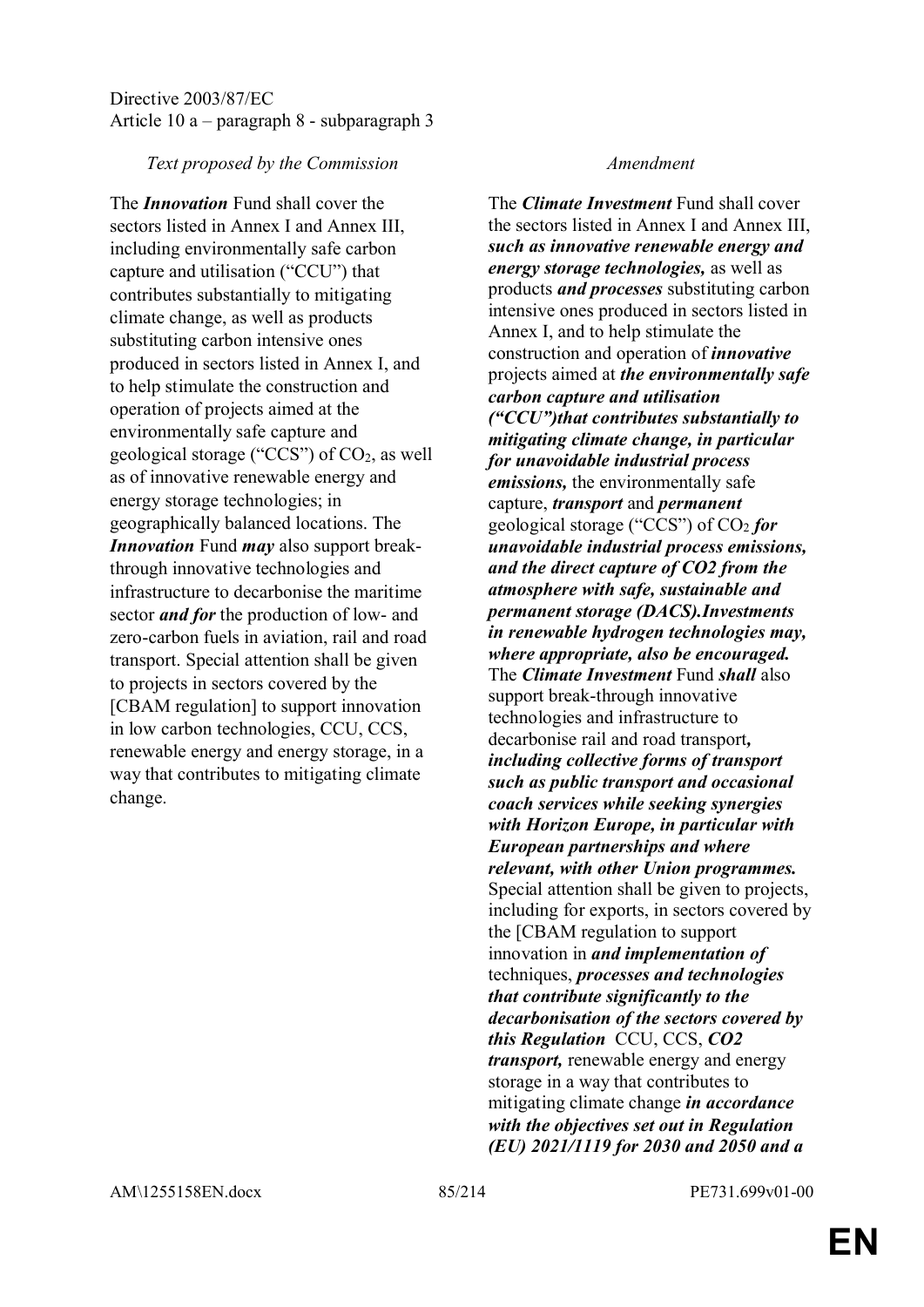### Directive 2003/87/EC Article 10 a – paragraph 8 - subparagraph 3

### *Text proposed by the Commission Amendment*

The *Innovation* Fund shall cover the sectors listed in Annex I and Annex III. including environmentally safe carbon capture and utilisation ("CCU") that contributes substantially to mitigating climate change, as well as products substituting carbon intensive ones produced in sectors listed in Annex I, and to help stimulate the construction and operation of projects aimed at the environmentally safe capture and geological storage ("CCS") of CO2, as well as of innovative renewable energy and energy storage technologies; in geographically balanced locations. The *Innovation* Fund *may* also support breakthrough innovative technologies and infrastructure to decarbonise the maritime sector *and for* the production of low- and zero-carbon fuels in aviation, rail and road transport. Special attention shall be given to projects in sectors covered by the [CBAM regulation] to support innovation in low carbon technologies, CCU, CCS, renewable energy and energy storage, in a way that contributes to mitigating climate change.

The *Climate Investment* Fund shall cover the sectors listed in Annex I and Annex III, *such as innovative renewable energy and energy storage technologies,* as well as products *and processes* substituting carbon intensive ones produced in sectors listed in Annex I, and to help stimulate the construction and operation of *innovative* projects aimed at *the environmentally safe carbon capture and utilisation ("CCU")that contributes substantially to mitigating climate change, in particular for unavoidable industrial process emissions,* the environmentally safe capture, *transport* and *permanent*  geological storage ("CCS") of CO<sup>2</sup> *for unavoidable industrial process emissions, and the direct capture of CO2 from the atmosphere with safe, sustainable and permanent storage (DACS).Investments in renewable hydrogen technologies may, where appropriate, also be encouraged.* The *Climate Investment* Fund *shall* also support break-through innovative technologies and infrastructure to decarbonise rail and road transport*, including collective forms of transport such as public transport and occasional coach services while seeking synergies with Horizon Europe, in particular with European partnerships and where relevant, with other Union programmes.* Special attention shall be given to projects, including for exports, in sectors covered by the [CBAM regulation to support innovation in *and implementation of* techniques, *processes and technologies that contribute significantly to the decarbonisation of the sectors covered by this Regulation* CCU, CCS, *CO2 transport,* renewable energy and energy storage in a way that contributes to mitigating climate change *in accordance with the objectives set out in Regulation (EU) 2021/1119 for 2030 and 2050 and a*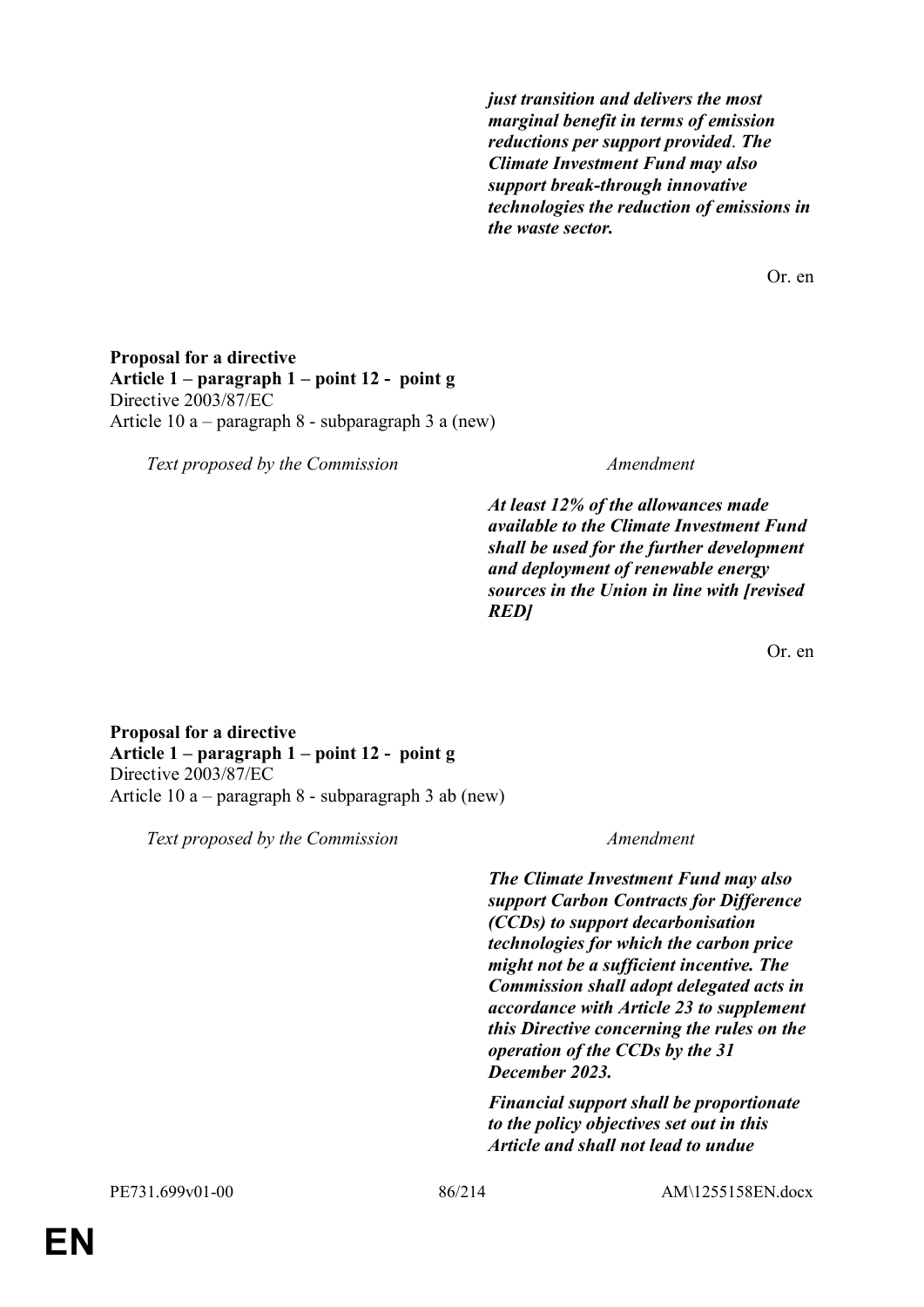*just transition and delivers the most marginal benefit in terms of emission reductions per support provided*. *The Climate Investment Fund may also support break-through innovative technologies the reduction of emissions in the waste sector.* 

Or. en

#### **Proposal for a directive Article 1 – paragraph 1 – point 12 - point g** Directive 2003/87/EC Article 10 a – paragraph 8 - subparagraph 3 a (new)

*Text proposed by the Commission Amendment*

*At least 12% of the allowances made available to the Climate Investment Fund shall be used for the further development and deployment of renewable energy sources in the Union in line with [revised RED]* 

Or. en

#### **Proposal for a directive Article 1 – paragraph 1 – point 12 - point g** Directive 2003/87/EC Article 10 a – paragraph 8 - subparagraph 3 ab (new)

*Text proposed by the Commission Amendment*

*The Climate Investment Fund may also support Carbon Contracts for Difference (CCDs) to support decarbonisation technologies for which the carbon price might not be a sufficient incentive. The Commission shall adopt delegated acts in accordance with Article 23 to supplement this Directive concerning the rules on the operation of the CCDs by the 31 December 2023.*

*Financial support shall be proportionate to the policy objectives set out in this Article and shall not lead to undue*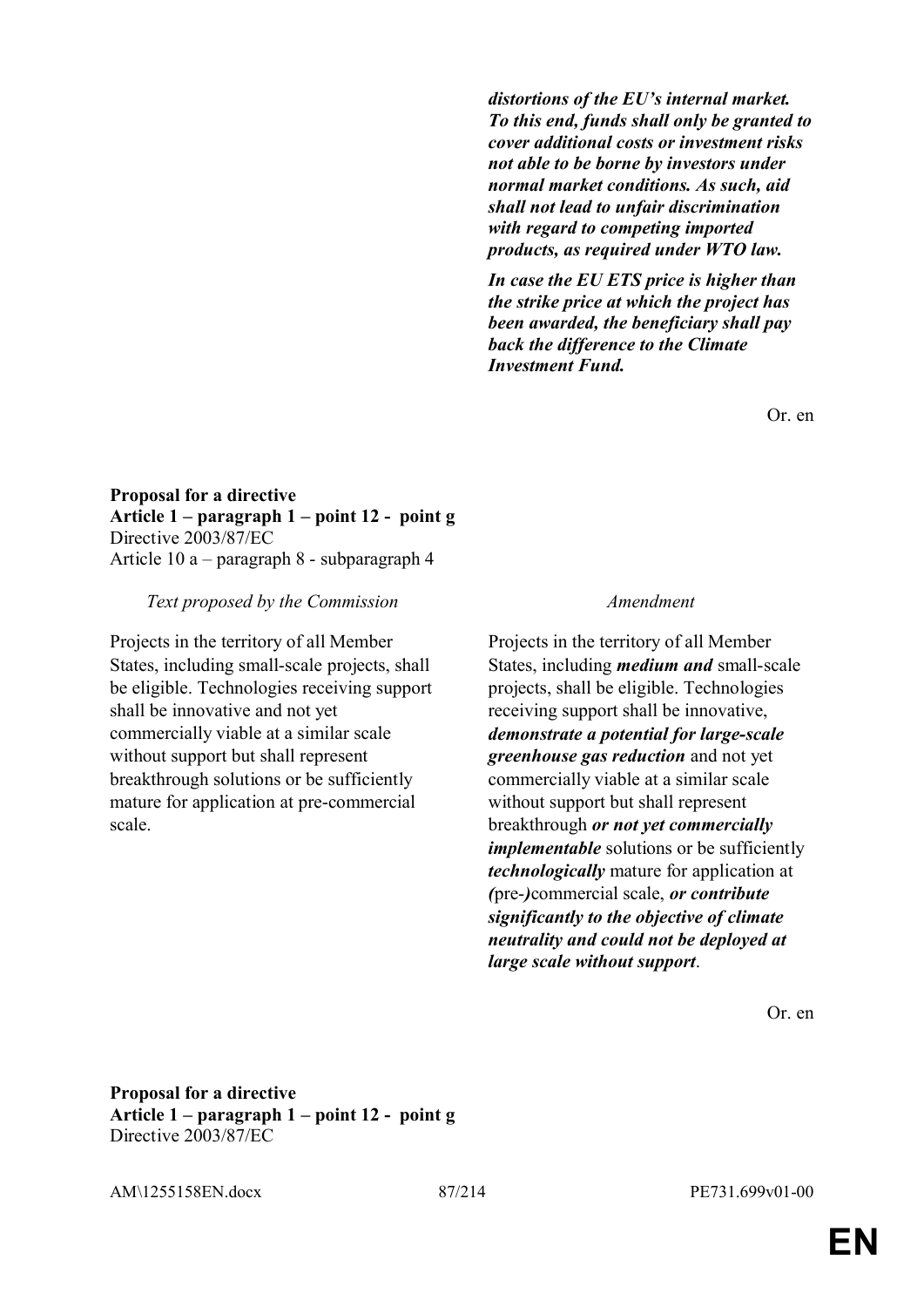*distortions of the EU's internal market. To this end, funds shall only be granted to cover additional costs or investment risks not able to be borne by investors under normal market conditions. As such, aid shall not lead to unfair discrimination with regard to competing imported products, as required under WTO law.*

*In case the EU ETS price is higher than the strike price at which the project has been awarded, the beneficiary shall pay back the difference to the Climate Investment Fund.*

Or. en

### **Proposal for a directive Article 1 – paragraph 1 – point 12 - point g** Directive 2003/87/EC Article 10 a – paragraph 8 - subparagraph 4

#### *Text proposed by the Commission Amendment*

Projects in the territory of all Member States, including small-scale projects, shall be eligible. Technologies receiving support shall be innovative and not yet commercially viable at a similar scale without support but shall represent breakthrough solutions or be sufficiently mature for application at pre-commercial scale.

Projects in the territory of all Member States, including *medium and* small-scale projects, shall be eligible. Technologies receiving support shall be innovative, *demonstrate a potential for large-scale greenhouse gas reduction* and not yet commercially viable at a similar scale without support but shall represent breakthrough *or not yet commercially implementable* solutions or be sufficiently *technologically* mature for application at *(*pre-*)*commercial scale, *or contribute significantly to the objective of climate neutrality and could not be deployed at large scale without support*.

Or. en

**Proposal for a directive Article 1 – paragraph 1 – point 12 - point g** Directive 2003/87/EC

AM\1255158EN.docx 87/214 PE731.699v01-00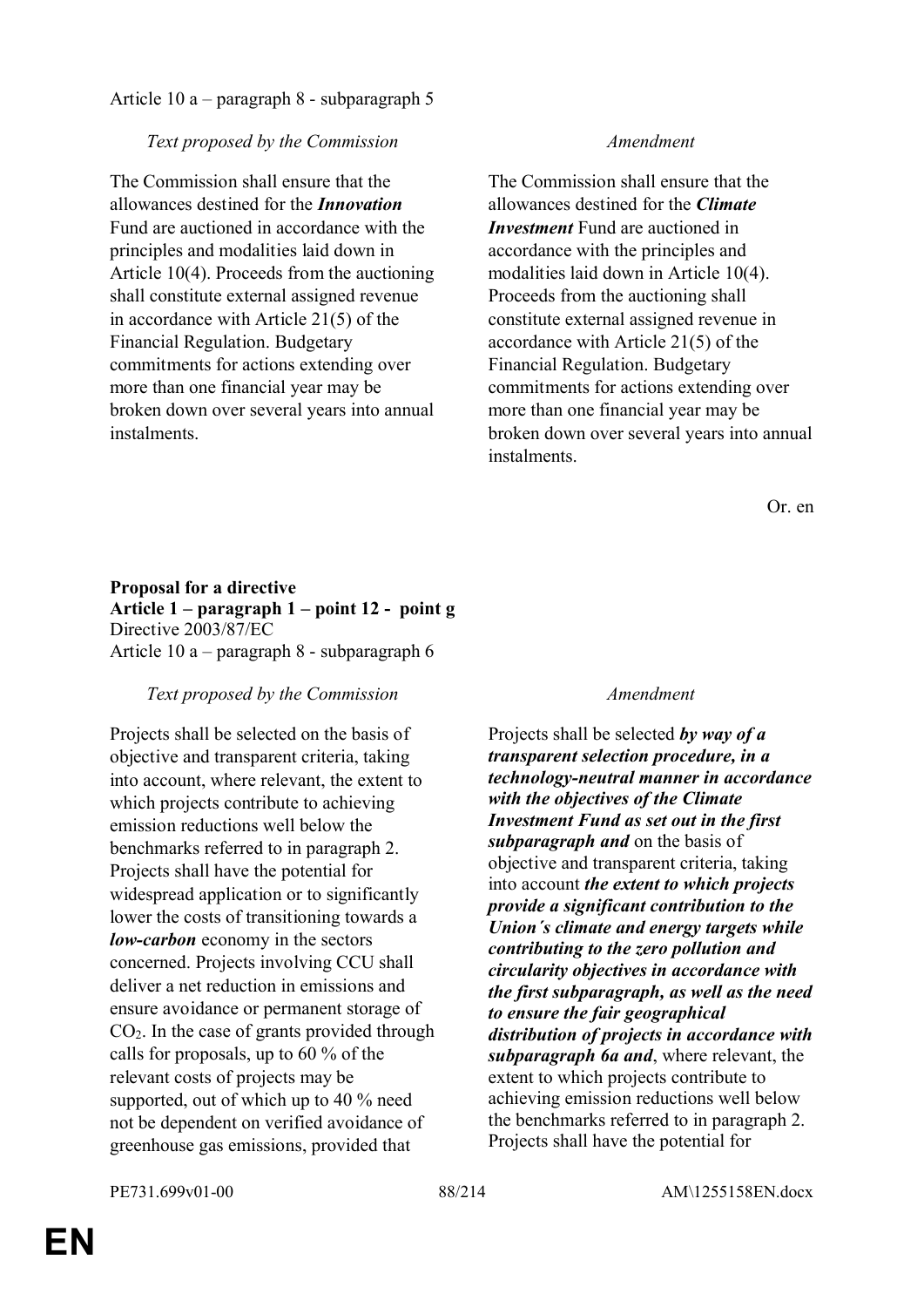Article 10 a – paragraph 8 - subparagraph 5

### *Text proposed by the Commission Amendment*

The Commission shall ensure that the allowances destined for the *Innovation* Fund are auctioned in accordance with the principles and modalities laid down in Article 10(4). Proceeds from the auctioning shall constitute external assigned revenue in accordance with Article 21(5) of the Financial Regulation. Budgetary commitments for actions extending over more than one financial year may be broken down over several years into annual instalments.

The Commission shall ensure that the allowances destined for the *Climate Investment* Fund are auctioned in accordance with the principles and modalities laid down in Article 10(4). Proceeds from the auctioning shall constitute external assigned revenue in accordance with Article 21(5) of the Financial Regulation. Budgetary commitments for actions extending over more than one financial year may be broken down over several years into annual instalments.

Or. en

### **Proposal for a directive Article 1 – paragraph 1 – point 12 - point g** Directive 2003/87/EC Article 10 a – paragraph 8 - subparagraph 6

#### *Text proposed by the Commission Amendment*

Projects shall be selected on the basis of objective and transparent criteria, taking into account, where relevant, the extent to which projects contribute to achieving emission reductions well below the benchmarks referred to in paragraph 2. Projects shall have the potential for widespread application or to significantly lower the costs of transitioning towards a *low-carbon* economy in the sectors concerned. Projects involving CCU shall deliver a net reduction in emissions and ensure avoidance or permanent storage of  $CO<sub>2</sub>$ . In the case of grants provided through calls for proposals, up to 60 % of the relevant costs of projects may be supported, out of which up to 40 % need not be dependent on verified avoidance of greenhouse gas emissions, provided that

Projects shall be selected *by way of a transparent selection procedure, in a technology-neutral manner in accordance with the objectives of the Climate Investment Fund as set out in the first subparagraph and* on the basis of objective and transparent criteria, taking into account *the extent to which projects provide a significant contribution to the Union´s climate and energy targets while contributing to the zero pollution and circularity objectives in accordance with the first subparagraph, as well as the need to ensure the fair geographical distribution of projects in accordance with subparagraph 6a and*, where relevant, the extent to which projects contribute to achieving emission reductions well below the benchmarks referred to in paragraph 2. Projects shall have the potential for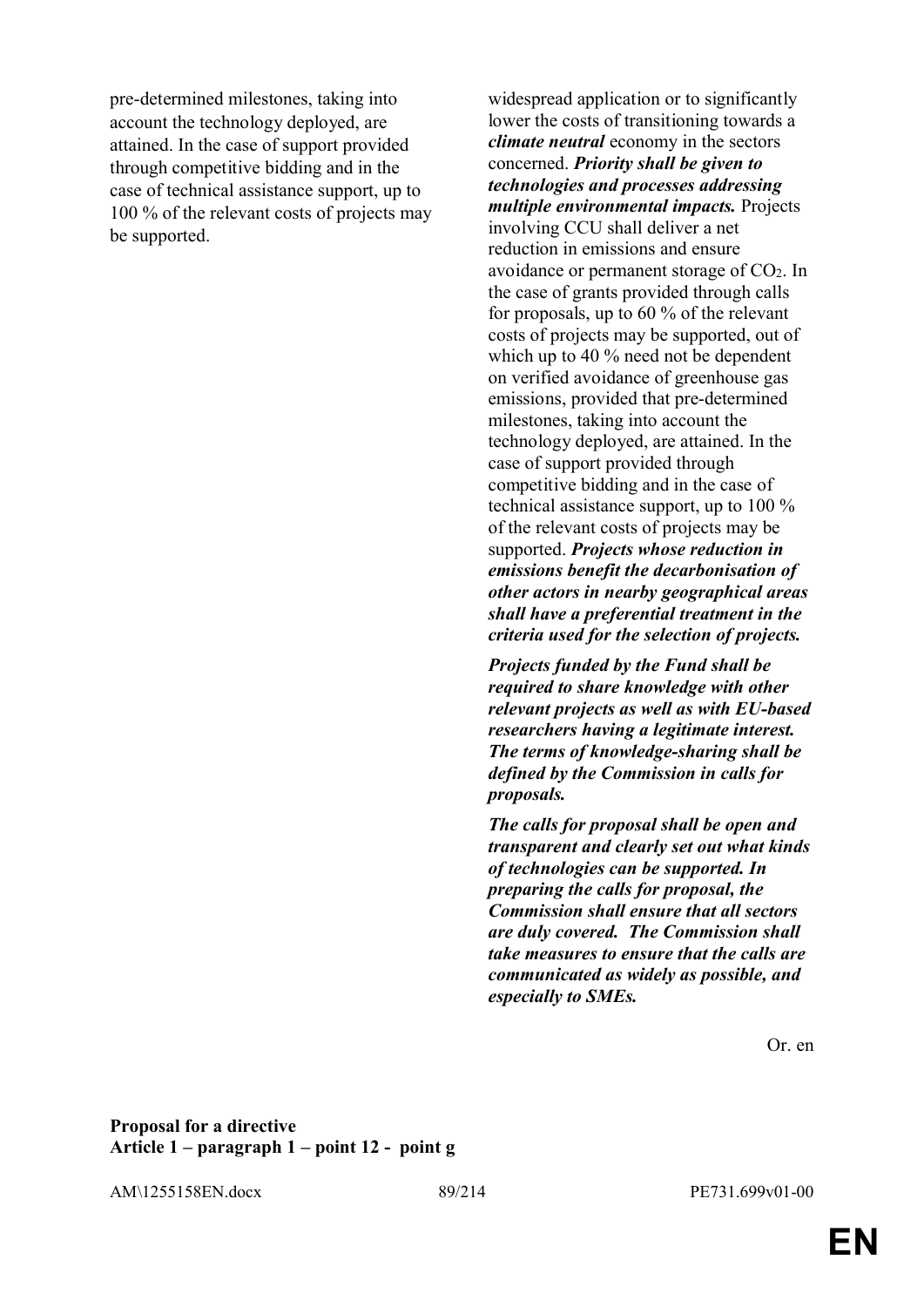pre-determined milestones, taking into account the technology deployed, are attained. In the case of support provided through competitive bidding and in the case of technical assistance support, up to 100 % of the relevant costs of projects may be supported.

widespread application or to significantly lower the costs of transitioning towards a *climate neutral* economy in the sectors concerned. *Priority shall be given to technologies and processes addressing multiple environmental impacts.* Projects involving CCU shall deliver a net reduction in emissions and ensure avoidance or permanent storage of  $CO<sub>2</sub>$ . In the case of grants provided through calls for proposals, up to 60 % of the relevant costs of projects may be supported, out of which up to 40 % need not be dependent on verified avoidance of greenhouse gas emissions, provided that pre-determined milestones, taking into account the technology deployed, are attained. In the case of support provided through competitive bidding and in the case of technical assistance support, up to 100 % of the relevant costs of projects may be supported. *Projects whose reduction in emissions benefit the decarbonisation of other actors in nearby geographical areas shall have a preferential treatment in the criteria used for the selection of projects.*

*Projects funded by the Fund shall be required to share knowledge with other relevant projects as well as with EU-based researchers having a legitimate interest. The terms of knowledge-sharing shall be defined by the Commission in calls for proposals.*

*The calls for proposal shall be open and transparent and clearly set out what kinds of technologies can be supported. In preparing the calls for proposal, the Commission shall ensure that all sectors are duly covered. The Commission shall take measures to ensure that the calls are communicated as widely as possible, and especially to SMEs.*

Or. en

**Proposal for a directive Article 1 – paragraph 1 – point 12 - point g**

AM\1255158EN.docx 89/214 PE731.699v01-00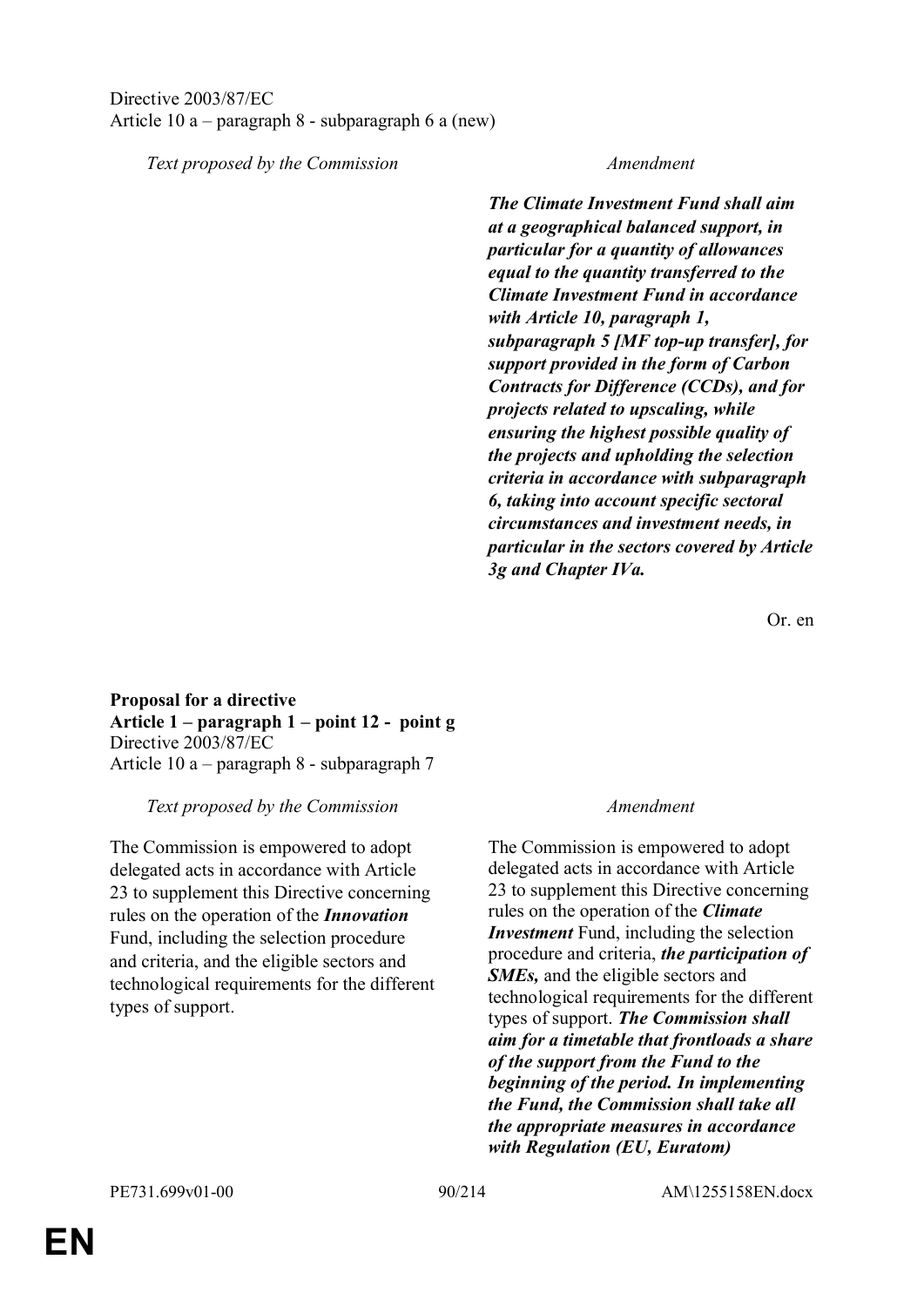*Text proposed by the Commission Amendment*

*The Climate Investment Fund shall aim at a geographical balanced support, in particular for a quantity of allowances equal to the quantity transferred to the Climate Investment Fund in accordance with Article 10, paragraph 1, subparagraph 5 [MF top-up transfer], for support provided in the form of Carbon Contracts for Difference (CCDs), and for projects related to upscaling, while ensuring the highest possible quality of the projects and upholding the selection criteria in accordance with subparagraph 6, taking into account specific sectoral circumstances and investment needs, in particular in the sectors covered by Article 3g and Chapter IVa.*

Or. en

### **Proposal for a directive Article 1 – paragraph 1 – point 12 - point g** Directive 2003/87/EC Article 10 a – paragraph 8 - subparagraph 7

#### *Text proposed by the Commission Amendment*

The Commission is empowered to adopt delegated acts in accordance with Article 23 to supplement this Directive concerning rules on the operation of the *Innovation* Fund, including the selection procedure and criteria, and the eligible sectors and technological requirements for the different types of support.

The Commission is empowered to adopt delegated acts in accordance with Article 23 to supplement this Directive concerning rules on the operation of the *Climate Investment* Fund, including the selection procedure and criteria, *the participation of SMEs,* and the eligible sectors and technological requirements for the different types of support. *The Commission shall aim for a timetable that frontloads a share of the support from the Fund to the beginning of the period. In implementing the Fund, the Commission shall take all the appropriate measures in accordance with Regulation (EU, Euratom)*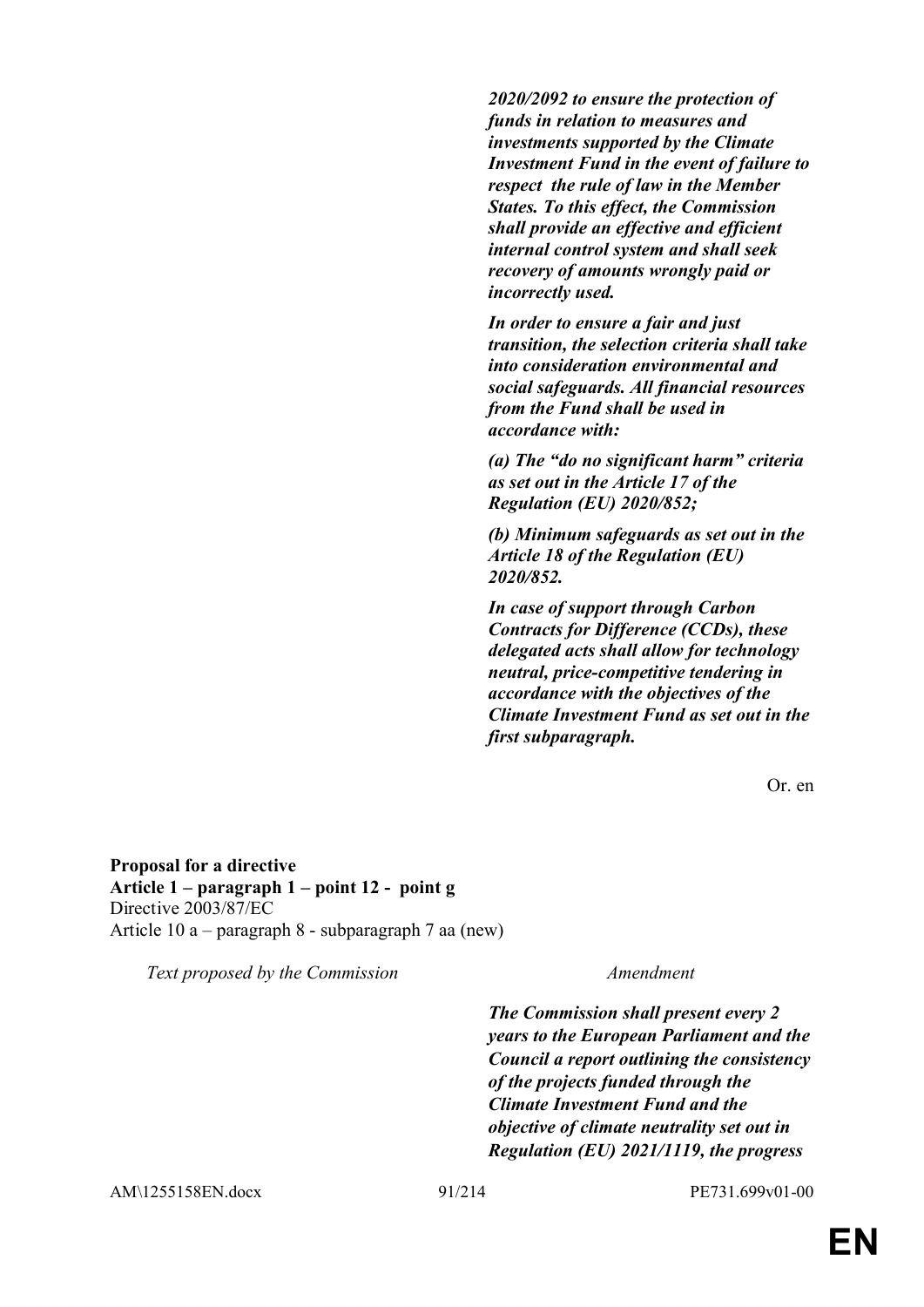*2020/2092 to ensure the protection of funds in relation to measures and investments supported by the Climate Investment Fund in the event of failure to respect the rule of law in the Member States. To this effect, the Commission shall provide an effective and efficient internal control system and shall seek recovery of amounts wrongly paid or incorrectly used.*

*In order to ensure a fair and just transition, the selection criteria shall take into consideration environmental and social safeguards. All financial resources from the Fund shall be used in accordance with:*

*(a) The "do no significant harm" criteria as set out in the Article 17 of the Regulation (EU) 2020/852;*

*(b) Minimum safeguards as set out in the Article 18 of the Regulation (EU) 2020/852.*

*In case of support through Carbon Contracts for Difference (CCDs), these delegated acts shall allow for technology neutral, price-competitive tendering in accordance with the objectives of the Climate Investment Fund as set out in the first subparagraph.*

Or. en

**Proposal for a directive Article 1 – paragraph 1 – point 12 - point g** Directive 2003/87/EC Article 10 a – paragraph 8 - subparagraph 7 aa (new)

*Text proposed by the Commission Amendment*

*The Commission shall present every 2 years to the European Parliament and the Council a report outlining the consistency of the projects funded through the Climate Investment Fund and the objective of climate neutrality set out in Regulation (EU) 2021/1119, the progress* 

AM\1255158EN.docx 91/214 PE731.699v01-00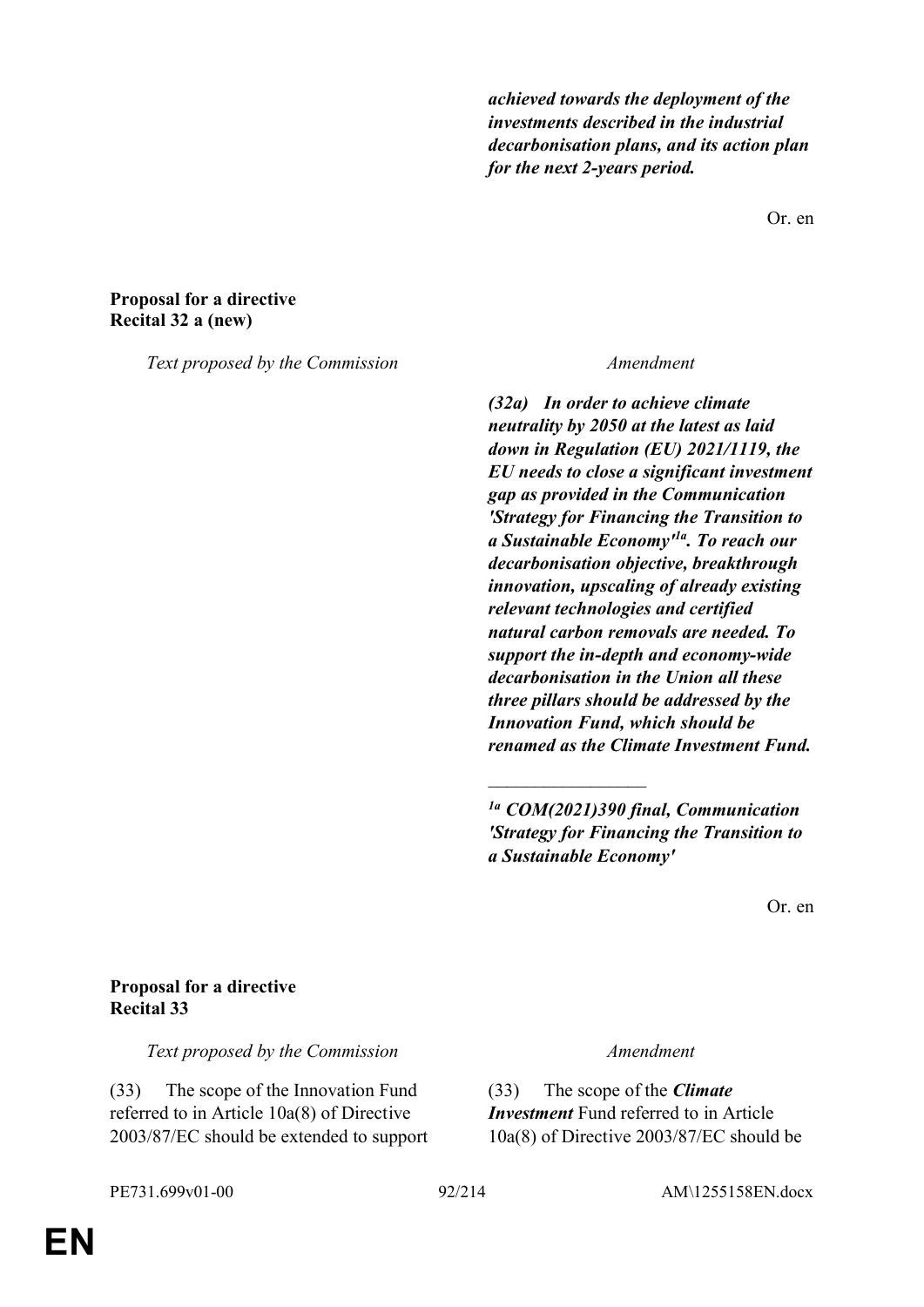*achieved towards the deployment of the investments described in the industrial decarbonisation plans, and its action plan for the next 2-years period.*

Or. en

### **Proposal for a directive Recital 32 a (new)**

*Text proposed by the Commission Amendment*

*(32a) In order to achieve climate neutrality by 2050 at the latest as laid down in Regulation (EU) 2021/1119, the EU needs to close a significant investment gap as provided in the Communication 'Strategy for Financing the Transition to a Sustainable Economy'1a. To reach our decarbonisation objective, breakthrough innovation, upscaling of already existing relevant technologies and certified natural carbon removals are needed. To support the in-depth and economy-wide decarbonisation in the Union all these three pillars should be addressed by the Innovation Fund, which should be renamed as the Climate Investment Fund.*

*1a COM(2021)390 final, Communication 'Strategy for Financing the Transition to a Sustainable Economy'*

Or. en

### **Proposal for a directive Recital 33**

*Text proposed by the Commission Amendment*

(33) The scope of the Innovation Fund referred to in Article 10a(8) of Directive 2003/87/EC should be extended to support

(33) The scope of the *Climate Investment* Fund referred to in Article 10a(8) of Directive 2003/87/EC should be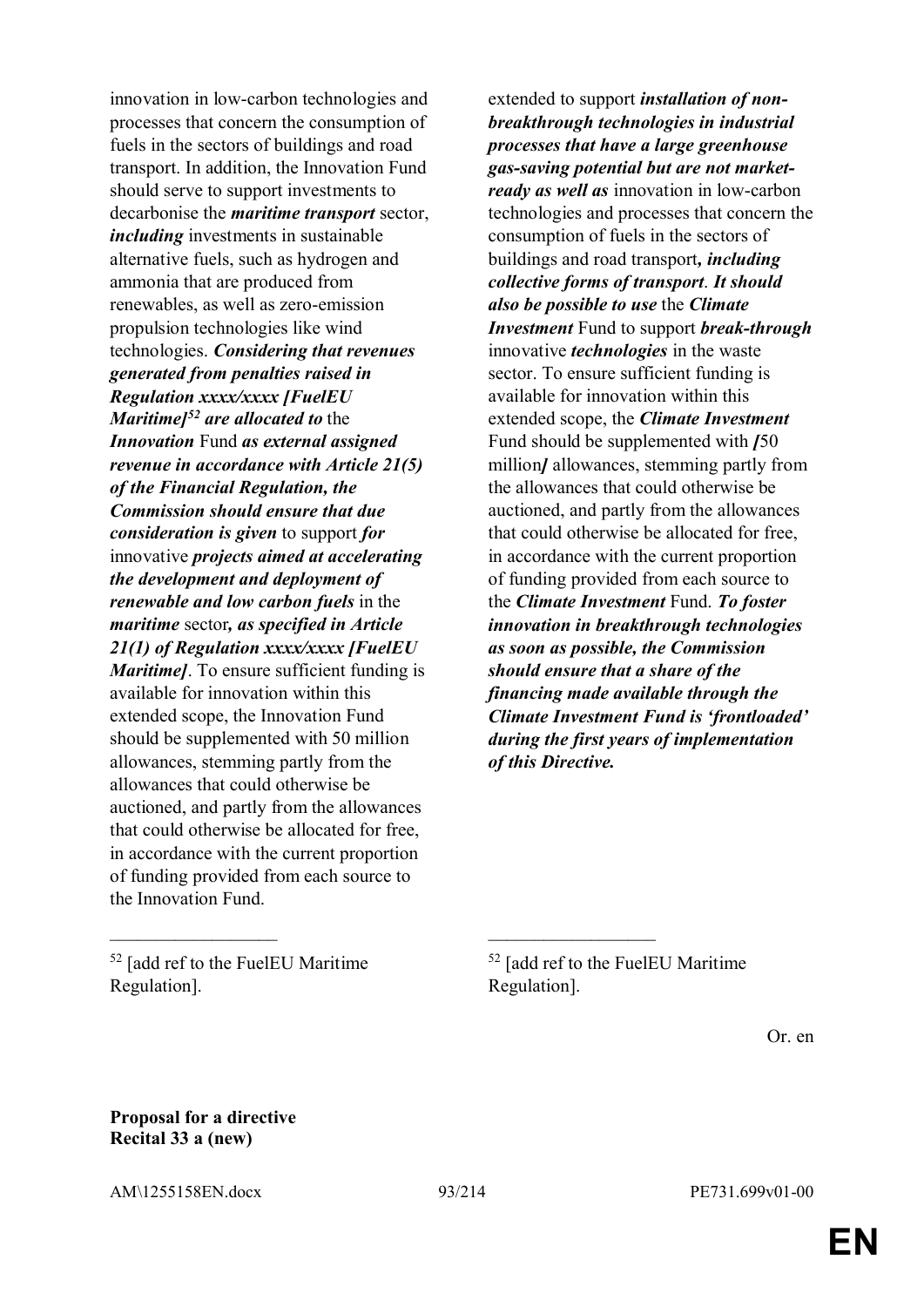innovation in low-carbon technologies and processes that concern the consumption of fuels in the sectors of buildings and road transport. In addition, the Innovation Fund should serve to support investments to decarbonise the *maritime transport* sector, *including* investments in sustainable alternative fuels, such as hydrogen and ammonia that are produced from renewables, as well as zero-emission propulsion technologies like wind technologies. *Considering that revenues generated from penalties raised in Regulation xxxx/xxxx [FuelEU Maritime]<sup>52</sup> are allocated to* the *Innovation* Fund *as external assigned revenue in accordance with Article 21(5) of the Financial Regulation, the Commission should ensure that due consideration is given* to support *for* innovative *projects aimed at accelerating the development and deployment of renewable and low carbon fuels* in the *maritime* sector*, as specified in Article 21(1) of Regulation xxxx/xxxx [FuelEU Maritime]*. To ensure sufficient funding is available for innovation within this extended scope, the Innovation Fund should be supplemented with 50 million allowances, stemming partly from the allowances that could otherwise be auctioned, and partly from the allowances that could otherwise be allocated for free, in accordance with the current proportion of funding provided from each source to the Innovation Fund.

extended to support *installation of nonbreakthrough technologies in industrial processes that have a large greenhouse gas-saving potential but are not marketready as well as* innovation in low-carbon technologies and processes that concern the consumption of fuels in the sectors of buildings and road transport*, including collective forms of transport*. *It should also be possible to use* the *Climate Investment* Fund to support *break-through* innovative *technologies* in the waste sector. To ensure sufficient funding is available for innovation within this extended scope, the *Climate Investment* Fund should be supplemented with *[*50 million*]* allowances, stemming partly from the allowances that could otherwise be auctioned, and partly from the allowances that could otherwise be allocated for free, in accordance with the current proportion of funding provided from each source to the *Climate Investment* Fund. *To foster innovation in breakthrough technologies as soon as possible, the Commission should ensure that a share of the financing made available through the Climate Investment Fund is 'frontloaded' during the first years of implementation of this Directive.*

### **Proposal for a directive Recital 33 a (new)**

<sup>52</sup> [add ref to the FuelEU Maritime Regulation].

<sup>52</sup> [add ref to the FuelEU Maritime Regulation].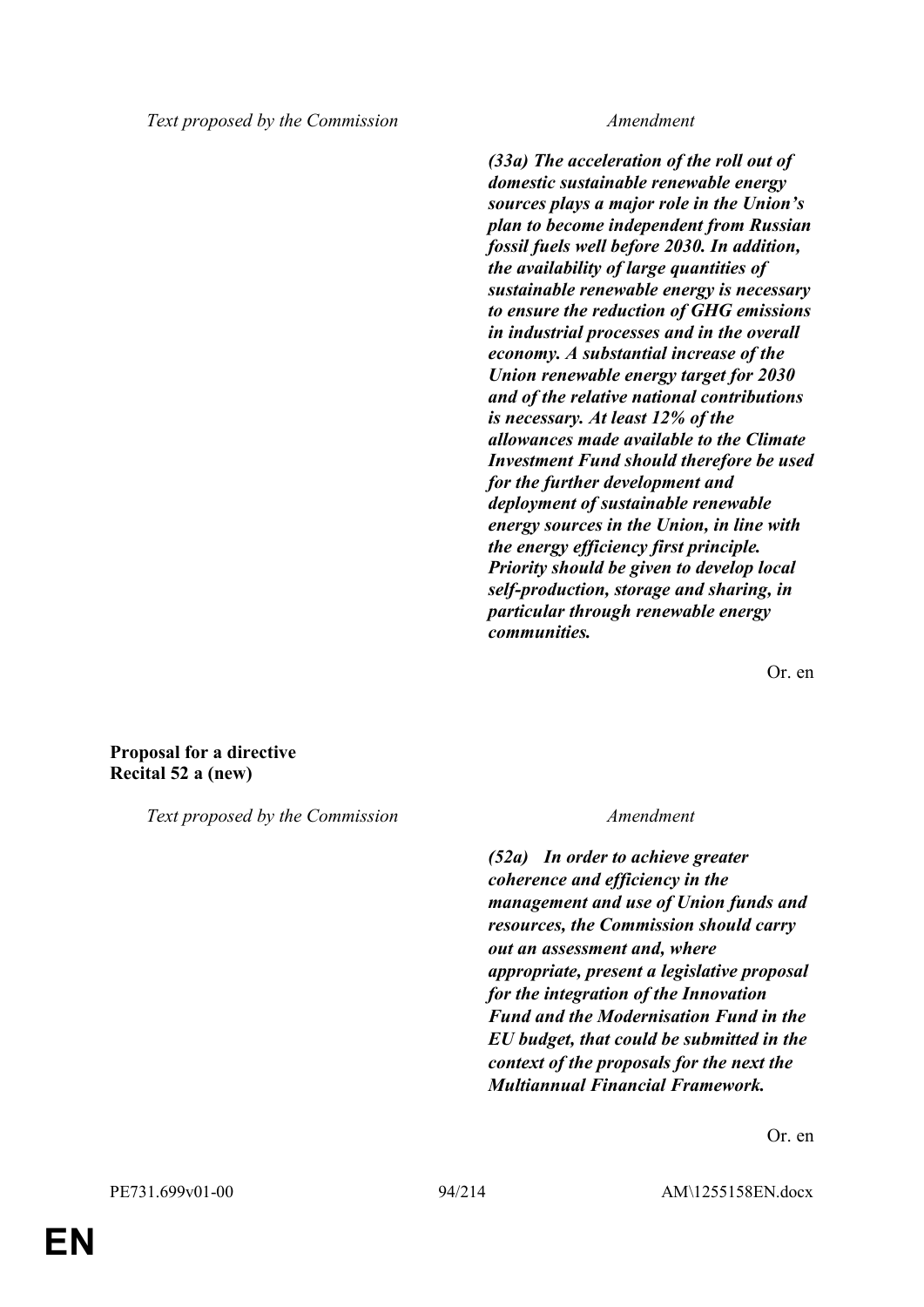*Text proposed by the Commission Amendment*

*(33a) The acceleration of the roll out of domestic sustainable renewable energy sources plays a major role in the Union's plan to become independent from Russian fossil fuels well before 2030. In addition, the availability of large quantities of sustainable renewable energy is necessary to ensure the reduction of GHG emissions in industrial processes and in the overall economy. A substantial increase of the Union renewable energy target for 2030 and of the relative national contributions is necessary. At least 12% of the allowances made available to the Climate Investment Fund should therefore be used for the further development and deployment of sustainable renewable energy sources in the Union, in line with the energy efficiency first principle. Priority should be given to develop local self-production, storage and sharing, in particular through renewable energy communities.*

Or. en

#### **Proposal for a directive Recital 52 a (new)**

*Text proposed by the Commission Amendment*

*(52a) In order to achieve greater coherence and efficiency in the management and use of Union funds and resources, the Commission should carry out an assessment and, where appropriate, present a legislative proposal for the integration of the Innovation Fund and the Modernisation Fund in the EU budget, that could be submitted in the context of the proposals for the next the Multiannual Financial Framework.*

Or. en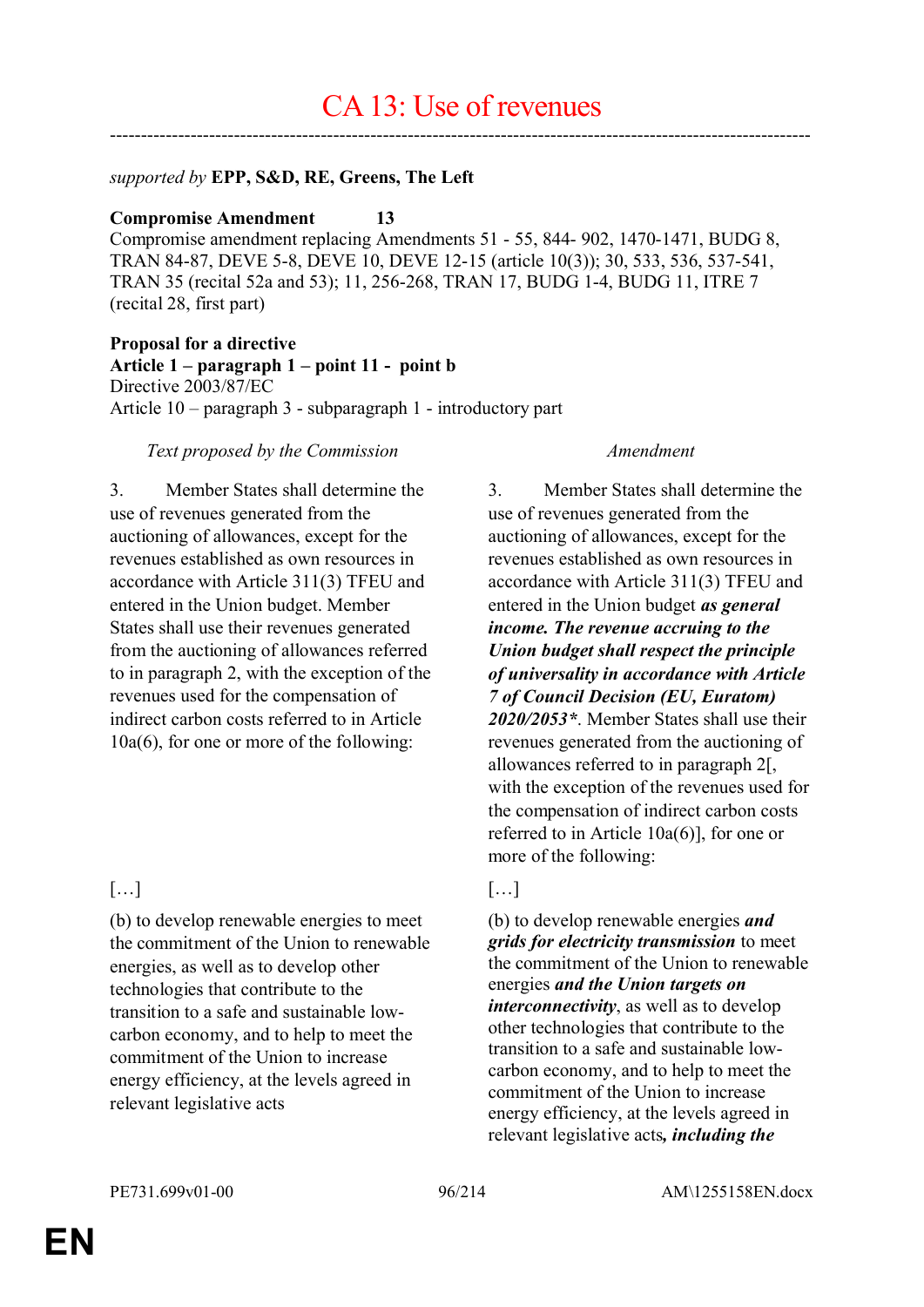-----------------------------------------------------------------------------------------------------------------

*supported by* **EPP, S&D, RE, Greens, The Left**

#### **Compromise Amendment 13**

Compromise amendment replacing Amendments 51 - 55, 844- 902, 1470-1471, BUDG 8, TRAN 84-87, DEVE 5-8, DEVE 10, DEVE 12-15 (article 10(3)); 30, 533, 536, 537-541, TRAN 35 (recital 52a and 53); 11, 256-268, TRAN 17, BUDG 1-4, BUDG 11, ITRE 7 (recital 28, first part)

**Proposal for a directive Article 1 – paragraph 1 – point 11 - point b** Directive 2003/87/EC Article 10 – paragraph 3 - subparagraph 1 - introductory part

#### *Text proposed by the Commission Amendment*

3. Member States shall determine the use of revenues generated from the auctioning of allowances, except for the revenues established as own resources in accordance with Article 311(3) TFEU and entered in the Union budget. Member States shall use their revenues generated from the auctioning of allowances referred to in paragraph 2, with the exception of the revenues used for the compensation of indirect carbon costs referred to in Article 10a(6), for one or more of the following:

### $\left[...\right]$  […]

(b) to develop renewable energies to meet the commitment of the Union to renewable energies, as well as to develop other technologies that contribute to the transition to a safe and sustainable lowcarbon economy, and to help to meet the commitment of the Union to increase energy efficiency, at the levels agreed in relevant legislative acts

3. Member States shall determine the use of revenues generated from the auctioning of allowances, except for the revenues established as own resources in accordance with Article 311(3) TFEU and entered in the Union budget *as general income. The revenue accruing to the Union budget shall respect the principle of universality in accordance with Article 7 of Council Decision (EU, Euratom) 2020/2053\**. Member States shall use their revenues generated from the auctioning of allowances referred to in paragraph 2[, with the exception of the revenues used for the compensation of indirect carbon costs referred to in Article 10a(6)], for one or more of the following:

(b) to develop renewable energies *and grids for electricity transmission* to meet the commitment of the Union to renewable energies *and the Union targets on interconnectivity*, as well as to develop other technologies that contribute to the transition to a safe and sustainable lowcarbon economy, and to help to meet the commitment of the Union to increase energy efficiency, at the levels agreed in relevant legislative acts*, including the*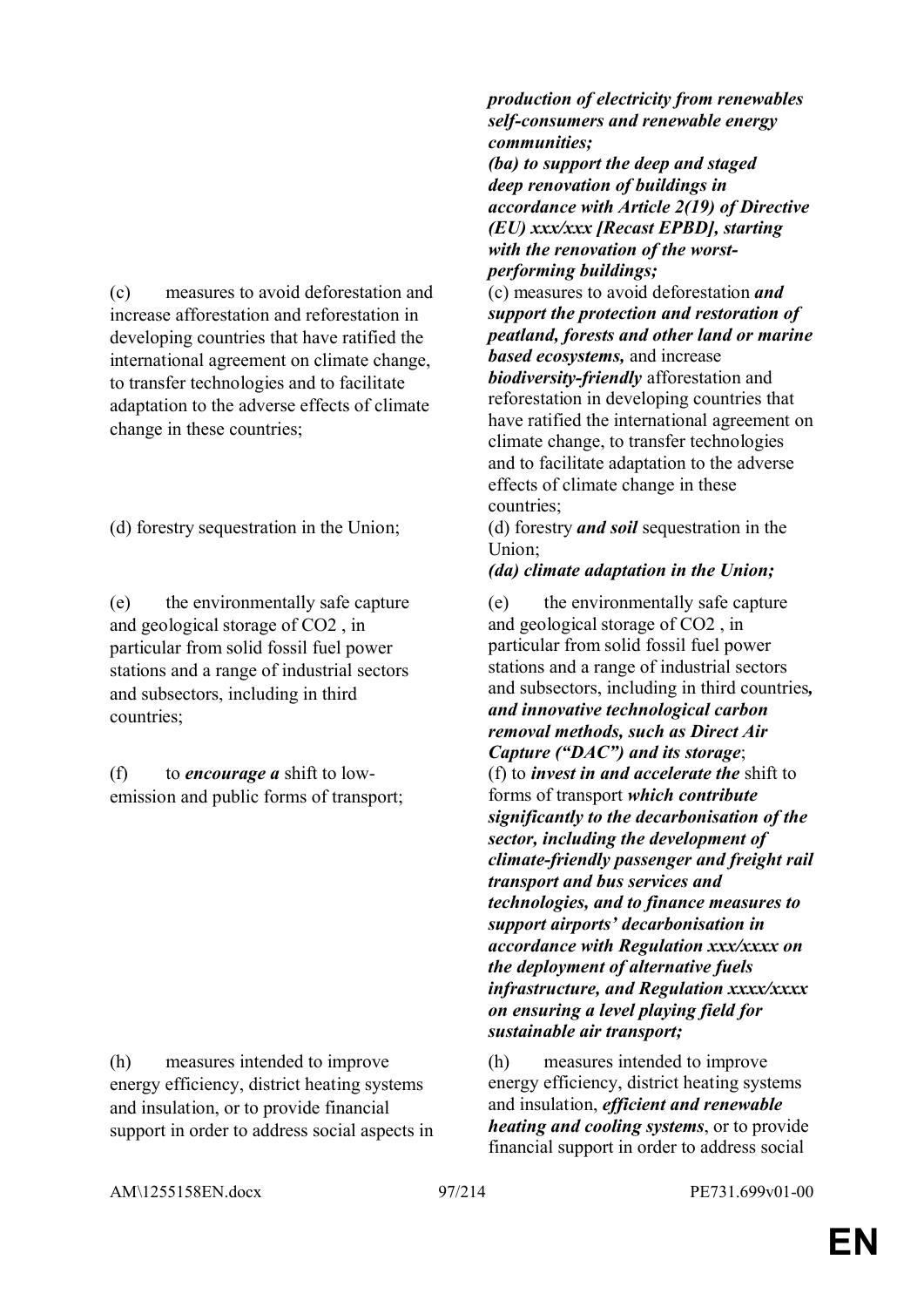(c) measures to avoid deforestation and increase afforestation and reforestation in developing countries that have ratified the international agreement on climate change, to transfer technologies and to facilitate adaptation to the adverse effects of climate change in these countries;

(e) the environmentally safe capture and geological storage of CO2 , in particular from solid fossil fuel power stations and a range of industrial sectors and subsectors, including in third countries;

(f) to *encourage a* shift to lowemission and public forms of transport;

(h) measures intended to improve energy efficiency, district heating systems and insulation, or to provide financial support in order to address social aspects in *production of electricity from renewables self-consumers and renewable energy communities;*

*(ba) to support the deep and staged deep renovation of buildings in accordance with Article 2(19) of Directive (EU) xxx/xxx [Recast EPBD], starting with the renovation of the worstperforming buildings;*

(c) measures to avoid deforestation *and support the protection and restoration of peatland, forests and other land or marine based ecosystems,* and increase *biodiversity-friendly* afforestation and reforestation in developing countries that have ratified the international agreement on climate change, to transfer technologies and to facilitate adaptation to the adverse effects of climate change in these countries;

(d) forestry sequestration in the Union; (d) forestry *and soil* sequestration in the Union;

### *(da) climate adaptation in the Union;*

(e) the environmentally safe capture and geological storage of CO2 , in particular from solid fossil fuel power stations and a range of industrial sectors and subsectors, including in third countries*, and innovative technological carbon removal methods, such as Direct Air Capture ("DAC") and its storage*; (f) to *invest in and accelerate the* shift to forms of transport *which contribute significantly to the decarbonisation of the sector, including the development of climate-friendly passenger and freight rail transport and bus services and technologies, and to finance measures to support airports' decarbonisation in accordance with Regulation xxx/xxxx on the deployment of alternative fuels infrastructure, and Regulation xxxx/xxxx on ensuring a level playing field for sustainable air transport;*

(h) measures intended to improve energy efficiency, district heating systems and insulation, *efficient and renewable heating and cooling systems*, or to provide financial support in order to address social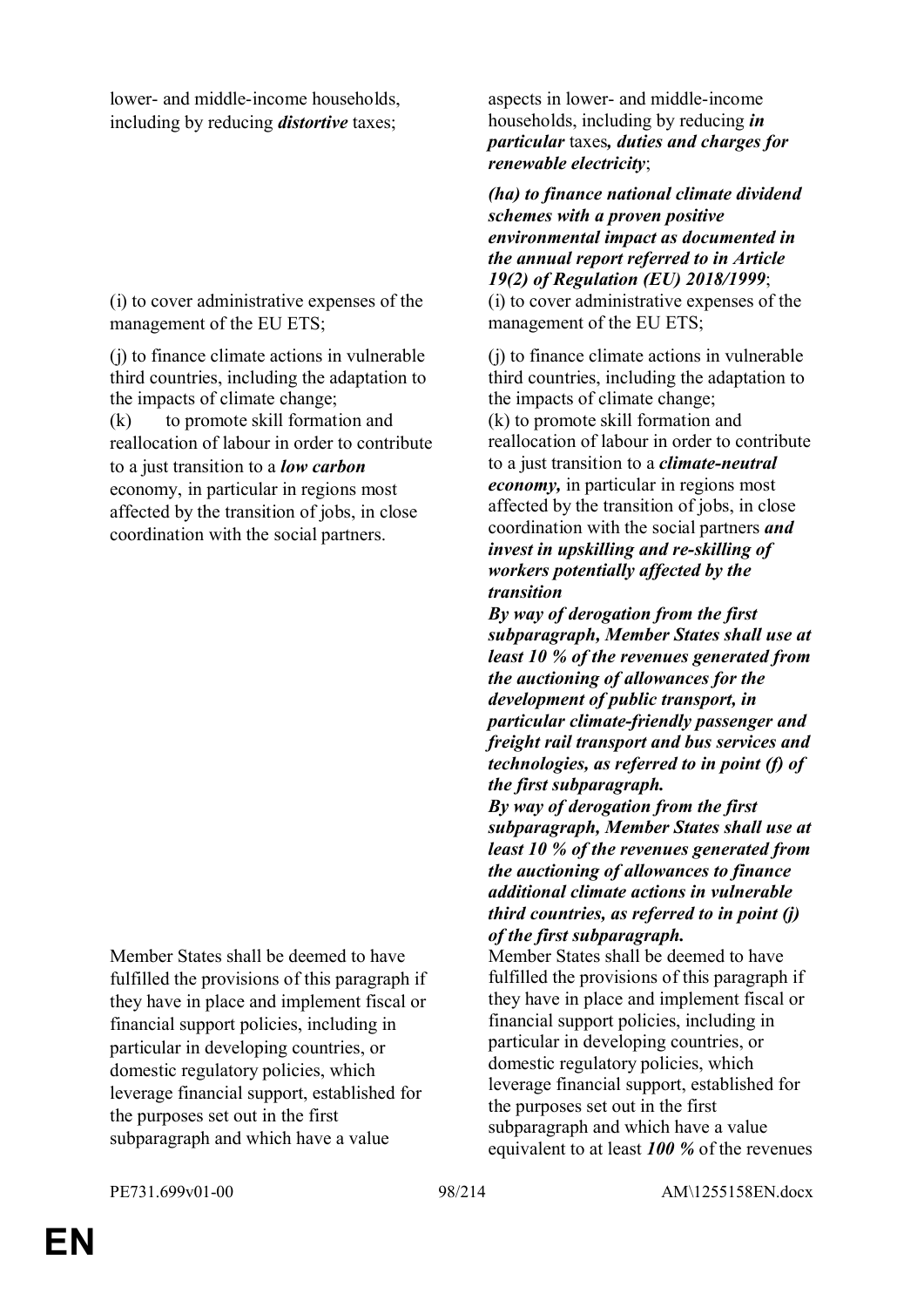lower- and middle-income households, including by reducing *distortive* taxes;

(i) to cover administrative expenses of the management of the EU ETS;

(j) to finance climate actions in vulnerable third countries, including the adaptation to the impacts of climate change;

(k) to promote skill formation and reallocation of labour in order to contribute to a just transition to a *low carbon* economy, in particular in regions most affected by the transition of jobs, in close coordination with the social partners.

Member States shall be deemed to have fulfilled the provisions of this paragraph if they have in place and implement fiscal or financial support policies, including in particular in developing countries, or domestic regulatory policies, which leverage financial support, established for the purposes set out in the first subparagraph and which have a value

aspects in lower- and middle-income households, including by reducing *in particular* taxes*, duties and charges for renewable electricity*;

*(ha) to finance national climate dividend schemes with a proven positive environmental impact as documented in the annual report referred to in Article 19(2) of Regulation (EU) 2018/1999*; (i) to cover administrative expenses of the management of the EU ETS;

(j) to finance climate actions in vulnerable third countries, including the adaptation to the impacts of climate change; (k) to promote skill formation and reallocation of labour in order to contribute to a just transition to a *climate-neutral economy,* in particular in regions most affected by the transition of jobs, in close coordination with the social partners *and invest in upskilling and re-skilling of workers potentially affected by the transition*

*By way of derogation from the first subparagraph, Member States shall use at least 10 % of the revenues generated from the auctioning of allowances for the development of public transport, in particular climate-friendly passenger and freight rail transport and bus services and technologies, as referred to in point (f) of the first subparagraph.*

*By way of derogation from the first subparagraph, Member States shall use at least 10 % of the revenues generated from the auctioning of allowances to finance additional climate actions in vulnerable third countries, as referred to in point (j) of the first subparagraph.*

Member States shall be deemed to have fulfilled the provisions of this paragraph if they have in place and implement fiscal or financial support policies, including in particular in developing countries, or domestic regulatory policies, which leverage financial support, established for the purposes set out in the first subparagraph and which have a value equivalent to at least *100 %* of the revenues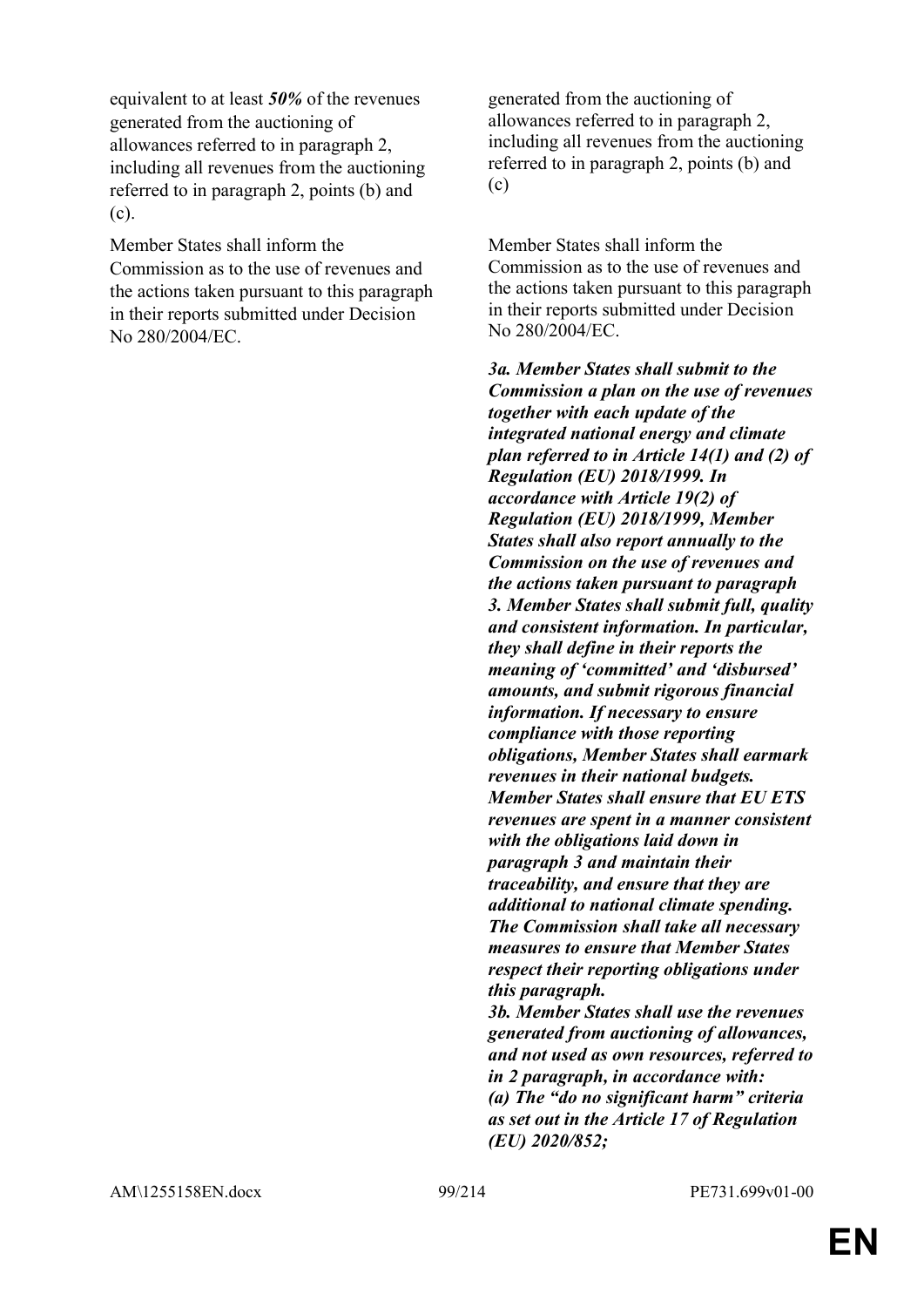equivalent to at least *50%* of the revenues generated from the auctioning of allowances referred to in paragraph 2, including all revenues from the auctioning referred to in paragraph 2, points (b) and (c).

Member States shall inform the Commission as to the use of revenues and the actions taken pursuant to this paragraph in their reports submitted under Decision No 280/2004/EC.

generated from the auctioning of allowances referred to in paragraph 2, including all revenues from the auctioning referred to in paragraph 2, points (b) and (c)

Member States shall inform the Commission as to the use of revenues and the actions taken pursuant to this paragraph in their reports submitted under Decision No 280/2004/EC.

*3a. Member States shall submit to the Commission a plan on the use of revenues together with each update of the integrated national energy and climate plan referred to in Article 14(1) and (2) of Regulation (EU) 2018/1999. In accordance with Article 19(2) of Regulation (EU) 2018/1999, Member States shall also report annually to the Commission on the use of revenues and the actions taken pursuant to paragraph 3. Member States shall submit full, quality and consistent information. In particular, they shall define in their reports the meaning of 'committed' and 'disbursed' amounts, and submit rigorous financial information. If necessary to ensure compliance with those reporting obligations, Member States shall earmark revenues in their national budgets. Member States shall ensure that EU ETS revenues are spent in a manner consistent with the obligations laid down in paragraph 3 and maintain their traceability, and ensure that they are additional to national climate spending. The Commission shall take all necessary measures to ensure that Member States respect their reporting obligations under this paragraph.*

*3b. Member States shall use the revenues generated from auctioning of allowances, and not used as own resources, referred to in 2 paragraph, in accordance with: (a) The "do no significant harm" criteria as set out in the Article 17 of Regulation (EU) 2020/852;*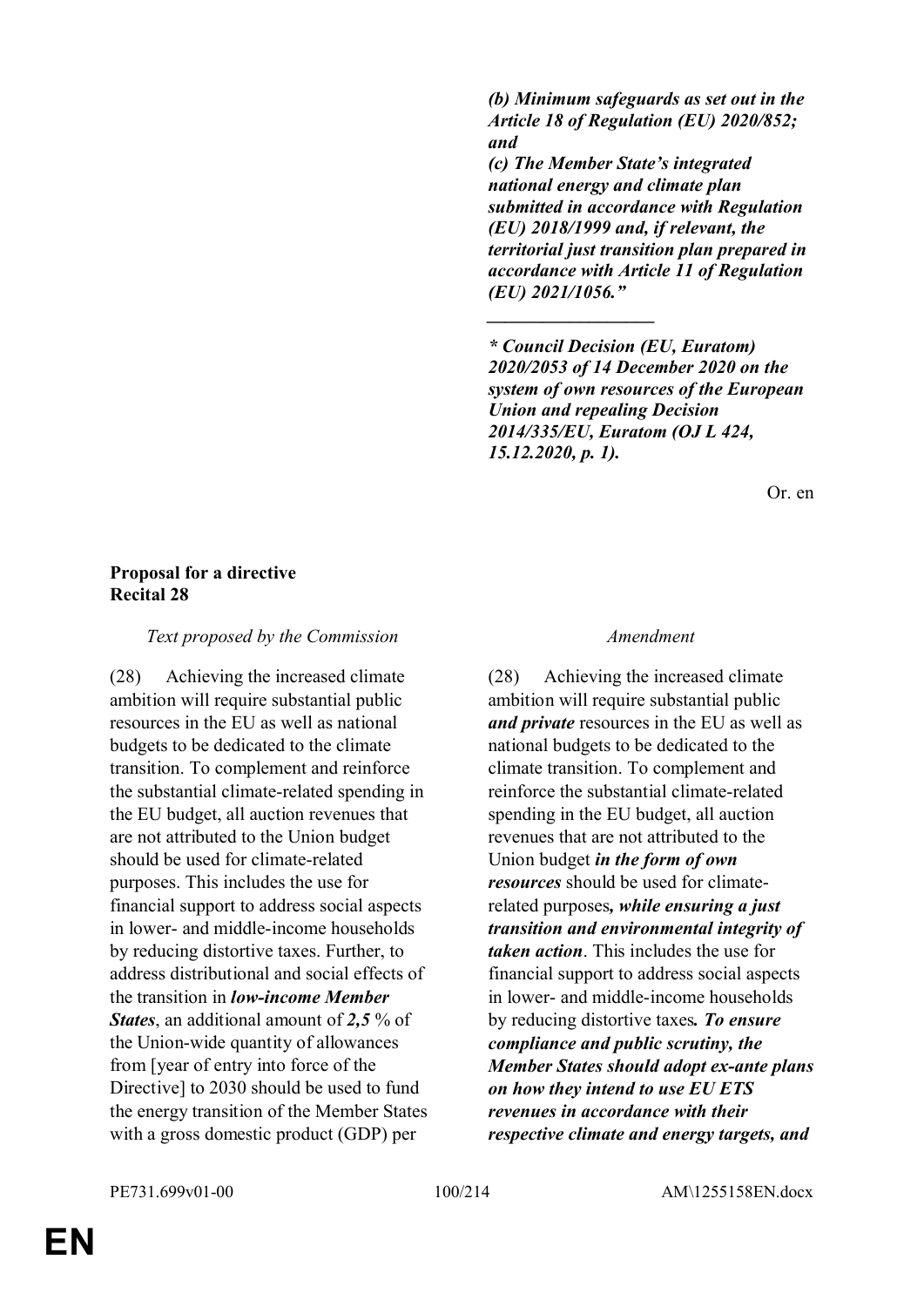*(b) Minimum safeguards as set out in the Article 18 of Regulation (EU) 2020/852; and*

*(c) The Member State's integrated national energy and climate plan submitted in accordance with Regulation (EU) 2018/1999 and, if relevant, the territorial just transition plan prepared in accordance with Article 11 of Regulation (EU) 2021/1056."*

*\* Council Decision (EU, Euratom) 2020/2053 of 14 December 2020 on the system of own resources of the European Union and repealing Decision 2014/335/EU, Euratom (OJ L 424, 15.12.2020, p. 1).*

*\_\_\_\_\_\_\_\_\_\_\_\_\_\_\_\_\_\_*

Or. en

### **Proposal for a directive Recital 28**

#### *Text proposed by the Commission Amendment*

(28) Achieving the increased climate ambition will require substantial public resources in the EU as well as national budgets to be dedicated to the climate transition. To complement and reinforce the substantial climate-related spending in the EU budget, all auction revenues that are not attributed to the Union budget should be used for climate-related purposes. This includes the use for financial support to address social aspects in lower- and middle-income households by reducing distortive taxes. Further, to address distributional and social effects of the transition in *low-income Member States*, an additional amount of *2,5* % of the Union-wide quantity of allowances from [year of entry into force of the Directive] to 2030 should be used to fund the energy transition of the Member States with a gross domestic product (GDP) per

(28) Achieving the increased climate ambition will require substantial public *and private* resources in the EU as well as national budgets to be dedicated to the climate transition. To complement and reinforce the substantial climate-related spending in the EU budget, all auction revenues that are not attributed to the Union budget *in the form of own resources* should be used for climaterelated purposes*, while ensuring a just transition and environmental integrity of taken action*. This includes the use for financial support to address social aspects in lower- and middle-income households by reducing distortive taxes*. To ensure compliance and public scrutiny, the Member States should adopt ex-ante plans on how they intend to use EU ETS revenues in accordance with their respective climate and energy targets, and*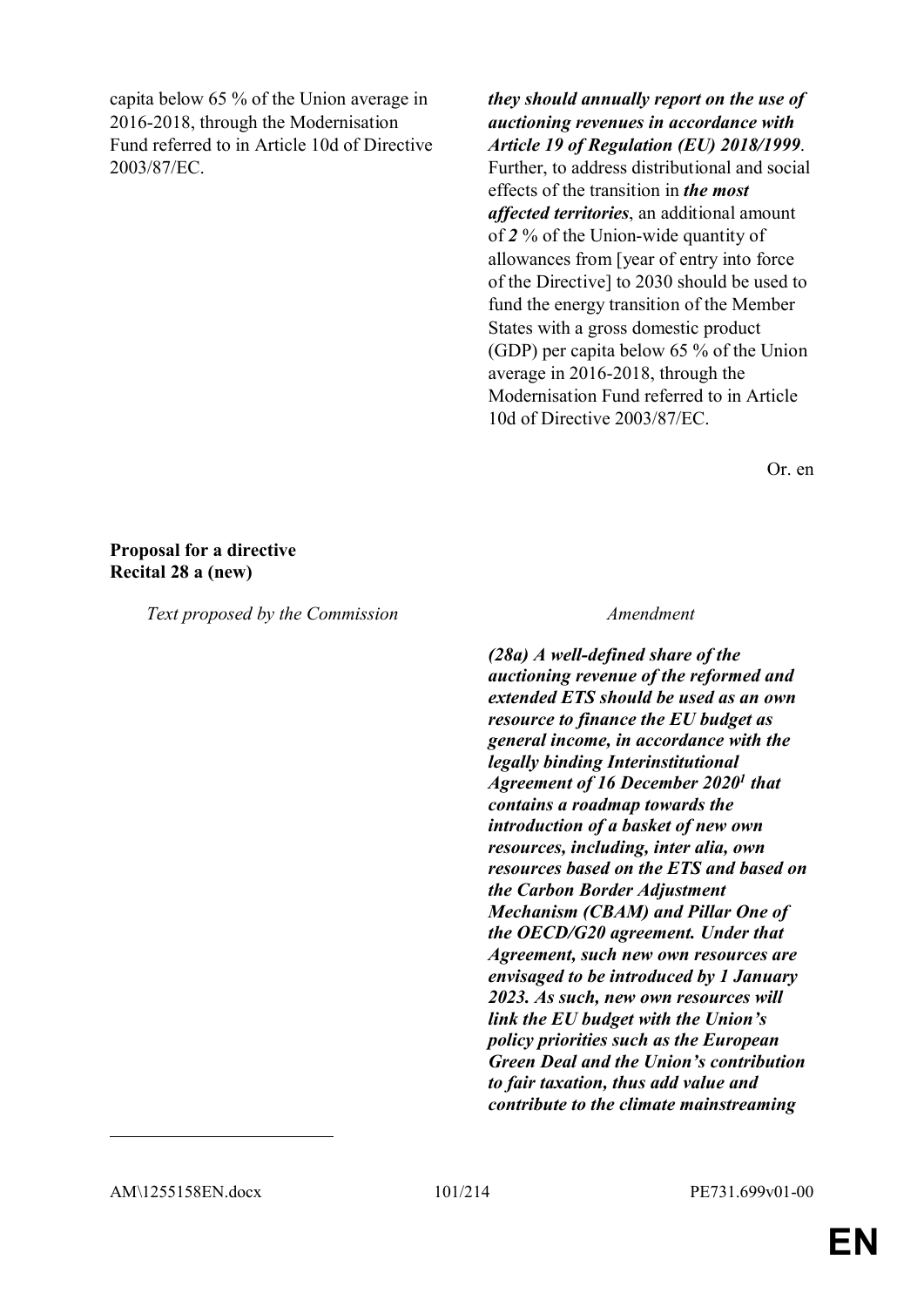capita below 65 % of the Union average in 2016-2018, through the Modernisation Fund referred to in Article 10d of Directive 2003/87/EC.

*they should annually report on the use of auctioning revenues in accordance with Article 19 of Regulation (EU) 2018/1999*. Further, to address distributional and social effects of the transition in *the most affected territories*, an additional amount of *2* % of the Union-wide quantity of allowances from [year of entry into force of the Directive] to 2030 should be used to fund the energy transition of the Member States with a gross domestic product (GDP) per capita below 65 % of the Union average in 2016-2018, through the Modernisation Fund referred to in Article 10d of Directive 2003/87/EC.

Or. en

### **Proposal for a directive Recital 28 a (new)**

*Text proposed by the Commission Amendment*

*(28a) A well-defined share of the auctioning revenue of the reformed and extended ETS should be used as an own resource to finance the EU budget as general income, in accordance with the legally binding Interinstitutional Agreement of 16 December 2020<sup>1</sup> that contains a roadmap towards the introduction of a basket of new own resources, including, inter alia, own resources based on the ETS and based on the Carbon Border Adjustment Mechanism (CBAM) and Pillar One of the OECD/G20 agreement. Under that Agreement, such new own resources are envisaged to be introduced by 1 January 2023. As such, new own resources will link the EU budget with the Union's policy priorities such as the European Green Deal and the Union's contribution to fair taxation, thus add value and contribute to the climate mainstreaming*

 $\overline{a}$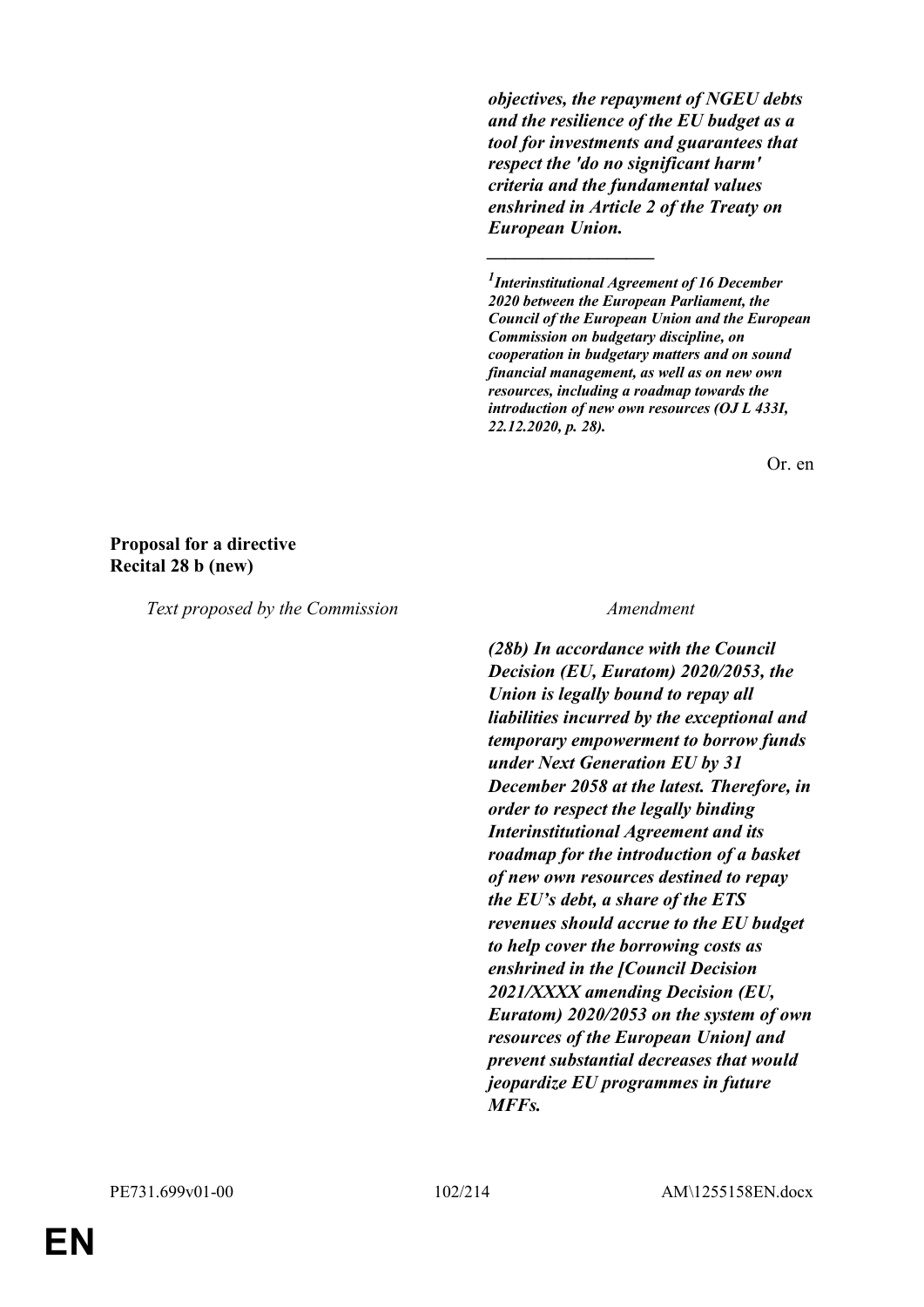*objectives, the repayment of NGEU debts and the resilience of the EU budget as a tool for investments and guarantees that respect the 'do no significant harm' criteria and the fundamental values enshrined in Article 2 of the Treaty on European Union.* 

*\_\_\_\_\_\_\_\_\_\_\_\_\_\_\_\_\_\_*

*1 Interinstitutional Agreement of 16 December 2020 between the European Parliament, the Council of the European Union and the European Commission on budgetary discipline, on cooperation in budgetary matters and on sound financial management, as well as on new own resources, including a roadmap towards the introduction of new own resources (OJ L 433I, 22.12.2020, p. 28).*

Or. en

#### **Proposal for a directive Recital 28 b (new)**

*Text proposed by the Commission Amendment*

*(28b) In accordance with the Council Decision (EU, Euratom) 2020/2053, the Union is legally bound to repay all liabilities incurred by the exceptional and temporary empowerment to borrow funds under Next Generation EU by 31 December 2058 at the latest. Therefore, in order to respect the legally binding Interinstitutional Agreement and its roadmap for the introduction of a basket of new own resources destined to repay the EU's debt, a share of the ETS revenues should accrue to the EU budget to help cover the borrowing costs as enshrined in the [Council Decision 2021/XXXX amending Decision (EU, Euratom) 2020/2053 on the system of own resources of the European Union] and prevent substantial decreases that would jeopardize EU programmes in future MFFs.*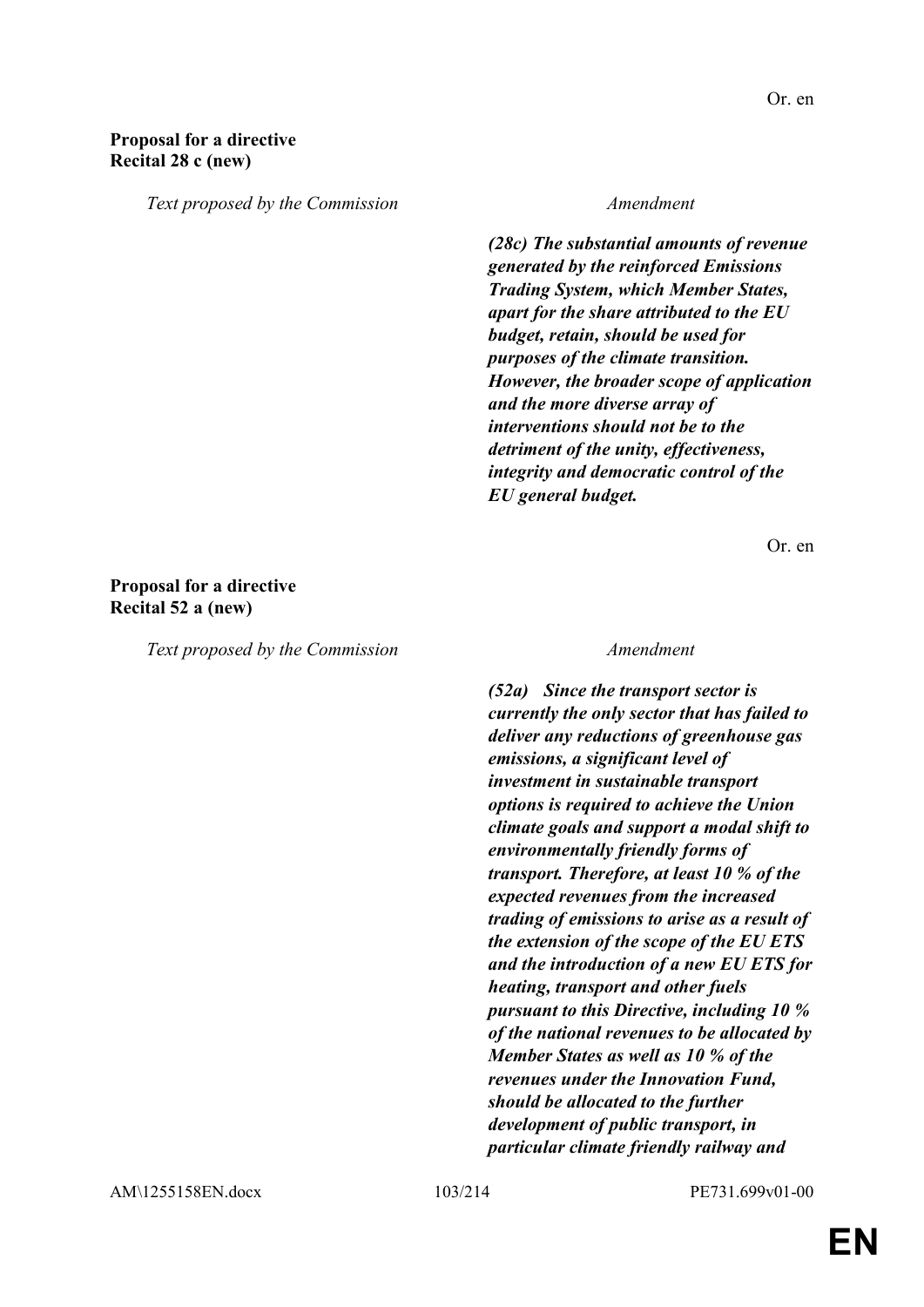### **Proposal for a directive Recital 28 c (new)**

*Text proposed by the Commission Amendment*

*(28c) The substantial amounts of revenue generated by the reinforced Emissions Trading System, which Member States, apart for the share attributed to the EU budget, retain, should be used for purposes of the climate transition. However, the broader scope of application and the more diverse array of interventions should not be to the detriment of the unity, effectiveness, integrity and democratic control of the EU general budget.*

Or. en

#### **Proposal for a directive Recital 52 a (new)**

*Text proposed by the Commission Amendment*

*(52a) Since the transport sector is currently the only sector that has failed to deliver any reductions of greenhouse gas emissions, a significant level of investment in sustainable transport options is required to achieve the Union climate goals and support a modal shift to environmentally friendly forms of transport. Therefore, at least 10 % of the expected revenues from the increased trading of emissions to arise as a result of the extension of the scope of the EU ETS and the introduction of a new EU ETS for heating, transport and other fuels pursuant to this Directive, including 10 % of the national revenues to be allocated by Member States as well as 10 % of the revenues under the Innovation Fund, should be allocated to the further development of public transport, in particular climate friendly railway and*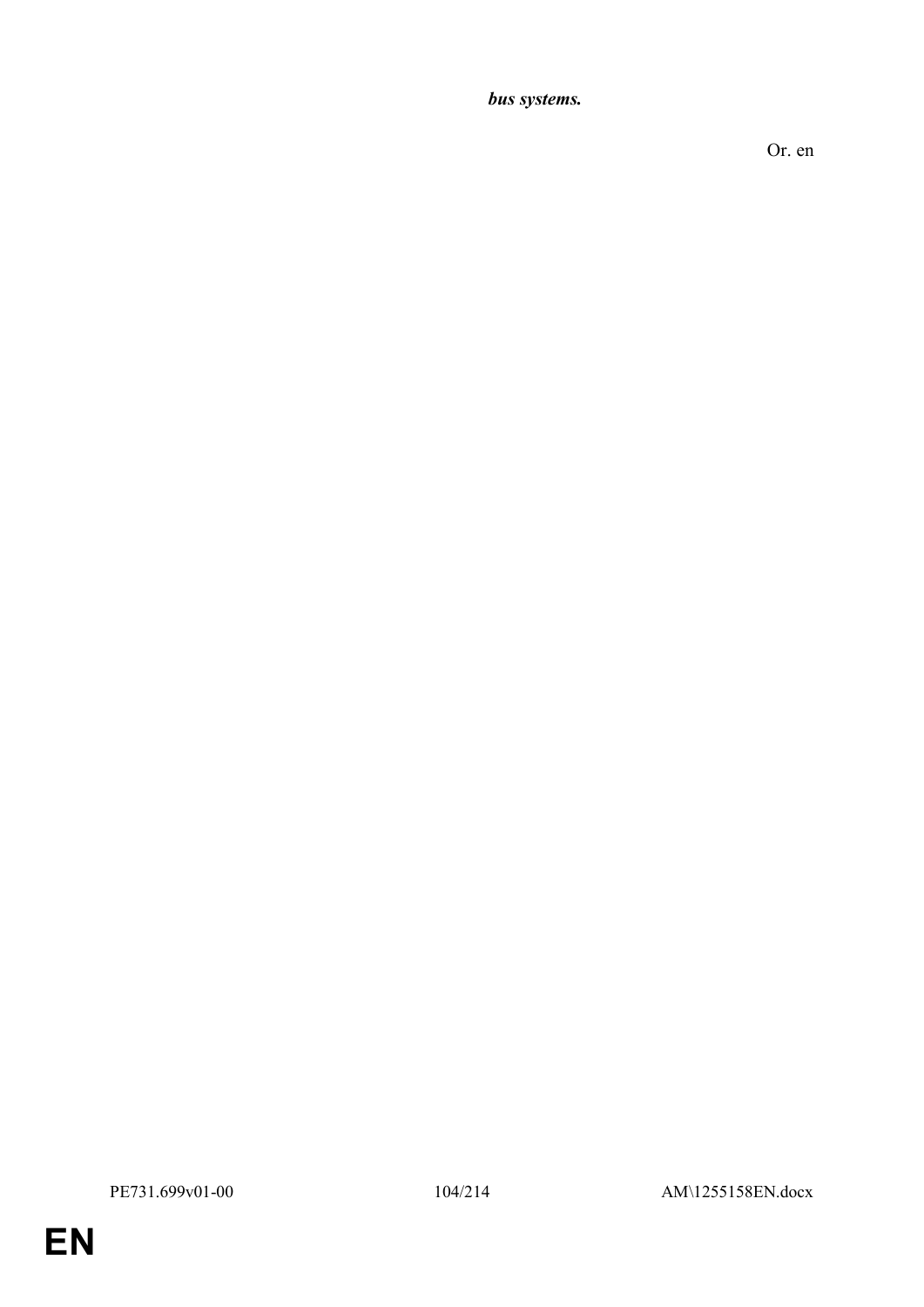Or. en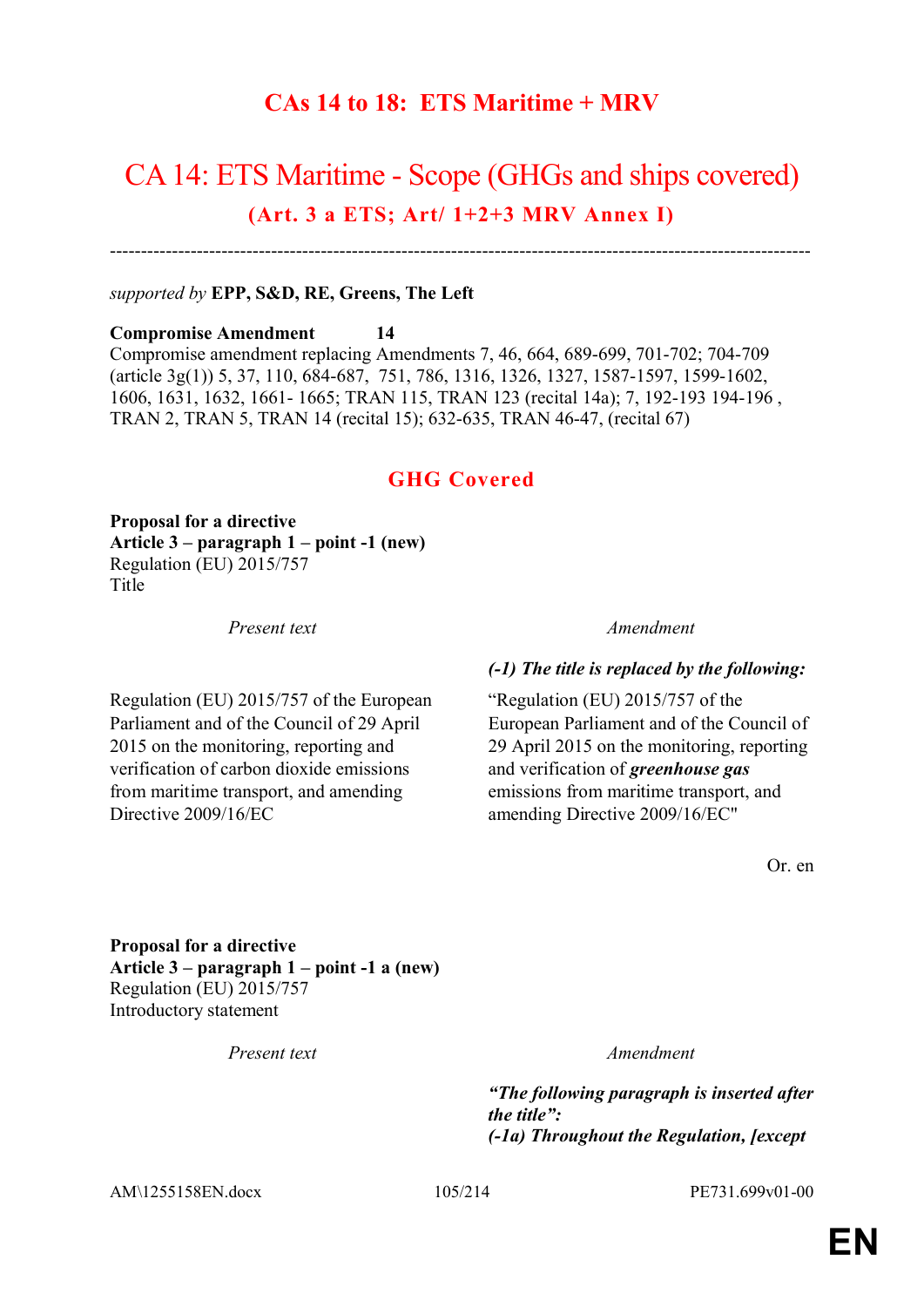# **CAs 14 to 18: ETS Maritime + MRV**

# CA 14: ETS Maritime - Scope (GHGs and ships covered) **(Art. 3 a ETS; Art/ 1+2+3 MRV Annex I)**

-----------------------------------------------------------------------------------------------------------------

#### *supported by* **EPP, S&D, RE, Greens, The Left**

**Compromise Amendment 14** Compromise amendment replacing Amendments 7, 46, 664, 689-699, 701-702; 704-709 (article 3g(1)) 5, 37, 110, 684-687, 751, 786, 1316, 1326, 1327, 1587-1597, 1599-1602, 1606, 1631, 1632, 1661- 1665; TRAN 115, TRAN 123 (recital 14a); 7, 192-193 194-196 , TRAN 2, TRAN 5, TRAN 14 (recital 15); 632-635, TRAN 46-47, (recital 67)

### **GHG Covered**

**Proposal for a directive Article 3 – paragraph 1 – point -1 (new)** Regulation (EU) 2015/757 **Title** 

Regulation (EU) 2015/757 of the European Parliament and of the Council of 29 April 2015 on the monitoring, reporting and verification of carbon dioxide emissions from maritime transport, and amending Directive 2009/16/EC

#### *Present text Amendment*

#### *(-1) The title is replaced by the following:*

"Regulation (EU) 2015/757 of the European Parliament and of the Council of 29 April 2015 on the monitoring, reporting and verification of *greenhouse gas* emissions from maritime transport, and amending Directive 2009/16/EC"

Or. en

**Proposal for a directive Article 3 – paragraph 1 – point -1 a (new)** Regulation (EU) 2015/757 Introductory statement

*Present text Amendment*

*"The following paragraph is inserted after the title": (-1a) Throughout the Regulation, [except* 

AM\1255158EN.docx 105/214 PE731.699v01-00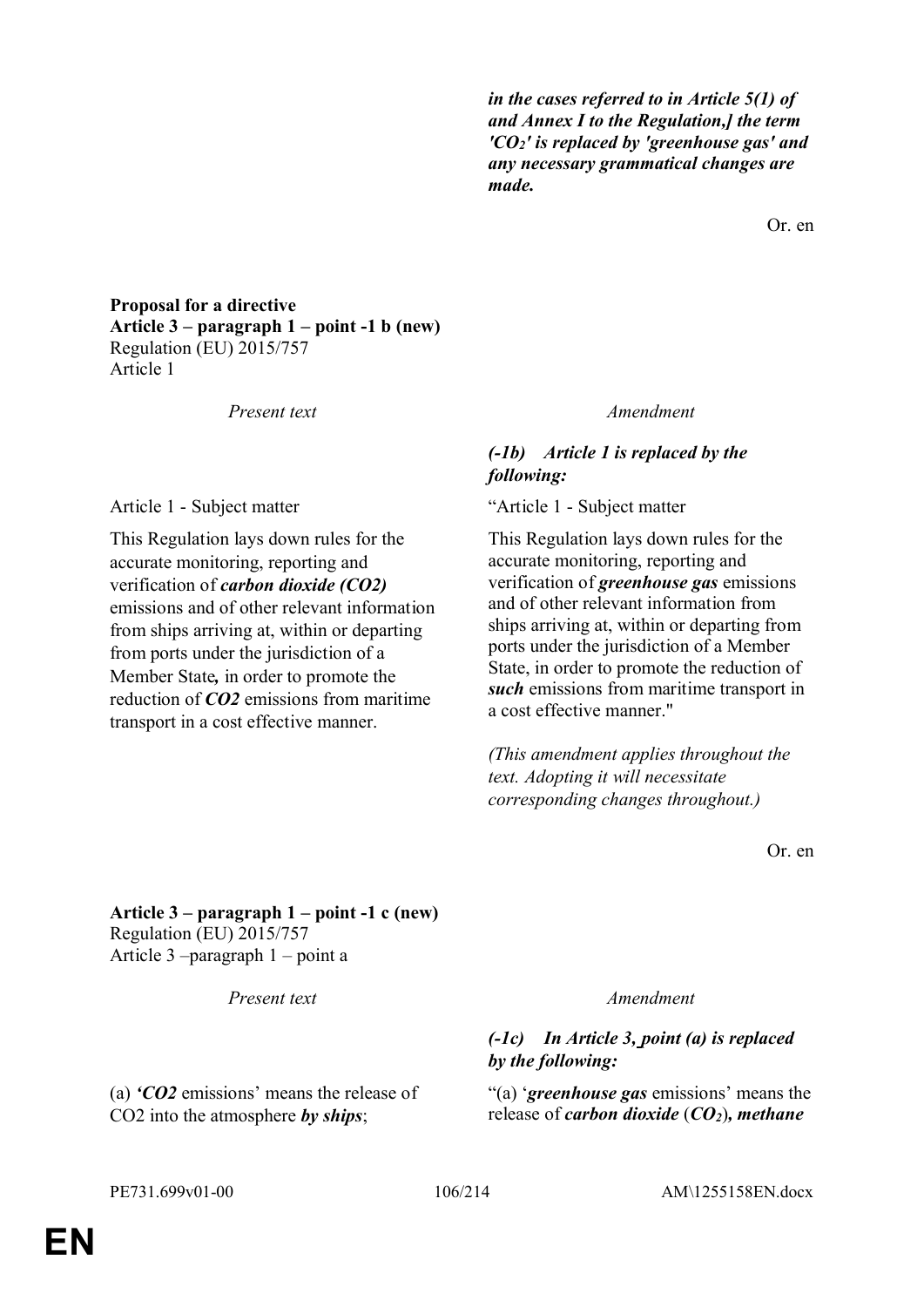*in the cases referred to in Article 5(1) of and Annex I to the Regulation,] the term 'CO2' is replaced by 'greenhouse gas' and any necessary grammatical changes are made.*

Or. en

**Proposal for a directive Article 3 – paragraph 1 – point -1 b (new)** Regulation (EU) 2015/757 Article 1

*Present text Amendment*

This Regulation lays down rules for the accurate monitoring, reporting and verification of *carbon dioxide (CO2)* emissions and of other relevant information from ships arriving at, within or departing from ports under the jurisdiction of a Member State*,* in order to promote the reduction of *CO2* emissions from maritime transport in a cost effective manner.

### *(-1b) Article 1 is replaced by the following:*

Article 1 - Subject matter "Article 1 - Subject matter"

This Regulation lays down rules for the accurate monitoring, reporting and verification of *greenhouse gas* emissions and of other relevant information from ships arriving at, within or departing from ports under the jurisdiction of a Member State, in order to promote the reduction of *such* emissions from maritime transport in a cost effective manner."

*(This amendment applies throughout the text. Adopting it will necessitate corresponding changes throughout.)*

Or. en

**Article 3 – paragraph 1 – point -1 c (new)** Regulation (EU) 2015/757 Article 3 –paragraph 1 – point a

*Present text Amendment*

(a) *'CO2* emissions' means the release of

CO2 into the atmosphere *by ships*;

*(-1c) In Article 3, point (a) is replaced by the following:*

"(a) '*greenhouse gas* emissions' means the release of *carbon dioxide* (*CO2*)*, methane*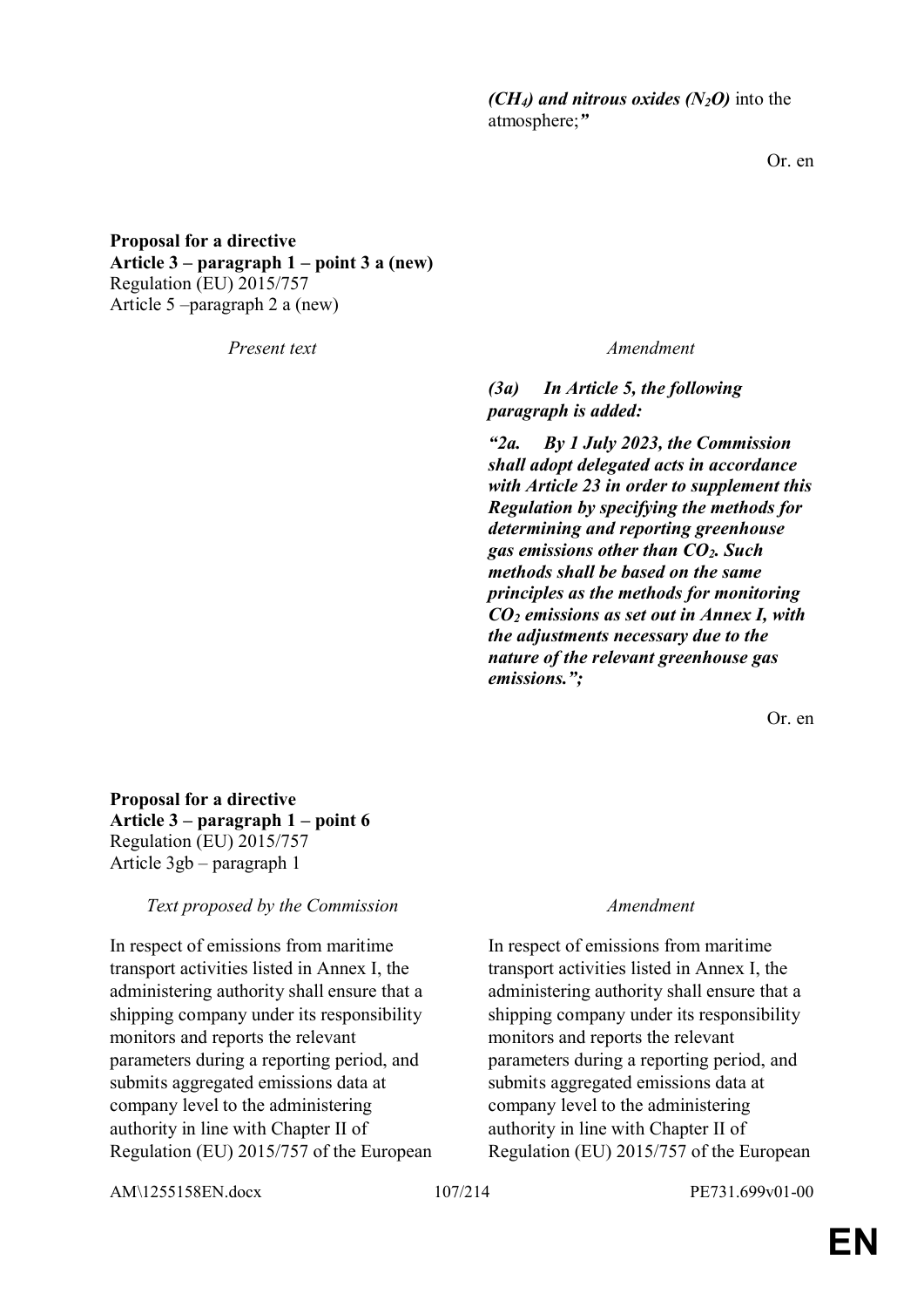*(CH<sub>4</sub>)* and nitrous oxides ( $N_2$ O) into the atmosphere;*"*

Or. en

### **Proposal for a directive Article 3 – paragraph 1 – point 3 a (new)** Regulation (EU) 2015/757 Article 5 –paragraph 2 a (new)

*Present text Amendment*

*(3a) In Article 5, the following paragraph is added:*

*"2a. By 1 July 2023, the Commission shall adopt delegated acts in accordance with Article 23 in order to supplement this Regulation by specifying the methods for determining and reporting greenhouse gas emissions other than CO2. Such methods shall be based on the same principles as the methods for monitoring CO<sup>2</sup> emissions as set out in Annex I, with the adjustments necessary due to the nature of the relevant greenhouse gas emissions.";*

Or. en

**Proposal for a directive Article 3 – paragraph 1 – point 6** Regulation (EU) 2015/757 Article 3gb – paragraph 1

#### *Text proposed by the Commission Amendment*

In respect of emissions from maritime transport activities listed in Annex I, the administering authority shall ensure that a shipping company under its responsibility monitors and reports the relevant parameters during a reporting period, and submits aggregated emissions data at company level to the administering authority in line with Chapter II of Regulation (EU) 2015/757 of the European

In respect of emissions from maritime transport activities listed in Annex I, the administering authority shall ensure that a shipping company under its responsibility monitors and reports the relevant parameters during a reporting period, and submits aggregated emissions data at company level to the administering authority in line with Chapter II of Regulation (EU) 2015/757 of the European

AM\1255158EN.docx 107/214 PE731.699v01-00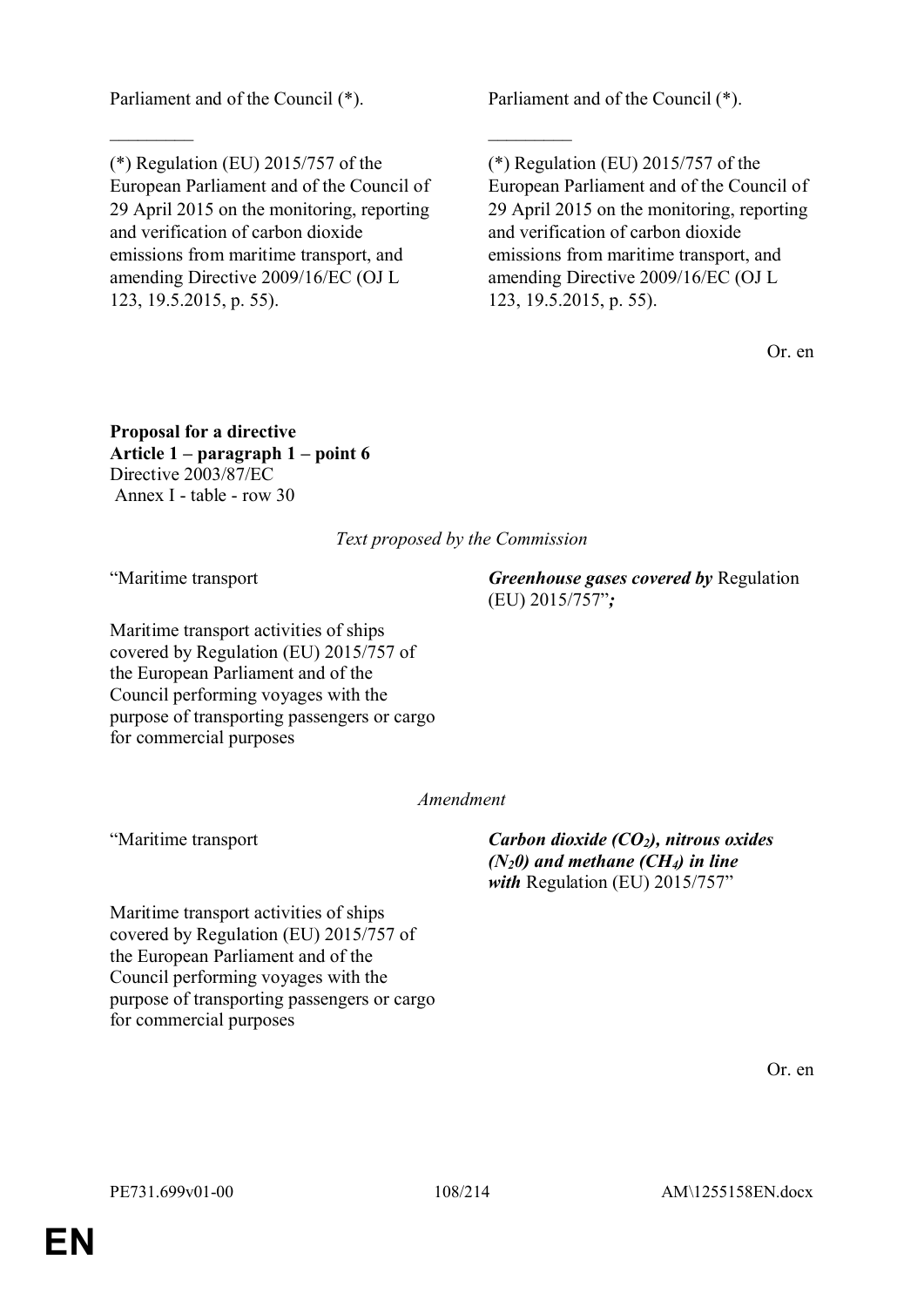Parliament and of the Council (\*). Parliament and of the Council (\*).

(\*) Regulation (EU) 2015/757 of the European Parliament and of the Council of 29 April 2015 on the monitoring, reporting and verification of carbon dioxide emissions from maritime transport, and amending Directive 2009/16/EC (OJ L 123, 19.5.2015, p. 55).

(\*) Regulation (EU) 2015/757 of the European Parliament and of the Council of 29 April 2015 on the monitoring, reporting and verification of carbon dioxide emissions from maritime transport, and amending Directive 2009/16/EC (OJ L 123, 19.5.2015, p. 55).

Or. en

**Proposal for a directive Article 1 – paragraph 1 – point 6** Directive 2003/87/EC Annex I - table - row 30

### *Text proposed by the Commission*

"Maritime transport *Greenhouse gases covered by* Regulation (EU) 2015/757"*;*

Maritime transport activities of ships covered by Regulation (EU) 2015/757 of the European Parliament and of the Council performing voyages with the purpose of transporting passengers or cargo for commercial purposes

### *Amendment*

"Maritime transport *Carbon dioxide (CO2), nitrous oxides (N20) and methane (CH4) in line with* Regulation (EU) 2015/757"

Maritime transport activities of ships covered by Regulation (EU) 2015/757 of the European Parliament and of the Council performing voyages with the purpose of transporting passengers or cargo for commercial purposes

Or. en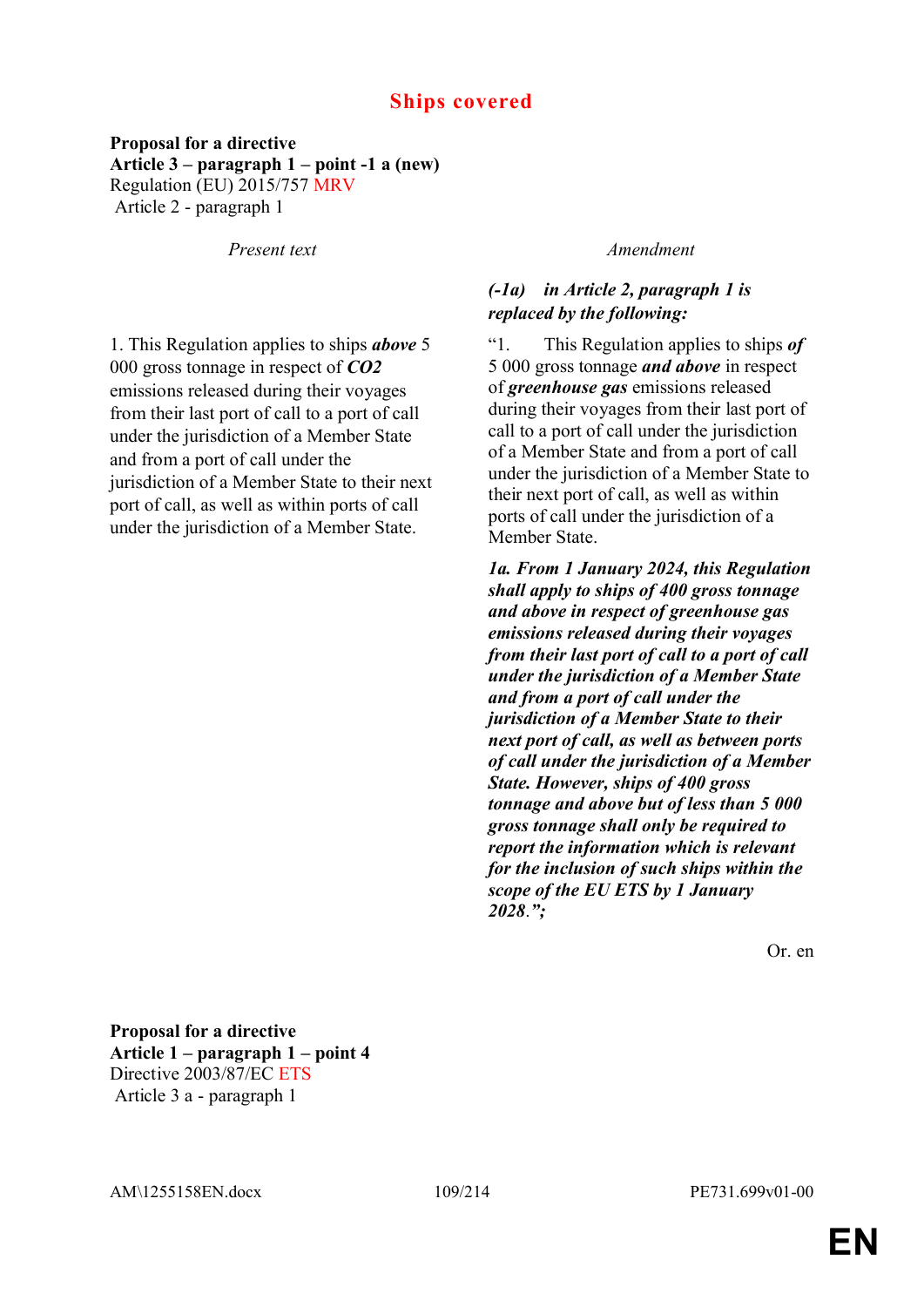# **Ships covered**

**Proposal for a directive Article 3 – paragraph 1 – point -1 a (new)** Regulation (EU) 2015/757 MRV Article 2 - paragraph 1

1. This Regulation applies to ships *above* 5 000 gross tonnage in respect of *CO2* emissions released during their voyages from their last port of call to a port of call under the jurisdiction of a Member State and from a port of call under the jurisdiction of a Member State to their next port of call, as well as within ports of call under the jurisdiction of a Member State.

#### *Present text Amendment*

## *(-1a) in Article 2, paragraph 1 is replaced by the following:*

"1. This Regulation applies to ships *of*  5 000 gross tonnage *and above* in respect of *greenhouse gas* emissions released during their voyages from their last port of call to a port of call under the jurisdiction of a Member State and from a port of call under the jurisdiction of a Member State to their next port of call, as well as within ports of call under the jurisdiction of a Member State.

*1a. From 1 January 2024, this Regulation shall apply to ships of 400 gross tonnage and above in respect of greenhouse gas emissions released during their voyages from their last port of call to a port of call under the jurisdiction of a Member State and from a port of call under the jurisdiction of a Member State to their next port of call, as well as between ports of call under the jurisdiction of a Member State. However, ships of 400 gross tonnage and above but of less than 5 000 gross tonnage shall only be required to report the information which is relevant for the inclusion of such ships within the scope of the EU ETS by 1 January 2028*.*";*

Or. en

**Proposal for a directive Article 1 – paragraph 1 – point 4** Directive 2003/87/EC ETS Article 3 a - paragraph 1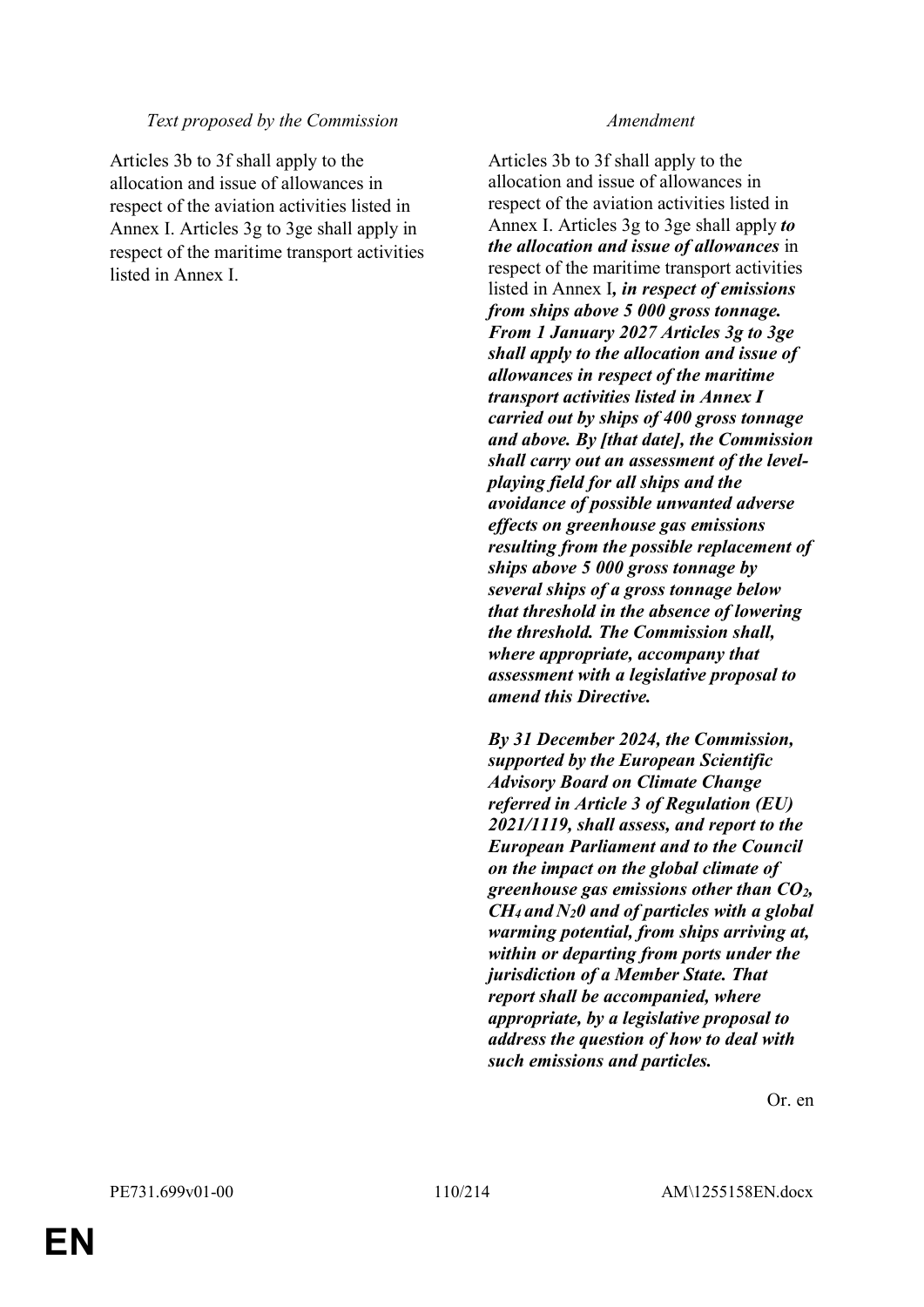Articles 3b to 3f shall apply to the allocation and issue of allowances in respect of the aviation activities listed in Annex I. Articles 3g to 3ge shall apply in respect of the maritime transport activities listed in Annex I.

Articles 3b to 3f shall apply to the allocation and issue of allowances in respect of the aviation activities listed in Annex I. Articles 3g to 3ge shall apply *to the allocation and issue of allowances* in respect of the maritime transport activities listed in Annex I*, in respect of emissions from ships above 5 000 gross tonnage. From 1 January 2027 Articles 3g to 3ge shall apply to the allocation and issue of allowances in respect of the maritime transport activities listed in Annex I carried out by ships of 400 gross tonnage and above. By [that date], the Commission shall carry out an assessment of the levelplaying field for all ships and the avoidance of possible unwanted adverse effects on greenhouse gas emissions resulting from the possible replacement of ships above 5 000 gross tonnage by several ships of a gross tonnage below that threshold in the absence of lowering the threshold. The Commission shall, where appropriate, accompany that assessment with a legislative proposal to amend this Directive.*

*By 31 December 2024, the Commission, supported by the European Scientific Advisory Board on Climate Change referred in Article 3 of Regulation (EU) 2021/1119, shall assess, and report to the European Parliament and to the Council on the impact on the global climate of greenhouse gas emissions other than CO2, CH4 and N20 and of particles with a global warming potential, from ships arriving at, within or departing from ports under the jurisdiction of a Member State. That report shall be accompanied, where appropriate, by a legislative proposal to address the question of how to deal with such emissions and particles.*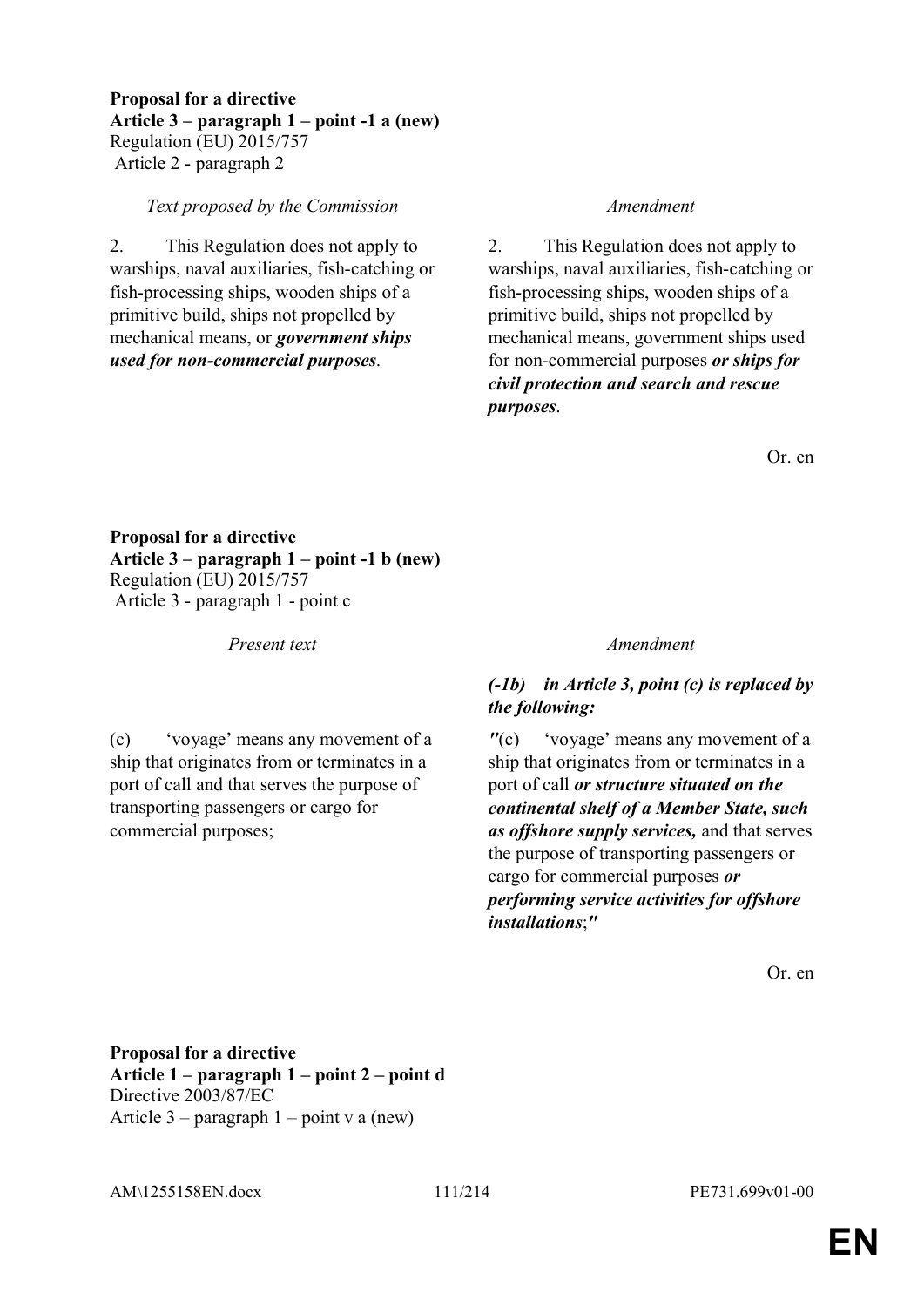## **Proposal for a directive Article 3 – paragraph 1 – point -1 a (new)** Regulation (EU) 2015/757 Article 2 - paragraph 2

#### *Text proposed by the Commission Amendment*

2. This Regulation does not apply to warships, naval auxiliaries, fish-catching or fish-processing ships, wooden ships of a primitive build, ships not propelled by mechanical means, or *government ships used for non-commercial purposes*.

2. This Regulation does not apply to warships, naval auxiliaries, fish-catching or fish-processing ships, wooden ships of a primitive build, ships not propelled by mechanical means, government ships used for non-commercial purposes *or ships for civil protection and search and rescue purposes*.

Or. en

**Proposal for a directive Article 3 – paragraph 1 – point -1 b (new)** Regulation (EU) 2015/757 Article 3 - paragraph 1 - point c

*Present text* Amendment

(c) 'voyage' means any movement of a ship that originates from or terminates in a port of call and that serves the purpose of transporting passengers or cargo for commercial purposes;

# *(-1b) in Article 3, point (c) is replaced by the following:*

*"*(c) 'voyage' means any movement of a ship that originates from or terminates in a port of call *or structure situated on the continental shelf of a Member State, such as offshore supply services,* and that serves the purpose of transporting passengers or cargo for commercial purposes *or performing service activities for offshore installations*;*"*

Or. en

**Proposal for a directive Article 1 – paragraph 1 – point 2 – point d** Directive 2003/87/EC Article  $3$  – paragraph  $1$  – point v a (new)

AM\1255158EN.docx 111/214 PE731.699v01-00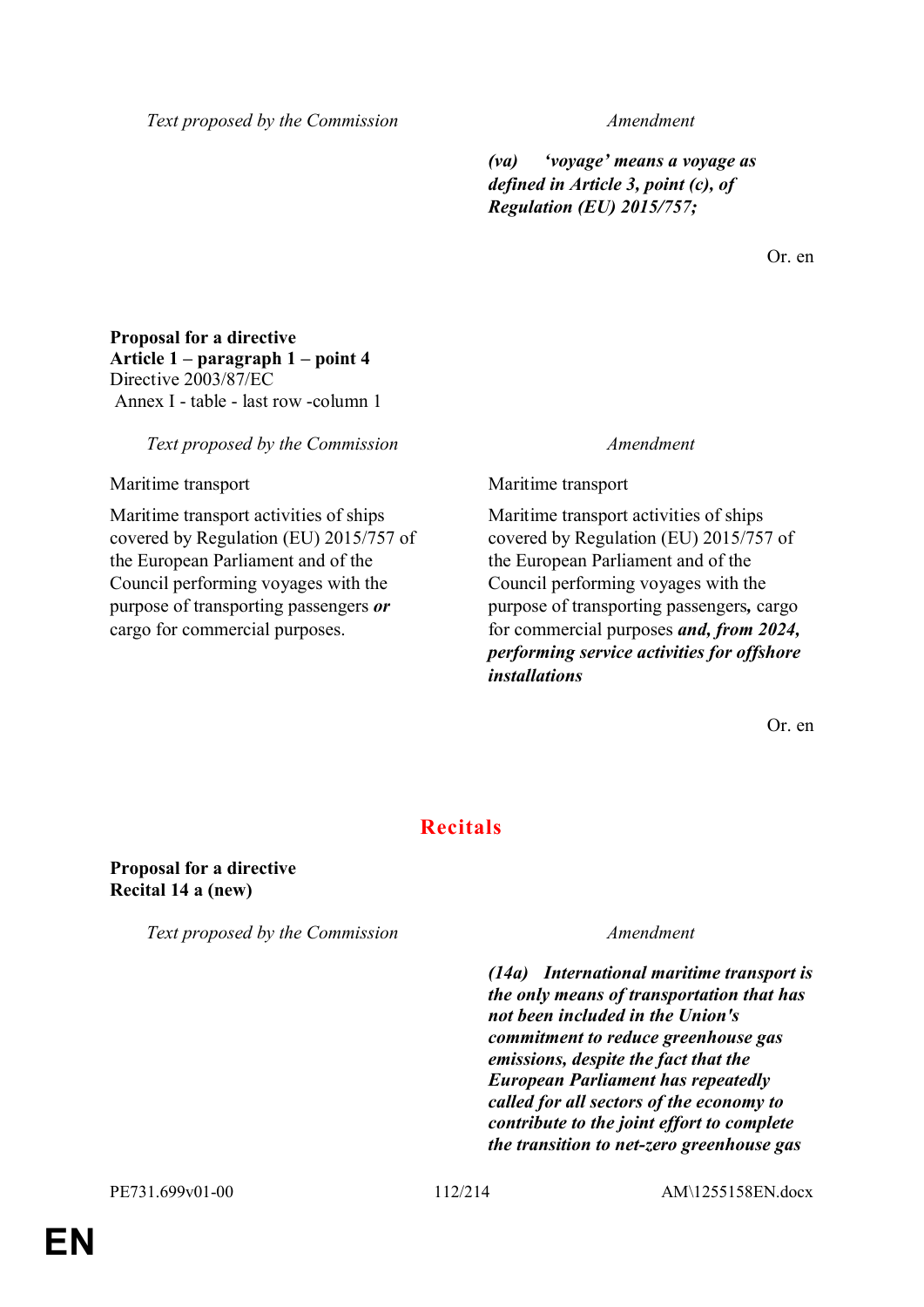*Text proposed by the Commission Amendment*

*(va) 'voyage' means a voyage as defined in Article 3, point (c), of Regulation (EU) 2015/757;*

Or. en

### **Proposal for a directive Article 1 – paragraph 1 – point 4** Directive 2003/87/EC Annex I - table - last row -column 1

*Text proposed by the Commission Amendment*

### Maritime transport Maritime transport

Maritime transport activities of ships covered by Regulation (EU) 2015/757 of the European Parliament and of the Council performing voyages with the purpose of transporting passengers *or* cargo for commercial purposes.

Maritime transport activities of ships covered by Regulation (EU) 2015/757 of the European Parliament and of the Council performing voyages with the purpose of transporting passengers*,* cargo for commercial purposes *and, from 2024, performing service activities for offshore installations*

Or. en

# **Recitals**

### **Proposal for a directive Recital 14 a (new)**

*Text proposed by the Commission Amendment*

*(14a) International maritime transport is the only means of transportation that has not been included in the Union's commitment to reduce greenhouse gas emissions, despite the fact that the European Parliament has repeatedly called for all sectors of the economy to contribute to the joint effort to complete the transition to net-zero greenhouse gas*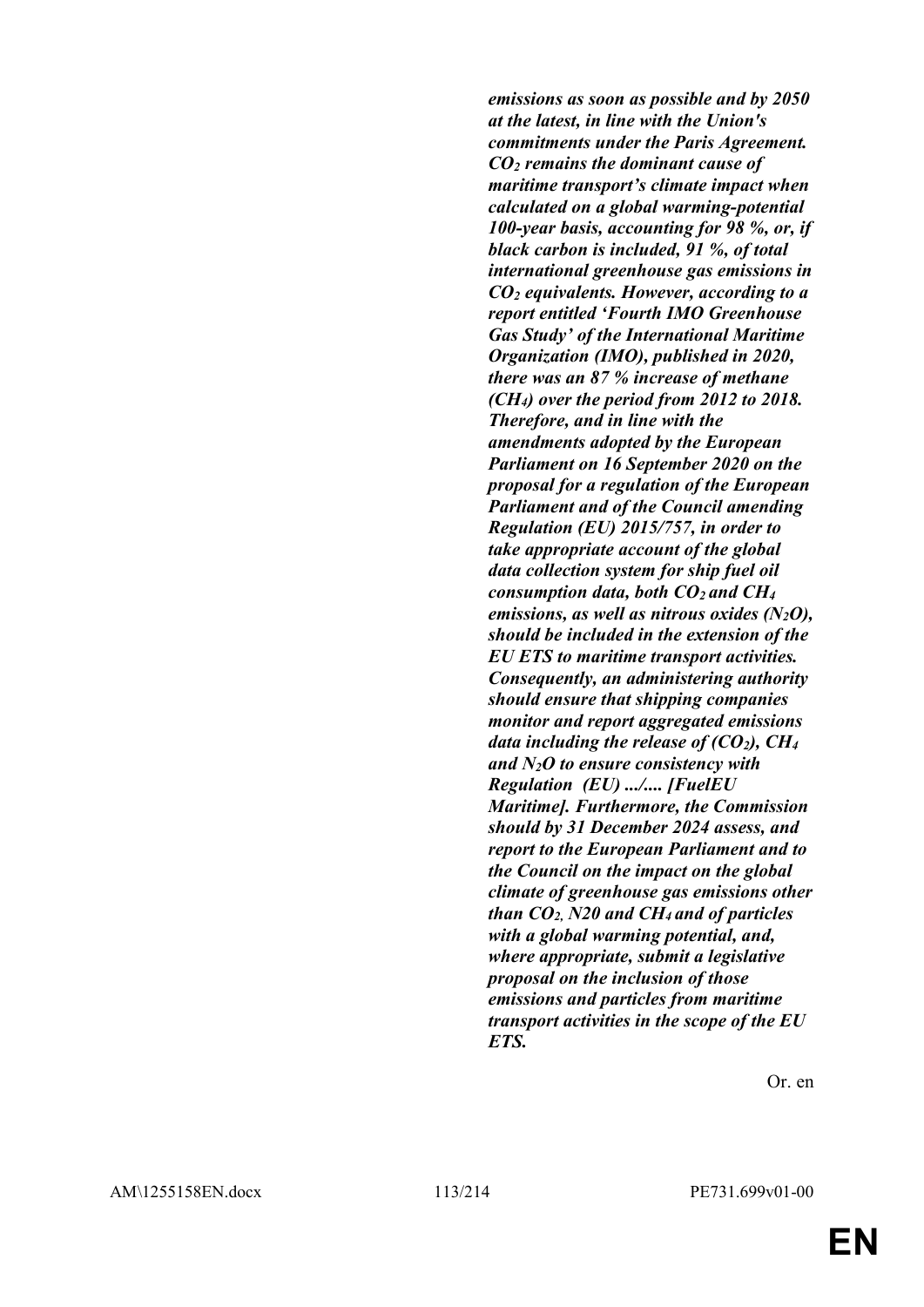*emissions as soon as possible and by 2050 at the latest, in line with the Union's commitments under the Paris Agreement. CO<sup>2</sup> remains the dominant cause of maritime transport's climate impact when calculated on a global warming-potential 100-year basis, accounting for 98 %, or, if black carbon is included, 91 %, of total international greenhouse gas emissions in CO<sup>2</sup> equivalents. However, according to a report entitled 'Fourth IMO Greenhouse Gas Study' of the International Maritime Organization (IMO), published in 2020, there was an 87 % increase of methane (CH4) over the period from 2012 to 2018. Therefore, and in line with the amendments adopted by the European Parliament on 16 September 2020 on the proposal for a regulation of the European Parliament and of the Council amending Regulation (EU) 2015/757, in order to take appropriate account of the global data collection system for ship fuel oil consumption data, both CO<sup>2</sup> and CH<sup>4</sup> emissions, as well as nitrous oxides (N2O), should be included in the extension of the EU ETS to maritime transport activities. Consequently, an administering authority should ensure that shipping companies monitor and report aggregated emissions data including the release of (CO2), CH<sup>4</sup> and N2O to ensure consistency with Regulation (EU) .../.... [FuelEU Maritime]. Furthermore, the Commission should by 31 December 2024 assess, and report to the European Parliament and to the Council on the impact on the global climate of greenhouse gas emissions other than CO2, N20 and CH4 and of particles with a global warming potential, and, where appropriate, submit a legislative proposal on the inclusion of those emissions and particles from maritime transport activities in the scope of the EU ETS.*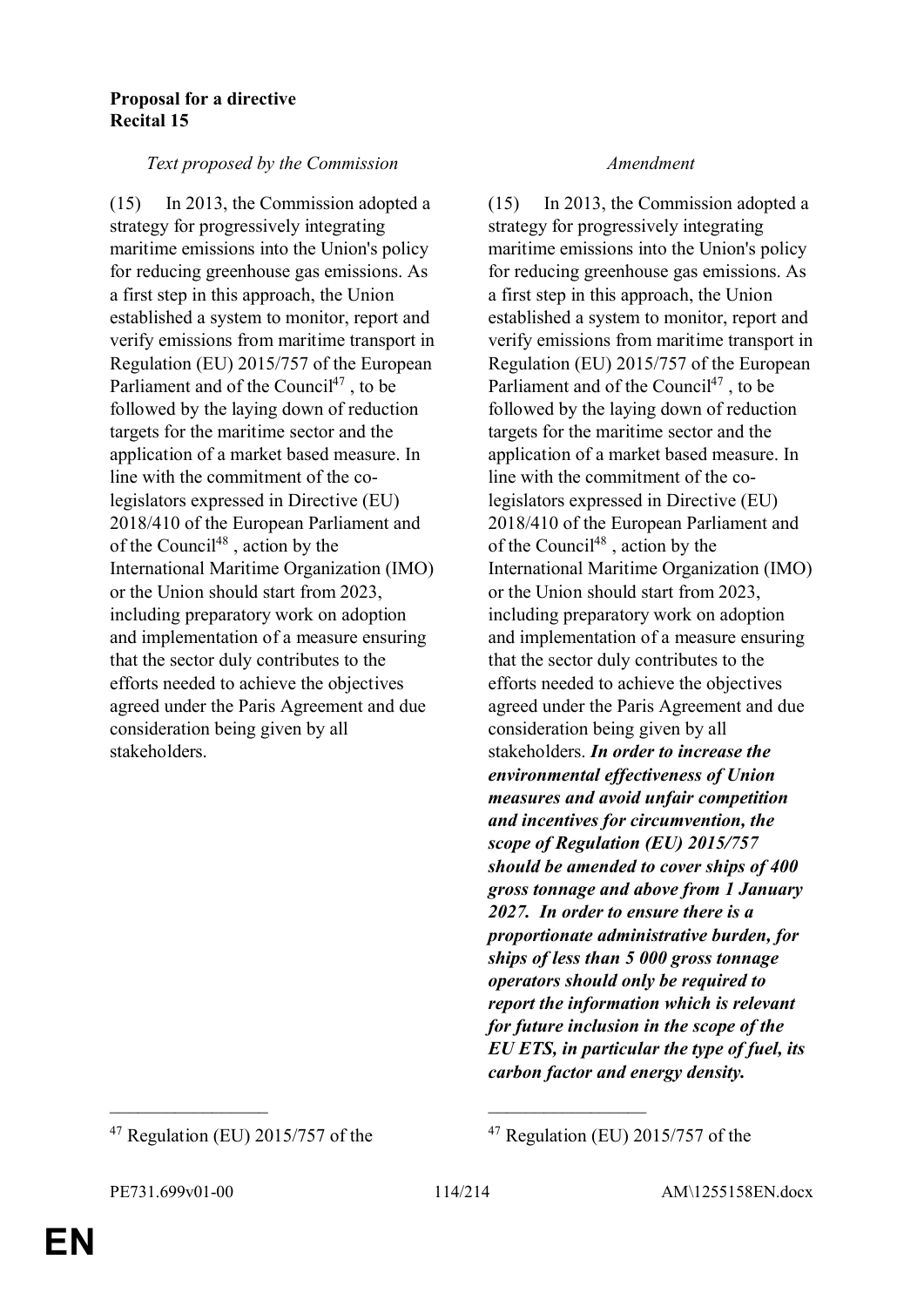### **Proposal for a directive Recital 15**

## *Text proposed by the Commission Amendment*

(15) In 2013, the Commission adopted a strategy for progressively integrating maritime emissions into the Union's policy for reducing greenhouse gas emissions. As a first step in this approach, the Union established a system to monitor, report and verify emissions from maritime transport in Regulation (EU) 2015/757 of the European Parliament and of the Council<sup>47</sup>, to be followed by the laying down of reduction targets for the maritime sector and the application of a market based measure. In line with the commitment of the colegislators expressed in Directive (EU) 2018/410 of the European Parliament and of the Council<sup>48</sup>, action by the International Maritime Organization (IMO) or the Union should start from 2023, including preparatory work on adoption and implementation of a measure ensuring that the sector duly contributes to the efforts needed to achieve the objectives agreed under the Paris Agreement and due consideration being given by all stakeholders.

(15) In 2013, the Commission adopted a strategy for progressively integrating maritime emissions into the Union's policy for reducing greenhouse gas emissions. As a first step in this approach, the Union established a system to monitor, report and verify emissions from maritime transport in Regulation (EU) 2015/757 of the European Parliament and of the Council<sup>47</sup>, to be followed by the laying down of reduction targets for the maritime sector and the application of a market based measure. In line with the commitment of the colegislators expressed in Directive (EU) 2018/410 of the European Parliament and of the Council<sup>48</sup>, action by the International Maritime Organization (IMO) or the Union should start from 2023, including preparatory work on adoption and implementation of a measure ensuring that the sector duly contributes to the efforts needed to achieve the objectives agreed under the Paris Agreement and due consideration being given by all stakeholders. *In order to increase the environmental effectiveness of Union measures and avoid unfair competition and incentives for circumvention, the scope of Regulation (EU) 2015/757 should be amended to cover ships of 400 gross tonnage and above from 1 January 2027. In order to ensure there is a proportionate administrative burden, for ships of less than 5 000 gross tonnage operators should only be required to report the information which is relevant for future inclusion in the scope of the EU ETS, in particular the type of fuel, its carbon factor and energy density.*

<sup>&</sup>lt;sup>47</sup> Regulation (EU) 2015/757 of the  $47$  Regulation (EU) 2015/757 of the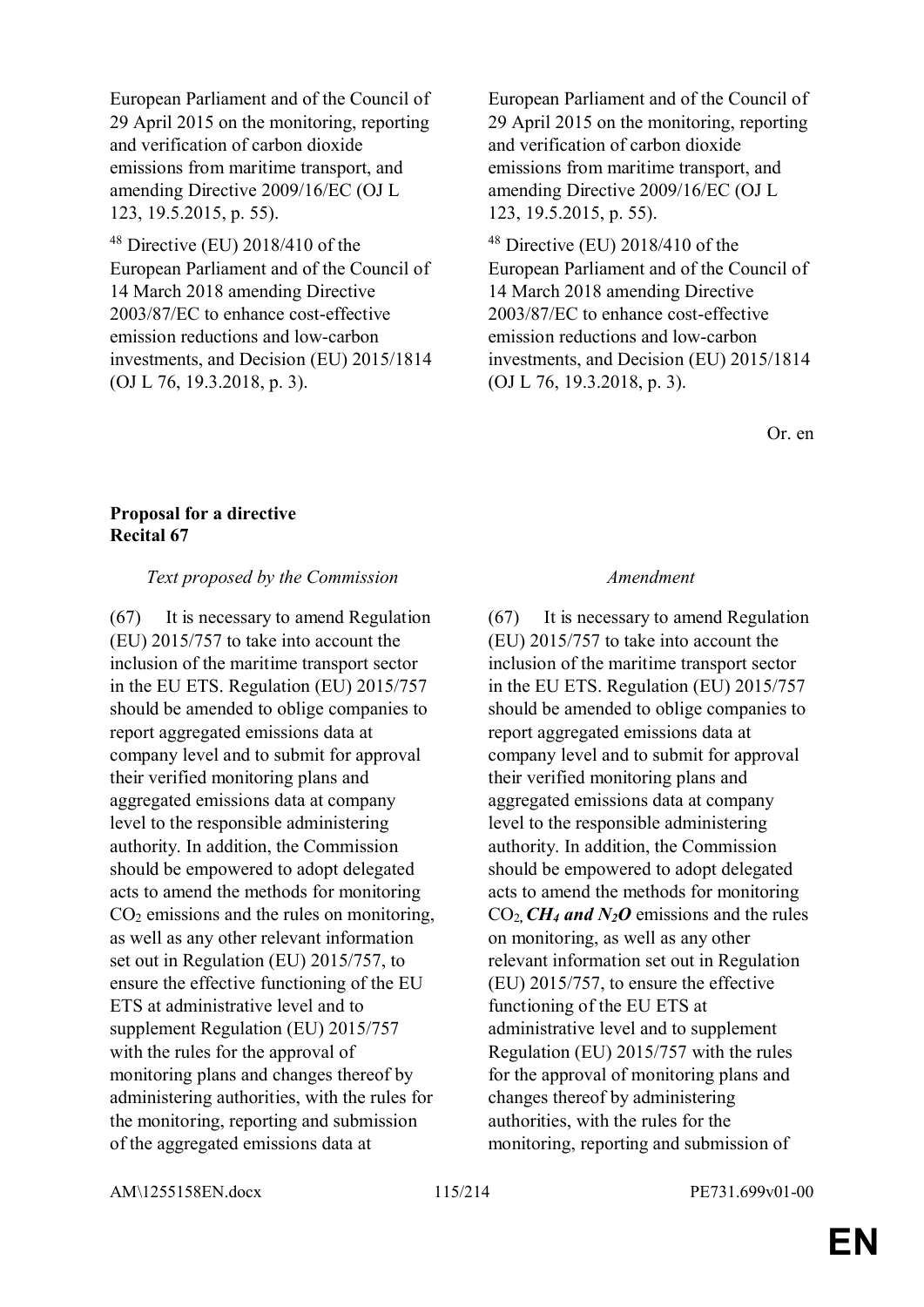European Parliament and of the Council of 29 April 2015 on the monitoring, reporting and verification of carbon dioxide emissions from maritime transport, and amending Directive 2009/16/EC (OJ L 123, 19.5.2015, p. 55).

<sup>48</sup> Directive (EU) 2018/410 of the European Parliament and of the Council of 14 March 2018 amending Directive 2003/87/EC to enhance cost-effective emission reductions and low-carbon investments, and Decision (EU) 2015/1814 (OJ L 76, 19.3.2018, p. 3).

European Parliament and of the Council of 29 April 2015 on the monitoring, reporting and verification of carbon dioxide emissions from maritime transport, and amending Directive 2009/16/EC (OJ L 123, 19.5.2015, p. 55).

 $48$  Directive (EU) 2018/410 of the European Parliament and of the Council of 14 March 2018 amending Directive 2003/87/EC to enhance cost-effective emission reductions and low-carbon investments, and Decision (EU) 2015/1814 (OJ L 76, 19.3.2018, p. 3).

Or. en

### **Proposal for a directive Recital 67**

#### *Text proposed by the Commission Amendment*

(67) It is necessary to amend Regulation (EU) 2015/757 to take into account the inclusion of the maritime transport sector in the EU ETS. Regulation (EU) 2015/757 should be amended to oblige companies to report aggregated emissions data at company level and to submit for approval their verified monitoring plans and aggregated emissions data at company level to the responsible administering authority. In addition, the Commission should be empowered to adopt delegated acts to amend the methods for monitoring  $CO<sub>2</sub>$  emissions and the rules on monitoring. as well as any other relevant information set out in Regulation (EU) 2015/757, to ensure the effective functioning of the EU ETS at administrative level and to supplement Regulation (EU) 2015/757 with the rules for the approval of monitoring plans and changes thereof by administering authorities, with the rules for the monitoring, reporting and submission of the aggregated emissions data at

(67) It is necessary to amend Regulation (EU) 2015/757 to take into account the inclusion of the maritime transport sector in the EU ETS. Regulation (EU) 2015/757 should be amended to oblige companies to report aggregated emissions data at company level and to submit for approval their verified monitoring plans and aggregated emissions data at company level to the responsible administering authority. In addition, the Commission should be empowered to adopt delegated acts to amend the methods for monitoring  $CO<sub>2</sub>$ , *CH<sub>4</sub>* and  $N<sub>2</sub>O$  emissions and the rules on monitoring, as well as any other relevant information set out in Regulation (EU) 2015/757, to ensure the effective functioning of the EU ETS at administrative level and to supplement Regulation (EU) 2015/757 with the rules for the approval of monitoring plans and changes thereof by administering authorities, with the rules for the monitoring, reporting and submission of

AM\1255158EN.docx 115/214 PE731.699v01-00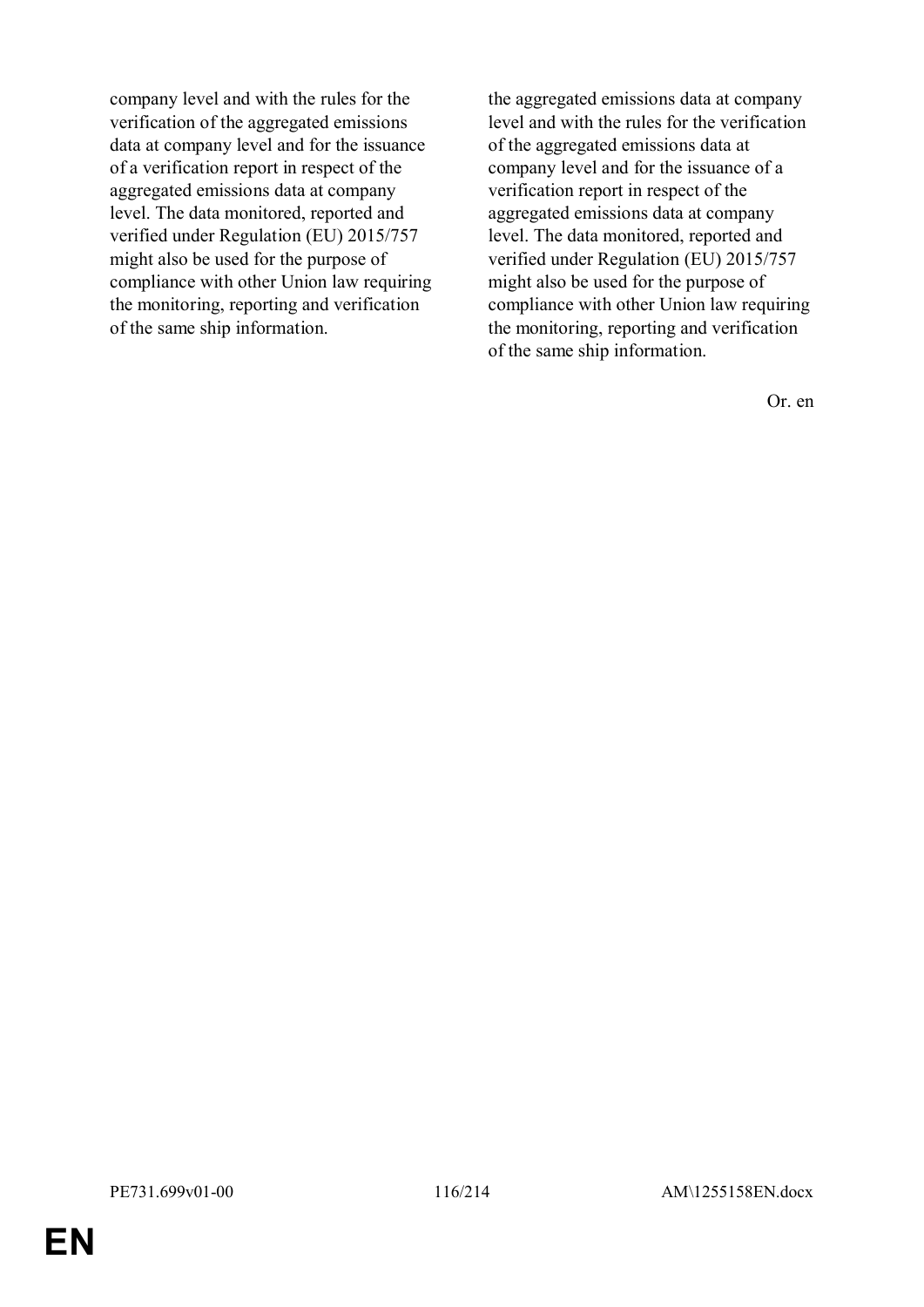company level and with the rules for the verification of the aggregated emissions data at company level and for the issuance of a verification report in respect of the aggregated emissions data at company level. The data monitored, reported and verified under Regulation (EU) 2015/757 might also be used for the purpose of compliance with other Union law requiring the monitoring, reporting and verification of the same ship information.

the aggregated emissions data at company level and with the rules for the verification of the aggregated emissions data at company level and for the issuance of a verification report in respect of the aggregated emissions data at company level. The data monitored, reported and verified under Regulation (EU) 2015/757 might also be used for the purpose of compliance with other Union law requiring the monitoring, reporting and verification of the same ship information.

Or. en

**EN**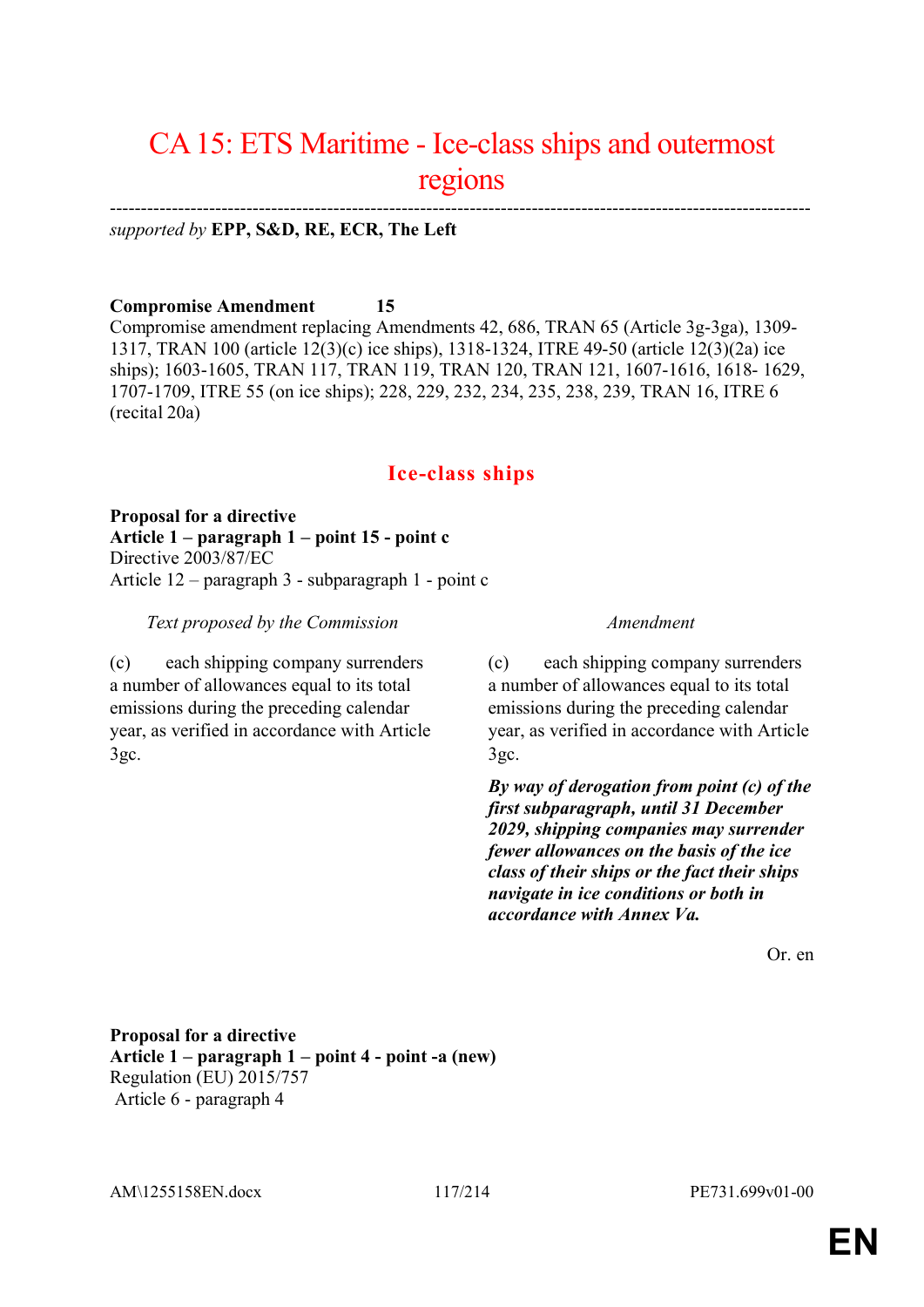# CA 15: ETS Maritime - Ice-class ships and outermost regions -----------------------------------------------------------------------------------------------------------------

*supported by* **EPP, S&D, RE, ECR, The Left**

**Compromise Amendment 15** Compromise amendment replacing Amendments 42, 686, TRAN 65 (Article 3g-3ga), 1309- 1317, TRAN 100 (article 12(3)(c) ice ships), 1318-1324, ITRE 49-50 (article 12(3)(2a) ice ships); 1603-1605, TRAN 117, TRAN 119, TRAN 120, TRAN 121, 1607-1616, 1618- 1629, 1707-1709, ITRE 55 (on ice ships); 228, 229, 232, 234, 235, 238, 239, TRAN 16, ITRE 6 (recital 20a)

# **Ice-class ships**

**Proposal for a directive Article 1 – paragraph 1 – point 15 - point c** Directive 2003/87/EC Article 12 – paragraph 3 - subparagraph 1 - point c

*Text proposed by the Commission Amendment*

(c) each shipping company surrenders a number of allowances equal to its total emissions during the preceding calendar year, as verified in accordance with Article  $3gc.$ 

(c) each shipping company surrenders a number of allowances equal to its total emissions during the preceding calendar year, as verified in accordance with Article  $3<sub>gc</sub>$ .

*By way of derogation from point (c) of the first subparagraph, until 31 December 2029, shipping companies may surrender fewer allowances on the basis of the ice class of their ships or the fact their ships navigate in ice conditions or both in accordance with Annex Va.* 

Or. en

**Proposal for a directive Article 1 – paragraph 1 – point 4 - point -a (new)** Regulation (EU) 2015/757 Article 6 - paragraph 4

AM\1255158EN.docx 117/214 PE731.699v01-00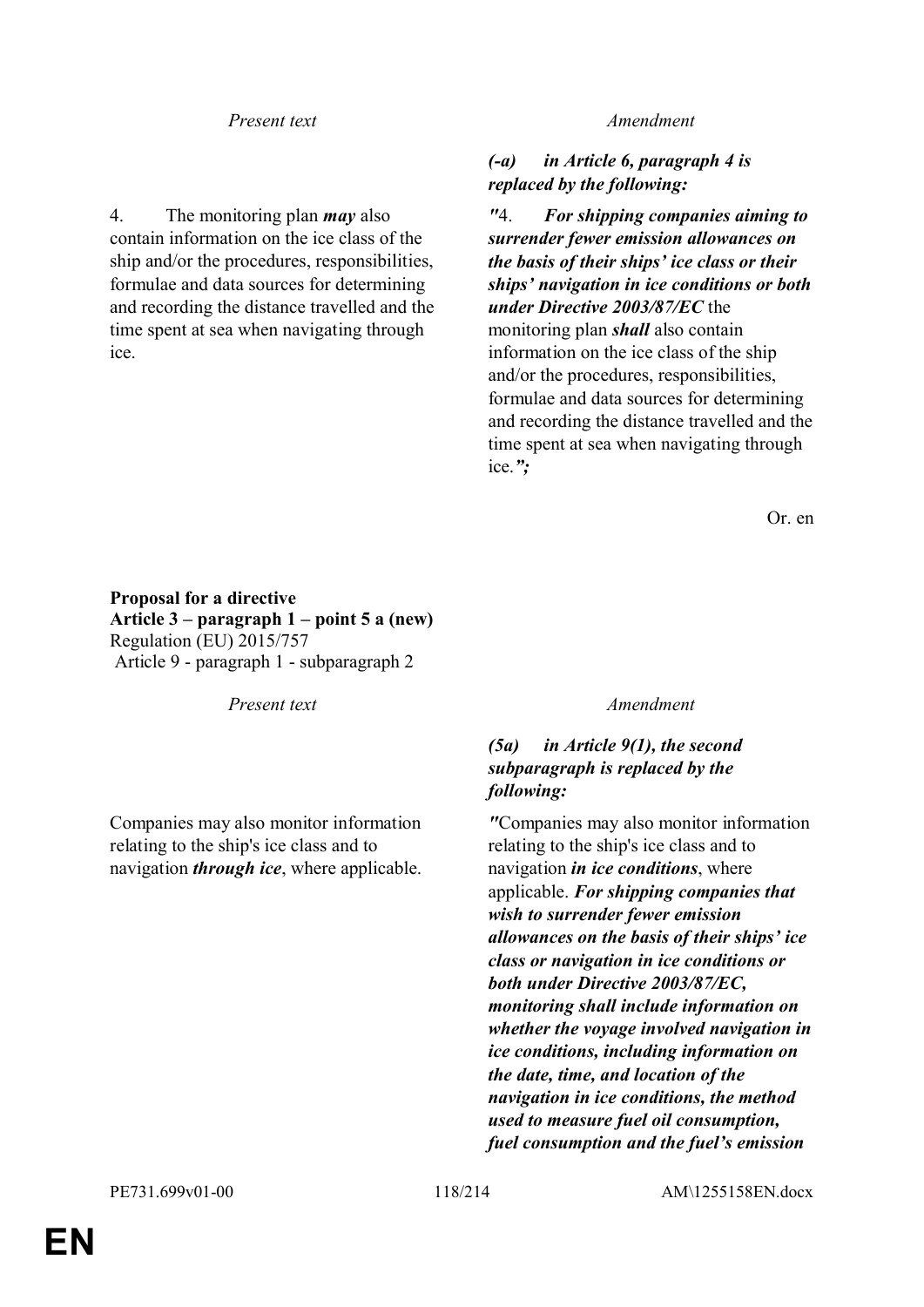### *Present text Amendment*

4. The monitoring plan *may* also contain information on the ice class of the ship and/or the procedures, responsibilities, formulae and data sources for determining and recording the distance travelled and the time spent at sea when navigating through ice.

*(-a) in Article 6, paragraph 4 is replaced by the following:*

*"*4. *For shipping companies aiming to surrender fewer emission allowances on the basis of their ships' ice class or their ships' navigation in ice conditions or both under Directive 2003/87/EC* the monitoring plan *shall* also contain information on the ice class of the ship and/or the procedures, responsibilities, formulae and data sources for determining and recording the distance travelled and the time spent at sea when navigating through ice.*";*

Or. en

### **Proposal for a directive Article 3 – paragraph 1 – point 5 a (new)** Regulation (EU) 2015/757 Article 9 - paragraph 1 - subparagraph 2

Companies may also monitor information relating to the ship's ice class and to navigation *through ice*, where applicable.

*Present text Amendment*

# *(5a) in Article 9(1), the second subparagraph is replaced by the following:*

*"*Companies may also monitor information relating to the ship's ice class and to navigation *in ice conditions*, where applicable. *For shipping companies that wish to surrender fewer emission allowances on the basis of their ships' ice class or navigation in ice conditions or both under Directive 2003/87/EC, monitoring shall include information on whether the voyage involved navigation in ice conditions, including information on the date, time, and location of the navigation in ice conditions, the method used to measure fuel oil consumption, fuel consumption and the fuel's emission*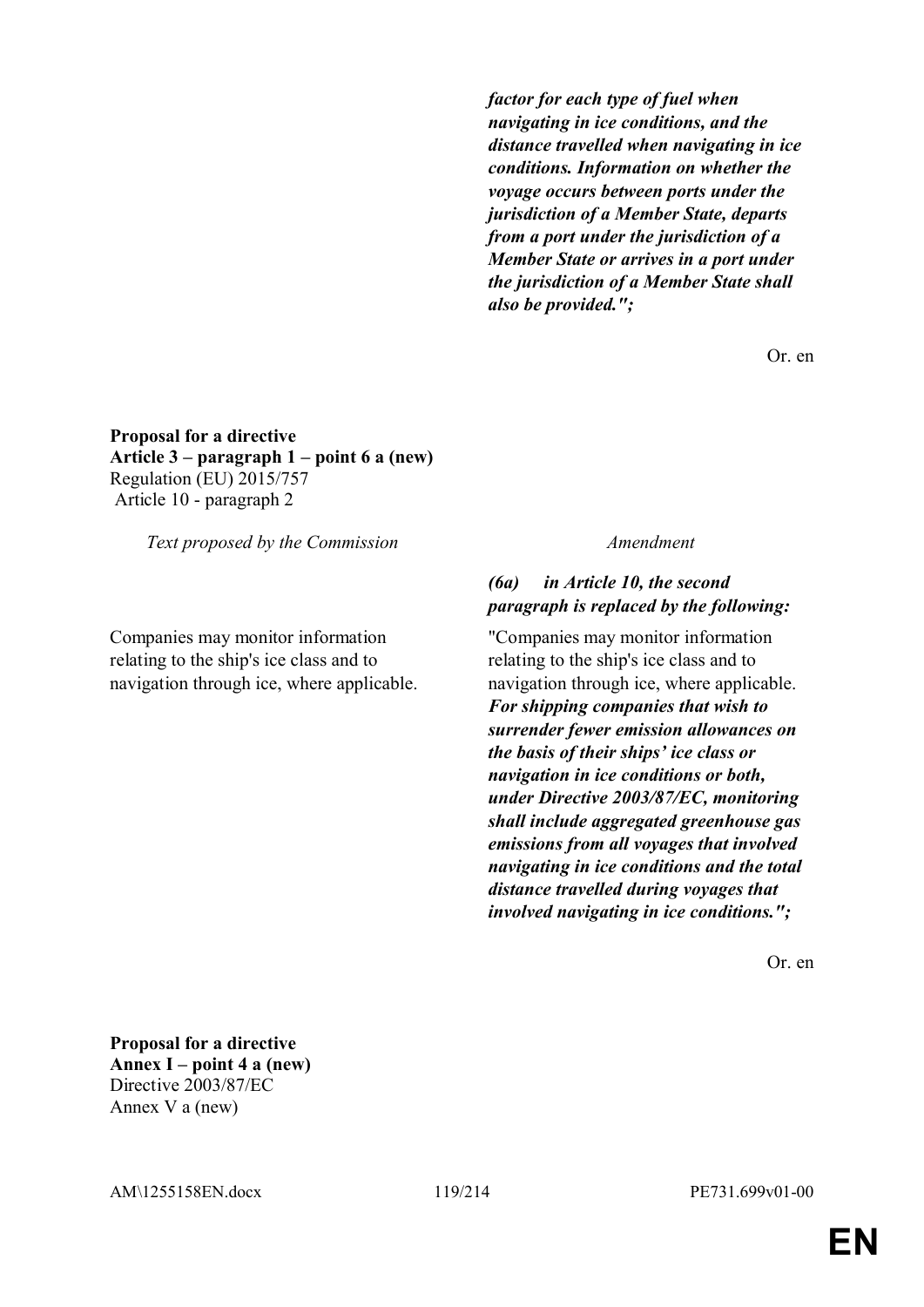*factor for each type of fuel when navigating in ice conditions, and the distance travelled when navigating in ice conditions. Information on whether the voyage occurs between ports under the jurisdiction of a Member State, departs from a port under the jurisdiction of a Member State or arrives in a port under the jurisdiction of a Member State shall also be provided.";*

Or. en

### **Proposal for a directive Article 3 – paragraph 1 – point 6 a (new)** Regulation (EU) 2015/757 Article 10 - paragraph 2

*Text proposed by the Commission Amendment*

Companies may monitor information relating to the ship's ice class and to navigation through ice, where applicable.

## *(6a) in Article 10, the second paragraph is replaced by the following:*

"Companies may monitor information relating to the ship's ice class and to navigation through ice, where applicable. *For shipping companies that wish to surrender fewer emission allowances on the basis of their ships' ice class or navigation in ice conditions or both, under Directive 2003/87/EC, monitoring shall include aggregated greenhouse gas emissions from all voyages that involved navigating in ice conditions and the total distance travelled during voyages that involved navigating in ice conditions.";*

Or. en

**Proposal for a directive Annex I – point 4 a (new)** Directive 2003/87/EC Annex V a (new)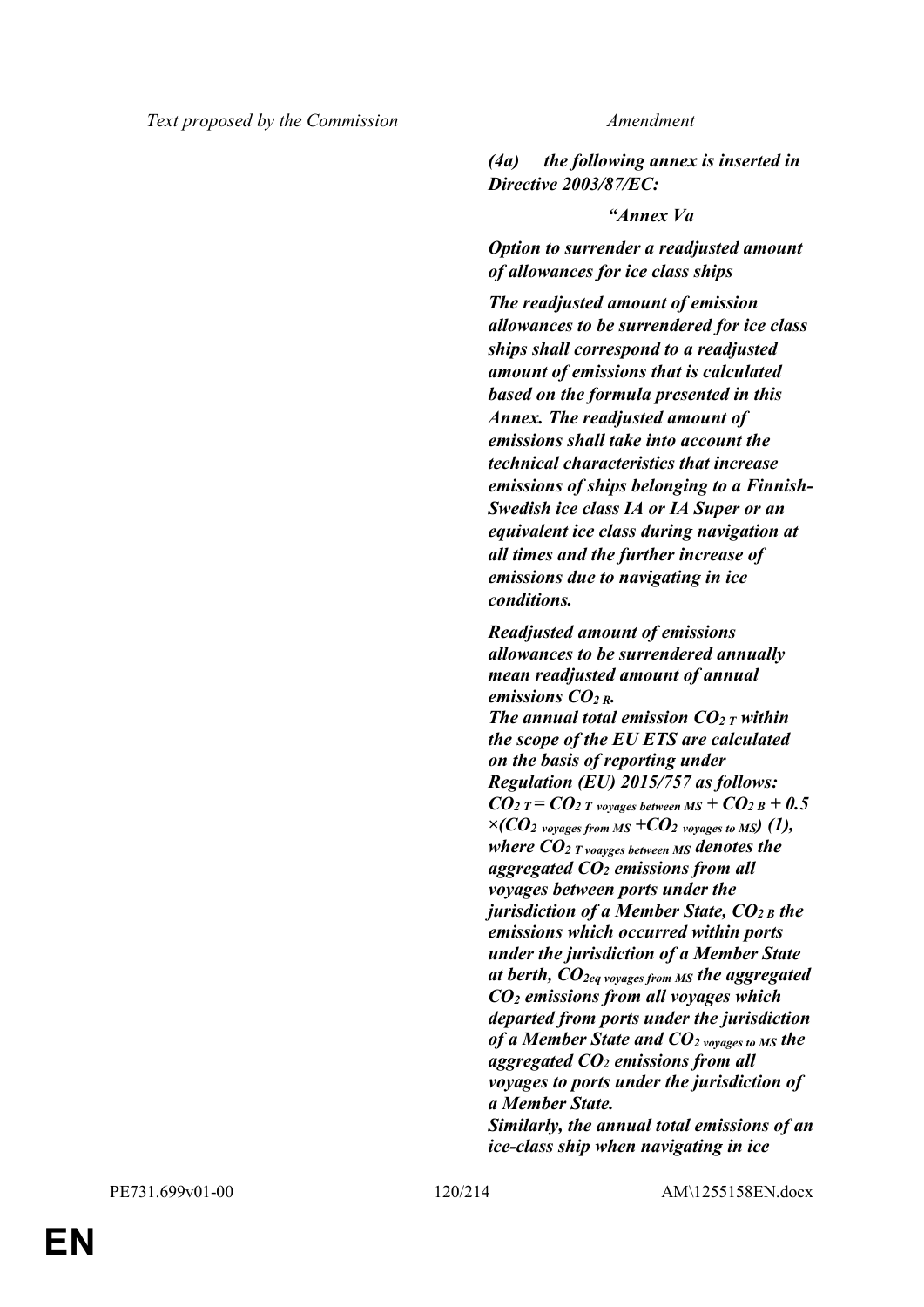*(4a) the following annex is inserted in Directive 2003/87/EC:*

### *"Annex Va*

*Option to surrender a readjusted amount of allowances for ice class ships*

*The readjusted amount of emission allowances to be surrendered for ice class ships shall correspond to a readjusted amount of emissions that is calculated based on the formula presented in this Annex. The readjusted amount of emissions shall take into account the technical characteristics that increase emissions of ships belonging to a Finnish-Swedish ice class IA or IA Super or an equivalent ice class during navigation at all times and the further increase of emissions due to navigating in ice conditions.*

*Readjusted amount of emissions allowances to be surrendered annually mean readjusted amount of annual emissions CO2 R. The annual total emission CO2 T within the scope of the EU ETS are calculated on the basis of reporting under Regulation (EU) 2015/757 as follows:*  $CO_{2}T = CO_{2}T$  *voyages between MS* +  $CO_{2}B + 0.5$ *×(CO<sup>2</sup> voyages from MS +CO<sup>2</sup> voyages to MS) (1), where CO2 T voayges between MS denotes the aggregated CO<sup>2</sup> emissions from all voyages between ports under the jurisdiction of a Member State, CO2 B the emissions which occurred within ports under the jurisdiction of a Member State at berth, CO2eq voyages from MS the aggregated CO<sup>2</sup> emissions from all voyages which departed from ports under the jurisdiction of a Member State and CO2 voyages to MS the aggregated CO<sup>2</sup> emissions from all voyages to ports under the jurisdiction of a Member State.*

*Similarly, the annual total emissions of an ice-class ship when navigating in ice*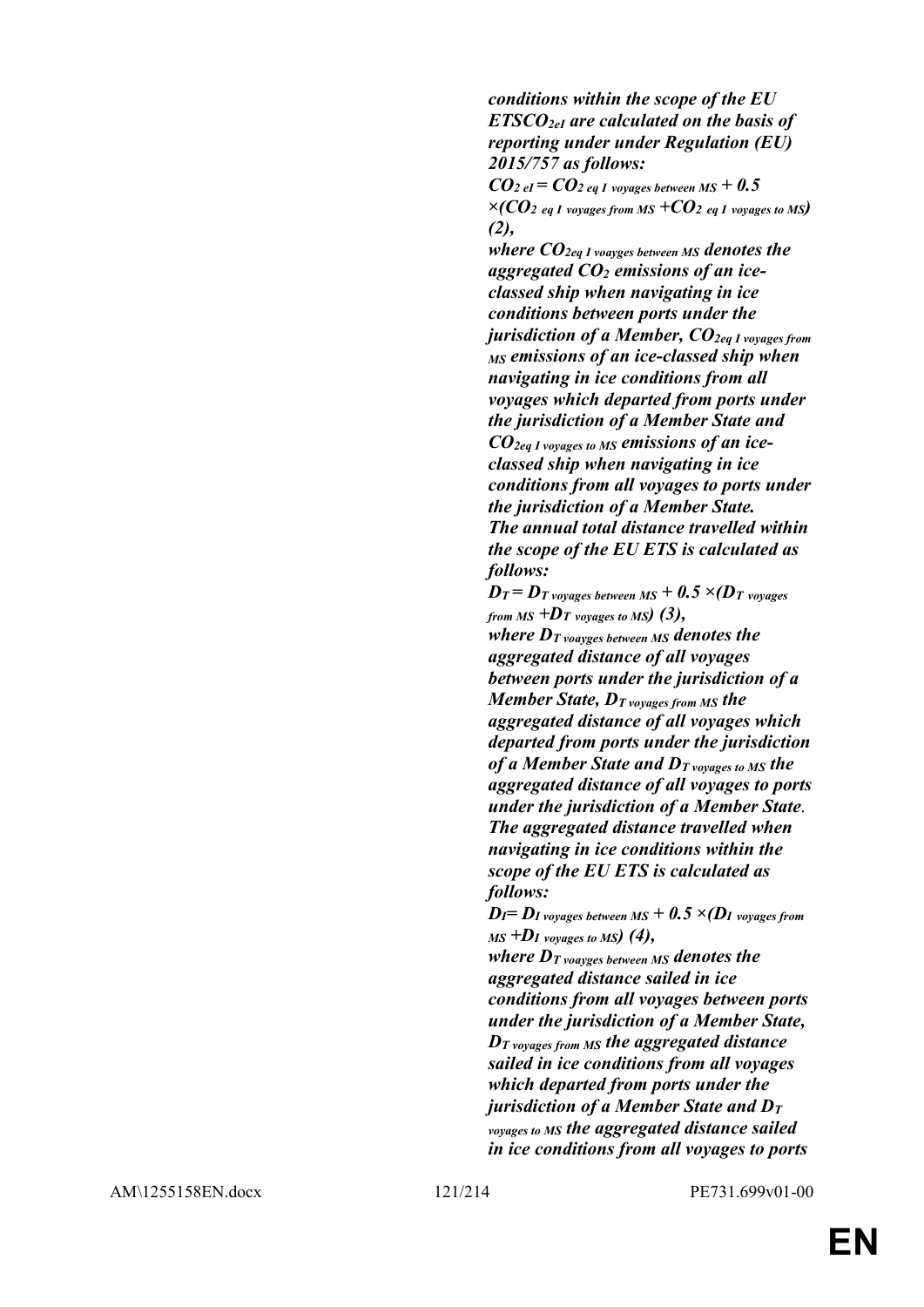*conditions within the scope of the EU ETSCO2eI are calculated on the basis of reporting under under Regulation (EU) 2015/757 as follows:*

 $CO_{2}$  *eI* =  $CO_{2}$  *eq I* voyages between MS + 0.5 *×(CO <sup>2</sup> eq I voyages from MS +CO <sup>2</sup> eq I voyages to MS) (2),*

*where CO2eq I voayges between MS denotes the aggregated CO <sup>2</sup> emissions of an ice classed ship when navigating in ice conditions between ports under the jurisdiction of a Member, CO2eq I voyages from MS emissions of an ice -classed ship when navigating in ice conditions from all voyages which departed from ports under the jurisdiction of a Member State and CO2eq I voyages to MS emissions of an ice classed ship when navigating in ice conditions from all voyages to ports under the jurisdiction of a Member State. The annual total distance travelled within the scope of the EU ETS is calculated as follows:*

 $D_T = D_T$  *voyages between MS* + 0.5  $\times$  ( $D_T$  *voyages from MS +D <sup>T</sup> voyages to MS) (3), where DT voayges between MS denotes the aggregated distance of all voyages between ports under the jurisdiction of a Member State, DT voyages from MS the aggregated distance of all voyages which departed from ports under the jurisdiction of a Member State and DT voyages to MS the aggregated distance of all voyages to ports under the jurisdiction of a Member State* . *The aggregated distance travelled when navigating in ice conditions within the scope of the EU ETS is calculated as follows:*

 $D_I = D_I$  *voyages between MS*  $+ 0.5 \times (D_I)$  *voyages from MS*  $+D_I$  *voyages to MS* $)$  (4),

*where DT voayges between MS denotes the aggregated distance sailed in ice conditions from all voyages between ports under the jurisdiction of a Member State, DT voyages from MS the aggregated distance sailed in ice conditions from all voyages which departed from ports under the jurisdiction of a Member State and D<sup>T</sup> voyages to MS the aggregated distance sailed in ice conditions from all voyages to ports*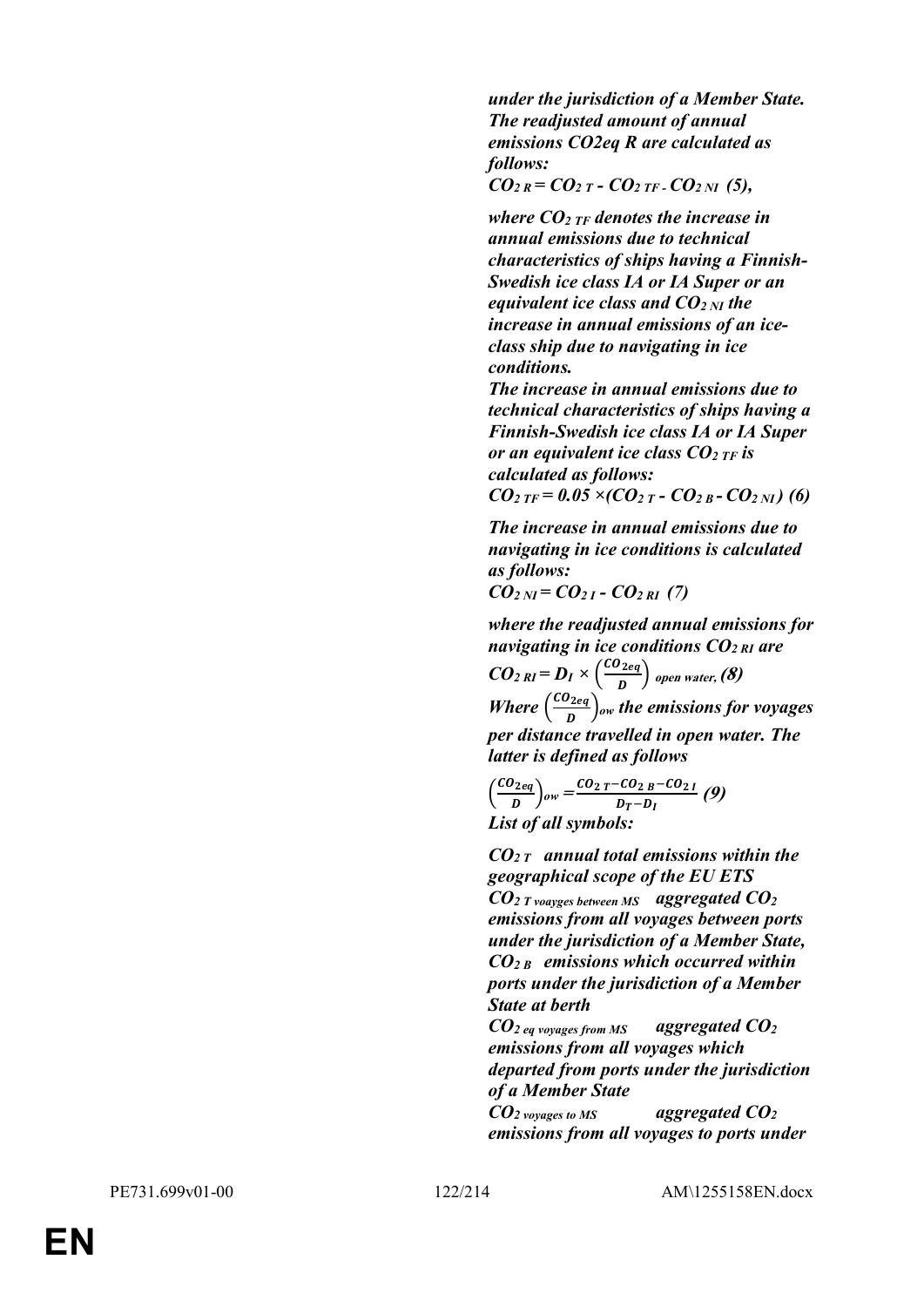*under the jurisdiction of a Member State. The readjusted amount of annual emissions CO2eq R are calculated as follows:*

 $CO_{2R} = CO_{2T} - CO_{2TF} - CO_{2NI}$  (5),

*where CO2 TF denotes the increase in annual emissions due to technical characteristics of ships having a Finnish-Swedish ice class IA or IA Super or an equivalent ice class and CO2 NI the increase in annual emissions of an iceclass ship due to navigating in ice conditions.*

*The increase in annual emissions due to technical characteristics of ships having a Finnish-Swedish ice class IA or IA Super or an equivalent ice class CO2 TF is calculated as follows:*  $CO_{2TF} = 0.05 \times (CO_{2T} - CO_{2B} - CO_{2NI})$  (6)

*The increase in annual emissions due to navigating in ice conditions is calculated as follows:*

 $CO<sub>2 NI</sub> = CO<sub>2 I</sub> - CO<sub>2 RI</sub> (7)$ 

*where the readjusted annual emissions for navigating in ice conditions CO2 RI are*

 $CO$ <sup>2</sup> RI =  $D_I \times \left(\frac{CO_{2eq}}{D}\right)$  **open water, (8)** *Where*  $\left(\frac{U_2_{eq}}{D}\right)$  $\frac{d^{2}z_{eq}}{D}$ <sub>ow</sub> the emissions for voyages *per distance travelled in open water. The latter is defined as follows*

 $\left(\frac{UO_{2eq}}{D}\right)$  $\frac{D_{2eq}}{D}$ )<sub>*ow*</sub> =  $\frac{CO_{2T}-CO_{2B}-CO_{2B}}{D_{T}-D_{I}}$  $\n *D*<sub>T</sub>$ **(9) List of all symbol** 

*CO2 T annual total emissions within the geographical scope of the EU ETS CO2 T voayges between MS aggregated CO<sup>2</sup> emissions from all voyages between ports under the jurisdiction of a Member State, CO2 B emissions which occurred within ports under the jurisdiction of a Member State at berth*

*CO<sup>2</sup> eq voyages from MS aggregated CO<sup>2</sup> emissions from all voyages which departed from ports under the jurisdiction of a Member State*

*CO2 voyages to MS aggregated CO<sup>2</sup> emissions from all voyages to ports under*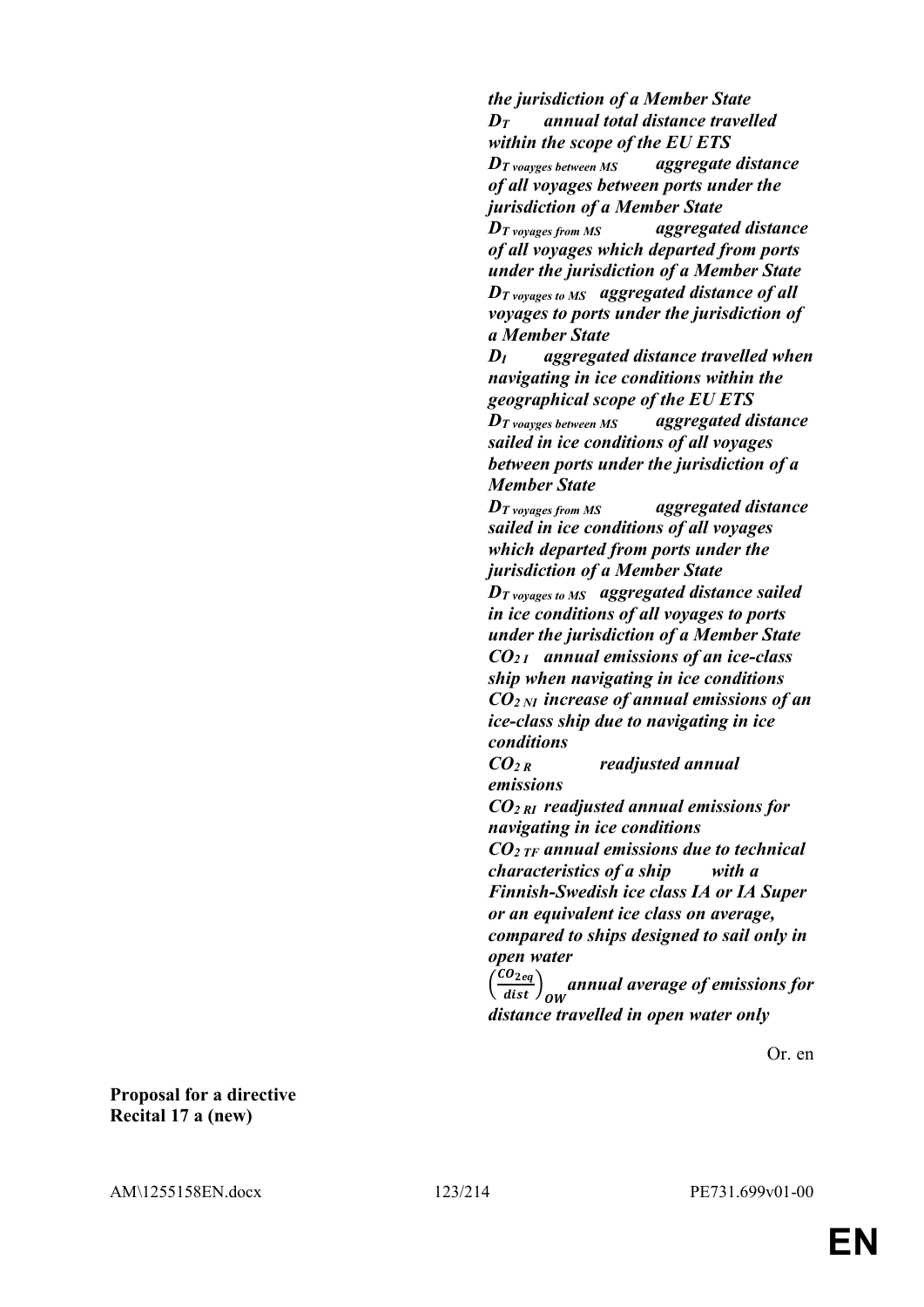*the jurisdiction of a Member State D<sup>T</sup> annual total distance travelled within the scope of the EU ETS*

*DT voayges between MS aggregate distance of all voyages between ports under the jurisdiction of a Member State*

*DT voyages from MS aggregated distance of all voyages which departed from ports under the jurisdiction of a Member State DT voyages to MS aggregated distance of all voyages to ports under the jurisdiction of a Member State*

*D<sup>I</sup> aggregated distance travelled when navigating in ice conditions within the geographical scope of the EU ETS*

*DT voayges between MS aggregated distance sailed in ice conditions of all voyages between ports under the jurisdiction of a Member State*

*DT voyages from MS aggregated distance sailed in ice conditions of all voyages which departed from ports under the jurisdiction of a Member State DT voyages to MS aggregated distance sailed in ice conditions of all voyages to ports under the jurisdiction of a Member State CO2 I annual emissions of an ice-class ship when navigating in ice conditions CO2 NI increase of annual emissions of an ice-class ship due to navigating in ice conditions*

*CO2 R readjusted annual* 

*emissions*

*CO2 RI readjusted annual emissions for navigating in ice conditions CO2 TF annual emissions due to technical characteristics of a ship with a Finnish-Swedish ice class IA or IA Super* 

*or an equivalent ice class on average, compared to ships designed to sail only in open water*

 $\left(\frac{CO_{2eq}}{dist}\right)_{OW}$ *annual average of emissions for distance travelled in open water only*

Or. en

**Proposal for a directive Recital 17 a (new)**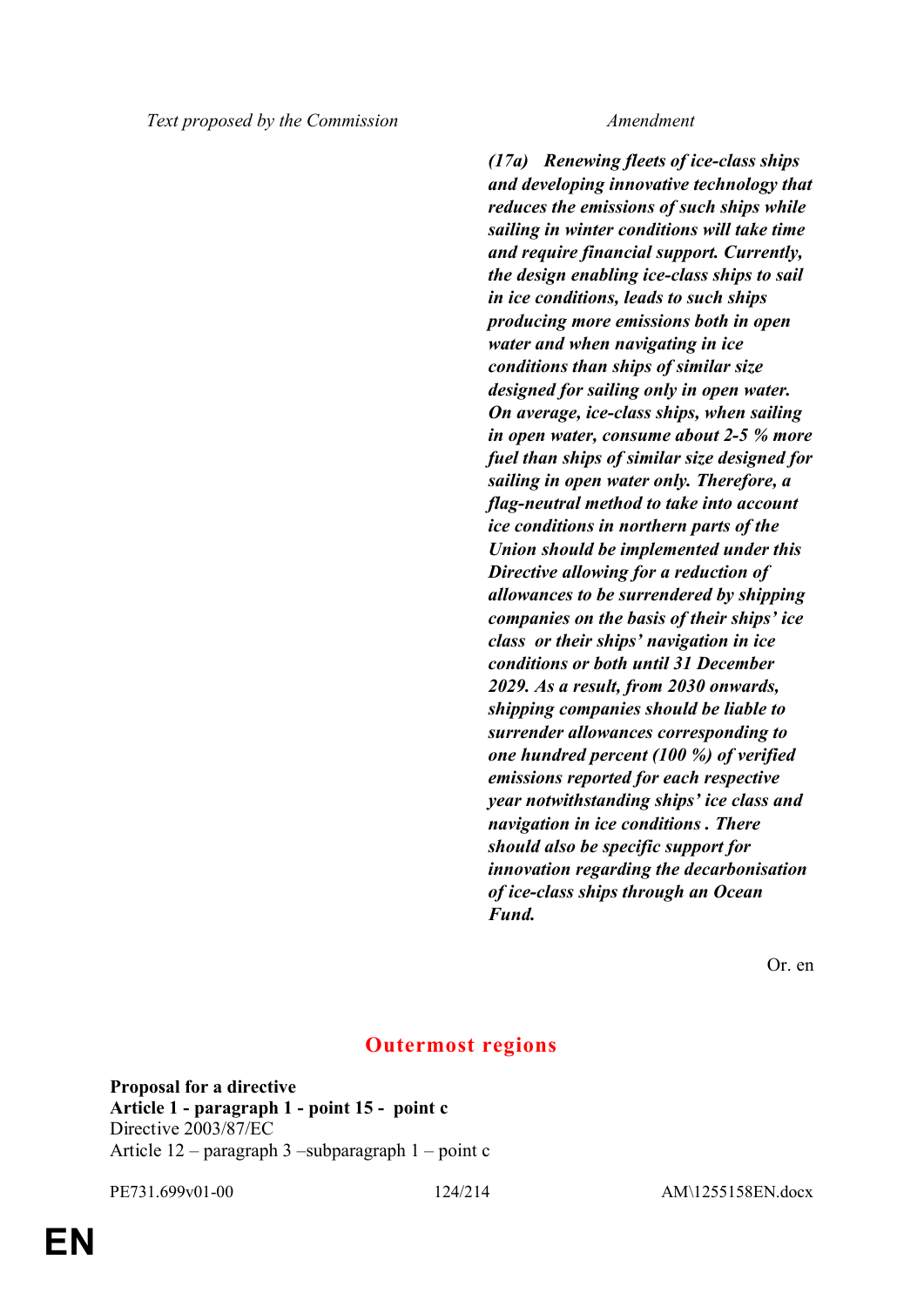*(17a) Renewing fleets of ice-class ships and developing innovative technology that reduces the emissions of such ships while sailing in winter conditions will take time and require financial support. Currently, the design enabling ice-class ships to sail in ice conditions, leads to such ships producing more emissions both in open water and when navigating in ice conditions than ships of similar size designed for sailing only in open water. On average, ice-class ships, when sailing in open water, consume about 2-5 % more fuel than ships of similar size designed for sailing in open water only. Therefore, a flag-neutral method to take into account ice conditions in northern parts of the Union should be implemented under this Directive allowing for a reduction of allowances to be surrendered by shipping companies on the basis of their ships' ice class or their ships' navigation in ice conditions or both until 31 December 2029. As a result, from 2030 onwards, shipping companies should be liable to surrender allowances corresponding to one hundred percent (100 %) of verified emissions reported for each respective year notwithstanding ships' ice class and navigation in ice conditions . There should also be specific support for innovation regarding the decarbonisation of ice-class ships through an Ocean Fund.* 

Or. en

# **Outermost regions**

**Proposal for a directive Article 1 - paragraph 1 - point 15 - point c** Directive 2003/87/EC Article 12 – paragraph 3 –subparagraph 1 – point c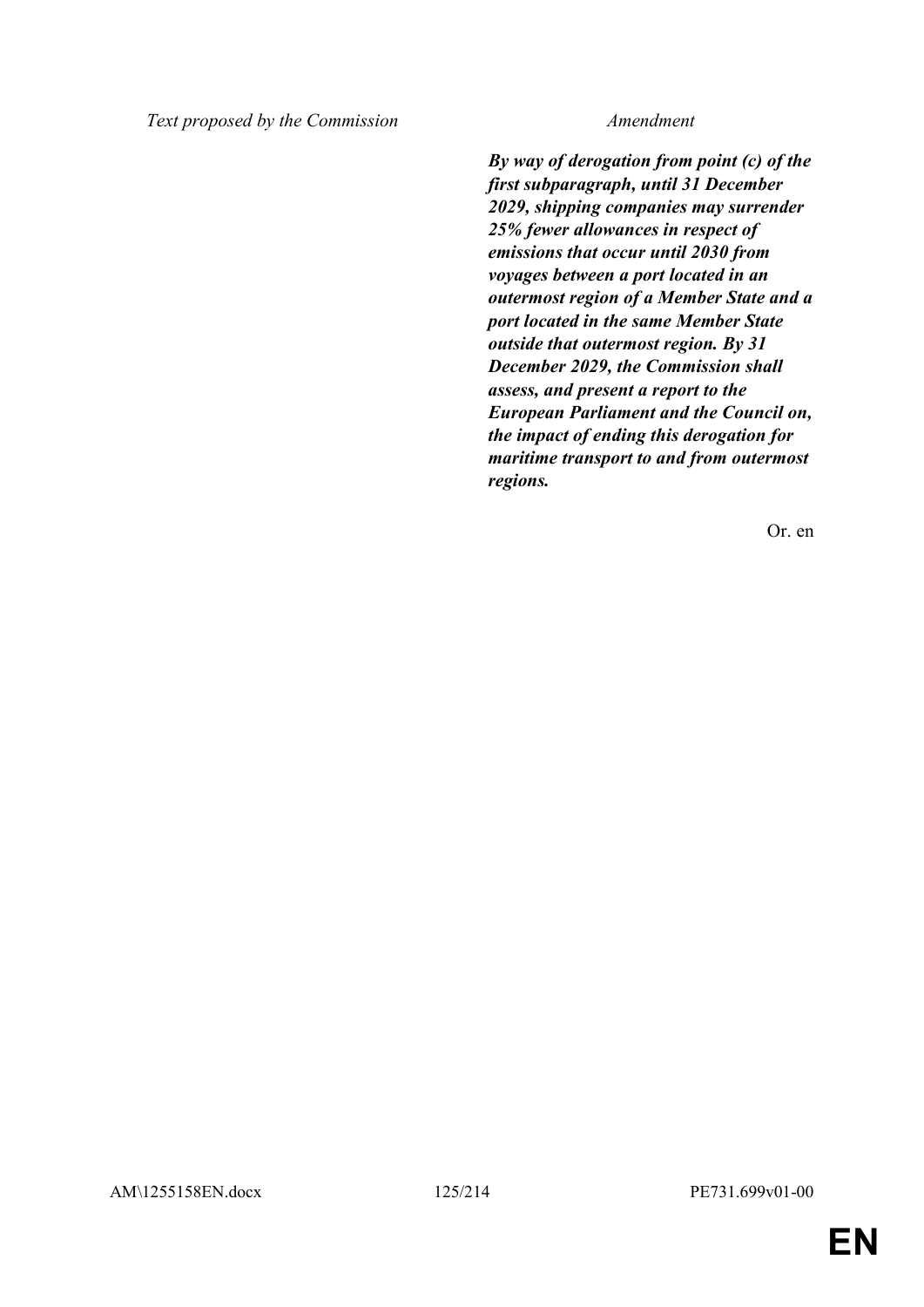*Text proposed by the Commission Amendment*

*By way of derogation from point (c) of the first subparagraph, until 31 December 2029, shipping companies may surrender 25% fewer allowances in respect of emissions that occur until 2030 from voyages between a port located in an outermost region of a Member State and a port located in the same Member State outside that outermost region. By 31 December 2029, the Commission shall assess, and present a report to the European Parliament and the Council on, the impact of ending this derogation for maritime transport to and from outermost regions.*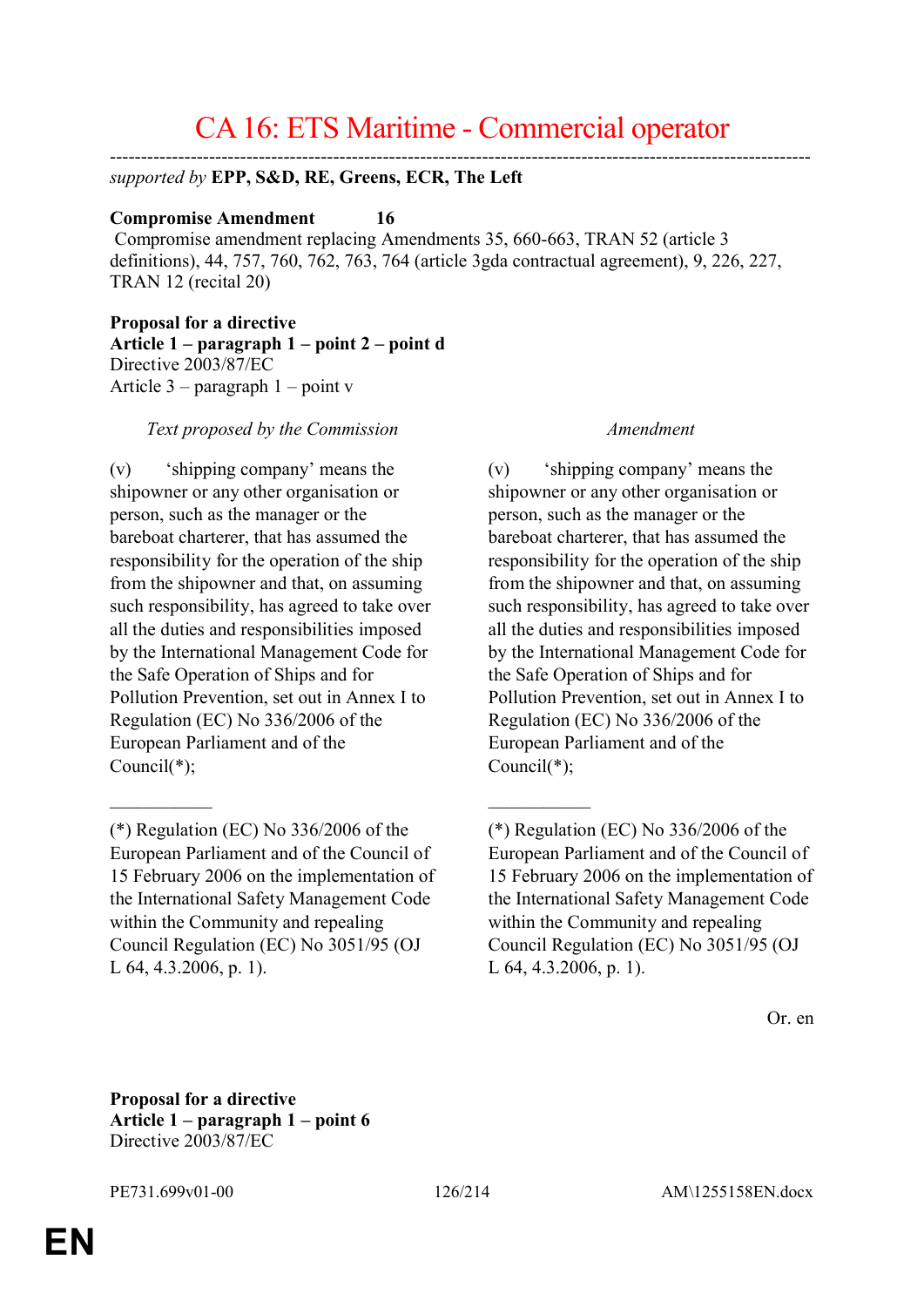# CA 16: ETS Maritime - Commercial operator -----------------------------------------------------------------------------------------------------------------

*supported by* **EPP, S&D, RE, Greens, ECR, The Left**

#### **Compromise Amendment 16**

Compromise amendment replacing Amendments 35, 660-663, TRAN 52 (article 3 definitions), 44, 757, 760, 762, 763, 764 (article 3gda contractual agreement), 9, 226, 227, TRAN 12 (recital 20)

**Proposal for a directive Article 1 – paragraph 1 – point 2 – point d** Directive 2003/87/EC Article 3 – paragraph 1 – point v

### *Text proposed by the Commission Amendment*

(v) 'shipping company' means the shipowner or any other organisation or person, such as the manager or the bareboat charterer, that has assumed the responsibility for the operation of the ship from the shipowner and that, on assuming such responsibility, has agreed to take over all the duties and responsibilities imposed by the International Management Code for the Safe Operation of Ships and for Pollution Prevention, set out in Annex I to Regulation (EC) No 336/2006 of the European Parliament and of the Council(\*);

(v) 'shipping company' means the shipowner or any other organisation or person, such as the manager or the bareboat charterer, that has assumed the responsibility for the operation of the ship from the shipowner and that, on assuming such responsibility, has agreed to take over all the duties and responsibilities imposed by the International Management Code for the Safe Operation of Ships and for Pollution Prevention, set out in Annex I to Regulation (EC) No 336/2006 of the European Parliament and of the Council(\*);

Or. en

**Proposal for a directive Article 1 – paragraph 1 – point 6** Directive 2003/87/EC

<sup>(\*)</sup> Regulation (EC) No 336/2006 of the European Parliament and of the Council of 15 February 2006 on the implementation of the International Safety Management Code within the Community and repealing Council Regulation (EC) No 3051/95 (OJ L 64, 4.3.2006, p. 1).

<sup>(\*)</sup> Regulation (EC) No 336/2006 of the European Parliament and of the Council of 15 February 2006 on the implementation of the International Safety Management Code within the Community and repealing Council Regulation (EC) No 3051/95 (OJ L 64, 4.3.2006, p. 1).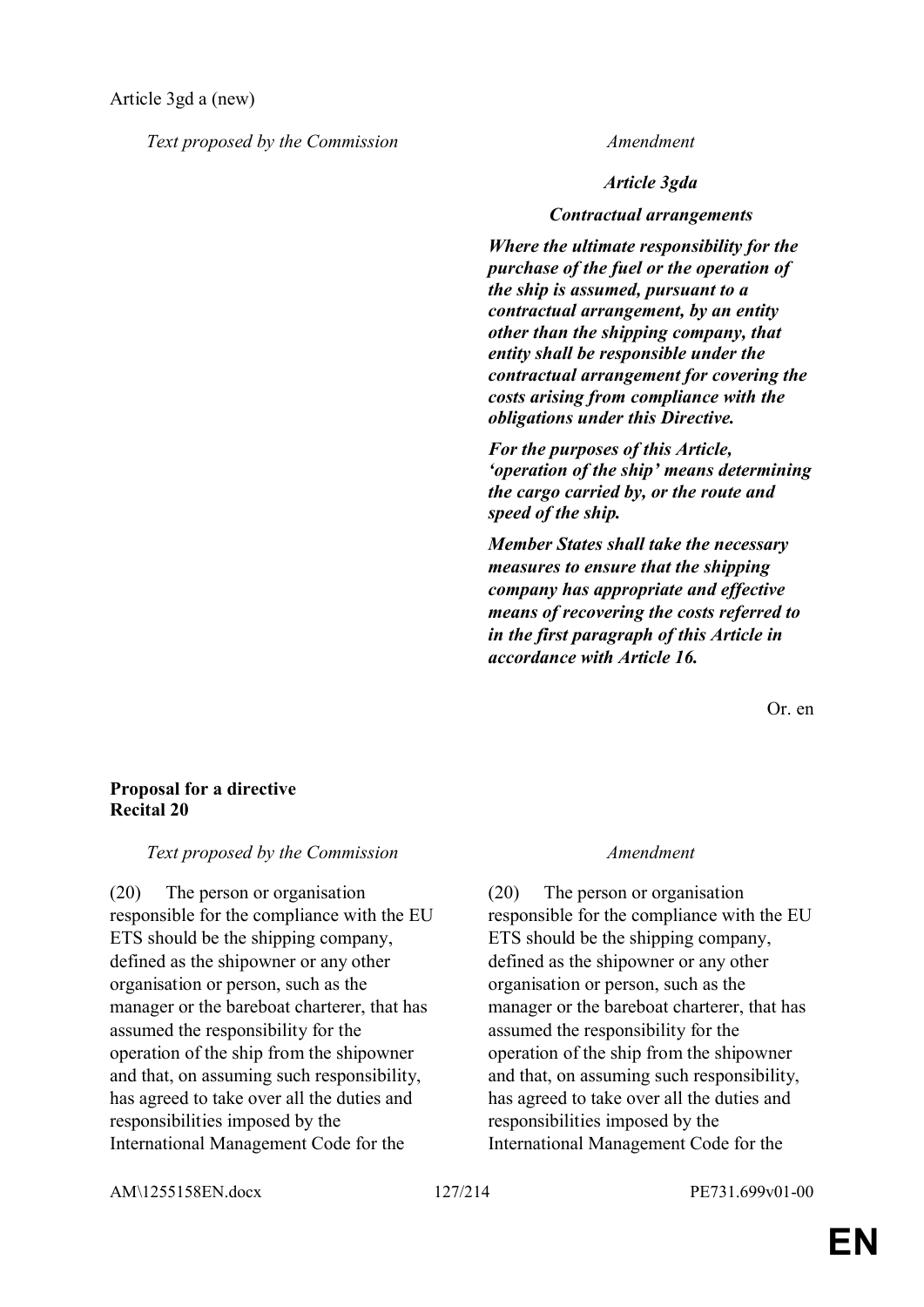*Text proposed by the Commission Amendment*

*Article 3gda*

*Contractual arrangements*

*Where the ultimate responsibility for the purchase of the fuel or the operation of the ship is assumed, pursuant to a contractual arrangement, by an entity other than the shipping company, that entity shall be responsible under the contractual arrangement for covering the costs arising from compliance with the obligations under this Directive.* 

*For the purposes of this Article, 'operation of the ship' means determining the cargo carried by, or the route and speed of the ship.* 

*Member States shall take the necessary measures to ensure that the shipping company has appropriate and effective means of recovering the costs referred to in the first paragraph of this Article in accordance with Article 16.*

Or. en

### **Proposal for a directive Recital 20**

## *Text proposed by the Commission Amendment*

(20) The person or organisation responsible for the compliance with the EU ETS should be the shipping company, defined as the shipowner or any other organisation or person, such as the manager or the bareboat charterer, that has assumed the responsibility for the operation of the ship from the shipowner and that, on assuming such responsibility, has agreed to take over all the duties and responsibilities imposed by the International Management Code for the

(20) The person or organisation responsible for the compliance with the EU ETS should be the shipping company, defined as the shipowner or any other organisation or person, such as the manager or the bareboat charterer, that has assumed the responsibility for the operation of the ship from the shipowner and that, on assuming such responsibility, has agreed to take over all the duties and responsibilities imposed by the International Management Code for the

AM\1255158EN.docx 127/214 PE731.699v01-00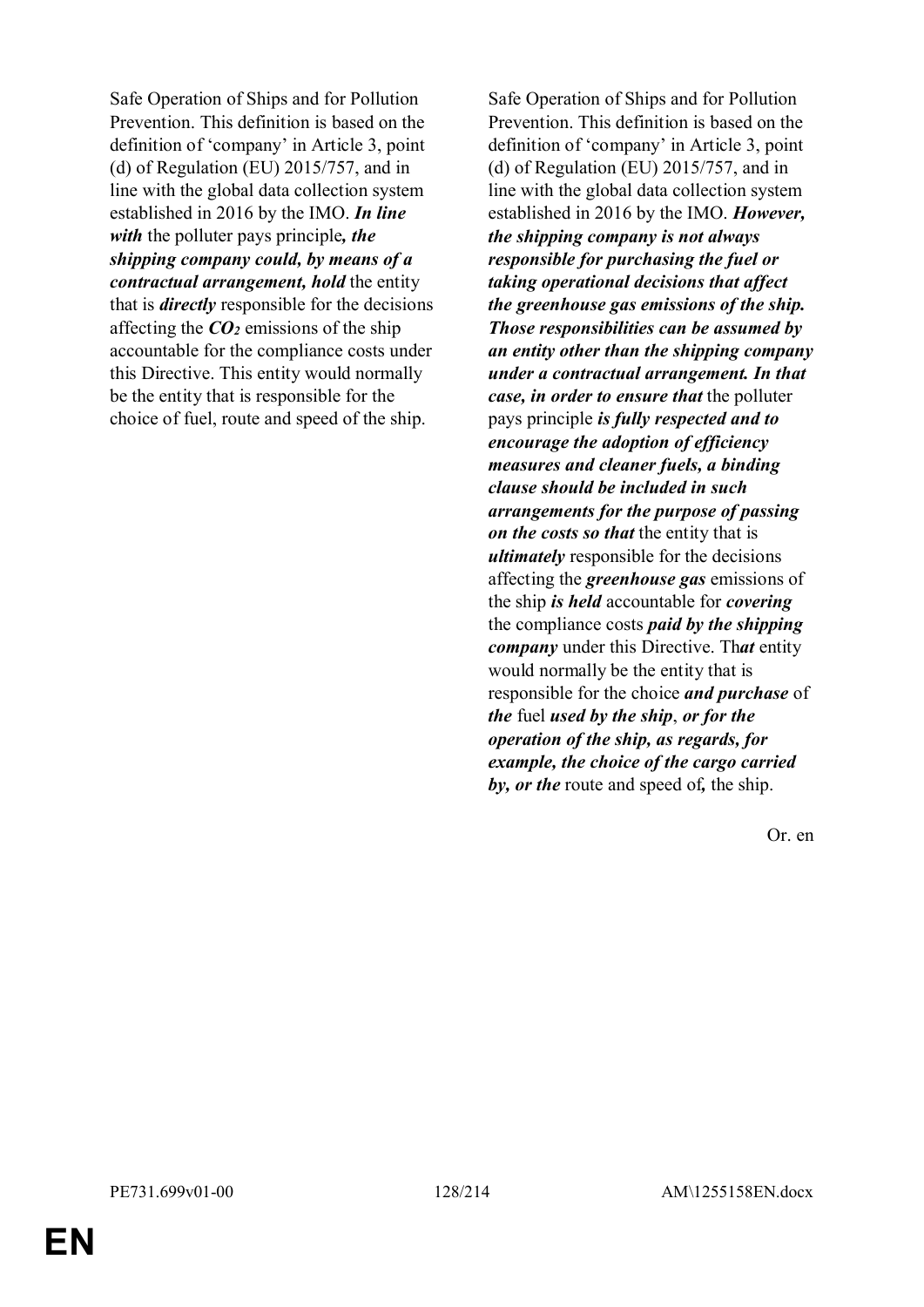Safe Operation of Ships and for Pollution Prevention. This definition is based on the definition of 'company' in Article 3, point (d) of Regulation (EU) 2015/757, and in line with the global data collection system established in 2016 by the IMO. *In line with* the polluter pays principle*, the shipping company could, by means of a contractual arrangement, hold* the entity that is *directly* responsible for the decisions affecting the *CO<sup>2</sup>* emissions of the ship accountable for the compliance costs under this Directive. This entity would normally be the entity that is responsible for the choice of fuel, route and speed of the ship.

Safe Operation of Ships and for Pollution Prevention. This definition is based on the definition of 'company' in Article 3, point (d) of Regulation (EU) 2015/757, and in line with the global data collection system established in 2016 by the IMO. *However, the shipping company is not always responsible for purchasing the fuel or taking operational decisions that affect the greenhouse gas emissions of the ship. Those responsibilities can be assumed by an entity other than the shipping company under a contractual arrangement. In that case, in order to ensure that* the polluter pays principle *is fully respected and to encourage the adoption of efficiency measures and cleaner fuels, a binding clause should be included in such arrangements for the purpose of passing on the costs so that* the entity that is *ultimately* responsible for the decisions affecting the *greenhouse gas* emissions of the ship *is held* accountable for *covering* the compliance costs *paid by the shipping company* under this Directive. Th*at* entity would normally be the entity that is responsible for the choice *and purchase* of *the* fuel *used by the ship*, *or for the operation of the ship, as regards, for example, the choice of the cargo carried by, or the* route and speed of*,* the ship.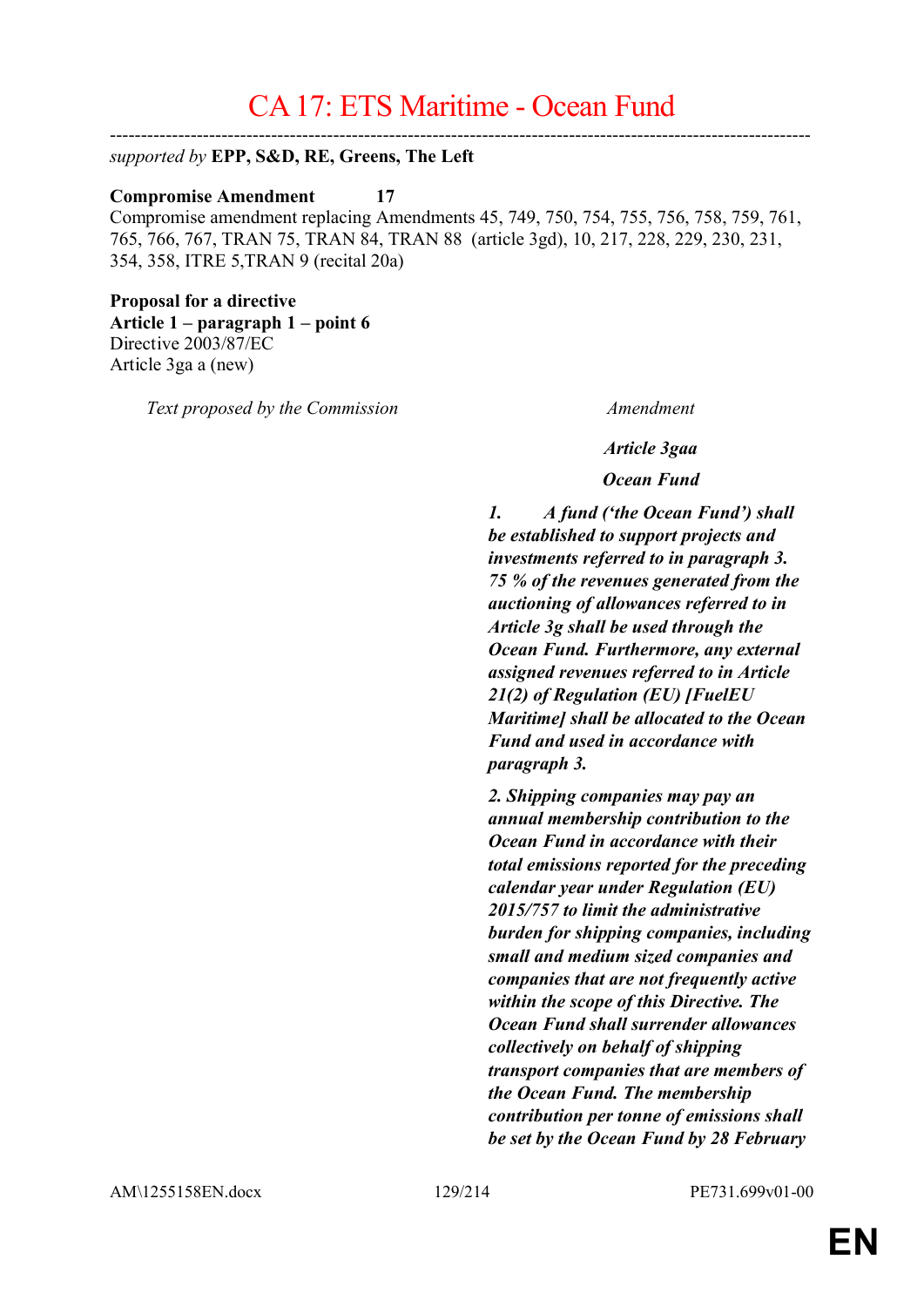# CA 17: ETS Maritime - Ocean Fund -----------------------------------------------------------------------------------------------------------------

#### *supported by* **EPP, S&D, RE, Greens, The Left**

#### **Compromise Amendment 17**

Compromise amendment replacing Amendments 45, 749, 750, 754, 755, 756, 758, 759, 761, 765, 766, 767, TRAN 75, TRAN 84, TRAN 88 (article 3gd), 10, 217, 228, 229, 230, 231, 354, 358, ITRE 5,TRAN 9 (recital 20a)

**Proposal for a directive Article 1 – paragraph 1 – point 6** Directive 2003/87/EC Article 3ga a (new)

*Text proposed by the Commission Amendment*

*Article 3gaa*

#### *Ocean Fund*

*1. A fund ('the Ocean Fund') shall be established to support projects and investments referred to in paragraph 3. 75 % of the revenues generated from the auctioning of allowances referred to in Article 3g shall be used through the Ocean Fund. Furthermore, any external assigned revenues referred to in Article 21(2) of Regulation (EU) [FuelEU Maritime] shall be allocated to the Ocean Fund and used in accordance with paragraph 3.*

*2. Shipping companies may pay an annual membership contribution to the Ocean Fund in accordance with their total emissions reported for the preceding calendar year under Regulation (EU) 2015/757 to limit the administrative burden for shipping companies, including small and medium sized companies and companies that are not frequently active within the scope of this Directive. The Ocean Fund shall surrender allowances collectively on behalf of shipping transport companies that are members of the Ocean Fund. The membership contribution per tonne of emissions shall be set by the Ocean Fund by 28 February*

AM\1255158EN.docx 129/214 PE731.699v01-00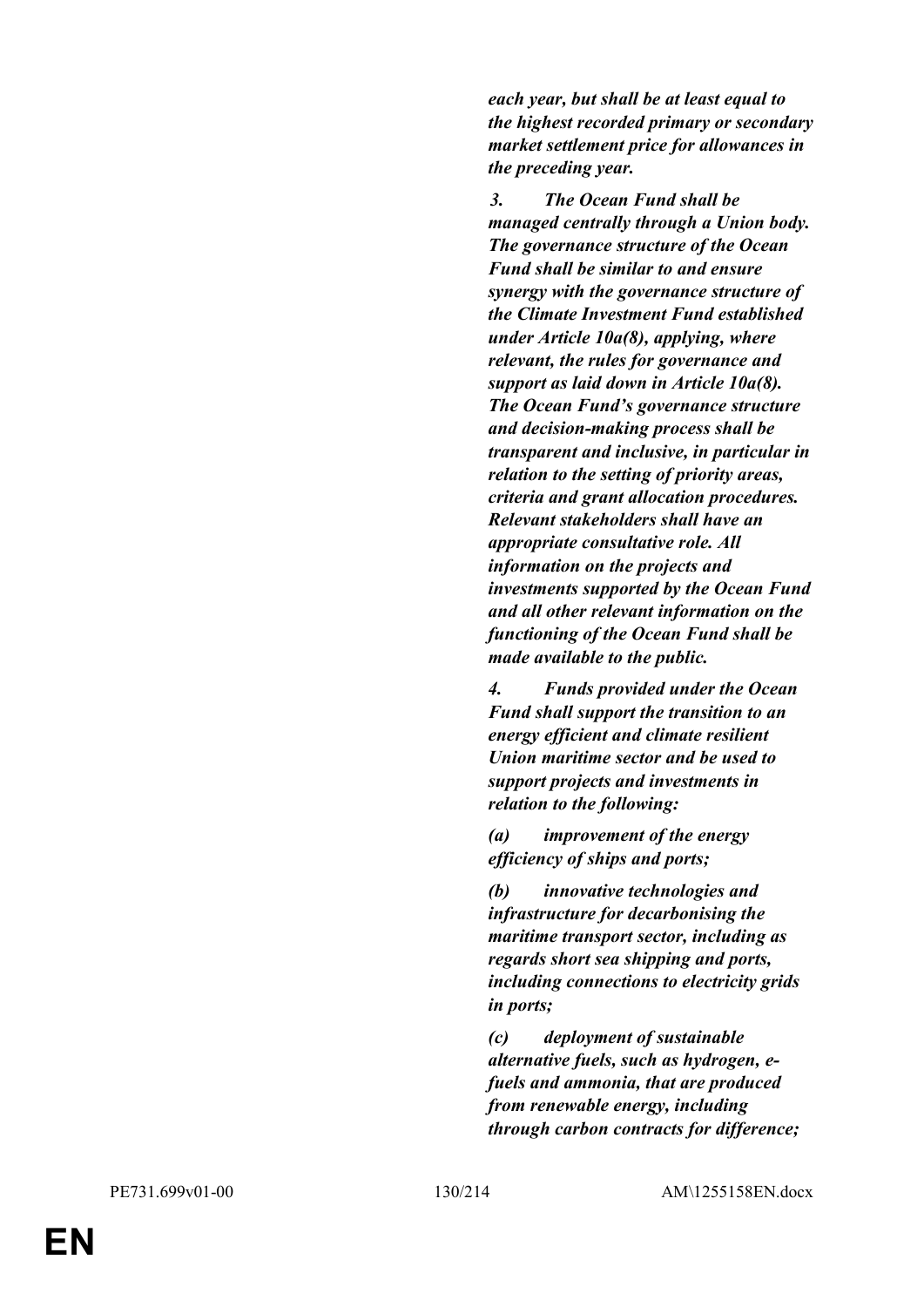*each year, but shall be at least equal to the highest recorded primary or secondary market settlement price for allowances in the preceding year.*

*3. The Ocean Fund shall be managed centrally through a Union body. The governance structure of the Ocean Fund shall be similar to and ensure synergy with the governance structure of the Climate Investment Fund established under Article 10a(8), applying, where relevant, the rules for governance and support as laid down in Article 10a(8). The Ocean Fund's governance structure and decision-making process shall be transparent and inclusive, in particular in relation to the setting of priority areas, criteria and grant allocation procedures. Relevant stakeholders shall have an appropriate consultative role. All information on the projects and investments supported by the Ocean Fund and all other relevant information on the functioning of the Ocean Fund shall be made available to the public.*

*4. Funds provided under the Ocean Fund shall support the transition to an energy efficient and climate resilient Union maritime sector and be used to support projects and investments in relation to the following:*

*(a) improvement of the energy efficiency of ships and ports;*

*(b) innovative technologies and infrastructure for decarbonising the maritime transport sector, including as regards short sea shipping and ports, including connections to electricity grids in ports;*

*(c) deployment of sustainable alternative fuels, such as hydrogen, efuels and ammonia, that are produced from renewable energy, including through carbon contracts for difference;*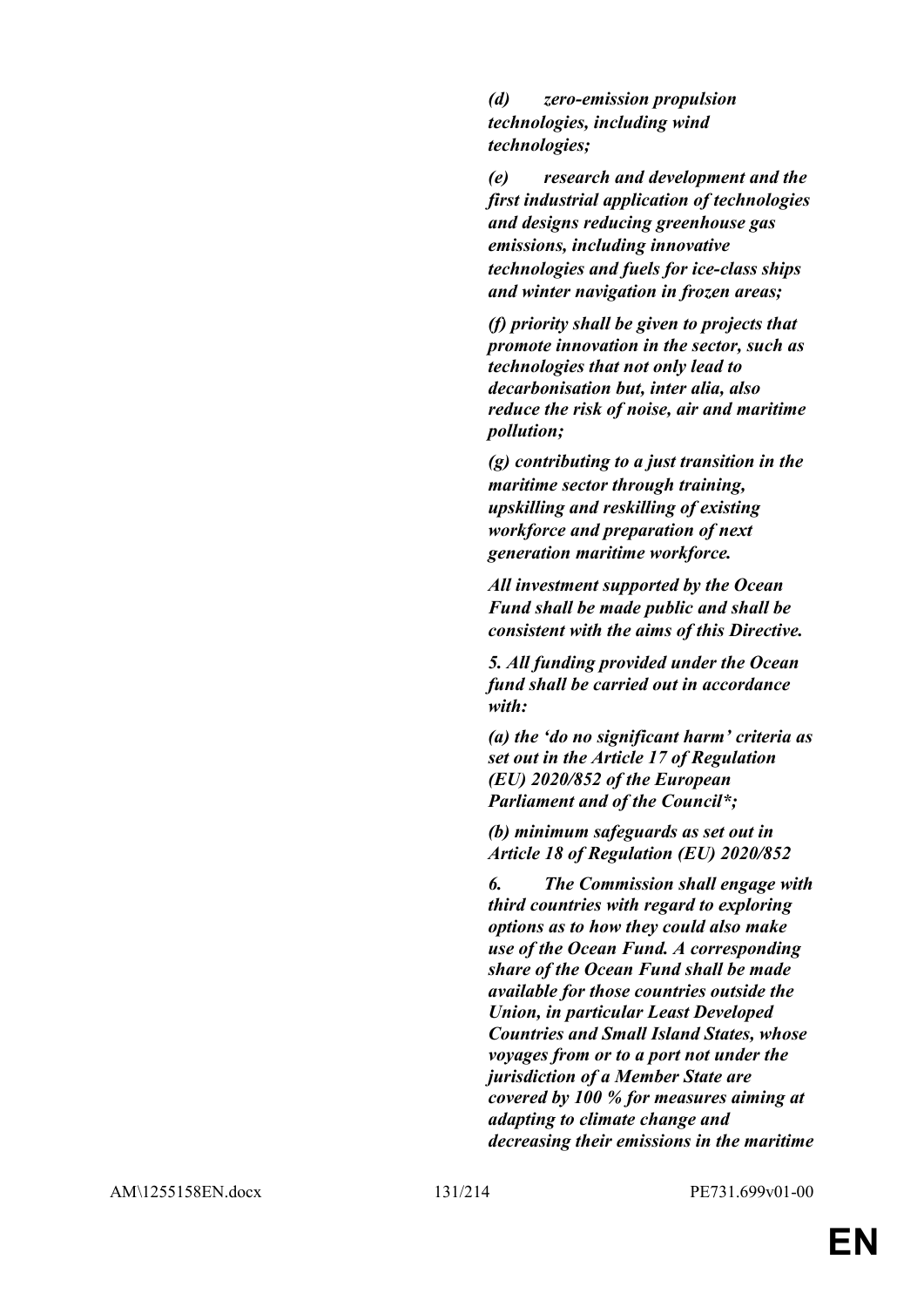*(d) zero-emission propulsion technologies, including wind technologies;*

*(e) research and development and the first industrial application of technologies and designs reducing greenhouse gas emissions, including innovative technologies and fuels for ice-class ships and winter navigation in frozen areas;*

*(f) priority shall be given to projects that promote innovation in the sector, such as technologies that not only lead to decarbonisation but, inter alia, also reduce the risk of noise, air and maritime pollution;*

*(g) contributing to a just transition in the maritime sector through training, upskilling and reskilling of existing workforce and preparation of next generation maritime workforce.*

*All investment supported by the Ocean Fund shall be made public and shall be consistent with the aims of this Directive.*

*5. All funding provided under the Ocean fund shall be carried out in accordance with:*

*(a) the 'do no significant harm' criteria as set out in the Article 17 of Regulation (EU) 2020/852 of the European Parliament and of the Council\*;*

*(b) minimum safeguards as set out in Article 18 of Regulation (EU) 2020/852*

*6. The Commission shall engage with third countries with regard to exploring options as to how they could also make use of the Ocean Fund. A corresponding share of the Ocean Fund shall be made available for those countries outside the Union, in particular Least Developed Countries and Small Island States, whose voyages from or to a port not under the jurisdiction of a Member State are covered by 100 % for measures aiming at adapting to climate change and decreasing their emissions in the maritime*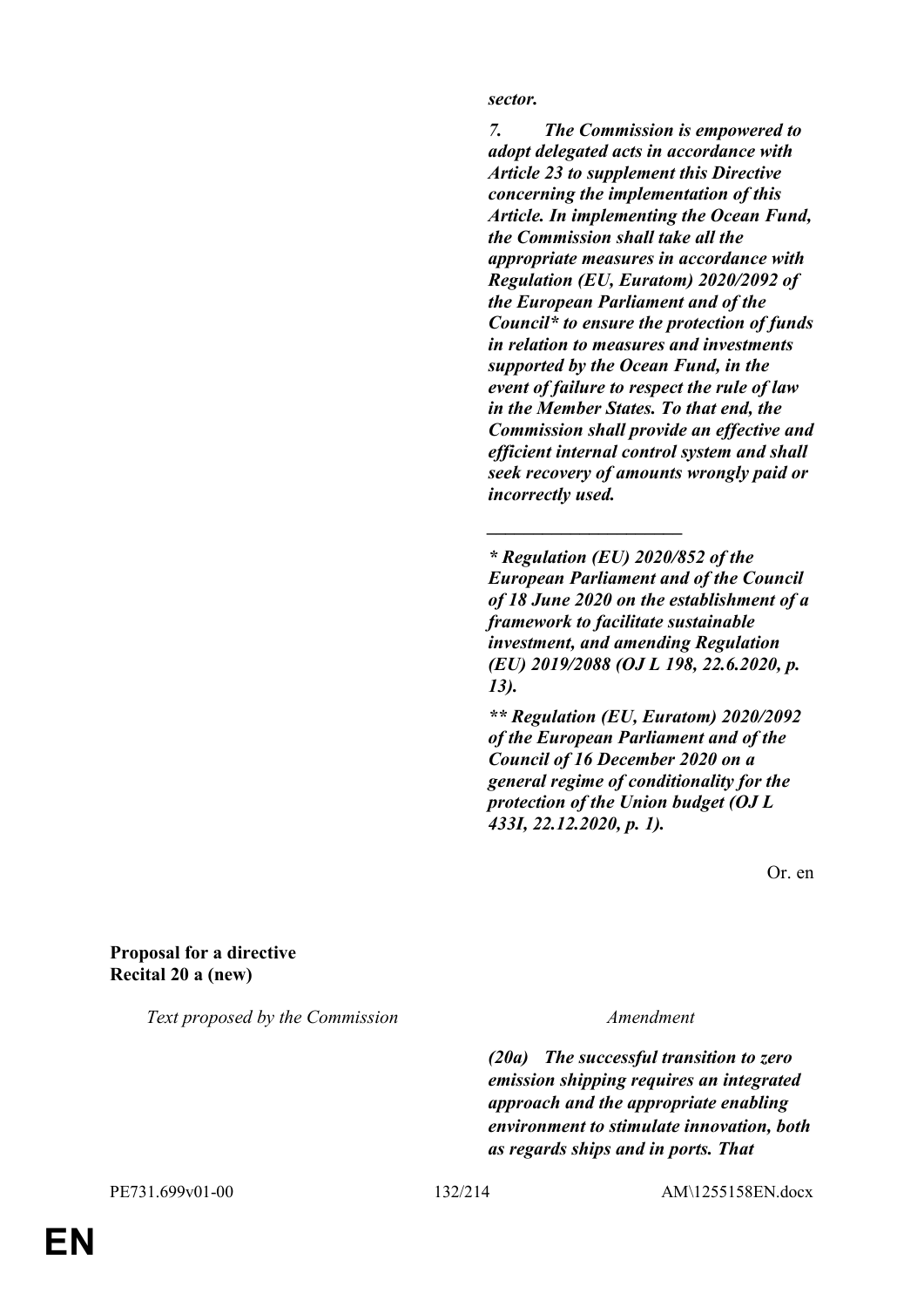*sector.* 

*7. The Commission is empowered to adopt delegated acts in accordance with Article 23 to supplement this Directive concerning the implementation of this Article. In implementing the Ocean Fund, the Commission shall take all the appropriate measures in accordance with Regulation (EU, Euratom) 2020/2092 of the European Parliament and of the Council\* to ensure the protection of funds in relation to measures and investments supported by the Ocean Fund, in the event of failure to respect the rule of law in the Member States. To that end, the Commission shall provide an effective and efficient internal control system and shall seek recovery of amounts wrongly paid or incorrectly used.* 

*\* Regulation (EU) 2020/852 of the European Parliament and of the Council of 18 June 2020 on the establishment of a framework to facilitate sustainable investment, and amending Regulation (EU) 2019/2088 (OJ L 198, 22.6.2020, p. 13).*

*\_\_\_\_\_\_\_\_\_\_\_\_\_\_\_\_\_\_\_\_\_*

*\*\* Regulation (EU, Euratom) 2020/2092 of the European Parliament and of the Council of 16 December 2020 on a general regime of conditionality for the protection of the Union budget (OJ L 433I, 22.12.2020, p. 1).*

Or. en

## **Proposal for a directive Recital 20 a (new)**

*Text proposed by the Commission Amendment*

*(20a) The successful transition to zero emission shipping requires an integrated approach and the appropriate enabling environment to stimulate innovation, both as regards ships and in ports. That*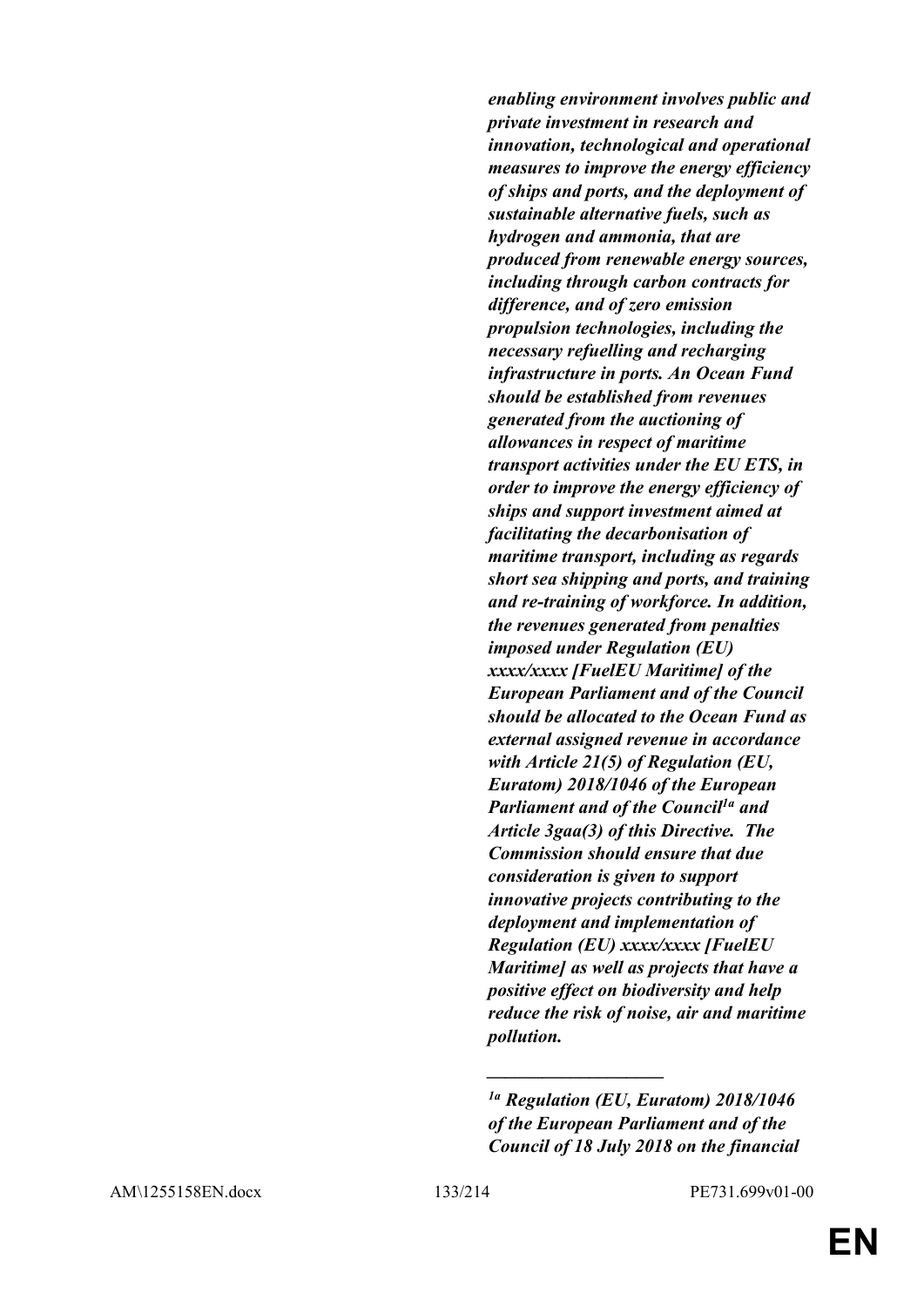*enabling environment involves public and private investment in research and innovation, technological and operational measures to improve the energy efficiency of ships and ports, and the deployment of sustainable alternative fuels, such as hydrogen and ammonia, that are produced from renewable energy sources, including through carbon contracts for difference, and of zero emission propulsion technologies, including the necessary refuelling and recharging infrastructure in ports. An Ocean Fund should be established from revenues generated from the auctioning of allowances in respect of maritime transport activities under the EU ETS, in order to improve the energy efficiency of ships and support investment aimed at facilitating the decarbonisation of maritime transport, including as regards short sea shipping and ports, and training and re-training of workforce. In addition, the revenues generated from penalties imposed under Regulation (EU) xxxx/xxxx [FuelEU Maritime] of the European Parliament and of the Council should be allocated to the Ocean Fund as external assigned revenue in accordance with Article 21(5) of Regulation (EU, Euratom) 2018/1046 of the European Parliament and of the Council1a and Article 3gaa(3) of this Directive. The Commission should ensure that due consideration is given to support innovative projects contributing to the deployment and implementation of Regulation (EU) xxxx/xxxx [FuelEU Maritime] as well as projects that have a positive effect on biodiversity and help reduce the risk of noise, air and maritime pollution.*

*\_\_\_\_\_\_\_\_\_\_\_\_\_\_\_\_\_\_\_*

*<sup>1</sup>a Regulation (EU, Euratom) 2018/1046 of the European Parliament and of the Council of 18 July 2018 on the financial*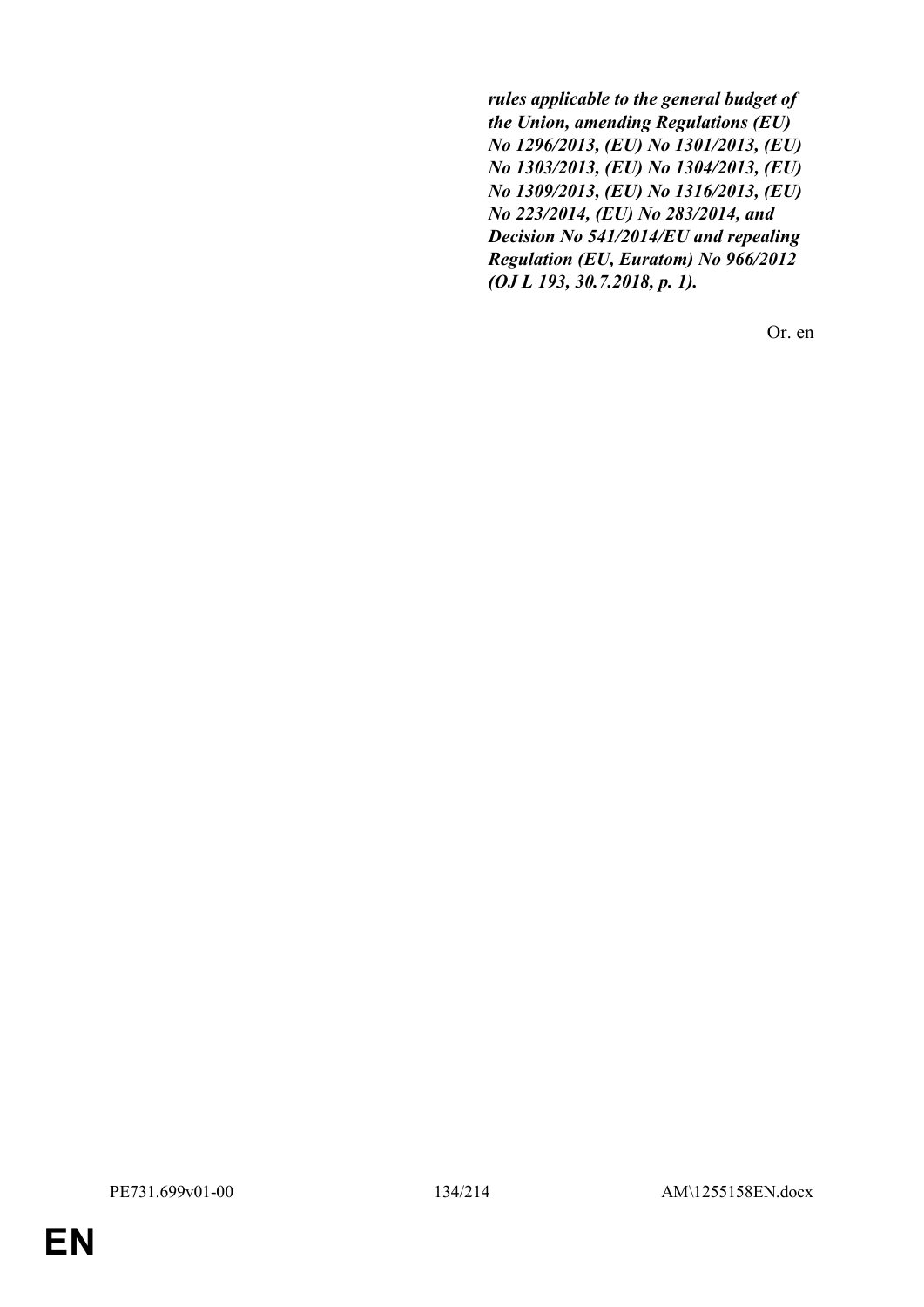*rules applicable to the general budget of the Union, amending Regulations (EU) No 1296/2013, (EU) No 1301/2013, (EU) No 1303/2013, (EU) No 1304/2013, (EU) No 1309/2013, (EU) No 1316/2013, (EU) No 223/2014, (EU) No 283/2014, and Decision No 541/2014/EU and repealing Regulation (EU, Euratom) No 966/2012 (OJ L 193, 30.7.2018, p. 1).*

Or. en

**EN**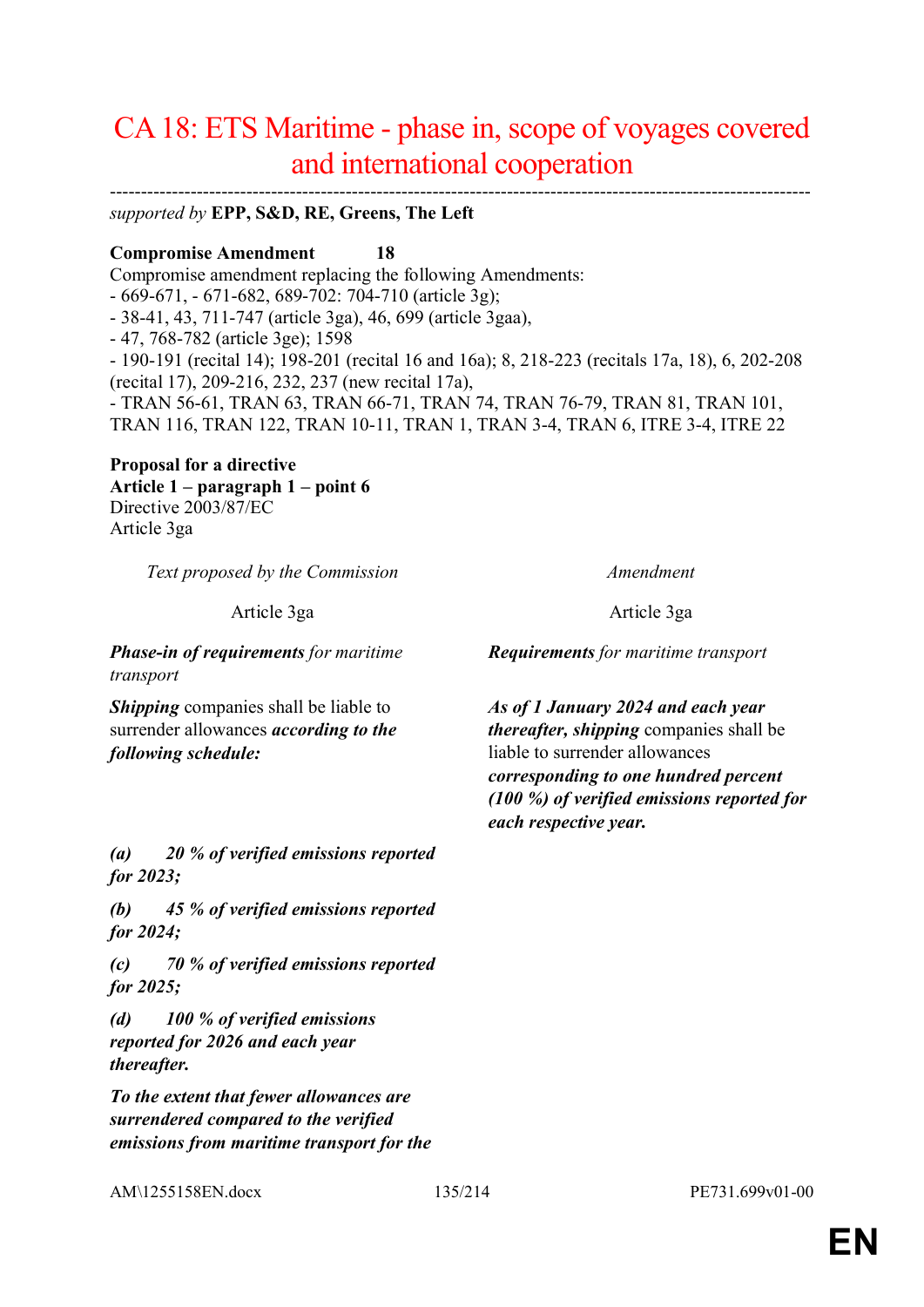# CA 18: ETS Maritime - phase in, scope of voyages covered and international cooperation

-----------------------------------------------------------------------------------------------------------------

### *supported by* **EPP, S&D, RE, Greens, The Left**

## **Compromise Amendment 18**

Compromise amendment replacing the following Amendments: - 669-671, - 671-682, 689-702: 704-710 (article 3g); - 38-41, 43, 711-747 (article 3ga), 46, 699 (article 3gaa), - 47, 768-782 (article 3ge); 1598 - 190-191 (recital 14); 198-201 (recital 16 and 16a); 8, 218-223 (recitals 17a, 18), 6, 202-208 (recital 17), 209-216, 232, 237 (new recital 17a), - TRAN 56-61, TRAN 63, TRAN 66-71, TRAN 74, TRAN 76-79, TRAN 81, TRAN 101, TRAN 116, TRAN 122, TRAN 10-11, TRAN 1, TRAN 3-4, TRAN 6, ITRE 3-4, ITRE 22

**Proposal for a directive Article 1 – paragraph 1 – point 6** Directive 2003/87/EC Article 3ga

*Text proposed by the Commission Amendment*

### *Phase-in of requirements for maritime transport*

*Shipping* companies shall be liable to surrender allowances *according to the following schedule:*

Article 3ga Article 3ga

*Requirements for maritime transport*

*As of 1 January 2024 and each year thereafter, shipping* companies shall be liable to surrender allowances *corresponding to one hundred percent (100 %) of verified emissions reported for each respective year.* 

*(a) 20 % of verified emissions reported for 2023;*

*(b) 45 % of verified emissions reported for 2024;*

*(c) 70 % of verified emissions reported for 2025;*

*(d) 100 % of verified emissions reported for 2026 and each year thereafter.*

*To the extent that fewer allowances are surrendered compared to the verified emissions from maritime transport for the* 

AM\1255158EN.docx 135/214 PE731.699v01-00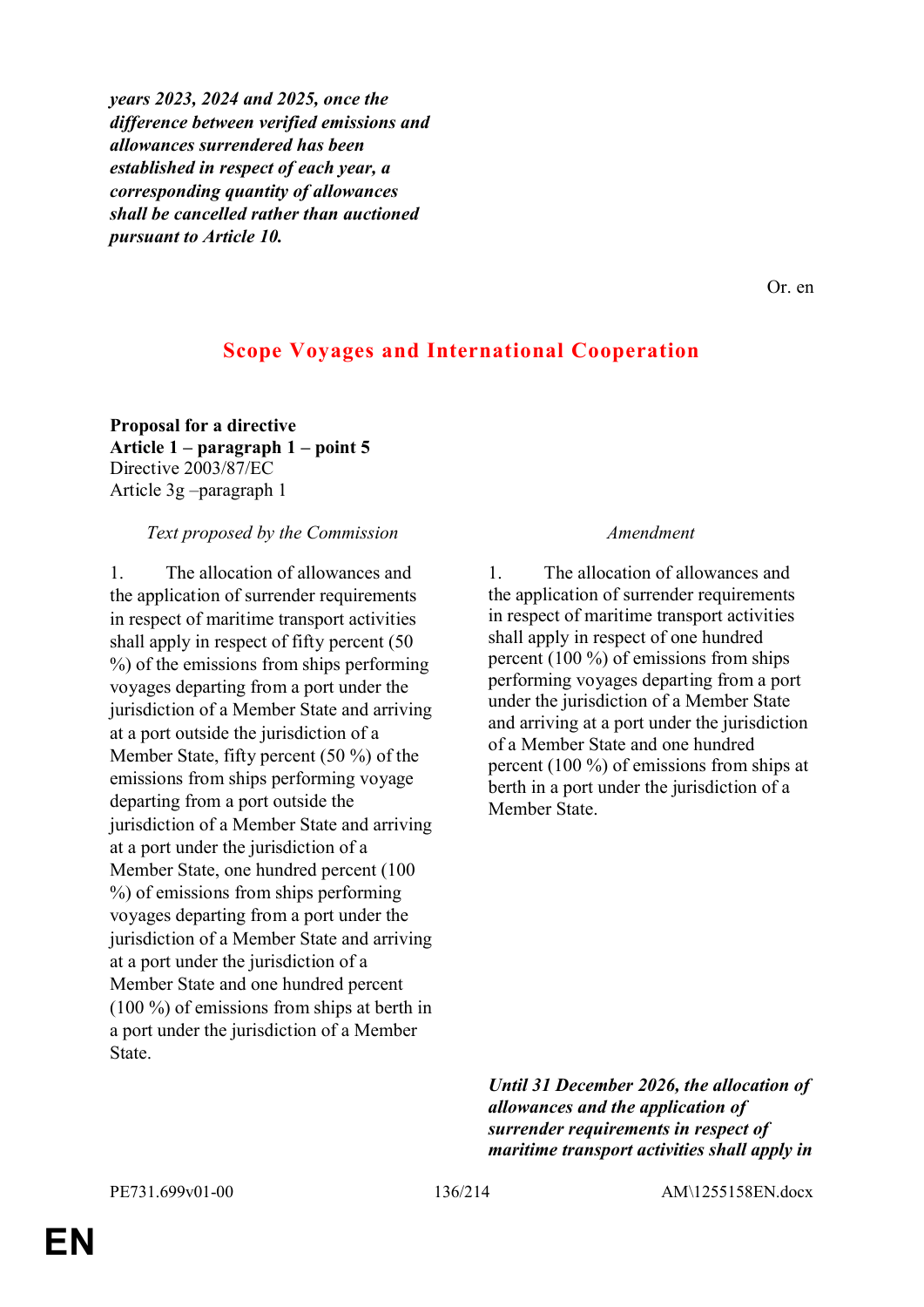*years 2023, 2024 and 2025, once the difference between verified emissions and allowances surrendered has been established in respect of each year, a corresponding quantity of allowances shall be cancelled rather than auctioned pursuant to Article 10.*

Or. en

# **Scope Voyages and International Cooperation**

**Proposal for a directive Article 1 – paragraph 1 – point 5** Directive 2003/87/EC Article 3g –paragraph 1

#### *Text proposed by the Commission Amendment*

1. The allocation of allowances and the application of surrender requirements in respect of maritime transport activities shall apply in respect of fifty percent (50 %) of the emissions from ships performing voyages departing from a port under the jurisdiction of a Member State and arriving at a port outside the jurisdiction of a Member State, fifty percent (50 %) of the emissions from ships performing voyage departing from a port outside the jurisdiction of a Member State and arriving at a port under the jurisdiction of a Member State, one hundred percent (100 %) of emissions from ships performing voyages departing from a port under the jurisdiction of a Member State and arriving at a port under the jurisdiction of a Member State and one hundred percent (100 %) of emissions from ships at berth in a port under the jurisdiction of a Member State.

1. The allocation of allowances and the application of surrender requirements in respect of maritime transport activities shall apply in respect of one hundred percent (100 %) of emissions from ships performing voyages departing from a port under the jurisdiction of a Member State and arriving at a port under the jurisdiction of a Member State and one hundred percent (100 %) of emissions from ships at berth in a port under the jurisdiction of a Member State.

*Until 31 December 2026, the allocation of allowances and the application of surrender requirements in respect of maritime transport activities shall apply in*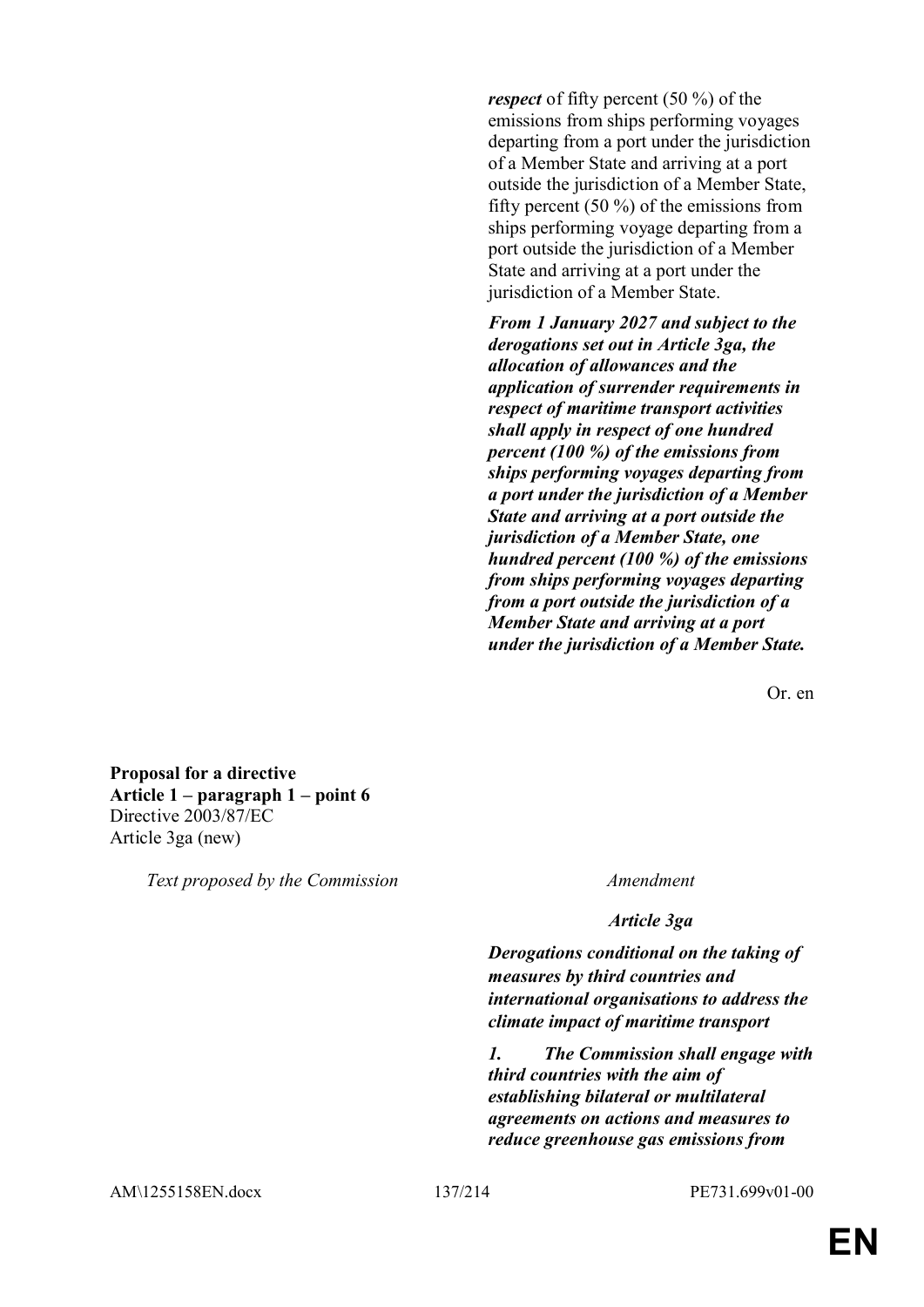*respect* of fifty percent (50 %) of the emissions from ships performing voyages departing from a port under the jurisdiction of a Member State and arriving at a port outside the jurisdiction of a Member State, fifty percent (50 %) of the emissions from ships performing voyage departing from a port outside the jurisdiction of a Member State and arriving at a port under the jurisdiction of a Member State.

*From 1 January 2027 and subject to the derogations set out in Article 3ga, the allocation of allowances and the application of surrender requirements in respect of maritime transport activities shall apply in respect of one hundred percent (100 %) of the emissions from ships performing voyages departing from a port under the jurisdiction of a Member State and arriving at a port outside the jurisdiction of a Member State, one hundred percent (100 %) of the emissions from ships performing voyages departing from a port outside the jurisdiction of a Member State and arriving at a port under the jurisdiction of a Member State.*

Or. en

**Proposal for a directive Article 1 – paragraph 1 – point 6** Directive 2003/87/EC Article 3ga (new)

*Text proposed by the Commission Amendment*

*Article 3ga*

*Derogations conditional on the taking of measures by third countries and international organisations to address the climate impact of maritime transport*

*1. The Commission shall engage with third countries with the aim of establishing bilateral or multilateral agreements on actions and measures to reduce greenhouse gas emissions from* 

AM\1255158EN.docx 137/214 PE731.699v01-00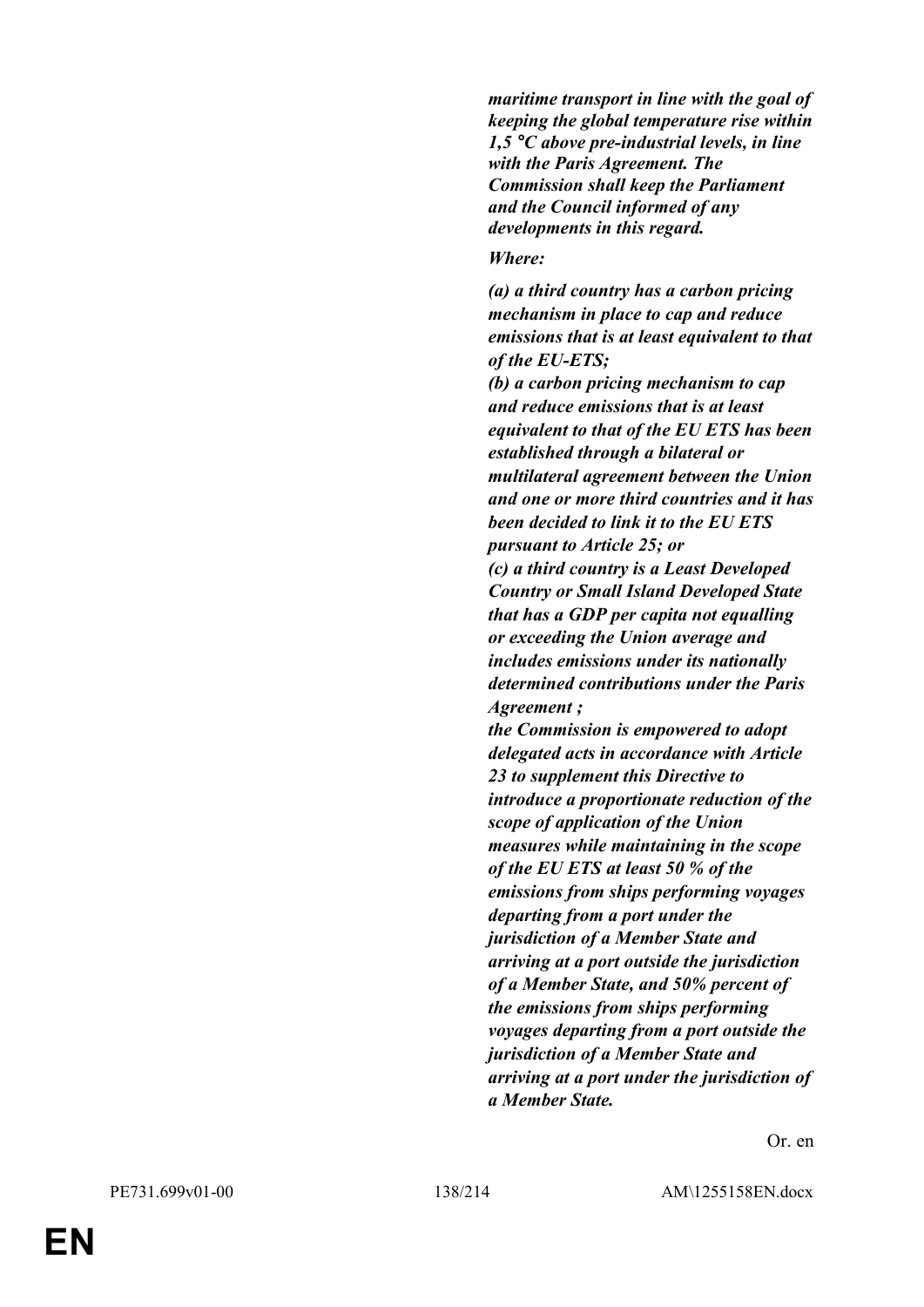*maritime transport in line with the goal of keeping the global temperature rise within 1,5 °C above pre-industrial levels, in line with the Paris Agreement. The Commission shall keep the Parliament and the Council informed of any developments in this regard.*

#### *Where:*

*(a) a third country has a carbon pricing mechanism in place to cap and reduce emissions that is at least equivalent to that of the EU-ETS;* 

*(b) a carbon pricing mechanism to cap and reduce emissions that is at least equivalent to that of the EU ETS has been established through a bilateral or multilateral agreement between the Union and one or more third countries and it has been decided to link it to the EU ETS pursuant to Article 25; or*

*(c) a third country is a Least Developed Country or Small Island Developed State that has a GDP per capita not equalling or exceeding the Union average and includes emissions under its nationally determined contributions under the Paris Agreement ;* 

*the Commission is empowered to adopt delegated acts in accordance with Article 23 to supplement this Directive to introduce a proportionate reduction of the scope of application of the Union measures while maintaining in the scope of the EU ETS at least 50 % of the emissions from ships performing voyages departing from a port under the jurisdiction of a Member State and arriving at a port outside the jurisdiction of a Member State, and 50% percent of the emissions from ships performing voyages departing from a port outside the jurisdiction of a Member State and arriving at a port under the jurisdiction of a Member State.*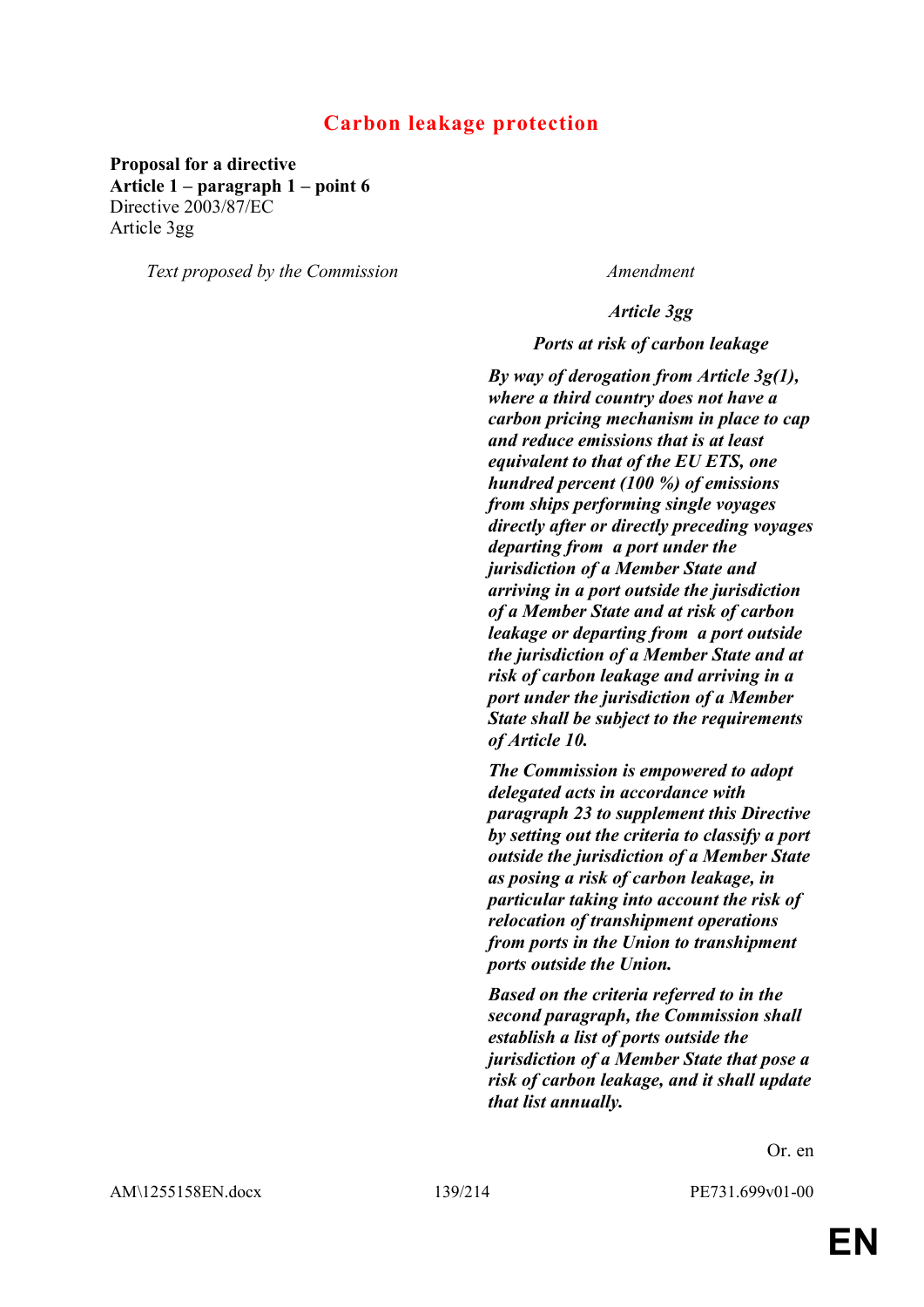# **Carbon leakage protection**

**Proposal for a directive Article 1 – paragraph 1 – point 6** Directive 2003/87/EC Article 3gg

*Text proposed by the Commission Amendment*

*Article 3gg*

#### *Ports at risk of carbon leakage*

*By way of derogation from Article 3g(1), where a third country does not have a carbon pricing mechanism in place to cap and reduce emissions that is at least equivalent to that of the EU ETS, one hundred percent (100 %) of emissions from ships performing single voyages directly after or directly preceding voyages departing from a port under the jurisdiction of a Member State and arriving in a port outside the jurisdiction of a Member State and at risk of carbon leakage or departing from a port outside the jurisdiction of a Member State and at risk of carbon leakage and arriving in a port under the jurisdiction of a Member State shall be subject to the requirements of Article 10.*

*The Commission is empowered to adopt delegated acts in accordance with paragraph 23 to supplement this Directive by setting out the criteria to classify a port outside the jurisdiction of a Member State as posing a risk of carbon leakage, in particular taking into account the risk of relocation of transhipment operations from ports in the Union to transhipment ports outside the Union.*

*Based on the criteria referred to in the second paragraph, the Commission shall establish a list of ports outside the jurisdiction of a Member State that pose a risk of carbon leakage, and it shall update that list annually.*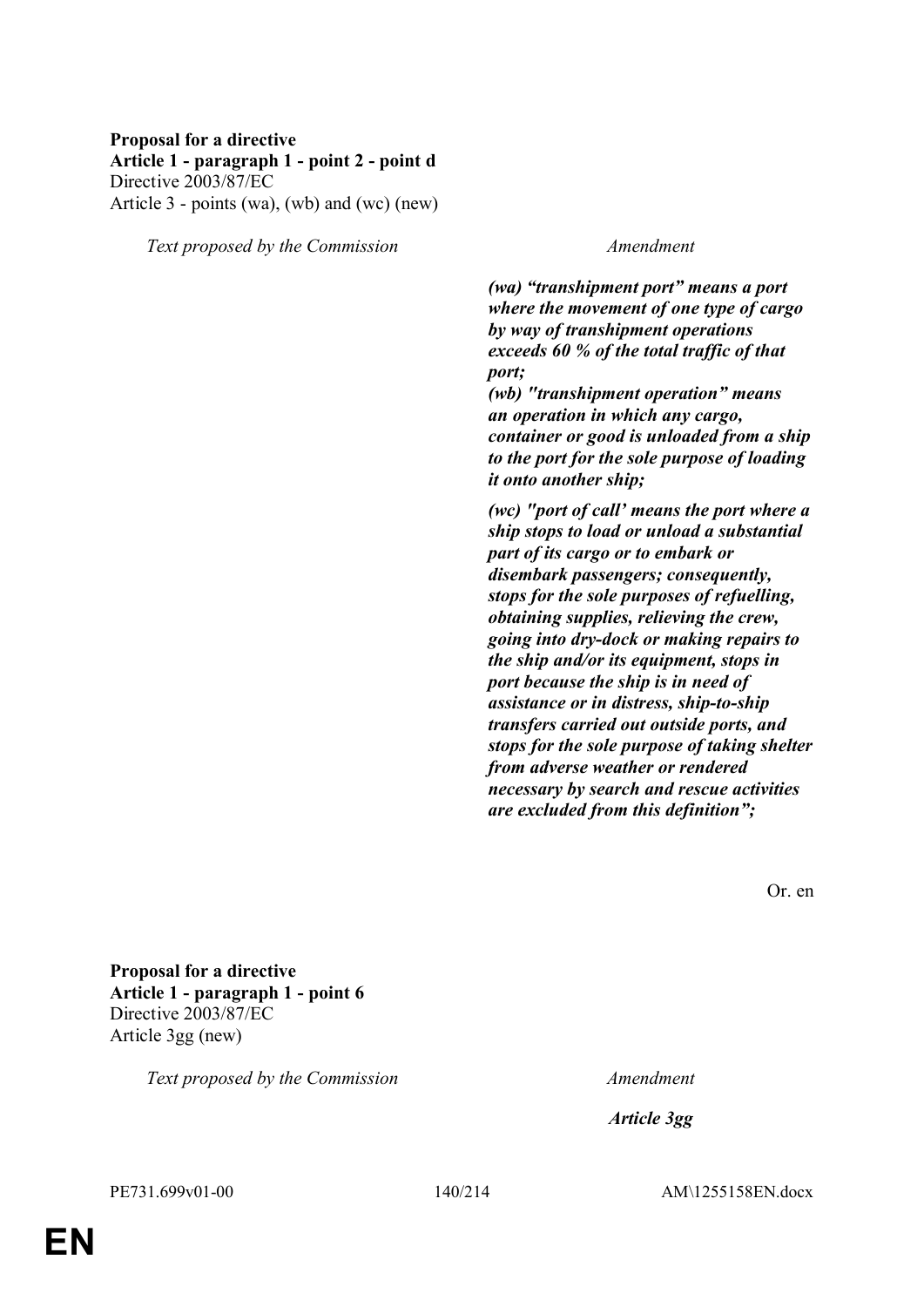### **Proposal for a directive Article 1 - paragraph 1 - point 2 - point d** Directive 2003/87/EC Article 3 - points (wa), (wb) and (wc) (new)

*Text proposed by the Commission Amendment*

*(wa) "transhipment port" means a port where the movement of one type of cargo by way of transhipment operations exceeds 60 % of the total traffic of that port;*

*(wb) "transhipment operation" means an operation in which any cargo, container or good is unloaded from a ship to the port for the sole purpose of loading it onto another ship;* 

*(wc) "port of call' means the port where a ship stops to load or unload a substantial part of its cargo or to embark or disembark passengers; consequently, stops for the sole purposes of refuelling, obtaining supplies, relieving the crew, going into dry-dock or making repairs to the ship and/or its equipment, stops in port because the ship is in need of assistance or in distress, ship-to-ship transfers carried out outside ports, and stops for the sole purpose of taking shelter from adverse weather or rendered necessary by search and rescue activities are excluded from this definition";*

Or. en

**Proposal for a directive Article 1 - paragraph 1 - point 6** Directive 2003/87/EC Article 3gg (new)

*Text proposed by the Commission Amendment*

*Article 3gg*

PE731.699v01-00 140/214 AM\1255158EN.docx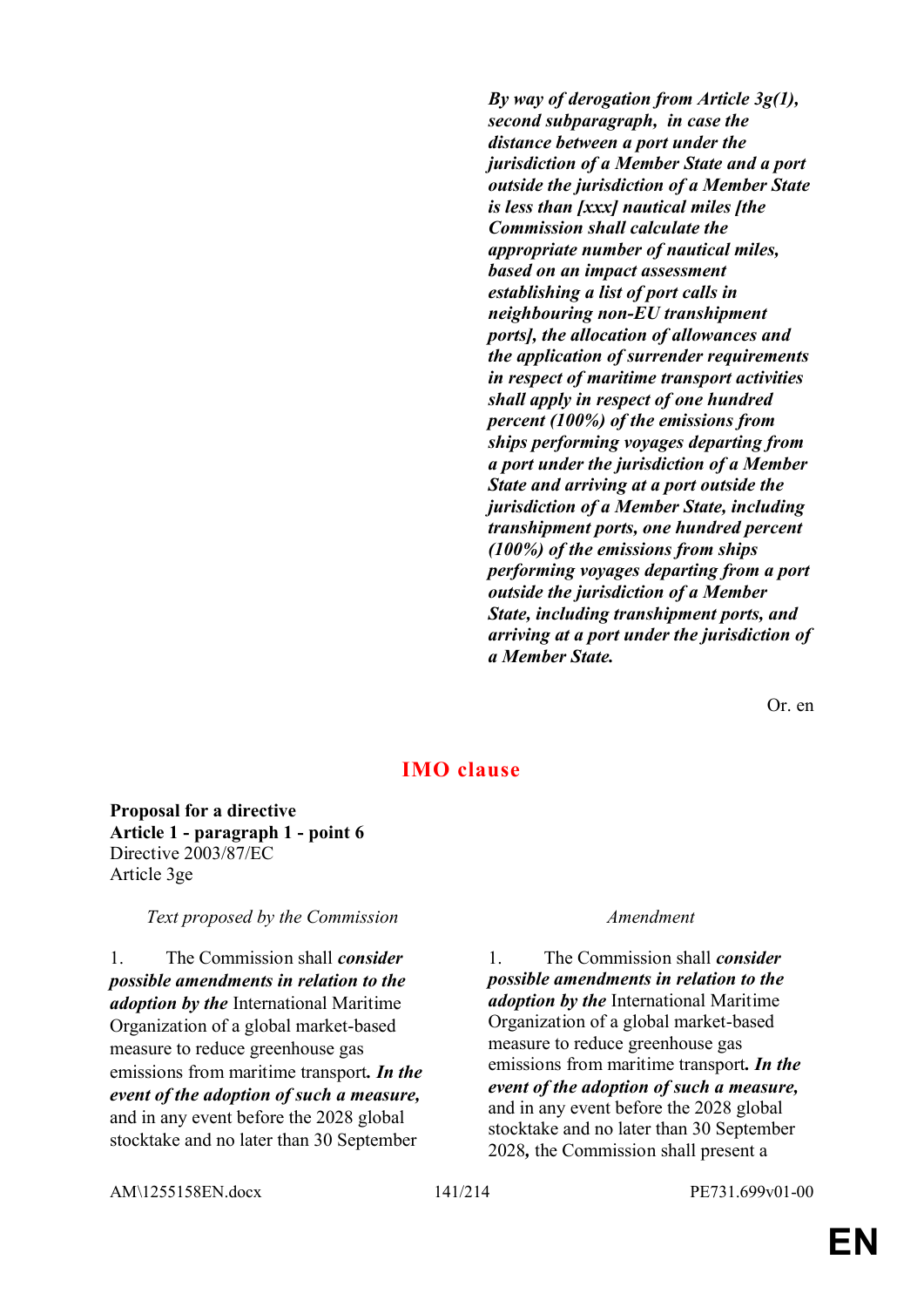*By way of derogation from Article 3g(1), second subparagraph, in case the distance between a port under the jurisdiction of a Member State and a port outside the jurisdiction of a Member State is less than [xxx] nautical miles [the Commission shall calculate the appropriate number of nautical miles, based on an impact assessment establishing a list of port calls in neighbouring non-EU transhipment ports], the allocation of allowances and the application of surrender requirements in respect of maritime transport activities shall apply in respect of one hundred percent (100%) of the emissions from ships performing voyages departing from a port under the jurisdiction of a Member State and arriving at a port outside the jurisdiction of a Member State, including transhipment ports, one hundred percent (100%) of the emissions from ships performing voyages departing from a port outside the jurisdiction of a Member State, including transhipment ports, and arriving at a port under the jurisdiction of a Member State.*

Or. en

# **IMO clause**

**Proposal for a directive Article 1 - paragraph 1 - point 6** Directive 2003/87/EC Article 3ge

#### *Text proposed by the Commission Amendment*

1. The Commission shall *consider possible amendments in relation to the adoption by the* International Maritime Organization of a global market-based measure to reduce greenhouse gas emissions from maritime transport*. In the event of the adoption of such a measure,* and in any event before the 2028 global stocktake and no later than 30 September

1. The Commission shall *consider possible amendments in relation to the adoption by the* International Maritime Organization of a global market-based measure to reduce greenhouse gas emissions from maritime transport*. In the event of the adoption of such a measure,* and in any event before the 2028 global stocktake and no later than 30 September 2028*,* the Commission shall present a

AM\1255158EN.docx 141/214 PE731.699v01-00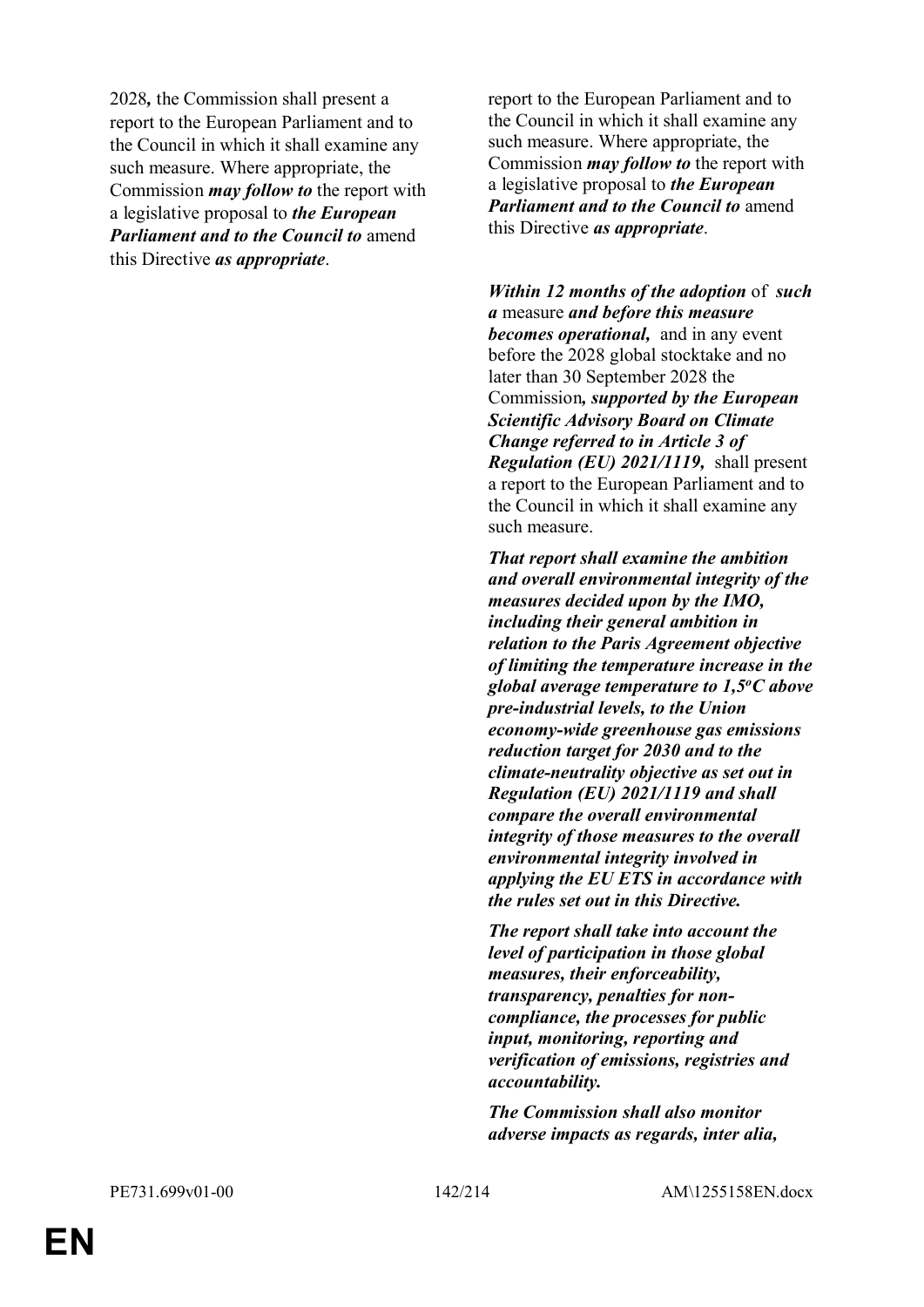2028*,* the Commission shall present a report to the European Parliament and to the Council in which it shall examine any such measure. Where appropriate, the Commission *may follow to* the report with a legislative proposal to *the European Parliament and to the Council to* amend this Directive *as appropriate*.

report to the European Parliament and to the Council in which it shall examine any such measure. Where appropriate, the Commission *may follow to* the report with a legislative proposal to *the European Parliament and to the Council to* amend this Directive *as appropriate*.

*Within 12 months of the adoption* of *such a* measure *and before this measure becomes operational,* and in any event before the 2028 global stocktake and no later than 30 September 2028 the Commission*, supported by the European Scientific Advisory Board on Climate Change referred to in Article 3 of Regulation (EU) 2021/1119,* shall present a report to the European Parliament and to the Council in which it shall examine any such measure.

*That report shall examine the ambition and overall environmental integrity of the measures decided upon by the IMO, including their general ambition in relation to the Paris Agreement objective of limiting the temperature increase in the global average temperature to 1,5<sup>o</sup>C above pre-industrial levels, to the Union economy-wide greenhouse gas emissions reduction target for 2030 and to the climate-neutrality objective as set out in Regulation (EU) 2021/1119 and shall compare the overall environmental integrity of those measures to the overall environmental integrity involved in applying the EU ETS in accordance with the rules set out in this Directive.*

*The report shall take into account the level of participation in those global measures, their enforceability, transparency, penalties for noncompliance, the processes for public input, monitoring, reporting and verification of emissions, registries and accountability.* 

*The Commission shall also monitor adverse impacts as regards, inter alia,*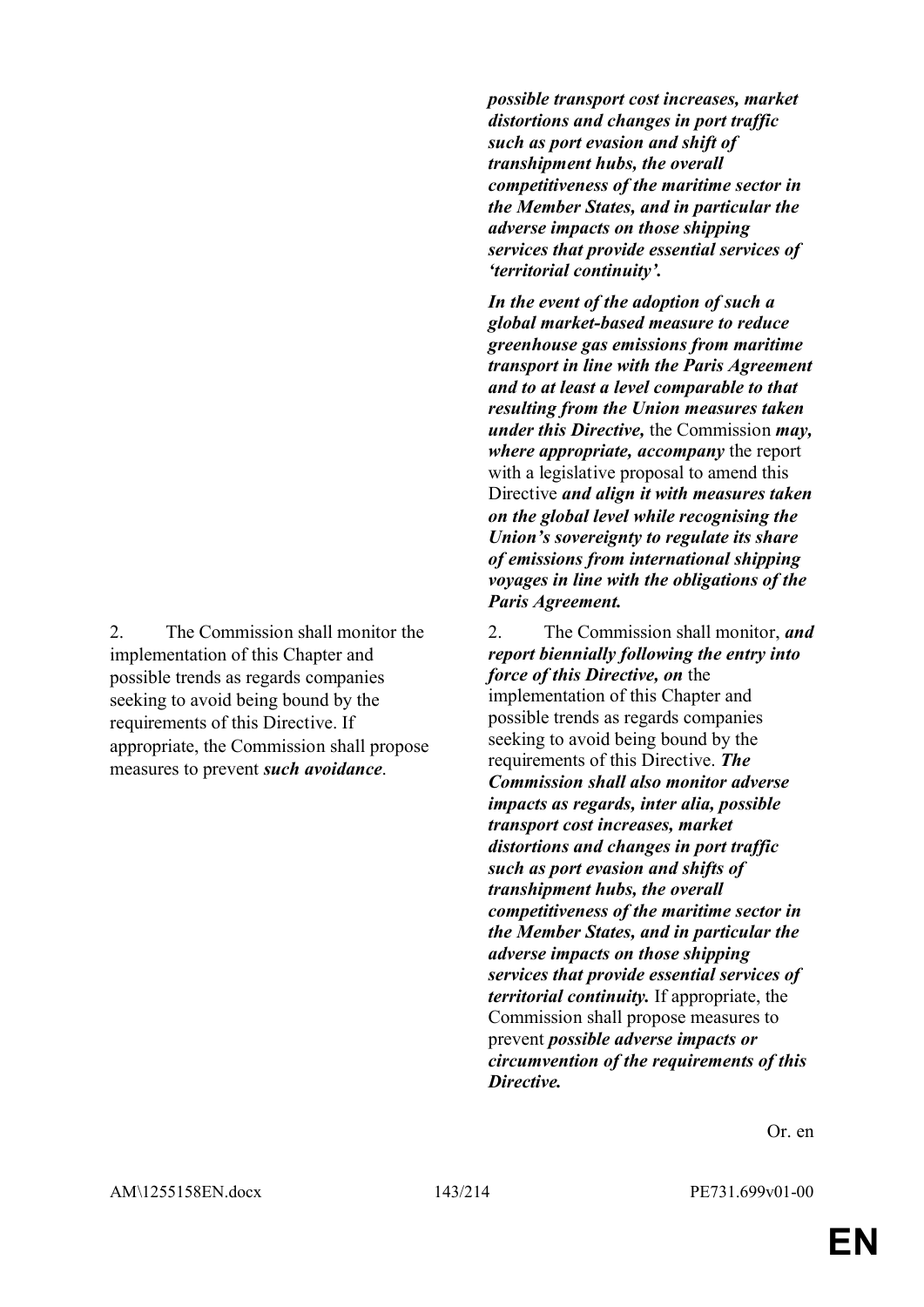2. The Commission shall monitor the implementation of this Chapter and possible trends as regards companies seeking to avoid being bound by the requirements of this Directive. If appropriate, the Commission shall propose measures to prevent *such avoidance*.

*possible transport cost increases, market distortions and changes in port traffic such as port evasion and shift of transhipment hubs, the overall competitiveness of the maritime sector in the Member States, and in particular the adverse impacts on those shipping services that provide essential services of 'territorial continuity'.* 

*In the event of the adoption of such a global market-based measure to reduce greenhouse gas emissions from maritime transport in line with the Paris Agreement and to at least a level comparable to that resulting from the Union measures taken under this Directive,* the Commission *may, where appropriate, accompany* the report with a legislative proposal to amend this Directive *and align it with measures taken on the global level while recognising the Union's sovereignty to regulate its share of emissions from international shipping voyages in line with the obligations of the Paris Agreement.*

2. The Commission shall monitor, *and report biennially following the entry into force of this Directive, on* the implementation of this Chapter and possible trends as regards companies seeking to avoid being bound by the requirements of this Directive. *The Commission shall also monitor adverse impacts as regards, inter alia, possible transport cost increases, market distortions and changes in port traffic such as port evasion and shifts of transhipment hubs, the overall competitiveness of the maritime sector in the Member States, and in particular the adverse impacts on those shipping services that provide essential services of territorial continuity.* If appropriate, the Commission shall propose measures to prevent *possible adverse impacts or circumvention of the requirements of this Directive.*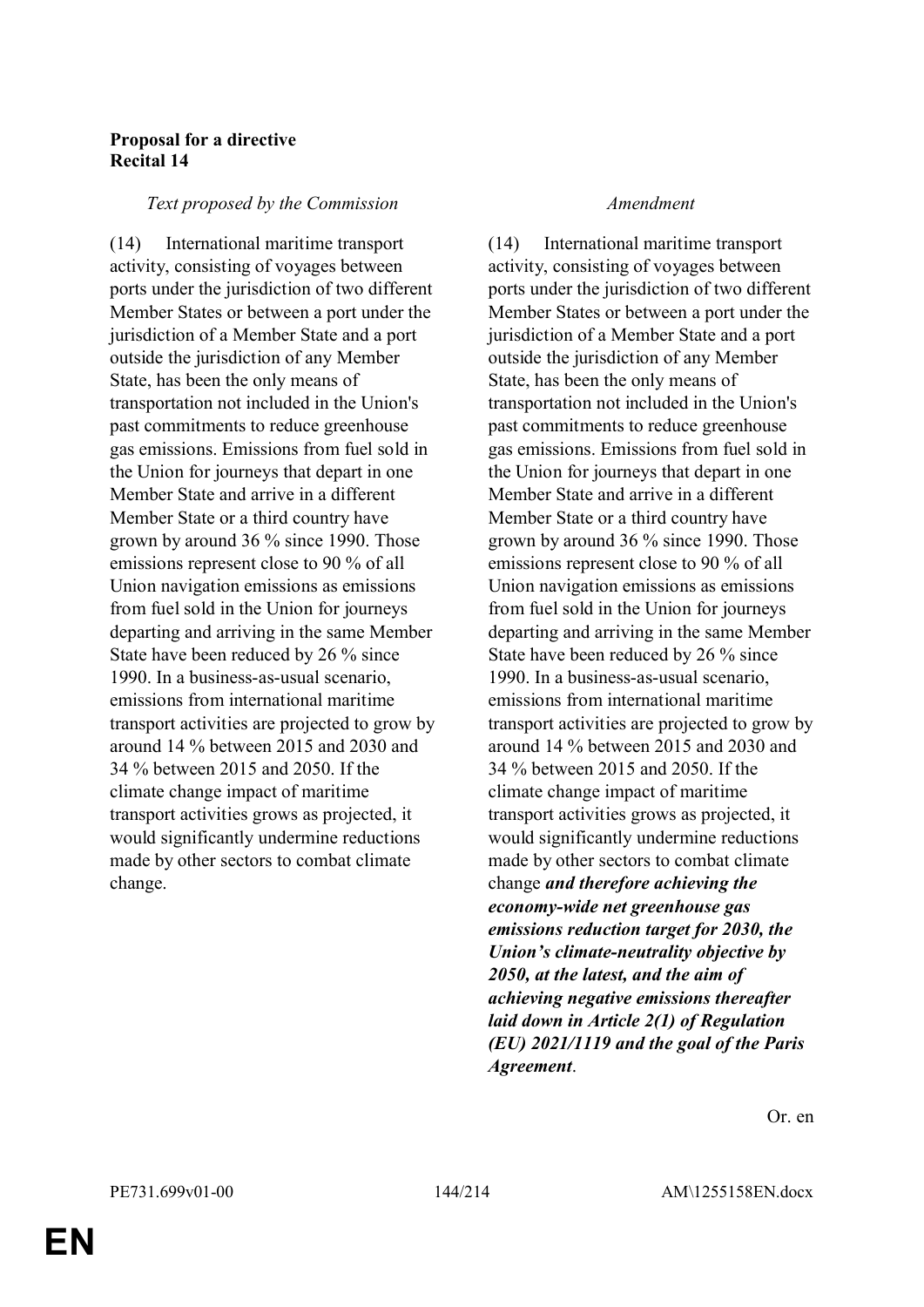## **Proposal for a directive Recital 14**

### *Text proposed by the Commission Amendment*

(14) International maritime transport activity, consisting of voyages between ports under the jurisdiction of two different Member States or between a port under the jurisdiction of a Member State and a port outside the jurisdiction of any Member State, has been the only means of transportation not included in the Union's past commitments to reduce greenhouse gas emissions. Emissions from fuel sold in the Union for journeys that depart in one Member State and arrive in a different Member State or a third country have grown by around 36 % since 1990. Those emissions represent close to 90 % of all Union navigation emissions as emissions from fuel sold in the Union for journeys departing and arriving in the same Member State have been reduced by 26 % since 1990. In a business-as-usual scenario, emissions from international maritime transport activities are projected to grow by around 14 % between 2015 and 2030 and 34 % between 2015 and 2050. If the climate change impact of maritime transport activities grows as projected, it would significantly undermine reductions made by other sectors to combat climate change.

(14) International maritime transport activity, consisting of voyages between ports under the jurisdiction of two different Member States or between a port under the jurisdiction of a Member State and a port outside the jurisdiction of any Member State, has been the only means of transportation not included in the Union's past commitments to reduce greenhouse gas emissions. Emissions from fuel sold in the Union for journeys that depart in one Member State and arrive in a different Member State or a third country have grown by around 36 % since 1990. Those emissions represent close to 90 % of all Union navigation emissions as emissions from fuel sold in the Union for journeys departing and arriving in the same Member State have been reduced by 26 % since 1990. In a business-as-usual scenario, emissions from international maritime transport activities are projected to grow by around 14 % between 2015 and 2030 and 34 % between 2015 and 2050. If the climate change impact of maritime transport activities grows as projected, it would significantly undermine reductions made by other sectors to combat climate change *and therefore achieving the economy-wide net greenhouse gas emissions reduction target for 2030, the Union's climate-neutrality objective by 2050, at the latest, and the aim of achieving negative emissions thereafter laid down in Article 2(1) of Regulation (EU) 2021/1119 and the goal of the Paris Agreement*.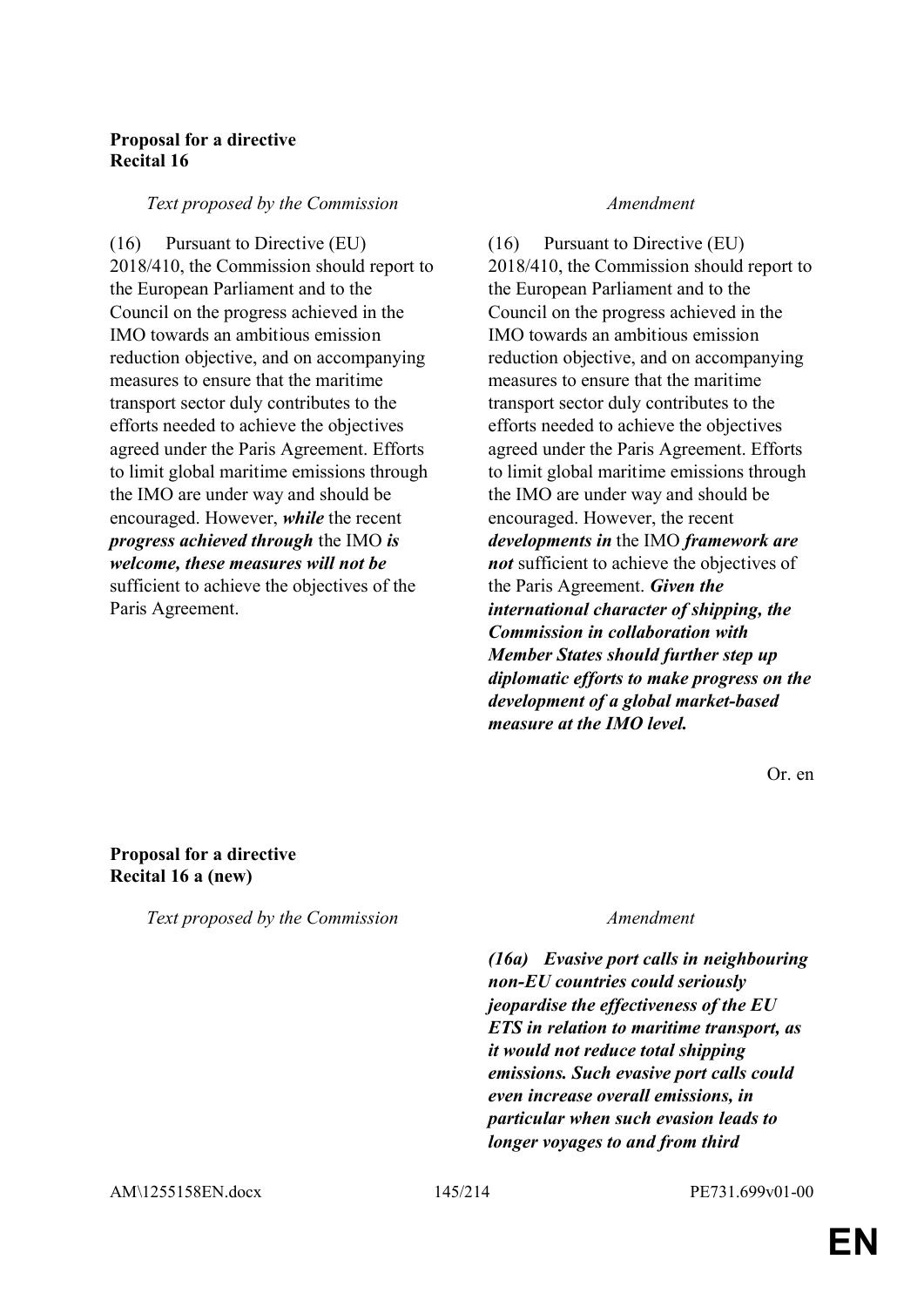### **Proposal for a directive Recital 16**

### *Text proposed by the Commission Amendment*

(16) Pursuant to Directive (EU) 2018/410, the Commission should report to the European Parliament and to the Council on the progress achieved in the IMO towards an ambitious emission reduction objective, and on accompanying measures to ensure that the maritime transport sector duly contributes to the efforts needed to achieve the objectives agreed under the Paris Agreement. Efforts to limit global maritime emissions through the IMO are under way and should be encouraged. However, *while* the recent *progress achieved through* the IMO *is welcome, these measures will not be* sufficient to achieve the objectives of the Paris Agreement.

(16) Pursuant to Directive (EU) 2018/410, the Commission should report to the European Parliament and to the Council on the progress achieved in the IMO towards an ambitious emission reduction objective, and on accompanying measures to ensure that the maritime transport sector duly contributes to the efforts needed to achieve the objectives agreed under the Paris Agreement. Efforts to limit global maritime emissions through the IMO are under way and should be encouraged. However, the recent *developments in* the IMO *framework are not* sufficient to achieve the objectives of the Paris Agreement. *Given the international character of shipping, the Commission in collaboration with Member States should further step up diplomatic efforts to make progress on the development of a global market-based measure at the IMO level.* 

Or. en

### **Proposal for a directive Recital 16 a (new)**

*Text proposed by the Commission Amendment*

*(16a) Evasive port calls in neighbouring non-EU countries could seriously jeopardise the effectiveness of the EU ETS in relation to maritime transport, as it would not reduce total shipping emissions. Such evasive port calls could even increase overall emissions, in particular when such evasion leads to longer voyages to and from third*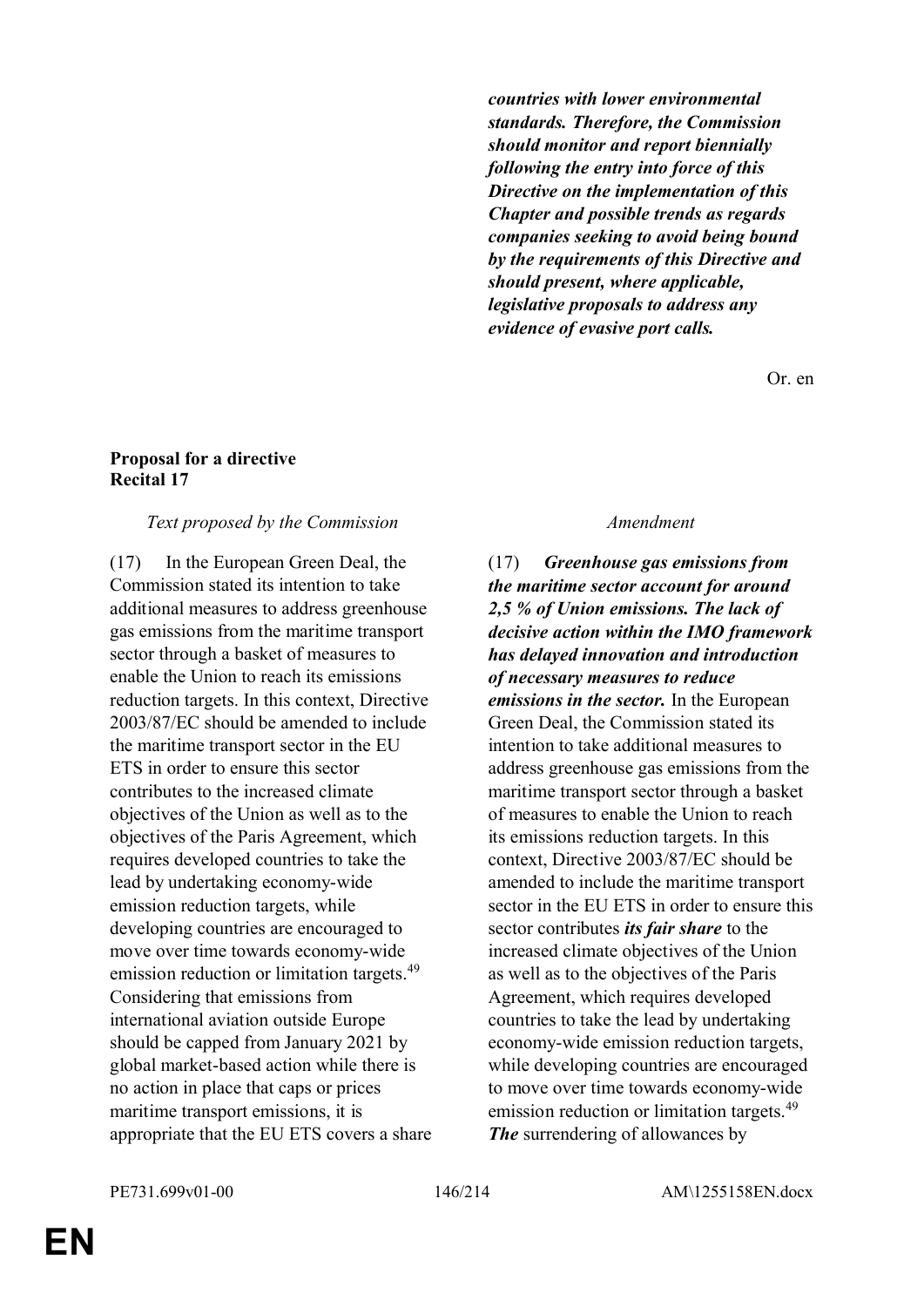*countries with lower environmental standards. Therefore, the Commission should monitor and report biennially following the entry into force of this Directive on the implementation of this Chapter and possible trends as regards companies seeking to avoid being bound by the requirements of this Directive and should present, where applicable, legislative proposals to address any evidence of evasive port calls.* 

Or. en

### **Proposal for a directive Recital 17**

### *Text proposed by the Commission Amendment*

(17) In the European Green Deal, the Commission stated its intention to take additional measures to address greenhouse gas emissions from the maritime transport sector through a basket of measures to enable the Union to reach its emissions reduction targets. In this context, Directive 2003/87/EC should be amended to include the maritime transport sector in the EU ETS in order to ensure this sector contributes to the increased climate objectives of the Union as well as to the objectives of the Paris Agreement, which requires developed countries to take the lead by undertaking economy-wide emission reduction targets, while developing countries are encouraged to move over time towards economy-wide emission reduction or limitation targets.<sup>49</sup> Considering that emissions from international aviation outside Europe should be capped from January 2021 by global market-based action while there is no action in place that caps or prices maritime transport emissions, it is appropriate that the EU ETS covers a share

(17) *Greenhouse gas emissions from the maritime sector account for around 2,5 % of Union emissions. The lack of decisive action within the IMO framework has delayed innovation and introduction of necessary measures to reduce emissions in the sector.* In the European Green Deal, the Commission stated its intention to take additional measures to address greenhouse gas emissions from the maritime transport sector through a basket of measures to enable the Union to reach its emissions reduction targets. In this context, Directive 2003/87/EC should be amended to include the maritime transport sector in the EU ETS in order to ensure this sector contributes *its fair share* to the increased climate objectives of the Union as well as to the objectives of the Paris Agreement, which requires developed countries to take the lead by undertaking economy-wide emission reduction targets, while developing countries are encouraged to move over time towards economy-wide emission reduction or limitation targets.<sup>49</sup> *The* surrendering of allowances by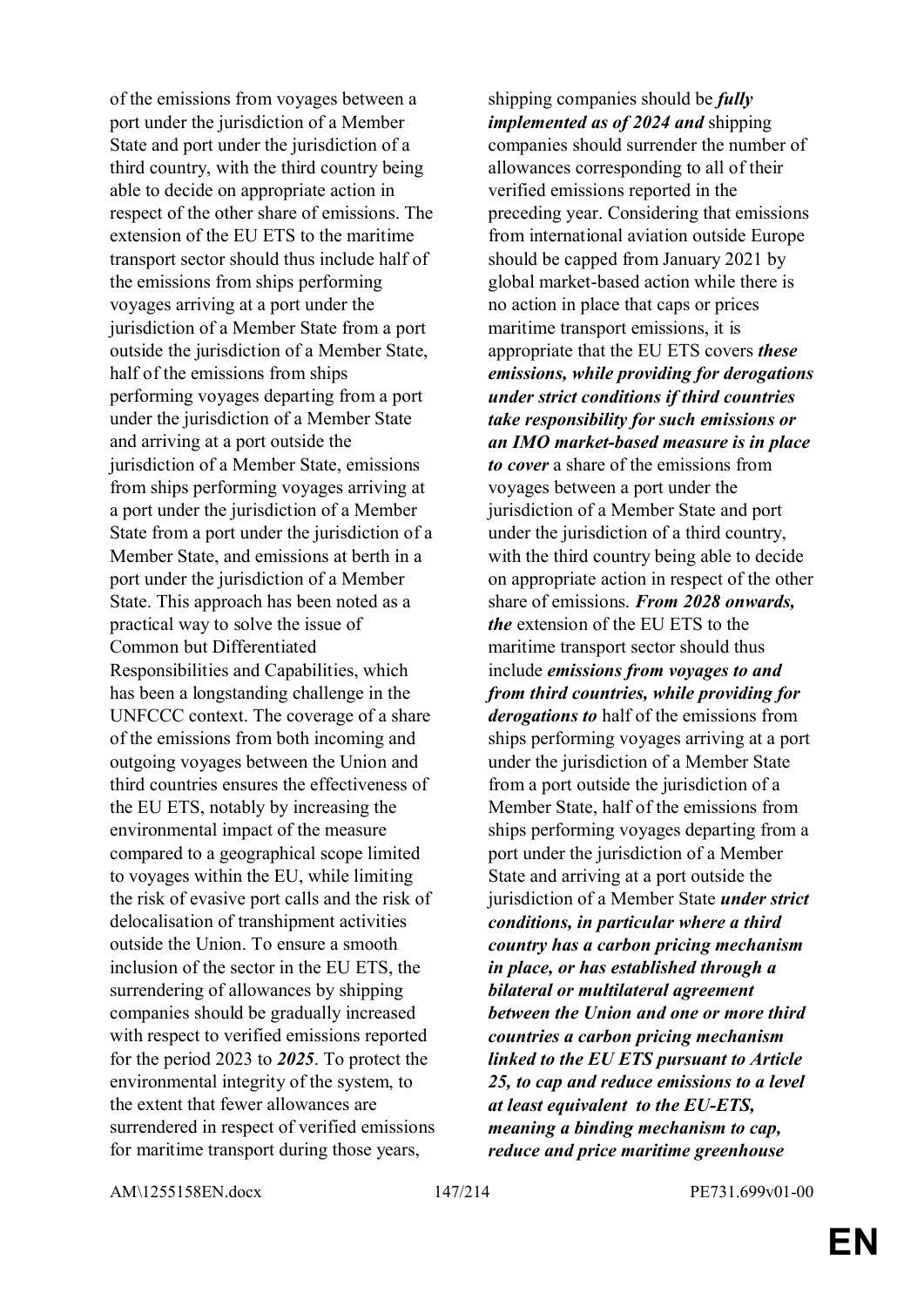of the emissions from voyages between a port under the jurisdiction of a Member State and port under the jurisdiction of a third country, with the third country being able to decide on appropriate action in respect of the other share of emissions. The extension of the EU ETS to the maritime transport sector should thus include half of the emissions from ships performing voyages arriving at a port under the jurisdiction of a Member State from a port outside the jurisdiction of a Member State, half of the emissions from ships performing voyages departing from a port under the jurisdiction of a Member State and arriving at a port outside the jurisdiction of a Member State, emissions from ships performing voyages arriving at a port under the jurisdiction of a Member State from a port under the jurisdiction of a Member State, and emissions at berth in a port under the jurisdiction of a Member State. This approach has been noted as a practical way to solve the issue of Common but Differentiated Responsibilities and Capabilities, which has been a longstanding challenge in the UNFCCC context. The coverage of a share of the emissions from both incoming and outgoing voyages between the Union and third countries ensures the effectiveness of the EU ETS, notably by increasing the environmental impact of the measure compared to a geographical scope limited to voyages within the EU, while limiting the risk of evasive port calls and the risk of delocalisation of transhipment activities outside the Union. To ensure a smooth inclusion of the sector in the EU ETS, the surrendering of allowances by shipping companies should be gradually increased with respect to verified emissions reported for the period 2023 to *2025*. To protect the environmental integrity of the system, to the extent that fewer allowances are surrendered in respect of verified emissions for maritime transport during those years,

shipping companies should be *fully implemented as of 2024 and* shipping companies should surrender the number of allowances corresponding to all of their verified emissions reported in the preceding year. Considering that emissions from international aviation outside Europe should be capped from January 2021 by global market-based action while there is no action in place that caps or prices maritime transport emissions, it is appropriate that the EU ETS covers *these emissions, while providing for derogations under strict conditions if third countries take responsibility for such emissions or an IMO market-based measure is in place to cover* a share of the emissions from voyages between a port under the jurisdiction of a Member State and port under the jurisdiction of a third country, with the third country being able to decide on appropriate action in respect of the other share of emissions. *From 2028 onwards, the* extension of the EU ETS to the maritime transport sector should thus include *emissions from voyages to and from third countries, while providing for derogations to* half of the emissions from ships performing voyages arriving at a port under the jurisdiction of a Member State from a port outside the jurisdiction of a Member State, half of the emissions from ships performing voyages departing from a port under the jurisdiction of a Member State and arriving at a port outside the jurisdiction of a Member State *under strict conditions, in particular where a third country has a carbon pricing mechanism in place, or has established through a bilateral or multilateral agreement between the Union and one or more third countries a carbon pricing mechanism linked to the EU ETS pursuant to Article 25, to cap and reduce emissions to a level at least equivalent to the EU-ETS, meaning a binding mechanism to cap, reduce and price maritime greenhouse* 

AM\1255158EN.docx 147/214 PE731.699v01-00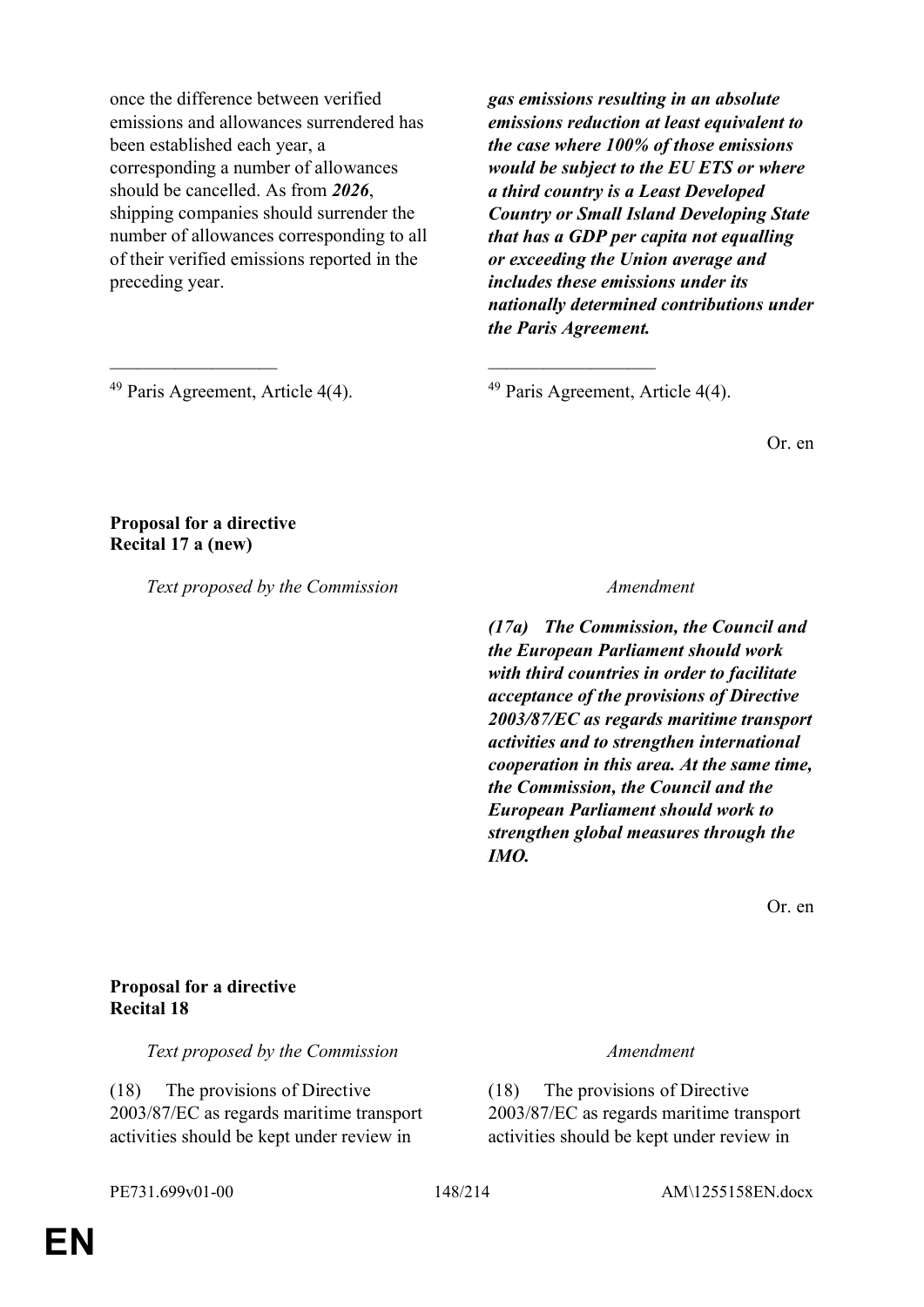once the difference between verified emissions and allowances surrendered has been established each year, a corresponding a number of allowances should be cancelled. As from *2026*, shipping companies should surrender the number of allowances corresponding to all of their verified emissions reported in the preceding year.

 $\mathcal{L}_\mathcal{L}$  , and the contribution of the contribution of  $\mathcal{L}_\mathcal{L}$ 

*gas emissions resulting in an absolute emissions reduction at least equivalent to the case where 100% of those emissions would be subject to the EU ETS or where a third country is a Least Developed Country or Small Island Developing State that has a GDP per capita not equalling or exceeding the Union average and includes these emissions under its nationally determined contributions under the Paris Agreement.*

<sup>49</sup> Paris Agreement, Article 4(4).  $^{49}$  Paris Agreement, Article 4(4).

Or. en

**Proposal for a directive Recital 17 a (new)**

*Text proposed by the Commission Amendment*

*(17a) The Commission, the Council and the European Parliament should work with third countries in order to facilitate acceptance of the provisions of Directive 2003/87/EC as regards maritime transport activities and to strengthen international cooperation in this area. At the same time, the Commission, the Council and the European Parliament should work to strengthen global measures through the IMO.*

Or. en

## **Proposal for a directive Recital 18**

*Text proposed by the Commission Amendment*

(18) The provisions of Directive 2003/87/EC as regards maritime transport activities should be kept under review in

(18) The provisions of Directive 2003/87/EC as regards maritime transport activities should be kept under review in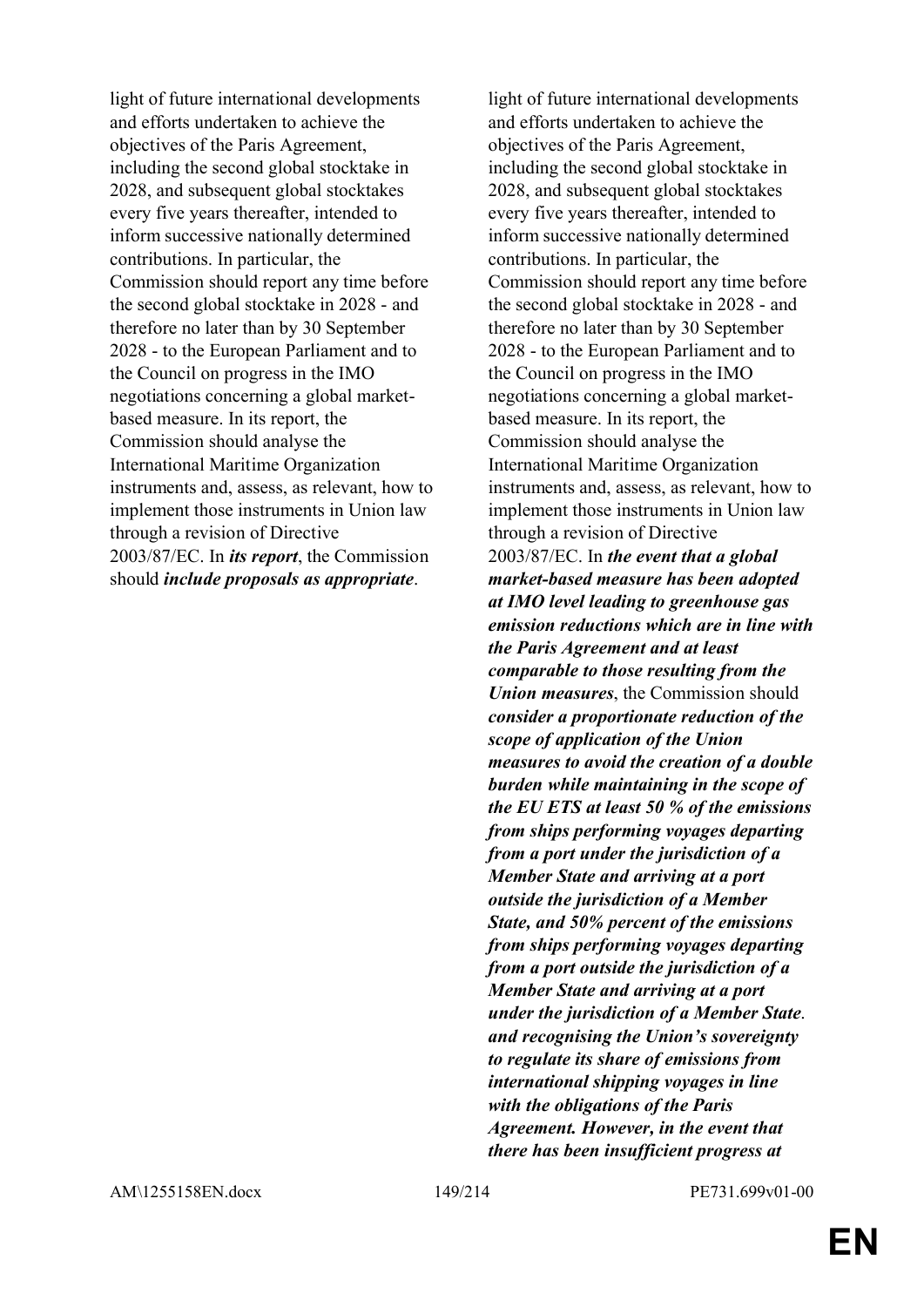light of future international developments and efforts undertaken to achieve the objectives of the Paris Agreement, including the second global stocktake in 2028, and subsequent global stocktakes every five years thereafter, intended to inform successive nationally determined contributions. In particular, the Commission should report any time before the second global stocktake in 2028 - and therefore no later than by 30 September 2028 - to the European Parliament and to the Council on progress in the IMO negotiations concerning a global marketbased measure. In its report, the Commission should analyse the International Maritime Organization instruments and, assess, as relevant, how to implement those instruments in Union law through a revision of Directive 2003/87/EC. In *its report*, the Commission should *include proposals as appropriate*.

light of future international developments and efforts undertaken to achieve the objectives of the Paris Agreement, including the second global stocktake in 2028, and subsequent global stocktakes every five years thereafter, intended to inform successive nationally determined contributions. In particular, the Commission should report any time before the second global stocktake in 2028 - and therefore no later than by 30 September 2028 - to the European Parliament and to the Council on progress in the IMO negotiations concerning a global marketbased measure. In its report, the Commission should analyse the International Maritime Organization instruments and, assess, as relevant, how to implement those instruments in Union law through a revision of Directive 2003/87/EC. In *the event that a global market-based measure has been adopted at IMO level leading to greenhouse gas emission reductions which are in line with the Paris Agreement and at least comparable to those resulting from the Union measures*, the Commission should *consider a proportionate reduction of the scope of application of the Union measures to avoid the creation of a double burden while maintaining in the scope of the EU ETS at least 50 % of the emissions from ships performing voyages departing from a port under the jurisdiction of a Member State and arriving at a port outside the jurisdiction of a Member State, and 50% percent of the emissions from ships performing voyages departing from a port outside the jurisdiction of a Member State and arriving at a port under the jurisdiction of a Member State*. *and recognising the Union's sovereignty to regulate its share of emissions from international shipping voyages in line with the obligations of the Paris Agreement. However, in the event that there has been insufficient progress at*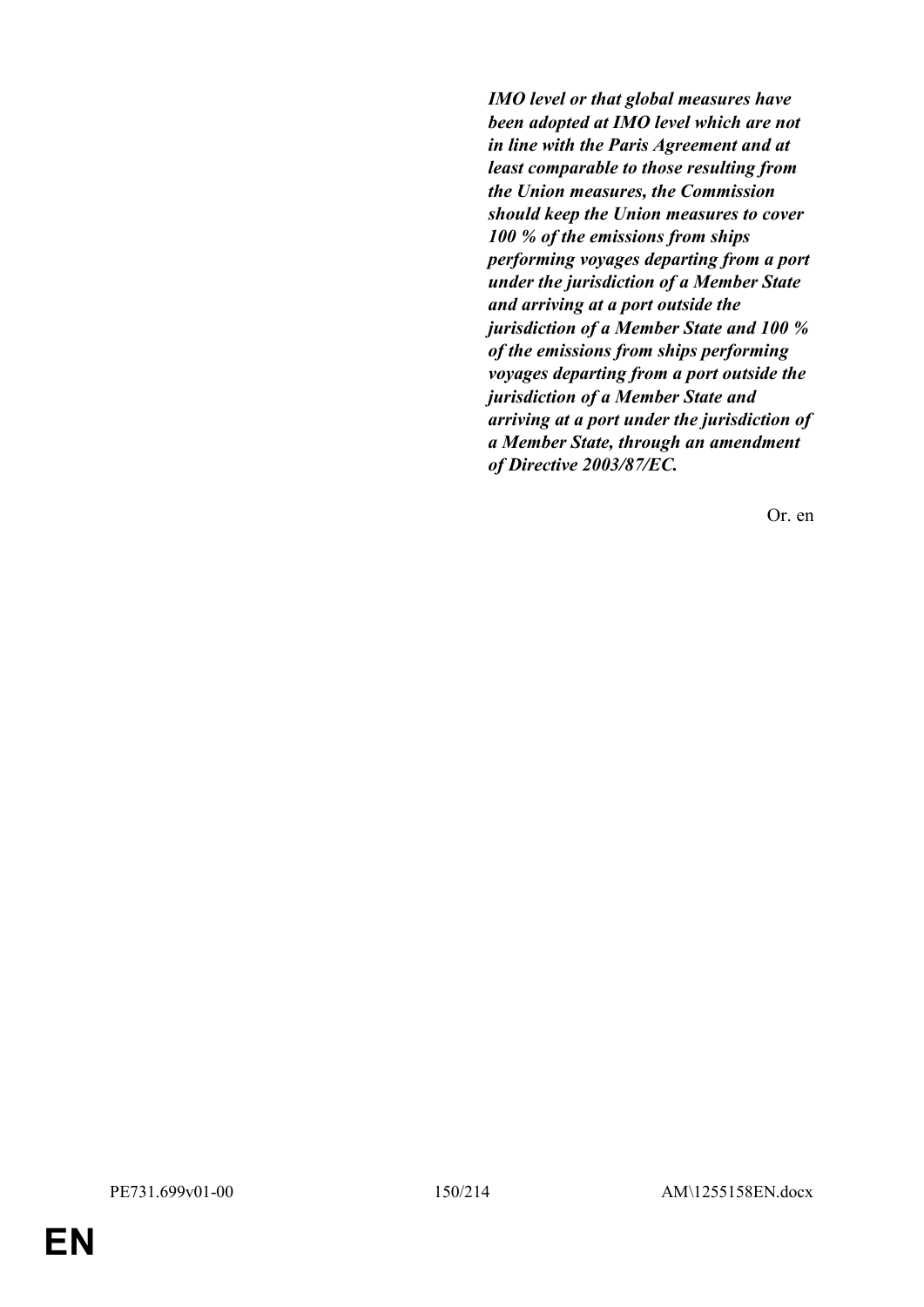*IMO level or that global measures have been adopted at IMO level which are not in line with the Paris Agreement and at least comparable to those resulting from the Union measures, the Commission should keep the Union measures to cover 100 % of the emissions from ships performing voyages departing from a port under the jurisdiction of a Member State and arriving at a port outside the jurisdiction of a Member State and 100 % of the emissions from ships performing voyages departing from a port outside the jurisdiction of a Member State and arriving at a port under the jurisdiction of a Member State, through an amendment of Directive 2003/87/EC.*

Or. en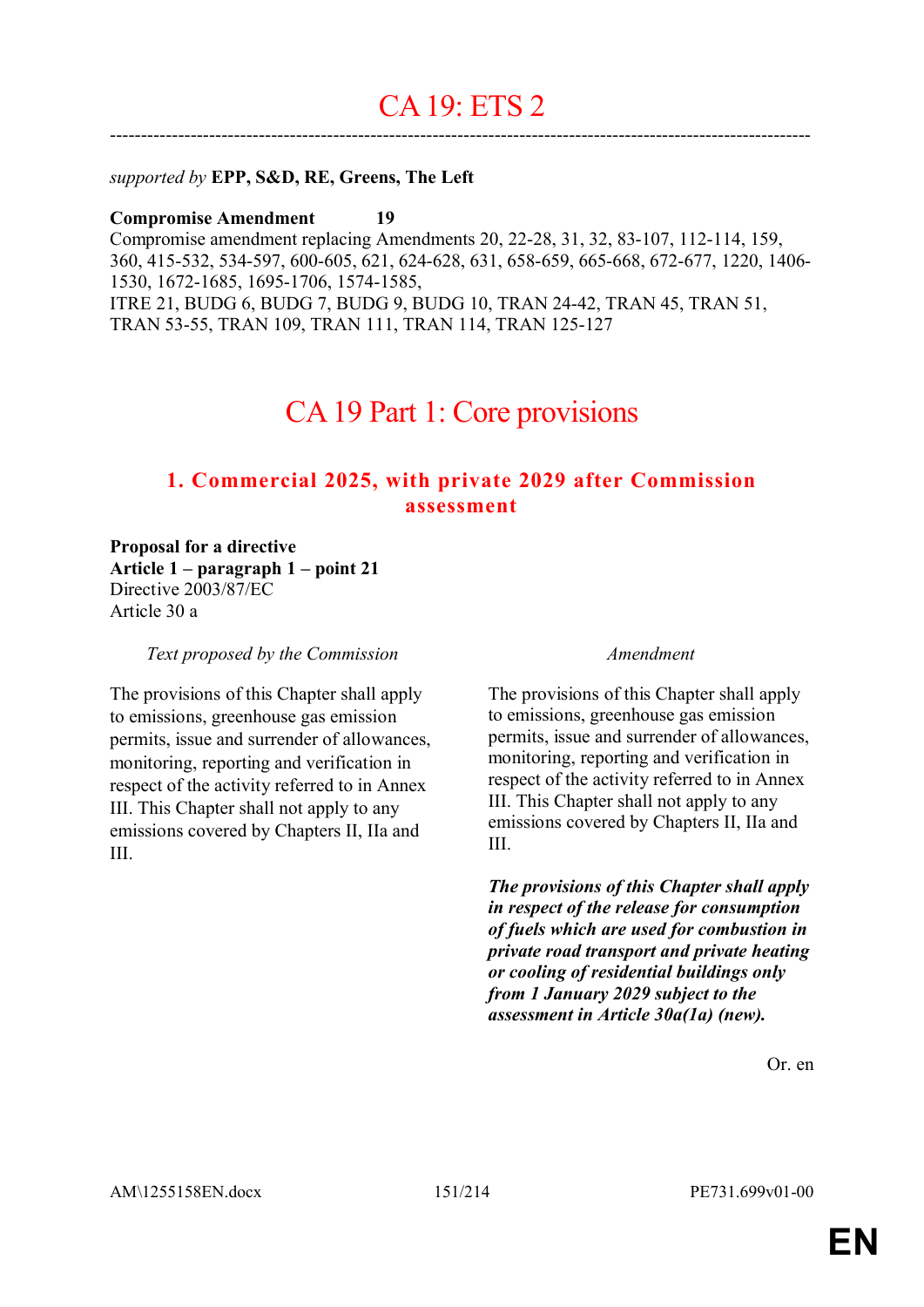-----------------------------------------------------------------------------------------------------------------

*supported by* **EPP, S&D, RE, Greens, The Left**

### **Compromise Amendment 19**

Compromise amendment replacing Amendments 20, 22-28, 31, 32, 83-107, 112-114, 159, 360, 415-532, 534-597, 600-605, 621, 624-628, 631, 658-659, 665-668, 672-677, 1220, 1406- 1530, 1672-1685, 1695-1706, 1574-1585, ITRE 21, BUDG 6, BUDG 7, BUDG 9, BUDG 10, TRAN 24-42, TRAN 45, TRAN 51, TRAN 53-55, TRAN 109, TRAN 111, TRAN 114, TRAN 125-127

# CA 19 Part 1: Core provisions

# **1. Commercial 2025, with private 2029 after Commission assessment**

**Proposal for a directive Article 1 – paragraph 1 – point 21** Directive 2003/87/EC Article 30 a

*Text proposed by the Commission Amendment*

The provisions of this Chapter shall apply to emissions, greenhouse gas emission permits, issue and surrender of allowances, monitoring, reporting and verification in respect of the activity referred to in Annex III. This Chapter shall not apply to any emissions covered by Chapters II, IIa and III.

The provisions of this Chapter shall apply to emissions, greenhouse gas emission permits, issue and surrender of allowances, monitoring, reporting and verification in respect of the activity referred to in Annex III. This Chapter shall not apply to any emissions covered by Chapters II, IIa and III.

*The provisions of this Chapter shall apply in respect of the release for consumption of fuels which are used for combustion in private road transport and private heating or cooling of residential buildings only from 1 January 2029 subject to the assessment in Article 30a(1a) (new).*

Or. en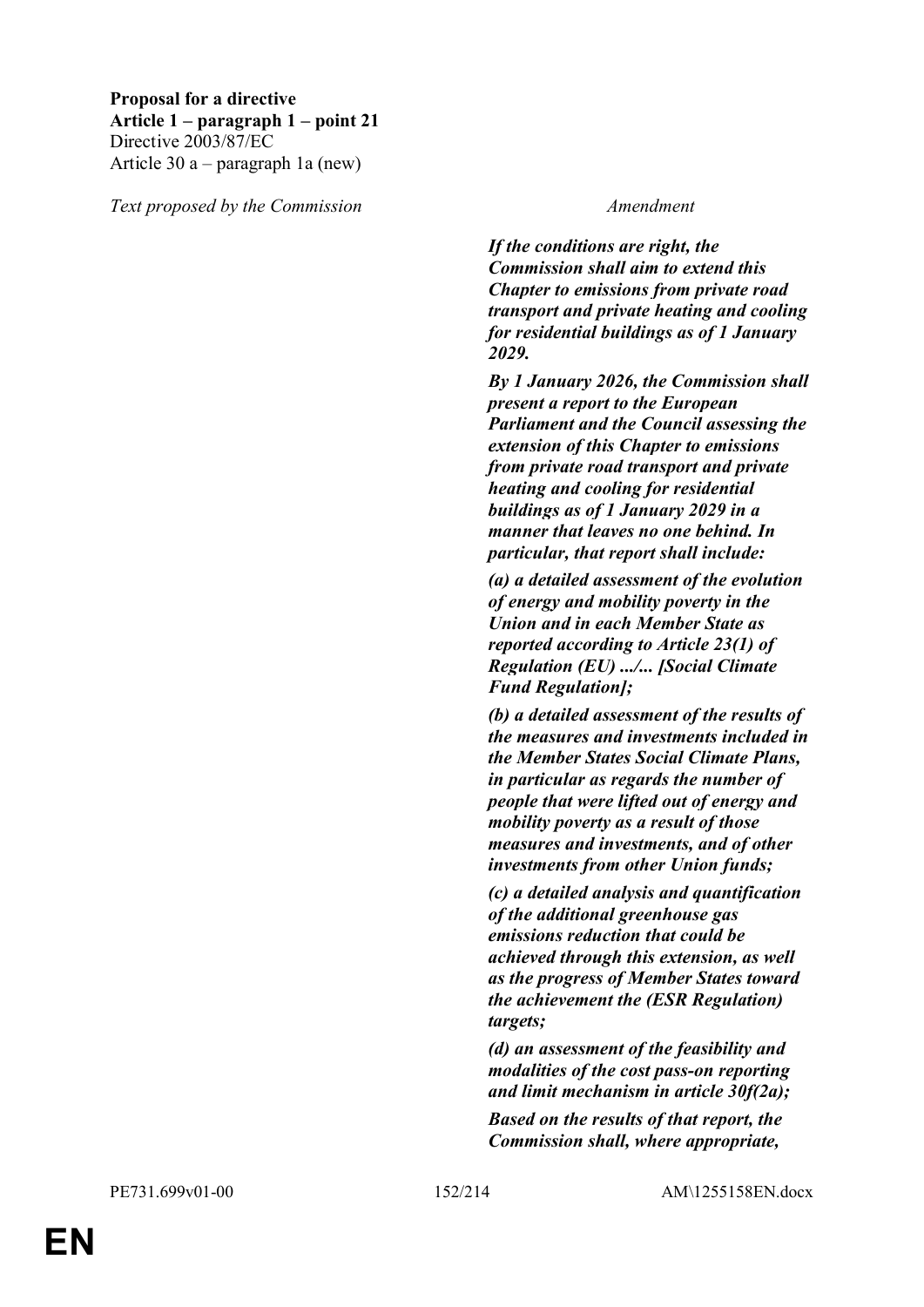### **Proposal for a directive Article 1 – paragraph 1 – point 21** Directive 2003/87/EC Article 30 a – paragraph 1a (new)

*Text proposed by the Commission Amendment*

*If the conditions are right, the Commission shall aim to extend this Chapter to emissions from private road transport and private heating and cooling for residential buildings as of 1 January 2029.*

*By 1 January 2026, the Commission shall present a report to the European Parliament and the Council assessing the extension of this Chapter to emissions from private road transport and private heating and cooling for residential buildings as of 1 January 2029 in a manner that leaves no one behind. In particular, that report shall include:*

*(a) a detailed assessment of the evolution of energy and mobility poverty in the Union and in each Member State as reported according to Article 23(1) of Regulation (EU) .../... [Social Climate Fund Regulation];*

*(b) a detailed assessment of the results of the measures and investments included in the Member States Social Climate Plans, in particular as regards the number of people that were lifted out of energy and mobility poverty as a result of those measures and investments, and of other investments from other Union funds;*

*(c) a detailed analysis and quantification of the additional greenhouse gas emissions reduction that could be achieved through this extension, as well as the progress of Member States toward the achievement the (ESR Regulation) targets;*

*(d) an assessment of the feasibility and modalities of the cost pass-on reporting and limit mechanism in article 30f(2a);*

*Based on the results of that report, the Commission shall, where appropriate,*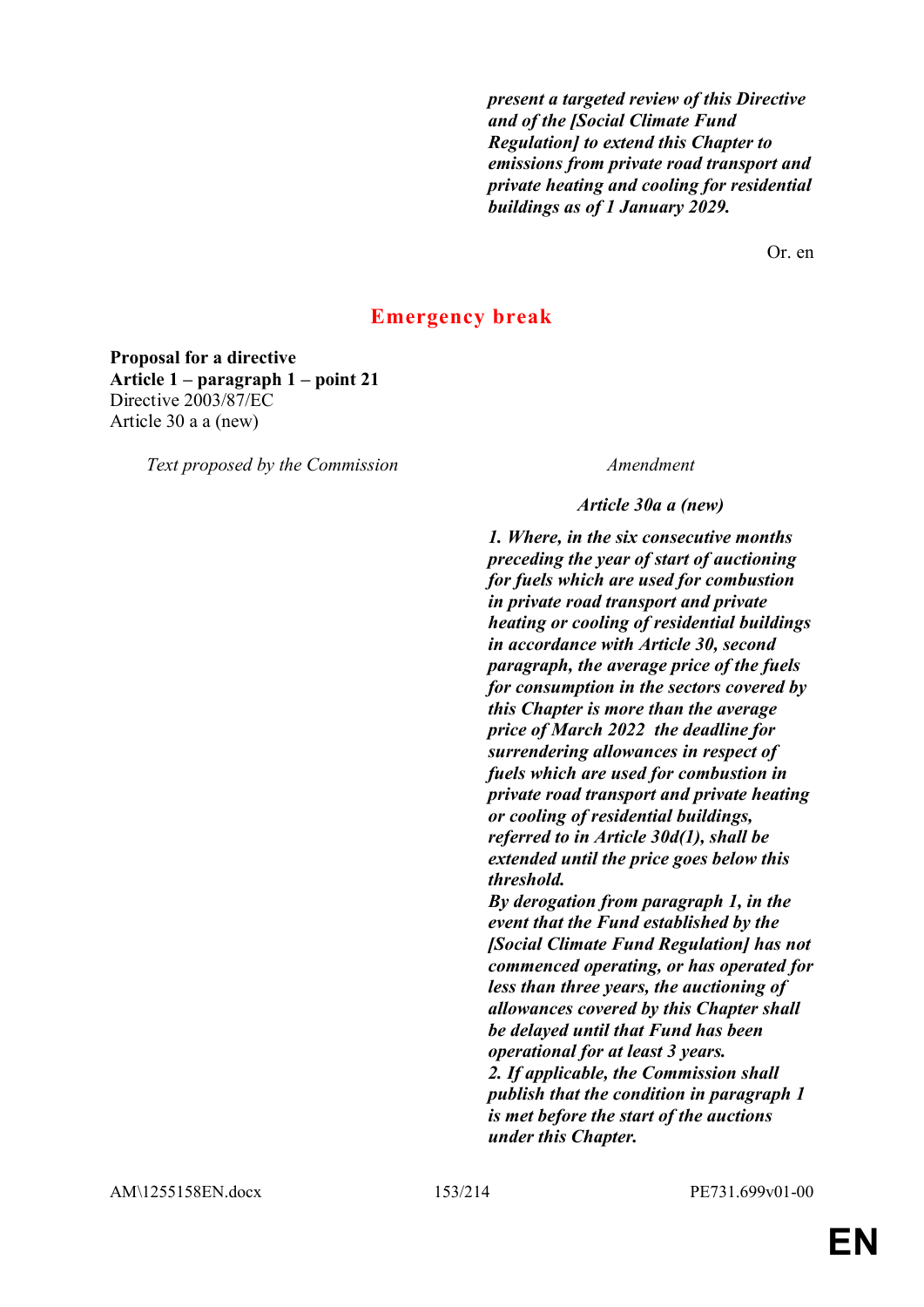*present a targeted review of this Directive and of the [Social Climate Fund Regulation] to extend this Chapter to emissions from private road transport and private heating and cooling for residential buildings as of 1 January 2029.*

Or. en

### **Emergency break**

**Proposal for a directive Article 1 – paragraph 1 – point 21** Directive 2003/87/EC Article 30 a a (new)

*Text proposed by the Commission Amendment*

### *Article 30a a (new)*

*1. Where, in the six consecutive months preceding the year of start of auctioning for fuels which are used for combustion in private road transport and private heating or cooling of residential buildings in accordance with Article 30, second paragraph, the average price of the fuels for consumption in the sectors covered by this Chapter is more than the average price of March 2022 the deadline for surrendering allowances in respect of fuels which are used for combustion in private road transport and private heating or cooling of residential buildings, referred to in Article 30d(1), shall be extended until the price goes below this threshold. By derogation from paragraph 1, in the event that the Fund established by the* 

*[Social Climate Fund Regulation] has not commenced operating, or has operated for less than three years, the auctioning of allowances covered by this Chapter shall be delayed until that Fund has been operational for at least 3 years. 2. If applicable, the Commission shall publish that the condition in paragraph 1 is met before the start of the auctions under this Chapter.*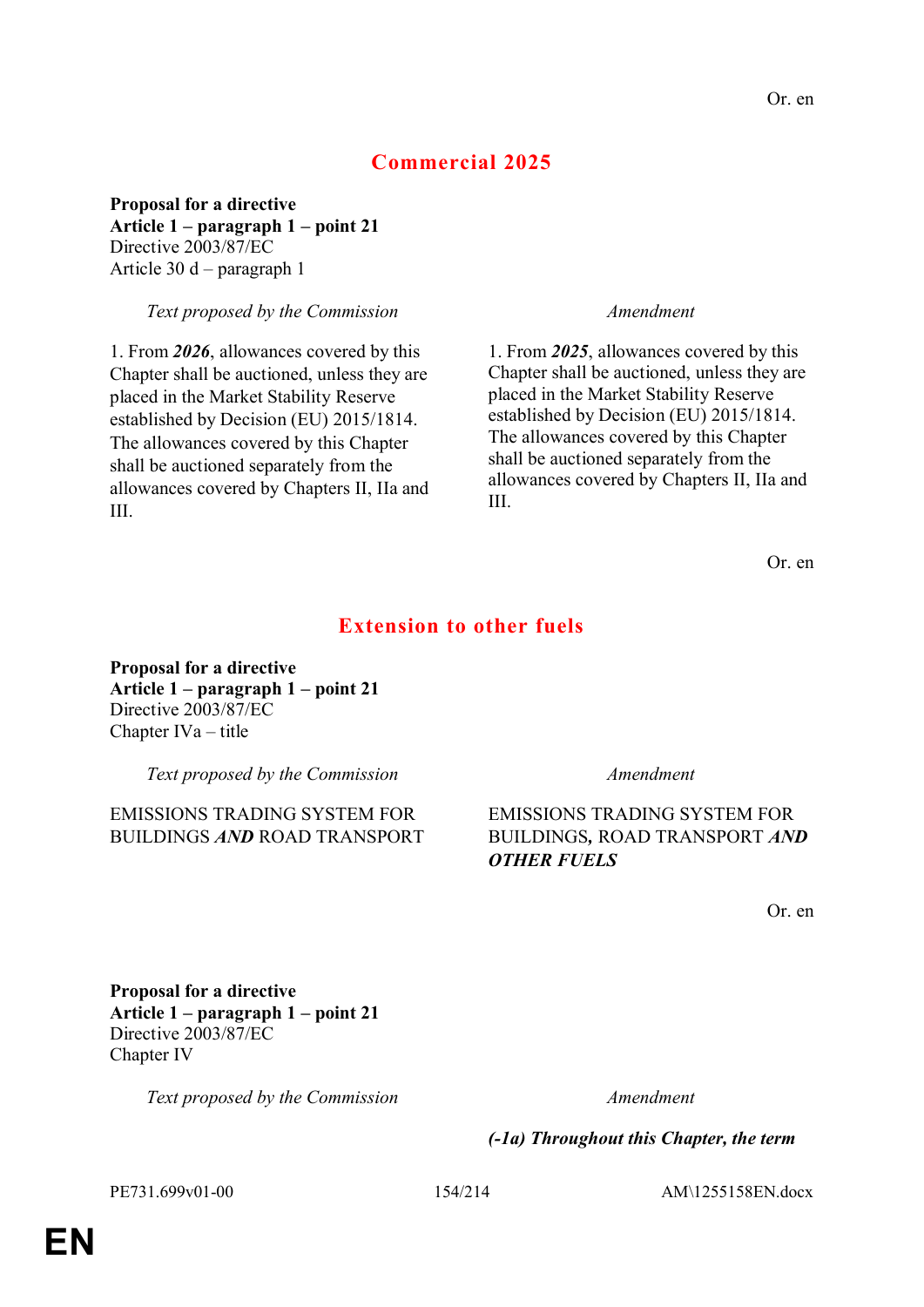# **Commercial 2025**

**Proposal for a directive Article 1 – paragraph 1 – point 21** Directive 2003/87/EC Article 30 d – paragraph 1

*Text proposed by the Commission Amendment*

1. From *2026*, allowances covered by this Chapter shall be auctioned, unless they are placed in the Market Stability Reserve established by Decision (EU) 2015/1814. The allowances covered by this Chapter shall be auctioned separately from the allowances covered by Chapters II, IIa and III.

1. From *2025*, allowances covered by this Chapter shall be auctioned, unless they are placed in the Market Stability Reserve established by Decision (EU) 2015/1814. The allowances covered by this Chapter shall be auctioned separately from the allowances covered by Chapters II, IIa and III.

Or. en

# **Extension to other fuels**

**Proposal for a directive Article 1 – paragraph 1 – point 21** Directive 2003/87/EC Chapter IVa – title

*Text proposed by the Commission Amendment*

EMISSIONS TRADING SYSTEM FOR BUILDINGS *AND* ROAD TRANSPORT

EMISSIONS TRADING SYSTEM FOR BUILDINGS*,* ROAD TRANSPORT *AND OTHER FUELS*

Or. en

**Proposal for a directive Article 1 – paragraph 1 – point 21** Directive 2003/87/EC Chapter IV

*Text proposed by the Commission Amendment*

*(-1a) Throughout this Chapter, the term* 

PE731.699v01-00 154/214 AM\1255158EN.docx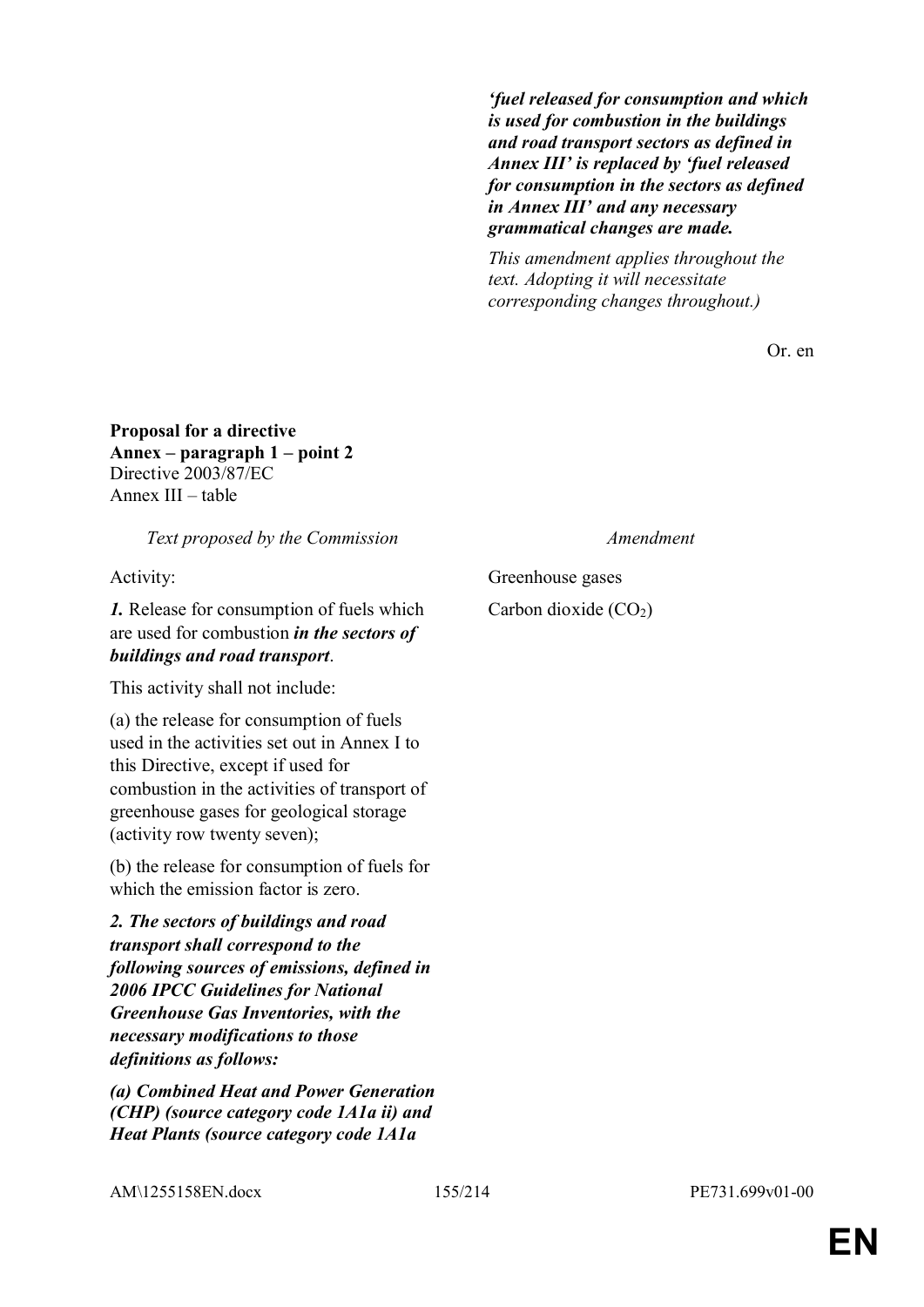*'fuel released for consumption and which is used for combustion in the buildings and road transport sectors as defined in Annex III' is replaced by 'fuel released for consumption in the sectors as defined in Annex III' and any necessary grammatical changes are made.*

*This amendment applies throughout the text. Adopting it will necessitate corresponding changes throughout.)*

Or. en

**Proposal for a directive Annex – paragraph 1 – point 2** Directive 2003/87/EC Annex III – table

*Text proposed by the Commission Amendment*

*1.* Release for consumption of fuels which are used for combustion *in the sectors of buildings and road transport*.

This activity shall not include:

(a) the release for consumption of fuels used in the activities set out in Annex I to this Directive, except if used for combustion in the activities of transport of greenhouse gases for geological storage (activity row twenty seven);

(b) the release for consumption of fuels for which the emission factor is zero.

*2. The sectors of buildings and road transport shall correspond to the following sources of emissions, defined in 2006 IPCC Guidelines for National Greenhouse Gas Inventories, with the necessary modifications to those definitions as follows:*

*(a) Combined Heat and Power Generation (CHP) (source category code 1A1a ii) and Heat Plants (source category code 1A1a* 

Activity: Greenhouse gases

Carbon dioxide  $(CO<sub>2</sub>)$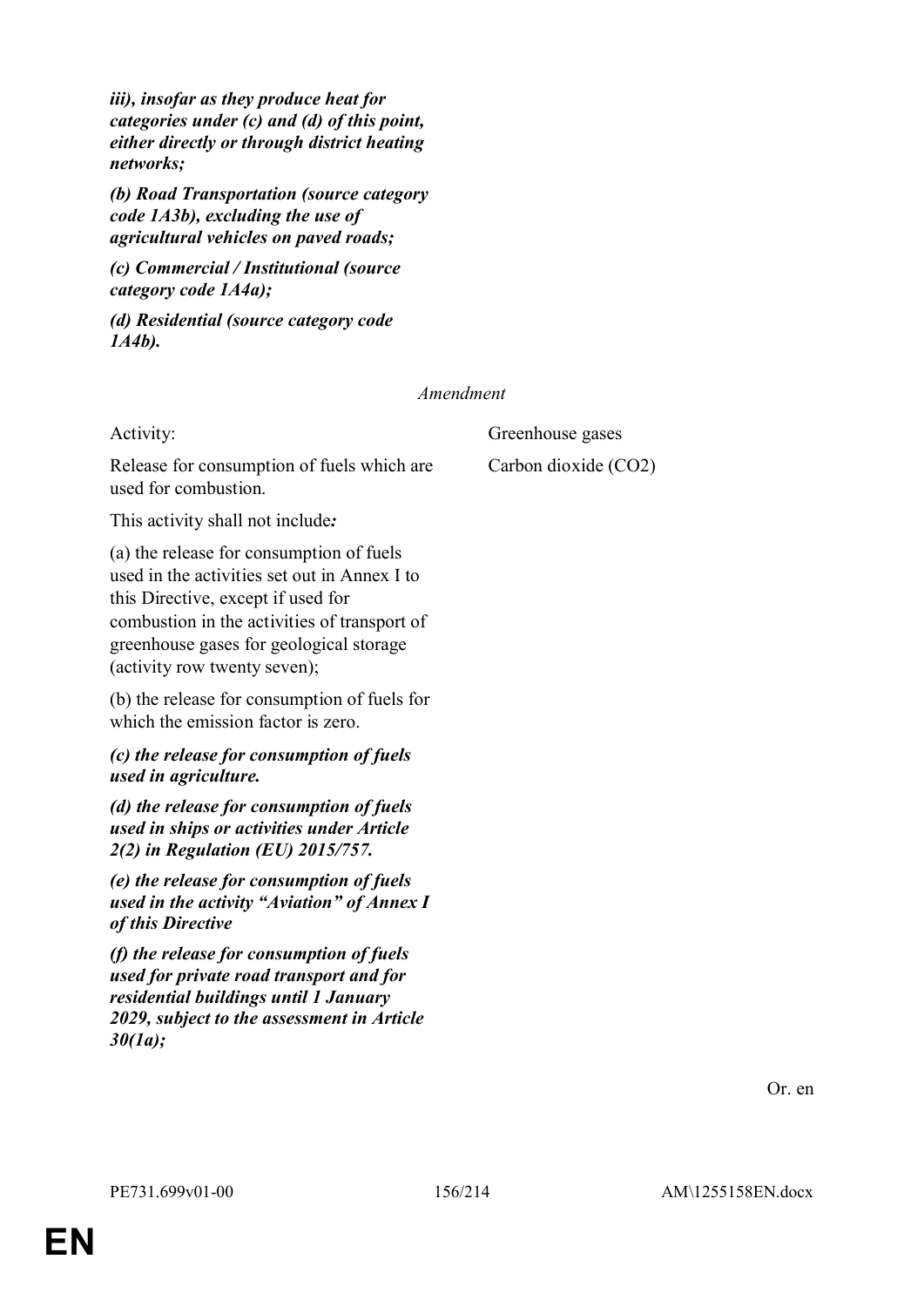*iii), insofar as they produce heat for categories under (c) and (d) of this point, either directly or through district heating networks;* 

*(b) Road Transportation (source category code 1A3b), excluding the use of agricultural vehicles on paved roads;*

*(c) Commercial / Institutional (source category code 1A4a);*

*(d) Residential (source category code 1A4b).*

### *Amendment*

| Activity:                                  | Greenhouse gases     |
|--------------------------------------------|----------------------|
| Release for consumption of fuels which are | Carbon dioxide (CO2) |
| used for combustion.                       |                      |

This activity shall not include*:*

(a) the release for consumption of fuels used in the activities set out in Annex I to this Directive, except if used for combustion in the activities of transport of greenhouse gases for geological storage (activity row twenty seven);

(b) the release for consumption of fuels for which the emission factor is zero.

*(c) the release for consumption of fuels used in agriculture.*

*(d) the release for consumption of fuels used in ships or activities under Article 2(2) in Regulation (EU) 2015/757.*

*(e) the release for consumption of fuels used in the activity "Aviation" of Annex I of this Directive*

*(f) the release for consumption of fuels used for private road transport and for residential buildings until 1 January 2029, subject to the assessment in Article 30(1a);*

Or. en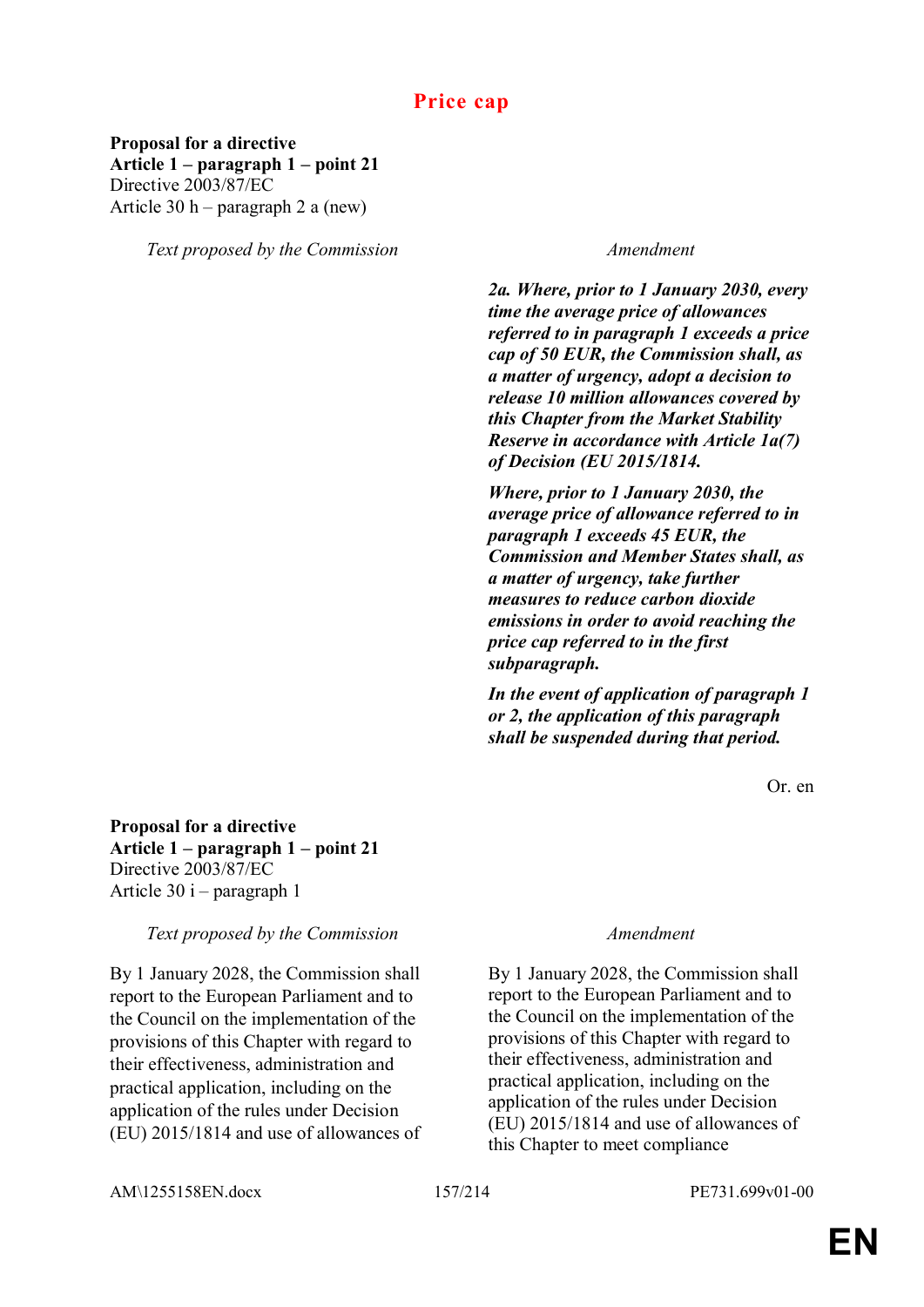# **Price cap**

**Proposal for a directive Article 1 – paragraph 1 – point 21** Directive 2003/87/EC Article 30 h – paragraph 2 a (new)

*Text proposed by the Commission Amendment*

*2a. Where, prior to 1 January 2030, every time the average price of allowances referred to in paragraph 1 exceeds a price cap of 50 EUR, the Commission shall, as a matter of urgency, adopt a decision to release 10 million allowances covered by this Chapter from the Market Stability Reserve in accordance with Article 1a(7) of Decision (EU 2015/1814.* 

*Where, prior to 1 January 2030, the average price of allowance referred to in paragraph 1 exceeds 45 EUR, the Commission and Member States shall, as a matter of urgency, take further measures to reduce carbon dioxide emissions in order to avoid reaching the price cap referred to in the first subparagraph.*

*In the event of application of paragraph 1 or 2, the application of this paragraph shall be suspended during that period.*

Or. en

**Proposal for a directive Article 1 – paragraph 1 – point 21** Directive 2003/87/EC Article 30 i – paragraph 1

*Text proposed by the Commission Amendment*

By 1 January 2028, the Commission shall report to the European Parliament and to the Council on the implementation of the provisions of this Chapter with regard to their effectiveness, administration and practical application, including on the application of the rules under Decision (EU) 2015/1814 and use of allowances of

By 1 January 2028, the Commission shall report to the European Parliament and to the Council on the implementation of the provisions of this Chapter with regard to their effectiveness, administration and practical application, including on the application of the rules under Decision (EU) 2015/1814 and use of allowances of this Chapter to meet compliance

AM\1255158EN.docx 157/214 PE731.699v01-00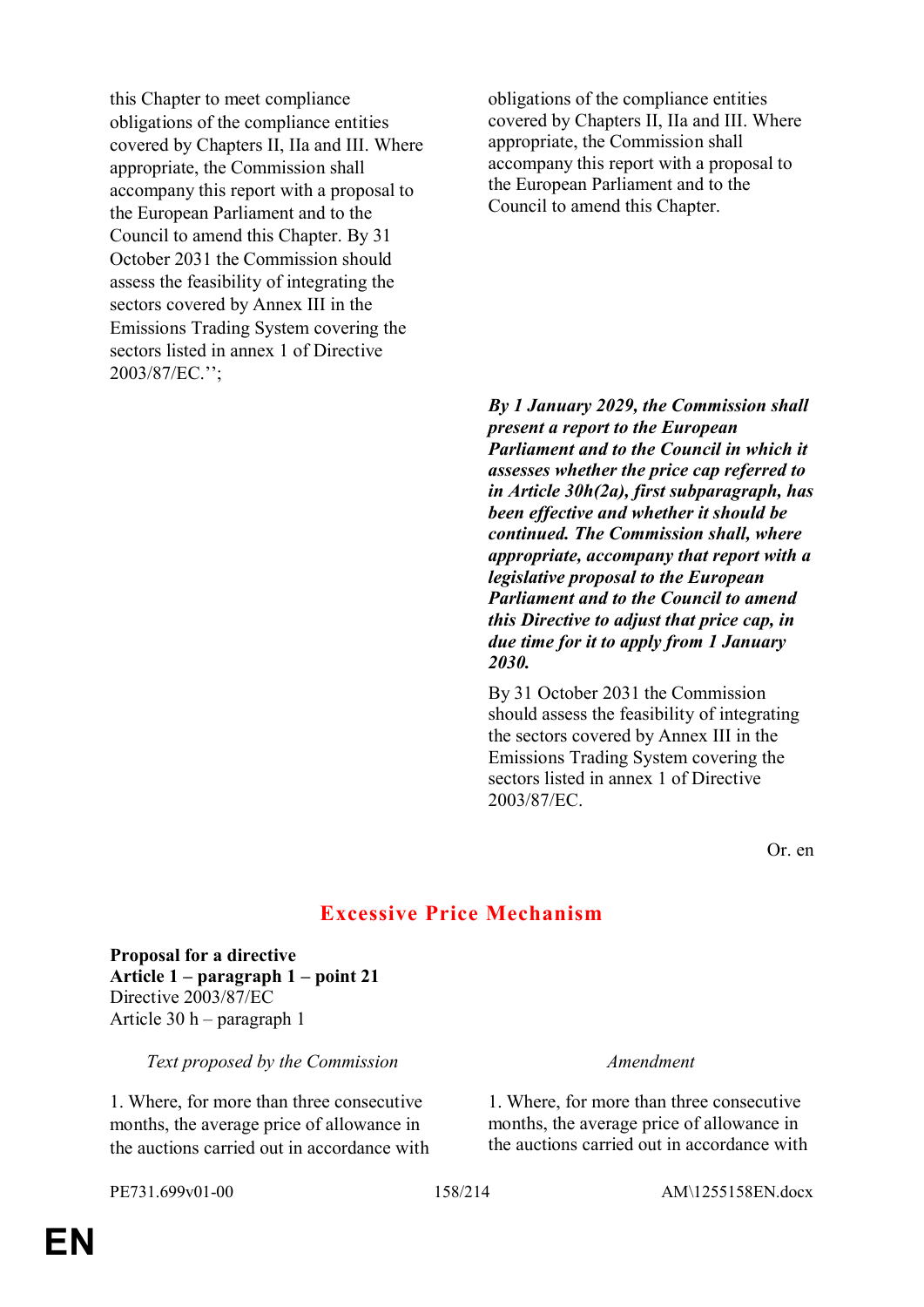this Chapter to meet compliance obligations of the compliance entities covered by Chapters II, IIa and III. Where appropriate, the Commission shall accompany this report with a proposal to the European Parliament and to the Council to amend this Chapter. By 31 October 2031 the Commission should assess the feasibility of integrating the sectors covered by Annex III in the Emissions Trading System covering the sectors listed in annex 1 of Directive 2003/87/EC.'';

obligations of the compliance entities covered by Chapters II, IIa and III. Where appropriate, the Commission shall accompany this report with a proposal to the European Parliament and to the Council to amend this Chapter.

*By 1 January 2029, the Commission shall present a report to the European Parliament and to the Council in which it assesses whether the price cap referred to in Article 30h(2a), first subparagraph, has been effective and whether it should be continued. The Commission shall, where appropriate, accompany that report with a legislative proposal to the European Parliament and to the Council to amend this Directive to adjust that price cap, in due time for it to apply from 1 January 2030.*

By 31 October 2031 the Commission should assess the feasibility of integrating the sectors covered by Annex III in the Emissions Trading System covering the sectors listed in annex 1 of Directive 2003/87/EC.

Or. en

# **Excessive Price Mechanism**

**Proposal for a directive Article 1 – paragraph 1 – point 21** Directive 2003/87/EC Article 30 h – paragraph 1

*Text proposed by the Commission Amendment*

1. Where, for more than three consecutive months, the average price of allowance in the auctions carried out in accordance with

1. Where, for more than three consecutive months, the average price of allowance in the auctions carried out in accordance with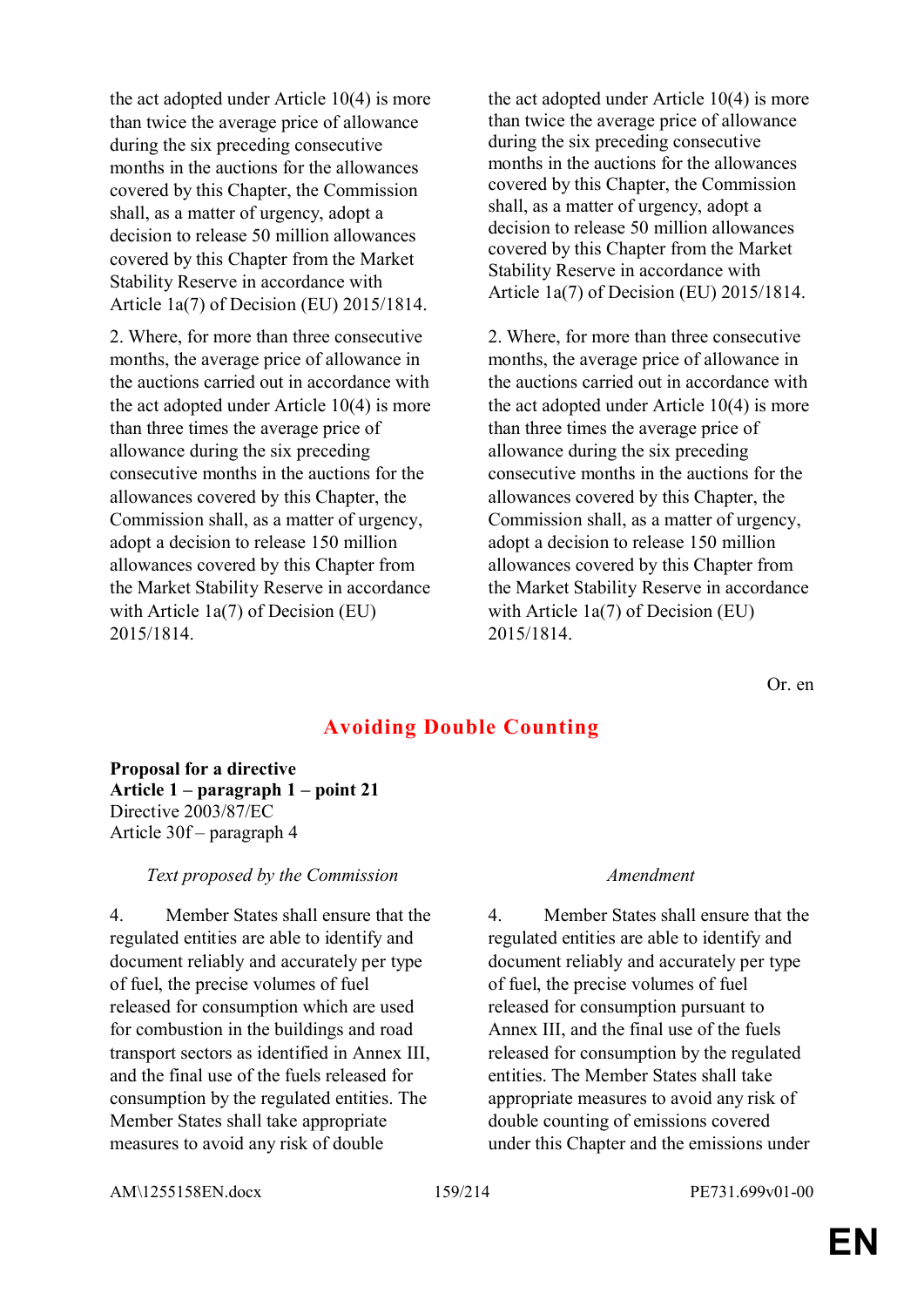the act adopted under Article 10(4) is more than twice the average price of allowance during the six preceding consecutive months in the auctions for the allowances covered by this Chapter, the Commission shall, as a matter of urgency, adopt a decision to release 50 million allowances covered by this Chapter from the Market Stability Reserve in accordance with Article 1a(7) of Decision (EU) 2015/1814.

2. Where, for more than three consecutive months, the average price of allowance in the auctions carried out in accordance with the act adopted under Article 10(4) is more than three times the average price of allowance during the six preceding consecutive months in the auctions for the allowances covered by this Chapter, the Commission shall, as a matter of urgency, adopt a decision to release 150 million allowances covered by this Chapter from the Market Stability Reserve in accordance with Article 1a(7) of Decision (EU) 2015/1814.

the act adopted under Article 10(4) is more than twice the average price of allowance during the six preceding consecutive months in the auctions for the allowances covered by this Chapter, the Commission shall, as a matter of urgency, adopt a decision to release 50 million allowances covered by this Chapter from the Market Stability Reserve in accordance with Article 1a(7) of Decision (EU) 2015/1814.

2. Where, for more than three consecutive months, the average price of allowance in the auctions carried out in accordance with the act adopted under Article 10(4) is more than three times the average price of allowance during the six preceding consecutive months in the auctions for the allowances covered by this Chapter, the Commission shall, as a matter of urgency, adopt a decision to release 150 million allowances covered by this Chapter from the Market Stability Reserve in accordance with Article 1a(7) of Decision (EU) 2015/1814.

Or. en

# **Avoiding Double Counting**

**Proposal for a directive Article 1 – paragraph 1 – point 21** Directive 2003/87/EC Article 30f – paragraph 4

### *Text proposed by the Commission Amendment*

4. Member States shall ensure that the regulated entities are able to identify and document reliably and accurately per type of fuel, the precise volumes of fuel released for consumption which are used for combustion in the buildings and road transport sectors as identified in Annex III, and the final use of the fuels released for consumption by the regulated entities. The Member States shall take appropriate measures to avoid any risk of double

4. Member States shall ensure that the regulated entities are able to identify and document reliably and accurately per type of fuel, the precise volumes of fuel released for consumption pursuant to Annex III, and the final use of the fuels released for consumption by the regulated entities. The Member States shall take appropriate measures to avoid any risk of double counting of emissions covered under this Chapter and the emissions under

AM\1255158EN.docx 159/214 PE731.699v01-00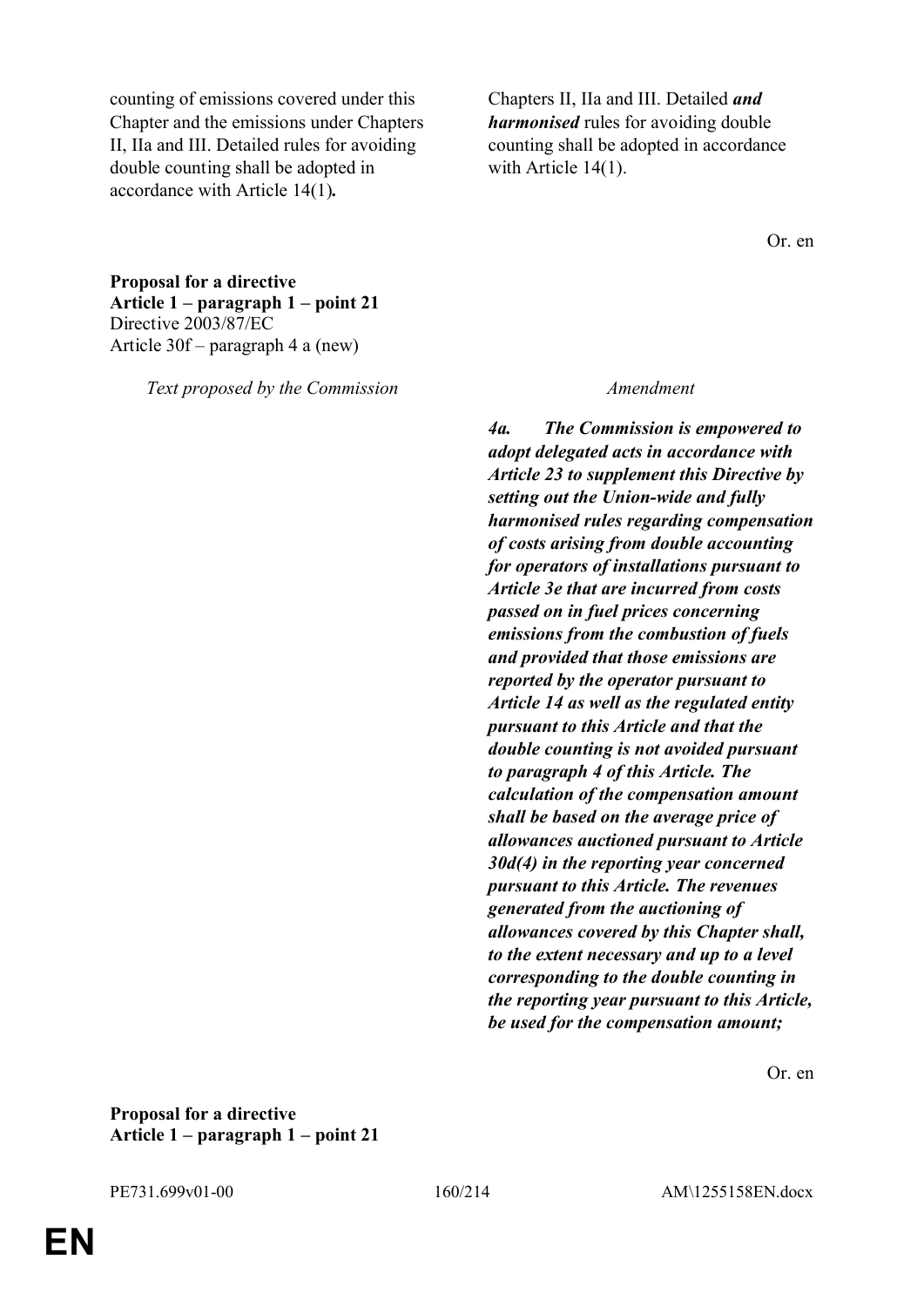counting of emissions covered under this Chapter and the emissions under Chapters II, IIa and III. Detailed rules for avoiding double counting shall be adopted in accordance with Article 14(1)*.*

Chapters II, IIa and III. Detailed *and harmonised* rules for avoiding double counting shall be adopted in accordance with Article 14(1).

Or. en

**Proposal for a directive Article 1 – paragraph 1 – point 21** Directive 2003/87/EC Article 30f – paragraph 4 a (new)

*Text proposed by the Commission Amendment*

*4a. The Commission is empowered to adopt delegated acts in accordance with Article 23 to supplement this Directive by setting out the Union-wide and fully harmonised rules regarding compensation of costs arising from double accounting for operators of installations pursuant to Article 3e that are incurred from costs passed on in fuel prices concerning emissions from the combustion of fuels and provided that those emissions are reported by the operator pursuant to Article 14 as well as the regulated entity pursuant to this Article and that the double counting is not avoided pursuant to paragraph 4 of this Article. The calculation of the compensation amount shall be based on the average price of allowances auctioned pursuant to Article 30d(4) in the reporting year concerned pursuant to this Article. The revenues generated from the auctioning of allowances covered by this Chapter shall, to the extent necessary and up to a level corresponding to the double counting in the reporting year pursuant to this Article, be used for the compensation amount;*

Or. en

**Proposal for a directive Article 1 – paragraph 1 – point 21**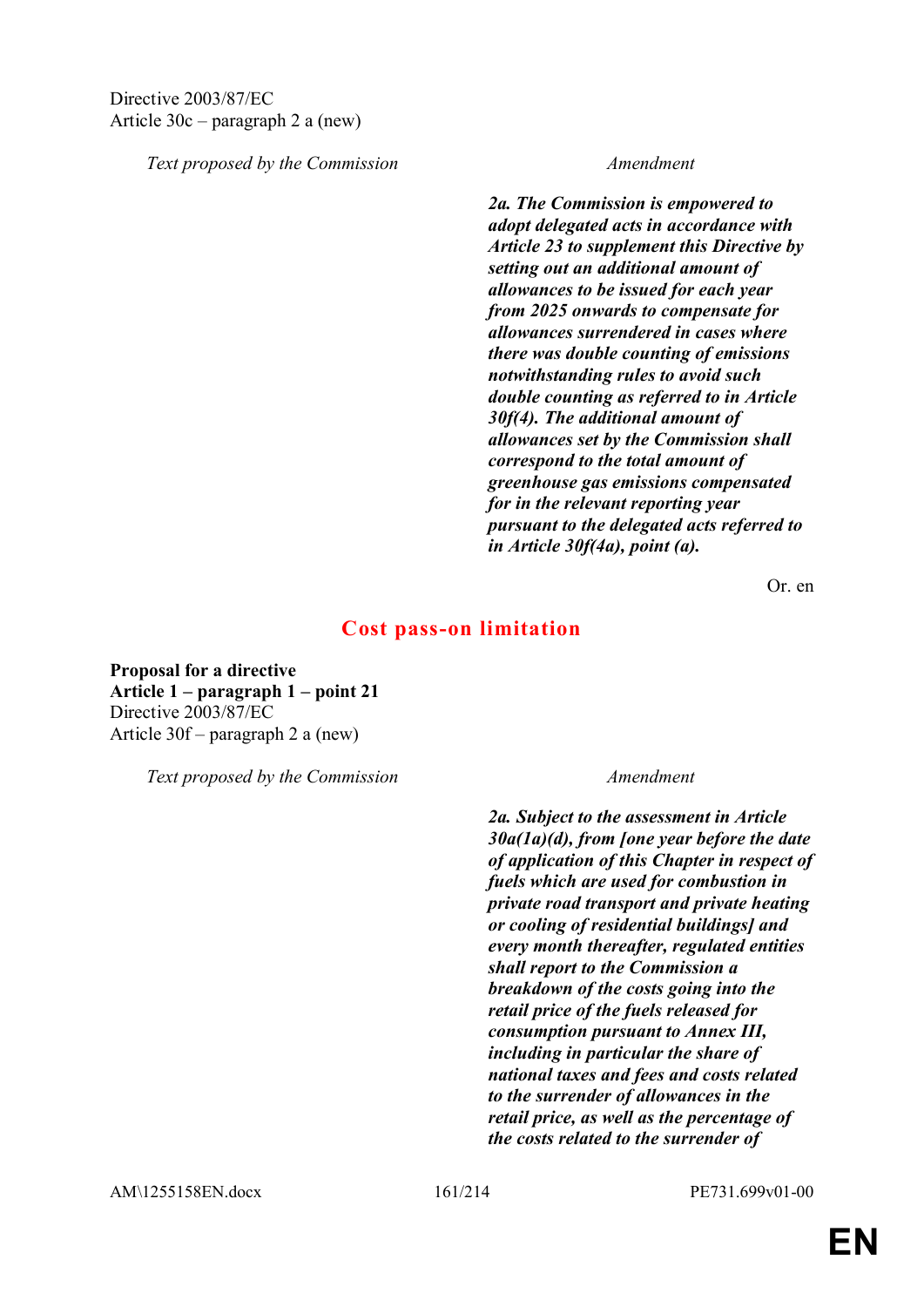*Text proposed by the Commission Amendment*

*2a. The Commission is empowered to adopt delegated acts in accordance with Article 23 to supplement this Directive by setting out an additional amount of allowances to be issued for each year from 2025 onwards to compensate for allowances surrendered in cases where there was double counting of emissions notwithstanding rules to avoid such double counting as referred to in Article 30f(4). The additional amount of allowances set by the Commission shall correspond to the total amount of greenhouse gas emissions compensated for in the relevant reporting year pursuant to the delegated acts referred to in Article 30f(4a), point (a).*

Or. en

## **Cost pass-on limitation**

**Proposal for a directive Article 1 – paragraph 1 – point 21** Directive 2003/87/EC Article 30f – paragraph 2 a (new)

*Text proposed by the Commission Amendment*

*2a. Subject to the assessment in Article 30a(1a)(d), from [one year before the date of application of this Chapter in respect of fuels which are used for combustion in private road transport and private heating or cooling of residential buildings] and every month thereafter, regulated entities shall report to the Commission a breakdown of the costs going into the retail price of the fuels released for consumption pursuant to Annex III, including in particular the share of national taxes and fees and costs related to the surrender of allowances in the retail price, as well as the percentage of the costs related to the surrender of*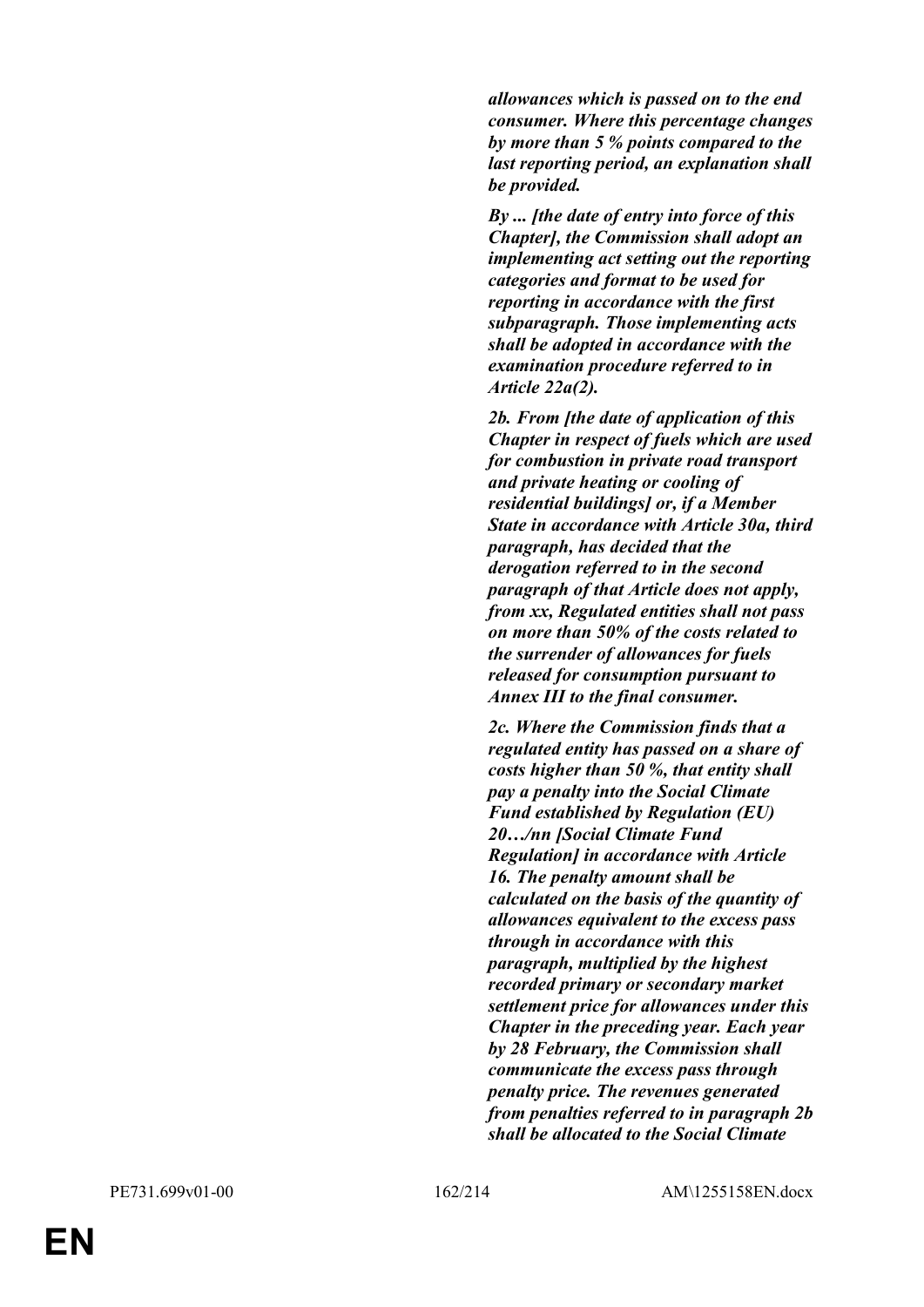*allowances which is passed on to the end consumer. Where this percentage changes by more than 5 % points compared to the last reporting period, an explanation shall be provided.*

*By ... [the date of entry into force of this Chapter], the Commission shall adopt an implementing act setting out the reporting categories and format to be used for reporting in accordance with the first subparagraph. Those implementing acts shall be adopted in accordance with the examination procedure referred to in Article 22a(2).*

*2b. From [the date of application of this Chapter in respect of fuels which are used for combustion in private road transport and private heating or cooling of residential buildings] or, if a Member State in accordance with Article 30a, third paragraph, has decided that the derogation referred to in the second paragraph of that Article does not apply, from xx, Regulated entities shall not pass on more than 50% of the costs related to the surrender of allowances for fuels released for consumption pursuant to Annex III to the final consumer.*

*2c. Where the Commission finds that a regulated entity has passed on a share of costs higher than 50 %, that entity shall pay a penalty into the Social Climate Fund established by Regulation (EU) 20…/nn [Social Climate Fund Regulation] in accordance with Article 16. The penalty amount shall be calculated on the basis of the quantity of allowances equivalent to the excess pass through in accordance with this paragraph, multiplied by the highest recorded primary or secondary market settlement price for allowances under this Chapter in the preceding year. Each year by 28 February, the Commission shall communicate the excess pass through penalty price. The revenues generated from penalties referred to in paragraph 2b shall be allocated to the Social Climate*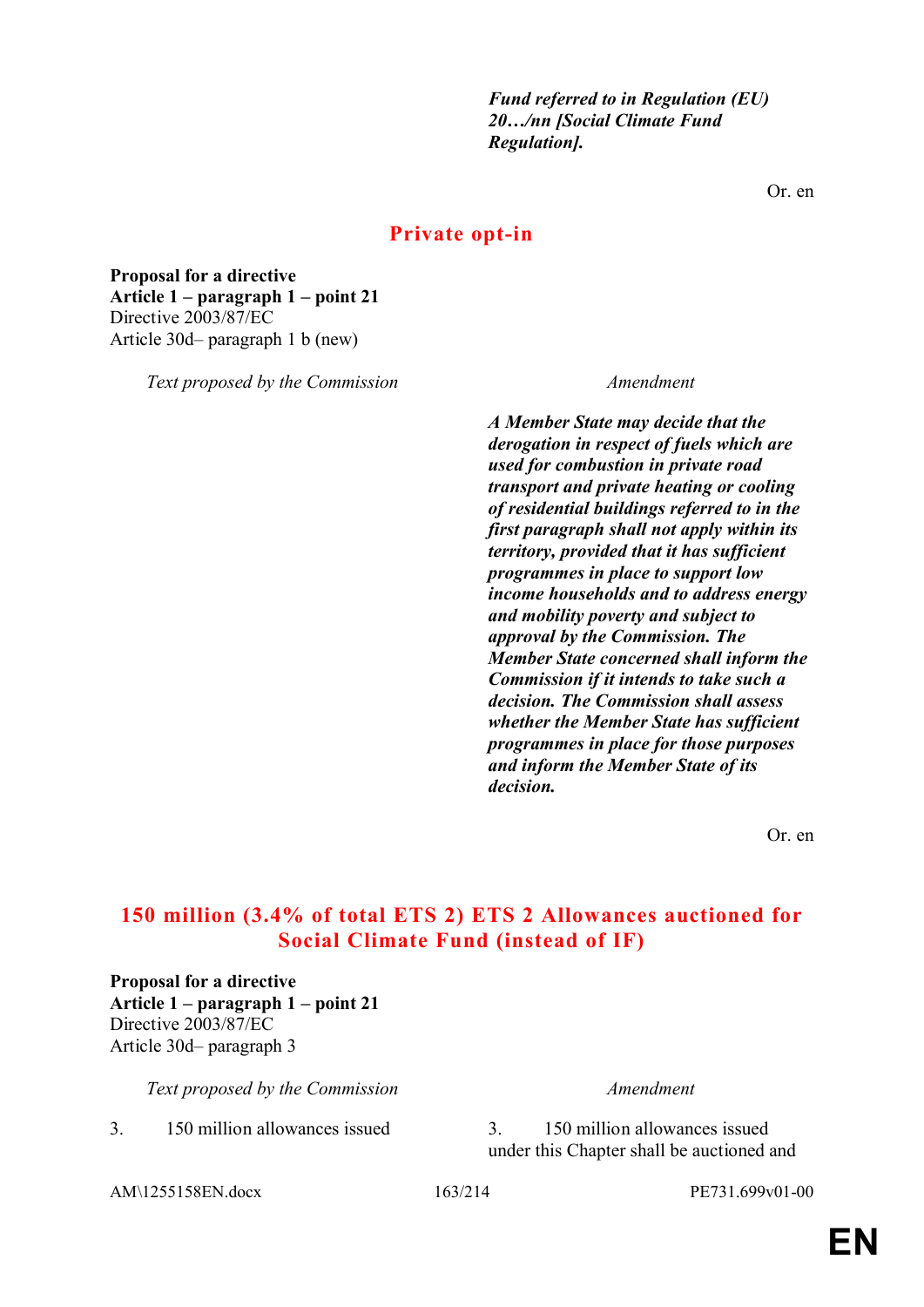*Fund referred to in Regulation (EU) 20…/nn [Social Climate Fund Regulation].*

Or. en

### **Private opt-in**

**Proposal for a directive Article 1 – paragraph 1 – point 21** Directive 2003/87/EC Article 30d– paragraph 1 b (new)

*Text proposed by the Commission Amendment*

*A Member State may decide that the derogation in respect of fuels which are used for combustion in private road transport and private heating or cooling of residential buildings referred to in the first paragraph shall not apply within its territory, provided that it has sufficient programmes in place to support low income households and to address energy and mobility poverty and subject to approval by the Commission. The Member State concerned shall inform the Commission if it intends to take such a decision. The Commission shall assess whether the Member State has sufficient programmes in place for those purposes and inform the Member State of its decision.*

Or. en

# **150 million (3.4% of total ETS 2) ETS 2 Allowances auctioned for Social Climate Fund (instead of IF)**

**Proposal for a directive Article 1 – paragraph 1 – point 21** Directive 2003/87/EC Article 30d– paragraph 3

*Text proposed by the Commission Amendment*

3. 150 million allowances issued 3. 150 million allowances issued under this Chapter shall be auctioned and

AM\1255158EN.docx 163/214 PE731.699v01-00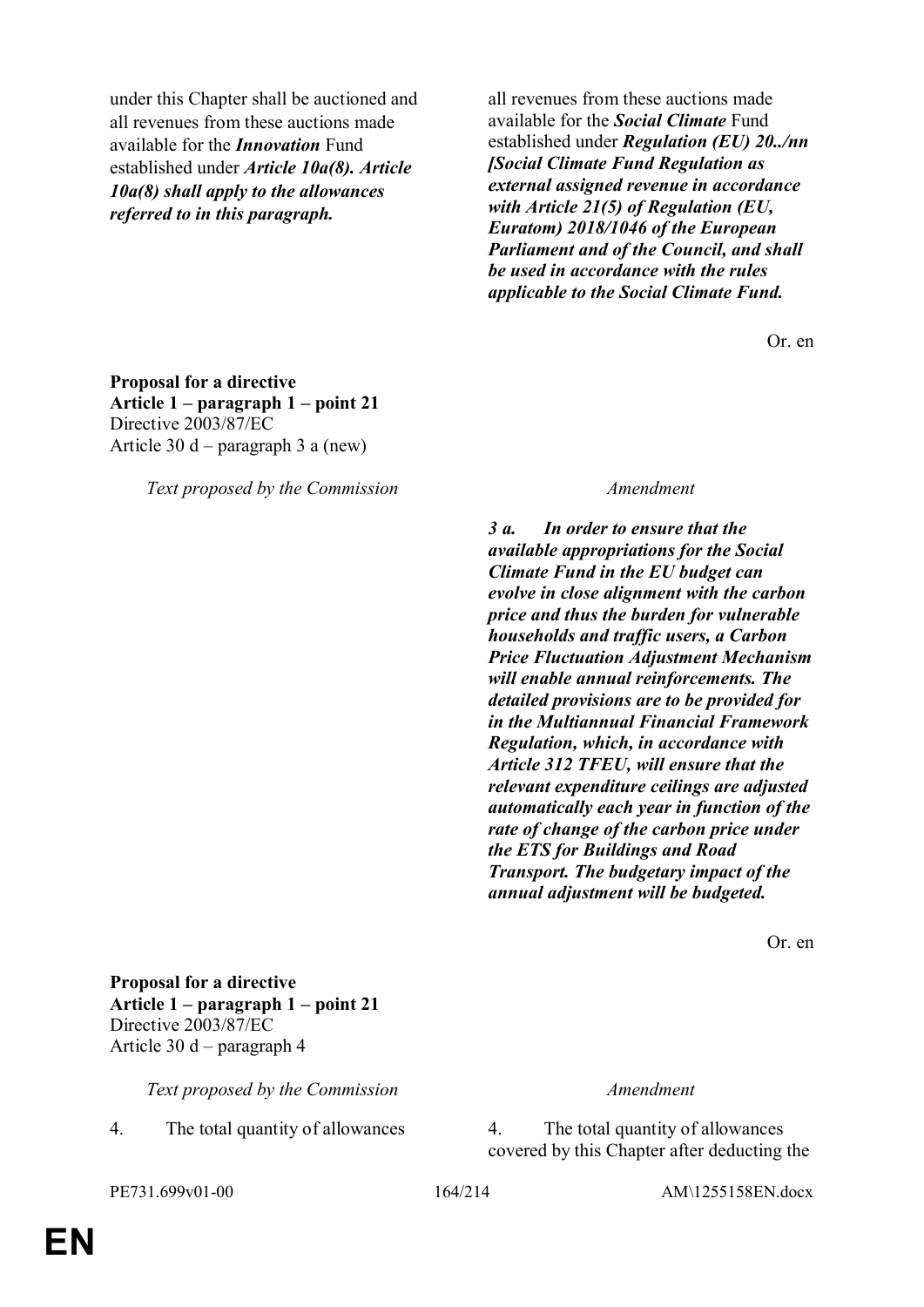under this Chapter shall be auctioned and all revenues from these auctions made available for the *Innovation* Fund established under *Article 10a(8). Article 10a(8) shall apply to the allowances referred to in this paragraph.*

all revenues from these auctions made available for the *Social Climate* Fund established under *Regulation (EU) 20../nn [Social Climate Fund Regulation as external assigned revenue in accordance with Article 21(5) of Regulation (EU, Euratom) 2018/1046 of the European Parliament and of the Council, and shall be used in accordance with the rules applicable to the Social Climate Fund.*

Or. en

### **Proposal for a directive Article 1 – paragraph 1 – point 21** Directive 2003/87/EC Article 30 d – paragraph 3 a (new)

*Text proposed by the Commission Amendment*

*3 a. In order to ensure that the available appropriations for the Social Climate Fund in the EU budget can evolve in close alignment with the carbon price and thus the burden for vulnerable households and traffic users, a Carbon Price Fluctuation Adjustment Mechanism will enable annual reinforcements. The detailed provisions are to be provided for in the Multiannual Financial Framework Regulation, which, in accordance with Article 312 TFEU, will ensure that the relevant expenditure ceilings are adjusted automatically each year in function of the rate of change of the carbon price under the ETS for Buildings and Road Transport. The budgetary impact of the annual adjustment will be budgeted.*

Or. en

**Proposal for a directive Article 1 – paragraph 1 – point 21** Directive 2003/87/EC Article 30 d – paragraph 4

*Text proposed by the Commission Amendment*

4. The total quantity of allowances 4. The total quantity of allowances covered by this Chapter after deducting the

PE731.699v01-00 164/214 AM\1255158EN.docx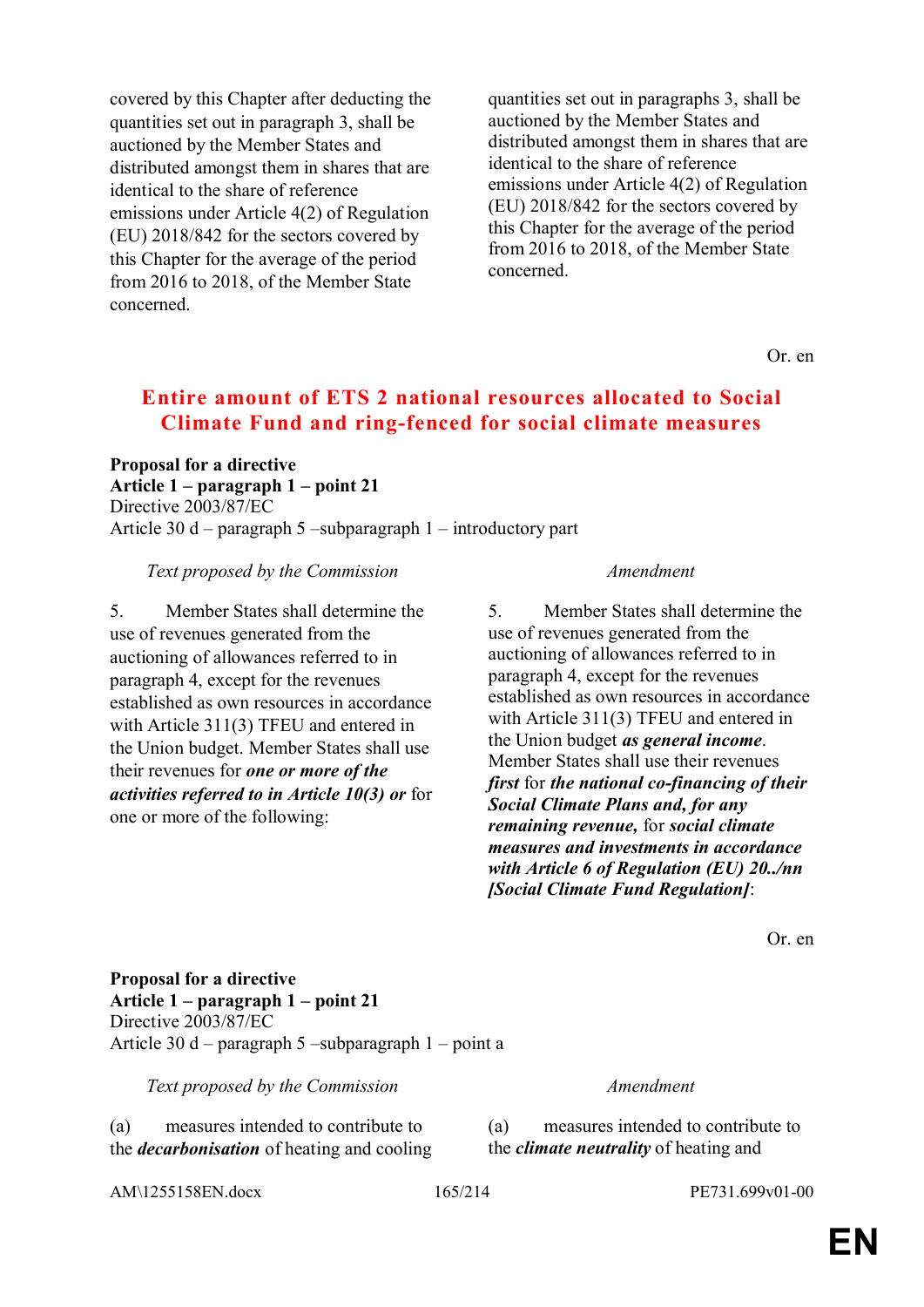covered by this Chapter after deducting the quantities set out in paragraph 3, shall be auctioned by the Member States and distributed amongst them in shares that are identical to the share of reference emissions under Article 4(2) of Regulation (EU) 2018/842 for the sectors covered by this Chapter for the average of the period from 2016 to 2018, of the Member State concerned.

quantities set out in paragraphs 3, shall be auctioned by the Member States and distributed amongst them in shares that are identical to the share of reference emissions under Article 4(2) of Regulation (EU) 2018/842 for the sectors covered by this Chapter for the average of the period from 2016 to 2018, of the Member State concerned.

Or. en

# **Entire amount of ETS 2 national resources allocated to Social Climate Fund and ring-fenced for social climate measures**

### **Proposal for a directive**

**Article 1 – paragraph 1 – point 21** Directive 2003/87/EC Article 30 d – paragraph 5 –subparagraph 1 – introductory part

### *Text proposed by the Commission Amendment*

5. Member States shall determine the use of revenues generated from the auctioning of allowances referred to in paragraph 4, except for the revenues established as own resources in accordance with Article 311(3) TFEU and entered in the Union budget. Member States shall use their revenues for *one or more of the activities referred to in Article 10(3) or* for one or more of the following:

5. Member States shall determine the use of revenues generated from the auctioning of allowances referred to in paragraph 4, except for the revenues established as own resources in accordance with Article 311(3) TFEU and entered in the Union budget *as general income*. Member States shall use their revenues *first* for *the national co-financing of their Social Climate Plans and, for any remaining revenue,* for *social climate measures and investments in accordance with Article 6 of Regulation (EU) 20../nn [Social Climate Fund Regulation]*:

Or. en

### **Proposal for a directive Article 1 – paragraph 1 – point 21** Directive 2003/87/EC Article 30 d – paragraph 5 –subparagraph 1 – point a

*Text proposed by the Commission Amendment*

(a) measures intended to contribute to the *decarbonisation* of heating and cooling

(a) measures intended to contribute to the *climate neutrality* of heating and

AM\1255158EN.docx 165/214 PE731.699v01-00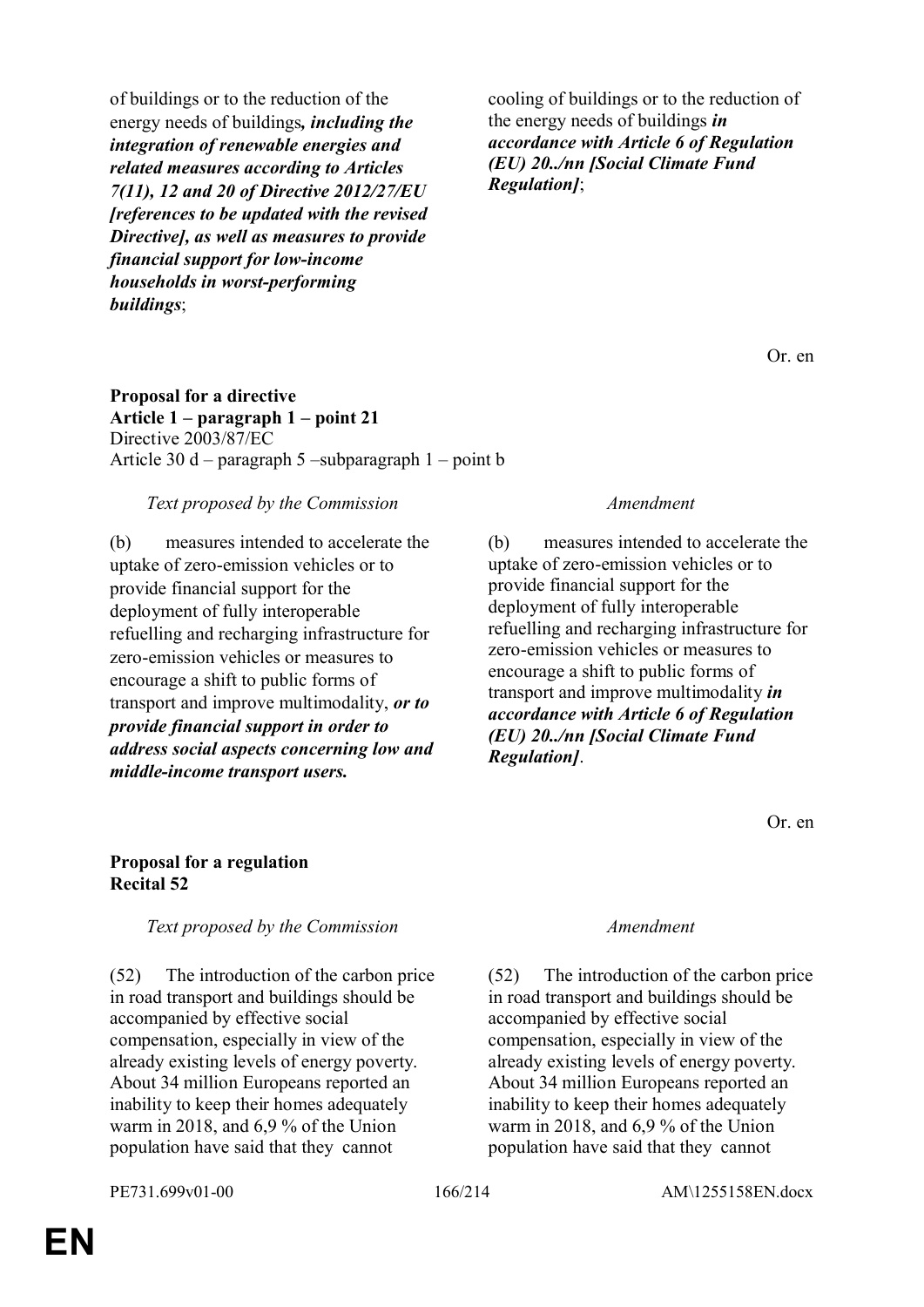of buildings or to the reduction of the energy needs of buildings*, including the integration of renewable energies and related measures according to Articles 7(11), 12 and 20 of Directive 2012/27/EU [references to be updated with the revised Directive], as well as measures to provide financial support for low-income households in worst-performing buildings*;

cooling of buildings or to the reduction of the energy needs of buildings *in accordance with Article 6 of Regulation (EU) 20../nn [Social Climate Fund Regulation]*;

Or. en

### **Proposal for a directive Article 1 – paragraph 1 – point 21**

Directive 2003/87/EC Article 30 d – paragraph 5 –subparagraph 1 – point b

### *Text proposed by the Commission Amendment*

(b) measures intended to accelerate the uptake of zero-emission vehicles or to provide financial support for the deployment of fully interoperable refuelling and recharging infrastructure for zero-emission vehicles or measures to encourage a shift to public forms of transport and improve multimodality, *or to provide financial support in order to address social aspects concerning low and middle-income transport users.*

(b) measures intended to accelerate the uptake of zero-emission vehicles or to provide financial support for the deployment of fully interoperable refuelling and recharging infrastructure for zero-emission vehicles or measures to encourage a shift to public forms of transport and improve multimodality *in accordance with Article 6 of Regulation (EU) 20../nn [Social Climate Fund Regulation]*.

Or. en

### **Proposal for a regulation Recital 52**

*Text proposed by the Commission Amendment*

(52) The introduction of the carbon price in road transport and buildings should be accompanied by effective social compensation, especially in view of the already existing levels of energy poverty. About 34 million Europeans reported an inability to keep their homes adequately warm in 2018, and 6,9 % of the Union population have said that they cannot

(52) The introduction of the carbon price in road transport and buildings should be accompanied by effective social compensation, especially in view of the already existing levels of energy poverty. About 34 million Europeans reported an inability to keep their homes adequately warm in 2018, and 6,9 % of the Union population have said that they cannot

PE731.699v01-00 166/214 AM\1255158EN.docx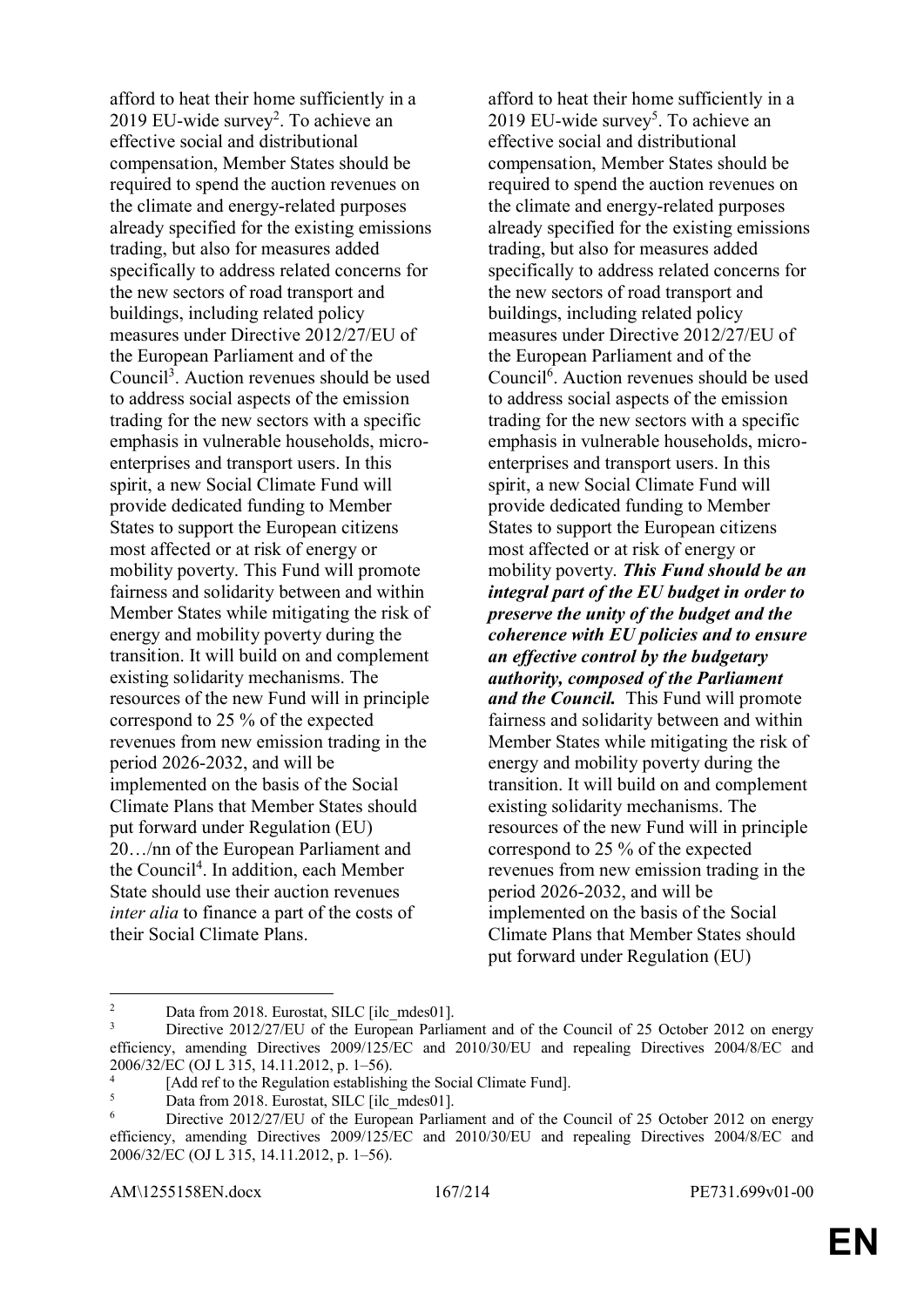afford to heat their home sufficiently in a 2019 EU-wide survey<sup>2</sup>. To achieve an effective social and distributional compensation, Member States should be required to spend the auction revenues on the climate and energy-related purposes already specified for the existing emissions trading, but also for measures added specifically to address related concerns for the new sectors of road transport and buildings, including related policy measures under Directive 2012/27/EU of the European Parliament and of the Council<sup>3</sup>. Auction revenues should be used to address social aspects of the emission trading for the new sectors with a specific emphasis in vulnerable households, microenterprises and transport users. In this spirit, a new Social Climate Fund will provide dedicated funding to Member States to support the European citizens most affected or at risk of energy or mobility poverty. This Fund will promote fairness and solidarity between and within Member States while mitigating the risk of energy and mobility poverty during the transition. It will build on and complement existing solidarity mechanisms. The resources of the new Fund will in principle correspond to 25 % of the expected revenues from new emission trading in the period 2026-2032, and will be implemented on the basis of the Social Climate Plans that Member States should put forward under Regulation (EU) 20…/nn of the European Parliament and the Council<sup>4</sup>. In addition, each Member State should use their auction revenues *inter alia* to finance a part of the costs of their Social Climate Plans.

afford to heat their home sufficiently in a 2019 EU-wide survey<sup>5</sup>. To achieve an effective social and distributional compensation, Member States should be required to spend the auction revenues on the climate and energy-related purposes already specified for the existing emissions trading, but also for measures added specifically to address related concerns for the new sectors of road transport and buildings, including related policy measures under Directive 2012/27/EU of the European Parliament and of the Council<sup>6</sup>. Auction revenues should be used to address social aspects of the emission trading for the new sectors with a specific emphasis in vulnerable households, microenterprises and transport users. In this spirit, a new Social Climate Fund will provide dedicated funding to Member States to support the European citizens most affected or at risk of energy or mobility poverty. *This Fund should be an integral part of the EU budget in order to preserve the unity of the budget and the coherence with EU policies and to ensure an effective control by the budgetary authority, composed of the Parliament and the Council.* This Fund will promote fairness and solidarity between and within Member States while mitigating the risk of energy and mobility poverty during the transition. It will build on and complement existing solidarity mechanisms. The resources of the new Fund will in principle correspond to 25 % of the expected revenues from new emission trading in the period 2026-2032, and will be implemented on the basis of the Social Climate Plans that Member States should put forward under Regulation (EU)

 $\overline{2}$  $\frac{2}{3}$  Data from 2018. Eurostat, SILC [ilc\_mdes01].

Directive 2012/27/EU of the European Parliament and of the Council of 25 October 2012 on energy efficiency, amending Directives 2009/125/EC and 2010/30/EU and repealing Directives 2004/8/EC and 2006/32/EC (OJ L 315, 14.11.2012, p. 1–56).

<sup>4</sup> [Add ref to the Regulation establishing the Social Climate Fund].

 $\frac{5}{6}$  Data from 2018. Eurostat, SILC [ilc\_mdes01].

<sup>6</sup> Directive 2012/27/EU of the European Parliament and of the Council of 25 October 2012 on energy efficiency, amending Directives 2009/125/EC and 2010/30/EU and repealing Directives 2004/8/EC and 2006/32/EC (OJ L 315, 14.11.2012, p. 1–56).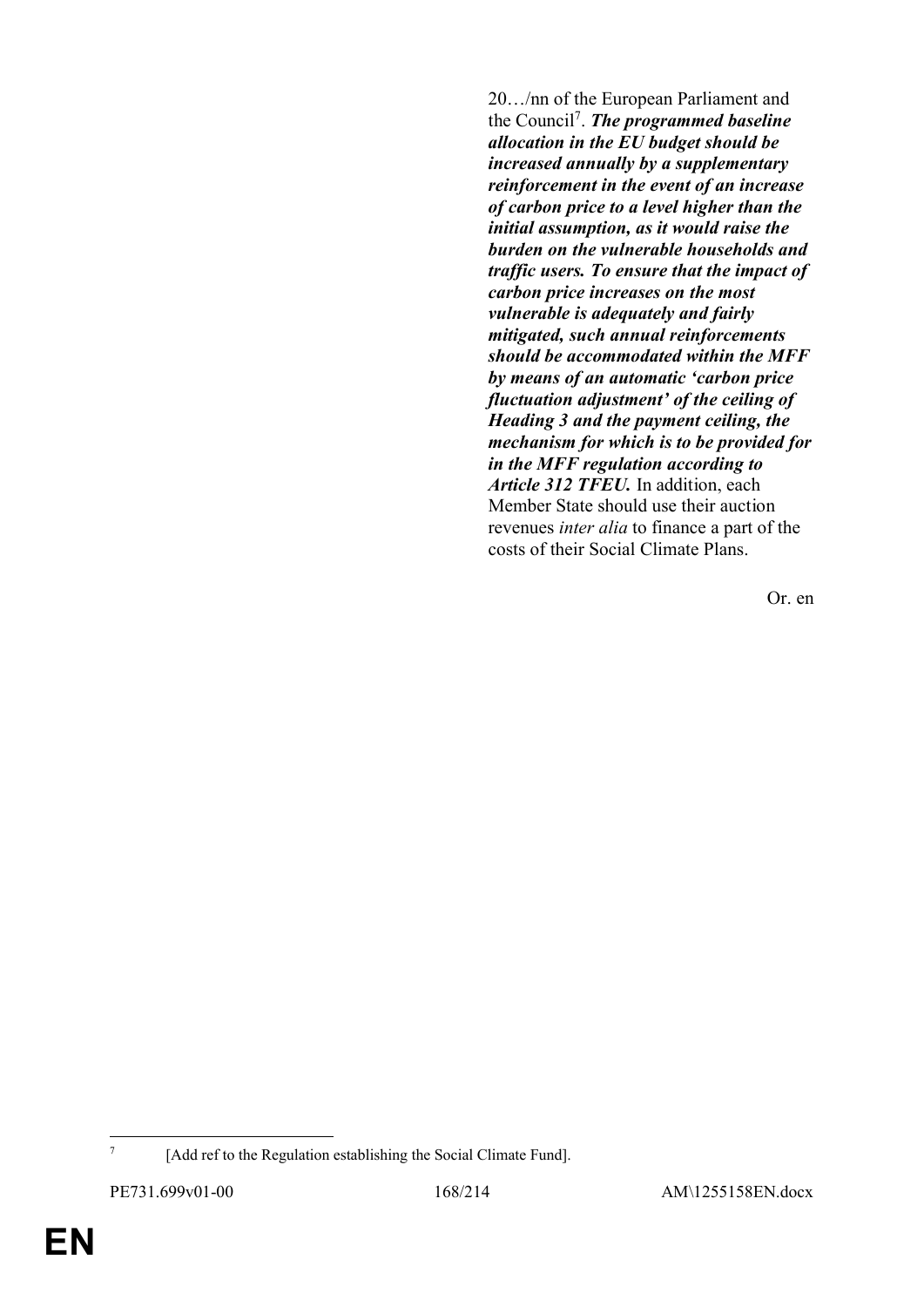20…/nn of the European Parliament and the Council<sup>7</sup>. The programmed baseline *allocation in the EU budget should be increased annually by a supplementary reinforcement in the event of an increase of carbon price to a level higher than the initial assumption, as it would raise the burden on the vulnerable households and traffic users. To ensure that the impact of carbon price increases on the most vulnerable is adequately and fairly mitigated, such annual reinforcements should be accommodated within the MFF by means of an automatic 'carbon price fluctuation adjustment' of the ceiling of Heading 3 and the payment ceiling, the mechanism for which is to be provided for in the MFF regulation according to Article 312 TFEU.* In addition, each Member State should use their auction revenues *inter alia* to finance a part of the costs of their Social Climate Plans.

Or. en

 $\overline{a}$ 7

<sup>[</sup>Add ref to the Regulation establishing the Social Climate Fund].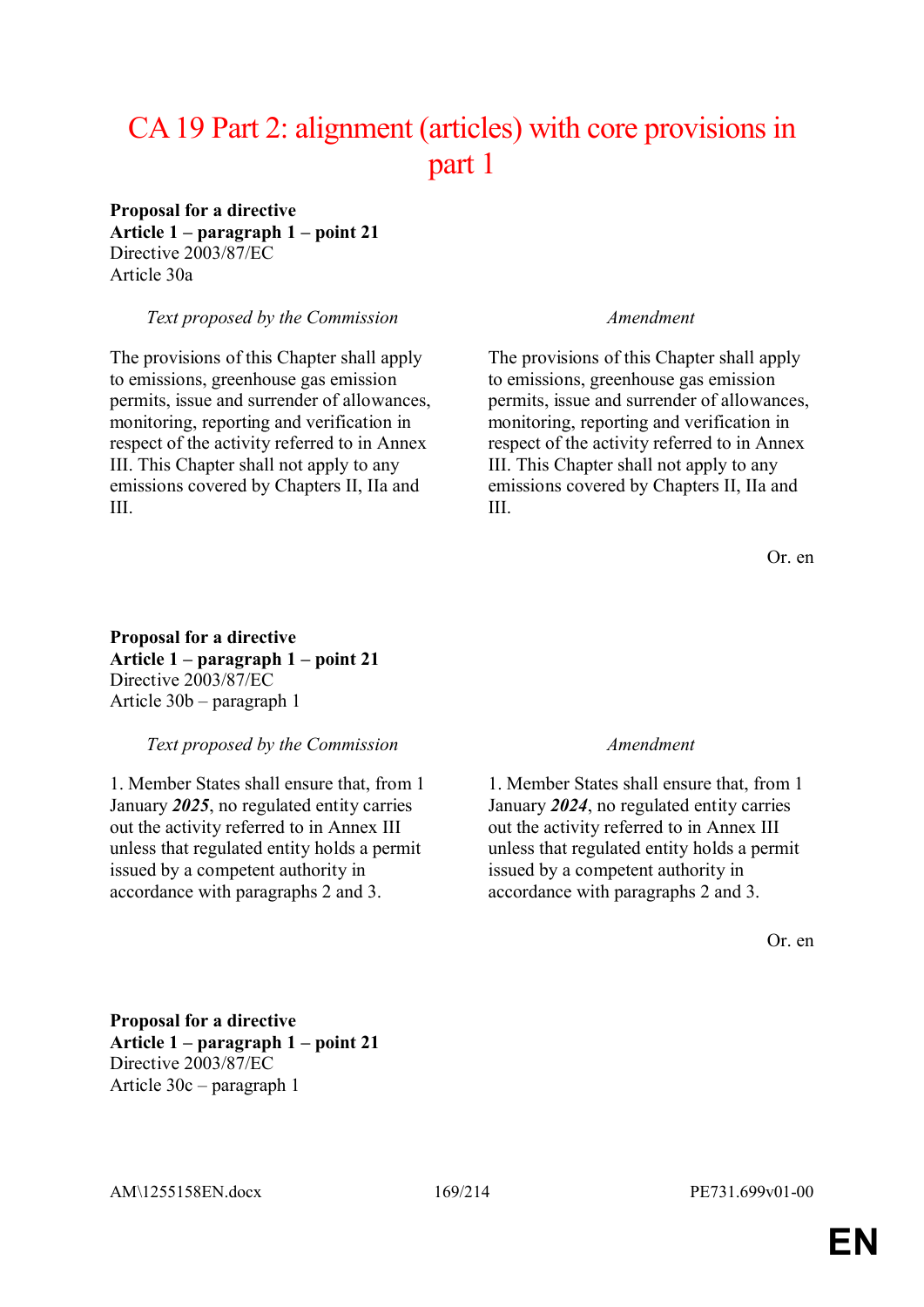# CA 19 Part 2: alignment (articles) with core provisions in part 1

**Proposal for a directive Article 1 – paragraph 1 – point 21** Directive 2003/87/EC Article 30a

### *Text proposed by the Commission Amendment*

The provisions of this Chapter shall apply to emissions, greenhouse gas emission permits, issue and surrender of allowances, monitoring, reporting and verification in respect of the activity referred to in Annex III. This Chapter shall not apply to any emissions covered by Chapters II, IIa and III.

The provisions of this Chapter shall apply to emissions, greenhouse gas emission permits, issue and surrender of allowances, monitoring, reporting and verification in respect of the activity referred to in Annex III. This Chapter shall not apply to any emissions covered by Chapters II, IIa and III.

Or. en

**Proposal for a directive Article 1 – paragraph 1 – point 21** Directive 2003/87/EC Article 30b – paragraph 1

### *Text proposed by the Commission Amendment*

1. Member States shall ensure that, from 1 January *2025*, no regulated entity carries out the activity referred to in Annex III unless that regulated entity holds a permit issued by a competent authority in accordance with paragraphs 2 and 3.

1. Member States shall ensure that, from 1 January *2024*, no regulated entity carries out the activity referred to in Annex III unless that regulated entity holds a permit issued by a competent authority in accordance with paragraphs 2 and 3.

Or. en

**Proposal for a directive Article 1 – paragraph 1 – point 21** Directive 2003/87/EC Article 30c – paragraph 1

AM\1255158EN.docx 169/214 PE731.699v01-00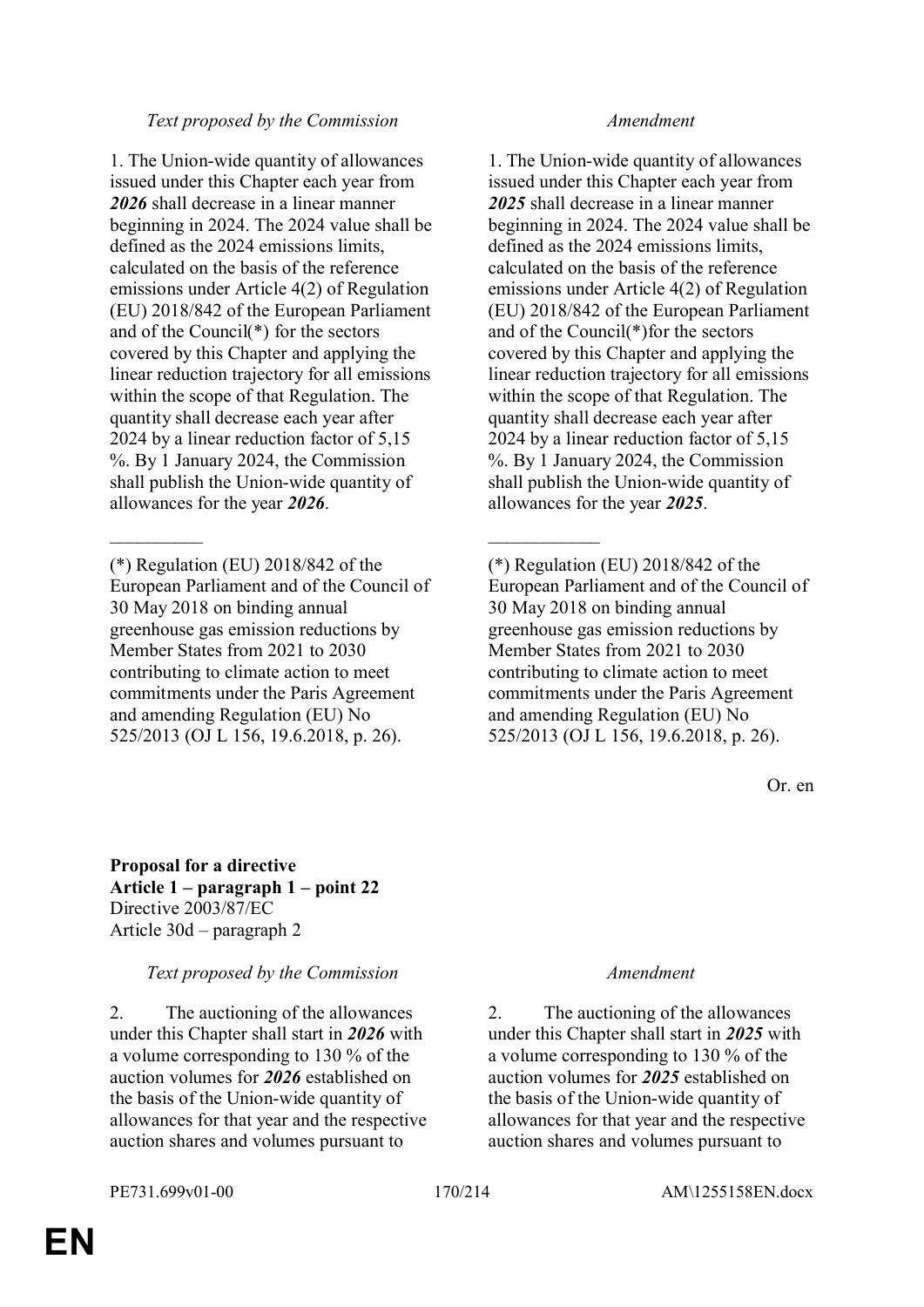### *Text proposed by the Commission Amendment*

1. The Union-wide quantity of allowances issued under this Chapter each year from *2026* shall decrease in a linear manner beginning in 2024. The 2024 value shall be defined as the 2024 emissions limits, calculated on the basis of the reference emissions under Article 4(2) of Regulation (EU) 2018/842 of the European Parliament and of the Council(\*) for the sectors covered by this Chapter and applying the linear reduction trajectory for all emissions within the scope of that Regulation. The quantity shall decrease each year after 2024 by a linear reduction factor of 5,15 %. By 1 January 2024, the Commission shall publish the Union-wide quantity of allowances for the year *2026*.

(\*) Regulation (EU) 2018/842 of the European Parliament and of the Council of 30 May 2018 on binding annual greenhouse gas emission reductions by Member States from 2021 to 2030 contributing to climate action to meet commitments under the Paris Agreement and amending Regulation (EU) No 525/2013 (OJ L 156, 19.6.2018, p. 26).

1. The Union-wide quantity of allowances issued under this Chapter each year from *2025* shall decrease in a linear manner beginning in 2024. The 2024 value shall be defined as the 2024 emissions limits, calculated on the basis of the reference emissions under Article 4(2) of Regulation (EU) 2018/842 of the European Parliament and of the Council(\*)for the sectors covered by this Chapter and applying the linear reduction trajectory for all emissions within the scope of that Regulation. The quantity shall decrease each year after 2024 by a linear reduction factor of 5,15 %. By 1 January 2024, the Commission shall publish the Union-wide quantity of allowances for the year *2025*.

(\*) Regulation (EU) 2018/842 of the European Parliament and of the Council of 30 May 2018 on binding annual greenhouse gas emission reductions by Member States from 2021 to 2030 contributing to climate action to meet commitments under the Paris Agreement and amending Regulation (EU) No 525/2013 (OJ L 156, 19.6.2018, p. 26).

Or. en

**Proposal for a directive Article 1 – paragraph 1 – point 22** Directive 2003/87/EC Article 30d – paragraph 2

### *Text proposed by the Commission Amendment*

2. The auctioning of the allowances under this Chapter shall start in *2026* with a volume corresponding to 130 % of the auction volumes for *2026* established on the basis of the Union-wide quantity of allowances for that year and the respective auction shares and volumes pursuant to

2. The auctioning of the allowances under this Chapter shall start in *2025* with a volume corresponding to 130 % of the auction volumes for *2025* established on the basis of the Union-wide quantity of allowances for that year and the respective auction shares and volumes pursuant to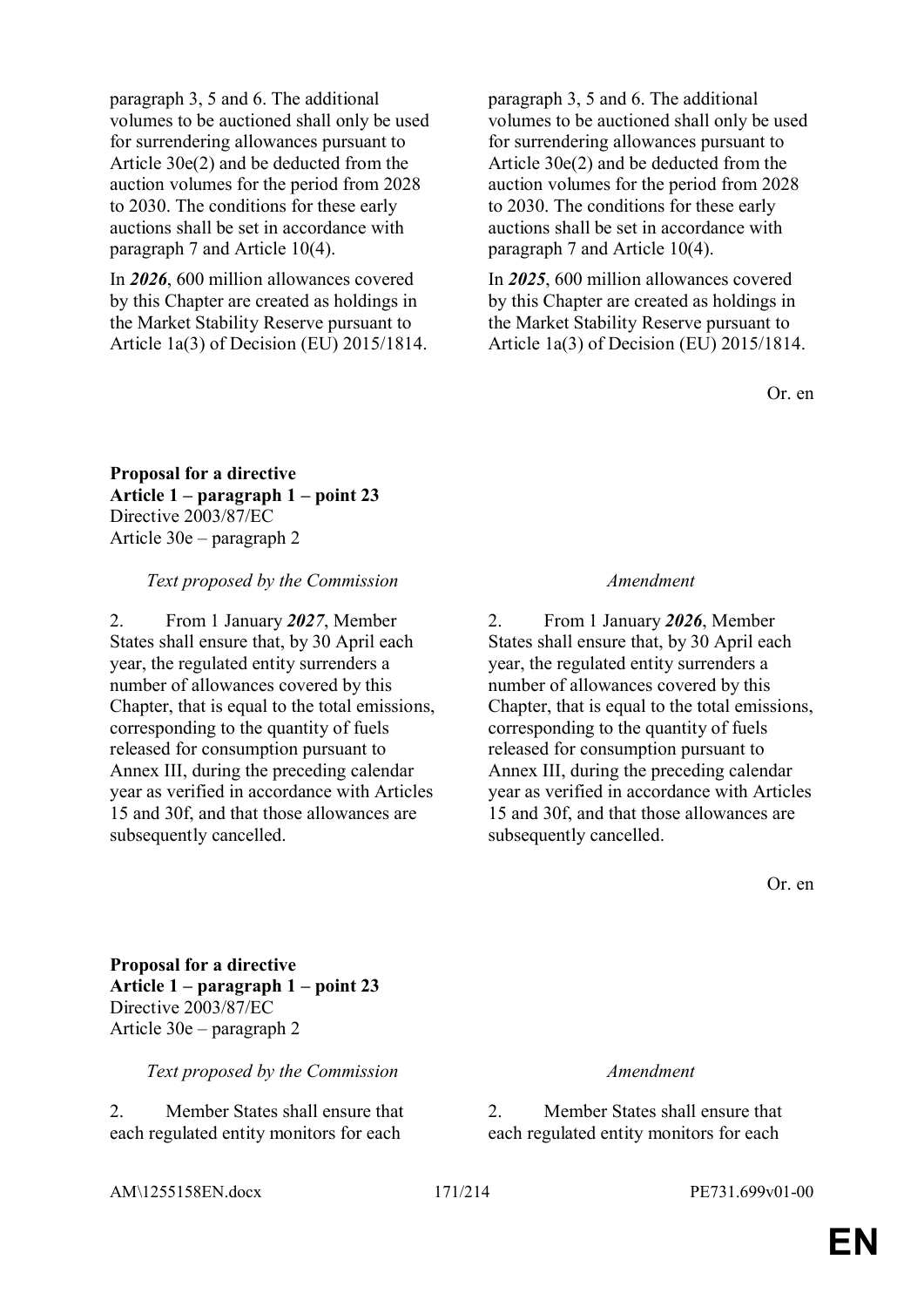paragraph 3, 5 and 6. The additional volumes to be auctioned shall only be used for surrendering allowances pursuant to Article 30e(2) and be deducted from the auction volumes for the period from 2028 to 2030. The conditions for these early auctions shall be set in accordance with paragraph 7 and Article 10(4).

In *2026*, 600 million allowances covered by this Chapter are created as holdings in the Market Stability Reserve pursuant to Article 1a(3) of Decision (EU) 2015/1814. paragraph 3, 5 and 6. The additional volumes to be auctioned shall only be used for surrendering allowances pursuant to Article 30e(2) and be deducted from the auction volumes for the period from 2028 to 2030. The conditions for these early auctions shall be set in accordance with paragraph 7 and Article 10(4).

In *2025*, 600 million allowances covered by this Chapter are created as holdings in the Market Stability Reserve pursuant to Article 1a(3) of Decision (EU) 2015/1814.

Or. en

### **Proposal for a directive Article 1 – paragraph 1 – point 23** Directive 2003/87/EC Article 30e – paragraph 2

### *Text proposed by the Commission Amendment*

2. From 1 January *2027*, Member States shall ensure that, by 30 April each year, the regulated entity surrenders a number of allowances covered by this Chapter, that is equal to the total emissions, corresponding to the quantity of fuels released for consumption pursuant to Annex III, during the preceding calendar year as verified in accordance with Articles 15 and 30f, and that those allowances are subsequently cancelled.

2. From 1 January *2026*, Member States shall ensure that, by 30 April each year, the regulated entity surrenders a number of allowances covered by this Chapter, that is equal to the total emissions, corresponding to the quantity of fuels released for consumption pursuant to Annex III, during the preceding calendar year as verified in accordance with Articles 15 and 30f, and that those allowances are subsequently cancelled.

Or. en

**Proposal for a directive Article 1 – paragraph 1 – point 23** Directive 2003/87/EC Article 30e – paragraph 2

### *Text proposed by the Commission Amendment*

2. Member States shall ensure that each regulated entity monitors for each

2. Member States shall ensure that each regulated entity monitors for each

AM\1255158EN.docx 171/214 PE731.699v01-00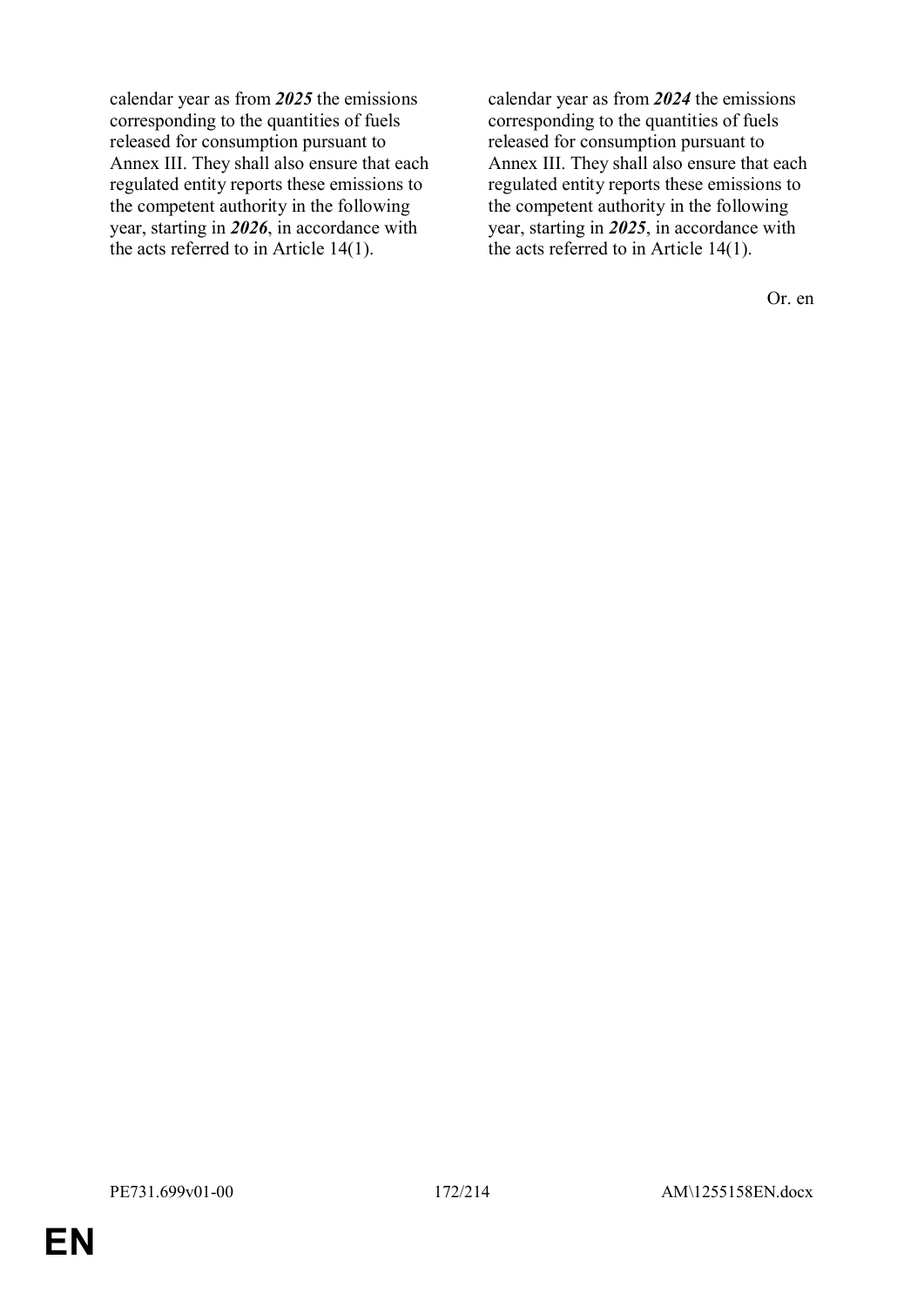calendar year as from *2025* the emissions corresponding to the quantities of fuels released for consumption pursuant to Annex III. They shall also ensure that each regulated entity reports these emissions to the competent authority in the following year, starting in *2026*, in accordance with the acts referred to in Article 14(1).

calendar year as from *2024* the emissions corresponding to the quantities of fuels released for consumption pursuant to Annex III. They shall also ensure that each regulated entity reports these emissions to the competent authority in the following year, starting in *2025*, in accordance with the acts referred to in Article 14(1).

Or. en

**EN**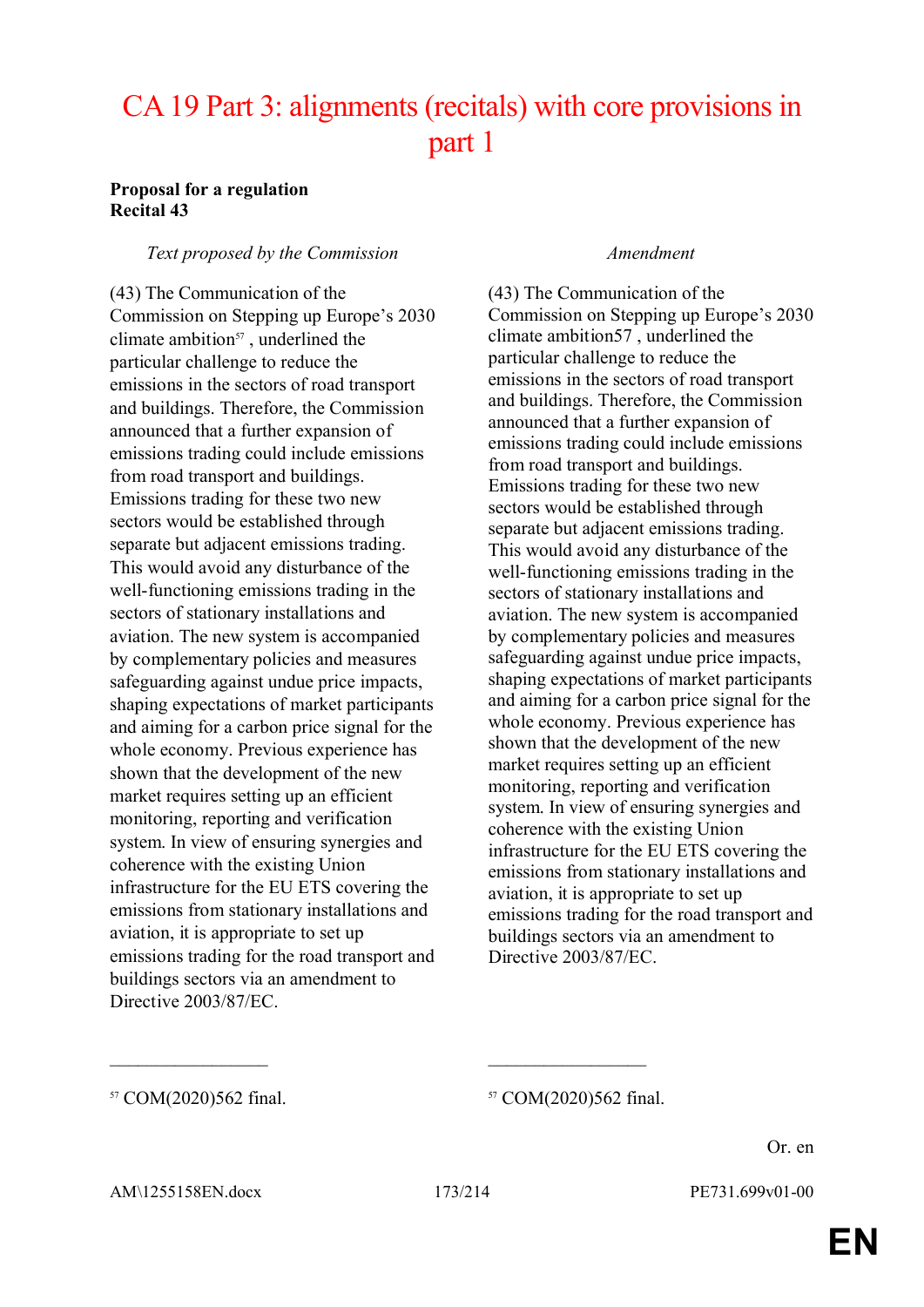# CA 19 Part 3: alignments (recitals) with core provisions in part 1

### **Proposal for a regulation Recital 43**

### *Text proposed by the Commission Amendment*

(43) The Communication of the Commission on Stepping up Europe's 2030 climate ambition <sup>57</sup> , underlined the particular challenge to reduce the emissions in the sectors of road transport and buildings. Therefore, the Commission announced that a further expansion of emissions trading could include emissions from road transport and buildings. Emissions trading for these two new sectors would be established through separate but adjacent emissions trading. This would avoid any disturbance of the well-functioning emissions trading in the sectors of stationary installations and aviation. The new system is accompanied by complementary policies and measures safeguarding against undue price impacts, shaping expectations of market participants and aiming for a carbon price signal for the whole economy. Previous experience has shown that the development of the new market requires setting up an efficient monitoring, reporting and verification system. In view of ensuring synergies and coherence with the existing Union infrastructure for the EU ETS covering the emissions from stationary installations and aviation, it is appropriate to set up emissions trading for the road transport and buildings sectors via an amendment to Directive 2003/87/ЕC.

(43) The Communication of the Commission on Stepping up Europe's 2030 climate ambition57 , underlined the particular challenge to reduce the emissions in the sectors of road transport and buildings. Therefore, the Commission announced that a further expansion of emissions trading could include emissions from road transport and buildings. Emissions trading for these two new sectors would be established through separate but adjacent emissions trading. This would avoid any disturbance of the well-functioning emissions trading in the sectors of stationary installations and aviation. The new system is accompanied by complementary policies and measures safeguarding against undue price impacts, shaping expectations of market participants and aiming for a carbon price signal for the whole economy. Previous experience has shown that the development of the new market requires setting up an efficient monitoring, reporting and verification system. In view of ensuring synergies and coherence with the existing Union infrastructure for the EU ETS covering the emissions from stationary installations and aviation, it is appropriate to set up emissions trading for the road transport and buildings sectors via an amendment to Directive 2003/87/ЕC.

 $57 \text{ COM}(2020)562 \text{ final.}$   $57 \text{ COM}(2020)562 \text{ final.}$ 

AM\1255158EN.docx 173/214 PE731.699v01-00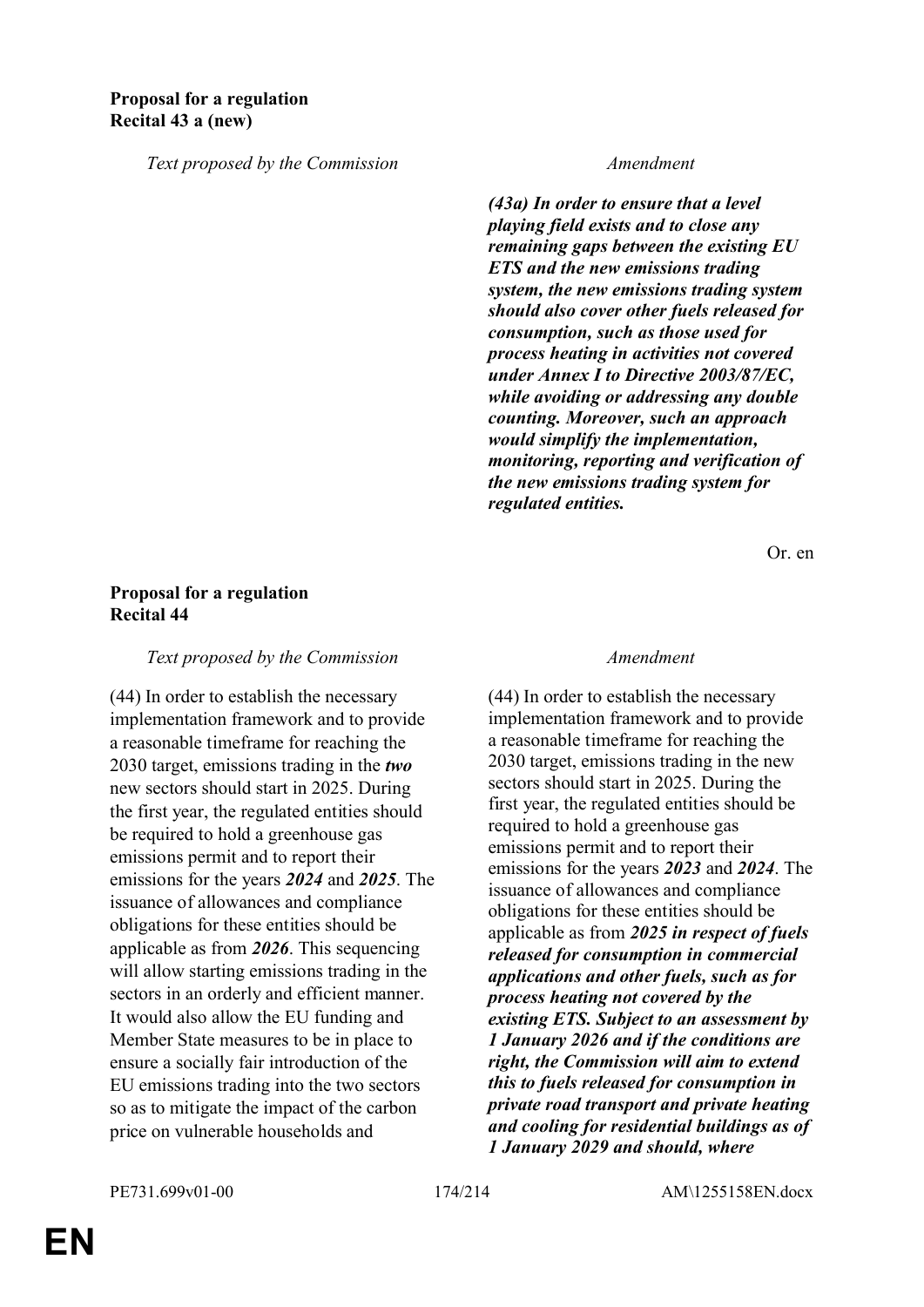*Text proposed by the Commission Amendment*

*(43a) In order to ensure that a level playing field exists and to close any remaining gaps between the existing EU ETS and the new emissions trading system, the new emissions trading system should also cover other fuels released for consumption, such as those used for process heating in activities not covered under Annex I to Directive 2003/87/EC, while avoiding or addressing any double counting. Moreover, such an approach would simplify the implementation, monitoring, reporting and verification of the new emissions trading system for regulated entities.*

Or. en

### **Proposal for a regulation Recital 44**

*Text proposed by the Commission Amendment*

(44) In order to establish the necessary implementation framework and to provide a reasonable timeframe for reaching the 2030 target, emissions trading in the *two* new sectors should start in 2025. During the first year, the regulated entities should be required to hold a greenhouse gas emissions permit and to report their emissions for the years *2024* and *2025*. The issuance of allowances and compliance obligations for these entities should be applicable as from *2026*. This sequencing will allow starting emissions trading in the sectors in an orderly and efficient manner. It would also allow the EU funding and Member State measures to be in place to ensure a socially fair introduction of the EU emissions trading into the two sectors so as to mitigate the impact of the carbon price on vulnerable households and

(44) In order to establish the necessary implementation framework and to provide a reasonable timeframe for reaching the 2030 target, emissions trading in the new sectors should start in 2025. During the first year, the regulated entities should be required to hold a greenhouse gas emissions permit and to report their emissions for the years *2023* and *2024*. The issuance of allowances and compliance obligations for these entities should be applicable as from *2025 in respect of fuels released for consumption in commercial applications and other fuels, such as for process heating not covered by the existing ETS. Subject to an assessment by 1 January 2026 and if the conditions are right, the Commission will aim to extend this to fuels released for consumption in private road transport and private heating and cooling for residential buildings as of 1 January 2029 and should, where*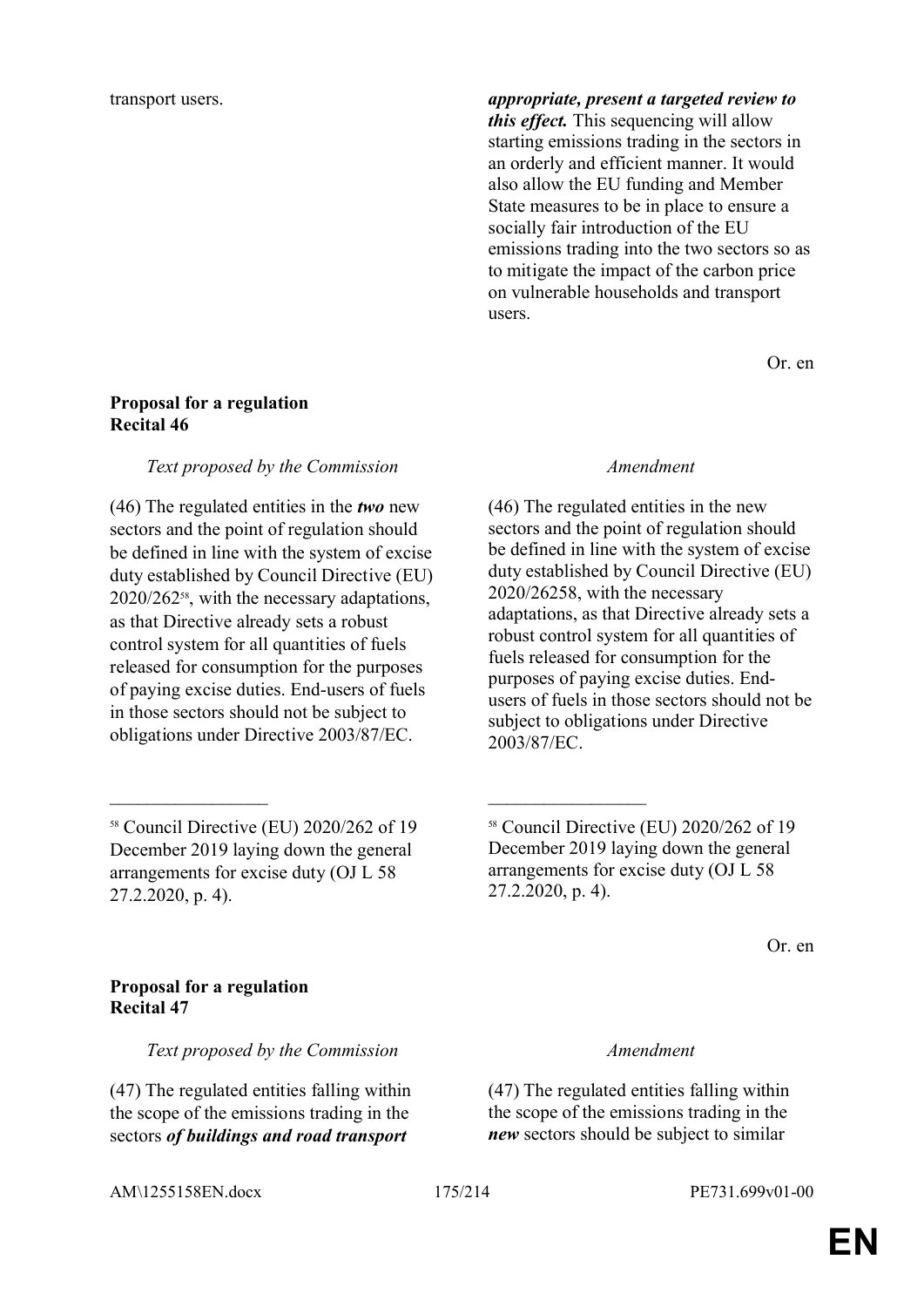### transport users. *appropriate, present a targeted review to*

*this effect.* This sequencing will allow starting emissions trading in the sectors in an orderly and efficient manner. It would also allow the EU funding and Member State measures to be in place to ensure a socially fair introduction of the EU emissions trading into the two sectors so as to mitigate the impact of the carbon price on vulnerable households and transport users.

Or. en

### **Proposal for a regulation Recital 46**

### *Text proposed by the Commission Amendment*

(46) The regulated entities in the *two* new sectors and the point of regulation should be defined in line with the system of excise duty established by Council Directive (EU) 2020/26258, with the necessary adaptations, as that Directive already sets a robust control system for all quantities of fuels released for consumption for the purposes of paying excise duties. End-users of fuels in those sectors should not be subject to obligations under Directive 2003/87/EC.

<sup>58</sup> Council Directive (EU) 2020/262 of 19 December 2019 laying down the general arrangements for excise duty (OJ L 58 27.2.2020, p. 4).

(46) The regulated entities in the new sectors and the point of regulation should be defined in line with the system of excise duty established by Council Directive (EU) 2020/26258, with the necessary adaptations, as that Directive already sets a robust control system for all quantities of fuels released for consumption for the purposes of paying excise duties. Endusers of fuels in those sectors should not be subject to obligations under Directive 2003/87/EC.

<sup>58</sup> Council Directive (EU) 2020/262 of 19 December 2019 laying down the general arrangements for excise duty (OJ L 58 27.2.2020, p. 4).

Or. en

### **Proposal for a regulation Recital 47**

*Text proposed by the Commission Amendment*

(47) The regulated entities falling within the scope of the emissions trading in the sectors *of buildings and road transport*

(47) The regulated entities falling within the scope of the emissions trading in the *new* sectors should be subject to similar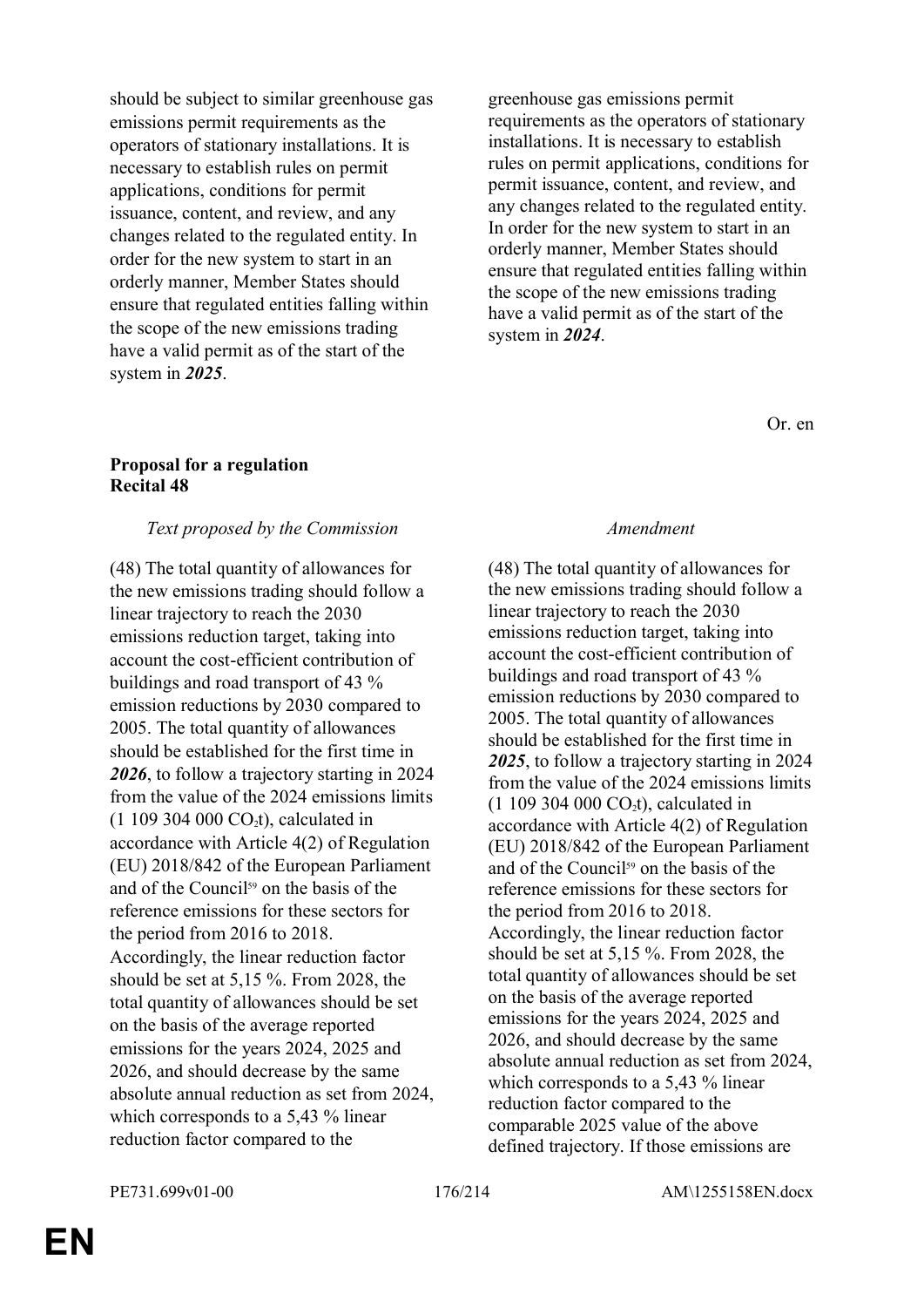should be subject to similar greenhouse gas emissions permit requirements as the operators of stationary installations. It is necessary to establish rules on permit applications, conditions for permit issuance, content, and review, and any changes related to the regulated entity. In order for the new system to start in an orderly manner, Member States should ensure that regulated entities falling within the scope of the new emissions trading have a valid permit as of the start of the system in *2025*.

greenhouse gas emissions permit requirements as the operators of stationary installations. It is necessary to establish rules on permit applications, conditions for permit issuance, content, and review, and any changes related to the regulated entity. In order for the new system to start in an orderly manner, Member States should ensure that regulated entities falling within the scope of the new emissions trading have a valid permit as of the start of the system in *2024*.

Or. en

### **Proposal for a regulation Recital 48**

### *Text proposed by the Commission Amendment*

(48) The total quantity of allowances for the new emissions trading should follow a linear trajectory to reach the 2030 emissions reduction target, taking into account the cost-efficient contribution of buildings and road transport of 43 % emission reductions by 2030 compared to 2005. The total quantity of allowances should be established for the first time in *2026*, to follow a trajectory starting in 2024 from the value of the 2024 emissions limits  $(1 109 304 000 CO<sub>2</sub>t)$ , calculated in accordance with Article 4(2) of Regulation (EU) 2018/842 of the European Parliament and of the Council<sup>59</sup> on the basis of the reference emissions for these sectors for the period from 2016 to 2018. Accordingly, the linear reduction factor should be set at 5,15 %. From 2028, the total quantity of allowances should be set on the basis of the average reported emissions for the years 2024, 2025 and 2026, and should decrease by the same absolute annual reduction as set from 2024, which corresponds to a 5,43 % linear reduction factor compared to the

(48) The total quantity of allowances for the new emissions trading should follow a linear trajectory to reach the 2030 emissions reduction target, taking into account the cost-efficient contribution of buildings and road transport of 43 % emission reductions by 2030 compared to 2005. The total quantity of allowances should be established for the first time in *2025*, to follow a trajectory starting in 2024 from the value of the 2024 emissions limits  $(1 109 304 000 CO<sub>2</sub>t)$ , calculated in accordance with Article 4(2) of Regulation (EU) 2018/842 of the European Parliament and of the Council<sup>59</sup> on the basis of the reference emissions for these sectors for the period from 2016 to 2018. Accordingly, the linear reduction factor should be set at 5,15 %. From 2028, the total quantity of allowances should be set on the basis of the average reported emissions for the years 2024, 2025 and 2026, and should decrease by the same absolute annual reduction as set from 2024, which corresponds to a 5,43 % linear reduction factor compared to the comparable 2025 value of the above defined trajectory. If those emissions are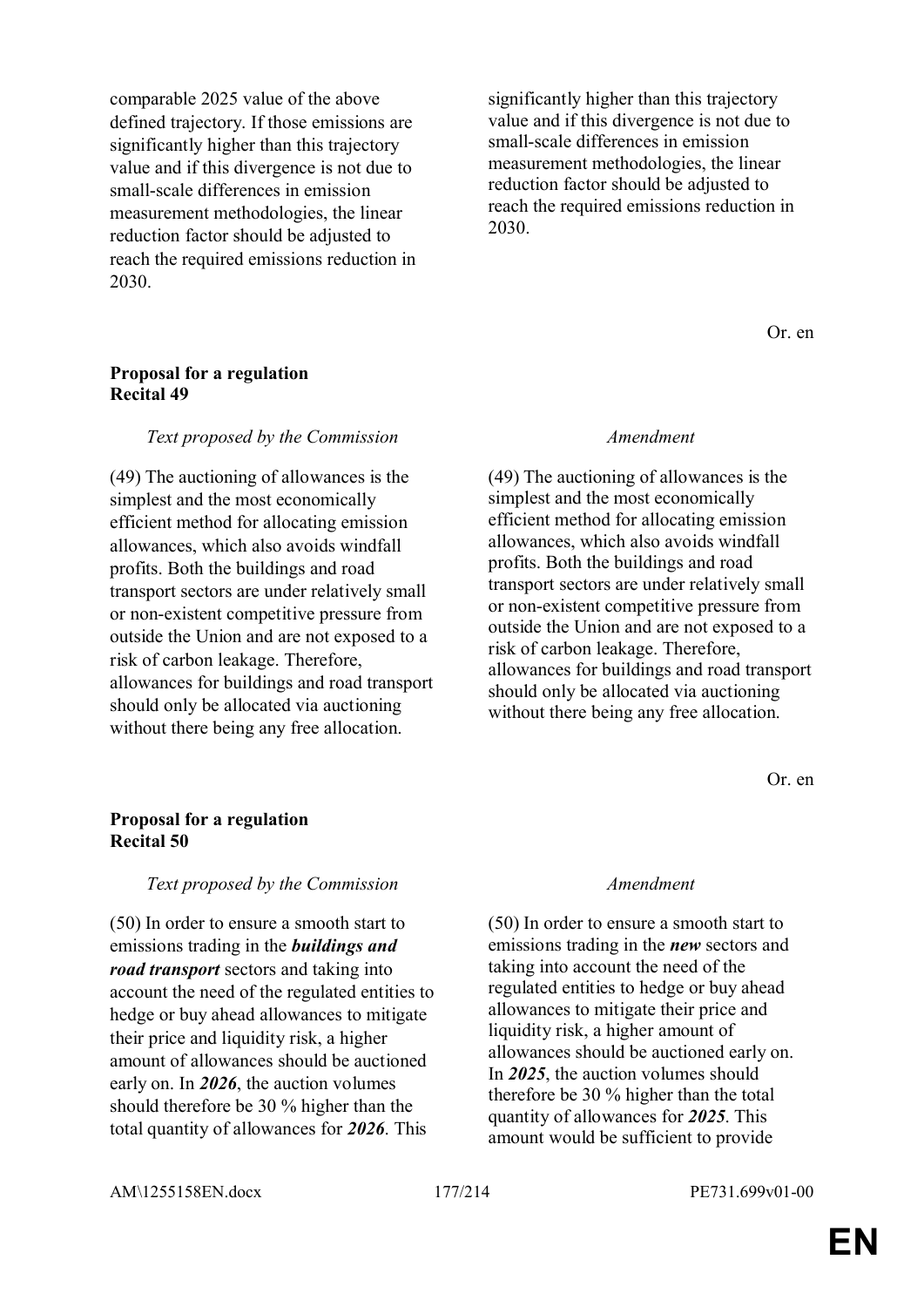comparable 2025 value of the above defined trajectory. If those emissions are significantly higher than this trajectory value and if this divergence is not due to small-scale differences in emission measurement methodologies, the linear reduction factor should be adjusted to reach the required emissions reduction in 2030.

### **Proposal for a regulation Recital 49**

### *Text proposed by the Commission Amendment*

(49) The auctioning of allowances is the simplest and the most economically efficient method for allocating emission allowances, which also avoids windfall profits. Both the buildings and road transport sectors are under relatively small or non-existent competitive pressure from outside the Union and are not exposed to a risk of carbon leakage. Therefore, allowances for buildings and road transport should only be allocated via auctioning without there being any free allocation.

### **Proposal for a regulation Recital 50**

### *Text proposed by the Commission Amendment*

(50) In order to ensure a smooth start to emissions trading in the *buildings and road transport* sectors and taking into account the need of the regulated entities to hedge or buy ahead allowances to mitigate their price and liquidity risk, a higher amount of allowances should be auctioned early on. In *2026*, the auction volumes should therefore be 30 % higher than the total quantity of allowances for *2026*. This

significantly higher than this trajectory value and if this divergence is not due to small-scale differences in emission measurement methodologies, the linear reduction factor should be adjusted to reach the required emissions reduction in 2030.

Or. en

(49) The auctioning of allowances is the simplest and the most economically efficient method for allocating emission allowances, which also avoids windfall profits. Both the buildings and road transport sectors are under relatively small or non-existent competitive pressure from outside the Union and are not exposed to a risk of carbon leakage. Therefore, allowances for buildings and road transport should only be allocated via auctioning without there being any free allocation.

Or. en

(50) In order to ensure a smooth start to emissions trading in the *new* sectors and taking into account the need of the regulated entities to hedge or buy ahead allowances to mitigate their price and liquidity risk, a higher amount of allowances should be auctioned early on. In *2025*, the auction volumes should therefore be 30 % higher than the total quantity of allowances for *2025*. This amount would be sufficient to provide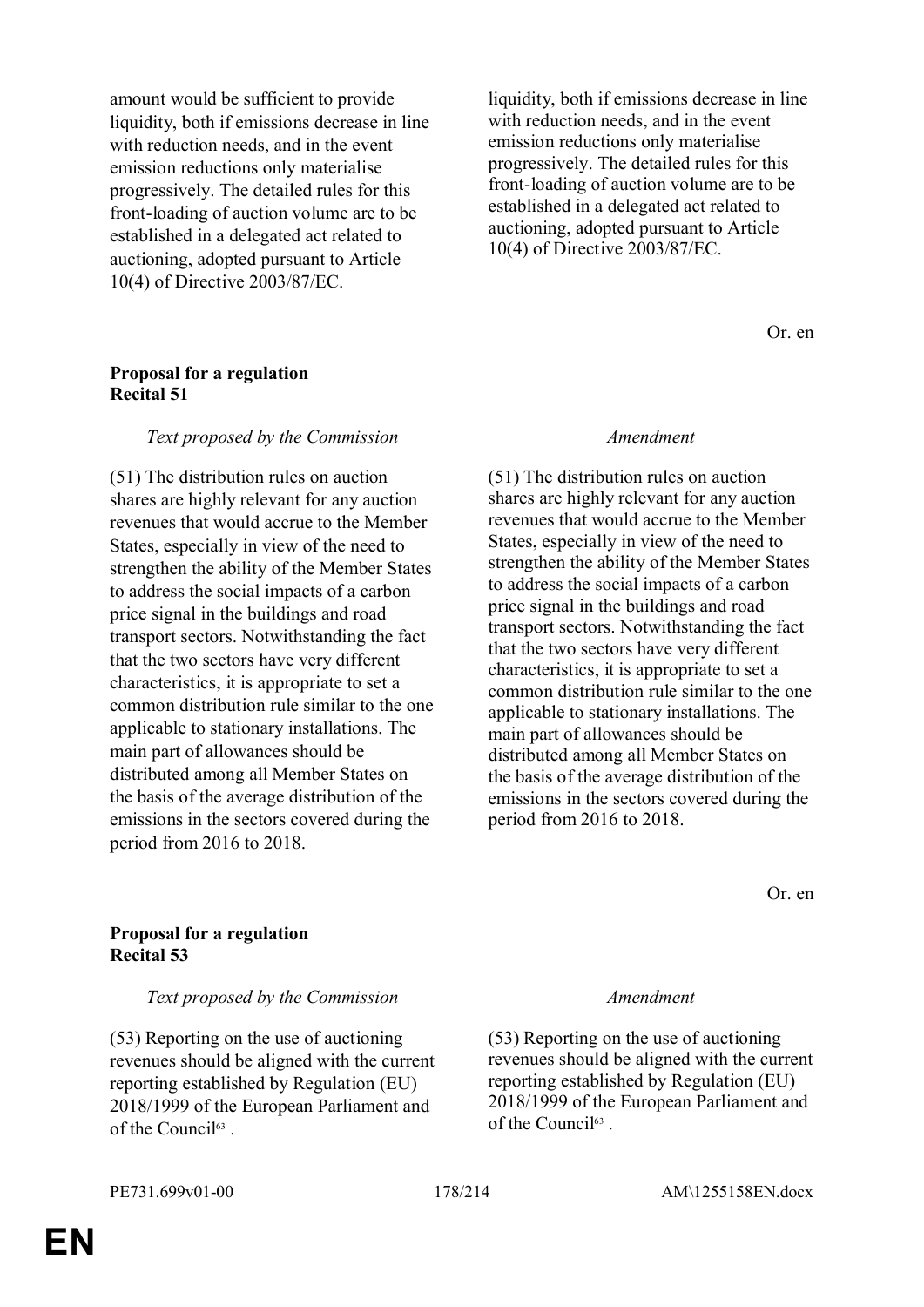amount would be sufficient to provide liquidity, both if emissions decrease in line with reduction needs, and in the event emission reductions only materialise progressively. The detailed rules for this front-loading of auction volume are to be established in a delegated act related to auctioning, adopted pursuant to Article 10(4) of Directive 2003/87/EC.

### **Proposal for a regulation Recital 51**

### *Text proposed by the Commission Amendment*

(51) The distribution rules on auction shares are highly relevant for any auction revenues that would accrue to the Member States, especially in view of the need to strengthen the ability of the Member States to address the social impacts of a carbon price signal in the buildings and road transport sectors. Notwithstanding the fact that the two sectors have very different characteristics, it is appropriate to set a common distribution rule similar to the one applicable to stationary installations. The main part of allowances should be distributed among all Member States on the basis of the average distribution of the emissions in the sectors covered during the period from 2016 to 2018.

liquidity, both if emissions decrease in line with reduction needs, and in the event emission reductions only materialise progressively. The detailed rules for this front-loading of auction volume are to be established in a delegated act related to auctioning, adopted pursuant to Article 10(4) of Directive 2003/87/EC.

Or. en

(51) The distribution rules on auction shares are highly relevant for any auction revenues that would accrue to the Member States, especially in view of the need to strengthen the ability of the Member States to address the social impacts of a carbon price signal in the buildings and road transport sectors. Notwithstanding the fact that the two sectors have very different characteristics, it is appropriate to set a common distribution rule similar to the one applicable to stationary installations. The main part of allowances should be distributed among all Member States on the basis of the average distribution of the emissions in the sectors covered during the period from 2016 to 2018.

Or. en

### **Proposal for a regulation Recital 53**

### *Text proposed by the Commission Amendment*

(53) Reporting on the use of auctioning revenues should be aligned with the current reporting established by Regulation (EU) 2018/1999 of the European Parliament and of the Council<sup>63</sup>.

(53) Reporting on the use of auctioning revenues should be aligned with the current reporting established by Regulation (EU) 2018/1999 of the European Parliament and of the Council<sup>63</sup>.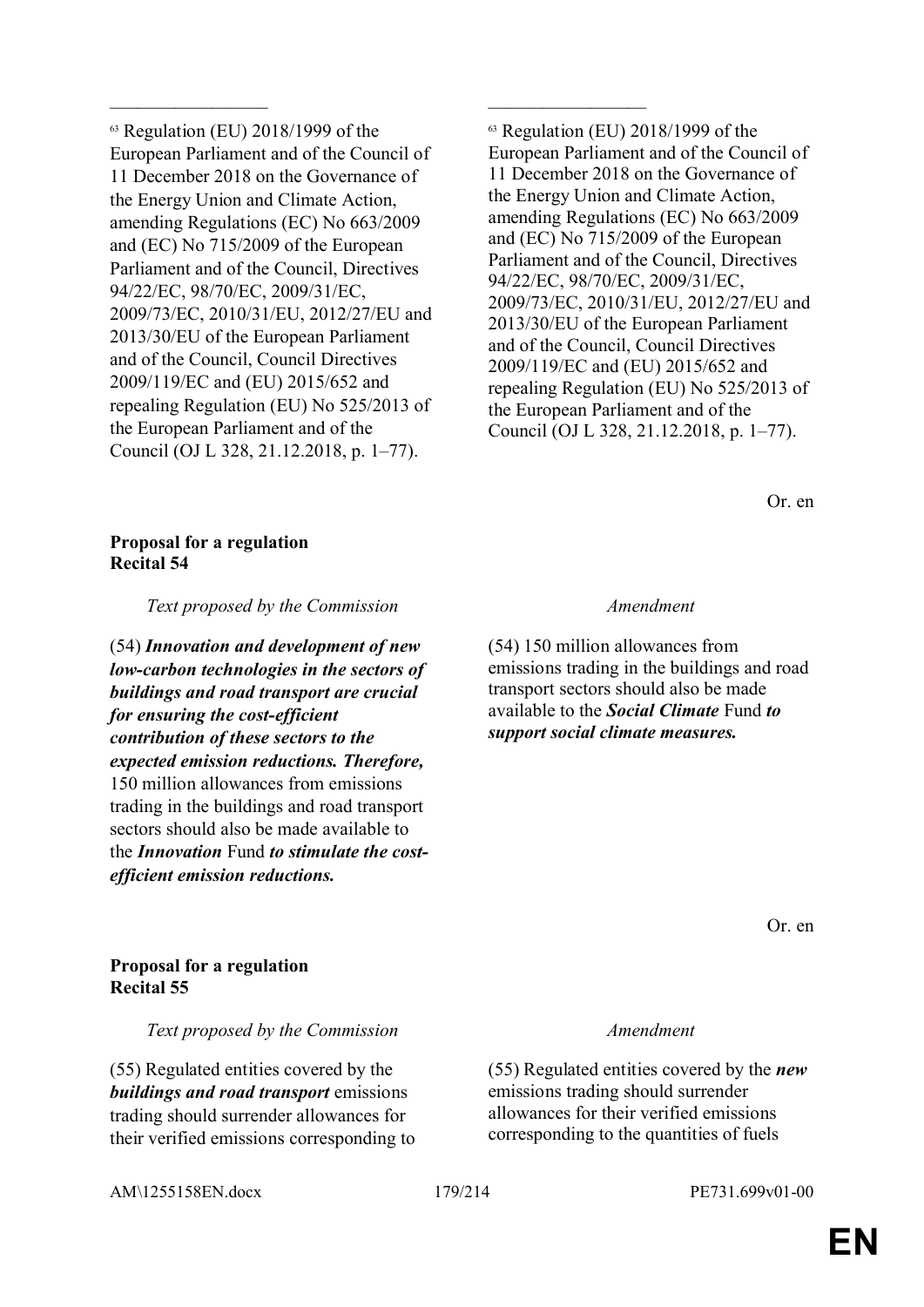$63$  Regulation (EU) 2018/1999 of the European Parliament and of the Council of 11 December 2018 on the Governance of the Energy Union and Climate Action, amending Regulations (EC) No 663/2009 and (EC) No 715/2009 of the European Parliament and of the Council, Directives 94/22/EC, 98/70/EC, 2009/31/EC, 2009/73/EC, 2010/31/EU, 2012/27/EU and 2013/30/EU of the European Parliament and of the Council, Council Directives 2009/119/EC and (EU) 2015/652 and repealing Regulation (EU) No 525/2013 of the European Parliament and of the Council (OJ L 328, 21.12.2018, p. 1–77).

 $63$  Regulation (EU) 2018/1999 of the European Parliament and of the Council of 11 December 2018 on the Governance of the Energy Union and Climate Action, amending Regulations (EC) No 663/2009 and (EC) No 715/2009 of the European Parliament and of the Council, Directives 94/22/EC, 98/70/EC, 2009/31/EC, 2009/73/EC, 2010/31/EU, 2012/27/EU and 2013/30/EU of the European Parliament and of the Council, Council Directives 2009/119/EC and (EU) 2015/652 and repealing Regulation (EU) No 525/2013 of the European Parliament and of the Council (OJ L 328, 21.12.2018, p. 1–77).

Or. en

### **Proposal for a regulation Recital 54**

*Text proposed by the Commission Amendment*

(54) *Innovation and development of new low-carbon technologies in the sectors of buildings and road transport are crucial for ensuring the cost-efficient contribution of these sectors to the expected emission reductions. Therefore,*  150 million allowances from emissions trading in the buildings and road transport sectors should also be made available to the *Innovation* Fund *to stimulate the costefficient emission reductions.*

## **Proposal for a regulation Recital 55**

*Text proposed by the Commission Amendment*

(55) Regulated entities covered by the *buildings and road transport* emissions trading should surrender allowances for their verified emissions corresponding to

(54) 150 million allowances from emissions trading in the buildings and road transport sectors should also be made available to the *Social Climate* Fund *to support social climate measures.*

Or. en

(55) Regulated entities covered by the *new* emissions trading should surrender allowances for their verified emissions corresponding to the quantities of fuels

AM\1255158EN.docx 179/214 PE731.699v01-00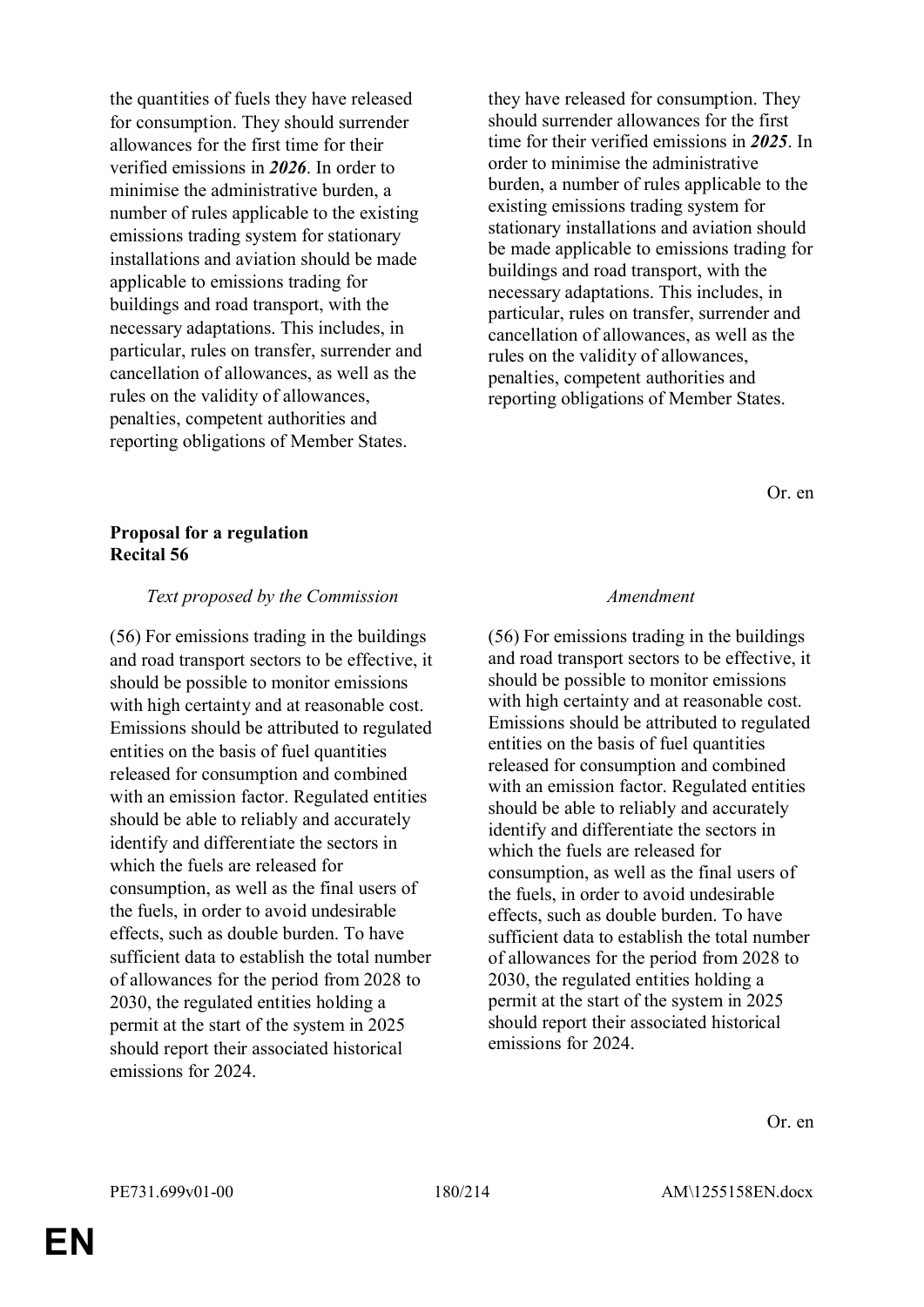the quantities of fuels they have released for consumption. They should surrender allowances for the first time for their verified emissions in *2026*. In order to minimise the administrative burden, a number of rules applicable to the existing emissions trading system for stationary installations and aviation should be made applicable to emissions trading for buildings and road transport, with the necessary adaptations. This includes, in particular, rules on transfer, surrender and cancellation of allowances, as well as the rules on the validity of allowances, penalties, competent authorities and reporting obligations of Member States.

they have released for consumption. They should surrender allowances for the first time for their verified emissions in *2025*. In order to minimise the administrative burden, a number of rules applicable to the existing emissions trading system for stationary installations and aviation should be made applicable to emissions trading for buildings and road transport, with the necessary adaptations. This includes, in particular, rules on transfer, surrender and cancellation of allowances, as well as the rules on the validity of allowances, penalties, competent authorities and reporting obligations of Member States.

Or. en

### **Proposal for a regulation Recital 56**

### *Text proposed by the Commission Amendment*

(56) For emissions trading in the buildings and road transport sectors to be effective, it should be possible to monitor emissions with high certainty and at reasonable cost. Emissions should be attributed to regulated entities on the basis of fuel quantities released for consumption and combined with an emission factor. Regulated entities should be able to reliably and accurately identify and differentiate the sectors in which the fuels are released for consumption, as well as the final users of the fuels, in order to avoid undesirable effects, such as double burden. To have sufficient data to establish the total number of allowances for the period from 2028 to 2030, the regulated entities holding a permit at the start of the system in 2025 should report their associated historical emissions for 2024.

(56) For emissions trading in the buildings and road transport sectors to be effective, it should be possible to monitor emissions with high certainty and at reasonable cost. Emissions should be attributed to regulated entities on the basis of fuel quantities released for consumption and combined with an emission factor. Regulated entities should be able to reliably and accurately identify and differentiate the sectors in which the fuels are released for consumption, as well as the final users of the fuels, in order to avoid undesirable effects, such as double burden. To have sufficient data to establish the total number of allowances for the period from 2028 to 2030, the regulated entities holding a permit at the start of the system in 2025 should report their associated historical emissions for 2024.

Or. en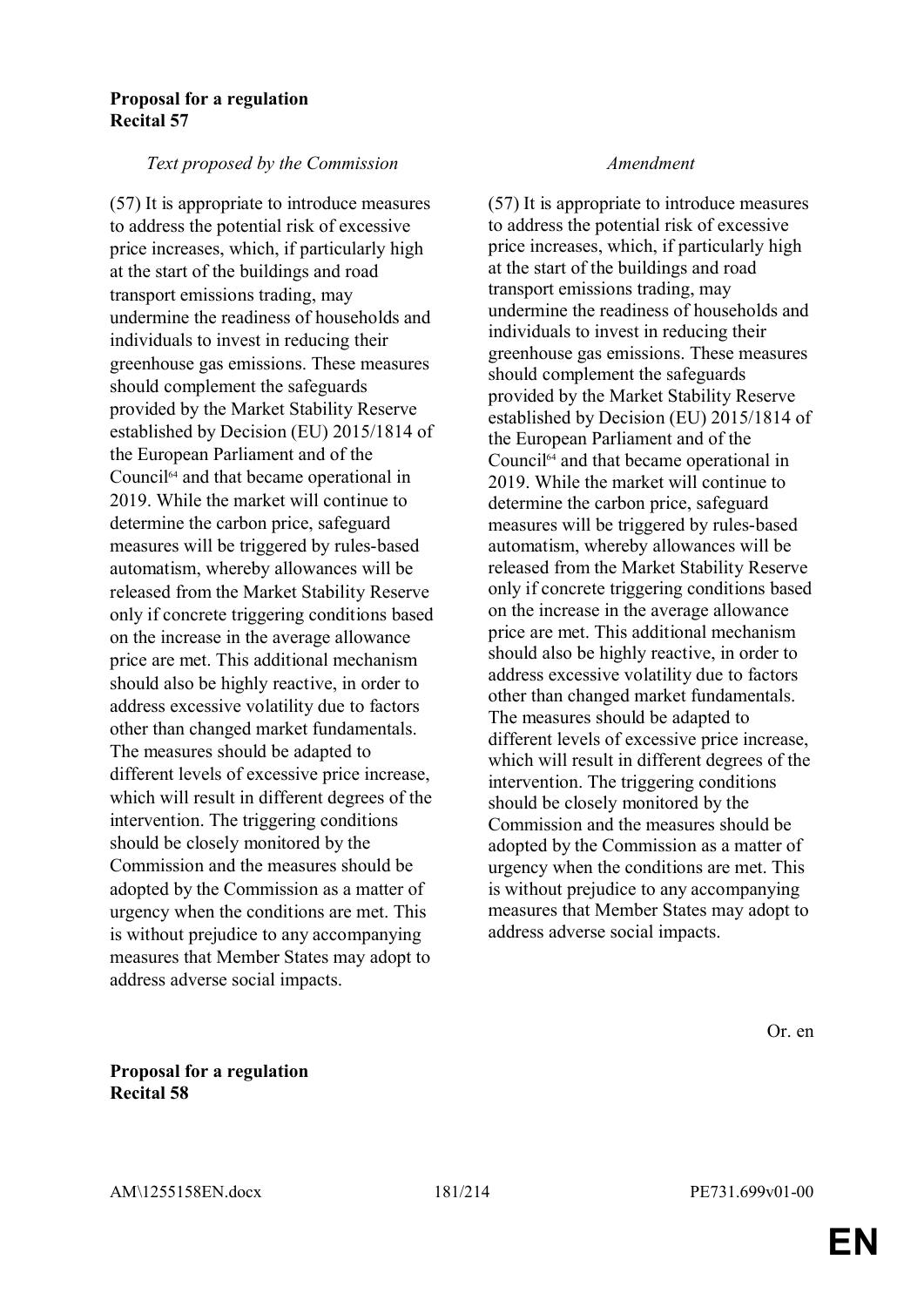#### **Proposal for a regulation Recital 57**

#### *Text proposed by the Commission Amendment*

(57) It is appropriate to introduce measures to address the potential risk of excessive price increases, which, if particularly high at the start of the buildings and road transport emissions trading, may undermine the readiness of households and individuals to invest in reducing their greenhouse gas emissions. These measures should complement the safeguards provided by the Market Stability Reserve established by Decision (EU) 2015/1814 of the European Parliament and of the Council<sup>64</sup> and that became operational in 2019. While the market will continue to determine the carbon price, safeguard measures will be triggered by rules-based automatism, whereby allowances will be released from the Market Stability Reserve only if concrete triggering conditions based on the increase in the average allowance price are met. This additional mechanism should also be highly reactive, in order to address excessive volatility due to factors other than changed market fundamentals. The measures should be adapted to different levels of excessive price increase, which will result in different degrees of the intervention. The triggering conditions should be closely monitored by the Commission and the measures should be adopted by the Commission as a matter of urgency when the conditions are met. This is without prejudice to any accompanying measures that Member States may adopt to address adverse social impacts.

(57) It is appropriate to introduce measures to address the potential risk of excessive price increases, which, if particularly high at the start of the buildings and road transport emissions trading, may undermine the readiness of households and individuals to invest in reducing their greenhouse gas emissions. These measures should complement the safeguards provided by the Market Stability Reserve established by Decision (EU) 2015/1814 of the European Parliament and of the Council<sup>64</sup> and that became operational in 2019. While the market will continue to determine the carbon price, safeguard measures will be triggered by rules-based automatism, whereby allowances will be released from the Market Stability Reserve only if concrete triggering conditions based on the increase in the average allowance price are met. This additional mechanism should also be highly reactive, in order to address excessive volatility due to factors other than changed market fundamentals. The measures should be adapted to different levels of excessive price increase, which will result in different degrees of the intervention. The triggering conditions should be closely monitored by the Commission and the measures should be adopted by the Commission as a matter of urgency when the conditions are met. This is without prejudice to any accompanying measures that Member States may adopt to address adverse social impacts.

Or. en

**Proposal for a regulation Recital 58**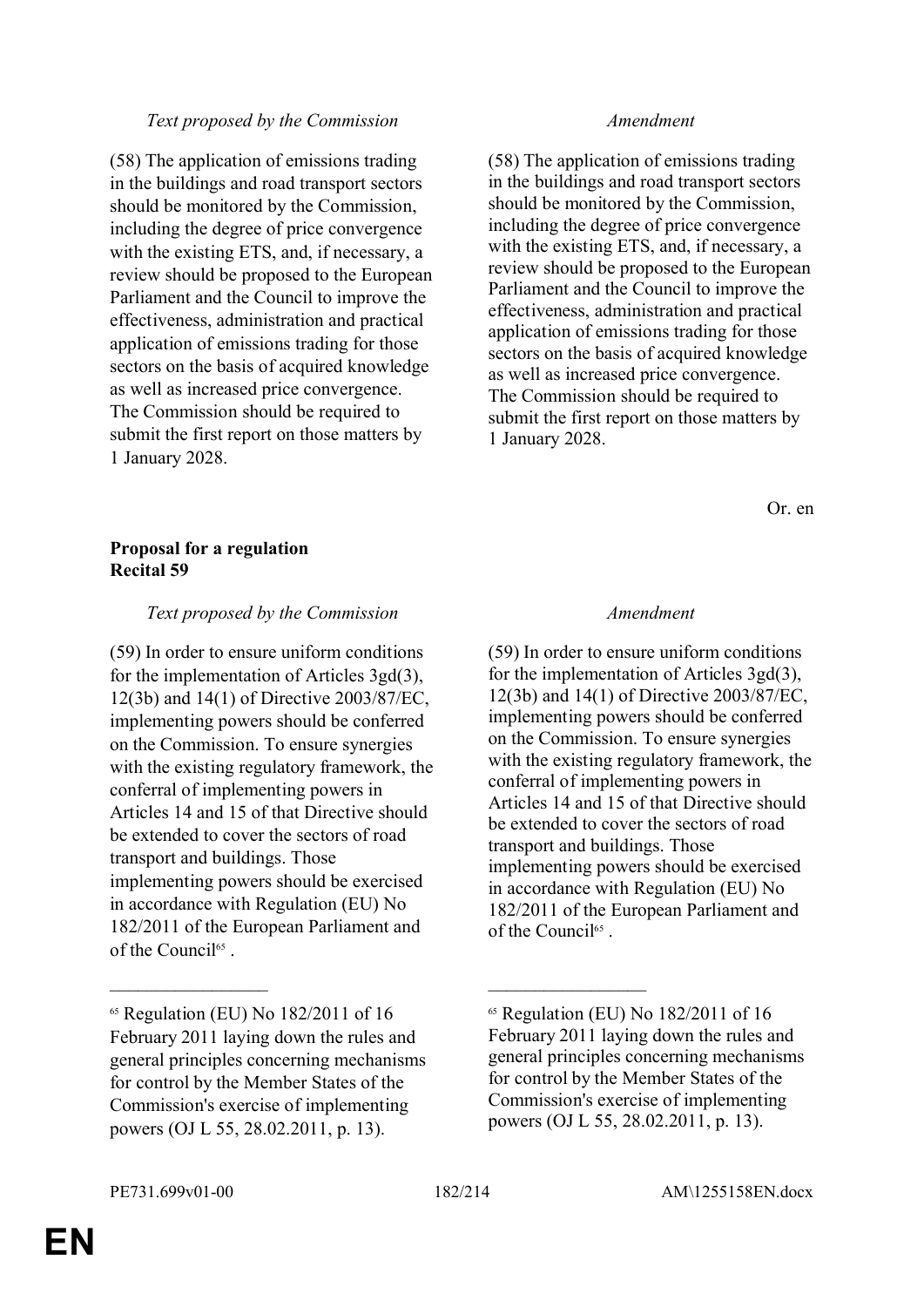### *Text proposed by the Commission Amendment*

(58) The application of emissions trading in the buildings and road transport sectors should be monitored by the Commission, including the degree of price convergence with the existing ETS, and, if necessary, a review should be proposed to the European Parliament and the Council to improve the effectiveness, administration and practical application of emissions trading for those sectors on the basis of acquired knowledge as well as increased price convergence. The Commission should be required to submit the first report on those matters by 1 January 2028.

(58) The application of emissions trading in the buildings and road transport sectors should be monitored by the Commission, including the degree of price convergence with the existing ETS, and, if necessary, a review should be proposed to the European Parliament and the Council to improve the effectiveness, administration and practical application of emissions trading for those sectors on the basis of acquired knowledge as well as increased price convergence. The Commission should be required to submit the first report on those matters by 1 January 2028.

Or. en

### **Proposal for a regulation Recital 59**

### *Text proposed by the Commission Amendment*

(59) In order to ensure uniform conditions for the implementation of Articles 3gd(3), 12(3b) and 14(1) of Directive 2003/87/EC, implementing powers should be conferred on the Commission. To ensure synergies with the existing regulatory framework, the conferral of implementing powers in Articles 14 and 15 of that Directive should be extended to cover the sectors of road transport and buildings. Those implementing powers should be exercised in accordance with Regulation (EU) No 182/2011 of the European Parliament and of the Council<sup>65</sup>.

(59) In order to ensure uniform conditions for the implementation of Articles 3gd(3), 12(3b) and 14(1) of Directive 2003/87/EC, implementing powers should be conferred on the Commission. To ensure synergies with the existing regulatory framework, the conferral of implementing powers in Articles 14 and 15 of that Directive should be extended to cover the sectors of road transport and buildings. Those implementing powers should be exercised in accordance with Regulation (EU) No 182/2011 of the European Parliament and of the Council<sup>65</sup>.

 $65$  Regulation (EU) No 182/2011 of 16 February 2011 laying down the rules and general principles concerning mechanisms for control by the Member States of the Commission's exercise of implementing powers (OJ L 55, 28.02.2011, p. 13).

 $65$  Regulation (EU) No 182/2011 of 16 February 2011 laying down the rules and general principles concerning mechanisms for control by the Member States of the Commission's exercise of implementing powers (OJ L 55, 28.02.2011, p. 13).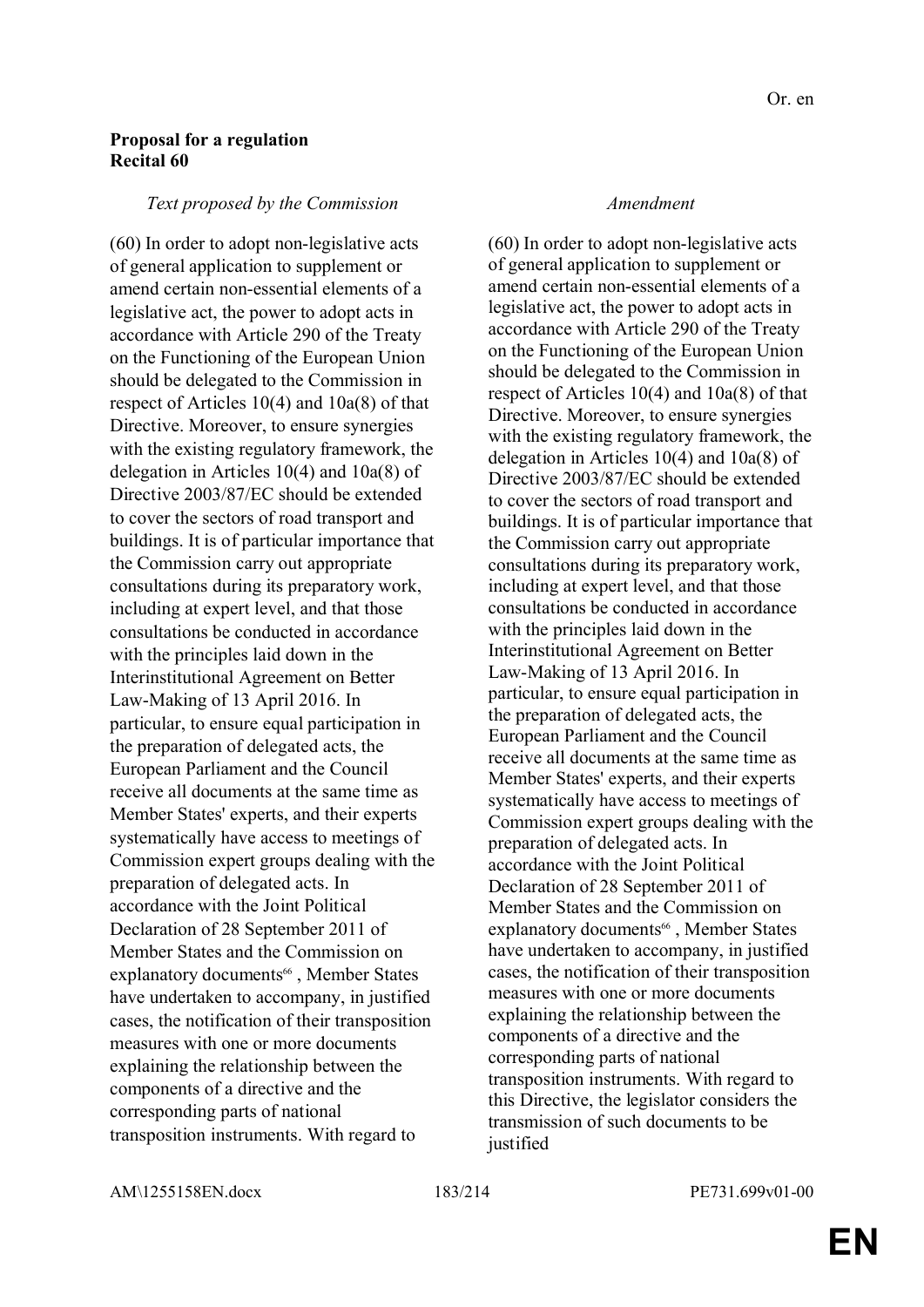#### **Proposal for a regulation Recital 60**

#### *Text proposed by the Commission Amendment*

(60) In order to adopt non-legislative acts of general application to supplement or amend certain non-essential elements of a legislative act, the power to adopt acts in accordance with Article 290 of the Treaty on the Functioning of the European Union should be delegated to the Commission in respect of Articles 10(4) and 10a(8) of that Directive. Moreover, to ensure synergies with the existing regulatory framework, the delegation in Articles 10(4) and 10a(8) of Directive 2003/87/EC should be extended to cover the sectors of road transport and buildings. It is of particular importance that the Commission carry out appropriate consultations during its preparatory work, including at expert level, and that those consultations be conducted in accordance with the principles laid down in the Interinstitutional Agreement on Better Law-Making of 13 April 2016. In particular, to ensure equal participation in the preparation of delegated acts, the European Parliament and the Council receive all documents at the same time as Member States' experts, and their experts systematically have access to meetings of Commission expert groups dealing with the preparation of delegated acts. In accordance with the Joint Political Declaration of 28 September 2011 of Member States and the Commission on explanatory documents<sup>66</sup>, Member States have undertaken to accompany, in justified cases, the notification of their transposition measures with one or more documents explaining the relationship between the components of a directive and the corresponding parts of national transposition instruments. With regard to

(60) In order to adopt non-legislative acts of general application to supplement or amend certain non-essential elements of a legislative act, the power to adopt acts in accordance with Article 290 of the Treaty on the Functioning of the European Union should be delegated to the Commission in respect of Articles 10(4) and 10a(8) of that Directive. Moreover, to ensure synergies with the existing regulatory framework, the delegation in Articles 10(4) and 10a(8) of Directive 2003/87/EC should be extended to cover the sectors of road transport and buildings. It is of particular importance that the Commission carry out appropriate consultations during its preparatory work, including at expert level, and that those consultations be conducted in accordance with the principles laid down in the Interinstitutional Agreement on Better Law-Making of 13 April 2016. In particular, to ensure equal participation in the preparation of delegated acts, the European Parliament and the Council receive all documents at the same time as Member States' experts, and their experts systematically have access to meetings of Commission expert groups dealing with the preparation of delegated acts. In accordance with the Joint Political Declaration of 28 September 2011 of Member States and the Commission on explanatory documents<sup>66</sup>, Member States have undertaken to accompany, in justified cases, the notification of their transposition measures with one or more documents explaining the relationship between the components of a directive and the corresponding parts of national transposition instruments. With regard to this Directive, the legislator considers the transmission of such documents to be justified

AM\1255158EN.docx 183/214 PE731.699v01-00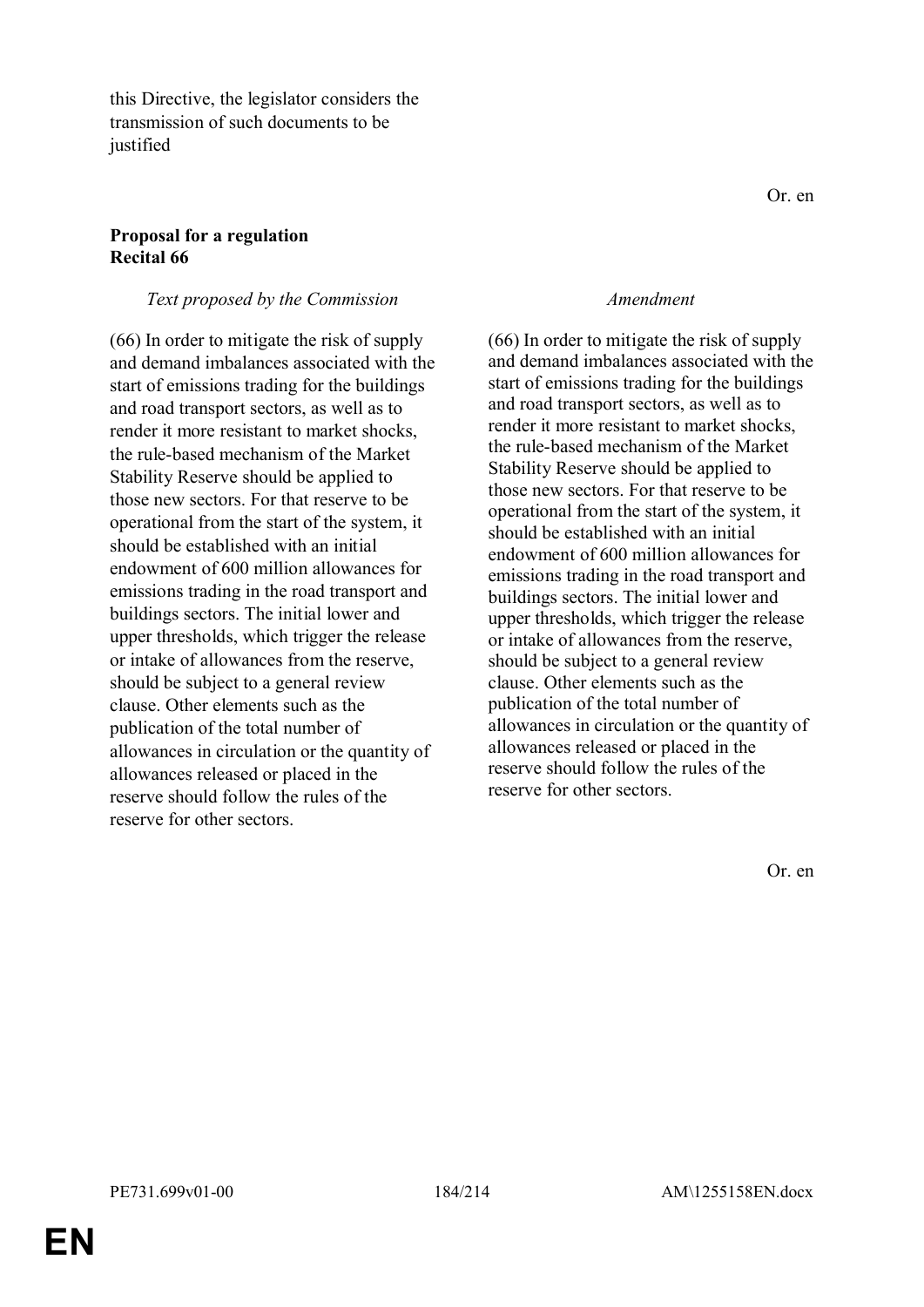this Directive, the legislator considers the transmission of such documents to be justified

### **Proposal for a regulation Recital 66**

#### *Text proposed by the Commission Amendment*

(66) In order to mitigate the risk of supply and demand imbalances associated with the start of emissions trading for the buildings and road transport sectors, as well as to render it more resistant to market shocks, the rule-based mechanism of the Market Stability Reserve should be applied to those new sectors. For that reserve to be operational from the start of the system, it should be established with an initial endowment of 600 million allowances for emissions trading in the road transport and buildings sectors. The initial lower and upper thresholds, which trigger the release or intake of allowances from the reserve, should be subject to a general review clause. Other elements such as the publication of the total number of allowances in circulation or the quantity of allowances released or placed in the reserve should follow the rules of the reserve for other sectors.

Or. en

(66) In order to mitigate the risk of supply and demand imbalances associated with the start of emissions trading for the buildings and road transport sectors, as well as to render it more resistant to market shocks, the rule-based mechanism of the Market Stability Reserve should be applied to those new sectors. For that reserve to be operational from the start of the system, it should be established with an initial endowment of 600 million allowances for emissions trading in the road transport and buildings sectors. The initial lower and upper thresholds, which trigger the release or intake of allowances from the reserve, should be subject to a general review clause. Other elements such as the publication of the total number of allowances in circulation or the quantity of allowances released or placed in the reserve should follow the rules of the reserve for other sectors.

Or. en

**EN**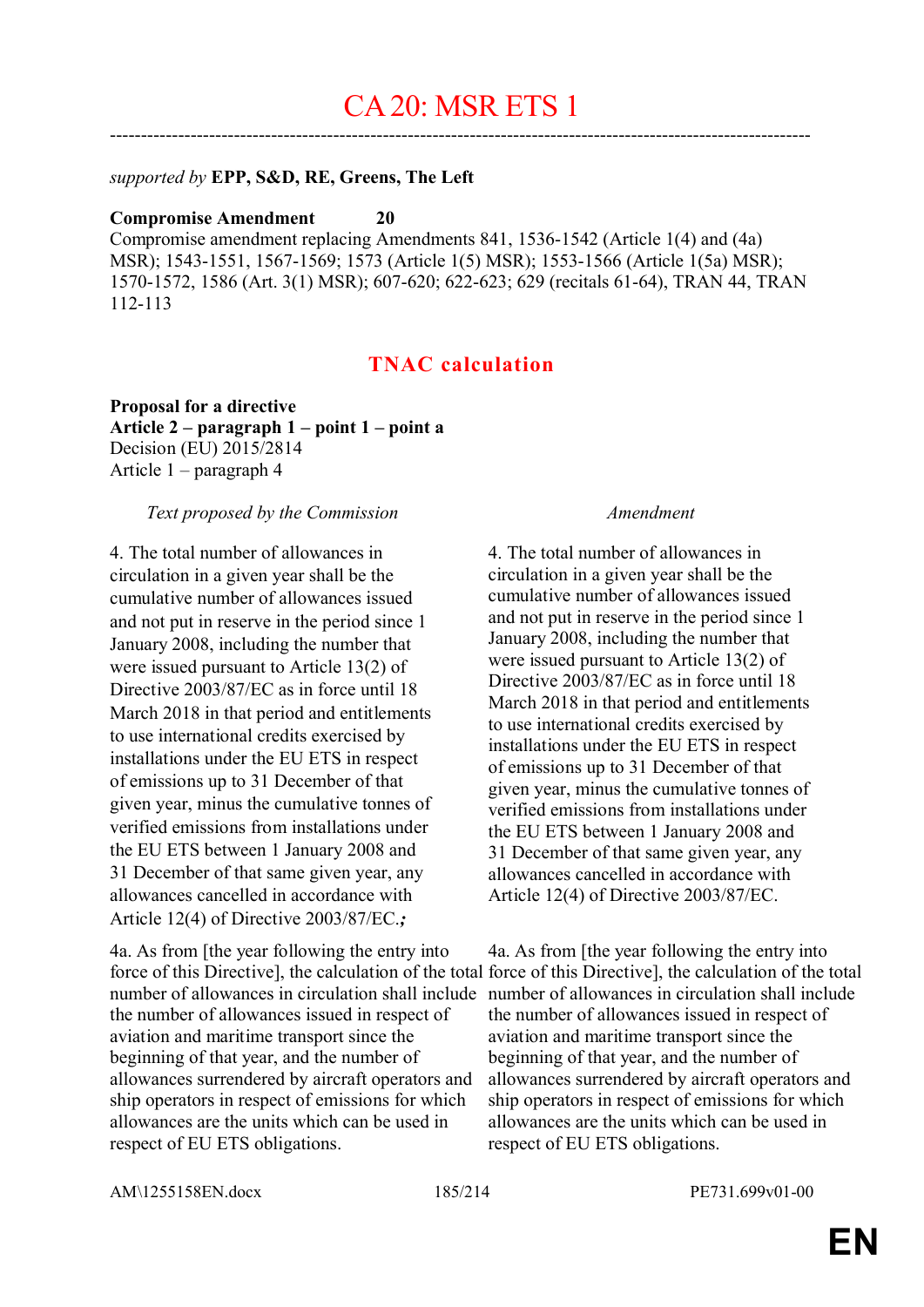*supported by* **EPP, S&D, RE, Greens, The Left**

#### **Compromise Amendment 20**

Compromise amendment replacing Amendments 841, 1536-1542 (Article 1(4) and (4a) MSR); 1543-1551, 1567-1569; 1573 (Article 1(5) MSR); 1553-1566 (Article 1(5a) MSR); 1570-1572, 1586 (Art. 3(1) MSR); 607-620; 622-623; 629 (recitals 61-64), TRAN 44, TRAN 112-113

### **TNAC calculation**

**Proposal for a directive Article 2 – paragraph 1 – point 1 – point a** Decision (EU) 2015/2814 Article 1 – paragraph 4

#### *Text proposed by the Commission Amendment*

4. The total number of allowances in circulation in a given year shall be the cumulative number of allowances issued and not put in reserve in the period since 1 January 2008, including the number that were issued pursuant to Article 13(2) of Directive 2003/87/EC as in force until 18 March 2018 in that period and entitlements to use international credits exercised by installations under the EU ETS in respect of emissions up to 31 December of that given year, minus the cumulative tonnes of verified emissions from installations under the EU ETS between 1 January 2008 and 31 December of that same given year, any allowances cancelled in accordance with Article 12(4) of Directive 2003/87/EC.*;*

4a. As from [the year following the entry into number of allowances in circulation shall include the number of allowances issued in respect of aviation and maritime transport since the beginning of that year, and the number of allowances surrendered by aircraft operators and ship operators in respect of emissions for which allowances are the units which can be used in respect of EU ETS obligations.

4. The total number of allowances in circulation in a given year shall be the cumulative number of allowances issued and not put in reserve in the period since 1 January 2008, including the number that were issued pursuant to Article 13(2) of Directive 2003/87/EC as in force until 18 March 2018 in that period and entitlements to use international credits exercised by installations under the EU ETS in respect of emissions up to 31 December of that given year, minus the cumulative tonnes of verified emissions from installations under the EU ETS between 1 January 2008 and 31 December of that same given year, any allowances cancelled in accordance with Article 12(4) of Directive 2003/87/EC.

force of this Directive], the calculation of the total force of this Directive], the calculation of the total 4a. As from [the year following the entry into number of allowances in circulation shall include the number of allowances issued in respect of aviation and maritime transport since the beginning of that year, and the number of allowances surrendered by aircraft operators and ship operators in respect of emissions for which allowances are the units which can be used in respect of EU ETS obligations.

AM\1255158EN.docx 185/214 PE731.699v01-00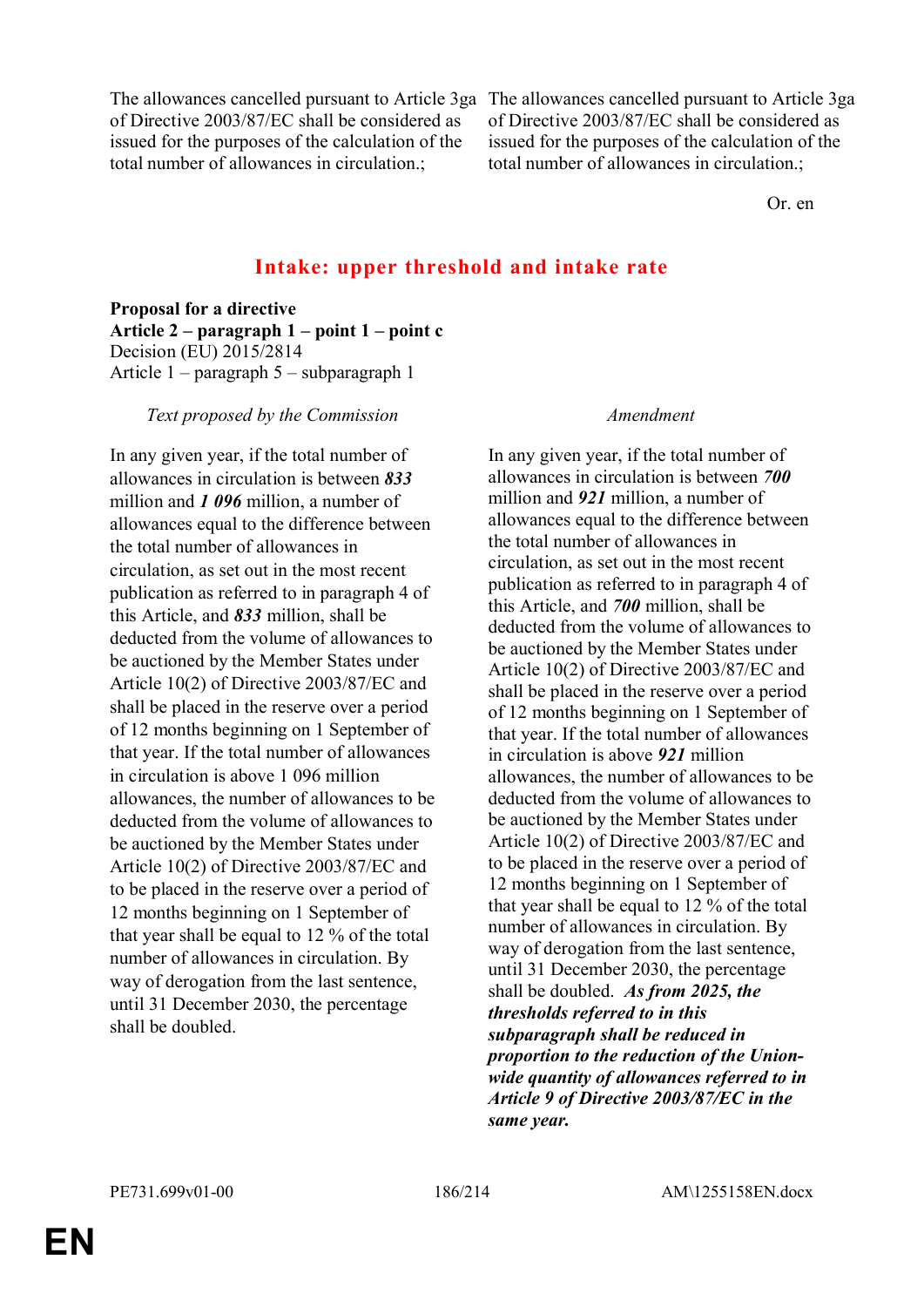of Directive 2003/87/EC shall be considered as issued for the purposes of the calculation of the total number of allowances in circulation.;

The allowances cancelled pursuant to Article 3ga The allowances cancelled pursuant to Article 3ga of Directive 2003/87/EC shall be considered as issued for the purposes of the calculation of the total number of allowances in circulation.;

Or. en

### **Intake: upper threshold and intake rate**

**Proposal for a directive Article 2 – paragraph 1 – point 1 – point c** Decision (EU) 2015/2814 Article 1 – paragraph 5 – subparagraph 1

#### *Text proposed by the Commission Amendment*

In any given year, if the total number of allowances in circulation is between *833* million and *1 096* million, a number of allowances equal to the difference between the total number of allowances in circulation, as set out in the most recent publication as referred to in paragraph 4 of this Article, and *833* million, shall be deducted from the volume of allowances to be auctioned by the Member States under Article 10(2) of Directive 2003/87/EC and shall be placed in the reserve over a period of 12 months beginning on 1 September of that year. If the total number of allowances in circulation is above 1 096 million allowances, the number of allowances to be deducted from the volume of allowances to be auctioned by the Member States under Article 10(2) of Directive 2003/87/EC and to be placed in the reserve over a period of 12 months beginning on 1 September of that year shall be equal to 12 % of the total number of allowances in circulation. By way of derogation from the last sentence, until 31 December 2030, the percentage shall be doubled.

In any given year, if the total number of allowances in circulation is between *700* million and *921* million, a number of allowances equal to the difference between the total number of allowances in circulation, as set out in the most recent publication as referred to in paragraph 4 of this Article, and *700* million, shall be deducted from the volume of allowances to be auctioned by the Member States under Article 10(2) of Directive 2003/87/EC and shall be placed in the reserve over a period of 12 months beginning on 1 September of that year. If the total number of allowances in circulation is above *921* million allowances, the number of allowances to be deducted from the volume of allowances to be auctioned by the Member States under Article 10(2) of Directive 2003/87/EC and to be placed in the reserve over a period of 12 months beginning on 1 September of that year shall be equal to 12 % of the total number of allowances in circulation. By way of derogation from the last sentence, until 31 December 2030, the percentage shall be doubled. *As from 2025, the thresholds referred to in this subparagraph shall be reduced in proportion to the reduction of the Unionwide quantity of allowances referred to in Article 9 of Directive 2003/87/EC in the same year.*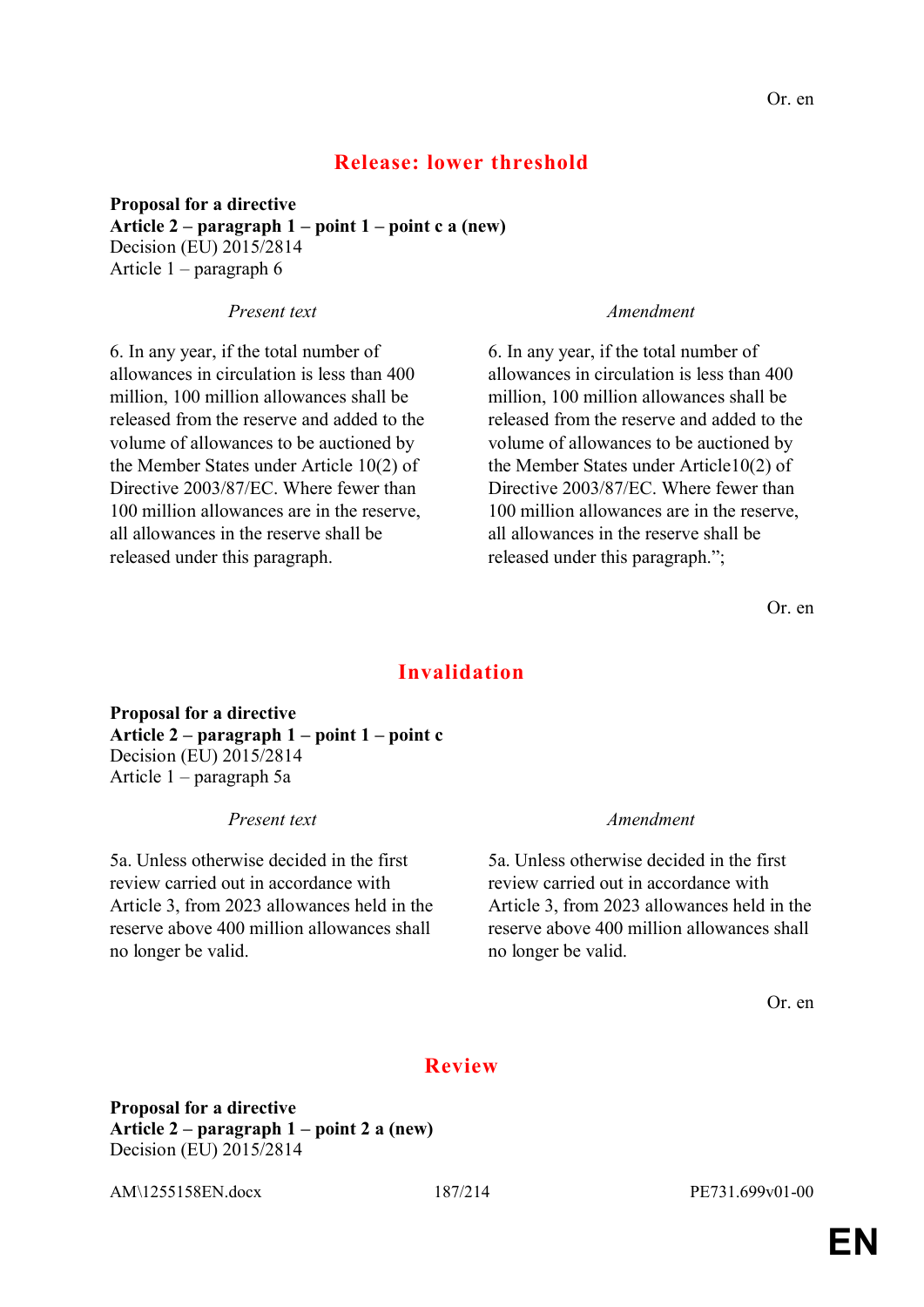# **Release: lower threshold**

**Proposal for a directive Article 2 – paragraph 1 – point 1 – point c a (new)** Decision (EU) 2015/2814 Article 1 – paragraph 6

#### *Present text Amendment*

6. In any year, if the total number of allowances in circulation is less than 400 million, 100 million allowances shall be released from the reserve and added to the volume of allowances to be auctioned by the Member States under Article 10(2) of Directive 2003/87/EC. Where fewer than 100 million allowances are in the reserve, all allowances in the reserve shall be released under this paragraph.

6. In any year, if the total number of allowances in circulation is less than 400 million, 100 million allowances shall be released from the reserve and added to the volume of allowances to be auctioned by the Member States under Article10(2) of Directive 2003/87/EC. Where fewer than 100 million allowances are in the reserve, all allowances in the reserve shall be released under this paragraph.";

Or. en

# **Invalidation**

**Proposal for a directive Article 2 – paragraph 1 – point 1 – point c** Decision (EU) 2015/2814 Article 1 – paragraph 5a

#### *Present text Amendment*

5a. Unless otherwise decided in the first review carried out in accordance with Article 3, from 2023 allowances held in the reserve above 400 million allowances shall no longer be valid.

5a. Unless otherwise decided in the first review carried out in accordance with Article 3, from 2023 allowances held in the reserve above 400 million allowances shall no longer be valid.

Or. en

### **Review**

**Proposal for a directive Article 2 – paragraph 1 – point 2 a (new)** Decision (EU) 2015/2814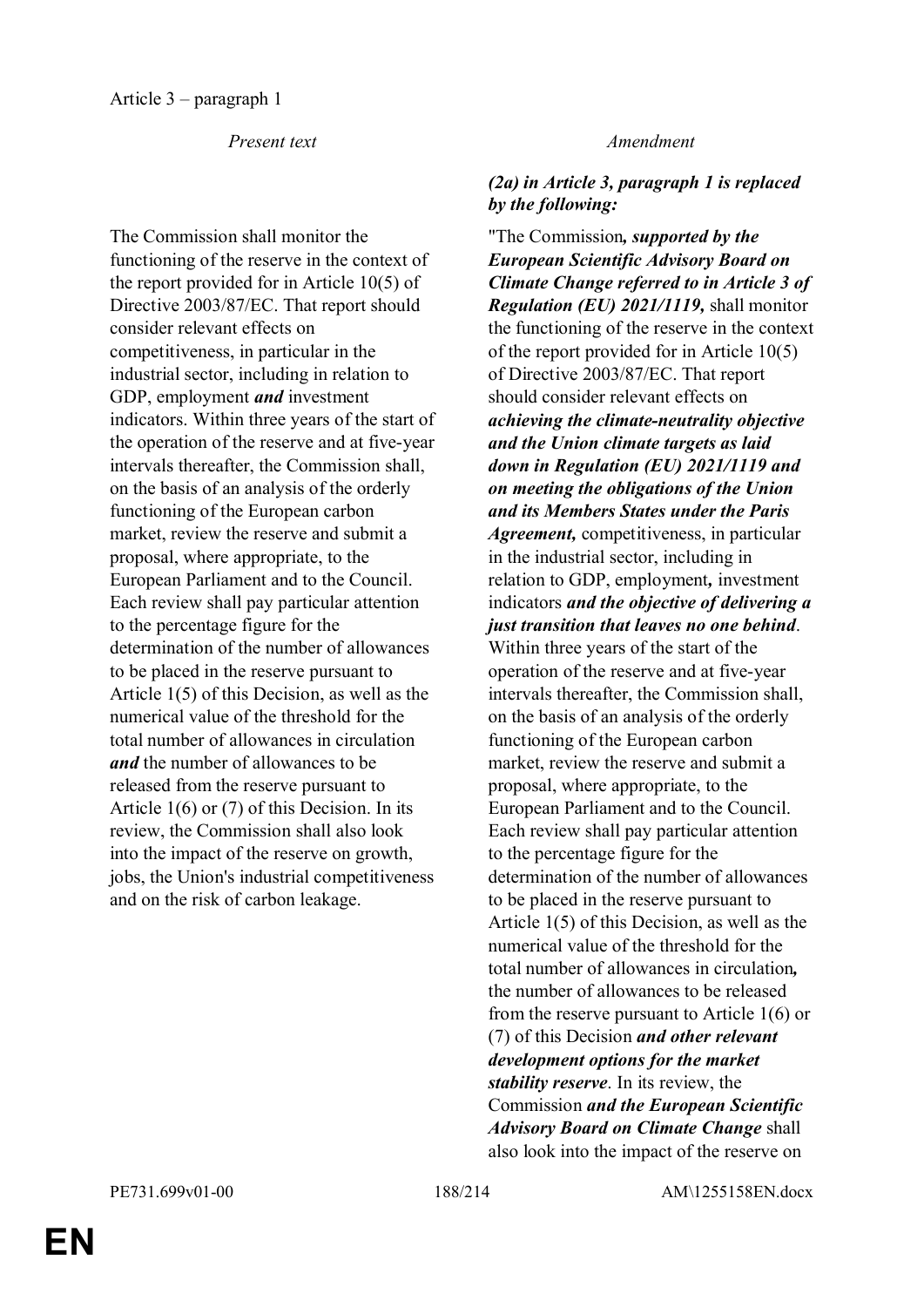The Commission shall monitor the functioning of the reserve in the context of the report provided for in Article 10(5) of Directive 2003/87/EC. That report should consider relevant effects on competitiveness, in particular in the industrial sector, including in relation to GDP, employment *and* investment indicators. Within three years of the start of the operation of the reserve and at five-year intervals thereafter, the Commission shall, on the basis of an analysis of the orderly functioning of the European carbon market, review the reserve and submit a proposal, where appropriate, to the European Parliament and to the Council. Each review shall pay particular attention to the percentage figure for the determination of the number of allowances to be placed in the reserve pursuant to Article 1(5) of this Decision, as well as the numerical value of the threshold for the total number of allowances in circulation *and* the number of allowances to be released from the reserve pursuant to Article 1(6) or (7) of this Decision. In its review, the Commission shall also look into the impact of the reserve on growth, jobs, the Union's industrial competitiveness and on the risk of carbon leakage.

#### *Present text Amendment*

### *(2a) in Article 3, paragraph 1 is replaced by the following:*

"The Commission*, supported by the European Scientific Advisory Board on Climate Change referred to in Article 3 of Regulation (EU) 2021/1119,* shall monitor the functioning of the reserve in the context of the report provided for in Article 10(5) of Directive 2003/87/EC. That report should consider relevant effects on *achieving the climate-neutrality objective and the Union climate targets as laid down in Regulation (EU) 2021/1119 and on meeting the obligations of the Union and its Members States under the Paris Agreement,* competitiveness, in particular in the industrial sector, including in relation to GDP, employment*,* investment indicators *and the objective of delivering a just transition that leaves no one behind*. Within three years of the start of the operation of the reserve and at five-year intervals thereafter, the Commission shall, on the basis of an analysis of the orderly functioning of the European carbon market, review the reserve and submit a proposal, where appropriate, to the European Parliament and to the Council. Each review shall pay particular attention to the percentage figure for the determination of the number of allowances to be placed in the reserve pursuant to Article 1(5) of this Decision, as well as the numerical value of the threshold for the total number of allowances in circulation*,* the number of allowances to be released from the reserve pursuant to Article 1(6) or (7) of this Decision *and other relevant development options for the market stability reserve*. In its review, the Commission *and the European Scientific Advisory Board on Climate Change* shall also look into the impact of the reserve on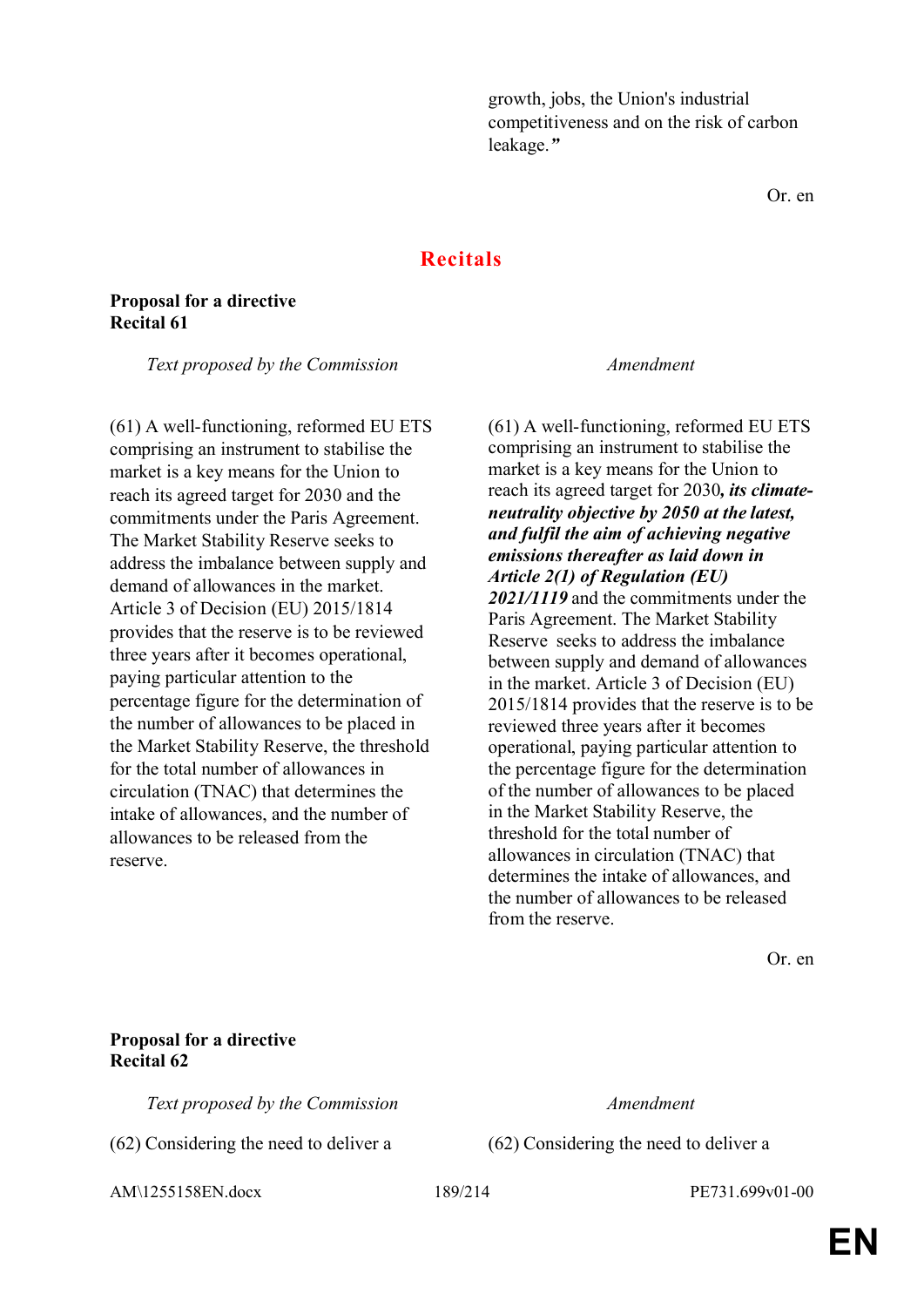growth, jobs, the Union's industrial competitiveness and on the risk of carbon leakage.*"*

Or. en

## **Recitals**

#### **Proposal for a directive Recital 61**

*Text proposed by the Commission Amendment*

(61) A well-functioning, reformed EU ETS comprising an instrument to stabilise the market is a key means for the Union to reach its agreed target for 2030 and the commitments under the Paris Agreement. The Market Stability Reserve seeks to address the imbalance between supply and demand of allowances in the market. Article 3 of Decision (EU) 2015/1814 provides that the reserve is to be reviewed three years after it becomes operational, paying particular attention to the percentage figure for the determination of the number of allowances to be placed in the Market Stability Reserve, the threshold for the total number of allowances in circulation (TNAC) that determines the intake of allowances, and the number of allowances to be released from the reserve.

(61) A well-functioning, reformed EU ETS comprising an instrument to stabilise the market is a key means for the Union to reach its agreed target for 2030*, its climateneutrality objective by 2050 at the latest, and fulfil the aim of achieving negative emissions thereafter as laid down in Article 2(1) of Regulation (EU) 2021/1119* and the commitments under the Paris Agreement. The Market Stability Reserve seeks to address the imbalance between supply and demand of allowances in the market. Article 3 of Decision (EU) 2015/1814 provides that the reserve is to be reviewed three years after it becomes operational, paying particular attention to the percentage figure for the determination of the number of allowances to be placed in the Market Stability Reserve, the threshold for the total number of allowances in circulation (TNAC) that determines the intake of allowances, and the number of allowances to be released from the reserve.

Or. en

### **Proposal for a directive Recital 62**

*Text proposed by the Commission Amendment*

(62) Considering the need to deliver a (62) Considering the need to deliver a

AM\1255158EN.docx 189/214 PE731.699v01-00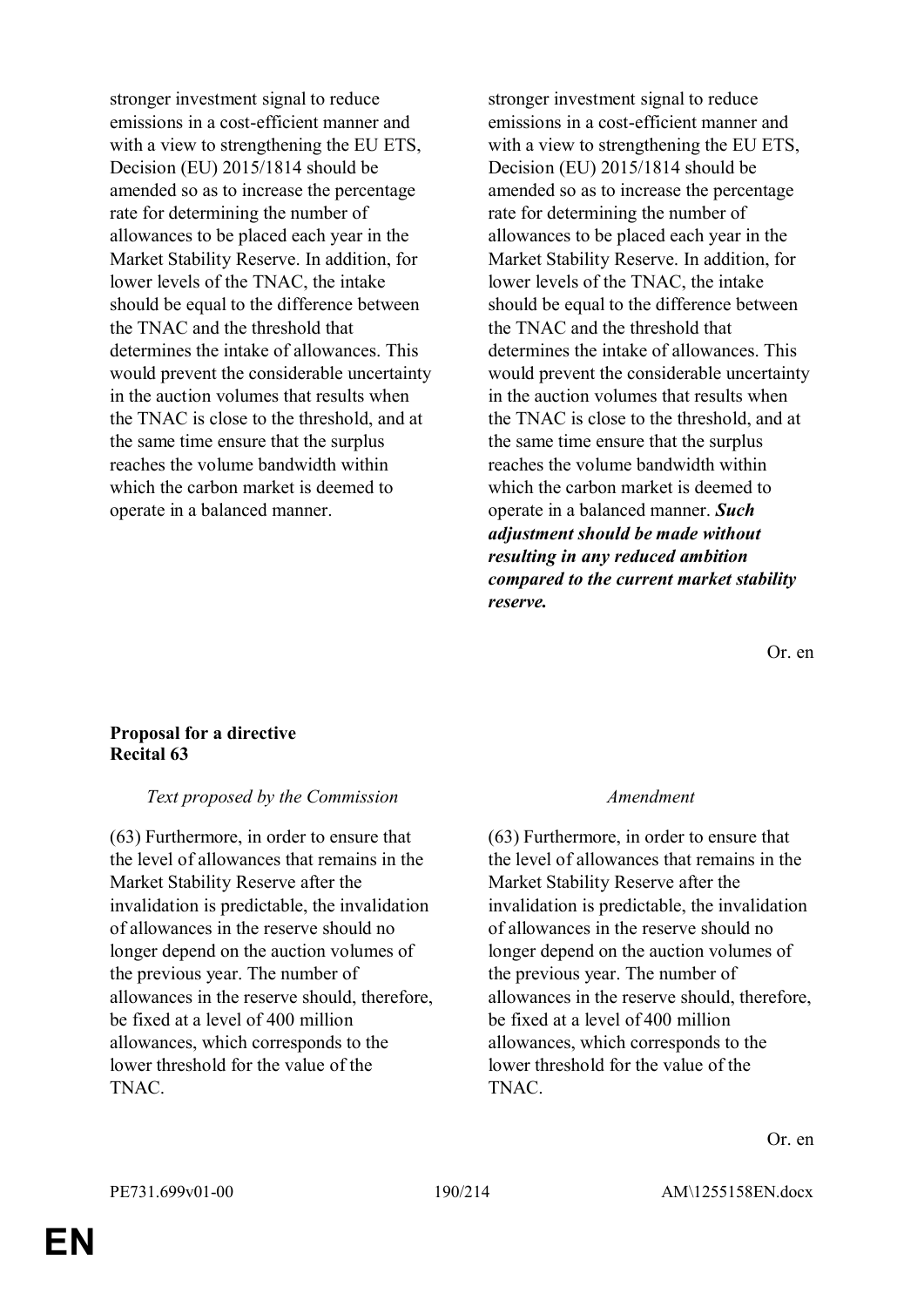stronger investment signal to reduce emissions in a cost-efficient manner and with a view to strengthening the EU ETS, Decision (EU) 2015/1814 should be amended so as to increase the percentage rate for determining the number of allowances to be placed each year in the Market Stability Reserve. In addition, for lower levels of the TNAC, the intake should be equal to the difference between the TNAC and the threshold that determines the intake of allowances. This would prevent the considerable uncertainty in the auction volumes that results when the TNAC is close to the threshold, and at the same time ensure that the surplus reaches the volume bandwidth within which the carbon market is deemed to operate in a balanced manner.

stronger investment signal to reduce emissions in a cost-efficient manner and with a view to strengthening the EU ETS, Decision (EU) 2015/1814 should be amended so as to increase the percentage rate for determining the number of allowances to be placed each year in the Market Stability Reserve. In addition, for lower levels of the TNAC, the intake should be equal to the difference between the TNAC and the threshold that determines the intake of allowances. This would prevent the considerable uncertainty in the auction volumes that results when the TNAC is close to the threshold, and at the same time ensure that the surplus reaches the volume bandwidth within which the carbon market is deemed to operate in a balanced manner. *Such adjustment should be made without resulting in any reduced ambition compared to the current market stability reserve.*

Or. en

#### **Proposal for a directive Recital 63**

#### *Text proposed by the Commission Amendment*

(63) Furthermore, in order to ensure that the level of allowances that remains in the Market Stability Reserve after the invalidation is predictable, the invalidation of allowances in the reserve should no longer depend on the auction volumes of the previous year. The number of allowances in the reserve should, therefore, be fixed at a level of 400 million allowances, which corresponds to the lower threshold for the value of the TNAC.

(63) Furthermore, in order to ensure that the level of allowances that remains in the Market Stability Reserve after the invalidation is predictable, the invalidation of allowances in the reserve should no longer depend on the auction volumes of the previous year. The number of allowances in the reserve should, therefore, be fixed at a level of 400 million allowances, which corresponds to the lower threshold for the value of the TNAC.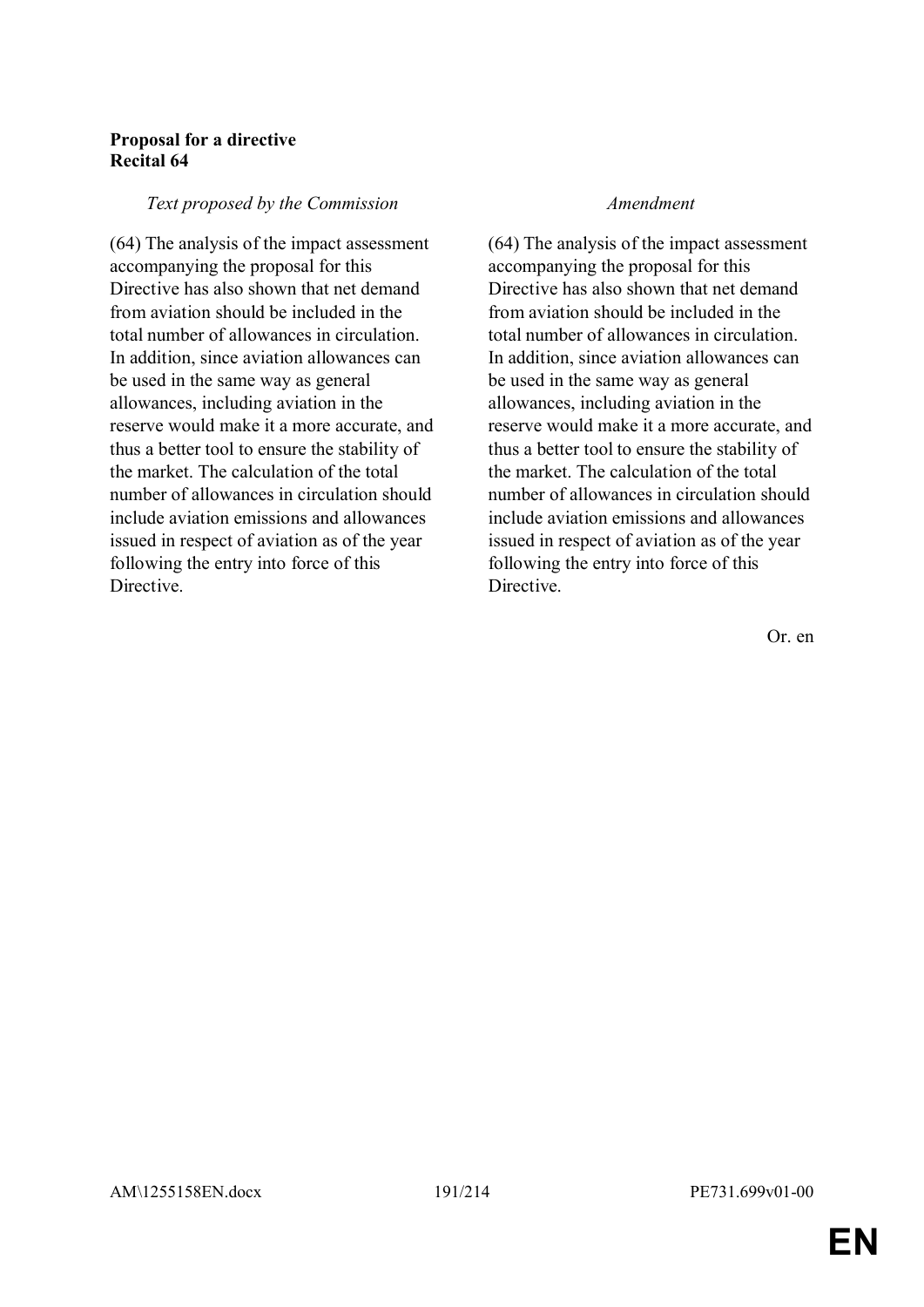### **Proposal for a directive Recital 64**

### *Text proposed by the Commission Amendment*

(64) The analysis of the impact assessment accompanying the proposal for this Directive has also shown that net demand from aviation should be included in the total number of allowances in circulation. In addition, since aviation allowances can be used in the same way as general allowances, including aviation in the reserve would make it a more accurate, and thus a better tool to ensure the stability of the market. The calculation of the total number of allowances in circulation should include aviation emissions and allowances issued in respect of aviation as of the year following the entry into force of this Directive.

(64) The analysis of the impact assessment accompanying the proposal for this Directive has also shown that net demand from aviation should be included in the total number of allowances in circulation. In addition, since aviation allowances can be used in the same way as general allowances, including aviation in the reserve would make it a more accurate, and thus a better tool to ensure the stability of the market. The calculation of the total number of allowances in circulation should include aviation emissions and allowances issued in respect of aviation as of the year following the entry into force of this Directive.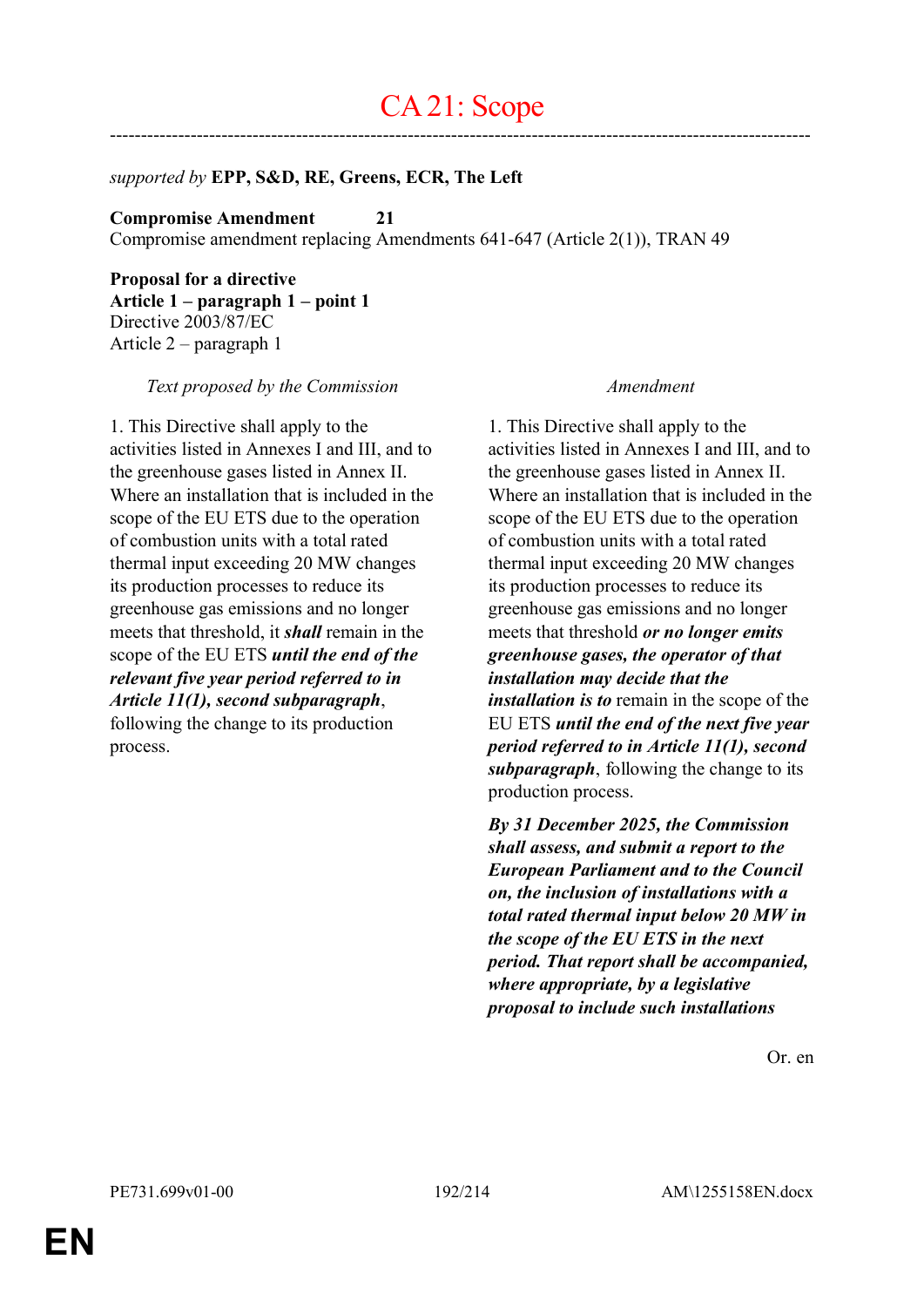### *supported by* **EPP, S&D, RE, Greens, ECR, The Left**

**Compromise Amendment 21** Compromise amendment replacing Amendments 641-647 (Article 2(1)), TRAN 49

**Proposal for a directive Article 1 – paragraph 1 – point 1** Directive 2003/87/EC Article 2 – paragraph 1

#### *Text proposed by the Commission Amendment*

1. This Directive shall apply to the activities listed in Annexes I and III, and to the greenhouse gases listed in Annex II. Where an installation that is included in the scope of the EU ETS due to the operation of combustion units with a total rated thermal input exceeding 20 MW changes its production processes to reduce its greenhouse gas emissions and no longer meets that threshold, it *shall* remain in the scope of the EU ETS *until the end of the relevant five year period referred to in Article 11(1), second subparagraph*, following the change to its production process.

1. This Directive shall apply to the activities listed in Annexes I and III, and to the greenhouse gases listed in Annex II. Where an installation that is included in the scope of the EU ETS due to the operation of combustion units with a total rated thermal input exceeding 20 MW changes its production processes to reduce its greenhouse gas emissions and no longer meets that threshold *or no longer emits greenhouse gases, the operator of that installation may decide that the installation is to* remain in the scope of the EU ETS *until the end of the next five year period referred to in Article 11(1), second subparagraph*, following the change to its production process.

*By 31 December 2025, the Commission shall assess, and submit a report to the European Parliament and to the Council on, the inclusion of installations with a total rated thermal input below 20 MW in the scope of the EU ETS in the next period. That report shall be accompanied, where appropriate, by a legislative proposal to include such installations*

Or. en

**EN**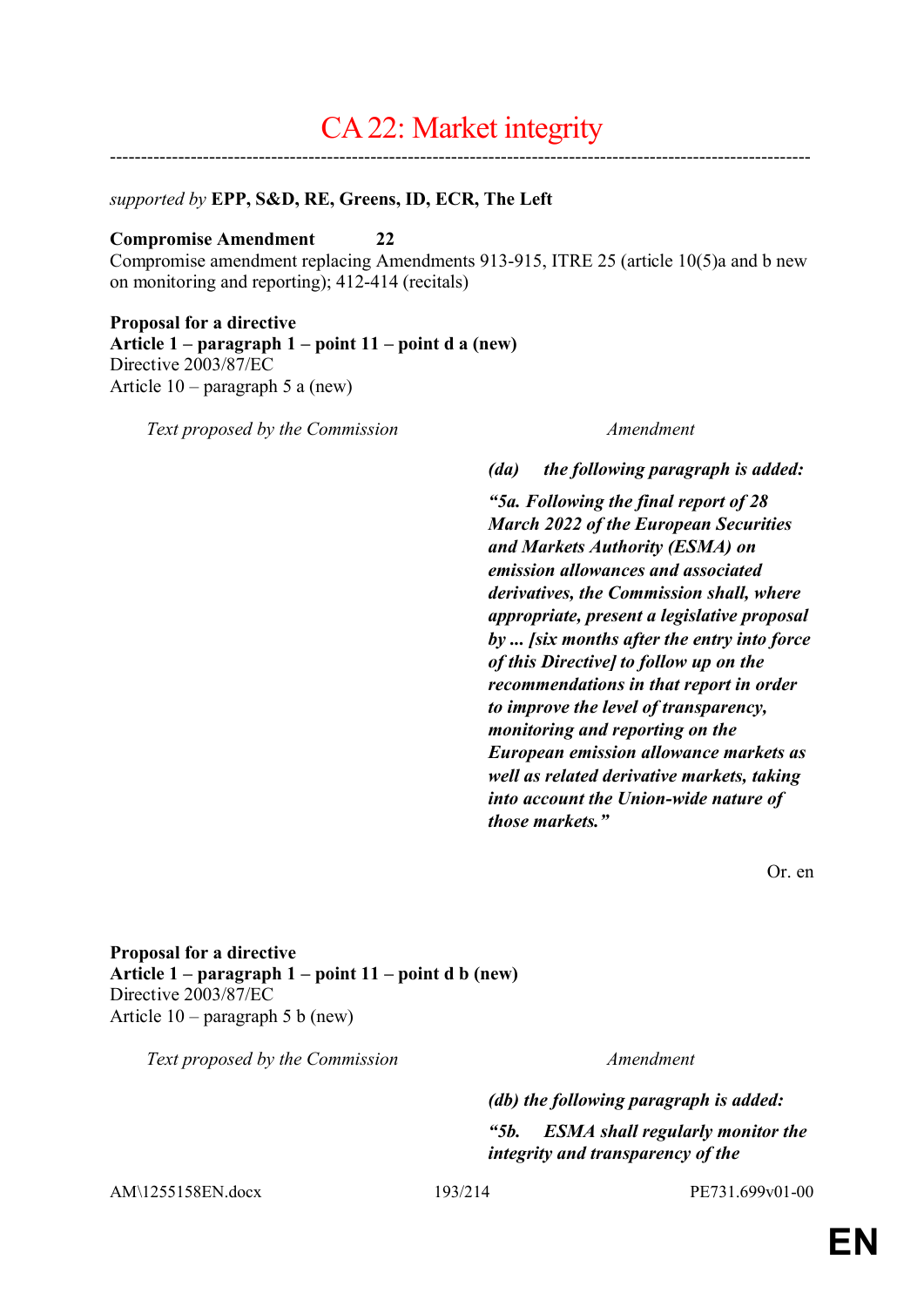# CA 22: Market integrity -----------------------------------------------------------------------------------------------------------------

*supported by* **EPP, S&D, RE, Greens, ID, ECR, The Left**

#### **Compromise Amendment 22**

Compromise amendment replacing Amendments 913-915, ITRE 25 (article 10(5)a and b new on monitoring and reporting); 412-414 (recitals)

**Proposal for a directive Article 1 – paragraph 1 – point 11 – point d a (new)** Directive 2003/87/EC Article 10 – paragraph 5 a (new)

*Text proposed by the Commission Amendment*

*(da) the following paragraph is added:*

*"5a. Following the final report of 28 March 2022 of the European Securities and Markets Authority (ESMA) on emission allowances and associated derivatives, the Commission shall, where appropriate, present a legislative proposal by ... [six months after the entry into force of this Directive] to follow up on the recommendations in that report in order to improve the level of transparency, monitoring and reporting on the European emission allowance markets as well as related derivative markets, taking into account the Union-wide nature of those markets."*

Or. en

**Proposal for a directive Article 1 – paragraph 1 – point 11 – point d b (new)** Directive 2003/87/EC Article 10 – paragraph 5 b (new)

*Text proposed by the Commission Amendment*

*(db) the following paragraph is added:*

*"5b. ESMA shall regularly monitor the integrity and transparency of the* 

AM\1255158EN.docx 193/214 PE731.699v01-00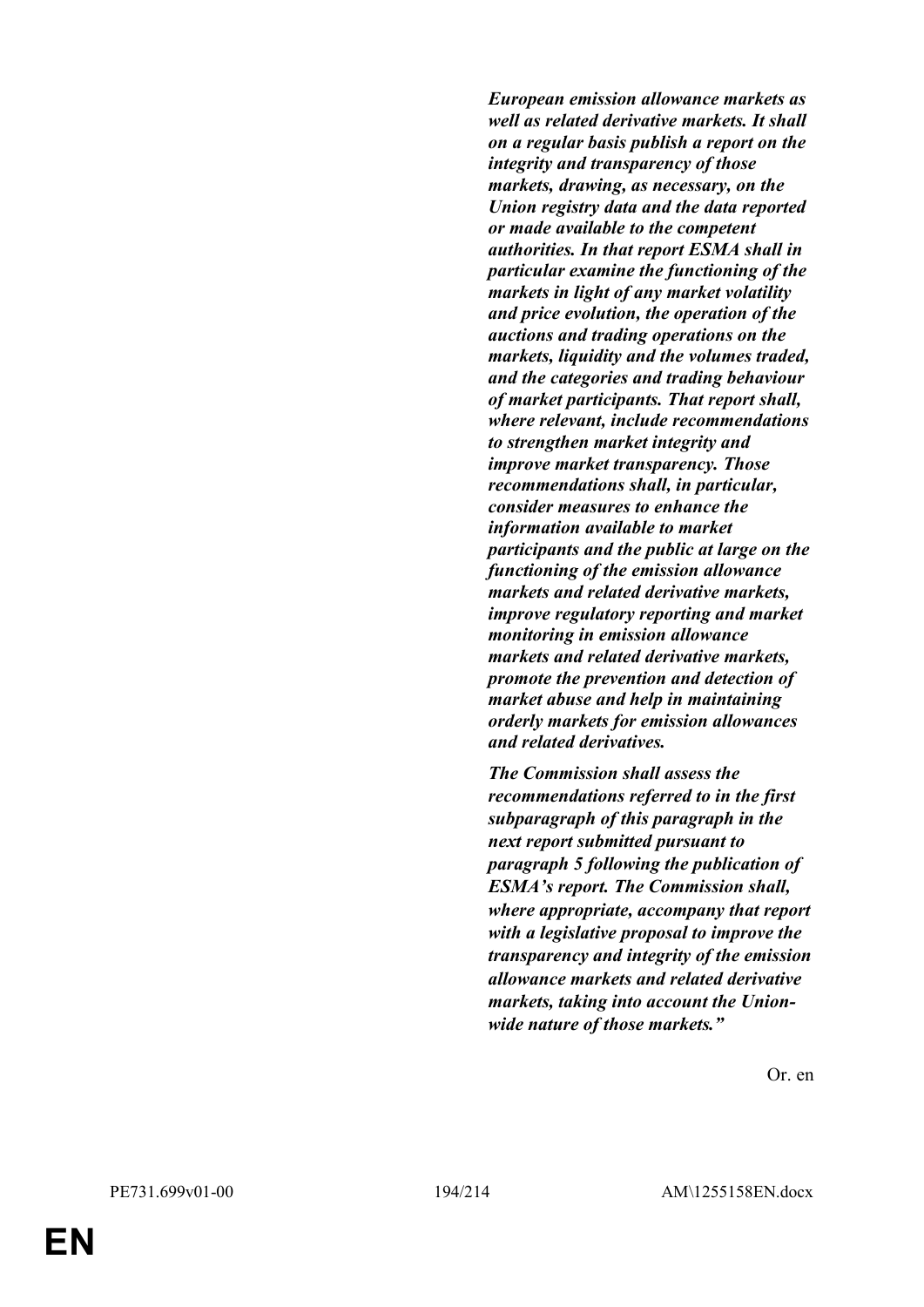*European emission allowance markets as well as related derivative markets. It shall on a regular basis publish a report on the integrity and transparency of those markets, drawing, as necessary, on the Union registry data and the data reported or made available to the competent authorities. In that report ESMA shall in particular examine the functioning of the markets in light of any market volatility and price evolution, the operation of the auctions and trading operations on the markets, liquidity and the volumes traded, and the categories and trading behaviour of market participants. That report shall, where relevant, include recommendations to strengthen market integrity and improve market transparency. Those recommendations shall, in particular, consider measures to enhance the information available to market participants and the public at large on the functioning of the emission allowance markets and related derivative markets, improve regulatory reporting and market monitoring in emission allowance markets and related derivative markets, promote the prevention and detection of market abuse and help in maintaining orderly markets for emission allowances and related derivatives.* 

*The Commission shall assess the recommendations referred to in the first subparagraph of this paragraph in the next report submitted pursuant to paragraph 5 following the publication of ESMA's report. The Commission shall, where appropriate, accompany that report with a legislative proposal to improve the transparency and integrity of the emission allowance markets and related derivative markets, taking into account the Unionwide nature of those markets."*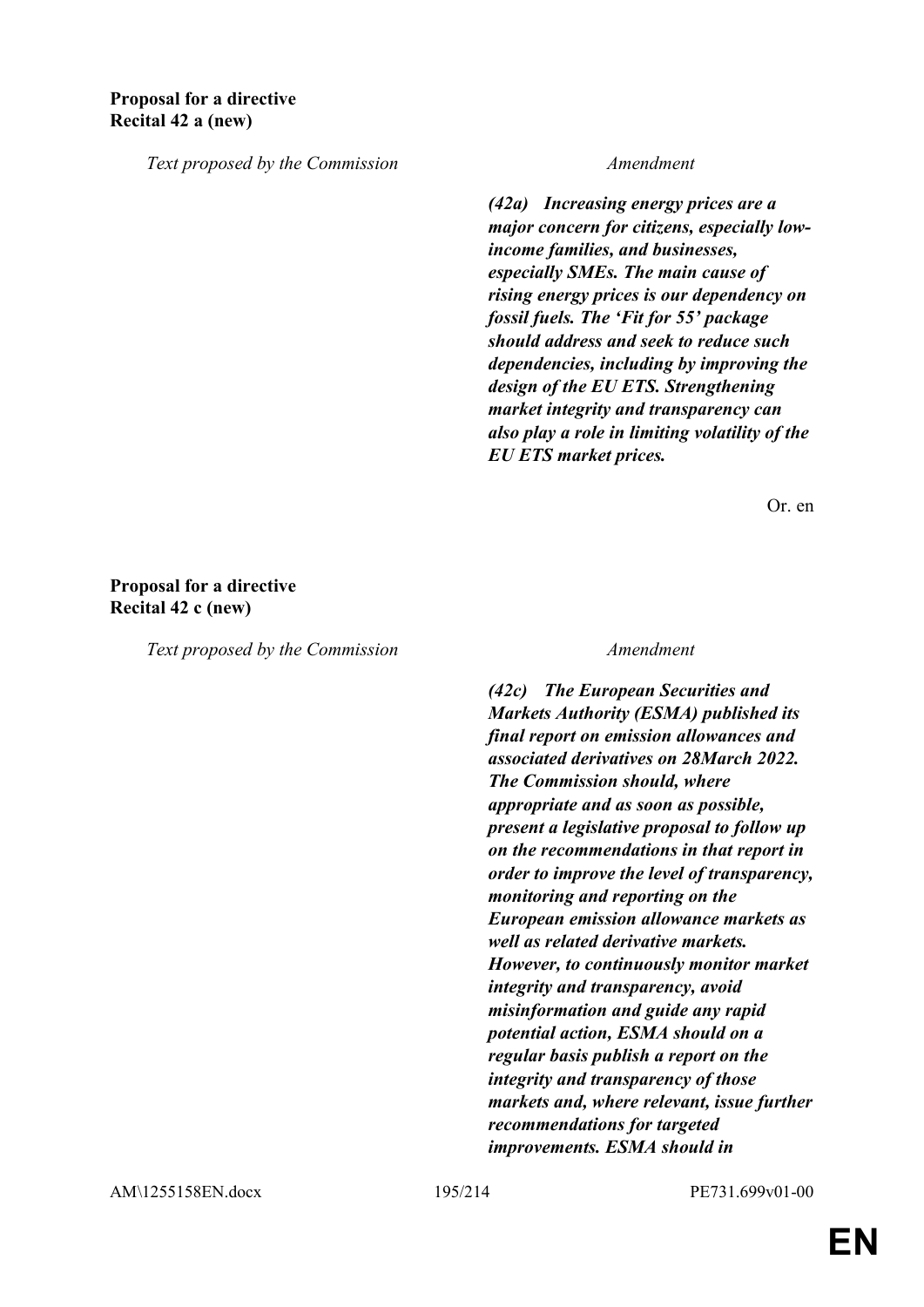*Text proposed by the Commission Amendment*

*(42a) Increasing energy prices are a major concern for citizens, especially lowincome families, and businesses, especially SMEs. The main cause of rising energy prices is our dependency on fossil fuels. The 'Fit for 55' package should address and seek to reduce such dependencies, including by improving the design of the EU ETS. Strengthening market integrity and transparency can also play a role in limiting volatility of the EU ETS market prices.*

Or. en

### **Proposal for a directive Recital 42 c (new)**

*Text proposed by the Commission Amendment*

*(42c) The European Securities and Markets Authority (ESMA) published its final report on emission allowances and associated derivatives on 28March 2022. The Commission should, where appropriate and as soon as possible, present a legislative proposal to follow up on the recommendations in that report in order to improve the level of transparency, monitoring and reporting on the European emission allowance markets as well as related derivative markets. However, to continuously monitor market integrity and transparency, avoid misinformation and guide any rapid potential action, ESMA should on a regular basis publish a report on the integrity and transparency of those markets and, where relevant, issue further recommendations for targeted improvements. ESMA should in*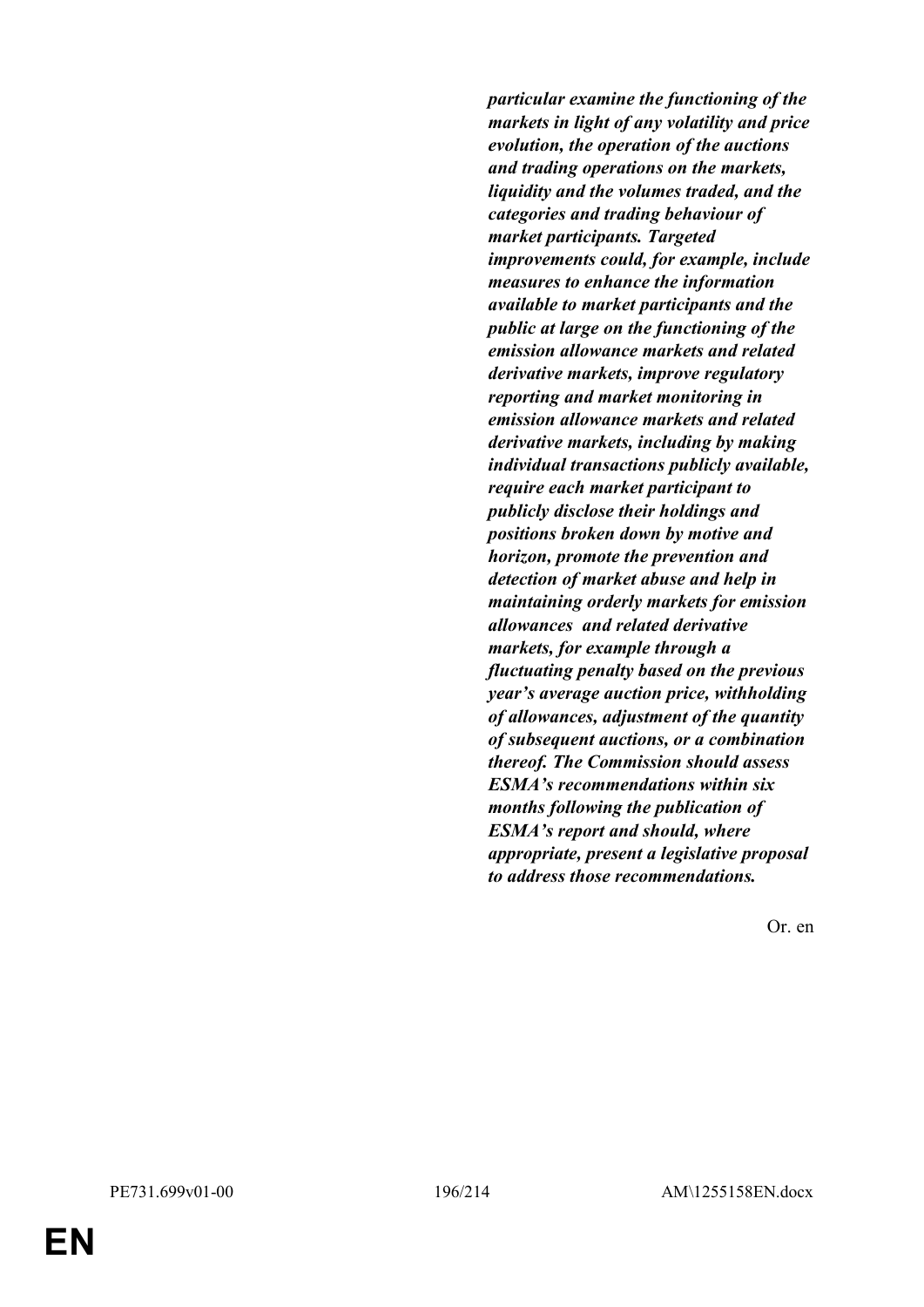*particular examine the functioning of the markets in light of any volatility and price evolution, the operation of the auctions and trading operations on the markets, liquidity and the volumes traded, and the categories and trading behaviour of market participants. Targeted improvements could, for example, include measures to enhance the information available to market participants and the public at large on the functioning of the emission allowance markets and related derivative markets, improve regulatory reporting and market monitoring in emission allowance markets and related derivative markets, including by making individual transactions publicly available, require each market participant to publicly disclose their holdings and positions broken down by motive and horizon, promote the prevention and detection of market abuse and help in maintaining orderly markets for emission allowances and related derivative markets, for example through a fluctuating penalty based on the previous year's average auction price, withholding of allowances, adjustment of the quantity of subsequent auctions, or a combination thereof. The Commission should assess ESMA's recommendations within six months following the publication of ESMA's report and should, where appropriate, present a legislative proposal to address those recommendations.*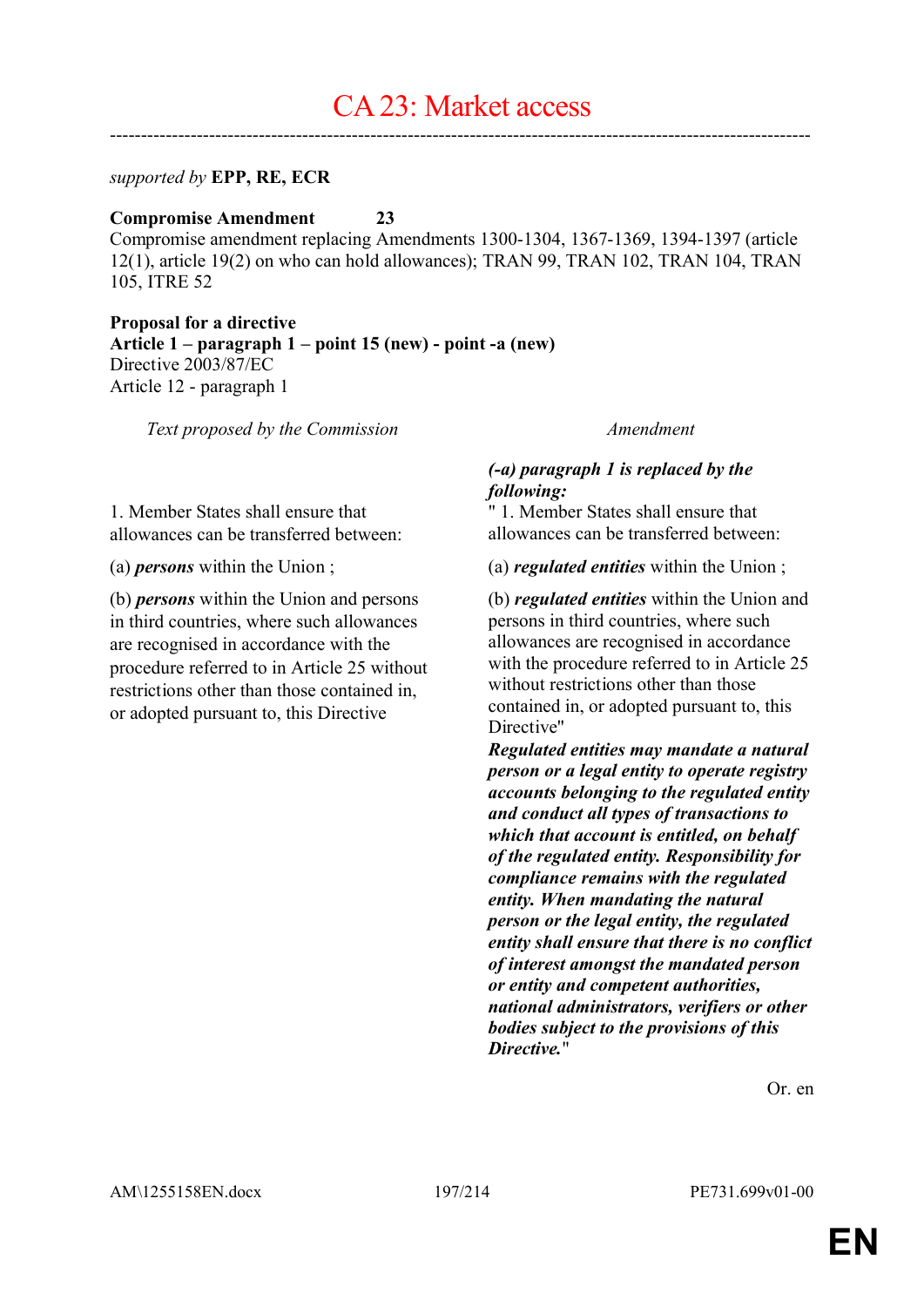### *supported by* **EPP, RE, ECR**

#### **Compromise Amendment 23**

Compromise amendment replacing Amendments 1300-1304, 1367-1369, 1394-1397 (article 12(1), article 19(2) on who can hold allowances); TRAN 99, TRAN 102, TRAN 104, TRAN 105, ITRE 52

**Proposal for a directive Article 1 – paragraph 1 – point 15 (new) - point -a (new)** Directive 2003/87/EC Article 12 - paragraph 1

*Text proposed by the Commission Amendment*

1. Member States shall ensure that allowances can be transferred between:

(b) *persons* within the Union and persons in third countries, where such allowances are recognised in accordance with the procedure referred to in Article 25 without restrictions other than those contained in, or adopted pursuant to, this Directive

### *(-a) paragraph 1 is replaced by the following:*

" 1. Member States shall ensure that allowances can be transferred between:

(a) *persons* within the Union ; (a) *regulated entities* within the Union ;

(b) *regulated entities* within the Union and persons in third countries, where such allowances are recognised in accordance with the procedure referred to in Article 25 without restrictions other than those contained in, or adopted pursuant to, this Directive"

*Regulated entities may mandate a natural person or a legal entity to operate registry accounts belonging to the regulated entity and conduct all types of transactions to which that account is entitled, on behalf of the regulated entity. Responsibility for compliance remains with the regulated entity. When mandating the natural person or the legal entity, the regulated entity shall ensure that there is no conflict of interest amongst the mandated person or entity and competent authorities, national administrators, verifiers or other bodies subject to the provisions of this Directive.*"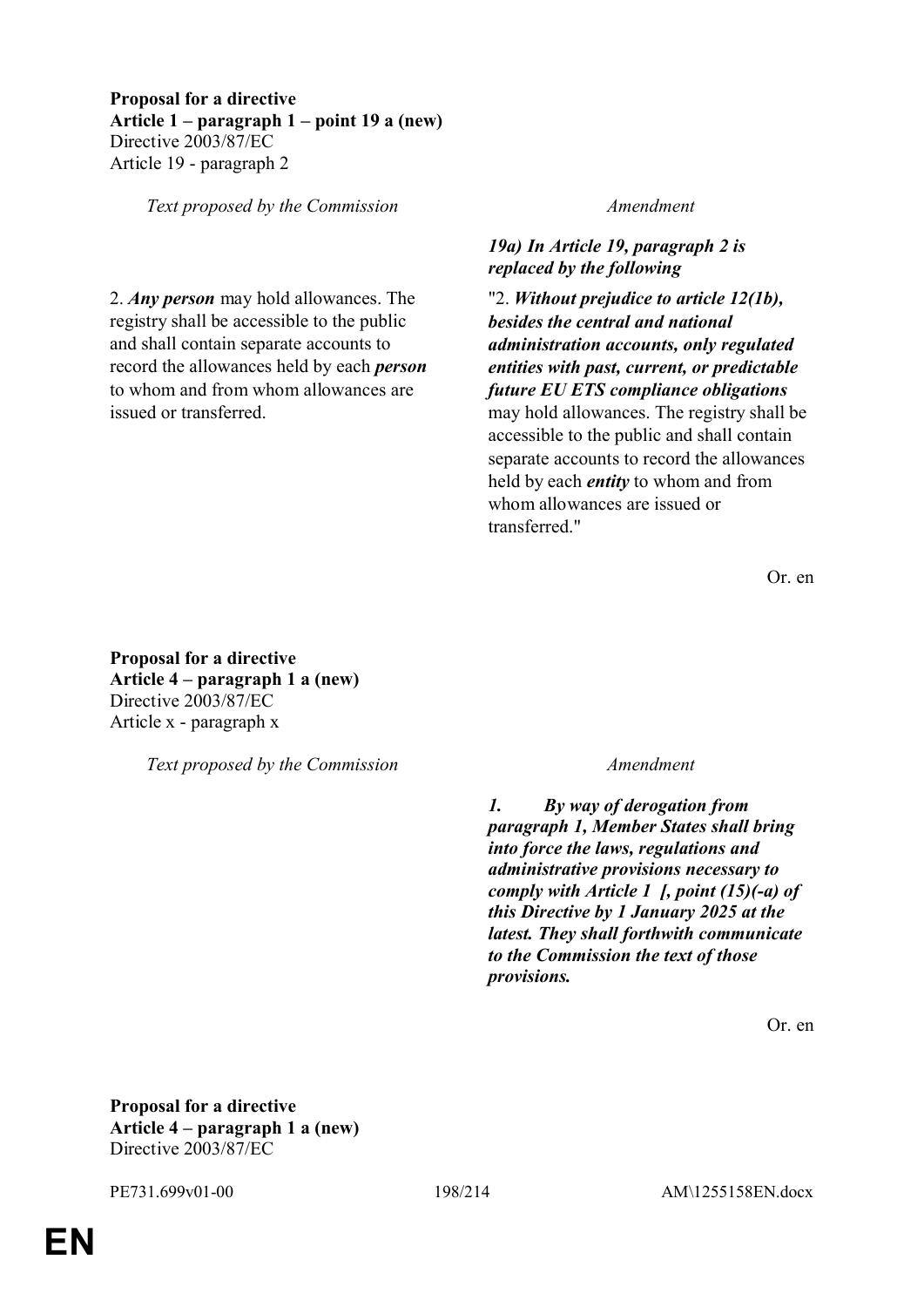### **Proposal for a directive Article 1 – paragraph 1 – point 19 a (new)** Directive 2003/87/EC Article 19 - paragraph 2

*Text proposed by the Commission Amendment*

2. *Any person* may hold allowances. The registry shall be accessible to the public and shall contain separate accounts to record the allowances held by each *person* to whom and from whom allowances are issued or transferred.

*19a) In Article 19, paragraph 2 is replaced by the following* "2. *Without prejudice to article 12(1b), besides the central and national administration accounts, only regulated entities with past, current, or predictable future EU ETS compliance obligations* may hold allowances. The registry shall be accessible to the public and shall contain separate accounts to record the allowances held by each *entity* to whom and from whom allowances are issued or transferred."

Or. en

**Proposal for a directive Article 4 – paragraph 1 a (new)** Directive 2003/87/EC Article x - paragraph x

*Text proposed by the Commission Amendment*

*1. By way of derogation from paragraph 1, Member States shall bring into force the laws, regulations and administrative provisions necessary to comply with Article 1 [, point (15)(-a) of this Directive by 1 January 2025 at the latest. They shall forthwith communicate to the Commission the text of those provisions.*

Or. en

**Proposal for a directive Article 4 – paragraph 1 a (new)** Directive 2003/87/EC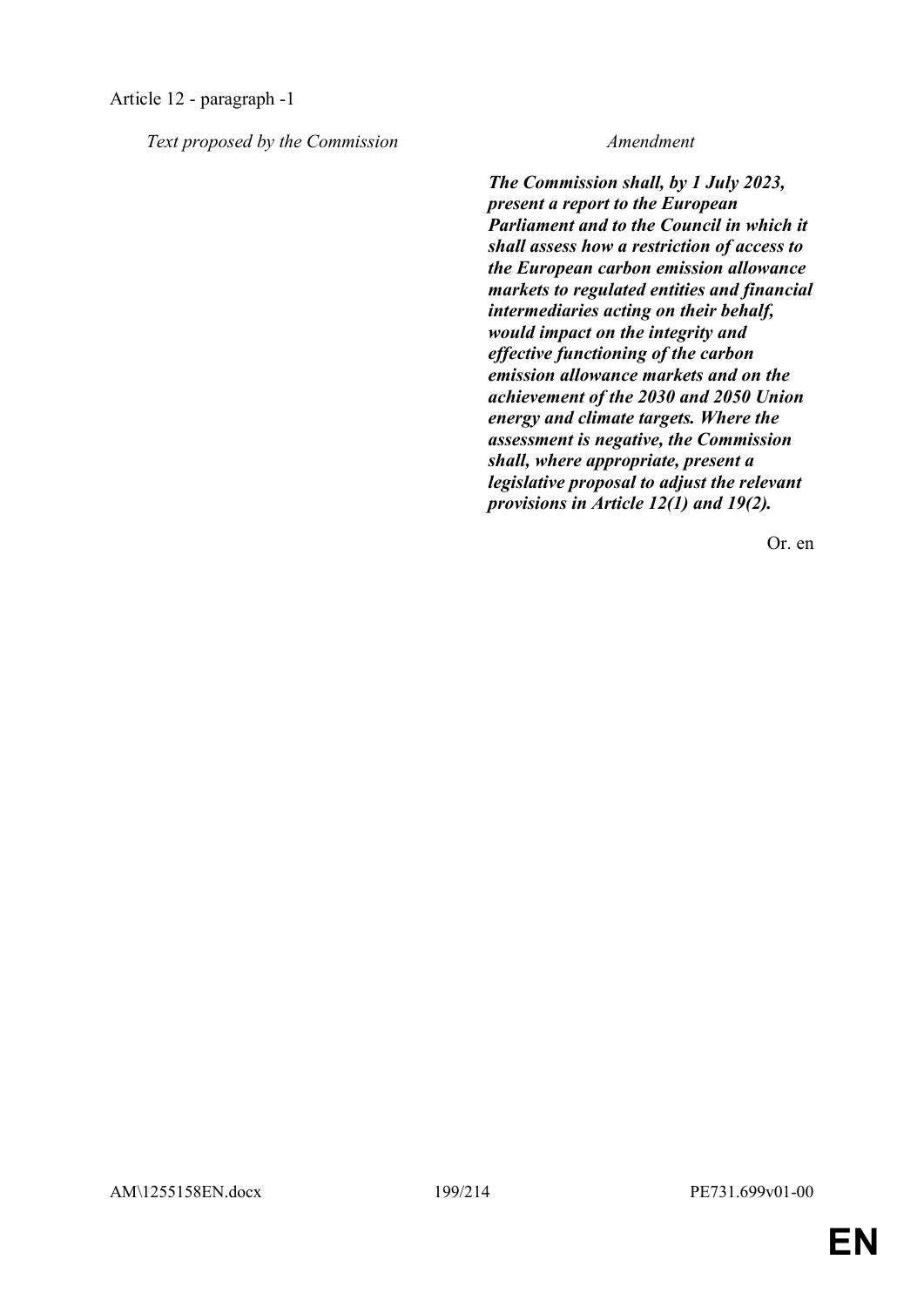*Text proposed by the Commission Amendment*

*The Commission shall, by 1 July 2023, present a report to the European Parliament and to the Council in which it shall assess how a restriction of access to the European carbon emission allowance markets to regulated entities and financial intermediaries acting on their behalf, would impact on the integrity and effective functioning of the carbon emission allowance markets and on the achievement of the 2030 and 2050 Union energy and climate targets. Where the assessment is negative, the Commission shall, where appropriate, present a legislative proposal to adjust the relevant provisions in Article 12(1) and 19(2).*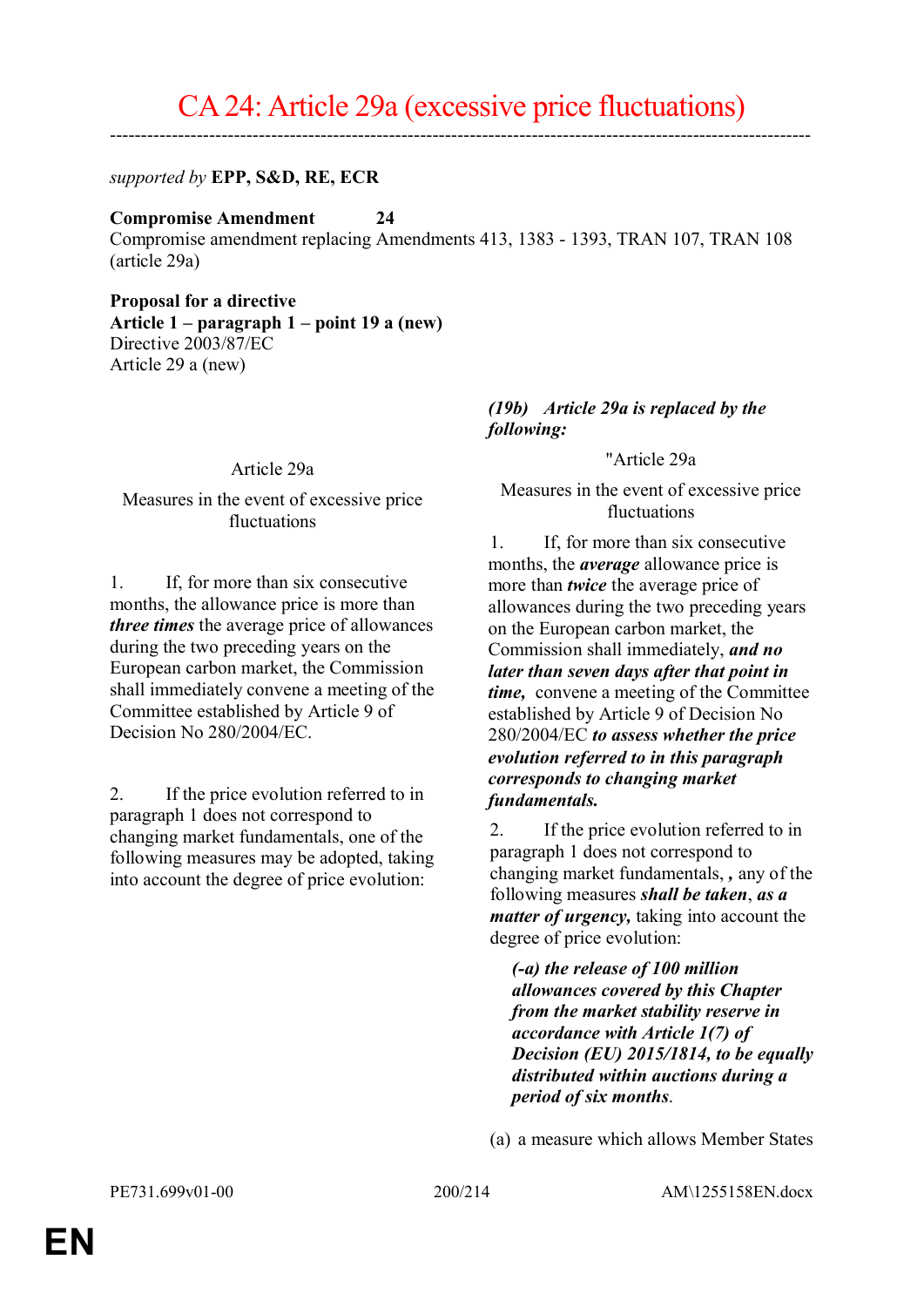### *supported by* **EPP, S&D, RE, ECR**

#### **Compromise Amendment 24**

Compromise amendment replacing Amendments 413, 1383 - 1393, TRAN 107, TRAN 108 (article 29a)

**Proposal for a directive Article 1 – paragraph 1 – point 19 a (new)** Directive 2003/87/EC Article 29 a (new)

#### Article 29a

#### Measures in the event of excessive price fluctuations

1. If, for more than six consecutive months, the allowance price is more than *three times* the average price of allowances during the two preceding years on the European carbon market, the Commission shall immediately convene a meeting of the Committee established by Article 9 of Decision No 280/2004/EC.

2. If the price evolution referred to in paragraph 1 does not correspond to changing market fundamentals, one of the following measures may be adopted, taking into account the degree of price evolution:

### *(19b) Article 29a is replaced by the following:*

"Article 29a

Measures in the event of excessive price fluctuations

1. If, for more than six consecutive months, the *average* allowance price is more than *twice* the average price of allowances during the two preceding years on the European carbon market, the Commission shall immediately, *and no later than seven days after that point in time,* convene a meeting of the Committee established by Article 9 of Decision No 280/2004/EC *to assess whether the price evolution referred to in this paragraph corresponds to changing market fundamentals.*

2. If the price evolution referred to in paragraph 1 does not correspond to changing market fundamentals, *,* any of the following measures *shall be taken*, *as a matter of urgency,* taking into account the degree of price evolution:

*(-a) the release of 100 million allowances covered by this Chapter from the market stability reserve in accordance with Article 1(7) of Decision (EU) 2015/1814, to be equally distributed within auctions during a period of six months*.

(a) a measure which allows Member States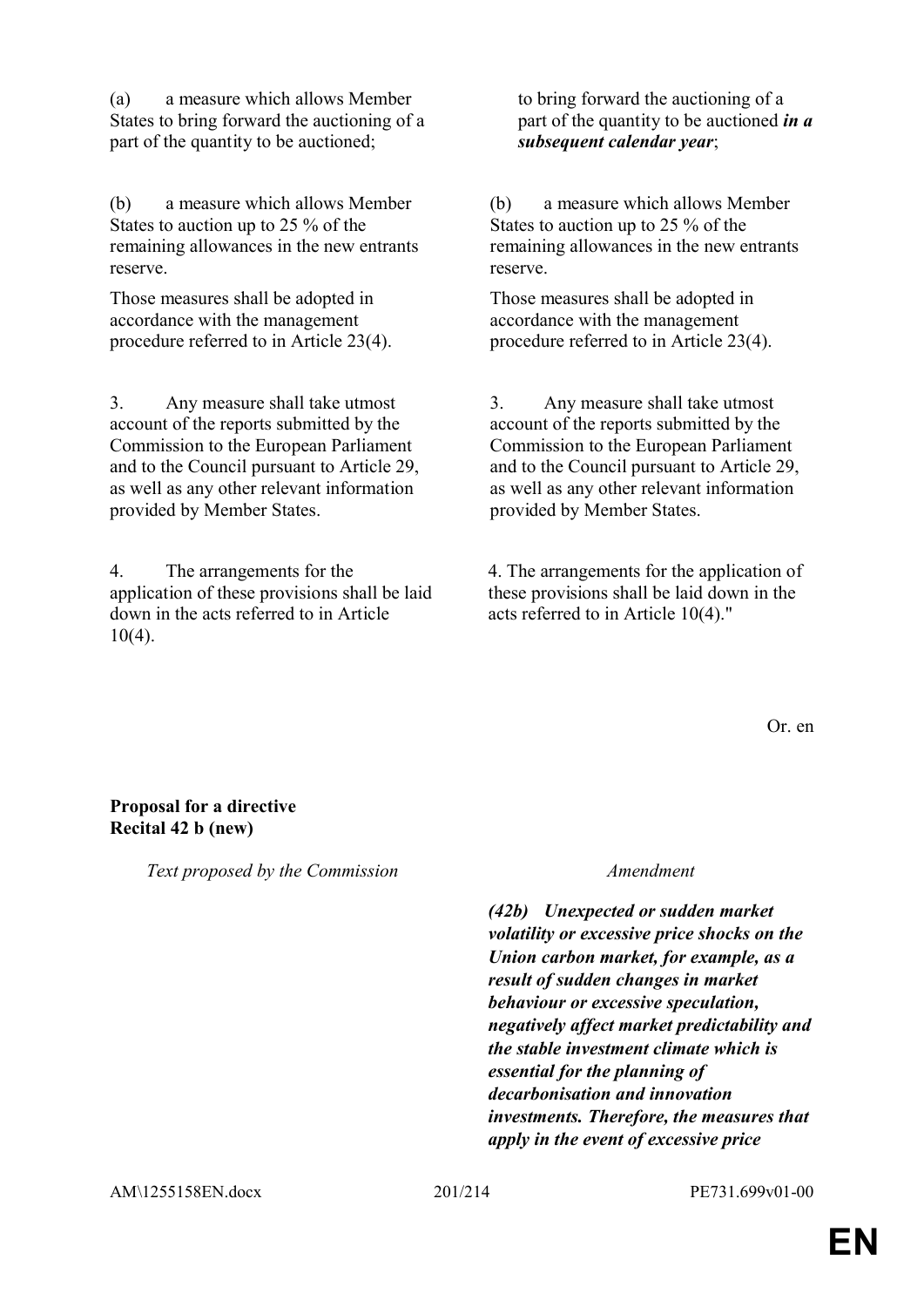(a) a measure which allows Member States to bring forward the auctioning of a part of the quantity to be auctioned;

(b) a measure which allows Member States to auction up to 25 % of the remaining allowances in the new entrants reserve.

Those measures shall be adopted in accordance with the management procedure referred to in Article 23(4).

3. Any measure shall take utmost account of the reports submitted by the Commission to the European Parliament and to the Council pursuant to Article 29, as well as any other relevant information provided by Member States.

4. The arrangements for the application of these provisions shall be laid down in the acts referred to in Article 10(4).

to bring forward the auctioning of a part of the quantity to be auctioned *in a subsequent calendar year*;

(b) a measure which allows Member States to auction up to 25 % of the remaining allowances in the new entrants reserve.

Those measures shall be adopted in accordance with the management procedure referred to in Article 23(4).

3. Any measure shall take utmost account of the reports submitted by the Commission to the European Parliament and to the Council pursuant to Article 29, as well as any other relevant information provided by Member States.

4. The arrangements for the application of these provisions shall be laid down in the acts referred to in Article 10(4)."

Or. en

### **Proposal for a directive Recital 42 b (new)**

*Text proposed by the Commission Amendment*

*(42b) Unexpected or sudden market volatility or excessive price shocks on the Union carbon market, for example, as a result of sudden changes in market behaviour or excessive speculation, negatively affect market predictability and the stable investment climate which is essential for the planning of decarbonisation and innovation investments. Therefore, the measures that apply in the event of excessive price*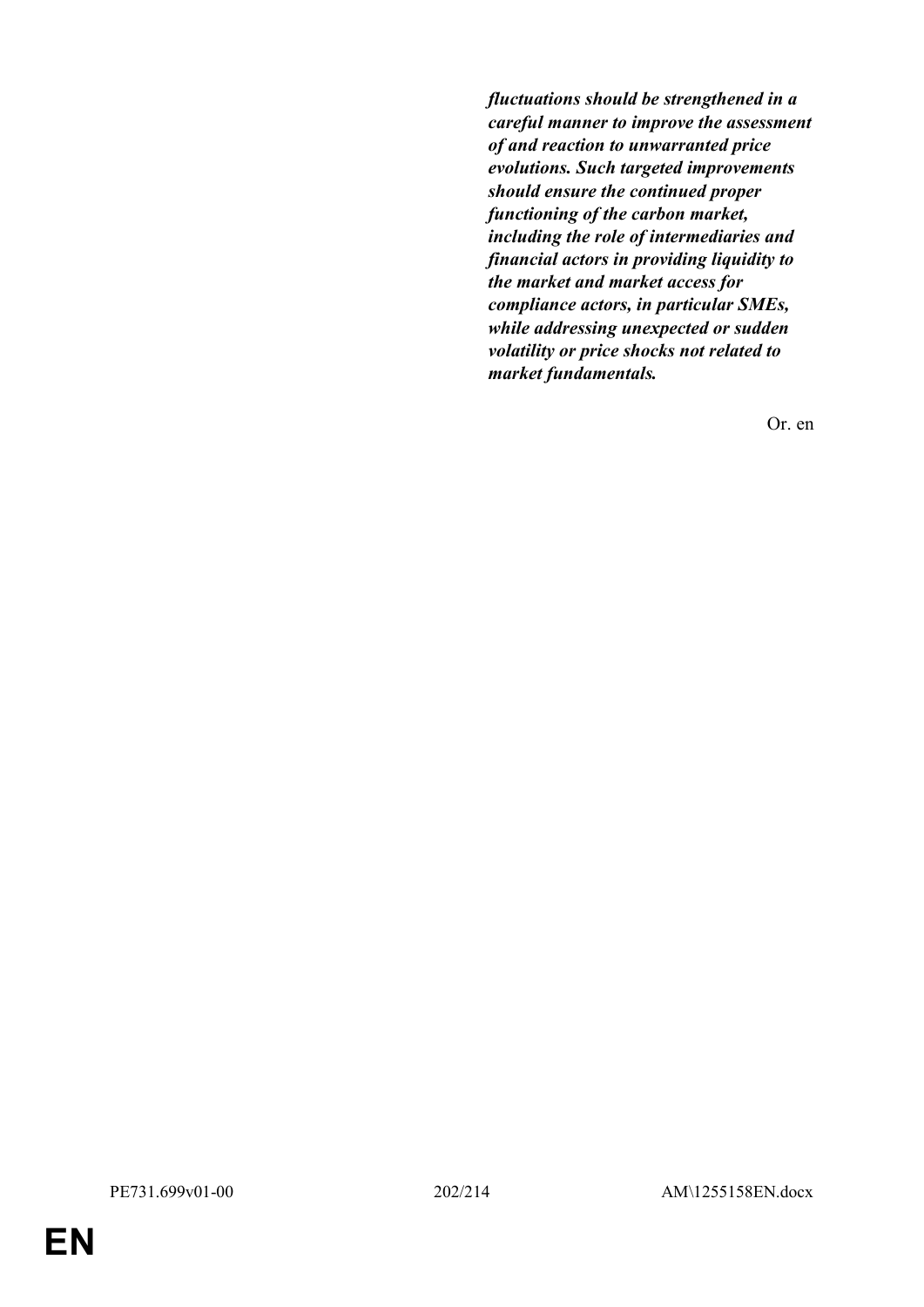*fluctuations should be strengthened in a careful manner to improve the assessment of and reaction to unwarranted price evolutions. Such targeted improvements should ensure the continued proper functioning of the carbon market, including the role of intermediaries and financial actors in providing liquidity to the market and market access for compliance actors, in particular SMEs, while addressing unexpected or sudden volatility or price shocks not related to market fundamentals.*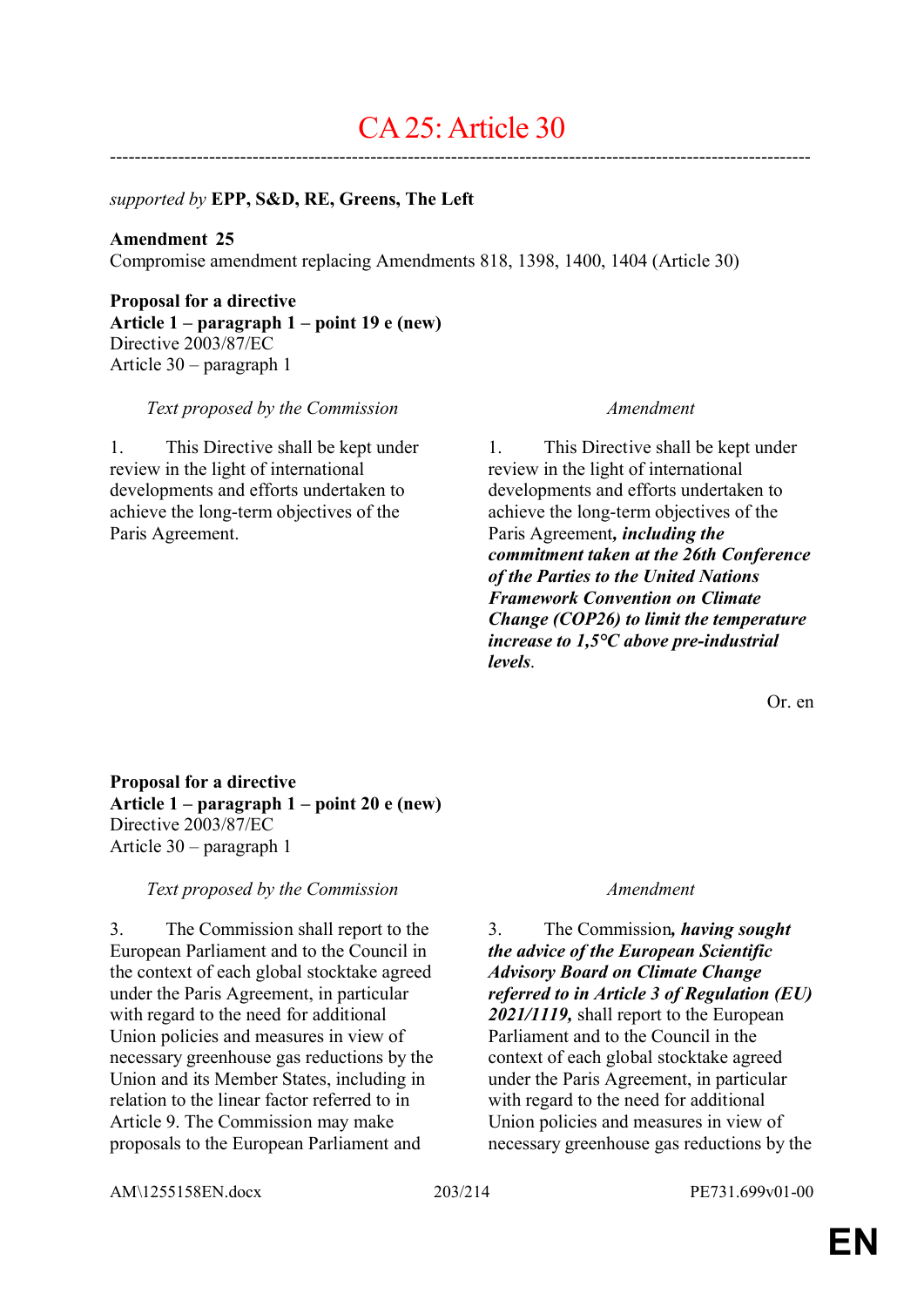# CA25: Article 30 -----------------------------------------------------------------------------------------------------------------

*supported by* **EPP, S&D, RE, Greens, The Left**

#### **Amendment 25**

Compromise amendment replacing Amendments 818, 1398, 1400, 1404 (Article 30)

**Proposal for a directive Article 1 – paragraph 1 – point 19 e (new)** Directive 2003/87/EC Article 30 – paragraph 1

#### *Text proposed by the Commission Amendment*

1. This Directive shall be kept under review in the light of international developments and efforts undertaken to achieve the long-term objectives of the Paris Agreement.

1. This Directive shall be kept under review in the light of international developments and efforts undertaken to achieve the long-term objectives of the Paris Agreement*, including the commitment taken at the 26th Conference of the Parties to the United Nations Framework Convention on Climate Change (COP26) to limit the temperature increase to 1,5°C above pre-industrial levels*.

Or. en

### **Proposal for a directive Article 1 – paragraph 1 – point 20 e (new)** Directive 2003/87/EC Article 30 – paragraph 1

#### *Text proposed by the Commission Amendment*

3. The Commission shall report to the European Parliament and to the Council in the context of each global stocktake agreed under the Paris Agreement, in particular with regard to the need for additional Union policies and measures in view of necessary greenhouse gas reductions by the Union and its Member States, including in relation to the linear factor referred to in Article 9. The Commission may make proposals to the European Parliament and

3. The Commission*, having sought the advice of the European Scientific Advisory Board on Climate Change referred to in Article 3 of Regulation (EU) 2021/1119,* shall report to the European Parliament and to the Council in the context of each global stocktake agreed under the Paris Agreement, in particular with regard to the need for additional Union policies and measures in view of necessary greenhouse gas reductions by the

AM\1255158EN.docx 203/214 PE731.699v01-00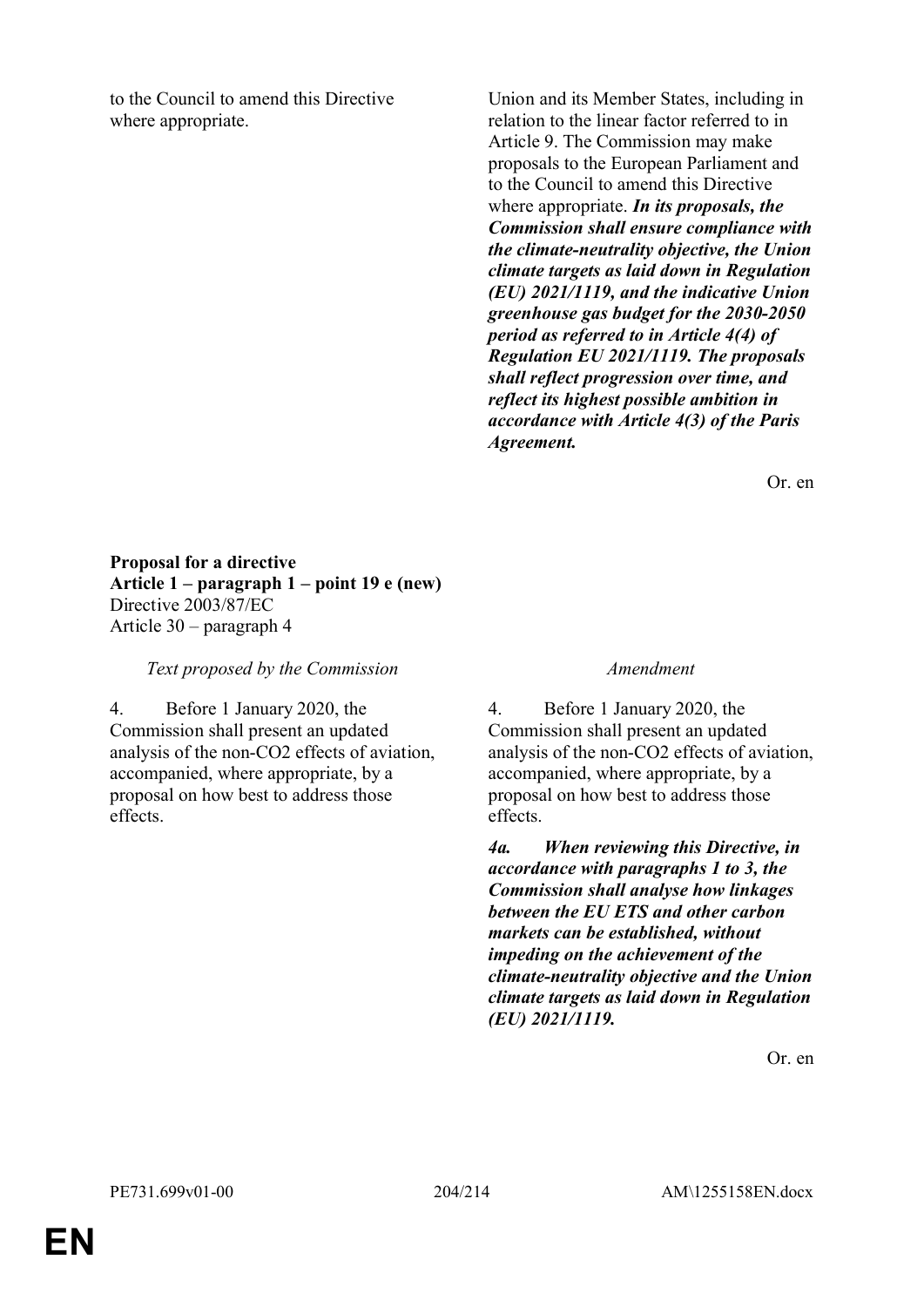to the Council to amend this Directive where appropriate.

Union and its Member States, including in relation to the linear factor referred to in Article 9. The Commission may make proposals to the European Parliament and to the Council to amend this Directive where appropriate. *In its proposals, the Commission shall ensure compliance with the climate-neutrality objective, the Union climate targets as laid down in Regulation (EU) 2021/1119, and the indicative Union greenhouse gas budget for the 2030-2050 period as referred to in Article 4(4) of Regulation EU 2021/1119. The proposals shall reflect progression over time, and reflect its highest possible ambition in accordance with Article 4(3) of the Paris Agreement.*

Or. en

### **Proposal for a directive Article 1 – paragraph 1 – point 19 e (new)** Directive 2003/87/EC Article 30 – paragraph 4

#### *Text proposed by the Commission Amendment*

4. Before 1 January 2020, the Commission shall present an updated analysis of the non-CO2 effects of aviation, accompanied, where appropriate, by a proposal on how best to address those effects.

4. Before 1 January 2020, the Commission shall present an updated analysis of the non-CO2 effects of aviation, accompanied, where appropriate, by a proposal on how best to address those effects.

*4a. When reviewing this Directive, in accordance with paragraphs 1 to 3, the Commission shall analyse how linkages between the EU ETS and other carbon markets can be established, without impeding on the achievement of the climate-neutrality objective and the Union climate targets as laid down in Regulation (EU) 2021/1119.*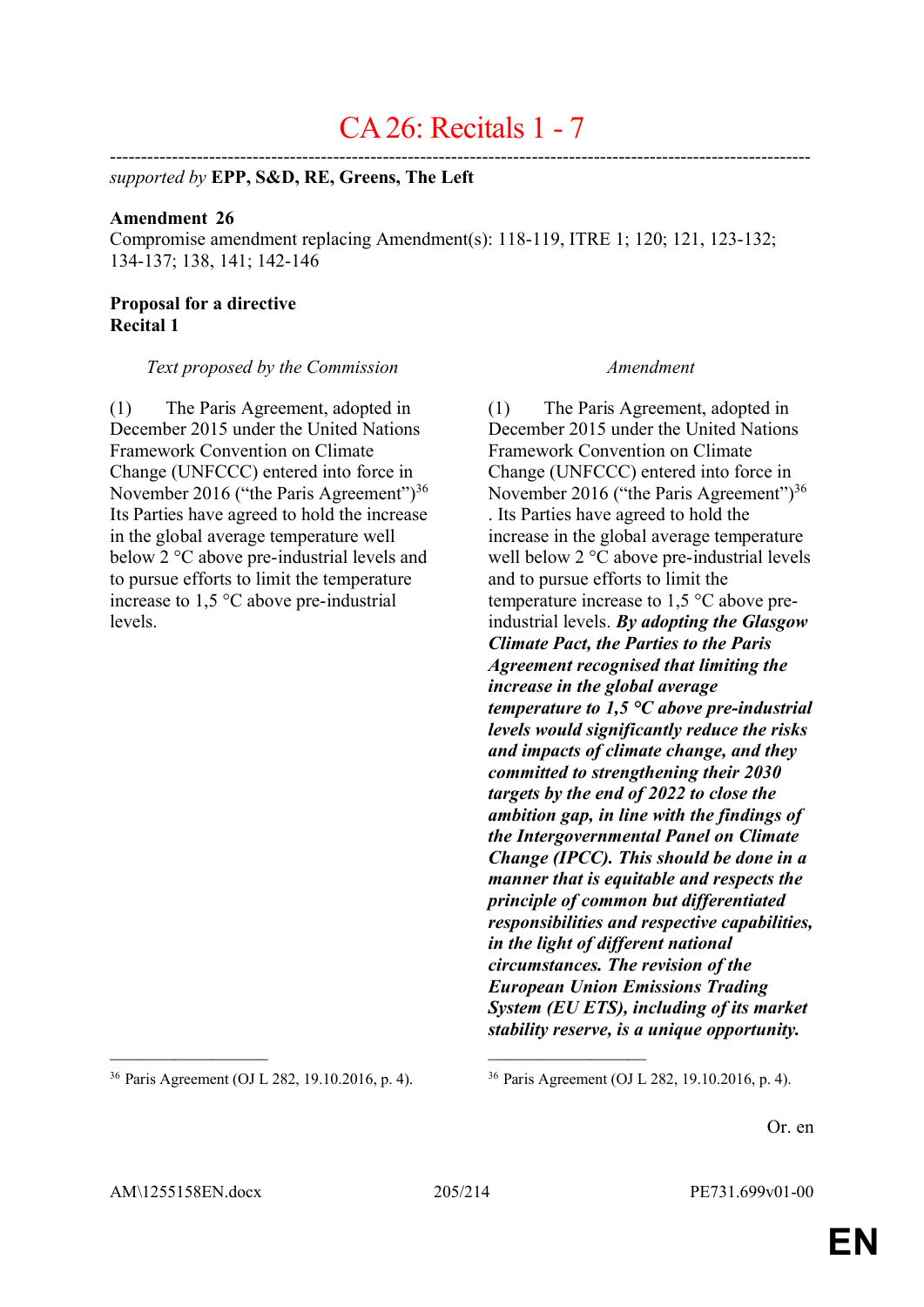# CA 26: Recitals 1 - 7 -----------------------------------------------------------------------------------------------------------------

*supported by* **EPP, S&D, RE, Greens, The Left**

#### **Amendment 26**

Compromise amendment replacing Amendment(s): 118-119, ITRE 1; 120; 121, 123-132; 134-137; 138, 141; 142-146

#### **Proposal for a directive Recital 1**

#### *Text proposed by the Commission Amendment*

(1) The Paris Agreement, adopted in December 2015 under the United Nations Framework Convention on Climate Change (UNFCCC) entered into force in November 2016 ("the Paris Agreement")<sup>36</sup> Its Parties have agreed to hold the increase in the global average temperature well below 2 °C above pre-industrial levels and to pursue efforts to limit the temperature increase to 1,5 °C above pre-industrial levels.

(1) The Paris Agreement, adopted in December 2015 under the United Nations Framework Convention on Climate Change (UNFCCC) entered into force in November 2016 ("the Paris Agreement") $36$ . Its Parties have agreed to hold the increase in the global average temperature well below 2 °C above pre-industrial levels and to pursue efforts to limit the temperature increase to 1,5 °C above preindustrial levels. *By adopting the Glasgow Climate Pact, the Parties to the Paris Agreement recognised that limiting the increase in the global average temperature to 1,5 °C above pre-industrial levels would significantly reduce the risks and impacts of climate change, and they committed to strengthening their 2030 targets by the end of 2022 to close the ambition gap, in line with the findings of the Intergovernmental Panel on Climate Change (IPCC). This should be done in a manner that is equitable and respects the principle of common but differentiated responsibilities and respective capabilities, in the light of different national circumstances. The revision of the European Union Emissions Trading System (EU ETS), including of its market stability reserve, is a unique opportunity.*

<sup>36</sup> Paris Agreement (OJ L 282, 19.10.2016, p. 4). <sup>36</sup> Paris Agreement (OJ L 282, 19.10.2016, p. 4).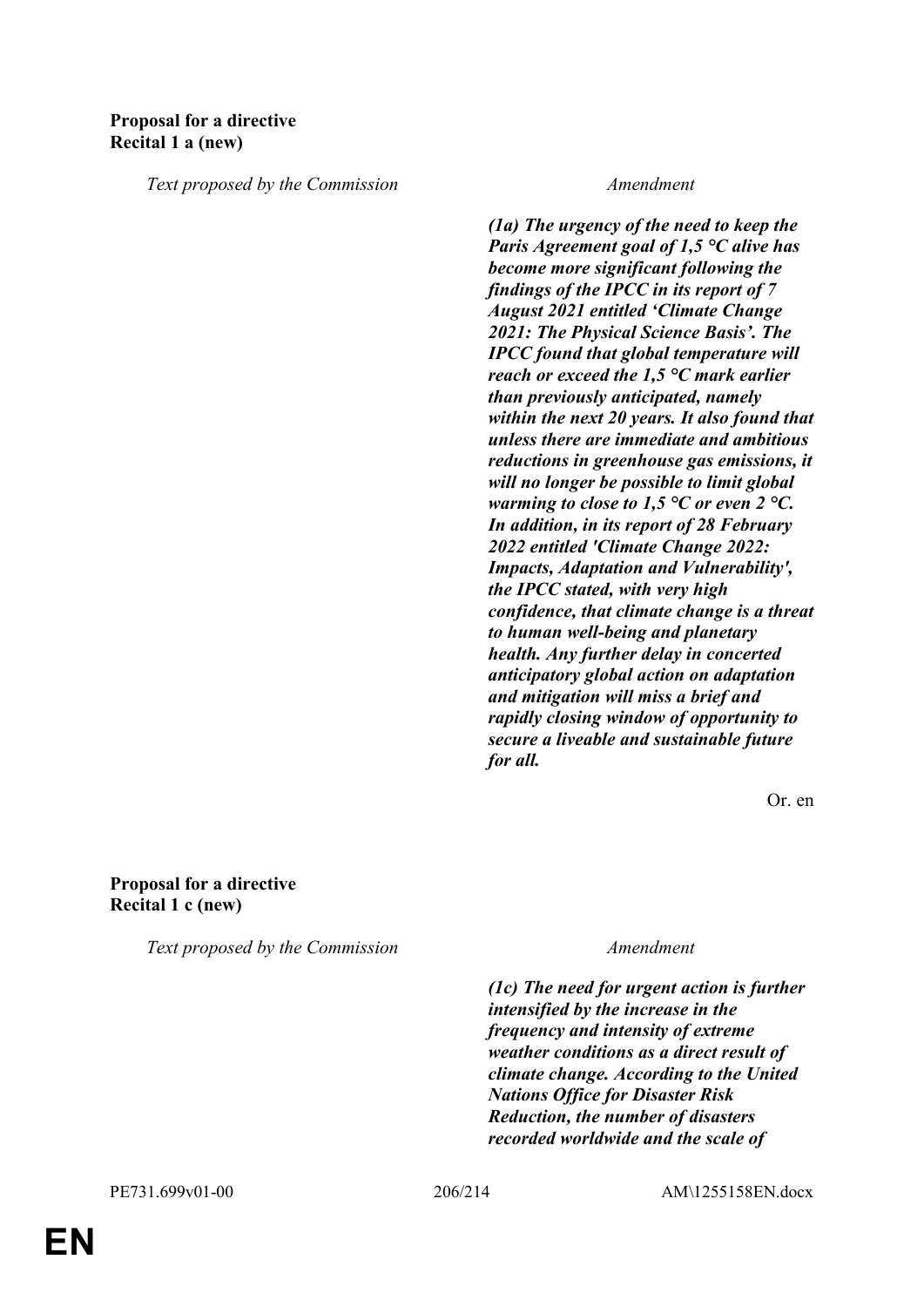### **Proposal for a directive Recital 1 a (new)**

*Text proposed by the Commission Amendment*

*(1a) The urgency of the need to keep the Paris Agreement goal of 1,5 °C alive has become more significant following the findings of the IPCC in its report of 7 August 2021 entitled 'Climate Change 2021: The Physical Science Basis'. The IPCC found that global temperature will reach or exceed the 1,5 °C mark earlier than previously anticipated, namely within the next 20 years. It also found that unless there are immediate and ambitious reductions in greenhouse gas emissions, it will no longer be possible to limit global warming to close to 1,5 °C or even 2 °C. In addition, in its report of 28 February 2022 entitled 'Climate Change 2022: Impacts, Adaptation and Vulnerability', the IPCC stated, with very high confidence, that climate change is a threat to human well-being and planetary health. Any further delay in concerted anticipatory global action on adaptation and mitigation will miss a brief and rapidly closing window of opportunity to secure a liveable and sustainable future for all.*

Or. en

### **Proposal for a directive Recital 1 c (new)**

*Text proposed by the Commission Amendment*

*(1c) The need for urgent action is further intensified by the increase in the frequency and intensity of extreme weather conditions as a direct result of climate change. According to the United Nations Office for Disaster Risk Reduction, the number of disasters recorded worldwide and the scale of*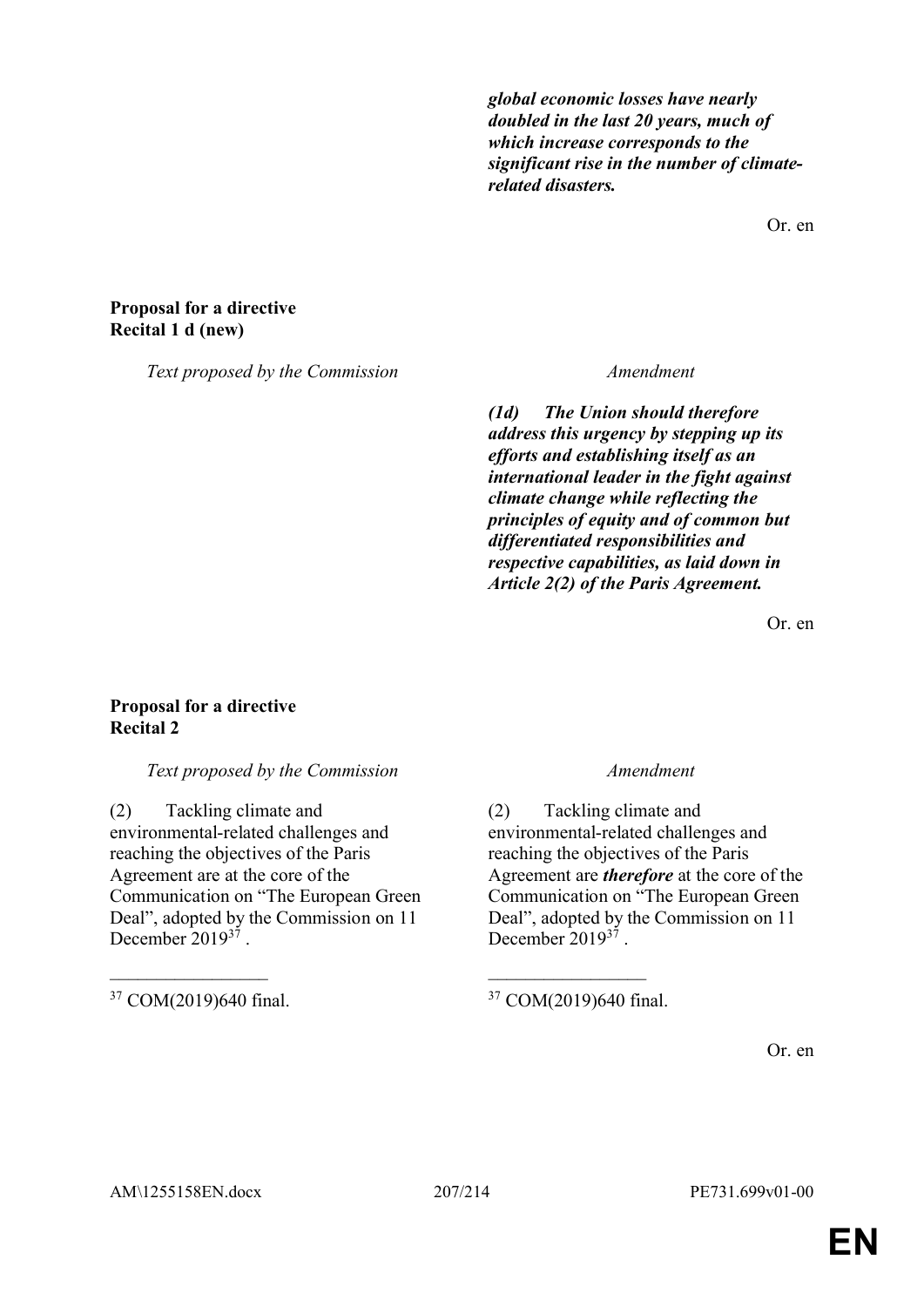*global economic losses have nearly doubled in the last 20 years, much of which increase corresponds to the significant rise in the number of climaterelated disasters.*

Or. en

### **Proposal for a directive Recital 1 d (new)**

*Text proposed by the Commission Amendment*

*(1d) The Union should therefore address this urgency by stepping up its efforts and establishing itself as an international leader in the fight against climate change while reflecting the principles of equity and of common but differentiated responsibilities and respective capabilities, as laid down in Article 2(2) of the Paris Agreement.*

Or. en

### **Proposal for a directive Recital 2**

### *Text proposed by the Commission Amendment*

(2) Tackling climate and environmental-related challenges and reaching the objectives of the Paris Agreement are at the core of the Communication on "The European Green Deal", adopted by the Commission on 11 December  $2019^{37}$ .

(2) Tackling climate and environmental-related challenges and reaching the objectives of the Paris Agreement are *therefore* at the core of the Communication on "The European Green Deal", adopted by the Commission on 11 December 2019<sup>37</sup>.

 $37 \text{ COM}(2019)640 \text{ final.}$   $37 \text{ COM}(2019)640 \text{ final.}$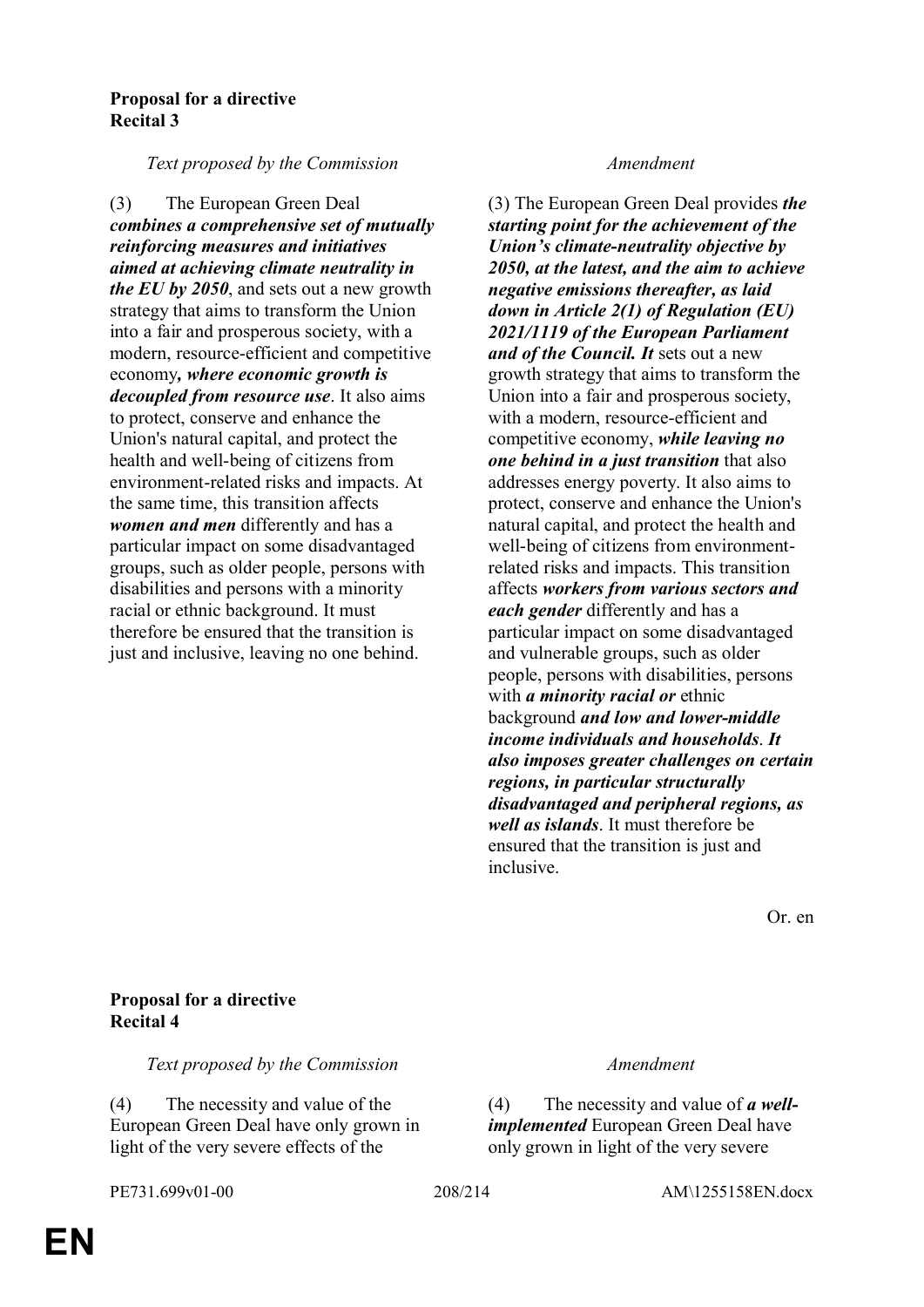### **Proposal for a directive Recital 3**

*Text proposed by the Commission Amendment*

(3) The European Green Deal *combines a comprehensive set of mutually reinforcing measures and initiatives aimed at achieving climate neutrality in the EU by 2050*, and sets out a new growth strategy that aims to transform the Union into a fair and prosperous society, with a modern, resource-efficient and competitive economy*, where economic growth is decoupled from resource use*. It also aims to protect, conserve and enhance the Union's natural capital, and protect the health and well-being of citizens from environment-related risks and impacts. At the same time, this transition affects *women and men* differently and has a particular impact on some disadvantaged groups, such as older people, persons with disabilities and persons with a minority racial or ethnic background. It must therefore be ensured that the transition is just and inclusive, leaving no one behind.

(3) The European Green Deal provides *the starting point for the achievement of the Union's climate-neutrality objective by 2050, at the latest, and the aim to achieve negative emissions thereafter, as laid down in Article 2(1) of Regulation (EU) 2021/1119 of the European Parliament and of the Council. It* sets out a new growth strategy that aims to transform the Union into a fair and prosperous society, with a modern, resource-efficient and competitive economy, *while leaving no one behind in a just transition* that also addresses energy poverty. It also aims to protect, conserve and enhance the Union's natural capital, and protect the health and well-being of citizens from environmentrelated risks and impacts. This transition affects *workers from various sectors and each gender* differently and has a particular impact on some disadvantaged and vulnerable groups, such as older people, persons with disabilities, persons with *a minority racial or* ethnic background *and low and lower-middle income individuals and households*. *It also imposes greater challenges on certain regions, in particular structurally disadvantaged and peripheral regions, as well as islands*. It must therefore be ensured that the transition is just and inclusive.

Or. en

### **Proposal for a directive Recital 4**

*Text proposed by the Commission Amendment*

(4) The necessity and value of the European Green Deal have only grown in light of the very severe effects of the

(4) The necessity and value of *a wellimplemented* European Green Deal have only grown in light of the very severe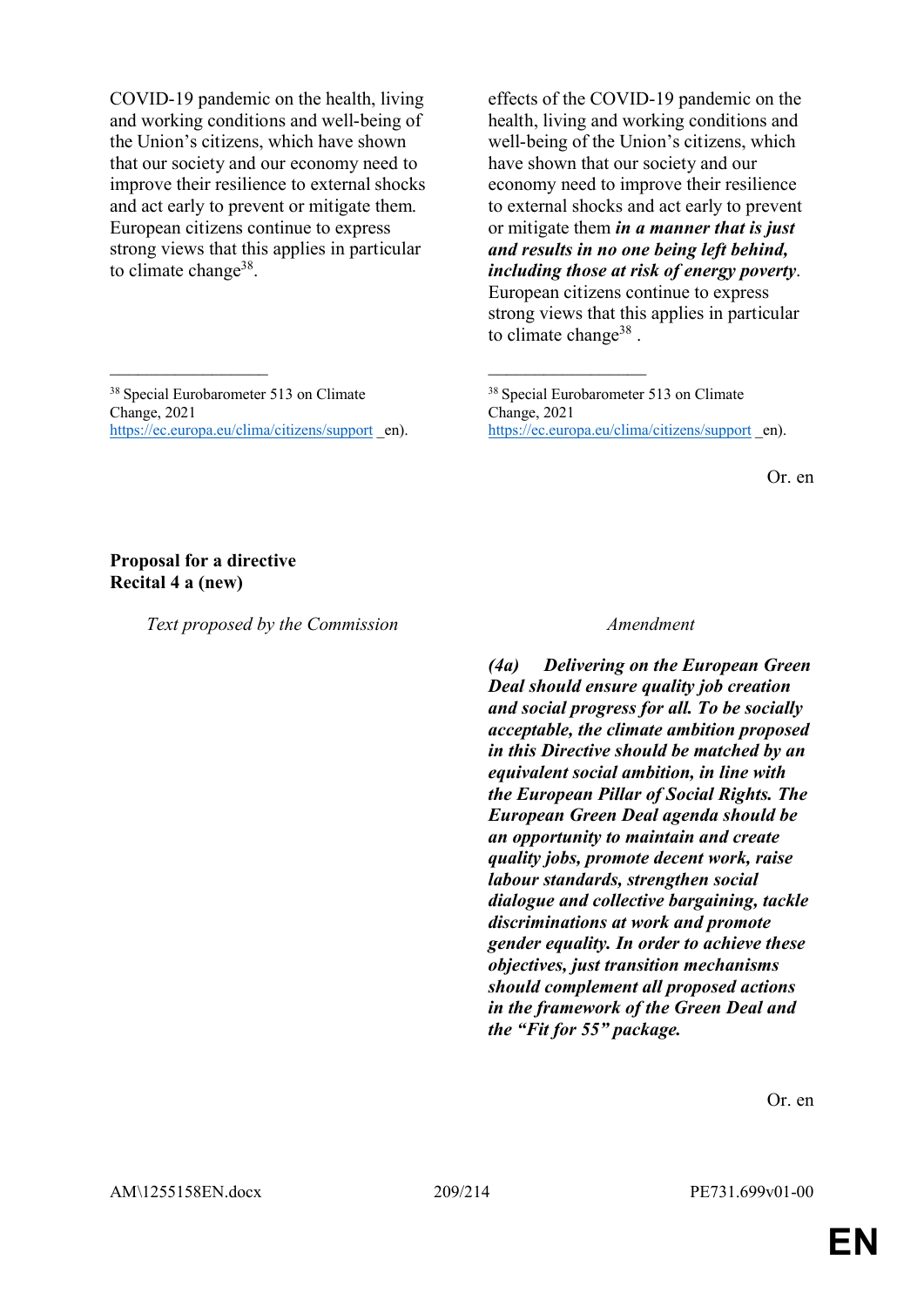COVID-19 pandemic on the health, living and working conditions and well-being of the Union's citizens, which have shown that our society and our economy need to improve their resilience to external shocks and act early to prevent or mitigate them. European citizens continue to express strong views that this applies in particular to climate change<sup>38</sup>.

effects of the COVID-19 pandemic on the health, living and working conditions and well-being of the Union's citizens, which have shown that our society and our economy need to improve their resilience to external shocks and act early to prevent or mitigate them *in a manner that is just and results in no one being left behind, including those at risk of energy poverty*. European citizens continue to express strong views that this applies in particular to climate change<sup>38</sup>.

Or. en

### **Proposal for a directive Recital 4 a (new)**

Change, 2021

<sup>38</sup> Special Eurobarometer 513 on Climate

https://ec.europa.eu/clima/citizens/support en).

*Text proposed by the Commission Amendment*

*(4a) Delivering on the European Green Deal should ensure quality job creation and social progress for all. To be socially acceptable, the climate ambition proposed in this Directive should be matched by an equivalent social ambition, in line with the European Pillar of Social Rights. The European Green Deal agenda should be an opportunity to maintain and create quality jobs, promote decent work, raise labour standards, strengthen social dialogue and collective bargaining, tackle discriminations at work and promote gender equality. In order to achieve these objectives, just transition mechanisms should complement all proposed actions in the framework of the Green Deal and the "Fit for 55" package.*

<sup>38</sup> Special Eurobarometer 513 on Climate Change, 2021 https://ec.europa.eu/clima/citizens/support en).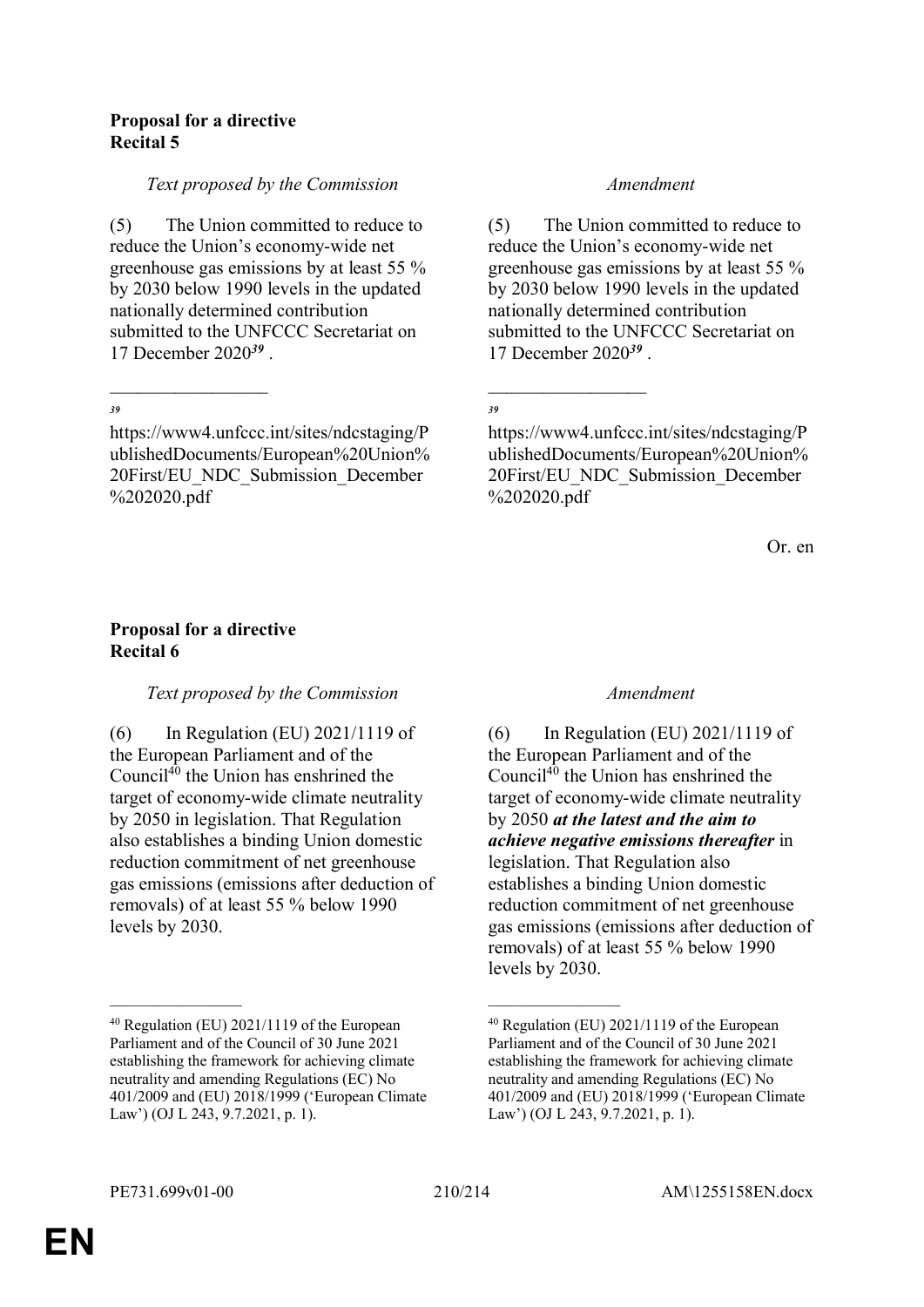### **Proposal for a directive Recital 5**

### *Text proposed by the Commission Amendment*

(5) The Union committed to reduce to reduce the Union's economy-wide net greenhouse gas emissions by at least 55 % by 2030 below 1990 levels in the updated nationally determined contribution submitted to the UNFCCC Secretariat on 17 December 2020*<sup>39</sup>* .

https://www4.unfccc.int/sites/ndcstaging/P ublishedDocuments/European%20Union% 20First/EU\_NDC\_Submission\_December %202020.pdf

(5) The Union committed to reduce to reduce the Union's economy-wide net greenhouse gas emissions by at least 55 % by 2030 below 1990 levels in the updated nationally determined contribution submitted to the UNFCCC Secretariat on 17 December 2020*<sup>39</sup>* .

*39*

https://www4.unfccc.int/sites/ndcstaging/P ublishedDocuments/European%20Union% 20First/EU\_NDC\_Submission\_December %202020.pdf

Or. en

### **Proposal for a directive Recital 6**

## *Text proposed by the Commission Amendment*

(6) In Regulation (EU) 2021/1119 of the European Parliament and of the Council<sup> $40$ </sup> the Union has enshrined the target of economy-wide climate neutrality by 2050 in legislation. That Regulation also establishes a binding Union domestic reduction commitment of net greenhouse gas emissions (emissions after deduction of removals) of at least 55 % below 1990 levels by 2030.

\_\_\_\_\_\_\_\_\_\_\_\_\_\_\_\_\_ \_\_\_\_\_\_\_\_\_\_\_\_\_\_\_\_\_

(6) In Regulation (EU) 2021/1119 of the European Parliament and of the Council<sup> $40$ </sup> the Union has enshrined the target of economy-wide climate neutrality by 2050 *at the latest and the aim to achieve negative emissions thereafter* in legislation. That Regulation also establishes a binding Union domestic reduction commitment of net greenhouse gas emissions (emissions after deduction of removals) of at least 55 % below 1990 levels by 2030.

*<sup>39</sup>*

 $40$  Regulation (EU) 2021/1119 of the European Parliament and of the Council of 30 June 2021 establishing the framework for achieving climate neutrality and amending Regulations (EC) No 401/2009 and (EU) 2018/1999 ('European Climate Law') (OJ L 243, 9.7.2021, p. 1).

 $40$  Regulation (EU) 2021/1119 of the European Parliament and of the Council of 30 June 2021 establishing the framework for achieving climate neutrality and amending Regulations (EC) No 401/2009 and (EU) 2018/1999 ('European Climate Law') (OJ L 243, 9.7.2021, p. 1).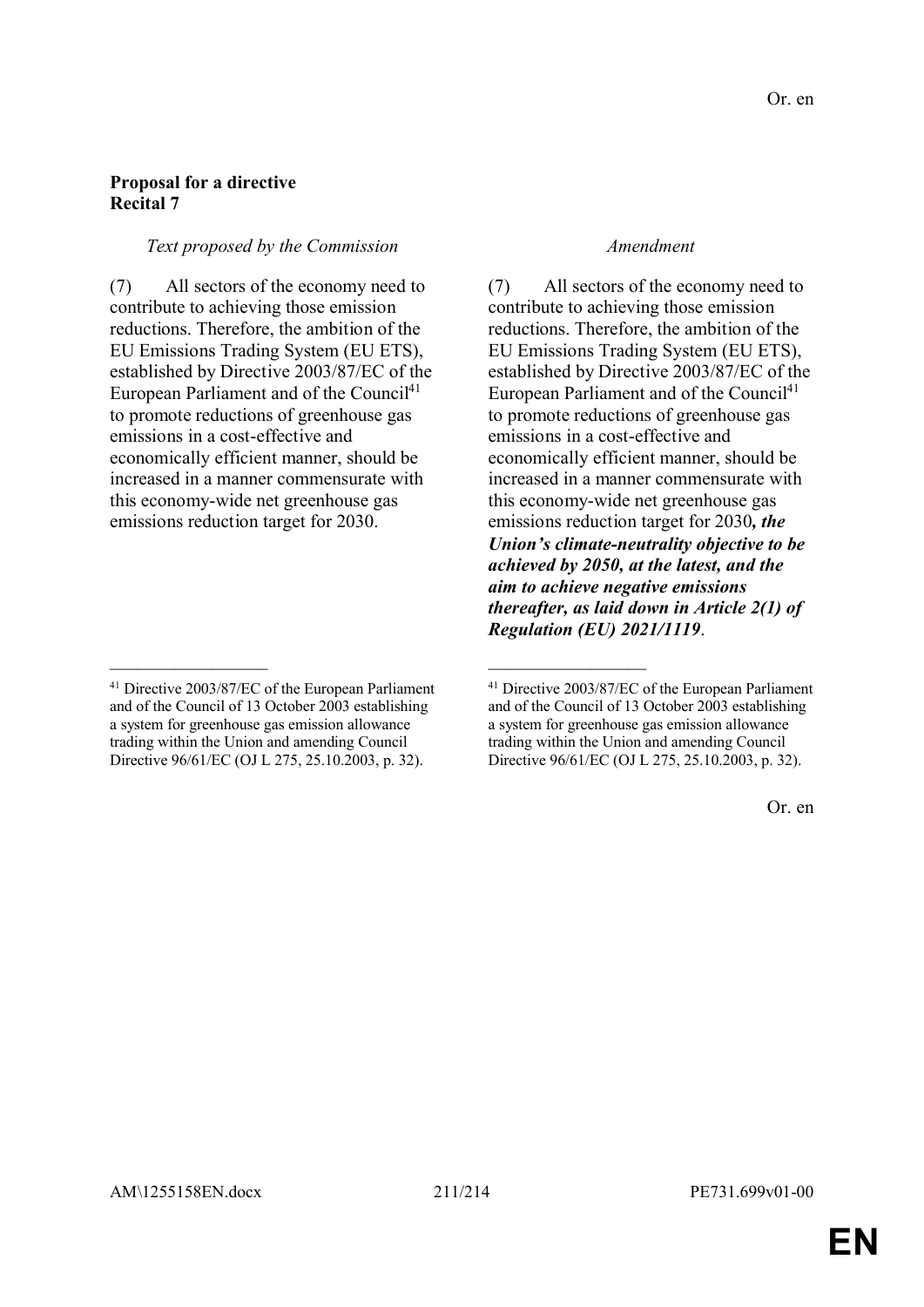#### **Proposal for a directive Recital 7**

#### *Text proposed by the Commission Amendment*

(7) All sectors of the economy need to contribute to achieving those emission reductions. Therefore, the ambition of the EU Emissions Trading System (EU ETS), established by Directive 2003/87/EC of the European Parliament and of the Council<sup>41</sup> to promote reductions of greenhouse gas emissions in a cost-effective and economically efficient manner, should be increased in a manner commensurate with this economy-wide net greenhouse gas emissions reduction target for 2030.

(7) All sectors of the economy need to contribute to achieving those emission reductions. Therefore, the ambition of the EU Emissions Trading System (EU ETS), established by Directive 2003/87/EC of the European Parliament and of the Council<sup>41</sup> to promote reductions of greenhouse gas emissions in a cost-effective and economically efficient manner, should be increased in a manner commensurate with this economy-wide net greenhouse gas emissions reduction target for 2030*, the Union's climate-neutrality objective to be achieved by 2050, at the latest, and the aim to achieve negative emissions thereafter, as laid down in Article 2(1) of Regulation (EU) 2021/1119*.

<sup>41</sup> Directive 2003/87/EC of the European Parliament and of the Council of 13 October 2003 establishing a system for greenhouse gas emission allowance trading within the Union and amending Council Directive 96/61/EC (OJ L 275, 25.10.2003, p. 32).

<sup>41</sup> Directive 2003/87/EC of the European Parliament and of the Council of 13 October 2003 establishing a system for greenhouse gas emission allowance trading within the Union and amending Council Directive 96/61/EC (OJ L 275, 25.10.2003, p. 32).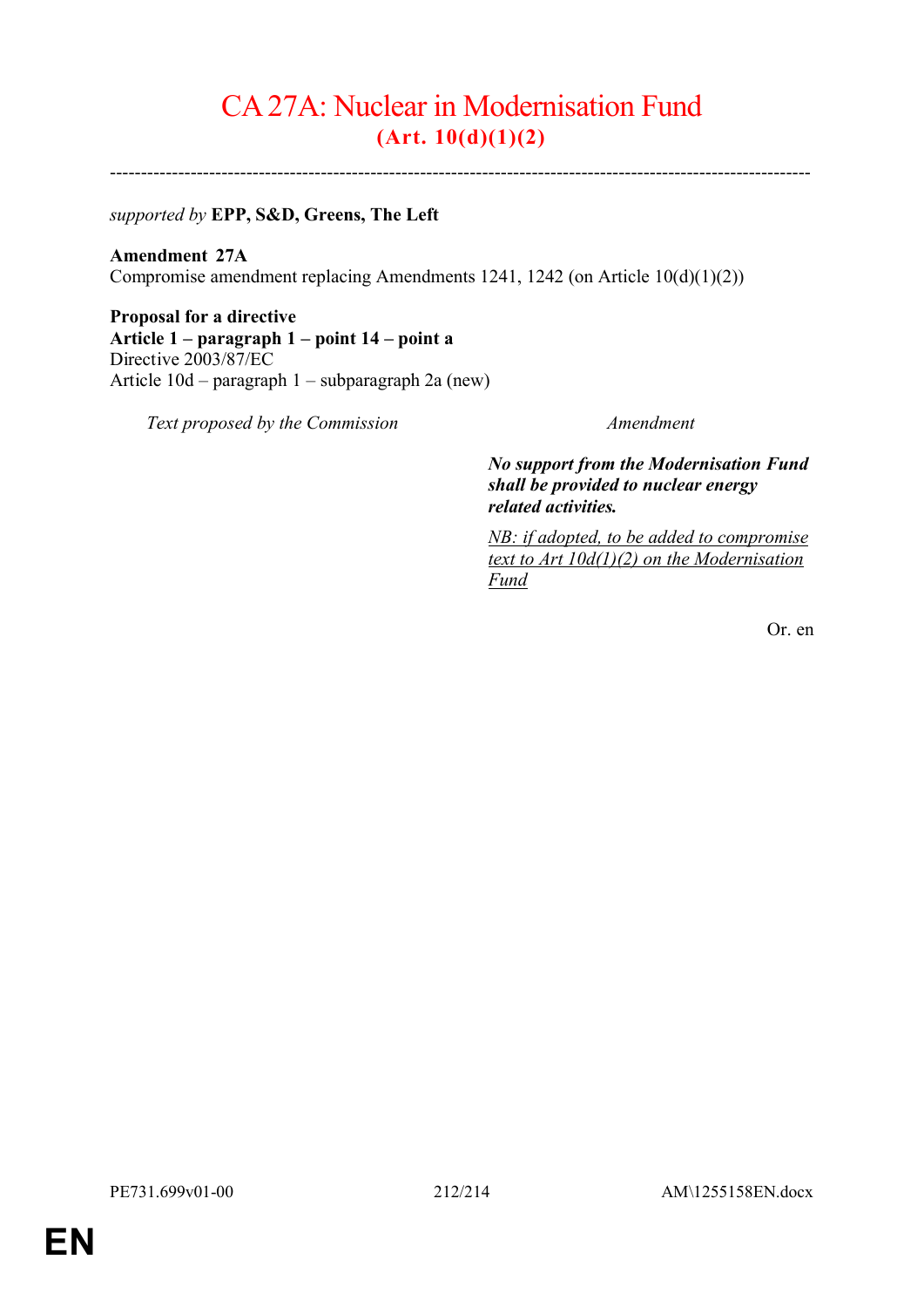# CA 27A: Nuclear in Modernisation Fund **(Art. 10(d)(1)(2)**

-----------------------------------------------------------------------------------------------------------------

*supported by* **EPP, S&D, Greens, The Left**

#### **Amendment 27A**

Compromise amendment replacing Amendments 1241, 1242 (on Article 10(d)(1)(2))

### **Proposal for a directive**

**Article 1 – paragraph 1 – point 14 – point a** Directive 2003/87/EC Article 10d – paragraph 1 – subparagraph 2a (new)

*Text proposed by the Commission Amendment*

*No support from the Modernisation Fund shall be provided to nuclear energy related activities.*

*NB: if adopted, to be added to compromise text to Art 10d(1)(2) on the Modernisation Fund*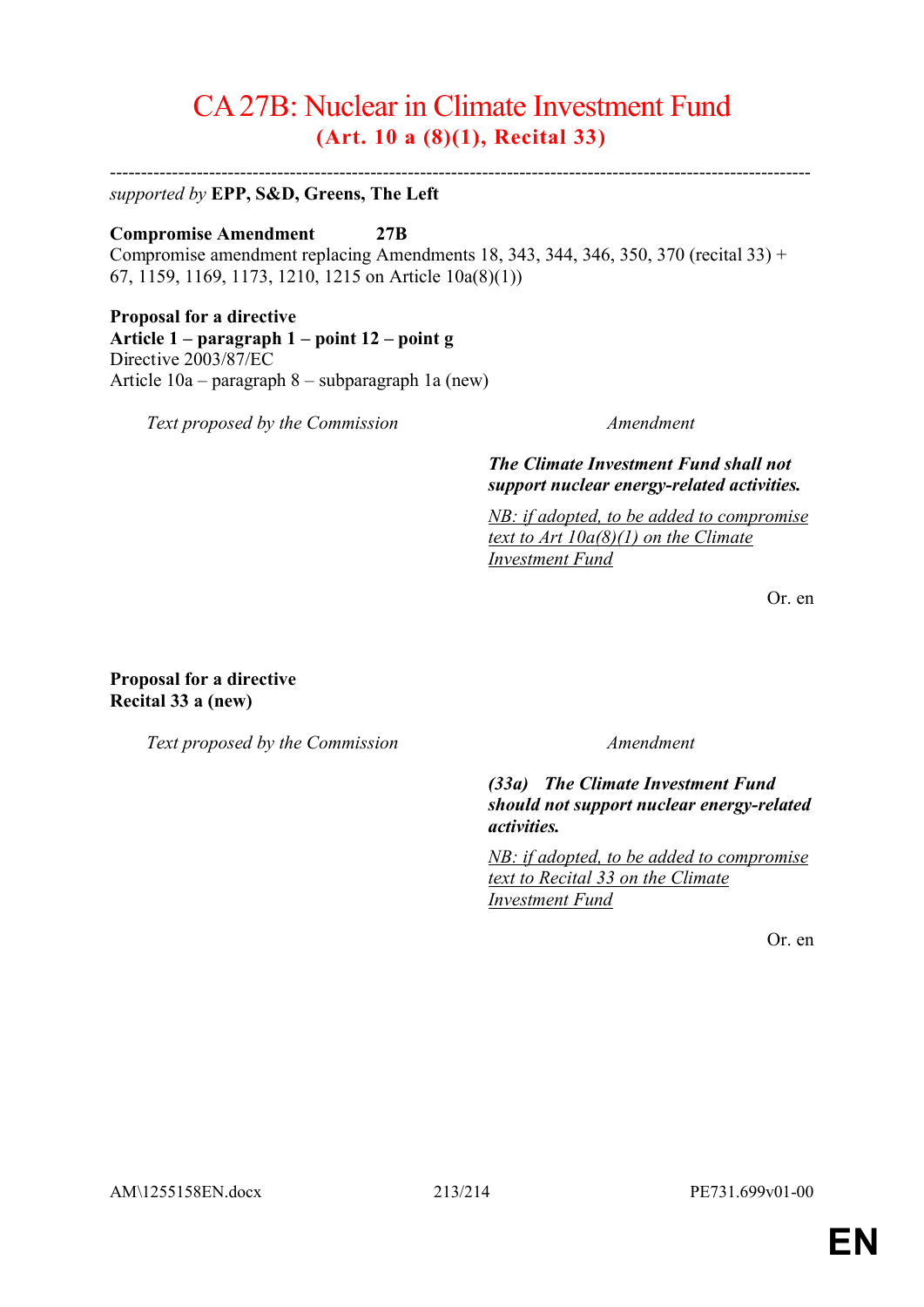# CA 27B: Nuclear in Climate Investment Fund **(Art. 10 a (8)(1), Recital 33)**

-----------------------------------------------------------------------------------------------------------------

*supported by* **EPP, S&D, Greens, The Left**

### **Compromise Amendment 27B**

Compromise amendment replacing Amendments 18, 343, 344, 346, 350, 370 (recital 33) + 67, 1159, 1169, 1173, 1210, 1215 on Article 10a(8)(1))

**Proposal for a directive Article 1 – paragraph 1 – point 12 – point g** Directive 2003/87/EC Article 10a – paragraph 8 – subparagraph 1a (new)

*Text proposed by the Commission Amendment*

*The Climate Investment Fund shall not support nuclear energy-related activities.*

*NB: if adopted, to be added to compromise text to Art 10a(8)(1) on the Climate Investment Fund*

Or. en

#### **Proposal for a directive Recital 33 a (new)**

*Text proposed by the Commission Amendment*

*(33a) The Climate Investment Fund should not support nuclear energy-related activities.*

*NB: if adopted, to be added to compromise text to Recital 33 on the Climate Investment Fund*